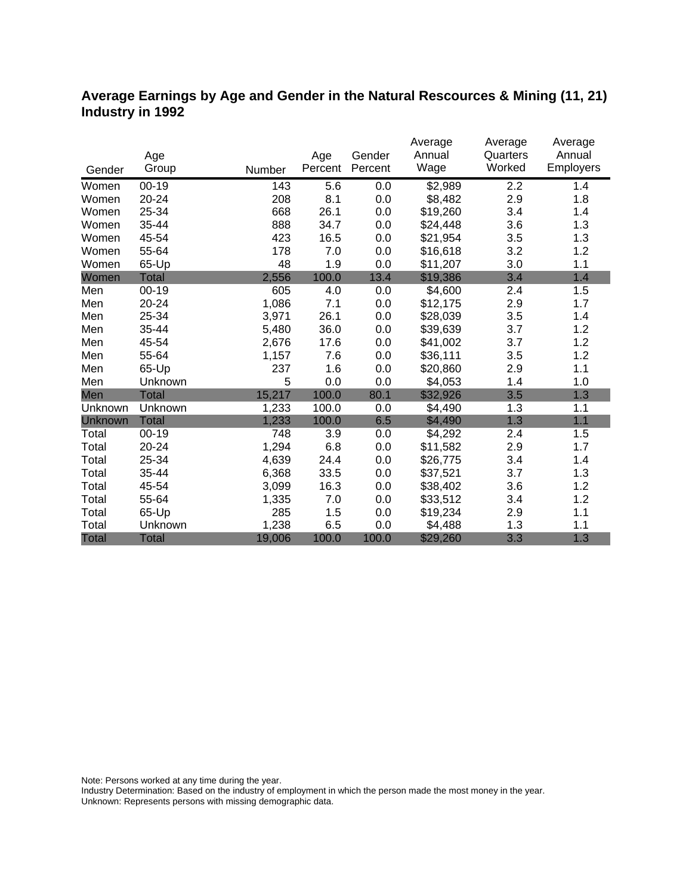## **Average Earnings by Age and Gender in the Natural Rescources & Mining (11, 21) Industry in 1992**

|              |              |        |         |         | Average  | Average  | Average          |
|--------------|--------------|--------|---------|---------|----------|----------|------------------|
|              | Age          |        | Age     | Gender  | Annual   | Quarters | Annual           |
| Gender       | Group        | Number | Percent | Percent | Wage     | Worked   | <b>Employers</b> |
| Women        | $00 - 19$    | 143    | 5.6     | 0.0     | \$2,989  | 2.2      | 1.4              |
| Women        | 20-24        | 208    | 8.1     | 0.0     | \$8,482  | 2.9      | 1.8              |
| Women        | 25-34        | 668    | 26.1    | 0.0     | \$19,260 | 3.4      | 1.4              |
| Women        | 35-44        | 888    | 34.7    | 0.0     | \$24,448 | 3.6      | 1.3              |
| Women        | 45-54        | 423    | 16.5    | 0.0     | \$21,954 | 3.5      | 1.3              |
| Women        | 55-64        | 178    | 7.0     | 0.0     | \$16,618 | 3.2      | 1.2              |
| Women        | 65-Up        | 48     | 1.9     | 0.0     | \$11,207 | 3.0      | 1.1              |
| Women        | <b>Total</b> | 2,556  | 100.0   | 13.4    | \$19,386 | 3.4      | 1.4              |
| Men          | $00 - 19$    | 605    | 4.0     | 0.0     | \$4,600  | 2.4      | 1.5              |
| Men          | 20-24        | 1,086  | 7.1     | 0.0     | \$12,175 | 2.9      | 1.7              |
| Men          | 25-34        | 3,971  | 26.1    | 0.0     | \$28,039 | 3.5      | 1.4              |
| Men          | 35-44        | 5,480  | 36.0    | 0.0     | \$39,639 | 3.7      | 1.2              |
| Men          | 45-54        | 2,676  | 17.6    | 0.0     | \$41,002 | 3.7      | 1.2              |
| Men          | 55-64        | 1,157  | 7.6     | 0.0     | \$36,111 | 3.5      | 1.2              |
| Men          | 65-Up        | 237    | 1.6     | 0.0     | \$20,860 | 2.9      | 1.1              |
| Men          | Unknown      | 5      | 0.0     | 0.0     | \$4,053  | 1.4      | 1.0              |
| Men          | Total        | 15,217 | 100.0   | 80.1    | \$32,926 | 3.5      | 1.3              |
| Unknown      | Unknown      | 1,233  | 100.0   | 0.0     | \$4,490  | 1.3      | 1.1              |
| Unknown      | <b>Total</b> | 1,233  | 100.0   | 6.5     | \$4,490  | 1.3      | 1.1              |
| Total        | $00 - 19$    | 748    | 3.9     | 0.0     | \$4,292  | 2.4      | 1.5              |
| Total        | 20-24        | 1,294  | 6.8     | 0.0     | \$11,582 | 2.9      | 1.7              |
| Total        | 25-34        | 4,639  | 24.4    | 0.0     | \$26,775 | 3.4      | 1.4              |
| Total        | 35-44        | 6,368  | 33.5    | 0.0     | \$37,521 | 3.7      | 1.3              |
| Total        | 45-54        | 3,099  | 16.3    | 0.0     | \$38,402 | 3.6      | 1.2              |
| Total        | 55-64        | 1,335  | 7.0     | 0.0     | \$33,512 | 3.4      | 1.2              |
| Total        | 65-Up        | 285    | 1.5     | 0.0     | \$19,234 | 2.9      | 1.1              |
| Total        | Unknown      | 1,238  | 6.5     | 0.0     | \$4,488  | 1.3      | 1.1              |
| <b>Total</b> | <b>Total</b> | 19,006 | 100.0   | 100.0   | \$29,260 | 3.3      | 1.3              |

Note: Persons worked at any time during the year.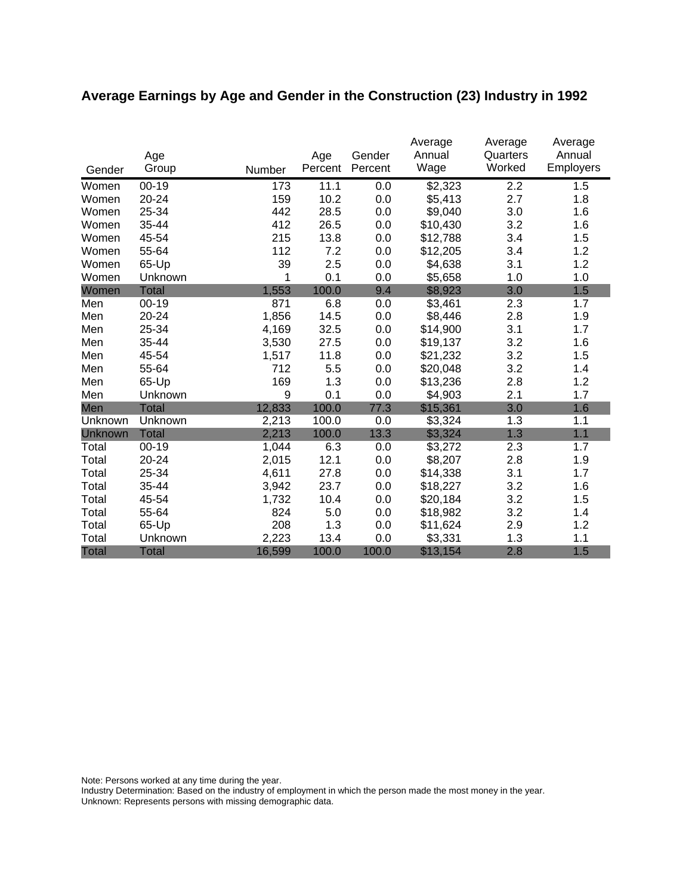# **Average Earnings by Age and Gender in the Construction (23) Industry in 1992**

| Gender       | Age<br>Group | Number | Age<br>Percent | Gender<br>Percent | Average<br>Annual<br>Wage | Average<br>Quarters<br>Worked | Average<br>Annual<br>Employers |
|--------------|--------------|--------|----------------|-------------------|---------------------------|-------------------------------|--------------------------------|
| Women        | $00 - 19$    | 173    | 11.1           | 0.0               | \$2,323                   | 2.2                           | 1.5                            |
| Women        | 20-24        | 159    | 10.2           | 0.0               | \$5,413                   | 2.7                           | 1.8                            |
| Women        | 25-34        | 442    | 28.5           | 0.0               | \$9,040                   | 3.0                           | 1.6                            |
| Women        | 35-44        | 412    | 26.5           | 0.0               | \$10,430                  | 3.2                           | 1.6                            |
| Women        | 45-54        | 215    | 13.8           | 0.0               | \$12,788                  | 3.4                           | 1.5                            |
| Women        | 55-64        | 112    | 7.2            | 0.0               | \$12,205                  | 3.4                           | 1.2                            |
| Women        | 65-Up        | 39     | 2.5            | 0.0               | \$4,638                   | 3.1                           | 1.2                            |
| Women        | Unknown      | 1      | 0.1            | 0.0               | \$5,658                   | 1.0                           | 1.0                            |
| Women        | <b>Total</b> | 1,553  | 100.0          | 9.4               | \$8,923                   | 3.0                           | 1.5                            |
| Men          | $00 - 19$    | 871    | 6.8            | 0.0               | \$3,461                   | 2.3                           | 1.7                            |
| Men          | 20-24        | 1,856  | 14.5           | 0.0               | \$8,446                   | 2.8                           | 1.9                            |
| Men          | 25-34        | 4,169  | 32.5           | 0.0               | \$14,900                  | 3.1                           | 1.7                            |
| Men          | 35-44        | 3,530  | 27.5           | 0.0               | \$19,137                  | 3.2                           | 1.6                            |
| Men          | 45-54        | 1,517  | 11.8           | 0.0               | \$21,232                  | 3.2                           | 1.5                            |
| Men          | 55-64        | 712    | 5.5            | 0.0               | \$20,048                  | 3.2                           | 1.4                            |
| Men          | 65-Up        | 169    | 1.3            | 0.0               | \$13,236                  | 2.8                           | 1.2                            |
| Men          | Unknown      | 9      | 0.1            | 0.0               | \$4,903                   | 2.1                           | 1.7                            |
| Men          | <b>Total</b> | 12,833 | 100.0          | 77.3              | \$15,361                  | 3.0                           | 1.6                            |
| Unknown      | Unknown      | 2,213  | 100.0          | 0.0               | \$3,324                   | 1.3                           | 1.1                            |
| Unknown      | <b>Total</b> | 2,213  | 100.0          | 13.3              | \$3,324                   | 1.3                           | 1.1                            |
| Total        | $00 - 19$    | 1,044  | 6.3            | 0.0               | \$3,272                   | 2.3                           | 1.7                            |
| Total        | 20-24        | 2,015  | 12.1           | 0.0               | \$8,207                   | 2.8                           | 1.9                            |
| Total        | 25-34        | 4,611  | 27.8           | 0.0               | \$14,338                  | 3.1                           | 1.7                            |
| Total        | 35-44        | 3,942  | 23.7           | 0.0               | \$18,227                  | 3.2                           | 1.6                            |
| Total        | 45-54        | 1,732  | 10.4           | 0.0               | \$20,184                  | 3.2                           | 1.5                            |
| Total        | 55-64        | 824    | 5.0            | 0.0               | \$18,982                  | 3.2                           | 1.4                            |
| Total        | 65-Up        | 208    | 1.3            | 0.0               | \$11,624                  | 2.9                           | 1.2                            |
| Total        | Unknown      | 2,223  | 13.4           | 0.0               | \$3,331                   | 1.3                           | 1.1                            |
| <b>Total</b> | <b>Total</b> | 16,599 | 100.0          | 100.0             | \$13,154                  | 2.8                           | 1.5                            |

Note: Persons worked at any time during the year.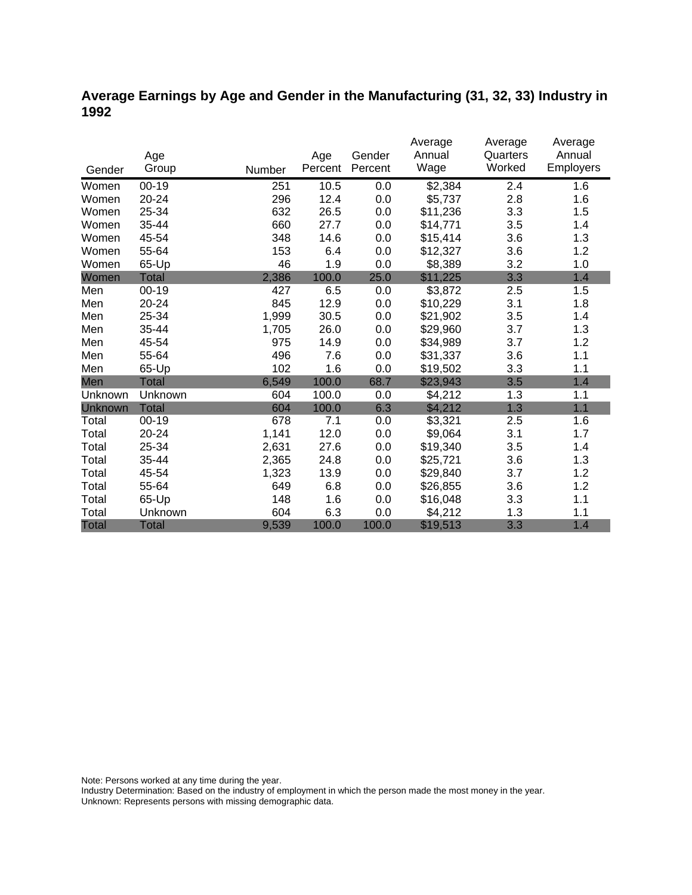### **Average Earnings by Age and Gender in the Manufacturing (31, 32, 33) Industry in 1992**

|              |              |        |         |         | Average  | Average  | Average          |
|--------------|--------------|--------|---------|---------|----------|----------|------------------|
|              | Age          |        | Age     | Gender  | Annual   | Quarters | Annual           |
| Gender       | Group        | Number | Percent | Percent | Wage     | Worked   | <b>Employers</b> |
| Women        | $00 - 19$    | 251    | 10.5    | 0.0     | \$2,384  | 2.4      | 1.6              |
| Women        | 20-24        | 296    | 12.4    | 0.0     | \$5,737  | 2.8      | 1.6              |
| Women        | 25-34        | 632    | 26.5    | 0.0     | \$11,236 | 3.3      | 1.5              |
| Women        | 35-44        | 660    | 27.7    | 0.0     | \$14,771 | 3.5      | 1.4              |
| Women        | 45-54        | 348    | 14.6    | 0.0     | \$15,414 | 3.6      | 1.3              |
| Women        | 55-64        | 153    | 6.4     | 0.0     | \$12,327 | 3.6      | 1.2              |
| Women        | 65-Up        | 46     | 1.9     | 0.0     | \$8,389  | 3.2      | 1.0              |
| Women        | Total        | 2,386  | 100.0   | 25.0    | \$11,225 | 3.3      | 1.4              |
| Men          | $00 - 19$    | 427    | 6.5     | 0.0     | \$3,872  | 2.5      | 1.5              |
| Men          | $20 - 24$    | 845    | 12.9    | 0.0     | \$10,229 | 3.1      | 1.8              |
| Men          | 25-34        | 1,999  | 30.5    | 0.0     | \$21,902 | 3.5      | 1.4              |
| Men          | 35-44        | 1,705  | 26.0    | 0.0     | \$29,960 | 3.7      | 1.3              |
| Men          | 45-54        | 975    | 14.9    | 0.0     | \$34,989 | 3.7      | 1.2              |
| Men          | 55-64        | 496    | 7.6     | 0.0     | \$31,337 | 3.6      | 1.1              |
| Men          | 65-Up        | 102    | 1.6     | 0.0     | \$19,502 | 3.3      | 1.1              |
| Men          | <b>Total</b> | 6,549  | 100.0   | 68.7    | \$23,943 | 3.5      | 1.4              |
| Unknown      | Unknown      | 604    | 100.0   | 0.0     | \$4,212  | 1.3      | 1.1              |
| Unknown      | <b>Total</b> | 604    | 100.0   | 6.3     | \$4,212  | 1.3      | 1.1              |
| Total        | $00 - 19$    | 678    | 7.1     | 0.0     | \$3,321  | 2.5      | 1.6              |
| Total        | 20-24        | 1,141  | 12.0    | 0.0     | \$9,064  | 3.1      | 1.7              |
| Total        | 25-34        | 2,631  | 27.6    | 0.0     | \$19,340 | 3.5      | 1.4              |
| Total        | 35-44        | 2,365  | 24.8    | 0.0     | \$25,721 | 3.6      | 1.3              |
| Total        | 45-54        | 1,323  | 13.9    | 0.0     | \$29,840 | 3.7      | 1.2              |
| Total        | 55-64        | 649    | 6.8     | 0.0     | \$26,855 | 3.6      | 1.2              |
| Total        | 65-Up        | 148    | 1.6     | 0.0     | \$16,048 | 3.3      | 1.1              |
| Total        | Unknown      | 604    | 6.3     | 0.0     | \$4,212  | 1.3      | 1.1              |
| <b>Total</b> | <b>Total</b> | 9,539  | 100.0   | 100.0   | \$19,513 | 3.3      | 1.4              |

Note: Persons worked at any time during the year.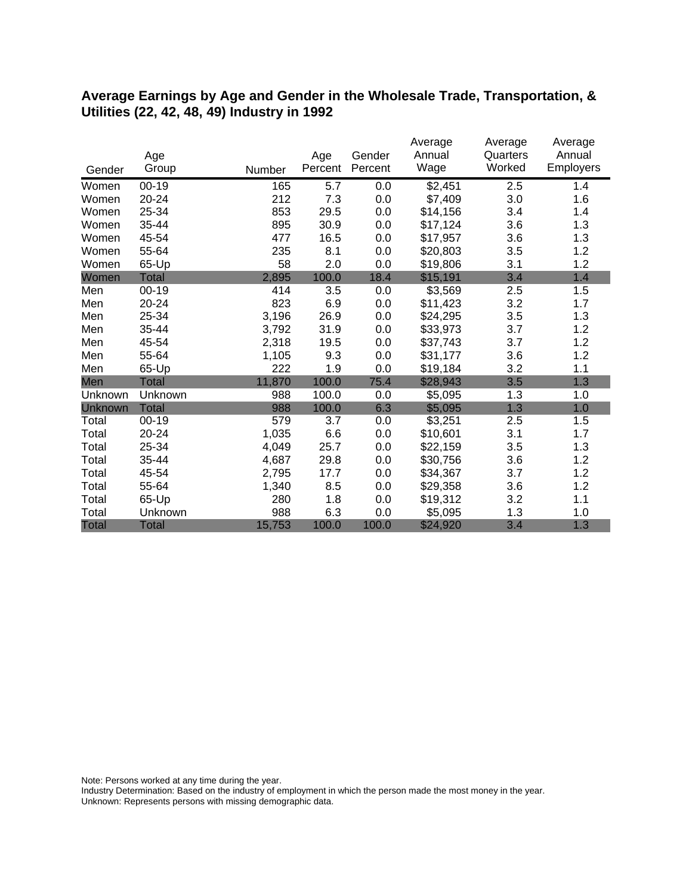#### **Average Earnings by Age and Gender in the Wholesale Trade, Transportation, & Utilities (22, 42, 48, 49) Industry in 1992**

|              |              |        |         |         | Average  | Average  | Average          |
|--------------|--------------|--------|---------|---------|----------|----------|------------------|
|              | Age          |        | Age     | Gender  | Annual   | Quarters | Annual           |
| Gender       | Group        | Number | Percent | Percent | Wage     | Worked   | <b>Employers</b> |
| Women        | $00 - 19$    | 165    | 5.7     | 0.0     | \$2,451  | 2.5      | 1.4              |
| Women        | $20 - 24$    | 212    | 7.3     | 0.0     | \$7,409  | 3.0      | 1.6              |
| Women        | 25-34        | 853    | 29.5    | 0.0     | \$14,156 | 3.4      | 1.4              |
| Women        | 35-44        | 895    | 30.9    | 0.0     | \$17,124 | 3.6      | 1.3              |
| Women        | 45-54        | 477    | 16.5    | 0.0     | \$17,957 | 3.6      | 1.3              |
| Women        | 55-64        | 235    | 8.1     | 0.0     | \$20,803 | 3.5      | 1.2              |
| Women        | 65-Up        | 58     | 2.0     | 0.0     | \$19,806 | 3.1      | 1.2              |
| Women        | Total        | 2,895  | 100.0   | 18.4    | \$15,191 | 3.4      | 1.4              |
| Men          | $00 - 19$    | 414    | 3.5     | 0.0     | \$3,569  | 2.5      | 1.5              |
| Men          | 20-24        | 823    | 6.9     | 0.0     | \$11,423 | 3.2      | 1.7              |
| Men          | 25-34        | 3,196  | 26.9    | 0.0     | \$24,295 | 3.5      | 1.3              |
| Men          | 35-44        | 3,792  | 31.9    | 0.0     | \$33,973 | 3.7      | 1.2              |
| Men          | 45-54        | 2,318  | 19.5    | 0.0     | \$37,743 | 3.7      | 1.2              |
| Men          | 55-64        | 1,105  | 9.3     | 0.0     | \$31,177 | 3.6      | 1.2              |
| Men          | 65-Up        | 222    | 1.9     | 0.0     | \$19,184 | 3.2      | 1.1              |
| Men          | <b>Total</b> | 11,870 | 100.0   | 75.4    | \$28,943 | 3.5      | 1.3              |
| Unknown      | Unknown      | 988    | 100.0   | 0.0     | \$5,095  | 1.3      | 1.0              |
| Unknown      | <b>Total</b> | 988    | 100.0   | 6.3     | \$5,095  | 1.3      | 1.0              |
| Total        | $00 - 19$    | 579    | 3.7     | 0.0     | \$3,251  | 2.5      | 1.5              |
| Total        | 20-24        | 1,035  | 6.6     | 0.0     | \$10,601 | 3.1      | 1.7              |
| Total        | 25-34        | 4,049  | 25.7    | 0.0     | \$22,159 | 3.5      | 1.3              |
| Total        | 35-44        | 4,687  | 29.8    | 0.0     | \$30,756 | 3.6      | 1.2              |
| Total        | 45-54        | 2,795  | 17.7    | 0.0     | \$34,367 | 3.7      | 1.2              |
| Total        | 55-64        | 1,340  | 8.5     | 0.0     | \$29,358 | 3.6      | 1.2              |
| Total        | 65-Up        | 280    | 1.8     | 0.0     | \$19,312 | 3.2      | 1.1              |
| Total        | Unknown      | 988    | 6.3     | 0.0     | \$5,095  | 1.3      | 1.0              |
| <b>Total</b> | <b>Total</b> | 15,753 | 100.0   | 100.0   | \$24,920 | 3.4      | 1.3              |

Note: Persons worked at any time during the year.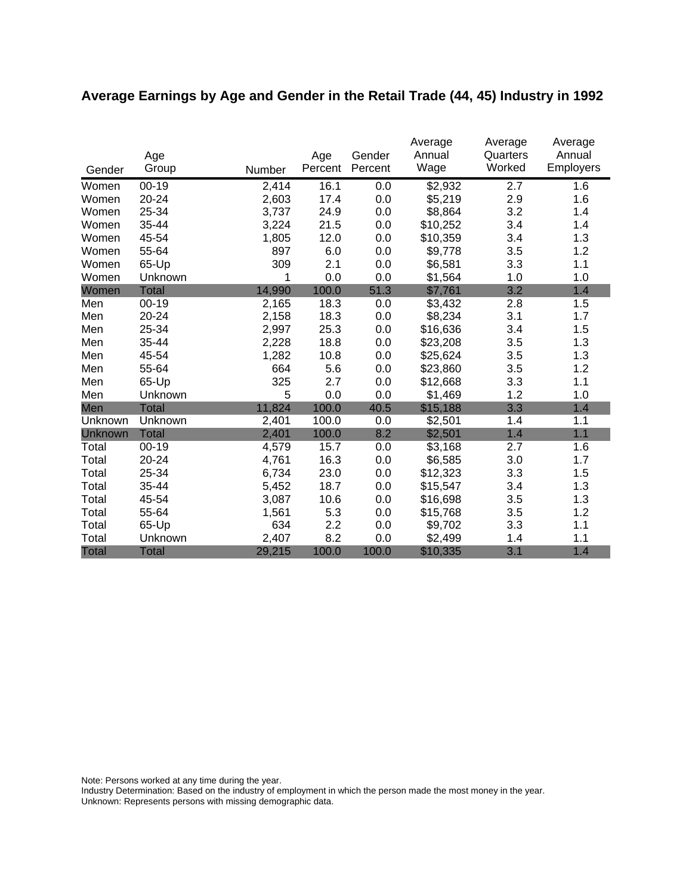# **Average Earnings by Age and Gender in the Retail Trade (44, 45) Industry in 1992**

|              | Age          |        | Age     | Gender  | Average<br>Annual | Average<br>Quarters | Average<br>Annual |
|--------------|--------------|--------|---------|---------|-------------------|---------------------|-------------------|
| Gender       | Group        | Number | Percent | Percent | Wage              | Worked              | <b>Employers</b>  |
| Women        | $00 - 19$    | 2,414  | 16.1    | 0.0     | \$2,932           | 2.7                 | 1.6               |
| Women        | 20-24        | 2,603  | 17.4    | 0.0     | \$5,219           | 2.9                 | 1.6               |
| Women        | 25-34        | 3,737  | 24.9    | 0.0     | \$8,864           | 3.2                 | 1.4               |
| Women        | 35-44        | 3,224  | 21.5    | 0.0     | \$10,252          | 3.4                 | 1.4               |
| Women        | 45-54        | 1,805  | 12.0    | 0.0     | \$10,359          | 3.4                 | 1.3               |
| Women        | 55-64        | 897    | 6.0     | 0.0     | \$9,778           | 3.5                 | 1.2               |
| Women        | 65-Up        | 309    | 2.1     | 0.0     | \$6,581           | 3.3                 | 1.1               |
| Women        | Unknown      | 1      | 0.0     | 0.0     | \$1,564           | 1.0                 | 1.0               |
| Women        | <b>Total</b> | 14,990 | 100.0   | 51.3    | \$7,761           | 3.2                 | 1.4               |
| Men          | $00 - 19$    | 2,165  | 18.3    | 0.0     | \$3,432           | 2.8                 | 1.5               |
| Men          | 20-24        | 2,158  | 18.3    | 0.0     | \$8,234           | 3.1                 | 1.7               |
| Men          | 25-34        | 2,997  | 25.3    | 0.0     | \$16,636          | 3.4                 | 1.5               |
| Men          | 35-44        | 2,228  | 18.8    | 0.0     | \$23,208          | 3.5                 | 1.3               |
| Men          | 45-54        | 1,282  | 10.8    | 0.0     | \$25,624          | 3.5                 | 1.3               |
| Men          | 55-64        | 664    | 5.6     | 0.0     | \$23,860          | 3.5                 | 1.2               |
| Men          | 65-Up        | 325    | 2.7     | 0.0     | \$12,668          | 3.3                 | 1.1               |
| Men          | Unknown      | 5      | 0.0     | 0.0     | \$1,469           | 1.2                 | 1.0               |
| Men          | Total        | 11,824 | 100.0   | 40.5    | \$15,188          | 3.3                 | 1.4               |
| Unknown      | Unknown      | 2,401  | 100.0   | 0.0     | \$2,501           | 1.4                 | 1.1               |
| Unknown      | <b>Total</b> | 2,401  | 100.0   | 8.2     | \$2,501           | 1.4                 | 1.1               |
| Total        | $00 - 19$    | 4,579  | 15.7    | 0.0     | \$3,168           | 2.7                 | 1.6               |
| Total        | 20-24        | 4,761  | 16.3    | 0.0     | \$6,585           | 3.0                 | 1.7               |
| Total        | 25-34        | 6,734  | 23.0    | 0.0     | \$12,323          | 3.3                 | 1.5               |
| Total        | 35-44        | 5,452  | 18.7    | 0.0     | \$15,547          | 3.4                 | 1.3               |
| Total        | 45-54        | 3,087  | 10.6    | 0.0     | \$16,698          | 3.5                 | 1.3               |
| Total        | 55-64        | 1,561  | 5.3     | 0.0     | \$15,768          | 3.5                 | 1.2               |
| Total        | 65-Up        | 634    | 2.2     | 0.0     | \$9,702           | 3.3                 | 1.1               |
| Total        | Unknown      | 2,407  | 8.2     | 0.0     | \$2,499           | 1.4                 | 1.1               |
| <b>Total</b> | <b>Total</b> | 29,215 | 100.0   | 100.0   | \$10,335          | 3.1                 | 1.4               |

Note: Persons worked at any time during the year.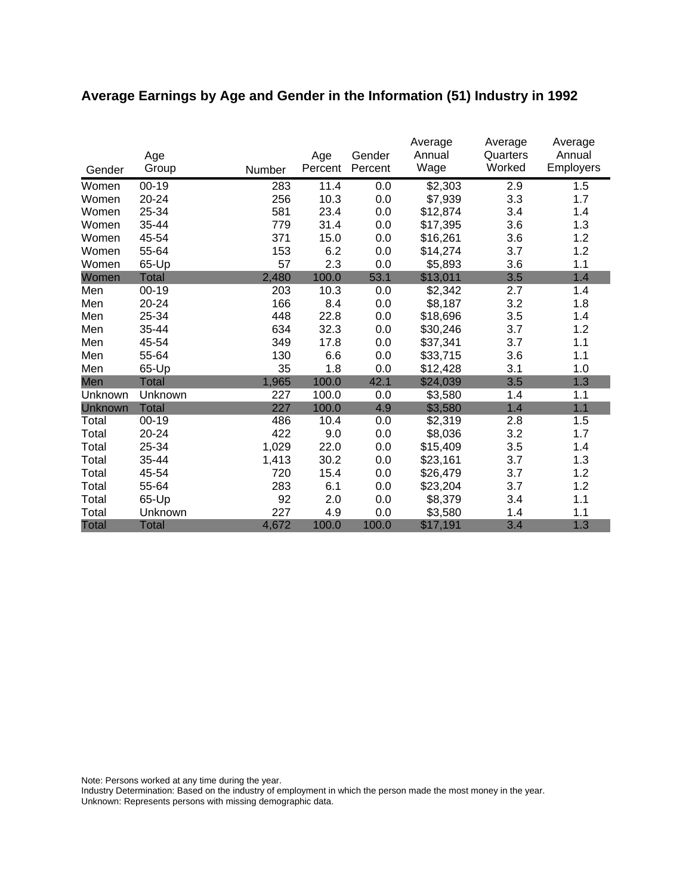# **Average Earnings by Age and Gender in the Information (51) Industry in 1992**

|              | Age          |        | Age     | Gender  | Average<br>Annual | Average<br>Quarters | Average<br>Annual |
|--------------|--------------|--------|---------|---------|-------------------|---------------------|-------------------|
| Gender       | Group        | Number | Percent | Percent | Wage              | Worked              | <b>Employers</b>  |
| Women        | $00 - 19$    | 283    | 11.4    | 0.0     | \$2,303           | 2.9                 | 1.5               |
| Women        | 20-24        | 256    | 10.3    | 0.0     | \$7,939           | 3.3                 | 1.7               |
| Women        | 25-34        | 581    | 23.4    | 0.0     | \$12,874          | 3.4                 | 1.4               |
| Women        | 35-44        | 779    | 31.4    | 0.0     | \$17,395          | 3.6                 | 1.3               |
| Women        | 45-54        | 371    | 15.0    | 0.0     | \$16,261          | 3.6                 | 1.2               |
| Women        | 55-64        | 153    | 6.2     | 0.0     | \$14,274          | 3.7                 | 1.2               |
| Women        | 65-Up        | 57     | 2.3     | 0.0     | \$5,893           | 3.6                 | 1.1               |
| Women        | <b>Total</b> | 2,480  | 100.0   | 53.1    | \$13,011          | 3.5                 | 1.4               |
| Men          | 00-19        | 203    | 10.3    | 0.0     | \$2,342           | 2.7                 | 1.4               |
| Men          | 20-24        | 166    | 8.4     | 0.0     | \$8,187           | 3.2                 | 1.8               |
| Men          | 25-34        | 448    | 22.8    | 0.0     | \$18,696          | 3.5                 | 1.4               |
| Men          | 35-44        | 634    | 32.3    | 0.0     | \$30,246          | 3.7                 | 1.2               |
| Men          | 45-54        | 349    | 17.8    | 0.0     | \$37,341          | 3.7                 | 1.1               |
| Men          | 55-64        | 130    | 6.6     | 0.0     | \$33,715          | 3.6                 | 1.1               |
| Men          | 65-Up        | 35     | 1.8     | 0.0     | \$12,428          | 3.1                 | 1.0               |
| Men          | Total        | 1,965  | 100.0   | 42.1    | \$24,039          | 3.5                 | 1.3               |
| Unknown      | Unknown      | 227    | 100.0   | 0.0     | \$3,580           | 1.4                 | 1.1               |
| Unknown      | <b>Total</b> | 227    | 100.0   | 4.9     | \$3,580           | 1.4                 | 1.1               |
| Total        | $00 - 19$    | 486    | 10.4    | 0.0     | \$2,319           | 2.8                 | 1.5               |
| Total        | 20-24        | 422    | 9.0     | 0.0     | \$8,036           | 3.2                 | 1.7               |
| Total        | 25-34        | 1,029  | 22.0    | 0.0     | \$15,409          | 3.5                 | 1.4               |
| Total        | 35-44        | 1,413  | 30.2    | 0.0     | \$23,161          | 3.7                 | 1.3               |
| Total        | 45-54        | 720    | 15.4    | 0.0     | \$26,479          | 3.7                 | 1.2               |
| Total        | 55-64        | 283    | 6.1     | 0.0     | \$23,204          | 3.7                 | 1.2               |
| Total        | 65-Up        | 92     | 2.0     | 0.0     | \$8,379           | 3.4                 | 1.1               |
| Total        | Unknown      | 227    | 4.9     | 0.0     | \$3,580           | 1.4                 | 1.1               |
| <b>Total</b> | <b>Total</b> | 4,672  | 100.0   | 100.0   | \$17,191          | 3.4                 | 1.3               |

Note: Persons worked at any time during the year.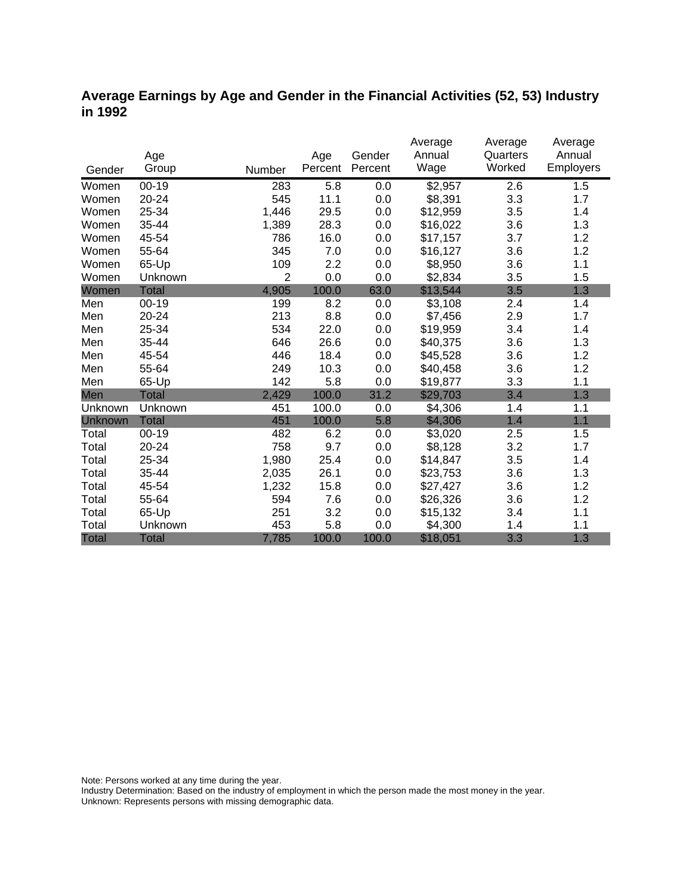### **Average Earnings by Age and Gender in the Financial Activities (52, 53) Industry in 1992**

|              |              |                |         |         | Average  | Average  | Average          |
|--------------|--------------|----------------|---------|---------|----------|----------|------------------|
|              | Age          |                | Age     | Gender  | Annual   | Quarters | Annual           |
| Gender       | Group        | Number         | Percent | Percent | Wage     | Worked   | <b>Employers</b> |
| Women        | $00 - 19$    | 283            | 5.8     | 0.0     | \$2,957  | 2.6      | 1.5              |
| Women        | 20-24        | 545            | 11.1    | 0.0     | \$8,391  | 3.3      | 1.7              |
| Women        | 25-34        | 1,446          | 29.5    | 0.0     | \$12,959 | 3.5      | 1.4              |
| Women        | 35-44        | 1,389          | 28.3    | 0.0     | \$16,022 | 3.6      | 1.3              |
| Women        | 45-54        | 786            | 16.0    | 0.0     | \$17,157 | 3.7      | 1.2              |
| Women        | 55-64        | 345            | 7.0     | 0.0     | \$16,127 | 3.6      | 1.2              |
| Women        | 65-Up        | 109            | 2.2     | 0.0     | \$8,950  | 3.6      | 1.1              |
| Women        | Unknown      | $\overline{2}$ | 0.0     | 0.0     | \$2,834  | 3.5      | 1.5              |
| Women        | <b>Total</b> | 4,905          | 100.0   | 63.0    | \$13,544 | 3.5      | 1.3              |
| Men          | $00 - 19$    | 199            | 8.2     | 0.0     | \$3,108  | 2.4      | 1.4              |
| Men          | 20-24        | 213            | 8.8     | 0.0     | \$7,456  | 2.9      | 1.7              |
| Men          | 25-34        | 534            | 22.0    | 0.0     | \$19,959 | 3.4      | 1.4              |
| Men          | 35-44        | 646            | 26.6    | 0.0     | \$40,375 | 3.6      | 1.3              |
| Men          | 45-54        | 446            | 18.4    | 0.0     | \$45,528 | 3.6      | 1.2              |
| Men          | 55-64        | 249            | 10.3    | 0.0     | \$40,458 | 3.6      | 1.2              |
| Men          | 65-Up        | 142            | 5.8     | 0.0     | \$19,877 | 3.3      | 1.1              |
| Men          | <b>Total</b> | 2,429          | 100.0   | 31.2    | \$29,703 | 3.4      | 1.3              |
| Unknown      | Unknown      | 451            | 100.0   | 0.0     | \$4,306  | 1.4      | 1.1              |
| Unknown      | <b>Total</b> | 451            | 100.0   | 5.8     | \$4,306  | 1.4      | 1.1              |
| Total        | $00 - 19$    | 482            | 6.2     | 0.0     | \$3,020  | 2.5      | 1.5              |
| Total        | 20-24        | 758            | 9.7     | 0.0     | \$8,128  | 3.2      | 1.7              |
| Total        | 25-34        | 1,980          | 25.4    | 0.0     | \$14,847 | 3.5      | 1.4              |
| Total        | 35-44        | 2,035          | 26.1    | 0.0     | \$23,753 | 3.6      | 1.3              |
| Total        | 45-54        | 1,232          | 15.8    | 0.0     | \$27,427 | 3.6      | 1.2              |
| Total        | 55-64        | 594            | 7.6     | 0.0     | \$26,326 | 3.6      | 1.2              |
| Total        | 65-Up        | 251            | 3.2     | 0.0     | \$15,132 | 3.4      | 1.1              |
| Total        | Unknown      | 453            | 5.8     | 0.0     | \$4,300  | 1.4      | 1.1              |
| <b>Total</b> | <b>Total</b> | 7,785          | 100.0   | 100.0   | \$18,051 | 3.3      | 1.3              |

Note: Persons worked at any time during the year.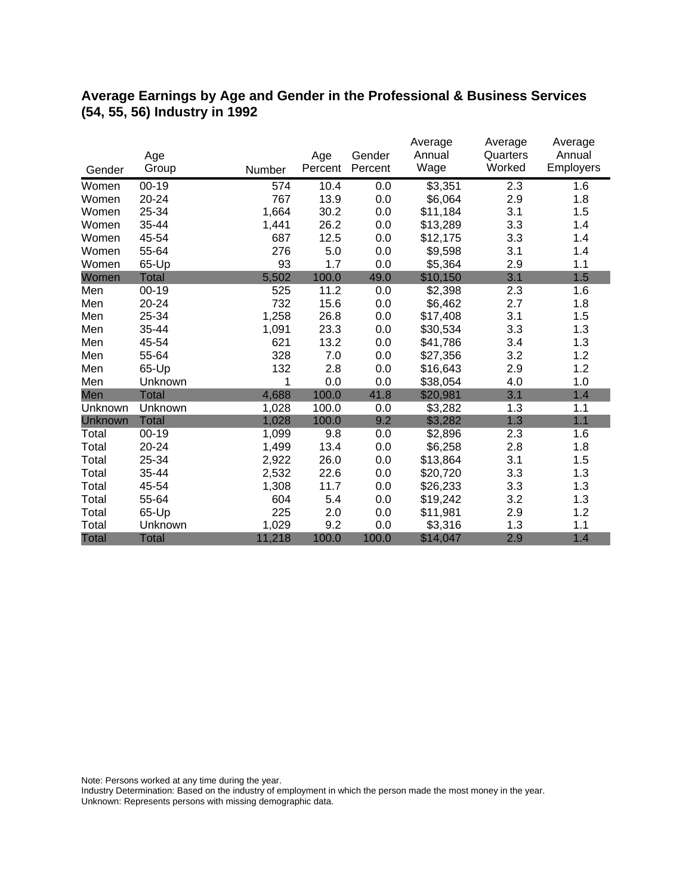## **Average Earnings by Age and Gender in the Professional & Business Services (54, 55, 56) Industry in 1992**

|                |              |        |         |         | Average  | Average  | Average   |
|----------------|--------------|--------|---------|---------|----------|----------|-----------|
|                | Age          |        | Age     | Gender  | Annual   | Quarters | Annual    |
| Gender         | Group        | Number | Percent | Percent | Wage     | Worked   | Employers |
| Women          | $00 - 19$    | 574    | 10.4    | 0.0     | \$3,351  | 2.3      | 1.6       |
| Women          | 20-24        | 767    | 13.9    | 0.0     | \$6,064  | 2.9      | 1.8       |
| Women          | 25-34        | 1,664  | 30.2    | 0.0     | \$11,184 | 3.1      | 1.5       |
| Women          | 35-44        | 1,441  | 26.2    | 0.0     | \$13,289 | 3.3      | 1.4       |
| Women          | 45-54        | 687    | 12.5    | 0.0     | \$12,175 | 3.3      | 1.4       |
| Women          | 55-64        | 276    | 5.0     | 0.0     | \$9,598  | 3.1      | 1.4       |
| Women          | 65-Up        | 93     | 1.7     | 0.0     | \$5,364  | 2.9      | 1.1       |
| Women          | <b>Total</b> | 5,502  | 100.0   | 49.0    | \$10,150 | 3.1      | 1.5       |
| Men            | $00 - 19$    | 525    | 11.2    | 0.0     | \$2,398  | 2.3      | 1.6       |
| Men            | 20-24        | 732    | 15.6    | 0.0     | \$6,462  | 2.7      | 1.8       |
| Men            | 25-34        | 1,258  | 26.8    | 0.0     | \$17,408 | 3.1      | 1.5       |
| Men            | 35-44        | 1,091  | 23.3    | 0.0     | \$30,534 | 3.3      | 1.3       |
| Men            | 45-54        | 621    | 13.2    | 0.0     | \$41,786 | 3.4      | 1.3       |
| Men            | 55-64        | 328    | 7.0     | 0.0     | \$27,356 | 3.2      | 1.2       |
| Men            | 65-Up        | 132    | 2.8     | 0.0     | \$16,643 | 2.9      | 1.2       |
| Men            | Unknown      | 1      | 0.0     | 0.0     | \$38,054 | 4.0      | 1.0       |
| Men            | <b>Total</b> | 4,688  | 100.0   | 41.8    | \$20,981 | 3.1      | 1.4       |
| Unknown        | Unknown      | 1,028  | 100.0   | 0.0     | \$3,282  | 1.3      | 1.1       |
| <b>Unknown</b> | <b>Total</b> | 1,028  | 100.0   | 9.2     | \$3,282  | 1.3      | 1.1       |
| Total          | $00 - 19$    | 1,099  | 9.8     | 0.0     | \$2,896  | 2.3      | 1.6       |
| Total          | 20-24        | 1,499  | 13.4    | 0.0     | \$6,258  | 2.8      | 1.8       |
| Total          | 25-34        | 2,922  | 26.0    | 0.0     | \$13,864 | 3.1      | 1.5       |
| Total          | 35-44        | 2,532  | 22.6    | 0.0     | \$20,720 | 3.3      | 1.3       |
| Total          | 45-54        | 1,308  | 11.7    | 0.0     | \$26,233 | 3.3      | 1.3       |
| Total          | 55-64        | 604    | 5.4     | 0.0     | \$19,242 | 3.2      | 1.3       |
| Total          | 65-Up        | 225    | 2.0     | 0.0     | \$11,981 | 2.9      | 1.2       |
| Total          | Unknown      | 1,029  | 9.2     | 0.0     | \$3,316  | 1.3      | 1.1       |
| <b>Total</b>   | <b>Total</b> | 11,218 | 100.0   | 100.0   | \$14,047 | 2.9      | 1.4       |

Note: Persons worked at any time during the year.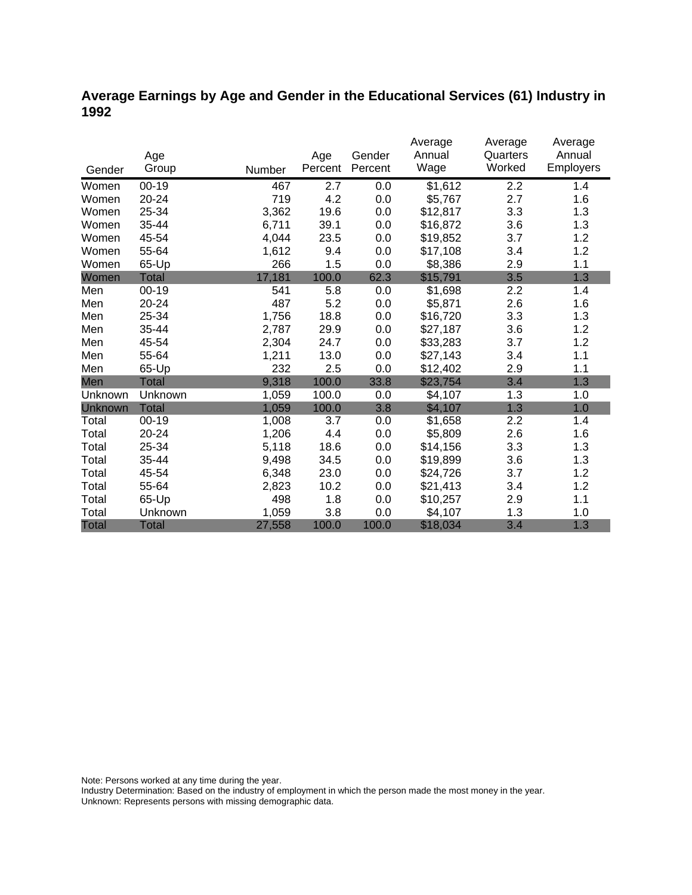### **Average Earnings by Age and Gender in the Educational Services (61) Industry in 1992**

|         |              |        |         |         | Average  | Average  | Average          |
|---------|--------------|--------|---------|---------|----------|----------|------------------|
|         | Age          |        | Age     | Gender  | Annual   | Quarters | Annual           |
| Gender  | Group        | Number | Percent | Percent | Wage     | Worked   | <b>Employers</b> |
| Women   | $00 - 19$    | 467    | 2.7     | 0.0     | \$1,612  | 2.2      | 1.4              |
| Women   | $20 - 24$    | 719    | 4.2     | 0.0     | \$5,767  | 2.7      | 1.6              |
| Women   | 25-34        | 3,362  | 19.6    | 0.0     | \$12,817 | 3.3      | 1.3              |
| Women   | 35-44        | 6,711  | 39.1    | 0.0     | \$16,872 | 3.6      | 1.3              |
| Women   | 45-54        | 4,044  | 23.5    | 0.0     | \$19,852 | 3.7      | 1.2              |
| Women   | 55-64        | 1,612  | 9.4     | 0.0     | \$17,108 | 3.4      | 1.2              |
| Women   | 65-Up        | 266    | 1.5     | 0.0     | \$8,386  | 2.9      | 1.1              |
| Women   | Total        | 17,181 | 100.0   | 62.3    | \$15,791 | 3.5      | 1.3              |
| Men     | $00 - 19$    | 541    | 5.8     | 0.0     | \$1,698  | 2.2      | 1.4              |
| Men     | 20-24        | 487    | 5.2     | 0.0     | \$5,871  | 2.6      | 1.6              |
| Men     | 25-34        | 1,756  | 18.8    | 0.0     | \$16,720 | 3.3      | 1.3              |
| Men     | 35-44        | 2,787  | 29.9    | 0.0     | \$27,187 | 3.6      | 1.2              |
| Men     | 45-54        | 2,304  | 24.7    | 0.0     | \$33,283 | 3.7      | 1.2              |
| Men     | 55-64        | 1,211  | 13.0    | 0.0     | \$27,143 | 3.4      | 1.1              |
| Men     | 65-Up        | 232    | 2.5     | 0.0     | \$12,402 | 2.9      | 1.1              |
| Men     | <b>Total</b> | 9,318  | 100.0   | 33.8    | \$23,754 | 3.4      | 1.3              |
| Unknown | Unknown      | 1,059  | 100.0   | 0.0     | \$4,107  | 1.3      | 1.0              |
| Unknown | <b>Total</b> | 1,059  | 100.0   | 3.8     | \$4,107  | 1.3      | 1.0              |
| Total   | $00 - 19$    | 1,008  | 3.7     | 0.0     | \$1,658  | 2.2      | 1.4              |
| Total   | 20-24        | 1,206  | 4.4     | 0.0     | \$5,809  | 2.6      | 1.6              |
| Total   | 25-34        | 5,118  | 18.6    | 0.0     | \$14,156 | 3.3      | 1.3              |
| Total   | 35-44        | 9,498  | 34.5    | 0.0     | \$19,899 | 3.6      | 1.3              |
| Total   | 45-54        | 6,348  | 23.0    | 0.0     | \$24,726 | 3.7      | 1.2              |
| Total   | 55-64        | 2,823  | 10.2    | 0.0     | \$21,413 | 3.4      | 1.2              |
| Total   | 65-Up        | 498    | 1.8     | 0.0     | \$10,257 | 2.9      | 1.1              |
| Total   | Unknown      | 1,059  | 3.8     | 0.0     | \$4,107  | 1.3      | 1.0              |
| Total   | <b>Total</b> | 27,558 | 100.0   | 100.0   | \$18,034 | 3.4      | 1.3              |

Note: Persons worked at any time during the year.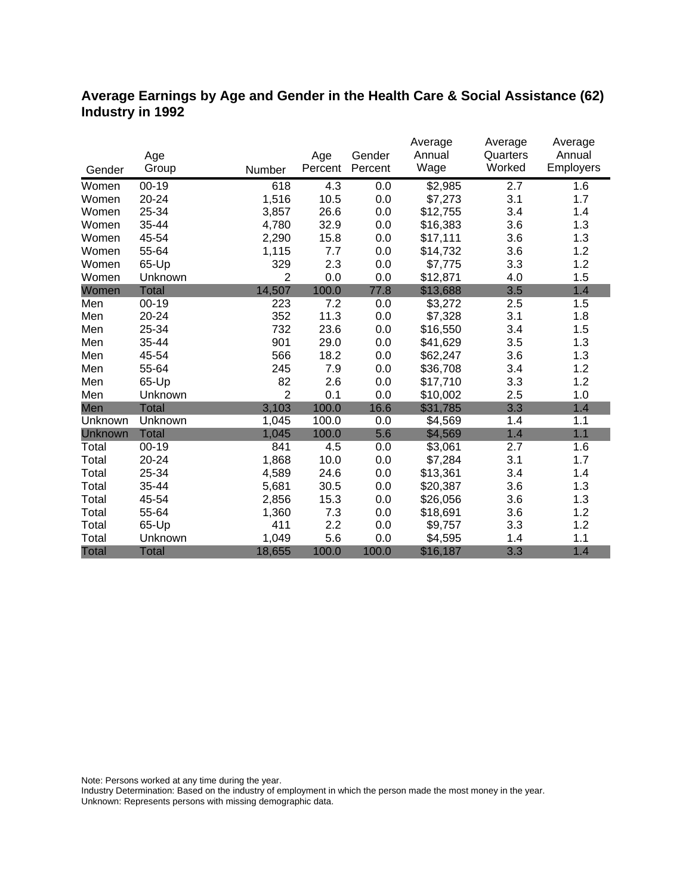## **Average Earnings by Age and Gender in the Health Care & Social Assistance (62) Industry in 1992**

|                |              |                |         |         | Average  | Average          | Average   |
|----------------|--------------|----------------|---------|---------|----------|------------------|-----------|
|                | Age          |                | Age     | Gender  | Annual   | Quarters         | Annual    |
| Gender         | Group        | Number         | Percent | Percent | Wage     | Worked           | Employers |
| Women          | $00 - 19$    | 618            | 4.3     | 0.0     | \$2,985  | $\overline{2.7}$ | 1.6       |
| Women          | 20-24        | 1,516          | 10.5    | 0.0     | \$7,273  | 3.1              | 1.7       |
| Women          | 25-34        | 3,857          | 26.6    | 0.0     | \$12,755 | 3.4              | 1.4       |
| Women          | 35-44        | 4,780          | 32.9    | 0.0     | \$16,383 | 3.6              | 1.3       |
| Women          | 45-54        | 2,290          | 15.8    | 0.0     | \$17,111 | 3.6              | 1.3       |
| Women          | 55-64        | 1,115          | 7.7     | 0.0     | \$14,732 | 3.6              | 1.2       |
| Women          | 65-Up        | 329            | 2.3     | 0.0     | \$7,775  | 3.3              | 1.2       |
| Women          | Unknown      | $\overline{2}$ | 0.0     | 0.0     | \$12,871 | 4.0              | 1.5       |
| Women          | <b>Total</b> | 14,507         | 100.0   | 77.8    | \$13,688 | 3.5              | 1.4       |
| Men            | $00 - 19$    | 223            | 7.2     | 0.0     | \$3,272  | 2.5              | 1.5       |
| Men            | 20-24        | 352            | 11.3    | 0.0     | \$7,328  | 3.1              | 1.8       |
| Men            | 25-34        | 732            | 23.6    | 0.0     | \$16,550 | 3.4              | 1.5       |
| Men            | 35-44        | 901            | 29.0    | 0.0     | \$41,629 | 3.5              | 1.3       |
| Men            | 45-54        | 566            | 18.2    | 0.0     | \$62,247 | 3.6              | 1.3       |
| Men            | 55-64        | 245            | 7.9     | 0.0     | \$36,708 | 3.4              | 1.2       |
| Men            | 65-Up        | 82             | 2.6     | 0.0     | \$17,710 | 3.3              | 1.2       |
| Men            | Unknown      | $\overline{2}$ | 0.1     | 0.0     | \$10,002 | 2.5              | 1.0       |
| Men            | <b>Total</b> | 3,103          | 100.0   | 16.6    | \$31,785 | 3.3              | 1.4       |
| Unknown        | Unknown      | 1,045          | 100.0   | 0.0     | \$4,569  | 1.4              | 1.1       |
| <b>Unknown</b> | <b>Total</b> | 1,045          | 100.0   | 5.6     | \$4,569  | 1.4              | 1.1       |
| Total          | $00 - 19$    | 841            | 4.5     | 0.0     | \$3,061  | 2.7              | 1.6       |
| Total          | 20-24        | 1,868          | 10.0    | 0.0     | \$7,284  | 3.1              | 1.7       |
| Total          | 25-34        | 4,589          | 24.6    | 0.0     | \$13,361 | 3.4              | 1.4       |
| Total          | 35-44        | 5,681          | 30.5    | 0.0     | \$20,387 | 3.6              | 1.3       |
| Total          | 45-54        | 2,856          | 15.3    | 0.0     | \$26,056 | 3.6              | 1.3       |
| Total          | 55-64        | 1,360          | 7.3     | 0.0     | \$18,691 | 3.6              | 1.2       |
| Total          | 65-Up        | 411            | 2.2     | 0.0     | \$9,757  | 3.3              | 1.2       |
| Total          | Unknown      | 1,049          | 5.6     | 0.0     | \$4,595  | 1.4              | 1.1       |
| <b>Total</b>   | <b>Total</b> | 18,655         | 100.0   | 100.0   | \$16,187 | 3.3              | 1.4       |

Note: Persons worked at any time during the year.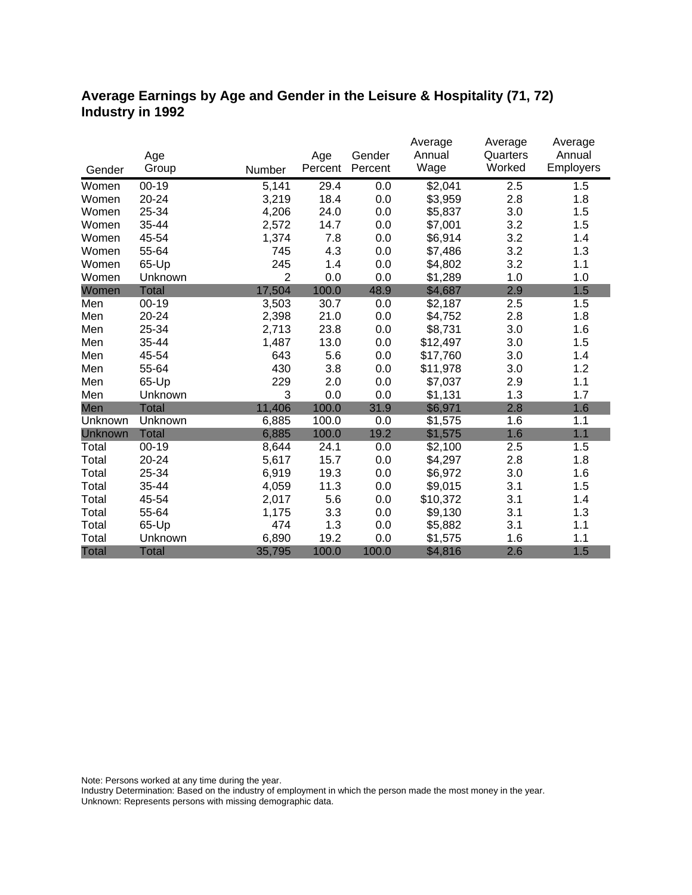### **Average Earnings by Age and Gender in the Leisure & Hospitality (71, 72) Industry in 1992**

|              |              |                |         |         | Average  | Average  | Average   |
|--------------|--------------|----------------|---------|---------|----------|----------|-----------|
|              | Age          |                | Age     | Gender  | Annual   | Quarters | Annual    |
| Gender       | Group        | Number         | Percent | Percent | Wage     | Worked   | Employers |
| Women        | $00 - 19$    | 5,141          | 29.4    | 0.0     | \$2,041  | 2.5      | 1.5       |
| Women        | $20 - 24$    | 3,219          | 18.4    | 0.0     | \$3,959  | 2.8      | 1.8       |
| Women        | 25-34        | 4,206          | 24.0    | 0.0     | \$5,837  | 3.0      | 1.5       |
| Women        | 35-44        | 2,572          | 14.7    | 0.0     | \$7,001  | 3.2      | 1.5       |
| Women        | 45-54        | 1,374          | 7.8     | 0.0     | \$6,914  | 3.2      | 1.4       |
| Women        | 55-64        | 745            | 4.3     | 0.0     | \$7,486  | 3.2      | 1.3       |
| Women        | 65-Up        | 245            | 1.4     | 0.0     | \$4,802  | 3.2      | 1.1       |
| Women        | Unknown      | $\overline{2}$ | 0.0     | 0.0     | \$1,289  | 1.0      | 1.0       |
| Women        | <b>Total</b> | 17,504         | 100.0   | 48.9    | \$4,687  | 2.9      | 1.5       |
| Men          | $00 - 19$    | 3,503          | 30.7    | 0.0     | \$2,187  | 2.5      | 1.5       |
| Men          | 20-24        | 2,398          | 21.0    | 0.0     | \$4,752  | 2.8      | 1.8       |
| Men          | 25-34        | 2,713          | 23.8    | 0.0     | \$8,731  | 3.0      | 1.6       |
| Men          | 35-44        | 1,487          | 13.0    | 0.0     | \$12,497 | 3.0      | 1.5       |
| Men          | 45-54        | 643            | 5.6     | 0.0     | \$17,760 | 3.0      | 1.4       |
| Men          | 55-64        | 430            | 3.8     | 0.0     | \$11,978 | 3.0      | 1.2       |
| Men          | 65-Up        | 229            | 2.0     | 0.0     | \$7,037  | 2.9      | 1.1       |
| Men          | Unknown      | 3              | 0.0     | 0.0     | \$1,131  | 1.3      | 1.7       |
| Men          | <b>Total</b> | 11,406         | 100.0   | 31.9    | \$6,971  | 2.8      | 1.6       |
| Unknown      | Unknown      | 6,885          | 100.0   | 0.0     | \$1,575  | 1.6      | 1.1       |
| Unknown      | <b>Total</b> | 6,885          | 100.0   | 19.2    | \$1,575  | 1.6      | 1.1       |
| Total        | $00 - 19$    | 8,644          | 24.1    | 0.0     | \$2,100  | 2.5      | 1.5       |
| Total        | 20-24        | 5,617          | 15.7    | 0.0     | \$4,297  | 2.8      | 1.8       |
| Total        | 25-34        | 6,919          | 19.3    | 0.0     | \$6,972  | 3.0      | 1.6       |
| Total        | 35-44        | 4,059          | 11.3    | 0.0     | \$9,015  | 3.1      | 1.5       |
| Total        | 45-54        | 2,017          | 5.6     | 0.0     | \$10,372 | 3.1      | 1.4       |
| Total        | 55-64        | 1,175          | 3.3     | 0.0     | \$9,130  | 3.1      | 1.3       |
| Total        | 65-Up        | 474            | 1.3     | 0.0     | \$5,882  | 3.1      | 1.1       |
| Total        | Unknown      | 6,890          | 19.2    | 0.0     | \$1,575  | 1.6      | 1.1       |
| <b>Total</b> | <b>Total</b> | 35,795         | 100.0   | 100.0   | \$4,816  | 2.6      | 1.5       |

Note: Persons worked at any time during the year.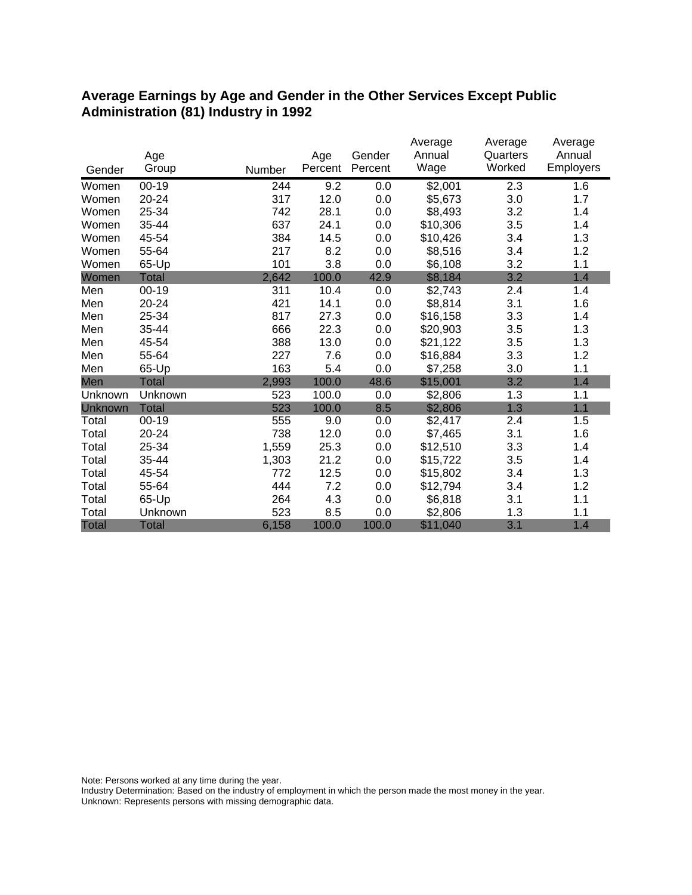#### **Average Earnings by Age and Gender in the Other Services Except Public Administration (81) Industry in 1992**

|         |              |        |         |         | Average  | Average  | Average   |
|---------|--------------|--------|---------|---------|----------|----------|-----------|
|         | Age          |        | Age     | Gender  | Annual   | Quarters | Annual    |
| Gender  | Group        | Number | Percent | Percent | Wage     | Worked   | Employers |
| Women   | $00 - 19$    | 244    | 9.2     | 0.0     | \$2,001  | 2.3      | 1.6       |
| Women   | $20 - 24$    | 317    | 12.0    | 0.0     | \$5,673  | 3.0      | 1.7       |
| Women   | 25-34        | 742    | 28.1    | 0.0     | \$8,493  | 3.2      | 1.4       |
| Women   | 35-44        | 637    | 24.1    | 0.0     | \$10,306 | 3.5      | 1.4       |
| Women   | 45-54        | 384    | 14.5    | 0.0     | \$10,426 | 3.4      | 1.3       |
| Women   | 55-64        | 217    | 8.2     | 0.0     | \$8,516  | 3.4      | 1.2       |
| Women   | 65-Up        | 101    | 3.8     | 0.0     | \$6,108  | 3.2      | 1.1       |
| Women   | Total        | 2,642  | 100.0   | 42.9    | \$8,184  | 3.2      | 1.4       |
| Men     | $00 - 19$    | 311    | 10.4    | 0.0     | \$2,743  | 2.4      | 1.4       |
| Men     | 20-24        | 421    | 14.1    | 0.0     | \$8,814  | 3.1      | 1.6       |
| Men     | 25-34        | 817    | 27.3    | 0.0     | \$16,158 | 3.3      | 1.4       |
| Men     | 35-44        | 666    | 22.3    | 0.0     | \$20,903 | 3.5      | 1.3       |
| Men     | 45-54        | 388    | 13.0    | 0.0     | \$21,122 | 3.5      | 1.3       |
| Men     | 55-64        | 227    | 7.6     | 0.0     | \$16,884 | 3.3      | 1.2       |
| Men     | 65-Up        | 163    | 5.4     | 0.0     | \$7,258  | 3.0      | 1.1       |
| Men     | Total        | 2,993  | 100.0   | 48.6    | \$15,001 | 3.2      | 1.4       |
| Unknown | Unknown      | 523    | 100.0   | 0.0     | \$2,806  | 1.3      | 1.1       |
| Unknown | <b>Total</b> | 523    | 100.0   | 8.5     | \$2,806  | 1.3      | 1.1       |
| Total   | $00 - 19$    | 555    | 9.0     | 0.0     | \$2,417  | 2.4      | 1.5       |
| Total   | 20-24        | 738    | 12.0    | 0.0     | \$7,465  | 3.1      | 1.6       |
| Total   | 25-34        | 1,559  | 25.3    | 0.0     | \$12,510 | 3.3      | 1.4       |
| Total   | 35-44        | 1,303  | 21.2    | 0.0     | \$15,722 | 3.5      | 1.4       |
| Total   | 45-54        | 772    | 12.5    | 0.0     | \$15,802 | 3.4      | 1.3       |
| Total   | 55-64        | 444    | 7.2     | 0.0     | \$12,794 | 3.4      | 1.2       |
| Total   | 65-Up        | 264    | 4.3     | 0.0     | \$6,818  | 3.1      | 1.1       |
| Total   | Unknown      | 523    | 8.5     | 0.0     | \$2,806  | 1.3      | 1.1       |
| Total   | <b>Total</b> | 6,158  | 100.0   | 100.0   | \$11,040 | 3.1      | 1.4       |

Note: Persons worked at any time during the year.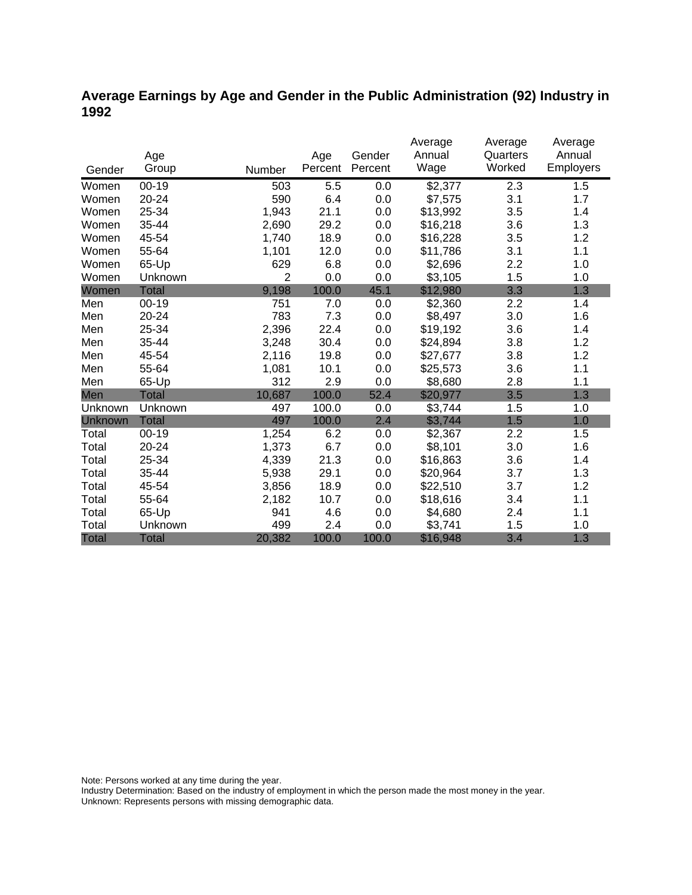### **Average Earnings by Age and Gender in the Public Administration (92) Industry in 1992**

|                |              |                |         |         | Average  | Average  | Average          |
|----------------|--------------|----------------|---------|---------|----------|----------|------------------|
|                | Age          |                | Age     | Gender  | Annual   | Quarters | Annual           |
| Gender         | Group        | Number         | Percent | Percent | Wage     | Worked   | <b>Employers</b> |
| Women          | $00 - 19$    | 503            | 5.5     | 0.0     | \$2,377  | 2.3      | 1.5              |
| Women          | 20-24        | 590            | 6.4     | 0.0     | \$7,575  | 3.1      | 1.7              |
| Women          | 25-34        | 1,943          | 21.1    | 0.0     | \$13,992 | 3.5      | 1.4              |
| Women          | 35-44        | 2,690          | 29.2    | 0.0     | \$16,218 | 3.6      | 1.3              |
| Women          | 45-54        | 1,740          | 18.9    | 0.0     | \$16,228 | 3.5      | 1.2              |
| Women          | 55-64        | 1,101          | 12.0    | 0.0     | \$11,786 | 3.1      | 1.1              |
| Women          | 65-Up        | 629            | 6.8     | 0.0     | \$2,696  | 2.2      | 1.0              |
| Women          | Unknown      | $\overline{2}$ | 0.0     | 0.0     | \$3,105  | 1.5      | 1.0              |
| Women          | <b>Total</b> | 9,198          | 100.0   | 45.1    | \$12,980 | 3.3      | 1.3              |
| Men            | $00 - 19$    | 751            | 7.0     | 0.0     | \$2,360  | 2.2      | 1.4              |
| Men            | 20-24        | 783            | 7.3     | 0.0     | \$8,497  | 3.0      | 1.6              |
| Men            | 25-34        | 2,396          | 22.4    | 0.0     | \$19,192 | 3.6      | 1.4              |
| Men            | 35-44        | 3,248          | 30.4    | 0.0     | \$24,894 | 3.8      | 1.2              |
| Men            | 45-54        | 2,116          | 19.8    | 0.0     | \$27,677 | 3.8      | 1.2              |
| Men            | 55-64        | 1,081          | 10.1    | 0.0     | \$25,573 | 3.6      | 1.1              |
| Men            | 65-Up        | 312            | 2.9     | 0.0     | \$8,680  | 2.8      | 1.1              |
| Men            | <b>Total</b> | 10,687         | 100.0   | 52.4    | \$20,977 | 3.5      | 1.3              |
| Unknown        | Unknown      | 497            | 100.0   | 0.0     | \$3,744  | 1.5      | 1.0              |
| <b>Unknown</b> | <b>Total</b> | 497            | 100.0   | 2.4     | \$3,744  | 1.5      | 1.0              |
| Total          | $00 - 19$    | 1,254          | 6.2     | 0.0     | \$2,367  | 2.2      | 1.5              |
| Total          | 20-24        | 1,373          | 6.7     | 0.0     | \$8,101  | 3.0      | 1.6              |
| Total          | 25-34        | 4,339          | 21.3    | 0.0     | \$16,863 | 3.6      | 1.4              |
| Total          | 35-44        | 5,938          | 29.1    | 0.0     | \$20,964 | 3.7      | 1.3              |
| Total          | 45-54        | 3,856          | 18.9    | 0.0     | \$22,510 | 3.7      | 1.2              |
| Total          | 55-64        | 2,182          | 10.7    | 0.0     | \$18,616 | 3.4      | 1.1              |
| Total          | 65-Up        | 941            | 4.6     | 0.0     | \$4,680  | 2.4      | 1.1              |
| Total          | Unknown      | 499            | 2.4     | 0.0     | \$3,741  | 1.5      | 1.0              |
| <b>Total</b>   | <b>Total</b> | 20,382         | 100.0   | 100.0   | \$16,948 | 3.4      | 1.3              |

Note: Persons worked at any time during the year.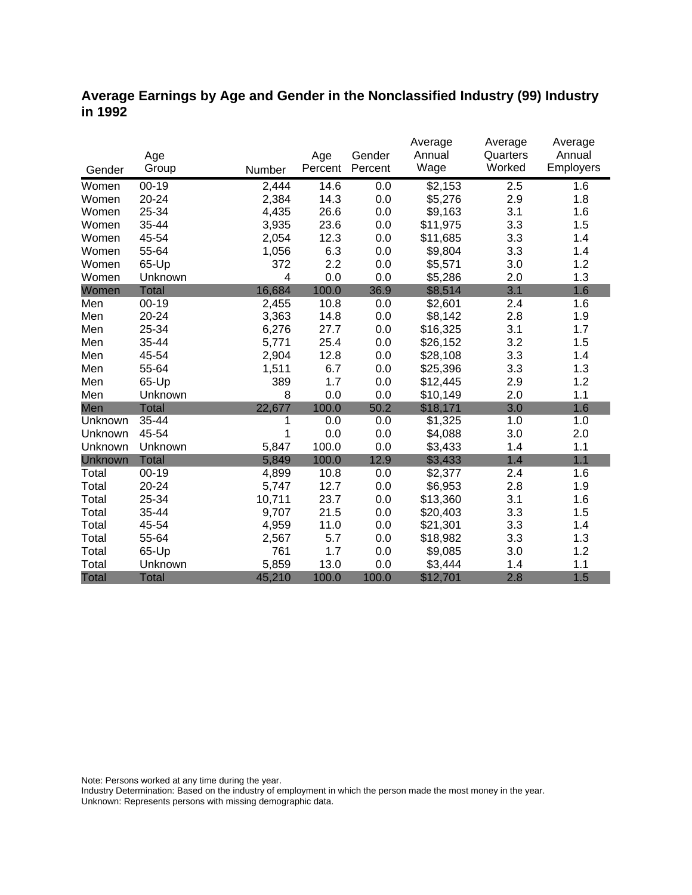### **Average Earnings by Age and Gender in the Nonclassified Industry (99) Industry in 1992**

|              |              |        |         |         | Average  | Average  | Average   |
|--------------|--------------|--------|---------|---------|----------|----------|-----------|
|              | Age          |        | Age     | Gender  | Annual   | Quarters | Annual    |
| Gender       | Group        | Number | Percent | Percent | Wage     | Worked   | Employers |
| Women        | $00 - 19$    | 2,444  | 14.6    | 0.0     | \$2,153  | 2.5      | 1.6       |
| Women        | 20-24        | 2,384  | 14.3    | 0.0     | \$5,276  | 2.9      | 1.8       |
| Women        | 25-34        | 4,435  | 26.6    | 0.0     | \$9,163  | 3.1      | 1.6       |
| Women        | 35-44        | 3,935  | 23.6    | 0.0     | \$11,975 | 3.3      | 1.5       |
| Women        | 45-54        | 2,054  | 12.3    | 0.0     | \$11,685 | 3.3      | 1.4       |
| Women        | 55-64        | 1,056  | 6.3     | 0.0     | \$9,804  | 3.3      | 1.4       |
| Women        | 65-Up        | 372    | 2.2     | 0.0     | \$5,571  | 3.0      | 1.2       |
| Women        | Unknown      | 4      | 0.0     | 0.0     | \$5,286  | 2.0      | 1.3       |
| Women        | <b>Total</b> | 16,684 | 100.0   | 36.9    | \$8,514  | 3.1      | 1.6       |
| Men          | $00 - 19$    | 2,455  | 10.8    | 0.0     | \$2,601  | 2.4      | 1.6       |
| Men          | 20-24        | 3,363  | 14.8    | 0.0     | \$8,142  | 2.8      | 1.9       |
| Men          | 25-34        | 6,276  | 27.7    | 0.0     | \$16,325 | 3.1      | 1.7       |
| Men          | 35-44        | 5,771  | 25.4    | 0.0     | \$26,152 | 3.2      | 1.5       |
| Men          | 45-54        | 2,904  | 12.8    | 0.0     | \$28,108 | 3.3      | 1.4       |
| Men          | 55-64        | 1,511  | 6.7     | 0.0     | \$25,396 | 3.3      | 1.3       |
| Men          | 65-Up        | 389    | 1.7     | 0.0     | \$12,445 | 2.9      | 1.2       |
| Men          | Unknown      | 8      | 0.0     | 0.0     | \$10,149 | 2.0      | 1.1       |
| Men          | <b>Total</b> | 22,677 | 100.0   | 50.2    | \$18,171 | 3.0      | 1.6       |
| Unknown      | 35-44        | 1      | 0.0     | 0.0     | \$1,325  | 1.0      | 1.0       |
| Unknown      | 45-54        | 1      | 0.0     | 0.0     | \$4,088  | 3.0      | 2.0       |
| Unknown      | Unknown      | 5,847  | 100.0   | 0.0     | \$3,433  | 1.4      | 1.1       |
| Unknown      | <b>Total</b> | 5,849  | 100.0   | 12.9    | \$3,433  | 1.4      | 1.1       |
| Total        | $00 - 19$    | 4,899  | 10.8    | 0.0     | \$2,377  | 2.4      | 1.6       |
| Total        | 20-24        | 5,747  | 12.7    | 0.0     | \$6,953  | 2.8      | 1.9       |
| Total        | 25-34        | 10,711 | 23.7    | 0.0     | \$13,360 | 3.1      | 1.6       |
| Total        | 35-44        | 9,707  | 21.5    | 0.0     | \$20,403 | 3.3      | 1.5       |
| Total        | 45-54        | 4,959  | 11.0    | 0.0     | \$21,301 | 3.3      | 1.4       |
| Total        | 55-64        | 2,567  | 5.7     | 0.0     | \$18,982 | 3.3      | 1.3       |
| Total        | 65-Up        | 761    | 1.7     | 0.0     | \$9,085  | 3.0      | 1.2       |
| Total        | Unknown      | 5,859  | 13.0    | 0.0     | \$3,444  | 1.4      | 1.1       |
| <b>Total</b> | <b>Total</b> | 45,210 | 100.0   | 100.0   | \$12,701 | 2.8      | 1.5       |

Note: Persons worked at any time during the year.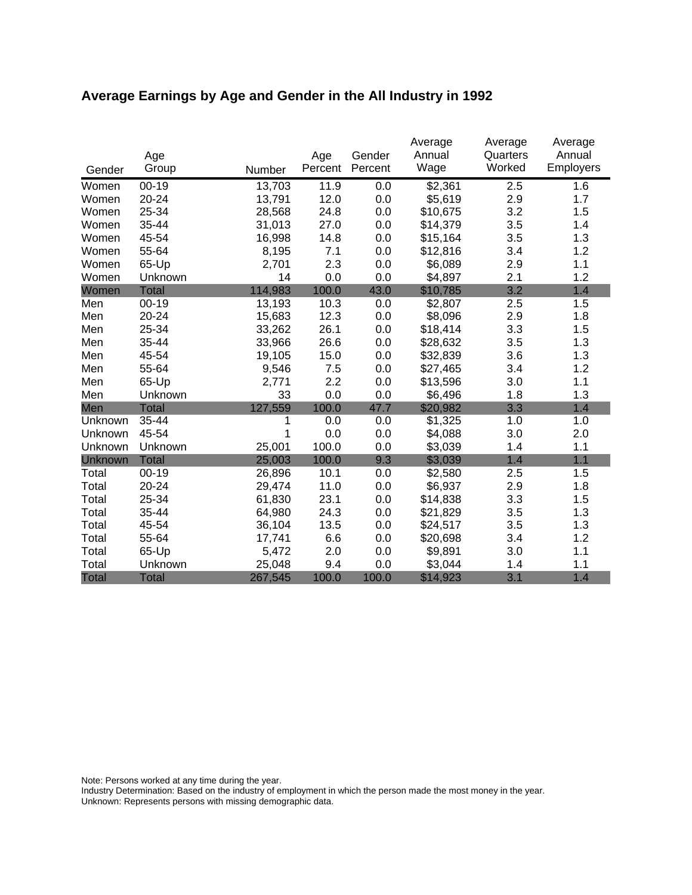# **Average Earnings by Age and Gender in the All Industry in 1992**

|              | Age          |         | Age     | Gender  | Average<br>Annual | Average<br>Quarters | Average<br>Annual |
|--------------|--------------|---------|---------|---------|-------------------|---------------------|-------------------|
| Gender       | Group        | Number  | Percent | Percent | Wage              | Worked              | Employers         |
| Women        | $00 - 19$    | 13,703  | 11.9    | 0.0     | \$2,361           | 2.5                 | 1.6               |
| Women        | 20-24        | 13,791  | 12.0    | 0.0     | \$5,619           | 2.9                 | 1.7               |
| Women        | 25-34        | 28,568  | 24.8    | 0.0     | \$10,675          | 3.2                 | 1.5               |
| Women        | 35-44        | 31,013  | 27.0    | 0.0     | \$14,379          | 3.5                 | 1.4               |
| Women        | 45-54        | 16,998  | 14.8    | 0.0     | \$15,164          | 3.5                 | 1.3               |
| Women        | 55-64        | 8,195   | 7.1     | 0.0     | \$12,816          | 3.4                 | 1.2               |
| Women        | 65-Up        | 2,701   | 2.3     | 0.0     | \$6,089           | 2.9                 | 1.1               |
| Women        | Unknown      | 14      | 0.0     | 0.0     | \$4,897           | 2.1                 | 1.2               |
| Women        | <b>Total</b> | 114,983 | 100.0   | 43.0    | \$10,785          | 3.2                 | 1.4               |
| Men          | $00 - 19$    | 13,193  | 10.3    | 0.0     | \$2,807           | 2.5                 | 1.5               |
| Men          | 20-24        | 15,683  | 12.3    | 0.0     | \$8,096           | 2.9                 | 1.8               |
| Men          | 25-34        | 33,262  | 26.1    | 0.0     | \$18,414          | 3.3                 | 1.5               |
| Men          | 35-44        | 33,966  | 26.6    | 0.0     | \$28,632          | 3.5                 | 1.3               |
| Men          | 45-54        | 19,105  | 15.0    | 0.0     | \$32,839          | 3.6                 | 1.3               |
| Men          | 55-64        | 9,546   | 7.5     | 0.0     | \$27,465          | 3.4                 | 1.2               |
| Men          | 65-Up        | 2,771   | 2.2     | 0.0     | \$13,596          | 3.0                 | 1.1               |
| Men          | Unknown      | 33      | 0.0     | 0.0     | \$6,496           | 1.8                 | 1.3               |
| Men          | <b>Total</b> | 127,559 | 100.0   | 47.7    | \$20,982          | 3.3                 | 1.4               |
| Unknown      | 35-44        | 1       | 0.0     | 0.0     | \$1,325           | 1.0                 | 1.0               |
| Unknown      | 45-54        | 1       | 0.0     | 0.0     | \$4,088           | 3.0                 | 2.0               |
| Unknown      | Unknown      | 25,001  | 100.0   | 0.0     | \$3,039           | 1.4                 | 1.1               |
| Unknown      | <b>Total</b> | 25,003  | 100.0   | 9.3     | \$3,039           | 1.4                 | 1.1               |
| Total        | $00 - 19$    | 26,896  | 10.1    | 0.0     | \$2,580           | 2.5                 | 1.5               |
| Total        | 20-24        | 29,474  | 11.0    | 0.0     | \$6,937           | 2.9                 | 1.8               |
| Total        | 25-34        | 61,830  | 23.1    | 0.0     | \$14,838          | 3.3                 | 1.5               |
| Total        | 35-44        | 64,980  | 24.3    | 0.0     | \$21,829          | 3.5                 | 1.3               |
| Total        | 45-54        | 36,104  | 13.5    | 0.0     | \$24,517          | 3.5                 | 1.3               |
| Total        | 55-64        | 17,741  | 6.6     | 0.0     | \$20,698          | 3.4                 | 1.2               |
| Total        | 65-Up        | 5,472   | 2.0     | 0.0     | \$9,891           | 3.0                 | 1.1               |
| Total        | Unknown      | 25,048  | 9.4     | 0.0     | \$3,044           | 1.4                 | 1.1               |
| <b>Total</b> | <b>Total</b> | 267,545 | 100.0   | 100.0   | \$14,923          | 3.1                 | 1.4               |

Note: Persons worked at any time during the year.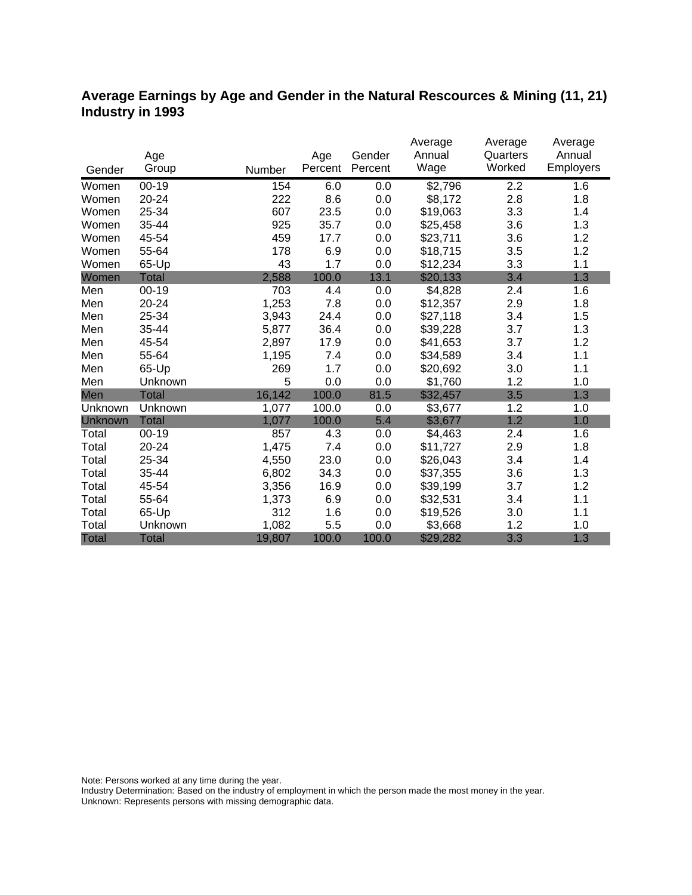#### **Average Earnings by Age and Gender in the Natural Rescources & Mining (11, 21) Industry in 1993**

|                |              |        |         |         | Average  | Average  | Average   |
|----------------|--------------|--------|---------|---------|----------|----------|-----------|
|                | Age          |        | Age     | Gender  | Annual   | Quarters | Annual    |
| Gender         | Group        | Number | Percent | Percent | Wage     | Worked   | Employers |
| Women          | $00 - 19$    | 154    | 6.0     | 0.0     | \$2,796  | 2.2      | 1.6       |
| Women          | 20-24        | 222    | 8.6     | 0.0     | \$8,172  | 2.8      | 1.8       |
| Women          | 25-34        | 607    | 23.5    | 0.0     | \$19,063 | 3.3      | 1.4       |
| Women          | 35-44        | 925    | 35.7    | 0.0     | \$25,458 | 3.6      | 1.3       |
| Women          | 45-54        | 459    | 17.7    | 0.0     | \$23,711 | 3.6      | 1.2       |
| Women          | 55-64        | 178    | 6.9     | 0.0     | \$18,715 | 3.5      | 1.2       |
| Women          | 65-Up        | 43     | 1.7     | 0.0     | \$12,234 | 3.3      | 1.1       |
| Women          | Total        | 2,588  | 100.0   | 13.1    | \$20,133 | 3.4      | 1.3       |
| Men            | $00 - 19$    | 703    | 4.4     | 0.0     | \$4,828  | 2.4      | 1.6       |
| Men            | 20-24        | 1,253  | 7.8     | 0.0     | \$12,357 | 2.9      | 1.8       |
| Men            | 25-34        | 3,943  | 24.4    | 0.0     | \$27,118 | 3.4      | 1.5       |
| Men            | 35-44        | 5,877  | 36.4    | 0.0     | \$39,228 | 3.7      | 1.3       |
| Men            | 45-54        | 2,897  | 17.9    | 0.0     | \$41,653 | 3.7      | 1.2       |
| Men            | 55-64        | 1,195  | 7.4     | 0.0     | \$34,589 | 3.4      | 1.1       |
| Men            | 65-Up        | 269    | 1.7     | 0.0     | \$20,692 | 3.0      | 1.1       |
| Men            | Unknown      | 5      | 0.0     | 0.0     | \$1,760  | 1.2      | 1.0       |
| Men            | Total        | 16,142 | 100.0   | 81.5    | \$32,457 | 3.5      | 1.3       |
| Unknown        | Unknown      | 1,077  | 100.0   | 0.0     | \$3,677  | 1.2      | 1.0       |
| <b>Unknown</b> | <b>Total</b> | 1,077  | 100.0   | 5.4     | \$3,677  | 1.2      | 1.0       |
| Total          | $00 - 19$    | 857    | 4.3     | 0.0     | \$4,463  | 2.4      | 1.6       |
| Total          | 20-24        | 1,475  | 7.4     | 0.0     | \$11,727 | 2.9      | 1.8       |
| Total          | 25-34        | 4,550  | 23.0    | 0.0     | \$26,043 | 3.4      | 1.4       |
| Total          | 35-44        | 6,802  | 34.3    | 0.0     | \$37,355 | 3.6      | 1.3       |
| Total          | 45-54        | 3,356  | 16.9    | 0.0     | \$39,199 | 3.7      | 1.2       |
| Total          | 55-64        | 1,373  | 6.9     | 0.0     | \$32,531 | 3.4      | 1.1       |
| Total          | 65-Up        | 312    | 1.6     | 0.0     | \$19,526 | 3.0      | 1.1       |
| Total          | Unknown      | 1,082  | 5.5     | 0.0     | \$3,668  | 1.2      | 1.0       |
| <b>Total</b>   | <b>Total</b> | 19,807 | 100.0   | 100.0   | \$29,282 | 3.3      | 1.3       |

Note: Persons worked at any time during the year.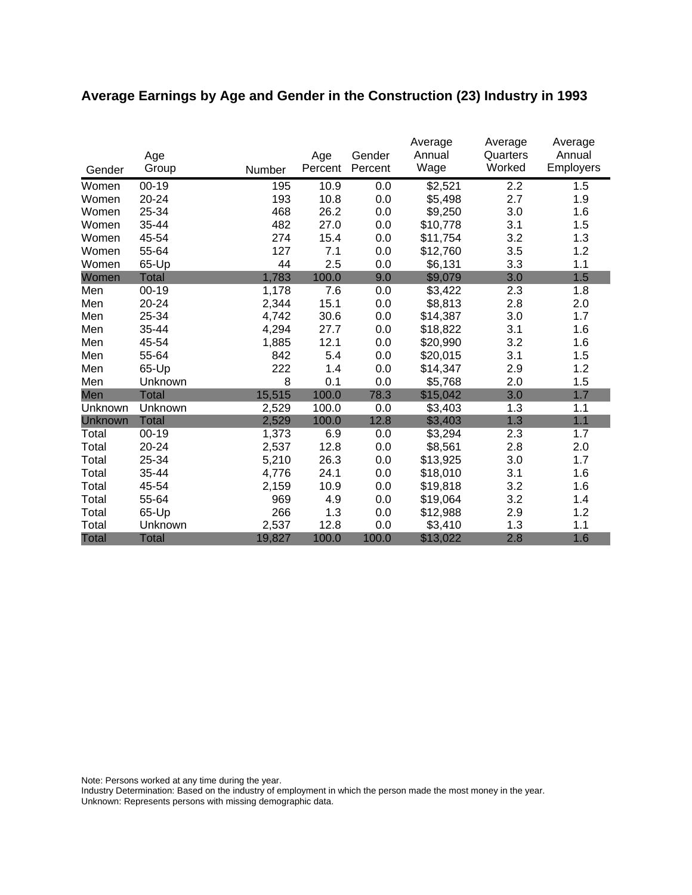# **Average Earnings by Age and Gender in the Construction (23) Industry in 1993**

|              | Age          |        | Age     | Gender  | Average<br>Annual | Average<br>Quarters | Average<br>Annual |
|--------------|--------------|--------|---------|---------|-------------------|---------------------|-------------------|
| Gender       | Group        | Number | Percent | Percent | Wage              | Worked              | <b>Employers</b>  |
| Women        | $00 - 19$    | 195    | 10.9    | 0.0     | \$2,521           | 2.2                 | 1.5               |
| Women        | 20-24        | 193    | 10.8    | 0.0     | \$5,498           | 2.7                 | 1.9               |
| Women        | 25-34        | 468    | 26.2    | 0.0     | \$9,250           | 3.0                 | 1.6               |
| Women        | 35-44        | 482    | 27.0    | 0.0     | \$10,778          | 3.1                 | 1.5               |
| Women        | 45-54        | 274    | 15.4    | 0.0     | \$11,754          | 3.2                 | 1.3               |
| Women        | 55-64        | 127    | 7.1     | 0.0     | \$12,760          | 3.5                 | 1.2               |
| Women        | 65-Up        | 44     | 2.5     | 0.0     | \$6,131           | 3.3                 | 1.1               |
| Women        | <b>Total</b> | 1,783  | 100.0   | 9.0     | \$9,079           | 3.0                 | 1.5               |
| Men          | $00 - 19$    | 1,178  | 7.6     | 0.0     | \$3,422           | 2.3                 | 1.8               |
| Men          | 20-24        | 2,344  | 15.1    | 0.0     | \$8,813           | 2.8                 | 2.0               |
| Men          | 25-34        | 4,742  | 30.6    | 0.0     | \$14,387          | 3.0                 | 1.7               |
| Men          | 35-44        | 4,294  | 27.7    | 0.0     | \$18,822          | 3.1                 | 1.6               |
| Men          | 45-54        | 1,885  | 12.1    | 0.0     | \$20,990          | 3.2                 | 1.6               |
| Men          | 55-64        | 842    | 5.4     | 0.0     | \$20,015          | 3.1                 | 1.5               |
| Men          | 65-Up        | 222    | 1.4     | 0.0     | \$14,347          | 2.9                 | 1.2               |
| Men          | Unknown      | 8      | 0.1     | 0.0     | \$5,768           | 2.0                 | 1.5               |
| Men          | <b>Total</b> | 15,515 | 100.0   | 78.3    | \$15,042          | 3.0                 | 1.7               |
| Unknown      | Unknown      | 2,529  | 100.0   | 0.0     | \$3,403           | 1.3                 | 1.1               |
| Unknown      | <b>Total</b> | 2,529  | 100.0   | 12.8    | \$3,403           | 1.3                 | 1.1               |
| Total        | $00 - 19$    | 1,373  | 6.9     | 0.0     | \$3,294           | 2.3                 | 1.7               |
| Total        | 20-24        | 2,537  | 12.8    | 0.0     | \$8,561           | 2.8                 | 2.0               |
| Total        | 25-34        | 5,210  | 26.3    | 0.0     | \$13,925          | 3.0                 | 1.7               |
| Total        | 35-44        | 4,776  | 24.1    | 0.0     | \$18,010          | 3.1                 | 1.6               |
| Total        | 45-54        | 2,159  | 10.9    | 0.0     | \$19,818          | 3.2                 | 1.6               |
| Total        | 55-64        | 969    | 4.9     | 0.0     | \$19,064          | 3.2                 | 1.4               |
| Total        | 65-Up        | 266    | 1.3     | 0.0     | \$12,988          | 2.9                 | 1.2               |
| Total        | Unknown      | 2,537  | 12.8    | 0.0     | \$3,410           | 1.3                 | 1.1               |
| <b>Total</b> | <b>Total</b> | 19,827 | 100.0   | 100.0   | \$13,022          | 2.8                 | 1.6               |

Note: Persons worked at any time during the year.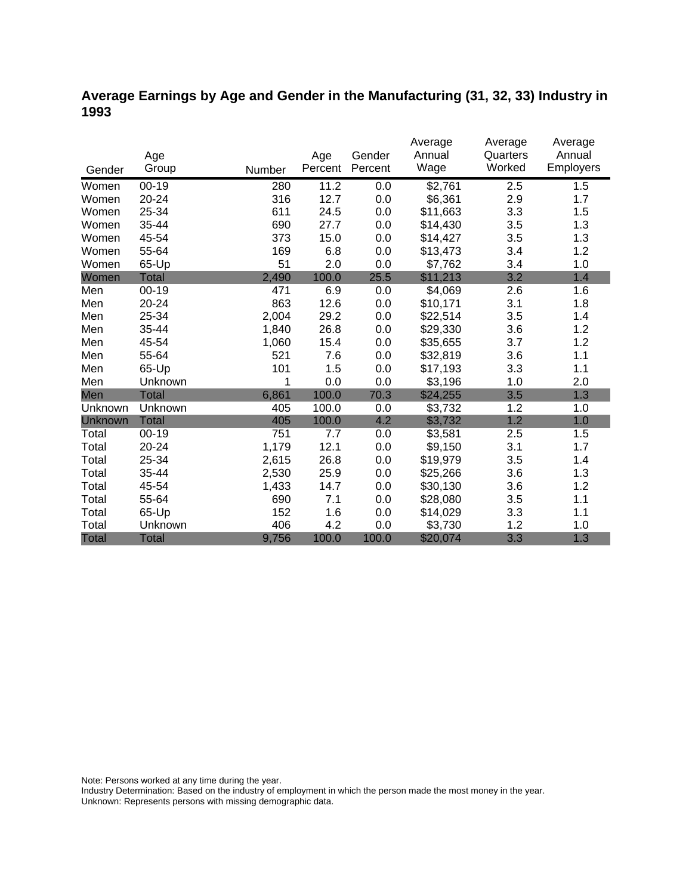### **Average Earnings by Age and Gender in the Manufacturing (31, 32, 33) Industry in 1993**

|                |              |        |         |         | Average  | Average  | Average   |
|----------------|--------------|--------|---------|---------|----------|----------|-----------|
|                | Age          |        | Age     | Gender  | Annual   | Quarters | Annual    |
| Gender         | Group        | Number | Percent | Percent | Wage     | Worked   | Employers |
| Women          | $00 - 19$    | 280    | 11.2    | 0.0     | \$2,761  | 2.5      | 1.5       |
| Women          | 20-24        | 316    | 12.7    | 0.0     | \$6,361  | 2.9      | 1.7       |
| Women          | 25-34        | 611    | 24.5    | 0.0     | \$11,663 | 3.3      | 1.5       |
| Women          | 35-44        | 690    | 27.7    | 0.0     | \$14,430 | 3.5      | 1.3       |
| Women          | 45-54        | 373    | 15.0    | 0.0     | \$14,427 | 3.5      | 1.3       |
| Women          | 55-64        | 169    | 6.8     | 0.0     | \$13,473 | 3.4      | 1.2       |
| Women          | 65-Up        | 51     | 2.0     | 0.0     | \$7,762  | 3.4      | 1.0       |
| Women          | <b>Total</b> | 2,490  | 100.0   | 25.5    | \$11,213 | 3.2      | 1.4       |
| Men            | $00 - 19$    | 471    | 6.9     | 0.0     | \$4,069  | 2.6      | 1.6       |
| Men            | 20-24        | 863    | 12.6    | 0.0     | \$10,171 | 3.1      | 1.8       |
| Men            | 25-34        | 2,004  | 29.2    | 0.0     | \$22,514 | 3.5      | 1.4       |
| Men            | 35-44        | 1,840  | 26.8    | 0.0     | \$29,330 | 3.6      | 1.2       |
| Men            | 45-54        | 1,060  | 15.4    | 0.0     | \$35,655 | 3.7      | 1.2       |
| Men            | 55-64        | 521    | 7.6     | 0.0     | \$32,819 | 3.6      | 1.1       |
| Men            | 65-Up        | 101    | 1.5     | 0.0     | \$17,193 | 3.3      | 1.1       |
| Men            | Unknown      | 1      | 0.0     | 0.0     | \$3,196  | 1.0      | 2.0       |
| Men            | <b>Total</b> | 6,861  | 100.0   | 70.3    | \$24,255 | 3.5      | 1.3       |
| Unknown        | Unknown      | 405    | 100.0   | 0.0     | \$3,732  | 1.2      | 1.0       |
| <b>Unknown</b> | <b>Total</b> | 405    | 100.0   | 4.2     | \$3,732  | 1.2      | 1.0       |
| Total          | $00-19$      | 751    | 7.7     | 0.0     | \$3,581  | 2.5      | 1.5       |
| Total          | 20-24        | 1,179  | 12.1    | 0.0     | \$9,150  | 3.1      | 1.7       |
| Total          | 25-34        | 2,615  | 26.8    | 0.0     | \$19,979 | 3.5      | 1.4       |
| Total          | 35-44        | 2,530  | 25.9    | 0.0     | \$25,266 | 3.6      | 1.3       |
| Total          | 45-54        | 1,433  | 14.7    | 0.0     | \$30,130 | 3.6      | 1.2       |
| Total          | 55-64        | 690    | 7.1     | 0.0     | \$28,080 | 3.5      | 1.1       |
| Total          | 65-Up        | 152    | 1.6     | 0.0     | \$14,029 | 3.3      | 1.1       |
| Total          | Unknown      | 406    | 4.2     | 0.0     | \$3,730  | 1.2      | 1.0       |
| <b>Total</b>   | <b>Total</b> | 9,756  | 100.0   | 100.0   | \$20,074 | 3.3      | 1.3       |

Note: Persons worked at any time during the year.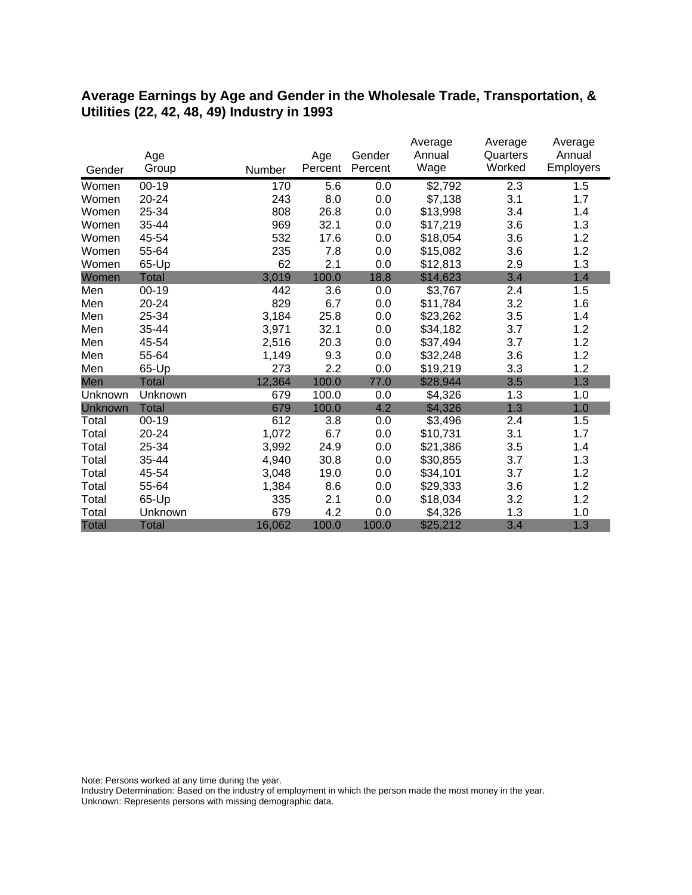#### **Average Earnings by Age and Gender in the Wholesale Trade, Transportation, & Utilities (22, 42, 48, 49) Industry in 1993**

|              |              |        |         |         | Average  | Average  | Average          |
|--------------|--------------|--------|---------|---------|----------|----------|------------------|
|              | Age          |        | Age     | Gender  | Annual   | Quarters | Annual           |
| Gender       | Group        | Number | Percent | Percent | Wage     | Worked   | <b>Employers</b> |
| Women        | $00 - 19$    | 170    | 5.6     | 0.0     | \$2,792  | 2.3      | 1.5              |
| Women        | 20-24        | 243    | 8.0     | 0.0     | \$7,138  | 3.1      | 1.7              |
| Women        | 25-34        | 808    | 26.8    | 0.0     | \$13,998 | 3.4      | 1.4              |
| Women        | 35-44        | 969    | 32.1    | 0.0     | \$17,219 | 3.6      | 1.3              |
| Women        | 45-54        | 532    | 17.6    | 0.0     | \$18,054 | 3.6      | 1.2              |
| Women        | 55-64        | 235    | 7.8     | 0.0     | \$15,082 | 3.6      | 1.2              |
| Women        | 65-Up        | 62     | 2.1     | 0.0     | \$12,813 | 2.9      | 1.3              |
| Women        | Total        | 3,019  | 100.0   | 18.8    | \$14,623 | 3.4      | 1.4              |
| Men          | $00 - 19$    | 442    | 3.6     | 0.0     | \$3,767  | 2.4      | 1.5              |
| Men          | 20-24        | 829    | 6.7     | 0.0     | \$11,784 | 3.2      | 1.6              |
| Men          | 25-34        | 3,184  | 25.8    | 0.0     | \$23,262 | 3.5      | 1.4              |
| Men          | 35-44        | 3,971  | 32.1    | 0.0     | \$34,182 | 3.7      | 1.2              |
| Men          | 45-54        | 2,516  | 20.3    | 0.0     | \$37,494 | 3.7      | 1.2              |
| Men          | 55-64        | 1,149  | 9.3     | 0.0     | \$32,248 | 3.6      | 1.2              |
| Men          | 65-Up        | 273    | 2.2     | 0.0     | \$19,219 | 3.3      | 1.2              |
| Men          | <b>Total</b> | 12,364 | 100.0   | 77.0    | \$28,944 | 3.5      | 1.3              |
| Unknown      | Unknown      | 679    | 100.0   | 0.0     | \$4,326  | 1.3      | 1.0              |
| Unknown      | <b>Total</b> | 679    | 100.0   | 4.2     | \$4,326  | 1.3      | 1.0              |
| Total        | $00 - 19$    | 612    | 3.8     | 0.0     | \$3,496  | 2.4      | 1.5              |
| Total        | 20-24        | 1,072  | 6.7     | 0.0     | \$10,731 | 3.1      | 1.7              |
| Total        | 25-34        | 3,992  | 24.9    | 0.0     | \$21,386 | 3.5      | 1.4              |
| Total        | 35-44        | 4,940  | 30.8    | 0.0     | \$30,855 | 3.7      | 1.3              |
| Total        | 45-54        | 3,048  | 19.0    | 0.0     | \$34,101 | 3.7      | 1.2              |
| Total        | 55-64        | 1,384  | 8.6     | 0.0     | \$29,333 | 3.6      | 1.2              |
| Total        | 65-Up        | 335    | 2.1     | 0.0     | \$18,034 | 3.2      | 1.2              |
| Total        | Unknown      | 679    | 4.2     | 0.0     | \$4,326  | 1.3      | 1.0              |
| <b>Total</b> | <b>Total</b> | 16,062 | 100.0   | 100.0   | \$25,212 | 3.4      | 1.3              |

Note: Persons worked at any time during the year.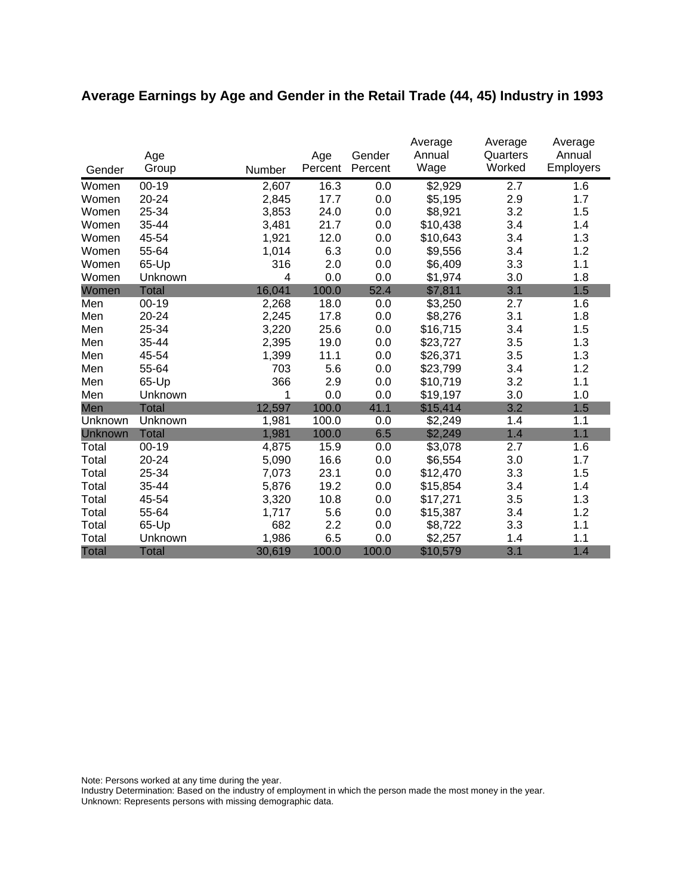# **Average Earnings by Age and Gender in the Retail Trade (44, 45) Industry in 1993**

| Gender       | Age<br>Group | Number | Age<br>Percent | Gender<br>Percent | Average<br>Annual<br>Wage | Average<br>Quarters<br>Worked | Average<br>Annual<br><b>Employers</b> |
|--------------|--------------|--------|----------------|-------------------|---------------------------|-------------------------------|---------------------------------------|
| Women        | $00 - 19$    | 2,607  | 16.3           | 0.0               | \$2,929                   | 2.7                           | 1.6                                   |
| Women        | 20-24        | 2,845  | 17.7           | 0.0               | \$5,195                   | 2.9                           | 1.7                                   |
| Women        | 25-34        | 3,853  | 24.0           | 0.0               | \$8,921                   | 3.2                           | 1.5                                   |
| Women        | 35-44        | 3,481  | 21.7           | 0.0               | \$10,438                  | 3.4                           | 1.4                                   |
| Women        | 45-54        | 1,921  | 12.0           | 0.0               | \$10,643                  | 3.4                           | 1.3                                   |
| Women        | 55-64        | 1,014  | 6.3            | 0.0               | \$9,556                   | 3.4                           | 1.2                                   |
| Women        | 65-Up        | 316    | 2.0            | 0.0               | \$6,409                   | 3.3                           | 1.1                                   |
| Women        | Unknown      | 4      | 0.0            | 0.0               | \$1,974                   | 3.0                           | 1.8                                   |
| Women        | <b>Total</b> | 16,041 | 100.0          | 52.4              | \$7,811                   | 3.1                           | 1.5                                   |
| Men          | $00 - 19$    | 2,268  | 18.0           | 0.0               | \$3,250                   | 2.7                           | 1.6                                   |
| Men          | 20-24        | 2,245  | 17.8           | 0.0               | \$8,276                   | 3.1                           | 1.8                                   |
| Men          | 25-34        | 3,220  | 25.6           | 0.0               | \$16,715                  | 3.4                           | 1.5                                   |
| Men          | 35-44        | 2,395  | 19.0           | 0.0               | \$23,727                  | 3.5                           | 1.3                                   |
| Men          | 45-54        | 1,399  | 11.1           | 0.0               | \$26,371                  | 3.5                           | 1.3                                   |
| Men          | 55-64        | 703    | 5.6            | 0.0               | \$23,799                  | 3.4                           | 1.2                                   |
| Men          | 65-Up        | 366    | 2.9            | 0.0               | \$10,719                  | 3.2                           | 1.1                                   |
| Men          | Unknown      | 1      | 0.0            | 0.0               | \$19,197                  | 3.0                           | 1.0                                   |
| Men          | Total        | 12,597 | 100.0          | 41.1              | \$15,414                  | 3.2                           | 1.5                                   |
| Unknown      | Unknown      | 1,981  | 100.0          | 0.0               | \$2,249                   | 1.4                           | 1.1                                   |
| Unknown      | <b>Total</b> | 1,981  | 100.0          | 6.5               | \$2,249                   | 1.4                           | 1.1                                   |
| Total        | $00 - 19$    | 4,875  | 15.9           | 0.0               | \$3,078                   | 2.7                           | 1.6                                   |
| Total        | 20-24        | 5,090  | 16.6           | 0.0               | \$6,554                   | 3.0                           | 1.7                                   |
| Total        | 25-34        | 7,073  | 23.1           | 0.0               | \$12,470                  | 3.3                           | 1.5                                   |
| Total        | 35-44        | 5,876  | 19.2           | 0.0               | \$15,854                  | 3.4                           | 1.4                                   |
| Total        | 45-54        | 3,320  | 10.8           | 0.0               | \$17,271                  | 3.5                           | 1.3                                   |
| Total        | 55-64        | 1,717  | 5.6            | 0.0               | \$15,387                  | 3.4                           | 1.2                                   |
| Total        | 65-Up        | 682    | 2.2            | 0.0               | \$8,722                   | 3.3                           | 1.1                                   |
| Total        | Unknown      | 1,986  | 6.5            | 0.0               | \$2,257                   | 1.4                           | 1.1                                   |
| <b>Total</b> | <b>Total</b> | 30,619 | 100.0          | 100.0             | \$10,579                  | 3.1                           | 1.4                                   |

Note: Persons worked at any time during the year.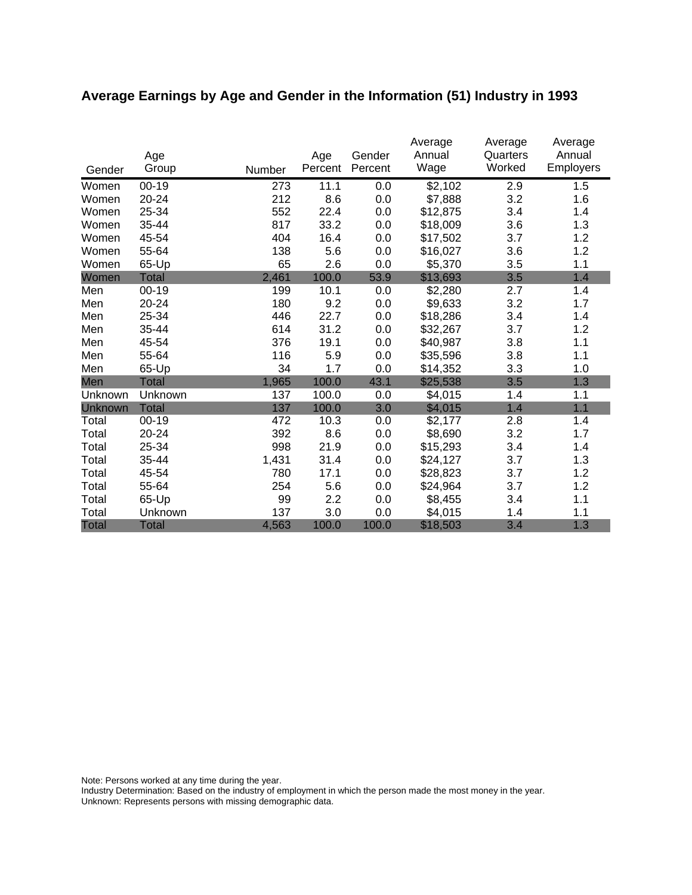# **Average Earnings by Age and Gender in the Information (51) Industry in 1993**

|              | Age<br>Group |        | Age<br>Percent | Gender<br>Percent | Average<br>Annual<br>Wage | Average<br>Quarters<br>Worked | Average<br>Annual<br><b>Employers</b> |
|--------------|--------------|--------|----------------|-------------------|---------------------------|-------------------------------|---------------------------------------|
| Gender       |              | Number |                |                   |                           |                               |                                       |
| Women        | $00 - 19$    | 273    | 11.1           | 0.0               | \$2,102                   | 2.9                           | 1.5                                   |
| Women        | 20-24        | 212    | 8.6            | 0.0               | \$7,888                   | 3.2                           | 1.6                                   |
| Women        | 25-34        | 552    | 22.4           | 0.0               | \$12,875                  | 3.4                           | 1.4                                   |
| Women        | 35-44        | 817    | 33.2           | 0.0               | \$18,009                  | 3.6                           | 1.3                                   |
| Women        | 45-54        | 404    | 16.4           | 0.0               | \$17,502                  | 3.7                           | 1.2                                   |
| Women        | 55-64        | 138    | 5.6            | 0.0               | \$16,027                  | 3.6                           | 1.2                                   |
| Women        | 65-Up        | 65     | 2.6            | 0.0               | \$5,370                   | 3.5                           | 1.1                                   |
| Women        | <b>Total</b> | 2,461  | 100.0          | 53.9              | \$13,693                  | 3.5                           | 1.4                                   |
| Men          | $00 - 19$    | 199    | 10.1           | 0.0               | \$2,280                   | 2.7                           | 1.4                                   |
| Men          | 20-24        | 180    | 9.2            | 0.0               | \$9,633                   | 3.2                           | 1.7                                   |
| Men          | 25-34        | 446    | 22.7           | 0.0               | \$18,286                  | 3.4                           | 1.4                                   |
| Men          | 35-44        | 614    | 31.2           | 0.0               | \$32,267                  | 3.7                           | 1.2                                   |
| Men          | 45-54        | 376    | 19.1           | 0.0               | \$40,987                  | 3.8                           | 1.1                                   |
| Men          | 55-64        | 116    | 5.9            | 0.0               | \$35,596                  | 3.8                           | 1.1                                   |
| Men          | 65-Up        | 34     | 1.7            | 0.0               | \$14,352                  | 3.3                           | 1.0                                   |
| Men          | Total        | 1,965  | 100.0          | 43.1              | \$25,538                  | 3.5                           | 1.3                                   |
| Unknown      | Unknown      | 137    | 100.0          | 0.0               | \$4,015                   | 1.4                           | 1.1                                   |
| Unknown      | <b>Total</b> | 137    | 100.0          | 3.0               | \$4,015                   | 1.4                           | 1.1                                   |
| Total        | $00 - 19$    | 472    | 10.3           | 0.0               | \$2,177                   | 2.8                           | 1.4                                   |
| Total        | 20-24        | 392    | 8.6            | 0.0               | \$8,690                   | 3.2                           | 1.7                                   |
| Total        | 25-34        | 998    | 21.9           | 0.0               | \$15,293                  | 3.4                           | 1.4                                   |
| Total        | 35-44        | 1,431  | 31.4           | 0.0               | \$24,127                  | 3.7                           | 1.3                                   |
| Total        | 45-54        | 780    | 17.1           | 0.0               | \$28,823                  | 3.7                           | 1.2                                   |
| Total        | 55-64        | 254    | 5.6            | 0.0               | \$24,964                  | 3.7                           | 1.2                                   |
| Total        | 65-Up        | 99     | 2.2            | 0.0               | \$8,455                   | 3.4                           | 1.1                                   |
| Total        | Unknown      | 137    | 3.0            | 0.0               | \$4,015                   | 1.4                           | 1.1                                   |
| <b>Total</b> | <b>Total</b> | 4,563  | 100.0          | 100.0             | \$18,503                  | 3.4                           | 1.3                                   |

Note: Persons worked at any time during the year.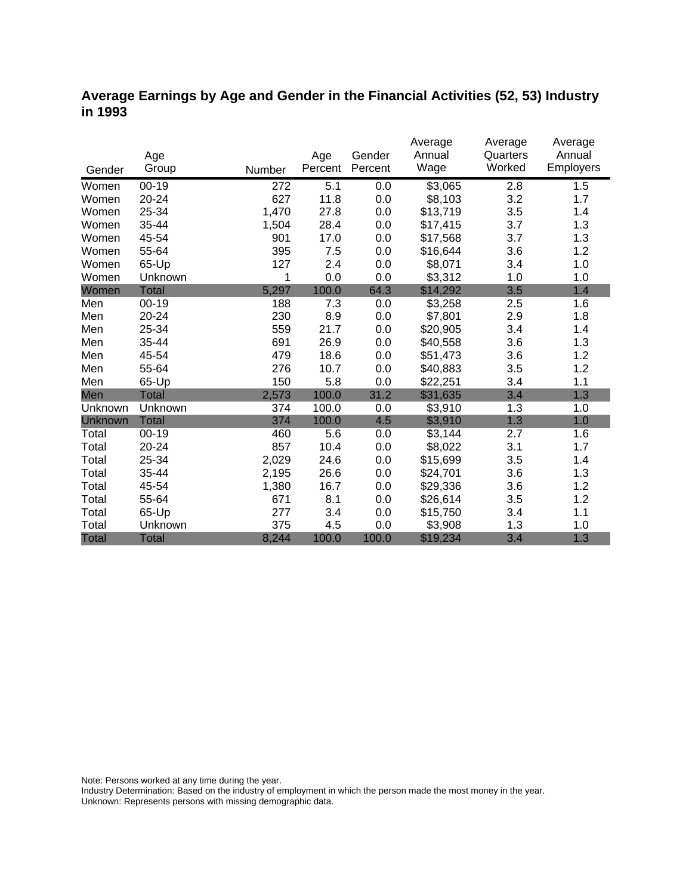### **Average Earnings by Age and Gender in the Financial Activities (52, 53) Industry in 1993**

|              |              |        |         |         | Average  | Average  | Average   |
|--------------|--------------|--------|---------|---------|----------|----------|-----------|
|              | Age          |        | Age     | Gender  | Annual   | Quarters | Annual    |
| Gender       | Group        | Number | Percent | Percent | Wage     | Worked   | Employers |
| Women        | $00 - 19$    | 272    | 5.1     | 0.0     | \$3,065  | 2.8      | 1.5       |
| Women        | 20-24        | 627    | 11.8    | 0.0     | \$8,103  | 3.2      | 1.7       |
| Women        | 25-34        | 1,470  | 27.8    | 0.0     | \$13,719 | 3.5      | 1.4       |
| Women        | 35-44        | 1,504  | 28.4    | 0.0     | \$17,415 | 3.7      | 1.3       |
| Women        | 45-54        | 901    | 17.0    | 0.0     | \$17,568 | 3.7      | 1.3       |
| Women        | 55-64        | 395    | 7.5     | 0.0     | \$16,644 | 3.6      | 1.2       |
| Women        | 65-Up        | 127    | 2.4     | 0.0     | \$8,071  | 3.4      | 1.0       |
| Women        | Unknown      | 1      | 0.0     | 0.0     | \$3,312  | 1.0      | 1.0       |
| Women        | <b>Total</b> | 5,297  | 100.0   | 64.3    | \$14,292 | 3.5      | 1.4       |
| Men          | $00 - 19$    | 188    | 7.3     | 0.0     | \$3,258  | 2.5      | 1.6       |
| Men          | 20-24        | 230    | 8.9     | 0.0     | \$7,801  | 2.9      | 1.8       |
| Men          | 25-34        | 559    | 21.7    | 0.0     | \$20,905 | 3.4      | 1.4       |
| Men          | 35-44        | 691    | 26.9    | 0.0     | \$40,558 | 3.6      | 1.3       |
| Men          | 45-54        | 479    | 18.6    | 0.0     | \$51,473 | 3.6      | 1.2       |
| Men          | 55-64        | 276    | 10.7    | 0.0     | \$40,883 | 3.5      | 1.2       |
| Men          | 65-Up        | 150    | 5.8     | 0.0     | \$22,251 | 3.4      | 1.1       |
| Men          | <b>Total</b> | 2,573  | 100.0   | 31.2    | \$31,635 | 3.4      | 1.3       |
| Unknown      | Unknown      | 374    | 100.0   | 0.0     | \$3,910  | 1.3      | 1.0       |
| Unknown      | <b>Total</b> | 374    | 100.0   | 4.5     | \$3,910  | 1.3      | 1.0       |
| Total        | $00 - 19$    | 460    | 5.6     | 0.0     | \$3,144  | 2.7      | 1.6       |
| Total        | 20-24        | 857    | 10.4    | 0.0     | \$8,022  | 3.1      | 1.7       |
| Total        | 25-34        | 2,029  | 24.6    | 0.0     | \$15,699 | 3.5      | 1.4       |
| Total        | 35-44        | 2,195  | 26.6    | 0.0     | \$24,701 | 3.6      | 1.3       |
| Total        | 45-54        | 1,380  | 16.7    | 0.0     | \$29,336 | 3.6      | 1.2       |
| Total        | 55-64        | 671    | 8.1     | 0.0     | \$26,614 | 3.5      | 1.2       |
| Total        | 65-Up        | 277    | 3.4     | 0.0     | \$15,750 | 3.4      | 1.1       |
| Total        | Unknown      | 375    | 4.5     | 0.0     | \$3,908  | 1.3      | 1.0       |
| <b>Total</b> | <b>Total</b> | 8,244  | 100.0   | 100.0   | \$19,234 | 3.4      | 1.3       |

Note: Persons worked at any time during the year.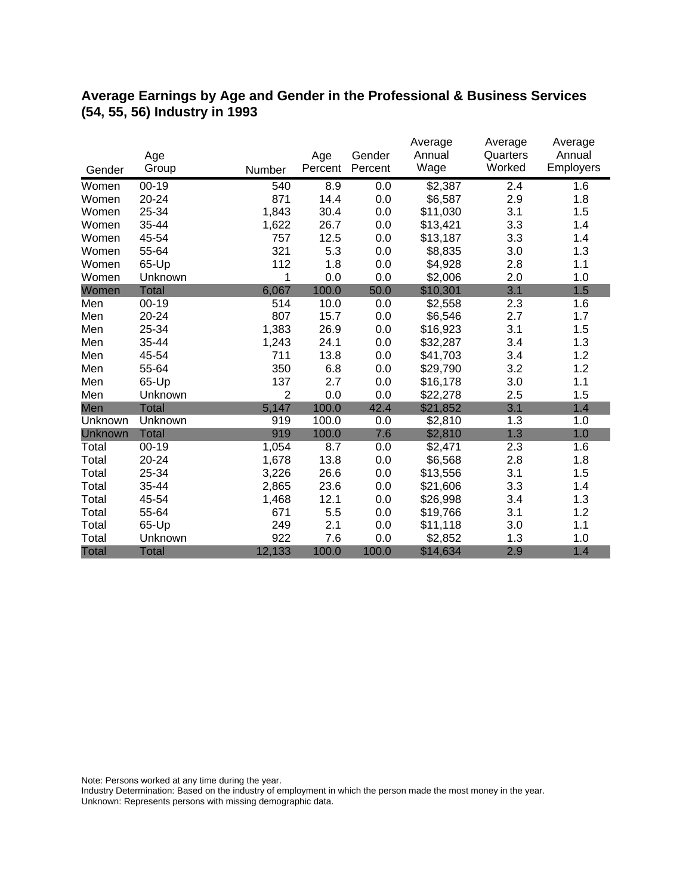### **Average Earnings by Age and Gender in the Professional & Business Services (54, 55, 56) Industry in 1993**

|              |              |                |         |         | Average  | Average  | Average   |
|--------------|--------------|----------------|---------|---------|----------|----------|-----------|
|              | Age          |                | Age     | Gender  | Annual   | Quarters | Annual    |
| Gender       | Group        | Number         | Percent | Percent | Wage     | Worked   | Employers |
| Women        | $00 - 19$    | 540            | 8.9     | 0.0     | \$2,387  | 2.4      | 1.6       |
| Women        | 20-24        | 871            | 14.4    | 0.0     | \$6,587  | 2.9      | 1.8       |
| Women        | 25-34        | 1,843          | 30.4    | 0.0     | \$11,030 | 3.1      | 1.5       |
| Women        | 35-44        | 1,622          | 26.7    | 0.0     | \$13,421 | 3.3      | 1.4       |
| Women        | 45-54        | 757            | 12.5    | 0.0     | \$13,187 | 3.3      | 1.4       |
| Women        | 55-64        | 321            | 5.3     | 0.0     | \$8,835  | 3.0      | 1.3       |
| Women        | 65-Up        | 112            | 1.8     | 0.0     | \$4,928  | 2.8      | 1.1       |
| Women        | Unknown      | 1              | 0.0     | 0.0     | \$2,006  | 2.0      | 1.0       |
| Women        | <b>Total</b> | 6,067          | 100.0   | 50.0    | \$10,301 | 3.1      | 1.5       |
| Men          | $00 - 19$    | 514            | 10.0    | 0.0     | \$2,558  | 2.3      | 1.6       |
| Men          | 20-24        | 807            | 15.7    | 0.0     | \$6,546  | 2.7      | 1.7       |
| Men          | 25-34        | 1,383          | 26.9    | 0.0     | \$16,923 | 3.1      | 1.5       |
| Men          | 35-44        | 1,243          | 24.1    | 0.0     | \$32,287 | 3.4      | 1.3       |
| Men          | 45-54        | 711            | 13.8    | 0.0     | \$41,703 | 3.4      | 1.2       |
| Men          | 55-64        | 350            | 6.8     | 0.0     | \$29,790 | 3.2      | 1.2       |
| Men          | 65-Up        | 137            | 2.7     | 0.0     | \$16,178 | 3.0      | 1.1       |
| Men          | Unknown      | $\overline{2}$ | 0.0     | 0.0     | \$22,278 | 2.5      | 1.5       |
| Men          | <b>Total</b> | 5,147          | 100.0   | 42.4    | \$21,852 | 3.1      | 1.4       |
| Unknown      | Unknown      | 919            | 100.0   | 0.0     | \$2,810  | 1.3      | 1.0       |
| Unknown      | <b>Total</b> | 919            | 100.0   | 7.6     | \$2,810  | 1.3      | 1.0       |
| Total        | $00 - 19$    | 1,054          | 8.7     | 0.0     | \$2,471  | 2.3      | 1.6       |
| Total        | 20-24        | 1,678          | 13.8    | 0.0     | \$6,568  | 2.8      | 1.8       |
| Total        | 25-34        | 3,226          | 26.6    | 0.0     | \$13,556 | 3.1      | 1.5       |
| Total        | 35-44        | 2,865          | 23.6    | 0.0     | \$21,606 | 3.3      | 1.4       |
| Total        | 45-54        | 1,468          | 12.1    | 0.0     | \$26,998 | 3.4      | 1.3       |
| Total        | 55-64        | 671            | 5.5     | 0.0     | \$19,766 | 3.1      | 1.2       |
| Total        | 65-Up        | 249            | 2.1     | 0.0     | \$11,118 | 3.0      | 1.1       |
| Total        | Unknown      | 922            | 7.6     | 0.0     | \$2,852  | 1.3      | 1.0       |
| <b>Total</b> | <b>Total</b> | 12,133         | 100.0   | 100.0   | \$14,634 | 2.9      | 1.4       |

Note: Persons worked at any time during the year.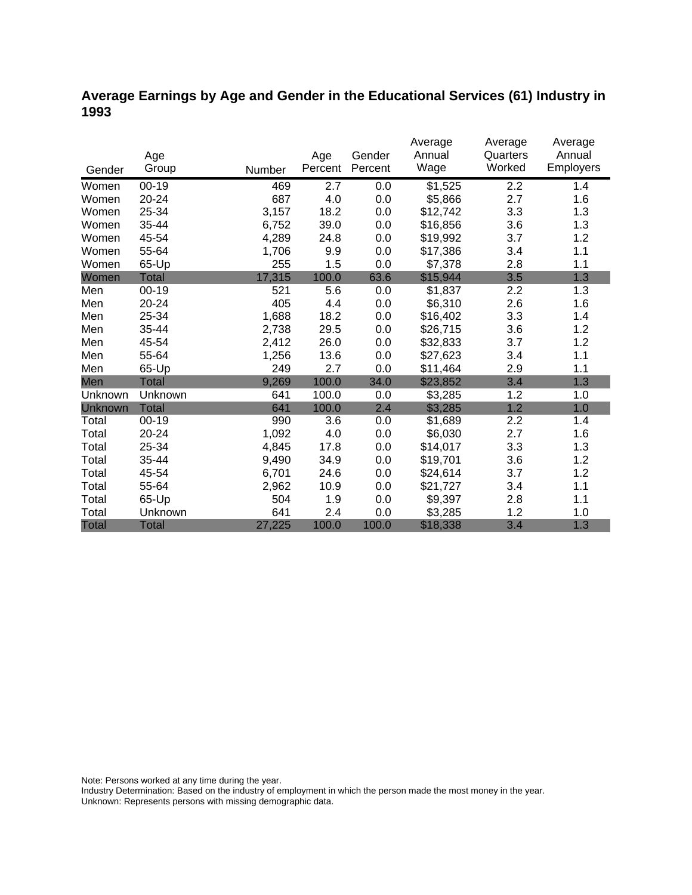### **Average Earnings by Age and Gender in the Educational Services (61) Industry in 1993**

|              |              |        |         |         | Average  | Average  | Average          |
|--------------|--------------|--------|---------|---------|----------|----------|------------------|
|              | Age          |        | Age     | Gender  | Annual   | Quarters | Annual           |
| Gender       | Group        | Number | Percent | Percent | Wage     | Worked   | <b>Employers</b> |
| Women        | $00 - 19$    | 469    | 2.7     | 0.0     | \$1,525  | 2.2      | 1.4              |
| Women        | 20-24        | 687    | 4.0     | 0.0     | \$5,866  | 2.7      | 1.6              |
| Women        | 25-34        | 3,157  | 18.2    | 0.0     | \$12,742 | 3.3      | 1.3              |
| Women        | 35-44        | 6,752  | 39.0    | 0.0     | \$16,856 | 3.6      | 1.3              |
| Women        | 45-54        | 4,289  | 24.8    | 0.0     | \$19,992 | 3.7      | 1.2              |
| Women        | 55-64        | 1,706  | 9.9     | 0.0     | \$17,386 | 3.4      | 1.1              |
| Women        | 65-Up        | 255    | 1.5     | 0.0     | \$7,378  | 2.8      | 1.1              |
| Women        | Total        | 17,315 | 100.0   | 63.6    | \$15,944 | 3.5      | 1.3              |
| Men          | $00 - 19$    | 521    | 5.6     | 0.0     | \$1,837  | 2.2      | 1.3              |
| Men          | 20-24        | 405    | 4.4     | 0.0     | \$6,310  | 2.6      | 1.6              |
| Men          | 25-34        | 1,688  | 18.2    | 0.0     | \$16,402 | 3.3      | 1.4              |
| Men          | 35-44        | 2,738  | 29.5    | 0.0     | \$26,715 | 3.6      | 1.2              |
| Men          | 45-54        | 2,412  | 26.0    | 0.0     | \$32,833 | 3.7      | 1.2              |
| Men          | 55-64        | 1,256  | 13.6    | 0.0     | \$27,623 | 3.4      | 1.1              |
| Men          | 65-Up        | 249    | 2.7     | 0.0     | \$11,464 | 2.9      | 1.1              |
| Men          | <b>Total</b> | 9,269  | 100.0   | 34.0    | \$23,852 | 3.4      | 1.3              |
| Unknown      | Unknown      | 641    | 100.0   | 0.0     | \$3,285  | 1.2      | 1.0              |
| Unknown      | <b>Total</b> | 641    | 100.0   | 2.4     | \$3,285  | 1.2      | 1.0              |
| Total        | $00 - 19$    | 990    | 3.6     | 0.0     | \$1,689  | 2.2      | 1.4              |
| Total        | 20-24        | 1,092  | 4.0     | 0.0     | \$6,030  | 2.7      | 1.6              |
| Total        | 25-34        | 4,845  | 17.8    | 0.0     | \$14,017 | 3.3      | 1.3              |
| Total        | 35-44        | 9,490  | 34.9    | 0.0     | \$19,701 | 3.6      | 1.2              |
| Total        | 45-54        | 6,701  | 24.6    | 0.0     | \$24,614 | 3.7      | 1.2              |
| Total        | 55-64        | 2,962  | 10.9    | 0.0     | \$21,727 | 3.4      | 1.1              |
| Total        | 65-Up        | 504    | 1.9     | 0.0     | \$9,397  | 2.8      | 1.1              |
| Total        | Unknown      | 641    | 2.4     | 0.0     | \$3,285  | 1.2      | 1.0              |
| <b>Total</b> | <b>Total</b> | 27,225 | 100.0   | 100.0   | \$18,338 | 3.4      | 1.3              |

Note: Persons worked at any time during the year.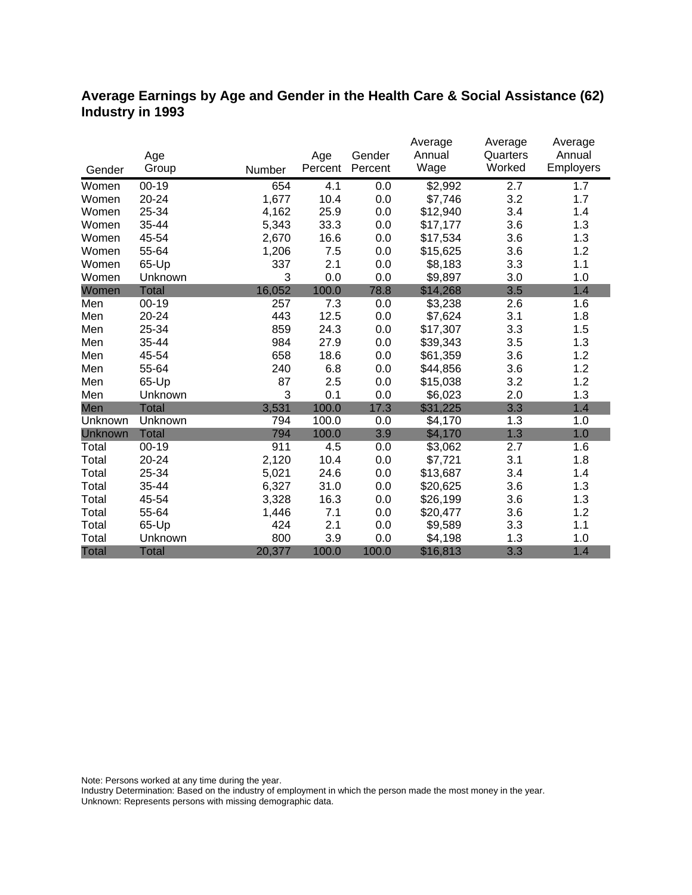### **Average Earnings by Age and Gender in the Health Care & Social Assistance (62) Industry in 1993**

|              |              |        |         |         | Average  | Average  | Average   |
|--------------|--------------|--------|---------|---------|----------|----------|-----------|
|              | Age          |        | Age     | Gender  | Annual   | Quarters | Annual    |
| Gender       | Group        | Number | Percent | Percent | Wage     | Worked   | Employers |
| Women        | $00 - 19$    | 654    | 4.1     | 0.0     | \$2,992  | 2.7      | 1.7       |
| Women        | 20-24        | 1,677  | 10.4    | 0.0     | \$7,746  | 3.2      | 1.7       |
| Women        | 25-34        | 4,162  | 25.9    | 0.0     | \$12,940 | 3.4      | 1.4       |
| Women        | 35-44        | 5,343  | 33.3    | 0.0     | \$17,177 | 3.6      | 1.3       |
| Women        | 45-54        | 2,670  | 16.6    | 0.0     | \$17,534 | 3.6      | 1.3       |
| Women        | 55-64        | 1,206  | 7.5     | 0.0     | \$15,625 | 3.6      | 1.2       |
| Women        | 65-Up        | 337    | 2.1     | 0.0     | \$8,183  | 3.3      | 1.1       |
| Women        | Unknown      | 3      | 0.0     | 0.0     | \$9,897  | 3.0      | 1.0       |
| Women        | <b>Total</b> | 16,052 | 100.0   | 78.8    | \$14,268 | 3.5      | 1.4       |
| Men          | $00 - 19$    | 257    | 7.3     | 0.0     | \$3,238  | 2.6      | 1.6       |
| Men          | 20-24        | 443    | 12.5    | 0.0     | \$7,624  | 3.1      | 1.8       |
| Men          | 25-34        | 859    | 24.3    | 0.0     | \$17,307 | 3.3      | 1.5       |
| Men          | 35-44        | 984    | 27.9    | 0.0     | \$39,343 | 3.5      | 1.3       |
| Men          | 45-54        | 658    | 18.6    | 0.0     | \$61,359 | 3.6      | 1.2       |
| Men          | 55-64        | 240    | 6.8     | 0.0     | \$44,856 | 3.6      | 1.2       |
| Men          | 65-Up        | 87     | 2.5     | 0.0     | \$15,038 | 3.2      | 1.2       |
| Men          | Unknown      | 3      | 0.1     | 0.0     | \$6,023  | 2.0      | 1.3       |
| Men          | <b>Total</b> | 3,531  | 100.0   | 17.3    | \$31,225 | 3.3      | 1.4       |
| Unknown      | Unknown      | 794    | 100.0   | 0.0     | \$4,170  | 1.3      | 1.0       |
| Unknown      | <b>Total</b> | 794    | 100.0   | 3.9     | \$4,170  | 1.3      | 1.0       |
| Total        | $00 - 19$    | 911    | 4.5     | 0.0     | \$3,062  | 2.7      | 1.6       |
| Total        | 20-24        | 2,120  | 10.4    | 0.0     | \$7,721  | 3.1      | 1.8       |
| Total        | 25-34        | 5,021  | 24.6    | 0.0     | \$13,687 | 3.4      | 1.4       |
| Total        | 35-44        | 6,327  | 31.0    | 0.0     | \$20,625 | 3.6      | 1.3       |
| Total        | 45-54        | 3,328  | 16.3    | 0.0     | \$26,199 | 3.6      | 1.3       |
| Total        | 55-64        | 1,446  | 7.1     | 0.0     | \$20,477 | 3.6      | 1.2       |
| Total        | 65-Up        | 424    | 2.1     | 0.0     | \$9,589  | 3.3      | 1.1       |
| Total        | Unknown      | 800    | 3.9     | 0.0     | \$4,198  | 1.3      | 1.0       |
| <b>Total</b> | Total        | 20,377 | 100.0   | 100.0   | \$16,813 | 3.3      | 1.4       |

Note: Persons worked at any time during the year.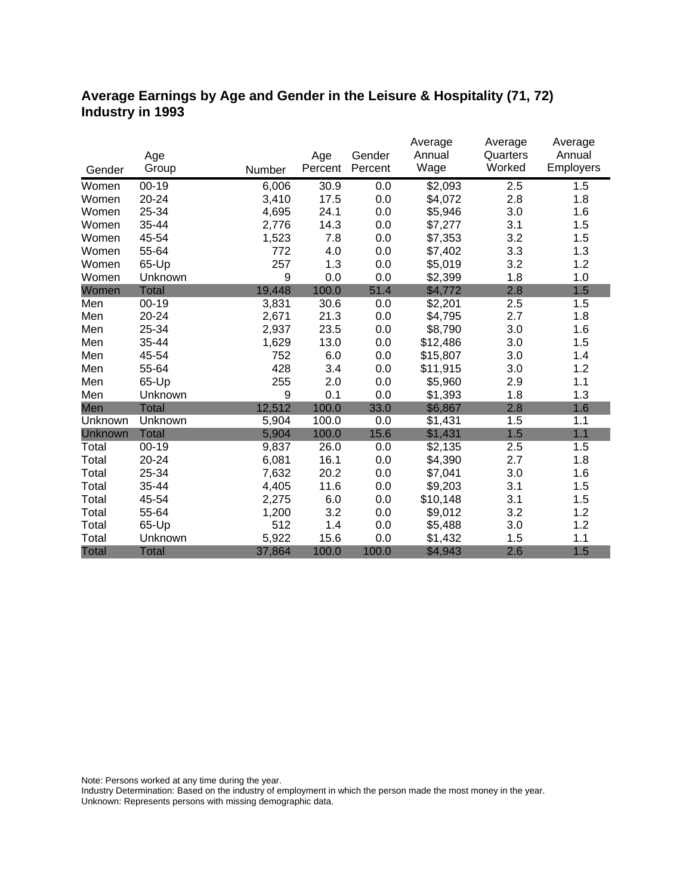### **Average Earnings by Age and Gender in the Leisure & Hospitality (71, 72) Industry in 1993**

|              |              |        |         |         | Average  | Average  | Average   |
|--------------|--------------|--------|---------|---------|----------|----------|-----------|
|              | Age          |        | Age     | Gender  | Annual   | Quarters | Annual    |
| Gender       | Group        | Number | Percent | Percent | Wage     | Worked   | Employers |
| Women        | $00 - 19$    | 6,006  | 30.9    | 0.0     | \$2,093  | 2.5      | 1.5       |
| Women        | $20 - 24$    | 3,410  | 17.5    | 0.0     | \$4,072  | 2.8      | 1.8       |
| Women        | 25-34        | 4,695  | 24.1    | 0.0     | \$5,946  | 3.0      | 1.6       |
| Women        | 35-44        | 2,776  | 14.3    | 0.0     | \$7,277  | 3.1      | 1.5       |
| Women        | 45-54        | 1,523  | 7.8     | 0.0     | \$7,353  | 3.2      | 1.5       |
| Women        | 55-64        | 772    | 4.0     | 0.0     | \$7,402  | 3.3      | 1.3       |
| Women        | 65-Up        | 257    | 1.3     | 0.0     | \$5,019  | 3.2      | 1.2       |
| Women        | Unknown      | 9      | 0.0     | 0.0     | \$2,399  | 1.8      | 1.0       |
| Women        | <b>Total</b> | 19,448 | 100.0   | 51.4    | \$4,772  | 2.8      | 1.5       |
| Men          | $00 - 19$    | 3,831  | 30.6    | 0.0     | \$2,201  | 2.5      | 1.5       |
| Men          | 20-24        | 2,671  | 21.3    | 0.0     | \$4,795  | 2.7      | 1.8       |
| Men          | 25-34        | 2,937  | 23.5    | 0.0     | \$8,790  | 3.0      | 1.6       |
| Men          | 35-44        | 1,629  | 13.0    | 0.0     | \$12,486 | 3.0      | 1.5       |
| Men          | 45-54        | 752    | 6.0     | 0.0     | \$15,807 | 3.0      | 1.4       |
| Men          | 55-64        | 428    | 3.4     | 0.0     | \$11,915 | 3.0      | 1.2       |
| Men          | 65-Up        | 255    | 2.0     | 0.0     | \$5,960  | 2.9      | 1.1       |
| Men          | Unknown      | 9      | 0.1     | 0.0     | \$1,393  | 1.8      | 1.3       |
| Men          | <b>Total</b> | 12,512 | 100.0   | 33.0    | \$6,867  | 2.8      | 1.6       |
| Unknown      | Unknown      | 5,904  | 100.0   | 0.0     | \$1,431  | 1.5      | 1.1       |
| Unknown      | <b>Total</b> | 5,904  | 100.0   | 15.6    | \$1,431  | 1.5      | 1.1       |
| Total        | $00 - 19$    | 9,837  | 26.0    | 0.0     | \$2,135  | 2.5      | 1.5       |
| Total        | 20-24        | 6,081  | 16.1    | 0.0     | \$4,390  | 2.7      | 1.8       |
| Total        | 25-34        | 7,632  | 20.2    | 0.0     | \$7,041  | 3.0      | 1.6       |
| Total        | 35-44        | 4,405  | 11.6    | 0.0     | \$9,203  | 3.1      | 1.5       |
| Total        | 45-54        | 2,275  | 6.0     | 0.0     | \$10,148 | 3.1      | 1.5       |
| Total        | 55-64        | 1,200  | 3.2     | 0.0     | \$9,012  | 3.2      | 1.2       |
| Total        | 65-Up        | 512    | 1.4     | 0.0     | \$5,488  | 3.0      | 1.2       |
| Total        | Unknown      | 5,922  | 15.6    | 0.0     | \$1,432  | 1.5      | 1.1       |
| <b>Total</b> | <b>Total</b> | 37,864 | 100.0   | 100.0   | \$4,943  | 2.6      | 1.5       |

Note: Persons worked at any time during the year.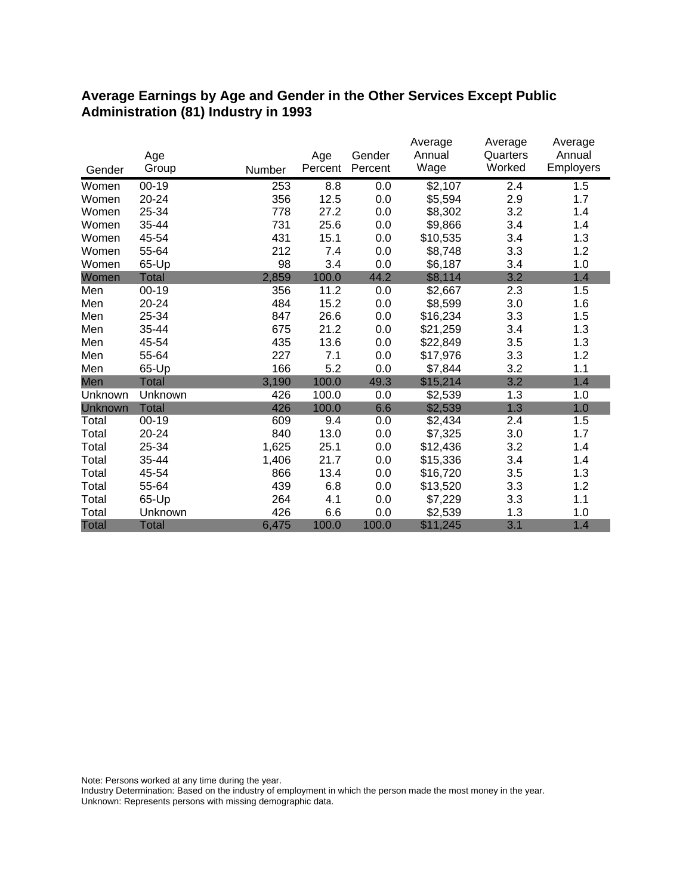#### **Average Earnings by Age and Gender in the Other Services Except Public Administration (81) Industry in 1993**

|                | Age          |        | Age     | Gender  | Average<br>Annual | Average<br>Quarters | Average<br>Annual |
|----------------|--------------|--------|---------|---------|-------------------|---------------------|-------------------|
| Gender         | Group        | Number | Percent | Percent | Wage              | Worked              | Employers         |
| Women          | $00 - 19$    | 253    | 8.8     | 0.0     | \$2,107           | 2.4                 | 1.5               |
| Women          | 20-24        | 356    | 12.5    | 0.0     | \$5,594           | 2.9                 | 1.7               |
| Women          | 25-34        | 778    | 27.2    | 0.0     | \$8,302           | 3.2                 | 1.4               |
| Women          | 35-44        | 731    | 25.6    | 0.0     | \$9,866           | 3.4                 | 1.4               |
| Women          | 45-54        | 431    | 15.1    | 0.0     | \$10,535          | 3.4                 | 1.3               |
| Women          | 55-64        | 212    | 7.4     | 0.0     | \$8,748           | 3.3                 | 1.2               |
| Women          | 65-Up        | 98     | 3.4     | 0.0     | \$6,187           | 3.4                 | 1.0               |
| Women          | <b>Total</b> | 2,859  | 100.0   | 44.2    | \$8,114           | 3.2                 | 1.4               |
| Men            | $00 - 19$    | 356    | 11.2    | 0.0     | \$2,667           | 2.3                 | 1.5               |
| Men            | 20-24        | 484    | 15.2    | 0.0     | \$8,599           | 3.0                 | 1.6               |
| Men            | 25-34        | 847    | 26.6    | 0.0     | \$16,234          | 3.3                 | 1.5               |
| Men            | 35-44        | 675    | 21.2    | 0.0     | \$21,259          | 3.4                 | 1.3               |
| Men            | 45-54        | 435    | 13.6    | 0.0     | \$22,849          | 3.5                 | 1.3               |
| Men            | 55-64        | 227    | 7.1     | 0.0     | \$17,976          | 3.3                 | 1.2               |
| Men            | 65-Up        | 166    | 5.2     | 0.0     | \$7,844           | 3.2                 | 1.1               |
| Men            | <b>Total</b> | 3,190  | 100.0   | 49.3    | \$15,214          | 3.2                 | 1.4               |
| Unknown        | Unknown      | 426    | 100.0   | 0.0     | \$2,539           | 1.3                 | 1.0               |
| <b>Unknown</b> | <b>Total</b> | 426    | 100.0   | 6.6     | \$2,539           | 1.3                 | 1.0               |
| Total          | $00 - 19$    | 609    | 9.4     | 0.0     | \$2,434           | 2.4                 | 1.5               |
| Total          | 20-24        | 840    | 13.0    | 0.0     | \$7,325           | 3.0                 | 1.7               |
| Total          | 25-34        | 1,625  | 25.1    | 0.0     | \$12,436          | 3.2                 | 1.4               |
| Total          | 35-44        | 1,406  | 21.7    | 0.0     | \$15,336          | 3.4                 | 1.4               |
| Total          | 45-54        | 866    | 13.4    | 0.0     | \$16,720          | 3.5                 | 1.3               |
| Total          | 55-64        | 439    | 6.8     | 0.0     | \$13,520          | 3.3                 | 1.2               |
| Total          | 65-Up        | 264    | 4.1     | 0.0     | \$7,229           | 3.3                 | 1.1               |
| Total          | Unknown      | 426    | 6.6     | 0.0     | \$2,539           | 1.3                 | 1.0               |
| <b>Total</b>   | <b>Total</b> | 6,475  | 100.0   | 100.0   | \$11,245          | 3.1                 | 1.4               |

Note: Persons worked at any time during the year.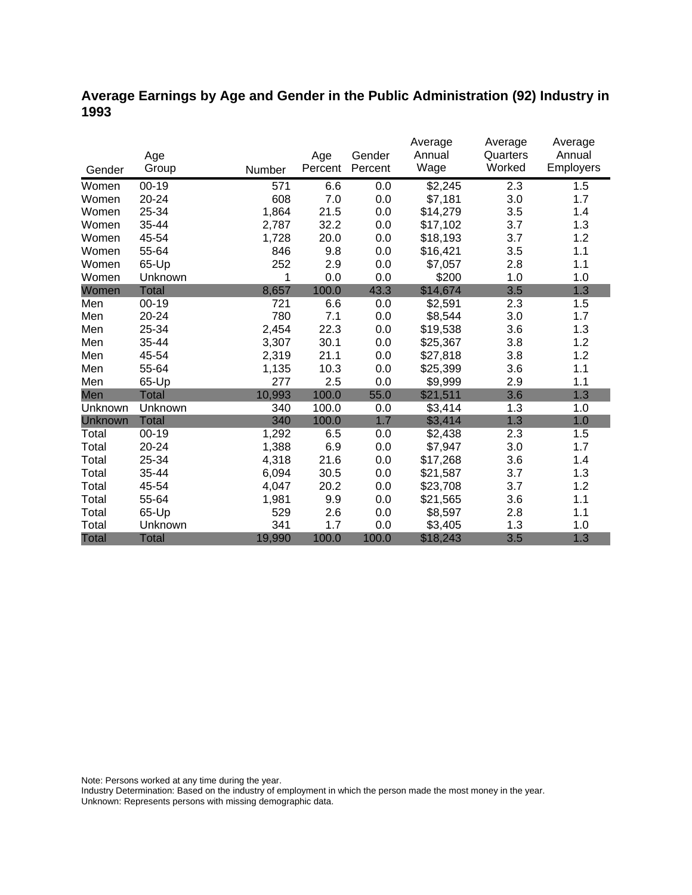### **Average Earnings by Age and Gender in the Public Administration (92) Industry in 1993**

|                |              |        |         |         | Average  | Average  | Average   |
|----------------|--------------|--------|---------|---------|----------|----------|-----------|
|                | Age          |        | Age     | Gender  | Annual   | Quarters | Annual    |
| Gender         | Group        | Number | Percent | Percent | Wage     | Worked   | Employers |
| Women          | $00 - 19$    | 571    | 6.6     | 0.0     | \$2,245  | 2.3      | 1.5       |
| Women          | 20-24        | 608    | 7.0     | 0.0     | \$7,181  | 3.0      | 1.7       |
| Women          | 25-34        | 1,864  | 21.5    | 0.0     | \$14,279 | 3.5      | 1.4       |
| Women          | 35-44        | 2,787  | 32.2    | 0.0     | \$17,102 | 3.7      | 1.3       |
| Women          | 45-54        | 1,728  | 20.0    | 0.0     | \$18,193 | 3.7      | 1.2       |
| Women          | 55-64        | 846    | 9.8     | 0.0     | \$16,421 | 3.5      | 1.1       |
| Women          | 65-Up        | 252    | 2.9     | 0.0     | \$7,057  | 2.8      | 1.1       |
| Women          | Unknown      | 1      | 0.0     | 0.0     | \$200    | 1.0      | 1.0       |
| Women          | <b>Total</b> | 8,657  | 100.0   | 43.3    | \$14,674 | 3.5      | 1.3       |
| Men            | $00 - 19$    | 721    | 6.6     | 0.0     | \$2,591  | 2.3      | 1.5       |
| Men            | 20-24        | 780    | 7.1     | 0.0     | \$8,544  | 3.0      | 1.7       |
| Men            | 25-34        | 2,454  | 22.3    | 0.0     | \$19,538 | 3.6      | 1.3       |
| Men            | 35-44        | 3,307  | 30.1    | 0.0     | \$25,367 | 3.8      | 1.2       |
| Men            | 45-54        | 2,319  | 21.1    | 0.0     | \$27,818 | 3.8      | 1.2       |
| Men            | 55-64        | 1,135  | 10.3    | 0.0     | \$25,399 | 3.6      | 1.1       |
| Men            | 65-Up        | 277    | 2.5     | 0.0     | \$9,999  | 2.9      | 1.1       |
| Men            | <b>Total</b> | 10,993 | 100.0   | 55.0    | \$21,511 | 3.6      | 1.3       |
| Unknown        | Unknown      | 340    | 100.0   | 0.0     | \$3,414  | 1.3      | 1.0       |
| <b>Unknown</b> | <b>Total</b> | 340    | 100.0   | 1.7     | \$3,414  | 1.3      | 1.0       |
| Total          | $00 - 19$    | 1,292  | 6.5     | 0.0     | \$2,438  | 2.3      | 1.5       |
| Total          | 20-24        | 1,388  | 6.9     | 0.0     | \$7,947  | 3.0      | 1.7       |
| Total          | 25-34        | 4,318  | 21.6    | 0.0     | \$17,268 | 3.6      | 1.4       |
| Total          | 35-44        | 6,094  | 30.5    | 0.0     | \$21,587 | 3.7      | 1.3       |
| Total          | 45-54        | 4,047  | 20.2    | 0.0     | \$23,708 | 3.7      | 1.2       |
| Total          | 55-64        | 1,981  | 9.9     | 0.0     | \$21,565 | 3.6      | 1.1       |
| Total          | 65-Up        | 529    | 2.6     | 0.0     | \$8,597  | 2.8      | 1.1       |
| Total          | Unknown      | 341    | 1.7     | 0.0     | \$3,405  | 1.3      | 1.0       |
| <b>Total</b>   | <b>Total</b> | 19,990 | 100.0   | 100.0   | \$18,243 | 3.5      | 1.3       |

Note: Persons worked at any time during the year.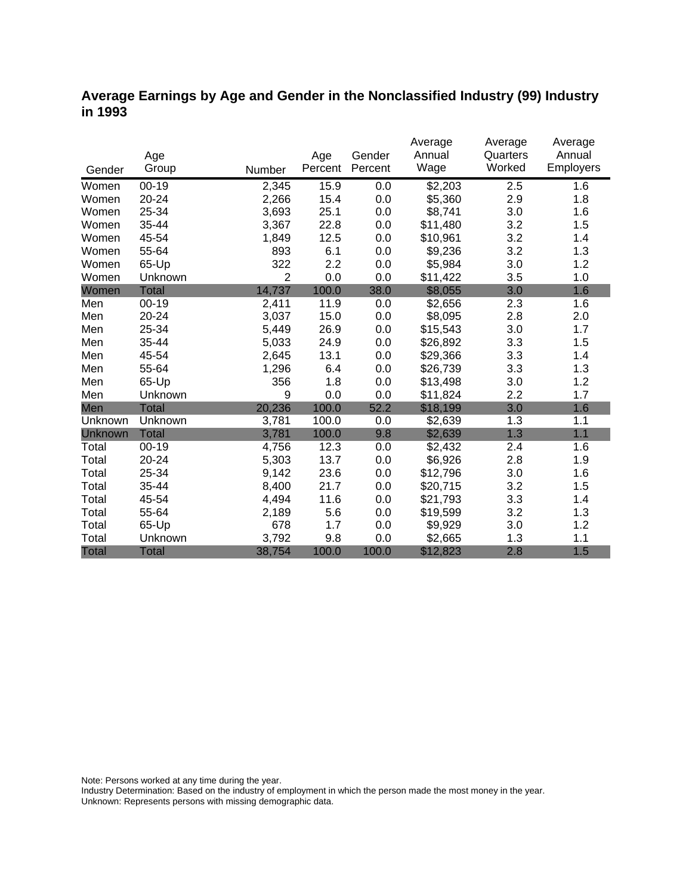#### **Average Earnings by Age and Gender in the Nonclassified Industry (99) Industry in 1993**

|              |              |                |         |         | Average         | Average  | Average   |
|--------------|--------------|----------------|---------|---------|-----------------|----------|-----------|
|              | Age          |                | Age     | Gender  | Annual          | Quarters | Annual    |
| Gender       | Group        | Number         | Percent | Percent | Wage            | Worked   | Employers |
| Women        | $00 - 19$    | 2,345          | 15.9    | 0.0     | $\sqrt{$2,203}$ | 2.5      | 1.6       |
| Women        | $20 - 24$    | 2,266          | 15.4    | 0.0     | \$5,360         | 2.9      | 1.8       |
| Women        | 25-34        | 3,693          | 25.1    | 0.0     | \$8,741         | 3.0      | 1.6       |
| Women        | 35-44        | 3,367          | 22.8    | 0.0     | \$11,480        | 3.2      | 1.5       |
| Women        | 45-54        | 1,849          | 12.5    | 0.0     | \$10,961        | 3.2      | 1.4       |
| Women        | 55-64        | 893            | 6.1     | 0.0     | \$9,236         | 3.2      | 1.3       |
| Women        | 65-Up        | 322            | 2.2     | 0.0     | \$5,984         | 3.0      | 1.2       |
| Women        | Unknown      | $\overline{2}$ | 0.0     | 0.0     | \$11,422        | 3.5      | 1.0       |
| Women        | <b>Total</b> | 14,737         | 100.0   | 38.0    | \$8,055         | 3.0      | 1.6       |
| Men          | $00 - 19$    | 2,411          | 11.9    | 0.0     | \$2,656         | 2.3      | 1.6       |
| Men          | 20-24        | 3,037          | 15.0    | 0.0     | \$8,095         | 2.8      | 2.0       |
| Men          | 25-34        | 5,449          | 26.9    | 0.0     | \$15,543        | 3.0      | 1.7       |
| Men          | 35-44        | 5,033          | 24.9    | 0.0     | \$26,892        | 3.3      | 1.5       |
| Men          | 45-54        | 2,645          | 13.1    | 0.0     | \$29,366        | 3.3      | 1.4       |
| Men          | 55-64        | 1,296          | 6.4     | 0.0     | \$26,739        | 3.3      | 1.3       |
| Men          | 65-Up        | 356            | 1.8     | 0.0     | \$13,498        | 3.0      | 1.2       |
| Men          | Unknown      | 9              | 0.0     | 0.0     | \$11,824        | 2.2      | 1.7       |
| Men          | <b>Total</b> | 20,236         | 100.0   | 52.2    | \$18,199        | 3.0      | 1.6       |
| Unknown      | Unknown      | 3,781          | 100.0   | 0.0     | \$2,639         | 1.3      | 1.1       |
| Unknown      | Total        | 3,781          | 100.0   | 9.8     | \$2,639         | 1.3      | 1.1       |
| Total        | $00 - 19$    | 4,756          | 12.3    | 0.0     | \$2,432         | 2.4      | 1.6       |
| Total        | 20-24        | 5,303          | 13.7    | 0.0     | \$6,926         | 2.8      | 1.9       |
| Total        | 25-34        | 9,142          | 23.6    | 0.0     | \$12,796        | 3.0      | 1.6       |
| Total        | 35-44        | 8,400          | 21.7    | 0.0     | \$20,715        | 3.2      | 1.5       |
| Total        | 45-54        | 4,494          | 11.6    | 0.0     | \$21,793        | 3.3      | 1.4       |
| Total        | 55-64        | 2,189          | 5.6     | 0.0     | \$19,599        | 3.2      | 1.3       |
| Total        | 65-Up        | 678            | 1.7     | 0.0     | \$9,929         | 3.0      | 1.2       |
| Total        | Unknown      | 3,792          | 9.8     | 0.0     | \$2,665         | 1.3      | 1.1       |
| <b>Total</b> | <b>Total</b> | 38,754         | 100.0   | 100.0   | \$12,823        | 2.8      | 1.5       |

Note: Persons worked at any time during the year.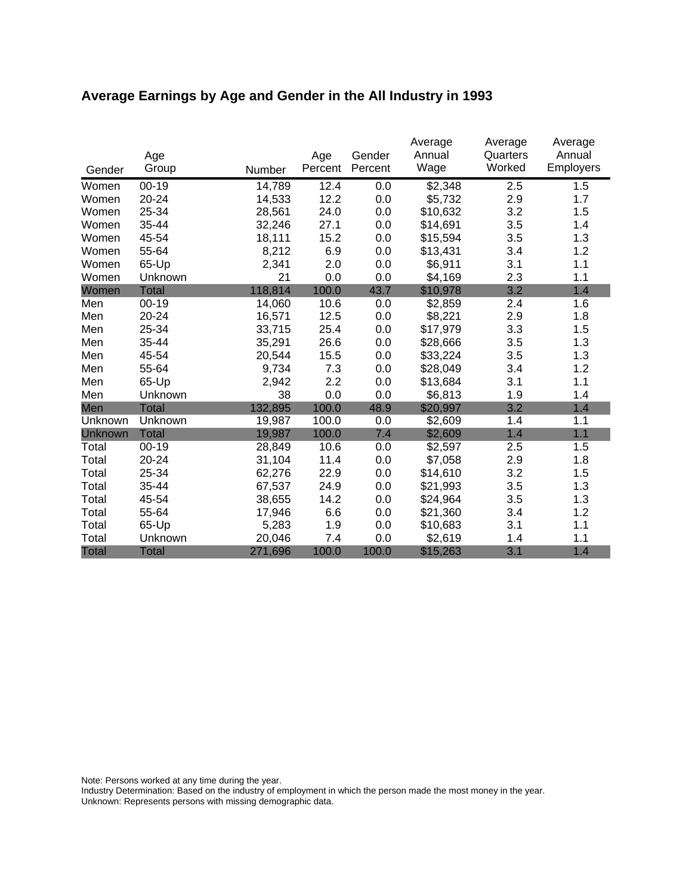# **Average Earnings by Age and Gender in the All Industry in 1993**

|              | Age          |         | Age     | Gender  | Average<br>Annual | Average<br>Quarters | Average<br>Annual |
|--------------|--------------|---------|---------|---------|-------------------|---------------------|-------------------|
| Gender       | Group        | Number  | Percent | Percent | Wage              | Worked              | <b>Employers</b>  |
| Women        | $00 - 19$    | 14,789  | 12.4    | 0.0     | \$2,348           | 2.5                 | 1.5               |
| Women        | 20-24        | 14,533  | 12.2    | 0.0     | \$5,732           | 2.9                 | 1.7               |
| Women        | 25-34        | 28,561  | 24.0    | 0.0     | \$10,632          | 3.2                 | 1.5               |
| Women        | 35-44        | 32,246  | 27.1    | 0.0     | \$14,691          | 3.5                 | 1.4               |
| Women        | 45-54        | 18,111  | 15.2    | 0.0     | \$15,594          | 3.5                 | 1.3               |
| Women        | 55-64        | 8,212   | 6.9     | 0.0     | \$13,431          | 3.4                 | 1.2               |
| Women        | 65-Up        | 2,341   | 2.0     | 0.0     | \$6,911           | 3.1                 | 1.1               |
| Women        | Unknown      | 21      | 0.0     | 0.0     | \$4,169           | 2.3                 | 1.1               |
| Women        | <b>Total</b> | 118,814 | 100.0   | 43.7    | \$10,978          | 3.2                 | 1.4               |
| Men          | $00 - 19$    | 14,060  | 10.6    | 0.0     | \$2,859           | 2.4                 | 1.6               |
| Men          | 20-24        | 16,571  | 12.5    | 0.0     | \$8,221           | 2.9                 | 1.8               |
| Men          | 25-34        | 33,715  | 25.4    | 0.0     | \$17,979          | 3.3                 | 1.5               |
| Men          | 35-44        | 35,291  | 26.6    | 0.0     | \$28,666          | 3.5                 | 1.3               |
| Men          | 45-54        | 20,544  | 15.5    | 0.0     | \$33,224          | 3.5                 | 1.3               |
| Men          | 55-64        | 9,734   | 7.3     | 0.0     | \$28,049          | 3.4                 | 1.2               |
| Men          | 65-Up        | 2,942   | 2.2     | 0.0     | \$13,684          | 3.1                 | 1.1               |
| Men          | Unknown      | 38      | 0.0     | 0.0     | \$6,813           | 1.9                 | 1.4               |
| Men          | Total        | 132,895 | 100.0   | 48.9    | \$20,997          | 3.2                 | 1.4               |
| Unknown      | Unknown      | 19,987  | 100.0   | 0.0     | \$2,609           | 1.4                 | 1.1               |
| Unknown      | <b>Total</b> | 19,987  | 100.0   | 7.4     | \$2,609           | 1.4                 | 1.1               |
| Total        | $00 - 19$    | 28,849  | 10.6    | 0.0     | \$2,597           | 2.5                 | 1.5               |
| Total        | 20-24        | 31,104  | 11.4    | 0.0     | \$7,058           | 2.9                 | 1.8               |
| Total        | 25-34        | 62,276  | 22.9    | 0.0     | \$14,610          | 3.2                 | 1.5               |
| Total        | 35-44        | 67,537  | 24.9    | 0.0     | \$21,993          | 3.5                 | 1.3               |
| Total        | 45-54        | 38,655  | 14.2    | 0.0     | \$24,964          | 3.5                 | 1.3               |
| Total        | 55-64        | 17,946  | 6.6     | 0.0     | \$21,360          | 3.4                 | 1.2               |
| Total        | 65-Up        | 5,283   | 1.9     | 0.0     | \$10,683          | 3.1                 | 1.1               |
| Total        | Unknown      | 20,046  | 7.4     | 0.0     | \$2,619           | 1.4                 | 1.1               |
| <b>Total</b> | <b>Total</b> | 271,696 | 100.0   | 100.0   | \$15,263          | 3.1                 | 1.4               |

Note: Persons worked at any time during the year.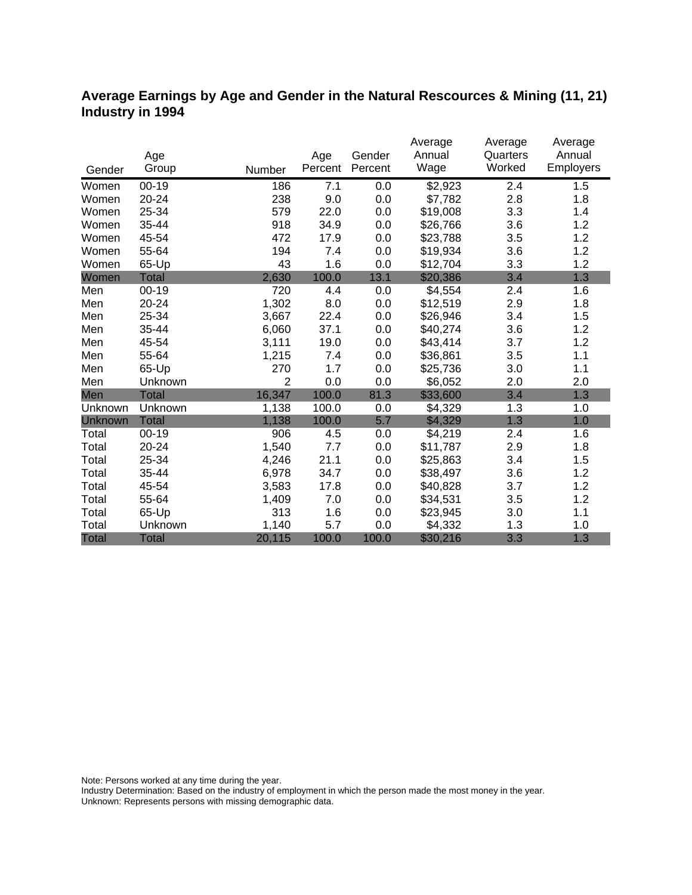#### **Average Earnings by Age and Gender in the Natural Rescources & Mining (11, 21) Industry in 1994**

|              |              |                |         |         | Average  | Average            | Average   |
|--------------|--------------|----------------|---------|---------|----------|--------------------|-----------|
|              | Age          |                | Age     | Gender  | Annual   | Quarters<br>Worked | Annual    |
| Gender       | Group        | Number         | Percent | Percent | Wage     |                    | Employers |
| Women        | $00 - 19$    | 186            | 7.1     | 0.0     | \$2,923  | 2.4                | 1.5       |
| Women        | 20-24        | 238            | 9.0     | 0.0     | \$7,782  | 2.8                | 1.8       |
| Women        | 25-34        | 579            | 22.0    | 0.0     | \$19,008 | 3.3                | 1.4       |
| Women        | 35-44        | 918            | 34.9    | 0.0     | \$26,766 | 3.6                | 1.2       |
| Women        | 45-54        | 472            | 17.9    | 0.0     | \$23,788 | 3.5                | 1.2       |
| Women        | 55-64        | 194            | 7.4     | 0.0     | \$19,934 | 3.6                | 1.2       |
| Women        | 65-Up        | 43             | 1.6     | 0.0     | \$12,704 | 3.3                | 1.2       |
| Women        | Total        | 2,630          | 100.0   | 13.1    | \$20,386 | 3.4                | 1.3       |
| Men          | $00 - 19$    | 720            | 4.4     | 0.0     | \$4,554  | 2.4                | 1.6       |
| Men          | 20-24        | 1,302          | 8.0     | 0.0     | \$12,519 | 2.9                | 1.8       |
| Men          | 25-34        | 3,667          | 22.4    | 0.0     | \$26,946 | 3.4                | 1.5       |
| Men          | 35-44        | 6,060          | 37.1    | 0.0     | \$40,274 | 3.6                | 1.2       |
| Men          | 45-54        | 3,111          | 19.0    | 0.0     | \$43,414 | 3.7                | 1.2       |
| Men          | 55-64        | 1,215          | 7.4     | 0.0     | \$36,861 | 3.5                | 1.1       |
| Men          | 65-Up        | 270            | 1.7     | 0.0     | \$25,736 | 3.0                | 1.1       |
| Men          | Unknown      | $\overline{2}$ | 0.0     | 0.0     | \$6,052  | 2.0                | 2.0       |
| Men          | Total        | 16,347         | 100.0   | 81.3    | \$33,600 | 3.4                | 1.3       |
| Unknown      | Unknown      | 1,138          | 100.0   | 0.0     | \$4,329  | 1.3                | 1.0       |
| Unknown      | <b>Total</b> | 1,138          | 100.0   | 5.7     | \$4,329  | 1.3                | 1.0       |
| Total        | $00 - 19$    | 906            | 4.5     | 0.0     | \$4,219  | 2.4                | 1.6       |
| Total        | 20-24        | 1,540          | 7.7     | 0.0     | \$11,787 | 2.9                | 1.8       |
| Total        | 25-34        | 4,246          | 21.1    | 0.0     | \$25,863 | 3.4                | 1.5       |
| Total        | 35-44        | 6,978          | 34.7    | 0.0     | \$38,497 | 3.6                | 1.2       |
| Total        | 45-54        | 3,583          | 17.8    | 0.0     | \$40,828 | 3.7                | 1.2       |
| Total        | 55-64        | 1,409          | 7.0     | 0.0     | \$34,531 | 3.5                | 1.2       |
| Total        | 65-Up        | 313            | 1.6     | 0.0     | \$23,945 | 3.0                | 1.1       |
| Total        | Unknown      | 1,140          | 5.7     | 0.0     | \$4,332  | 1.3                | 1.0       |
| <b>Total</b> | <b>Total</b> | 20,115         | 100.0   | 100.0   | \$30,216 | 3.3                | 1.3       |

Note: Persons worked at any time during the year.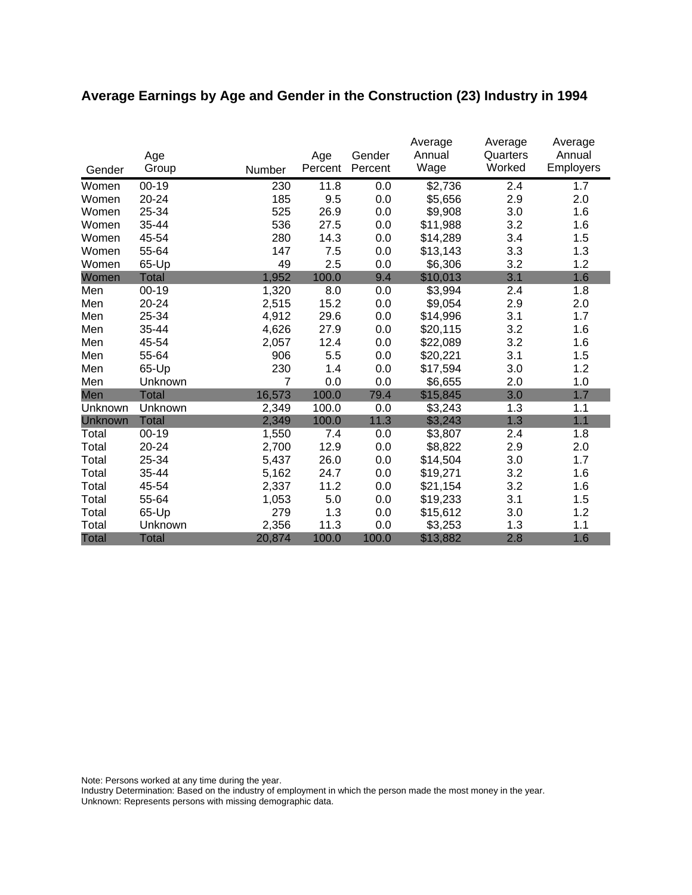# **Average Earnings by Age and Gender in the Construction (23) Industry in 1994**

|              | Age          |        | Age     | Gender  | Average<br>Annual | Average<br>Quarters | Average<br>Annual |
|--------------|--------------|--------|---------|---------|-------------------|---------------------|-------------------|
| Gender       | Group        | Number | Percent | Percent | Wage              | Worked              | <b>Employers</b>  |
| Women        | $00 - 19$    | 230    | 11.8    | 0.0     | \$2,736           | 2.4                 | 1.7               |
| Women        | 20-24        | 185    | 9.5     | 0.0     | \$5,656           | 2.9                 | 2.0               |
| Women        | 25-34        | 525    | 26.9    | 0.0     | \$9,908           | 3.0                 | 1.6               |
| Women        | 35-44        | 536    | 27.5    | 0.0     | \$11,988          | 3.2                 | 1.6               |
| Women        | 45-54        | 280    | 14.3    | 0.0     | \$14,289          | 3.4                 | 1.5               |
| Women        | 55-64        | 147    | 7.5     | 0.0     | \$13,143          | 3.3                 | 1.3               |
| Women        | 65-Up        | 49     | 2.5     | 0.0     | \$6,306           | 3.2                 | 1.2               |
| Women        | <b>Total</b> | 1,952  | 100.0   | 9.4     | \$10,013          | 3.1                 | 1.6               |
| Men          | $00 - 19$    | 1,320  | 8.0     | 0.0     | \$3,994           | 2.4                 | 1.8               |
| Men          | 20-24        | 2,515  | 15.2    | 0.0     | \$9,054           | 2.9                 | 2.0               |
| Men          | 25-34        | 4,912  | 29.6    | 0.0     | \$14,996          | 3.1                 | 1.7               |
| Men          | 35-44        | 4,626  | 27.9    | 0.0     | \$20,115          | 3.2                 | 1.6               |
| Men          | 45-54        | 2,057  | 12.4    | 0.0     | \$22,089          | 3.2                 | 1.6               |
| Men          | 55-64        | 906    | 5.5     | 0.0     | \$20,221          | 3.1                 | 1.5               |
| Men          | 65-Up        | 230    | 1.4     | 0.0     | \$17,594          | 3.0                 | 1.2               |
| Men          | Unknown      | 7      | 0.0     | 0.0     | \$6,655           | 2.0                 | 1.0               |
| Men          | <b>Total</b> | 16,573 | 100.0   | 79.4    | \$15,845          | 3.0                 | 1.7               |
| Unknown      | Unknown      | 2,349  | 100.0   | 0.0     | \$3,243           | 1.3                 | 1.1               |
| Unknown      | <b>Total</b> | 2,349  | 100.0   | 11.3    | \$3,243           | 1.3                 | 1.1               |
| Total        | $00 - 19$    | 1,550  | 7.4     | 0.0     | \$3,807           | 2.4                 | 1.8               |
| Total        | 20-24        | 2,700  | 12.9    | 0.0     | \$8,822           | 2.9                 | 2.0               |
| Total        | 25-34        | 5,437  | 26.0    | 0.0     | \$14,504          | 3.0                 | 1.7               |
| Total        | 35-44        | 5,162  | 24.7    | 0.0     | \$19,271          | 3.2                 | 1.6               |
| Total        | 45-54        | 2,337  | 11.2    | 0.0     | \$21,154          | 3.2                 | 1.6               |
| Total        | 55-64        | 1,053  | 5.0     | 0.0     | \$19,233          | 3.1                 | 1.5               |
| Total        | 65-Up        | 279    | 1.3     | 0.0     | \$15,612          | 3.0                 | 1.2               |
| Total        | Unknown      | 2,356  | 11.3    | 0.0     | \$3,253           | 1.3                 | 1.1               |
| <b>Total</b> | <b>Total</b> | 20,874 | 100.0   | 100.0   | \$13,882          | 2.8                 | 1.6               |

Note: Persons worked at any time during the year.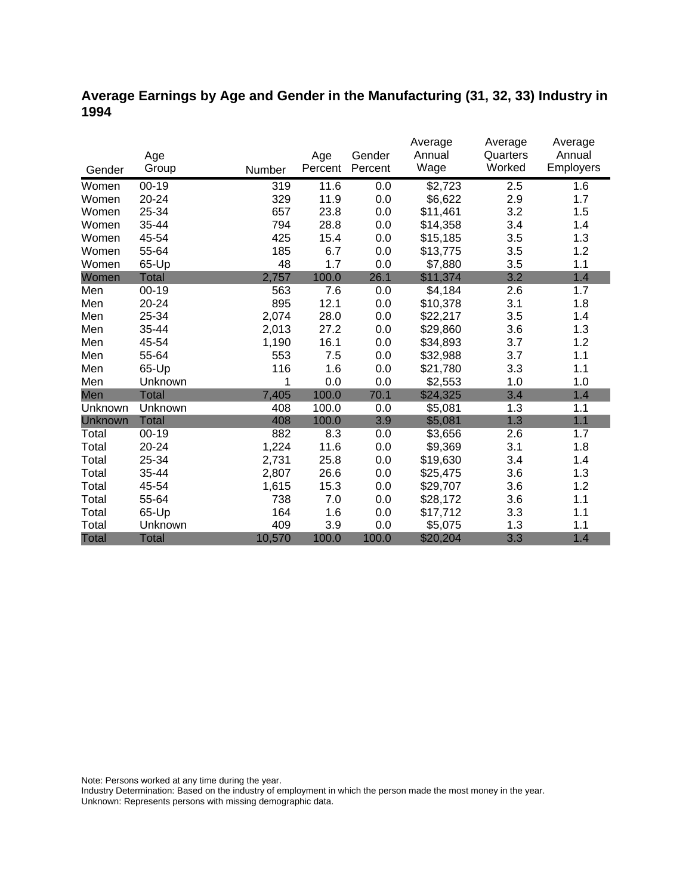### **Average Earnings by Age and Gender in the Manufacturing (31, 32, 33) Industry in 1994**

|              |              |        |         |         | Average  | Average  | Average   |
|--------------|--------------|--------|---------|---------|----------|----------|-----------|
|              | Age          |        | Age     | Gender  | Annual   | Quarters | Annual    |
| Gender       | Group        | Number | Percent | Percent | Wage     | Worked   | Employers |
| Women        | $00 - 19$    | 319    | 11.6    | 0.0     | \$2,723  | 2.5      | 1.6       |
| Women        | 20-24        | 329    | 11.9    | 0.0     | \$6,622  | 2.9      | 1.7       |
| Women        | 25-34        | 657    | 23.8    | 0.0     | \$11,461 | 3.2      | 1.5       |
| Women        | 35-44        | 794    | 28.8    | 0.0     | \$14,358 | 3.4      | 1.4       |
| Women        | 45-54        | 425    | 15.4    | 0.0     | \$15,185 | 3.5      | 1.3       |
| Women        | 55-64        | 185    | 6.7     | 0.0     | \$13,775 | 3.5      | 1.2       |
| Women        | 65-Up        | 48     | 1.7     | 0.0     | \$7,880  | 3.5      | 1.1       |
| Women        | <b>Total</b> | 2,757  | 100.0   | 26.1    | \$11,374 | 3.2      | 1.4       |
| Men          | $00 - 19$    | 563    | 7.6     | 0.0     | \$4,184  | 2.6      | 1.7       |
| Men          | 20-24        | 895    | 12.1    | 0.0     | \$10,378 | 3.1      | 1.8       |
| Men          | 25-34        | 2,074  | 28.0    | 0.0     | \$22,217 | 3.5      | 1.4       |
| Men          | 35-44        | 2,013  | 27.2    | 0.0     | \$29,860 | 3.6      | 1.3       |
| Men          | 45-54        | 1,190  | 16.1    | 0.0     | \$34,893 | 3.7      | 1.2       |
| Men          | 55-64        | 553    | 7.5     | 0.0     | \$32,988 | 3.7      | 1.1       |
| Men          | 65-Up        | 116    | 1.6     | 0.0     | \$21,780 | 3.3      | 1.1       |
| Men          | Unknown      | 1      | 0.0     | 0.0     | \$2,553  | 1.0      | 1.0       |
| Men          | <b>Total</b> | 7,405  | 100.0   | 70.1    | \$24,325 | 3.4      | 1.4       |
| Unknown      | Unknown      | 408    | 100.0   | 0.0     | \$5,081  | 1.3      | 1.1       |
| Unknown      | <b>Total</b> | 408    | 100.0   | 3.9     | \$5,081  | 1.3      | 1.1       |
| Total        | $00 - 19$    | 882    | 8.3     | 0.0     | \$3,656  | 2.6      | 1.7       |
| Total        | 20-24        | 1,224  | 11.6    | 0.0     | \$9,369  | 3.1      | 1.8       |
| Total        | 25-34        | 2,731  | 25.8    | 0.0     | \$19,630 | 3.4      | 1.4       |
| Total        | 35-44        | 2,807  | 26.6    | 0.0     | \$25,475 | 3.6      | 1.3       |
| Total        | 45-54        | 1,615  | 15.3    | 0.0     | \$29,707 | 3.6      | 1.2       |
| Total        | 55-64        | 738    | 7.0     | 0.0     | \$28,172 | 3.6      | 1.1       |
| Total        | 65-Up        | 164    | 1.6     | 0.0     | \$17,712 | 3.3      | 1.1       |
| Total        | Unknown      | 409    | 3.9     | 0.0     | \$5,075  | 1.3      | 1.1       |
| <b>Total</b> | <b>Total</b> | 10,570 | 100.0   | 100.0   | \$20,204 | 3.3      | 1.4       |

Note: Persons worked at any time during the year.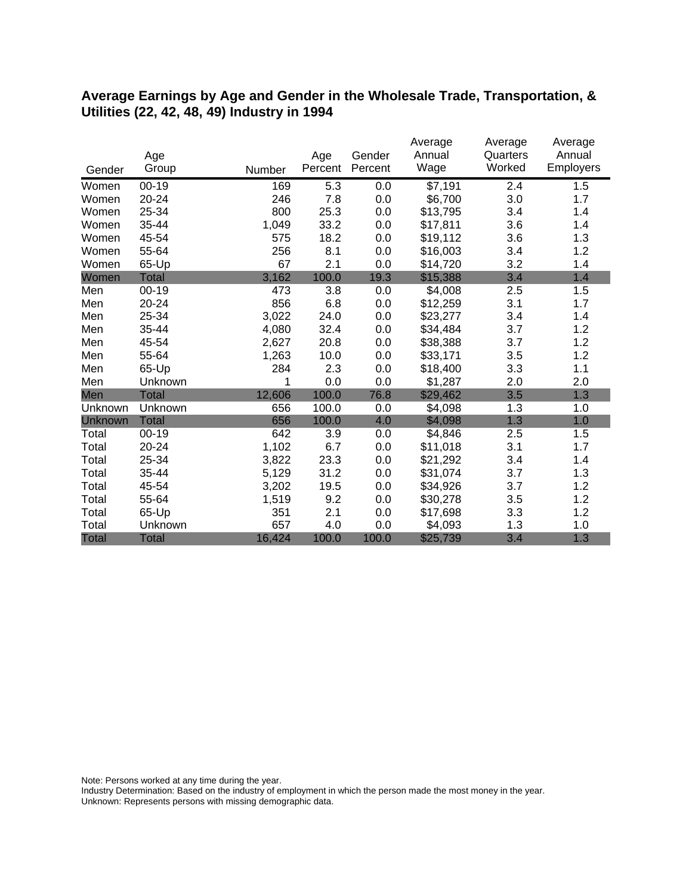#### **Average Earnings by Age and Gender in the Wholesale Trade, Transportation, & Utilities (22, 42, 48, 49) Industry in 1994**

|              |              |        |         |         | Average  | Average  | Average          |
|--------------|--------------|--------|---------|---------|----------|----------|------------------|
|              | Age          |        | Age     | Gender  | Annual   | Quarters | Annual           |
| Gender       | Group        | Number | Percent | Percent | Wage     | Worked   | <b>Employers</b> |
| Women        | $00 - 19$    | 169    | 5.3     | 0.0     | \$7,191  | 2.4      | 1.5              |
| Women        | 20-24        | 246    | 7.8     | 0.0     | \$6,700  | 3.0      | 1.7              |
| Women        | 25-34        | 800    | 25.3    | 0.0     | \$13,795 | 3.4      | 1.4              |
| Women        | 35-44        | 1,049  | 33.2    | 0.0     | \$17,811 | 3.6      | 1.4              |
| Women        | 45-54        | 575    | 18.2    | 0.0     | \$19,112 | 3.6      | 1.3              |
| Women        | 55-64        | 256    | 8.1     | 0.0     | \$16,003 | 3.4      | 1.2              |
| Women        | 65-Up        | 67     | 2.1     | 0.0     | \$14,720 | 3.2      | 1.4              |
| Women        | <b>Total</b> | 3,162  | 100.0   | 19.3    | \$15,388 | 3.4      | 1.4              |
| Men          | $00 - 19$    | 473    | 3.8     | 0.0     | \$4,008  | 2.5      | 1.5              |
| Men          | 20-24        | 856    | 6.8     | 0.0     | \$12,259 | 3.1      | 1.7              |
| Men          | 25-34        | 3,022  | 24.0    | 0.0     | \$23,277 | 3.4      | 1.4              |
| Men          | 35-44        | 4,080  | 32.4    | 0.0     | \$34,484 | 3.7      | 1.2              |
| Men          | 45-54        | 2,627  | 20.8    | 0.0     | \$38,388 | 3.7      | 1.2              |
| Men          | 55-64        | 1,263  | 10.0    | 0.0     | \$33,171 | 3.5      | 1.2              |
| Men          | 65-Up        | 284    | 2.3     | 0.0     | \$18,400 | 3.3      | 1.1              |
| Men          | Unknown      | 1      | 0.0     | 0.0     | \$1,287  | 2.0      | 2.0              |
| Men          | <b>Total</b> | 12,606 | 100.0   | 76.8    | \$29,462 | 3.5      | 1.3              |
| Unknown      | Unknown      | 656    | 100.0   | 0.0     | \$4,098  | 1.3      | 1.0              |
| Unknown      | <b>Total</b> | 656    | 100.0   | 4.0     | \$4,098  | 1.3      | 1.0              |
| Total        | $00 - 19$    | 642    | 3.9     | 0.0     | \$4,846  | 2.5      | 1.5              |
| Total        | 20-24        | 1,102  | 6.7     | 0.0     | \$11,018 | 3.1      | 1.7              |
| Total        | 25-34        | 3,822  | 23.3    | 0.0     | \$21,292 | 3.4      | 1.4              |
| Total        | 35-44        | 5,129  | 31.2    | 0.0     | \$31,074 | 3.7      | 1.3              |
| Total        | 45-54        | 3,202  | 19.5    | 0.0     | \$34,926 | 3.7      | 1.2              |
| Total        | 55-64        | 1,519  | 9.2     | 0.0     | \$30,278 | 3.5      | 1.2              |
| Total        | 65-Up        | 351    | 2.1     | 0.0     | \$17,698 | 3.3      | 1.2              |
| Total        | Unknown      | 657    | 4.0     | 0.0     | \$4,093  | 1.3      | 1.0              |
| <b>Total</b> | <b>Total</b> | 16,424 | 100.0   | 100.0   | \$25,739 | 3.4      | 1.3              |

Note: Persons worked at any time during the year.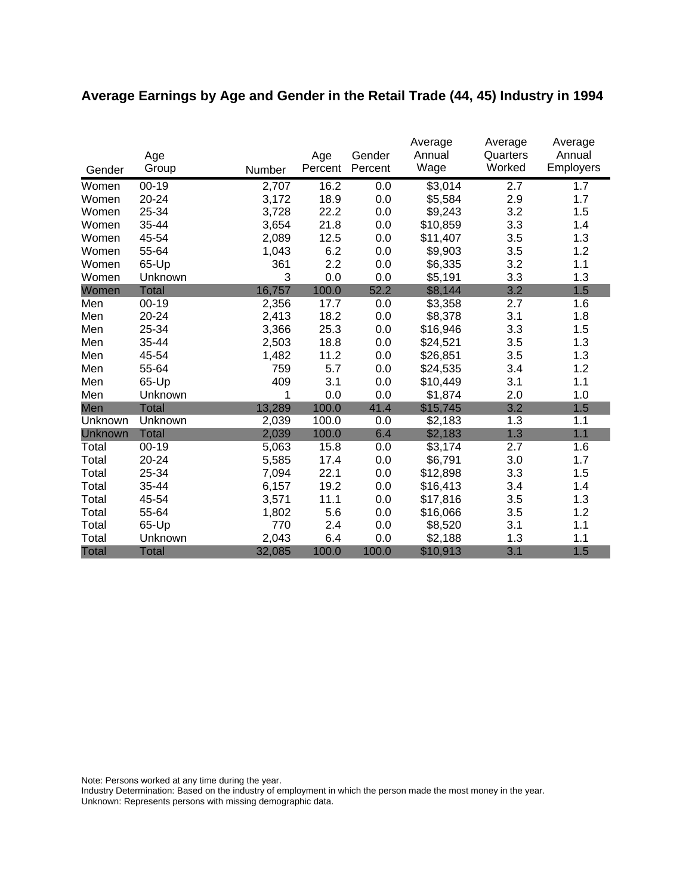# **Average Earnings by Age and Gender in the Retail Trade (44, 45) Industry in 1994**

|              | Age          |        | Age     | Gender  | Average<br>Annual | Average<br>Quarters | Average<br>Annual |
|--------------|--------------|--------|---------|---------|-------------------|---------------------|-------------------|
| Gender       | Group        | Number | Percent | Percent | Wage              | Worked              | <b>Employers</b>  |
| Women        | $00 - 19$    | 2,707  | 16.2    | 0.0     | \$3,014           | 2.7                 | 1.7               |
| Women        | 20-24        | 3,172  | 18.9    | 0.0     | \$5,584           | 2.9                 | 1.7               |
| Women        | 25-34        | 3,728  | 22.2    | 0.0     | \$9,243           | 3.2                 | 1.5               |
| Women        | 35-44        | 3,654  | 21.8    | 0.0     | \$10,859          | 3.3                 | 1.4               |
| Women        | 45-54        | 2,089  | 12.5    | 0.0     | \$11,407          | 3.5                 | 1.3               |
| Women        | 55-64        | 1,043  | 6.2     | 0.0     | \$9,903           | 3.5                 | 1.2               |
| Women        | 65-Up        | 361    | 2.2     | 0.0     | \$6,335           | 3.2                 | 1.1               |
| Women        | Unknown      | 3      | 0.0     | 0.0     | \$5,191           | 3.3                 | 1.3               |
| Women        | <b>Total</b> | 16,757 | 100.0   | 52.2    | \$8,144           | 3.2                 | 1.5               |
| Men          | $00 - 19$    | 2,356  | 17.7    | 0.0     | \$3,358           | 2.7                 | 1.6               |
| Men          | 20-24        | 2,413  | 18.2    | 0.0     | \$8,378           | 3.1                 | 1.8               |
| Men          | 25-34        | 3,366  | 25.3    | 0.0     | \$16,946          | 3.3                 | 1.5               |
| Men          | 35-44        | 2,503  | 18.8    | 0.0     | \$24,521          | 3.5                 | 1.3               |
| Men          | 45-54        | 1,482  | 11.2    | 0.0     | \$26,851          | 3.5                 | 1.3               |
| Men          | 55-64        | 759    | 5.7     | 0.0     | \$24,535          | 3.4                 | 1.2               |
| Men          | 65-Up        | 409    | 3.1     | 0.0     | \$10,449          | 3.1                 | 1.1               |
| Men          | Unknown      | 1      | 0.0     | 0.0     | \$1,874           | 2.0                 | 1.0               |
| Men          | Total        | 13,289 | 100.0   | 41.4    | \$15,745          | 3.2                 | 1.5               |
| Unknown      | Unknown      | 2,039  | 100.0   | 0.0     | \$2,183           | 1.3                 | 1.1               |
| Unknown      | <b>Total</b> | 2,039  | 100.0   | 6.4     | \$2,183           | 1.3                 | 1.1               |
| Total        | $00 - 19$    | 5,063  | 15.8    | 0.0     | \$3,174           | 2.7                 | 1.6               |
| Total        | 20-24        | 5,585  | 17.4    | 0.0     | \$6,791           | 3.0                 | 1.7               |
| Total        | 25-34        | 7,094  | 22.1    | 0.0     | \$12,898          | 3.3                 | 1.5               |
| Total        | 35-44        | 6,157  | 19.2    | 0.0     | \$16,413          | 3.4                 | 1.4               |
| Total        | 45-54        | 3,571  | 11.1    | 0.0     | \$17,816          | 3.5                 | 1.3               |
| Total        | 55-64        | 1,802  | 5.6     | 0.0     | \$16,066          | 3.5                 | 1.2               |
| Total        | 65-Up        | 770    | 2.4     | 0.0     | \$8,520           | 3.1                 | 1.1               |
| Total        | Unknown      | 2,043  | 6.4     | 0.0     | \$2,188           | 1.3                 | 1.1               |
| <b>Total</b> | <b>Total</b> | 32,085 | 100.0   | 100.0   | \$10,913          | 3.1                 | 1.5               |

Note: Persons worked at any time during the year.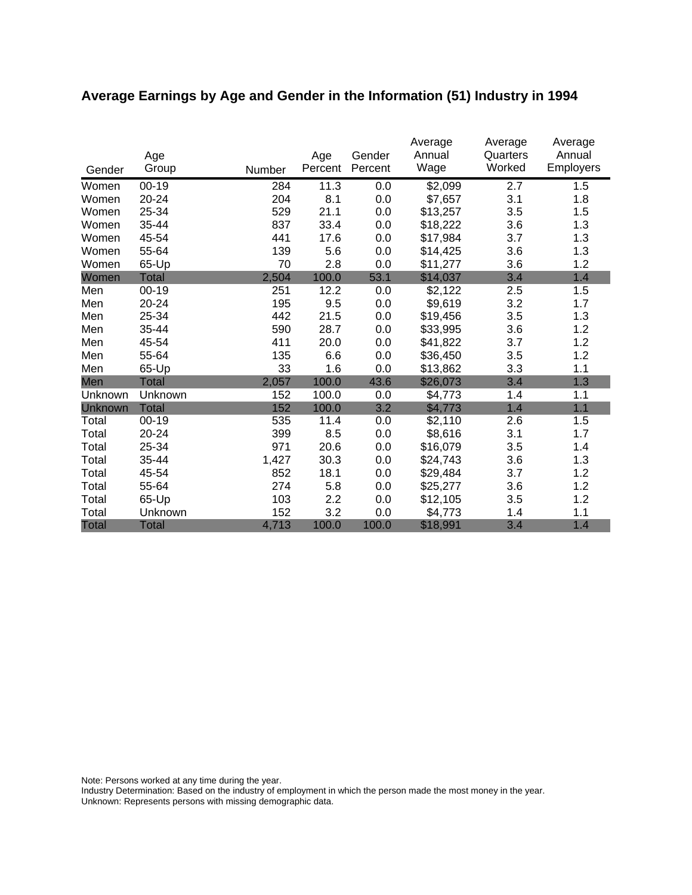# **Average Earnings by Age and Gender in the Information (51) Industry in 1994**

|              | Age          |        | Age     | Gender  | Average<br>Annual | Average<br>Quarters | Average<br>Annual |
|--------------|--------------|--------|---------|---------|-------------------|---------------------|-------------------|
| Gender       | Group        | Number | Percent | Percent | Wage              | Worked              | <b>Employers</b>  |
| Women        | $00 - 19$    | 284    | 11.3    | 0.0     | \$2,099           | 2.7                 | 1.5               |
| Women        | 20-24        | 204    | 8.1     | 0.0     | \$7,657           | 3.1                 | 1.8               |
| Women        | 25-34        | 529    | 21.1    | 0.0     | \$13,257          | 3.5                 | 1.5               |
| Women        | 35-44        | 837    | 33.4    | 0.0     | \$18,222          | 3.6                 | 1.3               |
| Women        | 45-54        | 441    | 17.6    | 0.0     | \$17,984          | 3.7                 | 1.3               |
| Women        | 55-64        | 139    | 5.6     | 0.0     | \$14,425          | 3.6                 | 1.3               |
| Women        | 65-Up        | 70     | 2.8     | 0.0     | \$11,277          | 3.6                 | 1.2               |
| Women        | <b>Total</b> | 2,504  | 100.0   | 53.1    | \$14,037          | 3.4                 | 1.4               |
| Men          | $00 - 19$    | 251    | 12.2    | 0.0     | \$2,122           | 2.5                 | 1.5               |
| Men          | 20-24        | 195    | 9.5     | 0.0     | \$9,619           | 3.2                 | 1.7               |
| Men          | 25-34        | 442    | 21.5    | 0.0     | \$19,456          | 3.5                 | 1.3               |
| Men          | 35-44        | 590    | 28.7    | 0.0     | \$33,995          | 3.6                 | 1.2               |
| Men          | 45-54        | 411    | 20.0    | 0.0     | \$41,822          | 3.7                 | 1.2               |
| Men          | 55-64        | 135    | 6.6     | 0.0     | \$36,450          | 3.5                 | 1.2               |
| Men          | 65-Up        | 33     | 1.6     | 0.0     | \$13,862          | 3.3                 | 1.1               |
| Men          | Total        | 2,057  | 100.0   | 43.6    | \$26,073          | 3.4                 | 1.3               |
| Unknown      | Unknown      | 152    | 100.0   | 0.0     | \$4,773           | 1.4                 | 1.1               |
| Unknown      | <b>Total</b> | 152    | 100.0   | 3.2     | \$4,773           | 1.4                 | 1.1               |
| Total        | $00 - 19$    | 535    | 11.4    | 0.0     | \$2,110           | 2.6                 | 1.5               |
| Total        | 20-24        | 399    | 8.5     | 0.0     | \$8,616           | 3.1                 | 1.7               |
| Total        | 25-34        | 971    | 20.6    | 0.0     | \$16,079          | 3.5                 | 1.4               |
| Total        | 35-44        | 1,427  | 30.3    | 0.0     | \$24,743          | 3.6                 | 1.3               |
| Total        | 45-54        | 852    | 18.1    | 0.0     | \$29,484          | 3.7                 | 1.2               |
| Total        | 55-64        | 274    | 5.8     | 0.0     | \$25,277          | 3.6                 | 1.2               |
| Total        | 65-Up        | 103    | 2.2     | 0.0     | \$12,105          | 3.5                 | 1.2               |
| Total        | Unknown      | 152    | 3.2     | 0.0     | \$4,773           | 1.4                 | 1.1               |
| <b>Total</b> | <b>Total</b> | 4,713  | 100.0   | 100.0   | \$18,991          | 3.4                 | 1.4               |

Note: Persons worked at any time during the year.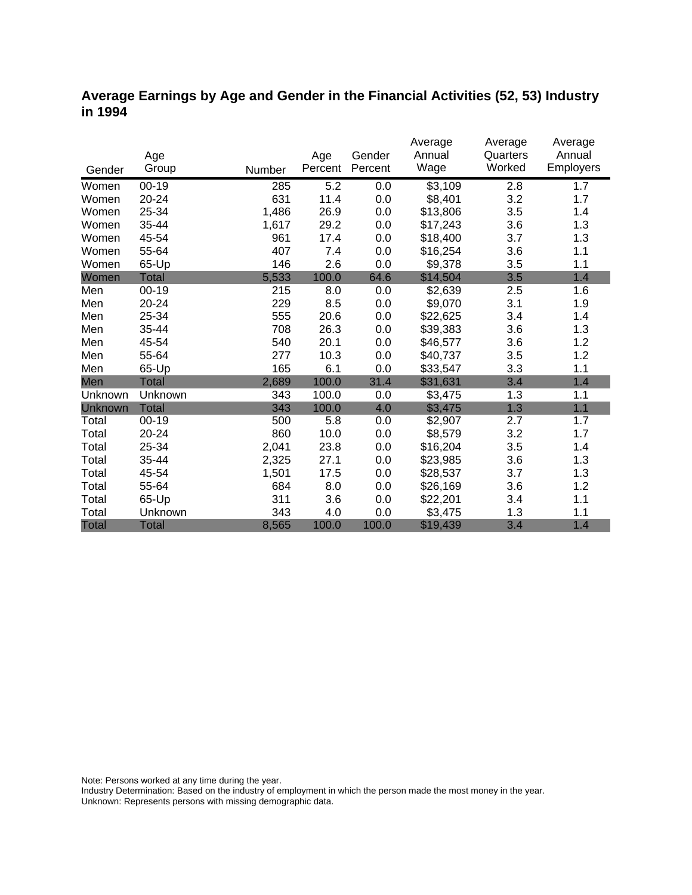### **Average Earnings by Age and Gender in the Financial Activities (52, 53) Industry in 1994**

|                |              |        |         |         | Average  | Average  | Average          |
|----------------|--------------|--------|---------|---------|----------|----------|------------------|
|                | Age          |        | Age     | Gender  | Annual   | Quarters | Annual           |
| Gender         | Group        | Number | Percent | Percent | Wage     | Worked   | <b>Employers</b> |
| Women          | $00-19$      | 285    | 5.2     | 0.0     | \$3,109  | 2.8      | 1.7              |
| Women          | 20-24        | 631    | 11.4    | 0.0     | \$8,401  | 3.2      | 1.7              |
| Women          | 25-34        | 1,486  | 26.9    | 0.0     | \$13,806 | 3.5      | 1.4              |
| Women          | 35-44        | 1,617  | 29.2    | 0.0     | \$17,243 | 3.6      | 1.3              |
| Women          | 45-54        | 961    | 17.4    | 0.0     | \$18,400 | 3.7      | 1.3              |
| Women          | 55-64        | 407    | 7.4     | 0.0     | \$16,254 | 3.6      | 1.1              |
| Women          | 65-Up        | 146    | 2.6     | 0.0     | \$9,378  | 3.5      | 1.1              |
| Women          | <b>Total</b> | 5,533  | 100.0   | 64.6    | \$14,504 | 3.5      | 1.4              |
| Men            | $00 - 19$    | 215    | 8.0     | 0.0     | \$2,639  | 2.5      | 1.6              |
| Men            | 20-24        | 229    | 8.5     | 0.0     | \$9,070  | 3.1      | 1.9              |
| Men            | 25-34        | 555    | 20.6    | 0.0     | \$22,625 | 3.4      | 1.4              |
| Men            | 35-44        | 708    | 26.3    | 0.0     | \$39,383 | 3.6      | 1.3              |
| Men            | 45-54        | 540    | 20.1    | 0.0     | \$46,577 | 3.6      | 1.2              |
| Men            | 55-64        | 277    | 10.3    | 0.0     | \$40,737 | 3.5      | 1.2              |
| Men            | 65-Up        | 165    | 6.1     | 0.0     | \$33,547 | 3.3      | 1.1              |
| Men            | <b>Total</b> | 2,689  | 100.0   | 31.4    | \$31,631 | 3.4      | 1.4              |
| Unknown        | Unknown      | 343    | 100.0   | 0.0     | \$3,475  | 1.3      | 1.1              |
| <b>Unknown</b> | <b>Total</b> | 343    | 100.0   | 4.0     | \$3,475  | 1.3      | 1.1              |
| Total          | $00 - 19$    | 500    | 5.8     | 0.0     | \$2,907  | 2.7      | 1.7              |
| Total          | 20-24        | 860    | 10.0    | 0.0     | \$8,579  | 3.2      | 1.7              |
| Total          | 25-34        | 2,041  | 23.8    | 0.0     | \$16,204 | 3.5      | 1.4              |
| Total          | 35-44        | 2,325  | 27.1    | 0.0     | \$23,985 | 3.6      | 1.3              |
| Total          | 45-54        | 1,501  | 17.5    | 0.0     | \$28,537 | 3.7      | 1.3              |
| Total          | 55-64        | 684    | 8.0     | 0.0     | \$26,169 | 3.6      | 1.2              |
| Total          | 65-Up        | 311    | 3.6     | 0.0     | \$22,201 | 3.4      | 1.1              |
| Total          | Unknown      | 343    | 4.0     | 0.0     | \$3,475  | 1.3      | 1.1              |
| <b>Total</b>   | <b>Total</b> | 8,565  | 100.0   | 100.0   | \$19,439 | 3.4      | 1.4              |

Note: Persons worked at any time during the year.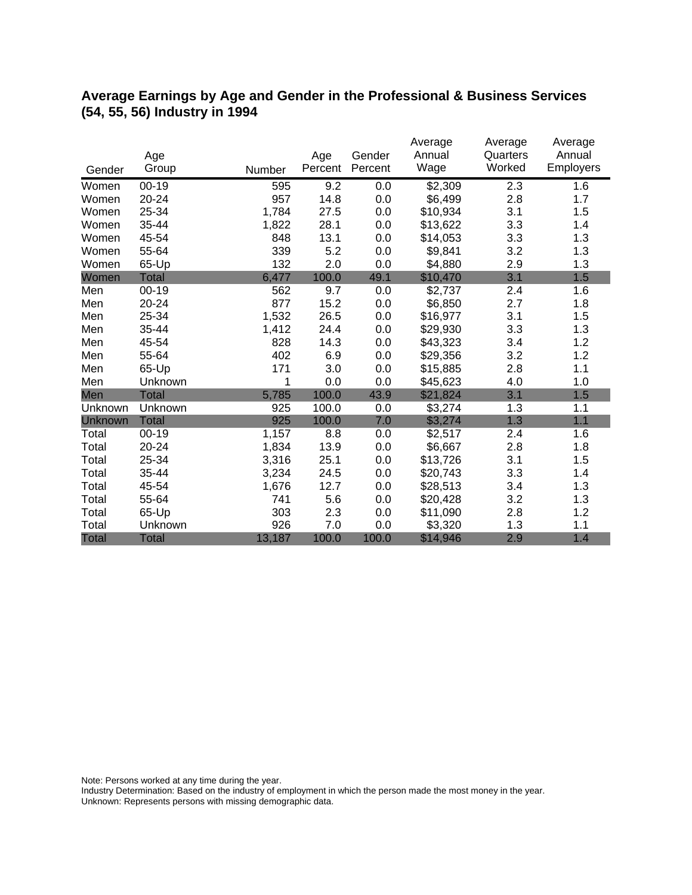### **Average Earnings by Age and Gender in the Professional & Business Services (54, 55, 56) Industry in 1994**

|              |              |        |         |         | Average  | Average  | Average   |
|--------------|--------------|--------|---------|---------|----------|----------|-----------|
|              | Age          |        | Age     | Gender  | Annual   | Quarters | Annual    |
| Gender       | Group        | Number | Percent | Percent | Wage     | Worked   | Employers |
| Women        | $00 - 19$    | 595    | 9.2     | 0.0     | \$2,309  | 2.3      | 1.6       |
| Women        | 20-24        | 957    | 14.8    | 0.0     | \$6,499  | 2.8      | 1.7       |
| Women        | 25-34        | 1,784  | 27.5    | 0.0     | \$10,934 | 3.1      | 1.5       |
| Women        | 35-44        | 1,822  | 28.1    | 0.0     | \$13,622 | 3.3      | 1.4       |
| Women        | 45-54        | 848    | 13.1    | 0.0     | \$14,053 | 3.3      | 1.3       |
| Women        | 55-64        | 339    | 5.2     | 0.0     | \$9,841  | 3.2      | 1.3       |
| Women        | 65-Up        | 132    | 2.0     | 0.0     | \$4,880  | 2.9      | 1.3       |
| Women        | <b>Total</b> | 6,477  | 100.0   | 49.1    | \$10,470 | 3.1      | 1.5       |
| Men          | $00 - 19$    | 562    | 9.7     | 0.0     | \$2,737  | 2.4      | 1.6       |
| Men          | 20-24        | 877    | 15.2    | 0.0     | \$6,850  | 2.7      | 1.8       |
| Men          | 25-34        | 1,532  | 26.5    | 0.0     | \$16,977 | 3.1      | 1.5       |
| Men          | 35-44        | 1,412  | 24.4    | 0.0     | \$29,930 | 3.3      | 1.3       |
| Men          | 45-54        | 828    | 14.3    | 0.0     | \$43,323 | 3.4      | 1.2       |
| Men          | 55-64        | 402    | 6.9     | 0.0     | \$29,356 | 3.2      | 1.2       |
| Men          | 65-Up        | 171    | 3.0     | 0.0     | \$15,885 | 2.8      | 1.1       |
| Men          | Unknown      | 1      | 0.0     | 0.0     | \$45,623 | 4.0      | 1.0       |
| Men          | <b>Total</b> | 5,785  | 100.0   | 43.9    | \$21,824 | 3.1      | 1.5       |
| Unknown      | Unknown      | 925    | 100.0   | 0.0     | \$3,274  | 1.3      | 1.1       |
| Unknown      | <b>Total</b> | 925    | 100.0   | 7.0     | \$3,274  | 1.3      | 1.1       |
| Total        | $00 - 19$    | 1,157  | 8.8     | 0.0     | \$2,517  | 2.4      | 1.6       |
| Total        | 20-24        | 1,834  | 13.9    | 0.0     | \$6,667  | 2.8      | 1.8       |
| Total        | 25-34        | 3,316  | 25.1    | 0.0     | \$13,726 | 3.1      | 1.5       |
| Total        | 35-44        | 3,234  | 24.5    | 0.0     | \$20,743 | 3.3      | 1.4       |
| Total        | 45-54        | 1,676  | 12.7    | 0.0     | \$28,513 | 3.4      | 1.3       |
| Total        | 55-64        | 741    | 5.6     | 0.0     | \$20,428 | 3.2      | 1.3       |
| Total        | 65-Up        | 303    | 2.3     | 0.0     | \$11,090 | 2.8      | 1.2       |
| Total        | Unknown      | 926    | 7.0     | 0.0     | \$3,320  | 1.3      | 1.1       |
| <b>Total</b> | <b>Total</b> | 13,187 | 100.0   | 100.0   | \$14,946 | 2.9      | 1.4       |

Note: Persons worked at any time during the year.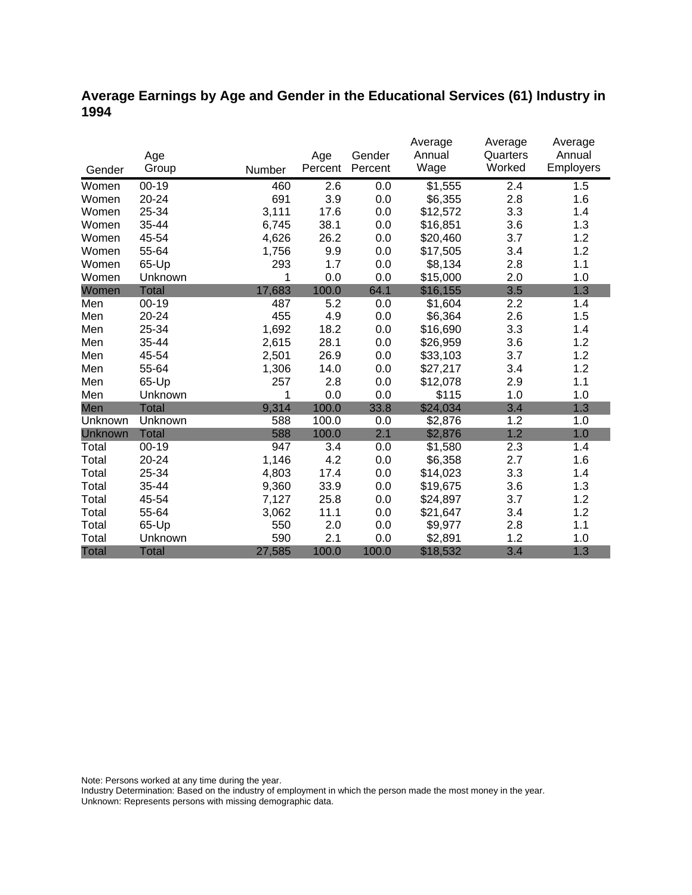## **Average Earnings by Age and Gender in the Educational Services (61) Industry in 1994**

|              |              |        |         |         | Average              | Average  | Average   |
|--------------|--------------|--------|---------|---------|----------------------|----------|-----------|
|              | Age          |        | Age     | Gender  | Annual               | Quarters | Annual    |
| Gender       | Group        | Number | Percent | Percent | Wage                 | Worked   | Employers |
| Women        | $00 - 19$    | 460    | 2.6     | 0.0     | $\overline{\$1,555}$ | 2.4      | 1.5       |
| Women        | 20-24        | 691    | 3.9     | 0.0     | \$6,355              | 2.8      | 1.6       |
| Women        | 25-34        | 3,111  | 17.6    | 0.0     | \$12,572             | 3.3      | 1.4       |
| Women        | 35-44        | 6,745  | 38.1    | 0.0     | \$16,851             | 3.6      | 1.3       |
| Women        | 45-54        | 4,626  | 26.2    | 0.0     | \$20,460             | 3.7      | 1.2       |
| Women        | 55-64        | 1,756  | 9.9     | 0.0     | \$17,505             | 3.4      | 1.2       |
| Women        | 65-Up        | 293    | 1.7     | 0.0     | \$8,134              | 2.8      | 1.1       |
| Women        | Unknown      | 1      | 0.0     | 0.0     | \$15,000             | 2.0      | 1.0       |
| Women        | <b>Total</b> | 17,683 | 100.0   | 64.1    | \$16,155             | 3.5      | 1.3       |
| Men          | $00 - 19$    | 487    | 5.2     | 0.0     | \$1,604              | 2.2      | 1.4       |
| Men          | 20-24        | 455    | 4.9     | 0.0     | \$6,364              | 2.6      | 1.5       |
| Men          | 25-34        | 1,692  | 18.2    | 0.0     | \$16,690             | 3.3      | 1.4       |
| Men          | 35-44        | 2,615  | 28.1    | 0.0     | \$26,959             | 3.6      | 1.2       |
| Men          | 45-54        | 2,501  | 26.9    | 0.0     | \$33,103             | 3.7      | 1.2       |
| Men          | 55-64        | 1,306  | 14.0    | 0.0     | \$27,217             | 3.4      | 1.2       |
| Men          | 65-Up        | 257    | 2.8     | 0.0     | \$12,078             | 2.9      | 1.1       |
| Men          | Unknown      | 1      | 0.0     | 0.0     | \$115                | 1.0      | 1.0       |
| Men          | <b>Total</b> | 9,314  | 100.0   | 33.8    | \$24,034             | 3.4      | 1.3       |
| Unknown      | Unknown      | 588    | 100.0   | 0.0     | \$2,876              | 1.2      | 1.0       |
| Unknown      | <b>Total</b> | 588    | 100.0   | 2.1     | \$2,876              | 1.2      | 1.0       |
| Total        | $00 - 19$    | 947    | 3.4     | 0.0     | \$1,580              | 2.3      | 1.4       |
| Total        | 20-24        | 1,146  | 4.2     | 0.0     | \$6,358              | 2.7      | 1.6       |
| Total        | 25-34        | 4,803  | 17.4    | 0.0     | \$14,023             | 3.3      | 1.4       |
| Total        | 35-44        | 9,360  | 33.9    | 0.0     | \$19,675             | 3.6      | 1.3       |
| Total        | 45-54        | 7,127  | 25.8    | 0.0     | \$24,897             | 3.7      | 1.2       |
| Total        | 55-64        | 3,062  | 11.1    | 0.0     | \$21,647             | 3.4      | 1.2       |
| Total        | 65-Up        | 550    | 2.0     | 0.0     | \$9,977              | 2.8      | 1.1       |
| Total        | Unknown      | 590    | 2.1     | 0.0     | \$2,891              | 1.2      | 1.0       |
| <b>Total</b> | Total        | 27,585 | 100.0   | 100.0   | \$18,532             | 3.4      | 1.3       |

Note: Persons worked at any time during the year.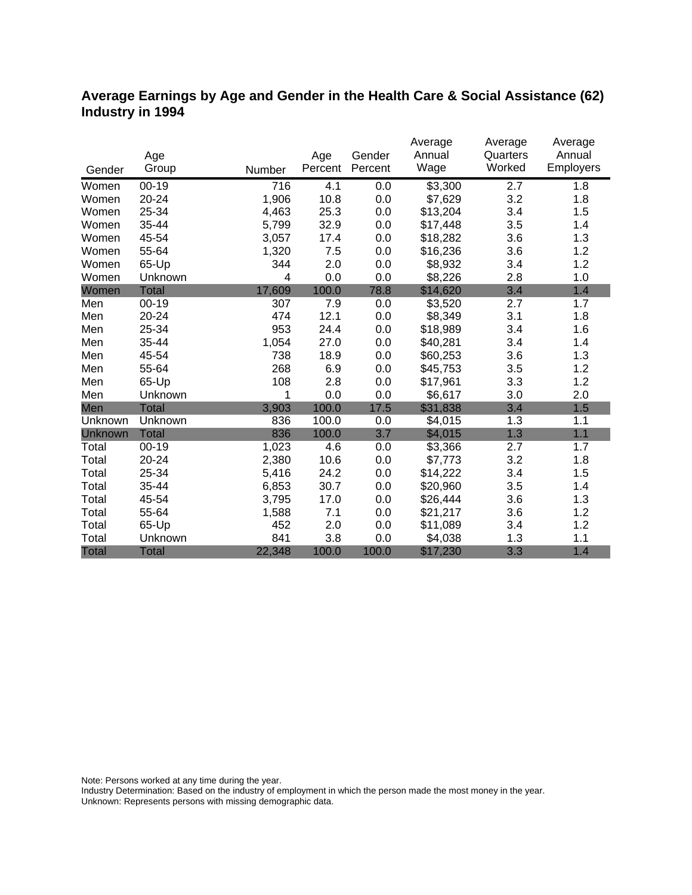## **Average Earnings by Age and Gender in the Health Care & Social Assistance (62) Industry in 1994**

|              |              |        |         |         | Average  | Average  | Average   |
|--------------|--------------|--------|---------|---------|----------|----------|-----------|
|              | Age          |        | Age     | Gender  | Annual   | Quarters | Annual    |
| Gender       | Group        | Number | Percent | Percent | Wage     | Worked   | Employers |
| Women        | $00 - 19$    | 716    | 4.1     | 0.0     | \$3,300  | 2.7      | 1.8       |
| Women        | 20-24        | 1,906  | 10.8    | 0.0     | \$7,629  | 3.2      | 1.8       |
| Women        | 25-34        | 4,463  | 25.3    | 0.0     | \$13,204 | 3.4      | 1.5       |
| Women        | 35-44        | 5,799  | 32.9    | 0.0     | \$17,448 | 3.5      | 1.4       |
| Women        | 45-54        | 3,057  | 17.4    | 0.0     | \$18,282 | 3.6      | 1.3       |
| Women        | 55-64        | 1,320  | 7.5     | 0.0     | \$16,236 | 3.6      | 1.2       |
| Women        | 65-Up        | 344    | 2.0     | 0.0     | \$8,932  | 3.4      | 1.2       |
| Women        | Unknown      | 4      | 0.0     | 0.0     | \$8,226  | 2.8      | 1.0       |
| Women        | <b>Total</b> | 17,609 | 100.0   | 78.8    | \$14,620 | 3.4      | 1.4       |
| Men          | $00 - 19$    | 307    | 7.9     | 0.0     | \$3,520  | 2.7      | 1.7       |
| Men          | 20-24        | 474    | 12.1    | 0.0     | \$8,349  | 3.1      | 1.8       |
| Men          | 25-34        | 953    | 24.4    | 0.0     | \$18,989 | 3.4      | 1.6       |
| Men          | 35-44        | 1,054  | 27.0    | 0.0     | \$40,281 | 3.4      | 1.4       |
| Men          | 45-54        | 738    | 18.9    | 0.0     | \$60,253 | 3.6      | 1.3       |
| Men          | 55-64        | 268    | 6.9     | 0.0     | \$45,753 | 3.5      | 1.2       |
| Men          | 65-Up        | 108    | 2.8     | 0.0     | \$17,961 | 3.3      | 1.2       |
| Men          | Unknown      | 1      | 0.0     | 0.0     | \$6,617  | 3.0      | 2.0       |
| Men          | <b>Total</b> | 3,903  | 100.0   | 17.5    | \$31,838 | 3.4      | 1.5       |
| Unknown      | Unknown      | 836    | 100.0   | 0.0     | \$4,015  | 1.3      | 1.1       |
| Unknown      | <b>Total</b> | 836    | 100.0   | 3.7     | \$4,015  | 1.3      | 1.1       |
| Total        | $00 - 19$    | 1,023  | 4.6     | 0.0     | \$3,366  | 2.7      | 1.7       |
| Total        | 20-24        | 2,380  | 10.6    | 0.0     | \$7,773  | 3.2      | 1.8       |
| Total        | 25-34        | 5,416  | 24.2    | 0.0     | \$14,222 | 3.4      | 1.5       |
| Total        | 35-44        | 6,853  | 30.7    | 0.0     | \$20,960 | 3.5      | 1.4       |
| Total        | 45-54        | 3,795  | 17.0    | 0.0     | \$26,444 | 3.6      | 1.3       |
| Total        | 55-64        | 1,588  | 7.1     | 0.0     | \$21,217 | 3.6      | 1.2       |
| Total        | 65-Up        | 452    | 2.0     | 0.0     | \$11,089 | 3.4      | 1.2       |
| Total        | Unknown      | 841    | 3.8     | 0.0     | \$4,038  | 1.3      | 1.1       |
| <b>Total</b> | <b>Total</b> | 22,348 | 100.0   | 100.0   | \$17,230 | 3.3      | 1.4       |

Note: Persons worked at any time during the year.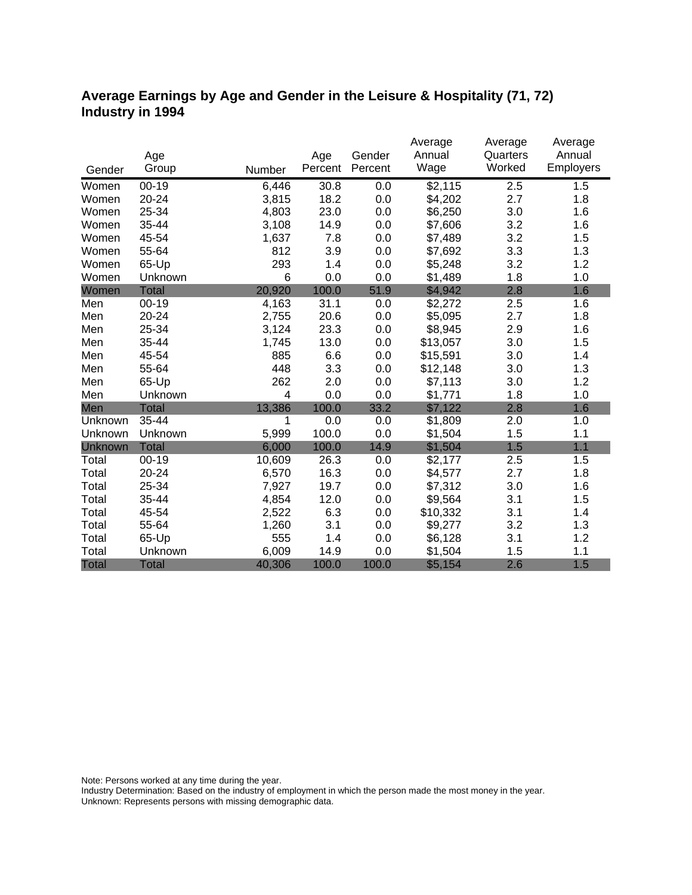### **Average Earnings by Age and Gender in the Leisure & Hospitality (71, 72) Industry in 1994**

|              |              |        |         |         | Average  | Average  | Average   |
|--------------|--------------|--------|---------|---------|----------|----------|-----------|
|              | Age          |        | Age     | Gender  | Annual   | Quarters | Annual    |
| Gender       | Group        | Number | Percent | Percent | Wage     | Worked   | Employers |
| Women        | $00 - 19$    | 6,446  | 30.8    | 0.0     | \$2,115  | 2.5      | 1.5       |
| Women        | 20-24        | 3,815  | 18.2    | 0.0     | \$4,202  | 2.7      | 1.8       |
| Women        | 25-34        | 4,803  | 23.0    | 0.0     | \$6,250  | 3.0      | 1.6       |
| Women        | 35-44        | 3,108  | 14.9    | 0.0     | \$7,606  | 3.2      | 1.6       |
| Women        | 45-54        | 1,637  | 7.8     | 0.0     | \$7,489  | 3.2      | 1.5       |
| Women        | 55-64        | 812    | 3.9     | 0.0     | \$7,692  | 3.3      | 1.3       |
| Women        | 65-Up        | 293    | 1.4     | 0.0     | \$5,248  | 3.2      | 1.2       |
| Women        | Unknown      | 6      | 0.0     | 0.0     | \$1,489  | 1.8      | 1.0       |
| Women        | <b>Total</b> | 20,920 | 100.0   | 51.9    | \$4,942  | 2.8      | 1.6       |
| Men          | $00-19$      | 4,163  | 31.1    | 0.0     | \$2,272  | 2.5      | 1.6       |
| Men          | 20-24        | 2,755  | 20.6    | 0.0     | \$5,095  | 2.7      | 1.8       |
| Men          | 25-34        | 3,124  | 23.3    | 0.0     | \$8,945  | 2.9      | 1.6       |
| Men          | 35-44        | 1,745  | 13.0    | 0.0     | \$13,057 | 3.0      | 1.5       |
| Men          | 45-54        | 885    | 6.6     | 0.0     | \$15,591 | 3.0      | 1.4       |
| Men          | 55-64        | 448    | 3.3     | 0.0     | \$12,148 | 3.0      | 1.3       |
| Men          | 65-Up        | 262    | 2.0     | 0.0     | \$7,113  | 3.0      | 1.2       |
| Men          | Unknown      | 4      | 0.0     | 0.0     | \$1,771  | 1.8      | 1.0       |
| Men          | <b>Total</b> | 13,386 | 100.0   | 33.2    | \$7,122  | 2.8      | 1.6       |
| Unknown      | 35-44        | 1      | 0.0     | 0.0     | \$1,809  | 2.0      | 1.0       |
| Unknown      | Unknown      | 5,999  | 100.0   | 0.0     | \$1,504  | 1.5      | 1.1       |
| Unknown      | <b>Total</b> | 6,000  | 100.0   | 14.9    | \$1,504  | 1.5      | 1.1       |
| Total        | $00 - 19$    | 10,609 | 26.3    | 0.0     | \$2,177  | 2.5      | 1.5       |
| Total        | 20-24        | 6,570  | 16.3    | 0.0     | \$4,577  | 2.7      | 1.8       |
| Total        | 25-34        | 7,927  | 19.7    | 0.0     | \$7,312  | 3.0      | 1.6       |
| Total        | 35-44        | 4,854  | 12.0    | 0.0     | \$9,564  | 3.1      | 1.5       |
| Total        | 45-54        | 2,522  | 6.3     | 0.0     | \$10,332 | 3.1      | 1.4       |
| Total        | 55-64        | 1,260  | 3.1     | 0.0     | \$9,277  | 3.2      | 1.3       |
| Total        | 65-Up        | 555    | 1.4     | 0.0     | \$6,128  | 3.1      | 1.2       |
| Total        | Unknown      | 6,009  | 14.9    | 0.0     | \$1,504  | 1.5      | 1.1       |
| <b>Total</b> | <b>Total</b> | 40,306 | 100.0   | 100.0   | \$5,154  | 2.6      | 1.5       |

Note: Persons worked at any time during the year.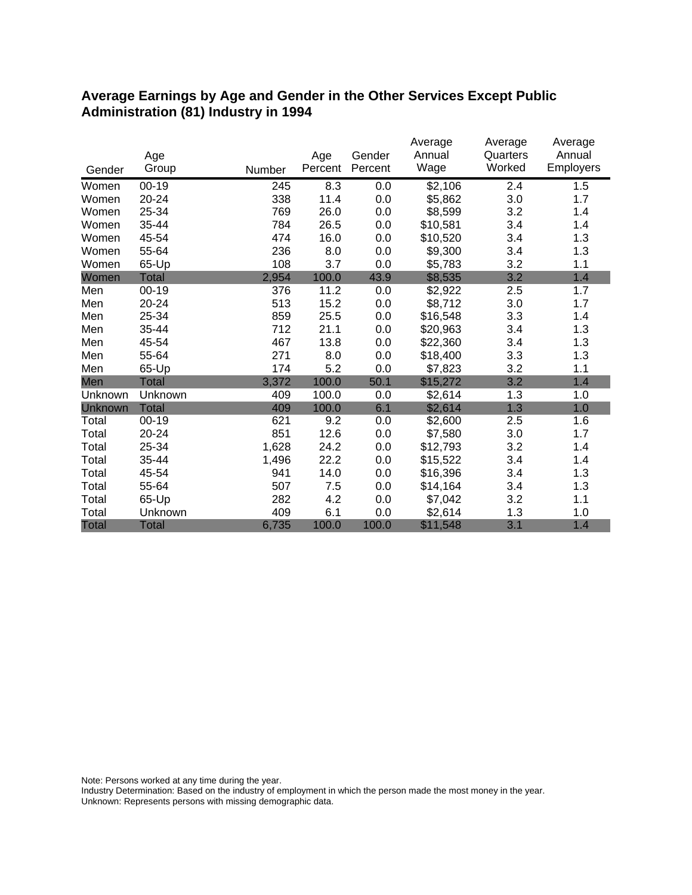#### **Average Earnings by Age and Gender in the Other Services Except Public Administration (81) Industry in 1994**

|                |              |        |         |         | Average  | Average  | Average   |
|----------------|--------------|--------|---------|---------|----------|----------|-----------|
|                | Age          |        | Age     | Gender  | Annual   | Quarters | Annual    |
| Gender         | Group        | Number | Percent | Percent | Wage     | Worked   | Employers |
| Women          | $00-19$      | 245    | 8.3     | 0.0     | \$2,106  | 2.4      | 1.5       |
| Women          | 20-24        | 338    | 11.4    | 0.0     | \$5,862  | 3.0      | 1.7       |
| Women          | 25-34        | 769    | 26.0    | 0.0     | \$8,599  | 3.2      | 1.4       |
| Women          | 35-44        | 784    | 26.5    | 0.0     | \$10,581 | 3.4      | 1.4       |
| Women          | 45-54        | 474    | 16.0    | 0.0     | \$10,520 | 3.4      | 1.3       |
| Women          | 55-64        | 236    | 8.0     | 0.0     | \$9,300  | 3.4      | 1.3       |
| Women          | 65-Up        | 108    | 3.7     | 0.0     | \$5,783  | 3.2      | 1.1       |
| Women          | <b>Total</b> | 2,954  | 100.0   | 43.9    | \$8,535  | 3.2      | 1.4       |
| Men            | $00 - 19$    | 376    | 11.2    | 0.0     | \$2,922  | 2.5      | 1.7       |
| Men            | 20-24        | 513    | 15.2    | 0.0     | \$8,712  | 3.0      | 1.7       |
| Men            | 25-34        | 859    | 25.5    | 0.0     | \$16,548 | 3.3      | 1.4       |
| Men            | 35-44        | 712    | 21.1    | 0.0     | \$20,963 | 3.4      | 1.3       |
| Men            | 45-54        | 467    | 13.8    | 0.0     | \$22,360 | 3.4      | 1.3       |
| Men            | 55-64        | 271    | 8.0     | 0.0     | \$18,400 | 3.3      | 1.3       |
| Men            | 65-Up        | 174    | 5.2     | 0.0     | \$7,823  | 3.2      | 1.1       |
| Men            | <b>Total</b> | 3,372  | 100.0   | 50.1    | \$15,272 | 3.2      | 1.4       |
| Unknown        | Unknown      | 409    | 100.0   | 0.0     | \$2,614  | 1.3      | 1.0       |
| <b>Unknown</b> | <b>Total</b> | 409    | 100.0   | 6.1     | \$2,614  | 1.3      | 1.0       |
| Total          | $00 - 19$    | 621    | 9.2     | 0.0     | \$2,600  | 2.5      | 1.6       |
| Total          | 20-24        | 851    | 12.6    | 0.0     | \$7,580  | 3.0      | 1.7       |
| Total          | 25-34        | 1,628  | 24.2    | 0.0     | \$12,793 | 3.2      | 1.4       |
| Total          | 35-44        | 1,496  | 22.2    | 0.0     | \$15,522 | 3.4      | 1.4       |
| Total          | 45-54        | 941    | 14.0    | 0.0     | \$16,396 | 3.4      | 1.3       |
| Total          | 55-64        | 507    | 7.5     | 0.0     | \$14,164 | 3.4      | 1.3       |
| Total          | 65-Up        | 282    | 4.2     | 0.0     | \$7,042  | 3.2      | 1.1       |
| Total          | Unknown      | 409    | 6.1     | 0.0     | \$2,614  | 1.3      | 1.0       |
| <b>Total</b>   | <b>Total</b> | 6,735  | 100.0   | 100.0   | \$11,548 | 3.1      | 1.4       |

Note: Persons worked at any time during the year.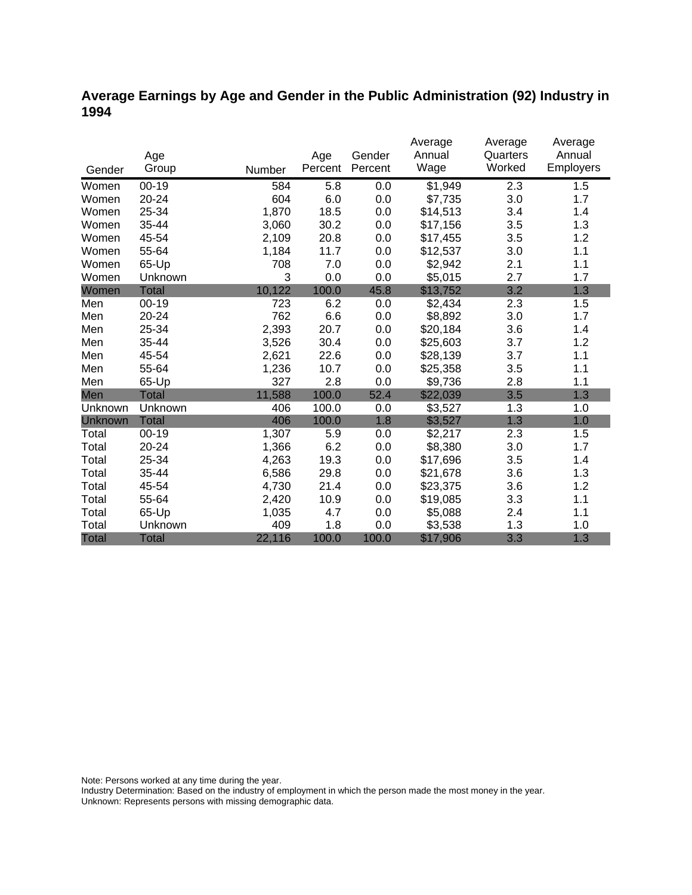### **Average Earnings by Age and Gender in the Public Administration (92) Industry in 1994**

|              |              |        |         |         | Average  | Average  | Average          |
|--------------|--------------|--------|---------|---------|----------|----------|------------------|
|              | Age          |        | Age     | Gender  | Annual   | Quarters | Annual           |
| Gender       | Group        | Number | Percent | Percent | Wage     | Worked   | <b>Employers</b> |
| Women        | $00 - 19$    | 584    | 5.8     | 0.0     | \$1,949  | 2.3      | 1.5              |
| Women        | 20-24        | 604    | 6.0     | 0.0     | \$7,735  | 3.0      | 1.7              |
| Women        | 25-34        | 1,870  | 18.5    | 0.0     | \$14,513 | 3.4      | 1.4              |
| Women        | 35-44        | 3,060  | 30.2    | 0.0     | \$17,156 | 3.5      | 1.3              |
| Women        | 45-54        | 2,109  | 20.8    | 0.0     | \$17,455 | 3.5      | 1.2              |
| Women        | 55-64        | 1,184  | 11.7    | 0.0     | \$12,537 | 3.0      | 1.1              |
| Women        | 65-Up        | 708    | 7.0     | 0.0     | \$2,942  | 2.1      | 1.1              |
| Women        | Unknown      | 3      | 0.0     | 0.0     | \$5,015  | 2.7      | 1.7              |
| Women        | <b>Total</b> | 10,122 | 100.0   | 45.8    | \$13,752 | 3.2      | 1.3              |
| Men          | $00 - 19$    | 723    | 6.2     | 0.0     | \$2,434  | 2.3      | 1.5              |
| Men          | 20-24        | 762    | 6.6     | 0.0     | \$8,892  | 3.0      | 1.7              |
| Men          | 25-34        | 2,393  | 20.7    | 0.0     | \$20,184 | 3.6      | 1.4              |
| Men          | 35-44        | 3,526  | 30.4    | 0.0     | \$25,603 | 3.7      | 1.2              |
| Men          | 45-54        | 2,621  | 22.6    | 0.0     | \$28,139 | 3.7      | 1.1              |
| Men          | 55-64        | 1,236  | 10.7    | 0.0     | \$25,358 | 3.5      | 1.1              |
| Men          | 65-Up        | 327    | 2.8     | 0.0     | \$9,736  | 2.8      | 1.1              |
| Men          | <b>Total</b> | 11,588 | 100.0   | 52.4    | \$22,039 | 3.5      | 1.3              |
| Unknown      | Unknown      | 406    | 100.0   | 0.0     | \$3,527  | 1.3      | 1.0              |
| Unknown      | <b>Total</b> | 406    | 100.0   | 1.8     | \$3,527  | 1.3      | 1.0              |
| Total        | $00 - 19$    | 1,307  | 5.9     | 0.0     | \$2,217  | 2.3      | 1.5              |
| Total        | $20 - 24$    | 1,366  | 6.2     | 0.0     | \$8,380  | 3.0      | 1.7              |
| Total        | 25-34        | 4,263  | 19.3    | 0.0     | \$17,696 | 3.5      | 1.4              |
| Total        | 35-44        | 6,586  | 29.8    | 0.0     | \$21,678 | 3.6      | 1.3              |
| Total        | 45-54        | 4,730  | 21.4    | 0.0     | \$23,375 | 3.6      | 1.2              |
| Total        | 55-64        | 2,420  | 10.9    | 0.0     | \$19,085 | 3.3      | 1.1              |
| Total        | 65-Up        | 1,035  | 4.7     | 0.0     | \$5,088  | 2.4      | 1.1              |
| Total        | Unknown      | 409    | 1.8     | 0.0     | \$3,538  | 1.3      | 1.0              |
| <b>Total</b> | <b>Total</b> | 22,116 | 100.0   | 100.0   | \$17,906 | 3.3      | 1.3              |

Note: Persons worked at any time during the year.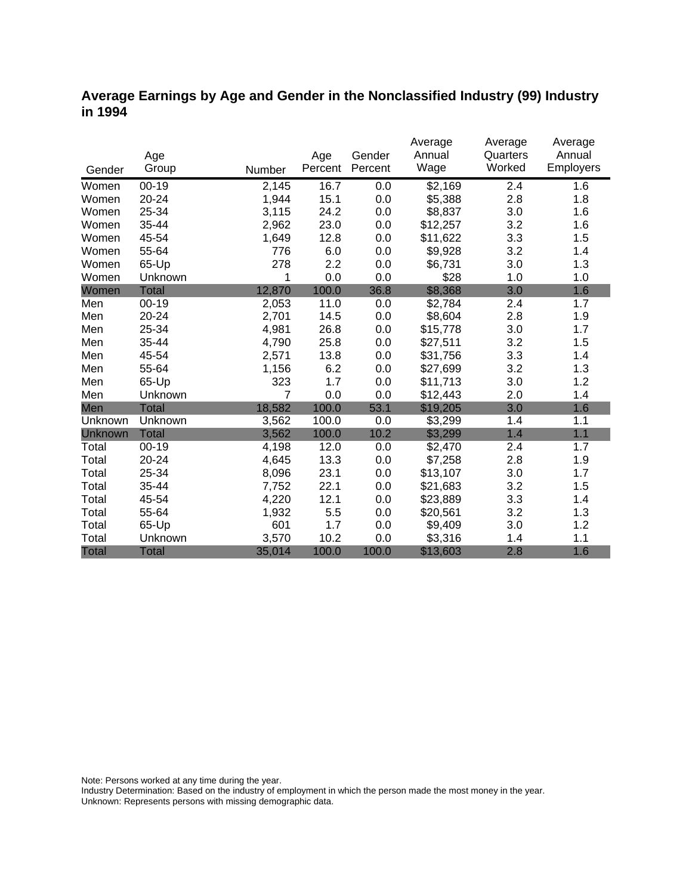#### **Average Earnings by Age and Gender in the Nonclassified Industry (99) Industry in 1994**

|              |              |                |         |         | Average  | Average  | Average   |
|--------------|--------------|----------------|---------|---------|----------|----------|-----------|
|              | Age          |                | Age     | Gender  | Annual   | Quarters | Annual    |
| Gender       | Group        | Number         | Percent | Percent | Wage     | Worked   | Employers |
| Women        | $00 - 19$    | 2,145          | 16.7    | 0.0     | \$2,169  | 2.4      | 1.6       |
| Women        | $20 - 24$    | 1,944          | 15.1    | 0.0     | \$5,388  | 2.8      | 1.8       |
| Women        | 25-34        | 3,115          | 24.2    | 0.0     | \$8,837  | 3.0      | 1.6       |
| Women        | 35-44        | 2,962          | 23.0    | 0.0     | \$12,257 | 3.2      | 1.6       |
| Women        | 45-54        | 1,649          | 12.8    | 0.0     | \$11,622 | 3.3      | 1.5       |
| Women        | 55-64        | 776            | 6.0     | 0.0     | \$9,928  | 3.2      | 1.4       |
| Women        | 65-Up        | 278            | 2.2     | 0.0     | \$6,731  | 3.0      | 1.3       |
| Women        | Unknown      | 1              | 0.0     | 0.0     | \$28     | 1.0      | 1.0       |
| Women        | <b>Total</b> | 12,870         | 100.0   | 36.8    | \$8,368  | 3.0      | 1.6       |
| Men          | $00 - 19$    | 2,053          | 11.0    | 0.0     | \$2,784  | 2.4      | 1.7       |
| Men          | 20-24        | 2,701          | 14.5    | 0.0     | \$8,604  | 2.8      | 1.9       |
| Men          | 25-34        | 4,981          | 26.8    | 0.0     | \$15,778 | 3.0      | 1.7       |
| Men          | 35-44        | 4,790          | 25.8    | 0.0     | \$27,511 | 3.2      | 1.5       |
| Men          | 45-54        | 2,571          | 13.8    | 0.0     | \$31,756 | 3.3      | 1.4       |
| Men          | 55-64        | 1,156          | 6.2     | 0.0     | \$27,699 | 3.2      | 1.3       |
| Men          | 65-Up        | 323            | 1.7     | 0.0     | \$11,713 | 3.0      | 1.2       |
| Men          | Unknown      | $\overline{7}$ | 0.0     | 0.0     | \$12,443 | 2.0      | 1.4       |
| Men          | <b>Total</b> | 18,582         | 100.0   | 53.1    | \$19,205 | 3.0      | 1.6       |
| Unknown      | Unknown      | 3,562          | 100.0   | 0.0     | \$3,299  | 1.4      | 1.1       |
| Unknown      | <b>Total</b> | 3,562          | 100.0   | 10.2    | \$3,299  | 1.4      | 1.1       |
| Total        | $00 - 19$    | 4,198          | 12.0    | 0.0     | \$2,470  | 2.4      | 1.7       |
| Total        | 20-24        | 4,645          | 13.3    | 0.0     | \$7,258  | 2.8      | 1.9       |
| Total        | 25-34        | 8,096          | 23.1    | 0.0     | \$13,107 | 3.0      | 1.7       |
| Total        | 35-44        | 7,752          | 22.1    | 0.0     | \$21,683 | 3.2      | 1.5       |
| Total        | 45-54        | 4,220          | 12.1    | 0.0     | \$23,889 | 3.3      | 1.4       |
| Total        | 55-64        | 1,932          | 5.5     | 0.0     | \$20,561 | 3.2      | 1.3       |
| Total        | 65-Up        | 601            | 1.7     | 0.0     | \$9,409  | 3.0      | 1.2       |
| Total        | Unknown      | 3,570          | 10.2    | 0.0     | \$3,316  | 1.4      | 1.1       |
| <b>Total</b> | <b>Total</b> | 35,014         | 100.0   | 100.0   | \$13,603 | 2.8      | 1.6       |

Note: Persons worked at any time during the year.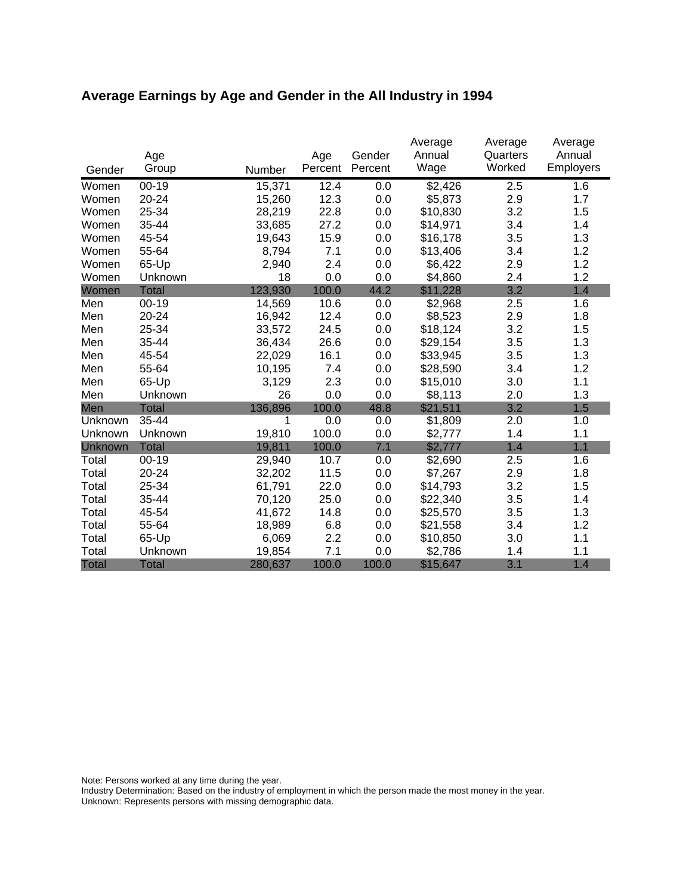# **Average Earnings by Age and Gender in the All Industry in 1994**

|              |              |         |                | Gender  | Average<br>Annual | Average<br>Quarters | Average<br>Annual |
|--------------|--------------|---------|----------------|---------|-------------------|---------------------|-------------------|
| Gender       | Age<br>Group | Number  | Age<br>Percent | Percent | Wage              | Worked              | Employers         |
| Women        | $00 - 19$    | 15,371  | 12.4           | 0.0     | \$2,426           | 2.5                 | 1.6               |
| Women        | 20-24        | 15,260  | 12.3           | 0.0     | \$5,873           | 2.9                 | 1.7               |
| Women        | 25-34        | 28,219  | 22.8           | 0.0     | \$10,830          | 3.2                 | 1.5               |
| Women        | 35-44        | 33,685  | 27.2           | 0.0     | \$14,971          | 3.4                 | 1.4               |
| Women        | 45-54        | 19,643  | 15.9           | 0.0     | \$16,178          | 3.5                 | 1.3               |
| Women        | 55-64        | 8,794   | 7.1            | 0.0     | \$13,406          | 3.4                 | 1.2               |
| Women        | 65-Up        | 2,940   | 2.4            | 0.0     | \$6,422           | 2.9                 | 1.2               |
| Women        | Unknown      | 18      | 0.0            | 0.0     | \$4,860           | 2.4                 | 1.2               |
| Women        | <b>Total</b> | 123,930 | 100.0          | 44.2    | \$11,228          | 3.2                 | 1.4               |
| Men          | $00 - 19$    | 14,569  | 10.6           | 0.0     | \$2,968           | 2.5                 | 1.6               |
| Men          | 20-24        | 16,942  | 12.4           | 0.0     | \$8,523           | 2.9                 | 1.8               |
| Men          | 25-34        | 33,572  | 24.5           | 0.0     | \$18,124          | 3.2                 | 1.5               |
| Men          | 35-44        | 36,434  | 26.6           | 0.0     | \$29,154          | 3.5                 | 1.3               |
| Men          | 45-54        | 22,029  | 16.1           | 0.0     | \$33,945          | 3.5                 | 1.3               |
| Men          | 55-64        | 10,195  | 7.4            | 0.0     | \$28,590          | 3.4                 | 1.2               |
| Men          | 65-Up        | 3,129   | 2.3            | 0.0     | \$15,010          | 3.0                 | 1.1               |
| Men          | Unknown      | 26      | 0.0            | 0.0     | \$8,113           | 2.0                 | 1.3               |
| Men          | Total        | 136,896 | 100.0          | 48.8    | \$21,511          | 3.2                 | 1.5               |
| Unknown      | 35-44        | 1       | 0.0            | 0.0     | \$1,809           | 2.0                 | 1.0               |
| Unknown      | Unknown      | 19,810  | 100.0          | 0.0     | \$2,777           | 1.4                 | 1.1               |
| Unknown      | <b>Total</b> | 19,811  | 100.0          | 7.1     | \$2,777           | 1.4                 | 1.1               |
| Total        | $00 - 19$    | 29,940  | 10.7           | 0.0     | \$2,690           | 2.5                 | 1.6               |
| Total        | 20-24        | 32,202  | 11.5           | 0.0     | \$7,267           | 2.9                 | 1.8               |
| Total        | 25-34        | 61,791  | 22.0           | 0.0     | \$14,793          | 3.2                 | 1.5               |
| Total        | 35-44        | 70,120  | 25.0           | 0.0     | \$22,340          | 3.5                 | 1.4               |
| Total        | 45-54        | 41,672  | 14.8           | 0.0     | \$25,570          | 3.5                 | 1.3               |
| Total        | 55-64        | 18,989  | 6.8            | 0.0     | \$21,558          | 3.4                 | 1.2               |
| Total        | 65-Up        | 6,069   | 2.2            | 0.0     | \$10,850          | 3.0                 | 1.1               |
| Total        | Unknown      | 19,854  | 7.1            | 0.0     | \$2,786           | 1.4                 | 1.1               |
| <b>Total</b> | <b>Total</b> | 280,637 | 100.0          | 100.0   | \$15,647          | 3.1                 | 1.4               |

Note: Persons worked at any time during the year.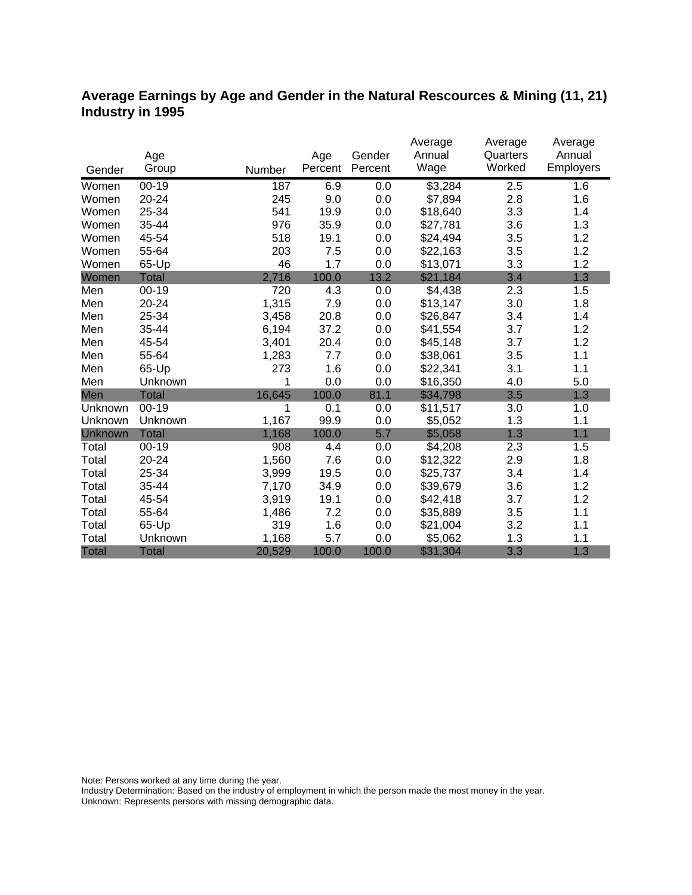#### **Average Earnings by Age and Gender in the Natural Rescources & Mining (11, 21) Industry in 1995**

|              |              |        |         |         | Average  | Average  | Average   |
|--------------|--------------|--------|---------|---------|----------|----------|-----------|
|              | Age          |        | Age     | Gender  | Annual   | Quarters | Annual    |
| Gender       | Group        | Number | Percent | Percent | Wage     | Worked   | Employers |
| Women        | $00 - 19$    | 187    | 6.9     | 0.0     | \$3,284  | 2.5      | 1.6       |
| Women        | 20-24        | 245    | 9.0     | 0.0     | \$7,894  | 2.8      | 1.6       |
| Women        | 25-34        | 541    | 19.9    | 0.0     | \$18,640 | 3.3      | 1.4       |
| Women        | 35-44        | 976    | 35.9    | 0.0     | \$27,781 | 3.6      | 1.3       |
| Women        | 45-54        | 518    | 19.1    | 0.0     | \$24,494 | 3.5      | 1.2       |
| Women        | 55-64        | 203    | 7.5     | 0.0     | \$22,163 | 3.5      | 1.2       |
| Women        | 65-Up        | 46     | 1.7     | 0.0     | \$13,071 | 3.3      | 1.2       |
| Women        | <b>Total</b> | 2,716  | 100.0   | 13.2    | \$21,184 | 3.4      | 1.3       |
| Men          | $00 - 19$    | 720    | 4.3     | 0.0     | \$4,438  | 2.3      | 1.5       |
| Men          | 20-24        | 1,315  | 7.9     | 0.0     | \$13,147 | 3.0      | 1.8       |
| Men          | 25-34        | 3,458  | 20.8    | 0.0     | \$26,847 | 3.4      | 1.4       |
| Men          | 35-44        | 6,194  | 37.2    | 0.0     | \$41,554 | 3.7      | 1.2       |
| Men          | 45-54        | 3,401  | 20.4    | 0.0     | \$45,148 | 3.7      | 1.2       |
| Men          | 55-64        | 1,283  | 7.7     | 0.0     | \$38,061 | 3.5      | 1.1       |
| Men          | 65-Up        | 273    | 1.6     | 0.0     | \$22,341 | 3.1      | 1.1       |
| Men          | Unknown      |        | 0.0     | 0.0     | \$16,350 | 4.0      | 5.0       |
| Men          | <b>Total</b> | 16,645 | 100.0   | 81.1    | \$34,798 | 3.5      | 1.3       |
| Unknown      | $00-19$      | 1      | 0.1     | 0.0     | \$11,517 | 3.0      | 1.0       |
| Unknown      | Unknown      | 1,167  | 99.9    | 0.0     | \$5,052  | 1.3      | 1.1       |
| Unknown      | <b>Total</b> | 1,168  | 100.0   | 5.7     | \$5,058  | 1.3      | 1.1       |
| Total        | $00 - 19$    | 908    | 4.4     | 0.0     | \$4,208  | 2.3      | 1.5       |
| Total        | 20-24        | 1,560  | 7.6     | 0.0     | \$12,322 | 2.9      | 1.8       |
| Total        | 25-34        | 3,999  | 19.5    | 0.0     | \$25,737 | 3.4      | 1.4       |
| Total        | 35-44        | 7,170  | 34.9    | 0.0     | \$39,679 | 3.6      | 1.2       |
| Total        | 45-54        | 3,919  | 19.1    | 0.0     | \$42,418 | 3.7      | 1.2       |
| Total        | 55-64        | 1,486  | 7.2     | 0.0     | \$35,889 | 3.5      | 1.1       |
| Total        | 65-Up        | 319    | 1.6     | 0.0     | \$21,004 | 3.2      | 1.1       |
| Total        | Unknown      | 1,168  | 5.7     | 0.0     | \$5,062  | 1.3      | 1.1       |
| <b>Total</b> | <b>Total</b> | 20,529 | 100.0   | 100.0   | \$31,304 | 3.3      | 1.3       |

Note: Persons worked at any time during the year.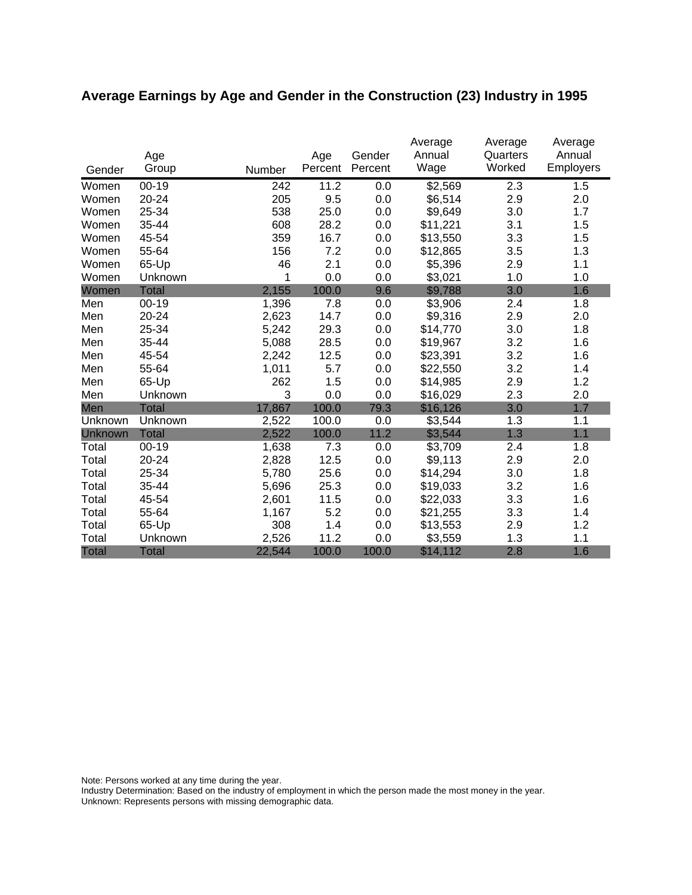# **Average Earnings by Age and Gender in the Construction (23) Industry in 1995**

|              | Age          |        | Age     | Gender  | Average<br>Annual | Average<br>Quarters | Average<br>Annual |
|--------------|--------------|--------|---------|---------|-------------------|---------------------|-------------------|
| Gender       | Group        | Number | Percent | Percent | Wage              | Worked              | Employers         |
| Women        | $00 - 19$    | 242    | 11.2    | 0.0     | \$2,569           | 2.3                 | 1.5               |
| Women        | 20-24        | 205    | 9.5     | 0.0     | \$6,514           | 2.9                 | 2.0               |
| Women        | 25-34        | 538    | 25.0    | 0.0     | \$9,649           | 3.0                 | 1.7               |
| Women        | 35-44        | 608    | 28.2    | 0.0     | \$11,221          | 3.1                 | 1.5               |
| Women        | 45-54        | 359    | 16.7    | 0.0     | \$13,550          | 3.3                 | 1.5               |
| Women        | 55-64        | 156    | 7.2     | 0.0     | \$12,865          | 3.5                 | 1.3               |
| Women        | 65-Up        | 46     | 2.1     | 0.0     | \$5,396           | 2.9                 | 1.1               |
| Women        | Unknown      | 1      | 0.0     | 0.0     | \$3,021           | 1.0                 | 1.0               |
| Women        | <b>Total</b> | 2,155  | 100.0   | 9.6     | \$9,788           | 3.0                 | 1.6               |
| Men          | $00 - 19$    | 1,396  | 7.8     | 0.0     | \$3,906           | 2.4                 | 1.8               |
| Men          | 20-24        | 2,623  | 14.7    | 0.0     | \$9,316           | 2.9                 | 2.0               |
| Men          | 25-34        | 5,242  | 29.3    | 0.0     | \$14,770          | 3.0                 | 1.8               |
| Men          | 35-44        | 5,088  | 28.5    | 0.0     | \$19,967          | 3.2                 | 1.6               |
| Men          | 45-54        | 2,242  | 12.5    | 0.0     | \$23,391          | 3.2                 | 1.6               |
| Men          | 55-64        | 1,011  | 5.7     | 0.0     | \$22,550          | 3.2                 | 1.4               |
| Men          | 65-Up        | 262    | 1.5     | 0.0     | \$14,985          | 2.9                 | 1.2               |
| Men          | Unknown      | 3      | 0.0     | 0.0     | \$16,029          | 2.3                 | 2.0               |
| Men          | <b>Total</b> | 17,867 | 100.0   | 79.3    | \$16,126          | 3.0                 | 1.7               |
| Unknown      | Unknown      | 2,522  | 100.0   | 0.0     | \$3,544           | 1.3                 | 1.1               |
| Unknown      | <b>Total</b> | 2,522  | 100.0   | 11.2    | \$3,544           | 1.3                 | 1.1               |
| Total        | $00 - 19$    | 1,638  | 7.3     | 0.0     | \$3,709           | 2.4                 | 1.8               |
| Total        | 20-24        | 2,828  | 12.5    | 0.0     | \$9,113           | 2.9                 | 2.0               |
| Total        | 25-34        | 5,780  | 25.6    | 0.0     | \$14,294          | 3.0                 | 1.8               |
| Total        | 35-44        | 5,696  | 25.3    | 0.0     | \$19,033          | 3.2                 | 1.6               |
| Total        | 45-54        | 2,601  | 11.5    | 0.0     | \$22,033          | 3.3                 | 1.6               |
| Total        | 55-64        | 1,167  | 5.2     | 0.0     | \$21,255          | 3.3                 | 1.4               |
| Total        | 65-Up        | 308    | 1.4     | 0.0     | \$13,553          | 2.9                 | 1.2               |
| Total        | Unknown      | 2,526  | 11.2    | 0.0     | \$3,559           | 1.3                 | 1.1               |
| <b>Total</b> | <b>Total</b> | 22,544 | 100.0   | 100.0   | \$14,112          | 2.8                 | 1.6               |

Note: Persons worked at any time during the year.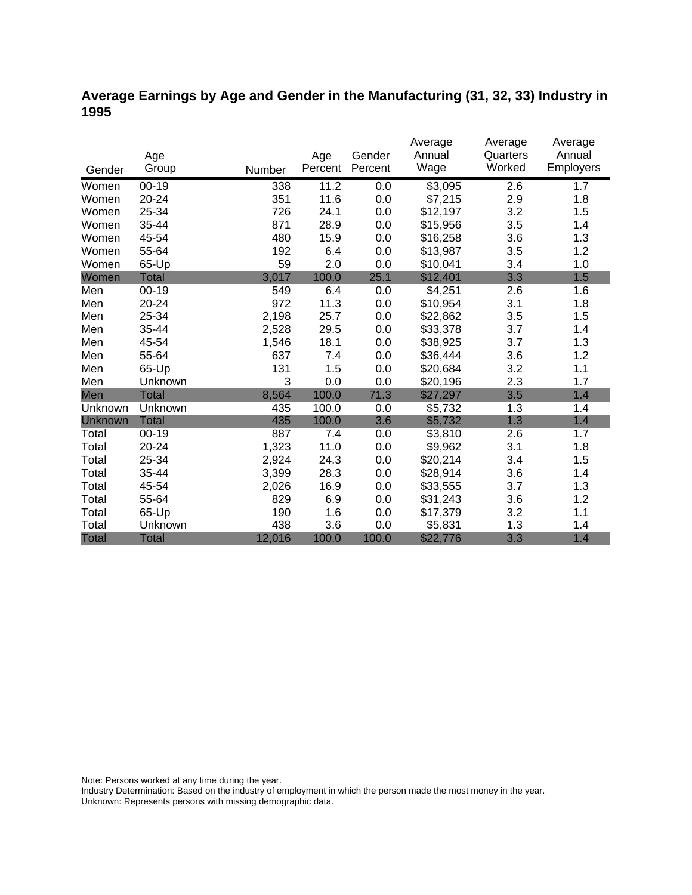## **Average Earnings by Age and Gender in the Manufacturing (31, 32, 33) Industry in 1995**

|                |              |        |         |         | Average  | Average  | Average   |
|----------------|--------------|--------|---------|---------|----------|----------|-----------|
|                | Age          |        | Age     | Gender  | Annual   | Quarters | Annual    |
| Gender         | Group        | Number | Percent | Percent | Wage     | Worked   | Employers |
| Women          | $00 - 19$    | 338    | 11.2    | 0.0     | \$3,095  | 2.6      | 1.7       |
| Women          | 20-24        | 351    | 11.6    | 0.0     | \$7,215  | 2.9      | 1.8       |
| Women          | 25-34        | 726    | 24.1    | 0.0     | \$12,197 | 3.2      | 1.5       |
| Women          | 35-44        | 871    | 28.9    | 0.0     | \$15,956 | 3.5      | 1.4       |
| Women          | 45-54        | 480    | 15.9    | 0.0     | \$16,258 | 3.6      | 1.3       |
| Women          | 55-64        | 192    | 6.4     | 0.0     | \$13,987 | 3.5      | 1.2       |
| Women          | 65-Up        | 59     | 2.0     | 0.0     | \$10,041 | 3.4      | 1.0       |
| Women          | <b>Total</b> | 3,017  | 100.0   | 25.1    | \$12,401 | 3.3      | 1.5       |
| Men            | $00 - 19$    | 549    | 6.4     | 0.0     | \$4,251  | 2.6      | 1.6       |
| Men            | 20-24        | 972    | 11.3    | 0.0     | \$10,954 | 3.1      | 1.8       |
| Men            | 25-34        | 2,198  | 25.7    | 0.0     | \$22,862 | 3.5      | 1.5       |
| Men            | 35-44        | 2,528  | 29.5    | 0.0     | \$33,378 | 3.7      | 1.4       |
| Men            | 45-54        | 1,546  | 18.1    | 0.0     | \$38,925 | 3.7      | 1.3       |
| Men            | 55-64        | 637    | 7.4     | 0.0     | \$36,444 | 3.6      | 1.2       |
| Men            | 65-Up        | 131    | 1.5     | 0.0     | \$20,684 | 3.2      | 1.1       |
| Men            | Unknown      | 3      | 0.0     | 0.0     | \$20,196 | 2.3      | 1.7       |
| Men            | <b>Total</b> | 8,564  | 100.0   | 71.3    | \$27,297 | 3.5      | 1.4       |
| Unknown        | Unknown      | 435    | 100.0   | 0.0     | \$5,732  | 1.3      | 1.4       |
| <b>Unknown</b> | <b>Total</b> | 435    | 100.0   | 3.6     | \$5,732  | 1.3      | 1.4       |
| Total          | $00-19$      | 887    | 7.4     | 0.0     | \$3,810  | 2.6      | 1.7       |
| Total          | 20-24        | 1,323  | 11.0    | 0.0     | \$9,962  | 3.1      | 1.8       |
| Total          | 25-34        | 2,924  | 24.3    | 0.0     | \$20,214 | 3.4      | 1.5       |
| Total          | 35-44        | 3,399  | 28.3    | 0.0     | \$28,914 | 3.6      | 1.4       |
| Total          | 45-54        | 2,026  | 16.9    | 0.0     | \$33,555 | 3.7      | 1.3       |
| Total          | 55-64        | 829    | 6.9     | 0.0     | \$31,243 | 3.6      | 1.2       |
| Total          | 65-Up        | 190    | 1.6     | 0.0     | \$17,379 | 3.2      | 1.1       |
| Total          | Unknown      | 438    | 3.6     | 0.0     | \$5,831  | 1.3      | 1.4       |
| <b>Total</b>   | <b>Total</b> | 12,016 | 100.0   | 100.0   | \$22,776 | 3.3      | 1.4       |

Note: Persons worked at any time during the year.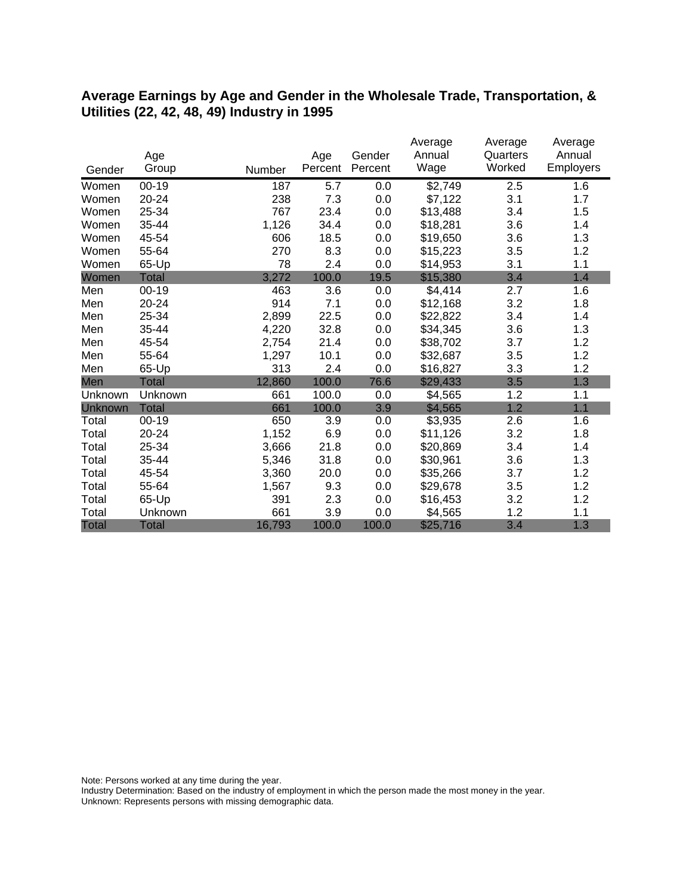#### **Average Earnings by Age and Gender in the Wholesale Trade, Transportation, & Utilities (22, 42, 48, 49) Industry in 1995**

|                |              |        |         |         | Average  | Average  | Average          |
|----------------|--------------|--------|---------|---------|----------|----------|------------------|
|                | Age          |        | Age     | Gender  | Annual   | Quarters | Annual           |
| Gender         | Group        | Number | Percent | Percent | Wage     | Worked   | <b>Employers</b> |
| Women          | $00 - 19$    | 187    | 5.7     | 0.0     | \$2,749  | 2.5      | 1.6              |
| Women          | 20-24        | 238    | 7.3     | 0.0     | \$7,122  | 3.1      | 1.7              |
| Women          | 25-34        | 767    | 23.4    | 0.0     | \$13,488 | 3.4      | 1.5              |
| Women          | 35-44        | 1,126  | 34.4    | 0.0     | \$18,281 | 3.6      | 1.4              |
| Women          | 45-54        | 606    | 18.5    | 0.0     | \$19,650 | 3.6      | 1.3              |
| Women          | 55-64        | 270    | 8.3     | 0.0     | \$15,223 | 3.5      | 1.2              |
| Women          | 65-Up        | 78     | 2.4     | 0.0     | \$14,953 | 3.1      | 1.1              |
| Women          | Total        | 3,272  | 100.0   | 19.5    | \$15,380 | 3.4      | 1.4              |
| Men            | $00 - 19$    | 463    | 3.6     | 0.0     | \$4,414  | 2.7      | 1.6              |
| Men            | 20-24        | 914    | 7.1     | 0.0     | \$12,168 | 3.2      | 1.8              |
| Men            | 25-34        | 2,899  | 22.5    | 0.0     | \$22,822 | 3.4      | 1.4              |
| Men            | 35-44        | 4,220  | 32.8    | 0.0     | \$34,345 | 3.6      | 1.3              |
| Men            | 45-54        | 2,754  | 21.4    | 0.0     | \$38,702 | 3.7      | 1.2              |
| Men            | 55-64        | 1,297  | 10.1    | 0.0     | \$32,687 | 3.5      | 1.2              |
| Men            | 65-Up        | 313    | 2.4     | 0.0     | \$16,827 | 3.3      | 1.2              |
| Men            | <b>Total</b> | 12,860 | 100.0   | 76.6    | \$29,433 | 3.5      | 1.3              |
| Unknown        | Unknown      | 661    | 100.0   | 0.0     | \$4,565  | 1.2      | 1.1              |
| <b>Unknown</b> | <b>Total</b> | 661    | 100.0   | 3.9     | \$4,565  | 1.2      | 1.1              |
| Total          | $00 - 19$    | 650    | 3.9     | 0.0     | \$3,935  | 2.6      | 1.6              |
| Total          | 20-24        | 1,152  | 6.9     | 0.0     | \$11,126 | 3.2      | 1.8              |
| Total          | 25-34        | 3,666  | 21.8    | 0.0     | \$20,869 | 3.4      | 1.4              |
| Total          | 35-44        | 5,346  | 31.8    | 0.0     | \$30,961 | 3.6      | 1.3              |
| Total          | 45-54        | 3,360  | 20.0    | 0.0     | \$35,266 | 3.7      | 1.2              |
| Total          | 55-64        | 1,567  | 9.3     | 0.0     | \$29,678 | 3.5      | 1.2              |
| Total          | 65-Up        | 391    | 2.3     | 0.0     | \$16,453 | 3.2      | 1.2              |
| Total          | Unknown      | 661    | 3.9     | 0.0     | \$4,565  | 1.2      | 1.1              |
| <b>Total</b>   | <b>Total</b> | 16,793 | 100.0   | 100.0   | \$25,716 | 3.4      | 1.3              |

Note: Persons worked at any time during the year.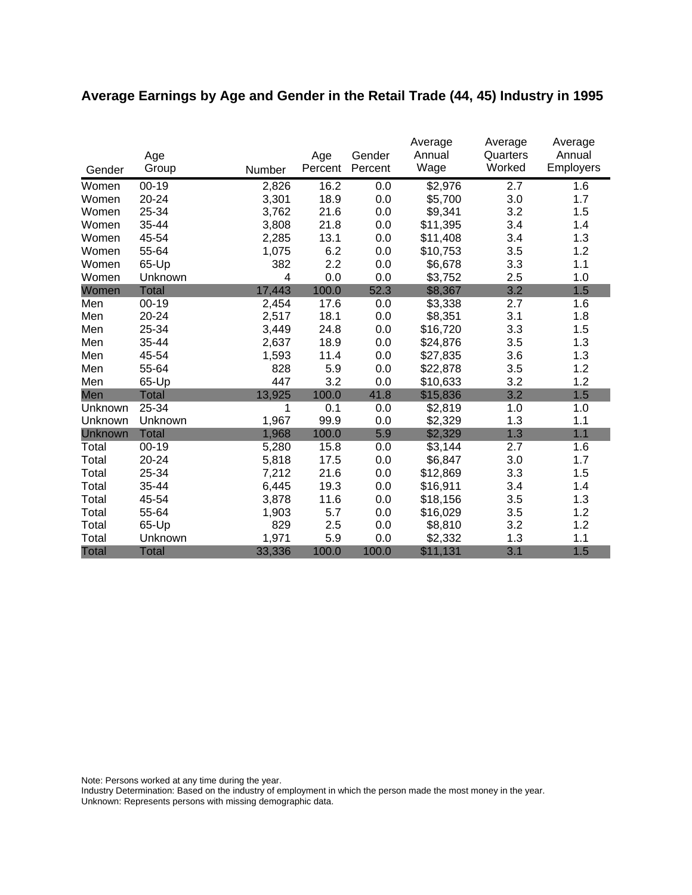# **Average Earnings by Age and Gender in the Retail Trade (44, 45) Industry in 1995**

|              | Age          |        | Age     | Gender  | Average<br>Annual | Average<br>Quarters | Average<br>Annual |
|--------------|--------------|--------|---------|---------|-------------------|---------------------|-------------------|
| Gender       | Group        | Number | Percent | Percent | Wage              | Worked              | <b>Employers</b>  |
| Women        | $00 - 19$    | 2,826  | 16.2    | 0.0     | \$2,976           | 2.7                 | 1.6               |
| Women        | 20-24        | 3,301  | 18.9    | 0.0     | \$5,700           | 3.0                 | 1.7               |
| Women        | 25-34        | 3,762  | 21.6    | 0.0     | \$9,341           | 3.2                 | 1.5               |
| Women        | 35-44        | 3,808  | 21.8    | 0.0     | \$11,395          | 3.4                 | 1.4               |
| Women        | 45-54        | 2,285  | 13.1    | 0.0     | \$11,408          | 3.4                 | 1.3               |
| Women        | 55-64        | 1,075  | 6.2     | 0.0     | \$10,753          | 3.5                 | 1.2               |
| Women        | 65-Up        | 382    | 2.2     | 0.0     | \$6,678           | 3.3                 | 1.1               |
| Women        | Unknown      | 4      | 0.0     | 0.0     | \$3,752           | 2.5                 | 1.0               |
| Women        | <b>Total</b> | 17,443 | 100.0   | 52.3    | \$8,367           | 3.2                 | 1.5               |
| Men          | $00 - 19$    | 2,454  | 17.6    | 0.0     | \$3,338           | 2.7                 | 1.6               |
| Men          | 20-24        | 2,517  | 18.1    | 0.0     | \$8,351           | 3.1                 | 1.8               |
| Men          | 25-34        | 3,449  | 24.8    | 0.0     | \$16,720          | 3.3                 | 1.5               |
| Men          | 35-44        | 2,637  | 18.9    | 0.0     | \$24,876          | 3.5                 | 1.3               |
| Men          | 45-54        | 1,593  | 11.4    | 0.0     | \$27,835          | 3.6                 | 1.3               |
| Men          | 55-64        | 828    | 5.9     | 0.0     | \$22,878          | 3.5                 | 1.2               |
| Men          | 65-Up        | 447    | 3.2     | 0.0     | \$10,633          | 3.2                 | 1.2               |
| Men          | <b>Total</b> | 13,925 | 100.0   | 41.8    | \$15,836          | 3.2                 | 1.5               |
| Unknown      | 25-34        | 1      | 0.1     | 0.0     | \$2,819           | 1.0                 | 1.0               |
| Unknown      | Unknown      | 1,967  | 99.9    | 0.0     | \$2,329           | 1.3                 | 1.1               |
| Unknown      | <b>Total</b> | 1,968  | 100.0   | 5.9     | \$2,329           | 1.3                 | 1.1               |
| Total        | $00 - 19$    | 5,280  | 15.8    | 0.0     | \$3,144           | 2.7                 | 1.6               |
| Total        | 20-24        | 5,818  | 17.5    | 0.0     | \$6,847           | 3.0                 | 1.7               |
| Total        | 25-34        | 7,212  | 21.6    | 0.0     | \$12,869          | 3.3                 | 1.5               |
| Total        | 35-44        | 6,445  | 19.3    | 0.0     | \$16,911          | 3.4                 | 1.4               |
| Total        | 45-54        | 3,878  | 11.6    | 0.0     | \$18,156          | 3.5                 | 1.3               |
| Total        | 55-64        | 1,903  | 5.7     | 0.0     | \$16,029          | 3.5                 | 1.2               |
| Total        | 65-Up        | 829    | 2.5     | 0.0     | \$8,810           | 3.2                 | 1.2               |
| Total        | Unknown      | 1,971  | 5.9     | 0.0     | \$2,332           | 1.3                 | 1.1               |
| <b>Total</b> | <b>Total</b> | 33,336 | 100.0   | 100.0   | \$11,131          | 3.1                 | 1.5               |

Note: Persons worked at any time during the year.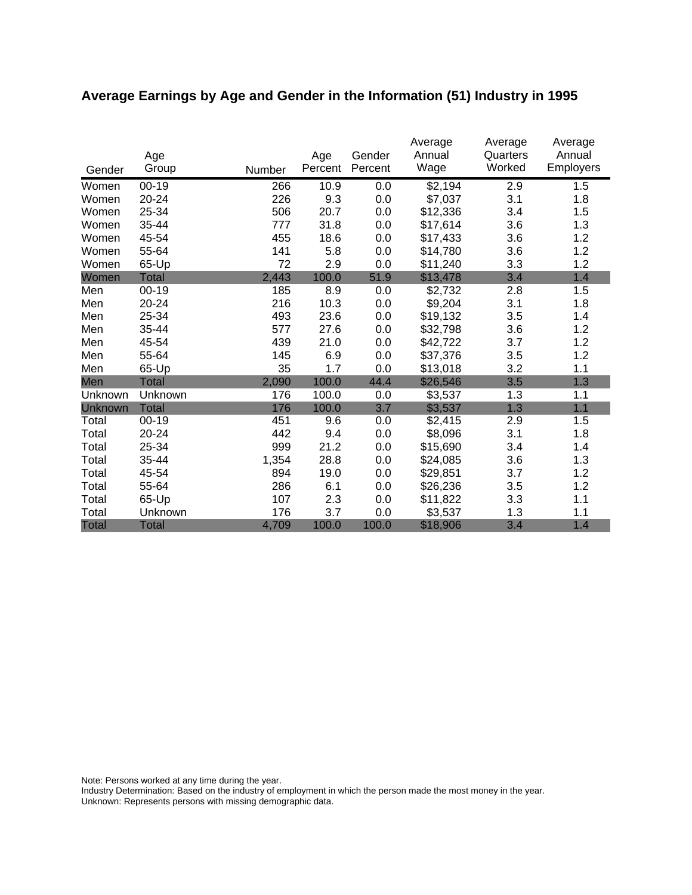# **Average Earnings by Age and Gender in the Information (51) Industry in 1995**

|              | Age          |        | Age     | Gender  | Average<br>Annual | Average<br>Quarters | Average<br>Annual |
|--------------|--------------|--------|---------|---------|-------------------|---------------------|-------------------|
| Gender       | Group        | Number | Percent | Percent | Wage              | Worked              | <b>Employers</b>  |
| Women        | $00 - 19$    | 266    | 10.9    | 0.0     | \$2,194           | 2.9                 | 1.5               |
| Women        | 20-24        | 226    | 9.3     | 0.0     | \$7,037           | 3.1                 | 1.8               |
| Women        | 25-34        | 506    | 20.7    | 0.0     | \$12,336          | 3.4                 | 1.5               |
| Women        | 35-44        | 777    | 31.8    | 0.0     | \$17,614          | 3.6                 | 1.3               |
| Women        | 45-54        | 455    | 18.6    | 0.0     | \$17,433          | 3.6                 | 1.2               |
| Women        | 55-64        | 141    | 5.8     | 0.0     | \$14,780          | 3.6                 | 1.2               |
| Women        | 65-Up        | 72     | 2.9     | 0.0     | \$11,240          | 3.3                 | 1.2               |
| Women        | <b>Total</b> | 2,443  | 100.0   | 51.9    | \$13,478          | 3.4                 | 1.4               |
| Men          | $00 - 19$    | 185    | 8.9     | 0.0     | \$2,732           | 2.8                 | 1.5               |
| Men          | 20-24        | 216    | 10.3    | 0.0     | \$9,204           | 3.1                 | 1.8               |
| Men          | 25-34        | 493    | 23.6    | 0.0     | \$19,132          | 3.5                 | 1.4               |
| Men          | 35-44        | 577    | 27.6    | 0.0     | \$32,798          | 3.6                 | 1.2               |
| Men          | 45-54        | 439    | 21.0    | 0.0     | \$42,722          | 3.7                 | 1.2               |
| Men          | 55-64        | 145    | 6.9     | 0.0     | \$37,376          | 3.5                 | 1.2               |
| Men          | 65-Up        | 35     | 1.7     | 0.0     | \$13,018          | 3.2                 | 1.1               |
| Men          | Total        | 2,090  | 100.0   | 44.4    | \$26,546          | 3.5                 | 1.3               |
| Unknown      | Unknown      | 176    | 100.0   | 0.0     | \$3,537           | 1.3                 | 1.1               |
| Unknown      | <b>Total</b> | 176    | 100.0   | 3.7     | \$3,537           | 1.3                 | 1.1               |
| Total        | $00 - 19$    | 451    | 9.6     | 0.0     | \$2,415           | 2.9                 | 1.5               |
| Total        | 20-24        | 442    | 9.4     | 0.0     | \$8,096           | 3.1                 | 1.8               |
| Total        | 25-34        | 999    | 21.2    | 0.0     | \$15,690          | 3.4                 | 1.4               |
| Total        | 35-44        | 1,354  | 28.8    | 0.0     | \$24,085          | 3.6                 | 1.3               |
| Total        | 45-54        | 894    | 19.0    | 0.0     | \$29,851          | 3.7                 | 1.2               |
| Total        | 55-64        | 286    | 6.1     | 0.0     | \$26,236          | 3.5                 | 1.2               |
| Total        | 65-Up        | 107    | 2.3     | 0.0     | \$11,822          | 3.3                 | 1.1               |
| Total        | Unknown      | 176    | 3.7     | 0.0     | \$3,537           | 1.3                 | 1.1               |
| <b>Total</b> | <b>Total</b> | 4,709  | 100.0   | 100.0   | \$18,906          | 3.4                 | 1.4               |

Note: Persons worked at any time during the year.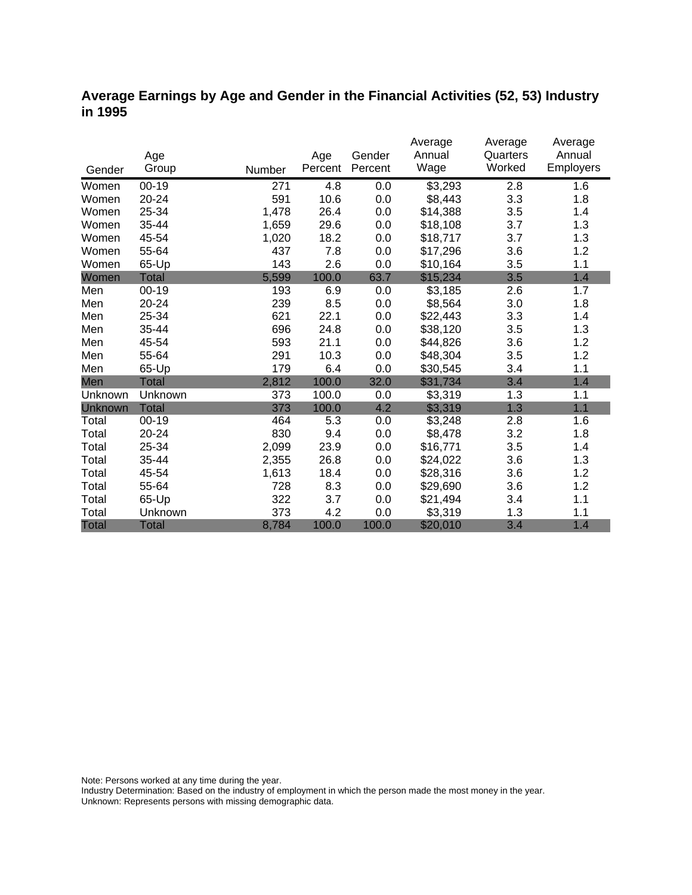### **Average Earnings by Age and Gender in the Financial Activities (52, 53) Industry in 1995**

|              |              |        |         |         | Average  | Average  | Average   |
|--------------|--------------|--------|---------|---------|----------|----------|-----------|
|              | Age          |        | Age     | Gender  | Annual   | Quarters | Annual    |
| Gender       | Group        | Number | Percent | Percent | Wage     | Worked   | Employers |
| Women        | $00 - 19$    | 271    | 4.8     | 0.0     | \$3,293  | 2.8      | 1.6       |
| Women        | $20 - 24$    | 591    | 10.6    | 0.0     | \$8,443  | 3.3      | 1.8       |
| Women        | 25-34        | 1,478  | 26.4    | 0.0     | \$14,388 | 3.5      | 1.4       |
| Women        | 35-44        | 1,659  | 29.6    | 0.0     | \$18,108 | 3.7      | 1.3       |
| Women        | 45-54        | 1,020  | 18.2    | 0.0     | \$18,717 | 3.7      | 1.3       |
| Women        | 55-64        | 437    | 7.8     | 0.0     | \$17,296 | 3.6      | 1.2       |
| Women        | 65-Up        | 143    | 2.6     | 0.0     | \$10,164 | 3.5      | 1.1       |
| Women        | <b>Total</b> | 5,599  | 100.0   | 63.7    | \$15,234 | 3.5      | 1.4       |
| Men          | $00 - 19$    | 193    | 6.9     | 0.0     | \$3,185  | 2.6      | 1.7       |
| Men          | 20-24        | 239    | 8.5     | 0.0     | \$8,564  | 3.0      | 1.8       |
| Men          | 25-34        | 621    | 22.1    | 0.0     | \$22,443 | 3.3      | 1.4       |
| Men          | 35-44        | 696    | 24.8    | 0.0     | \$38,120 | 3.5      | 1.3       |
| Men          | 45-54        | 593    | 21.1    | 0.0     | \$44,826 | 3.6      | 1.2       |
| Men          | 55-64        | 291    | 10.3    | 0.0     | \$48,304 | 3.5      | 1.2       |
| Men          | 65-Up        | 179    | 6.4     | 0.0     | \$30,545 | 3.4      | 1.1       |
| Men          | Total        | 2,812  | 100.0   | 32.0    | \$31,734 | 3.4      | 1.4       |
| Unknown      | Unknown      | 373    | 100.0   | 0.0     | \$3,319  | 1.3      | 1.1       |
| Unknown      | <b>Total</b> | 373    | 100.0   | 4.2     | \$3,319  | 1.3      | 1.1       |
| Total        | $00 - 19$    | 464    | 5.3     | 0.0     | \$3,248  | 2.8      | 1.6       |
| Total        | 20-24        | 830    | 9.4     | 0.0     | \$8,478  | 3.2      | 1.8       |
| Total        | 25-34        | 2,099  | 23.9    | 0.0     | \$16,771 | 3.5      | 1.4       |
| Total        | 35-44        | 2,355  | 26.8    | 0.0     | \$24,022 | 3.6      | 1.3       |
| Total        | 45-54        | 1,613  | 18.4    | 0.0     | \$28,316 | 3.6      | 1.2       |
| Total        | 55-64        | 728    | 8.3     | 0.0     | \$29,690 | 3.6      | 1.2       |
| Total        | 65-Up        | 322    | 3.7     | 0.0     | \$21,494 | 3.4      | 1.1       |
| Total        | Unknown      | 373    | 4.2     | 0.0     | \$3,319  | 1.3      | 1.1       |
| <b>Total</b> | <b>Total</b> | 8,784  | 100.0   | 100.0   | \$20,010 | 3.4      | 1.4       |

Note: Persons worked at any time during the year.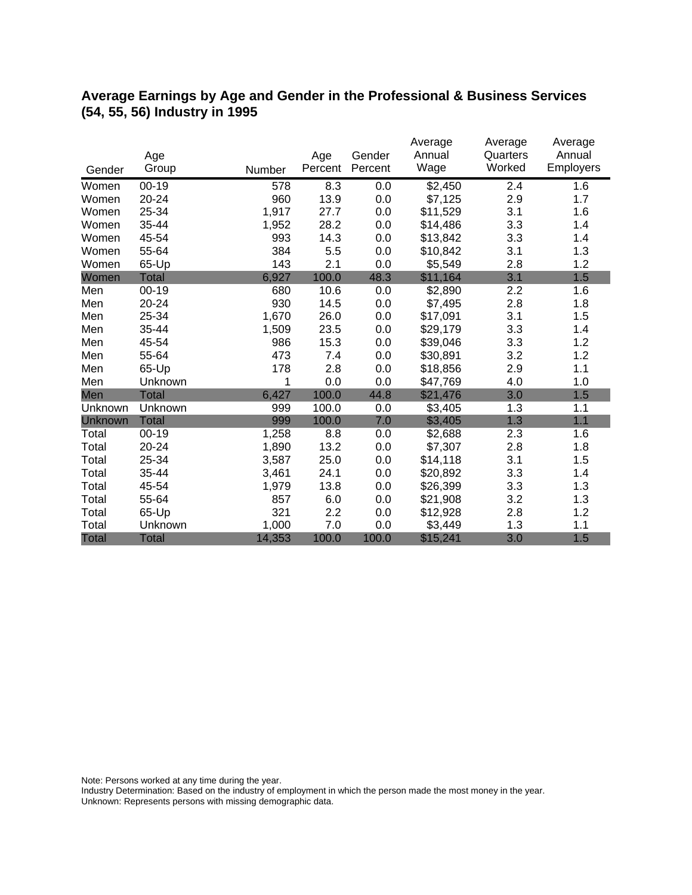### **Average Earnings by Age and Gender in the Professional & Business Services (54, 55, 56) Industry in 1995**

|              |              |        |         |         | Average  | Average  | Average   |
|--------------|--------------|--------|---------|---------|----------|----------|-----------|
|              | Age          |        | Age     | Gender  | Annual   | Quarters | Annual    |
| Gender       | Group        | Number | Percent | Percent | Wage     | Worked   | Employers |
| Women        | $00 - 19$    | 578    | 8.3     | 0.0     | \$2,450  | 2.4      | 1.6       |
| Women        | 20-24        | 960    | 13.9    | 0.0     | \$7,125  | 2.9      | 1.7       |
| Women        | 25-34        | 1,917  | 27.7    | 0.0     | \$11,529 | 3.1      | 1.6       |
| Women        | 35-44        | 1,952  | 28.2    | 0.0     | \$14,486 | 3.3      | 1.4       |
| Women        | 45-54        | 993    | 14.3    | 0.0     | \$13,842 | 3.3      | 1.4       |
| Women        | 55-64        | 384    | 5.5     | 0.0     | \$10,842 | 3.1      | 1.3       |
| Women        | 65-Up        | 143    | 2.1     | 0.0     | \$5,549  | 2.8      | 1.2       |
| Women        | <b>Total</b> | 6,927  | 100.0   | 48.3    | \$11,164 | 3.1      | 1.5       |
| Men          | $00 - 19$    | 680    | 10.6    | 0.0     | \$2,890  | 2.2      | 1.6       |
| Men          | 20-24        | 930    | 14.5    | 0.0     | \$7,495  | 2.8      | 1.8       |
| Men          | 25-34        | 1,670  | 26.0    | 0.0     | \$17,091 | 3.1      | 1.5       |
| Men          | 35-44        | 1,509  | 23.5    | 0.0     | \$29,179 | 3.3      | 1.4       |
| Men          | 45-54        | 986    | 15.3    | 0.0     | \$39,046 | 3.3      | 1.2       |
| Men          | 55-64        | 473    | 7.4     | 0.0     | \$30,891 | 3.2      | 1.2       |
| Men          | 65-Up        | 178    | 2.8     | 0.0     | \$18,856 | 2.9      | 1.1       |
| Men          | Unknown      | 1      | 0.0     | 0.0     | \$47,769 | 4.0      | 1.0       |
| Men          | <b>Total</b> | 6,427  | 100.0   | 44.8    | \$21,476 | 3.0      | 1.5       |
| Unknown      | Unknown      | 999    | 100.0   | 0.0     | \$3,405  | 1.3      | 1.1       |
| Unknown      | <b>Total</b> | 999    | 100.0   | 7.0     | \$3,405  | 1.3      | 1.1       |
| Total        | $00 - 19$    | 1,258  | 8.8     | 0.0     | \$2,688  | 2.3      | 1.6       |
| Total        | 20-24        | 1,890  | 13.2    | 0.0     | \$7,307  | 2.8      | 1.8       |
| Total        | 25-34        | 3,587  | 25.0    | 0.0     | \$14,118 | 3.1      | 1.5       |
| Total        | 35-44        | 3,461  | 24.1    | 0.0     | \$20,892 | 3.3      | 1.4       |
| Total        | 45-54        | 1,979  | 13.8    | 0.0     | \$26,399 | 3.3      | 1.3       |
| Total        | 55-64        | 857    | 6.0     | 0.0     | \$21,908 | 3.2      | 1.3       |
| Total        | 65-Up        | 321    | 2.2     | 0.0     | \$12,928 | 2.8      | 1.2       |
| Total        | Unknown      | 1,000  | 7.0     | 0.0     | \$3,449  | 1.3      | 1.1       |
| <b>Total</b> | <b>Total</b> | 14,353 | 100.0   | 100.0   | \$15,241 | 3.0      | 1.5       |

Note: Persons worked at any time during the year.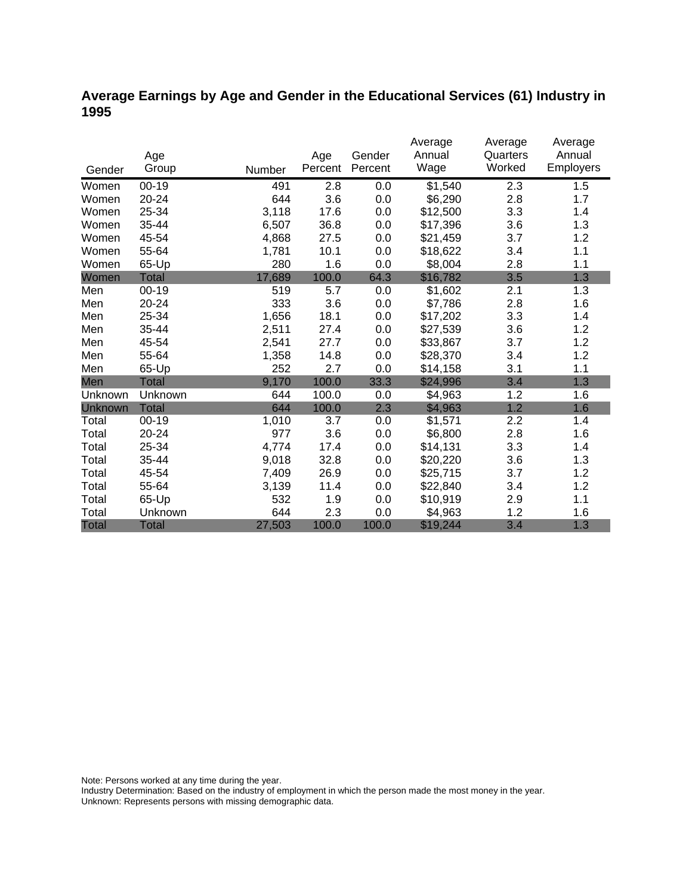## **Average Earnings by Age and Gender in the Educational Services (61) Industry in 1995**

|                |              |        |         |         | Average  | Average  | Average          |
|----------------|--------------|--------|---------|---------|----------|----------|------------------|
|                | Age          |        | Age     | Gender  | Annual   | Quarters | Annual           |
| Gender         | Group        | Number | Percent | Percent | Wage     | Worked   | <b>Employers</b> |
| Women          | $00 - 19$    | 491    | 2.8     | 0.0     | \$1,540  | 2.3      | 1.5              |
| Women          | 20-24        | 644    | 3.6     | 0.0     | \$6,290  | 2.8      | 1.7              |
| Women          | 25-34        | 3,118  | 17.6    | 0.0     | \$12,500 | 3.3      | 1.4              |
| Women          | 35-44        | 6,507  | 36.8    | 0.0     | \$17,396 | 3.6      | 1.3              |
| Women          | 45-54        | 4,868  | 27.5    | 0.0     | \$21,459 | 3.7      | 1.2              |
| Women          | 55-64        | 1,781  | 10.1    | 0.0     | \$18,622 | 3.4      | 1.1              |
| Women          | 65-Up        | 280    | 1.6     | 0.0     | \$8,004  | 2.8      | 1.1              |
| Women          | Total        | 17,689 | 100.0   | 64.3    | \$16,782 | 3.5      | 1.3              |
| Men            | $00 - 19$    | 519    | 5.7     | 0.0     | \$1,602  | 2.1      | 1.3              |
| Men            | 20-24        | 333    | 3.6     | 0.0     | \$7,786  | 2.8      | 1.6              |
| Men            | 25-34        | 1,656  | 18.1    | 0.0     | \$17,202 | 3.3      | 1.4              |
| Men            | 35-44        | 2,511  | 27.4    | 0.0     | \$27,539 | 3.6      | 1.2              |
| Men            | 45-54        | 2,541  | 27.7    | 0.0     | \$33,867 | 3.7      | 1.2              |
| Men            | 55-64        | 1,358  | 14.8    | 0.0     | \$28,370 | 3.4      | 1.2              |
| Men            | 65-Up        | 252    | 2.7     | 0.0     | \$14,158 | 3.1      | 1.1              |
| Men            | Total        | 9,170  | 100.0   | 33.3    | \$24,996 | 3.4      | 1.3              |
| Unknown        | Unknown      | 644    | 100.0   | 0.0     | \$4,963  | 1.2      | 1.6              |
| <b>Unknown</b> | <b>Total</b> | 644    | 100.0   | 2.3     | \$4,963  | 1.2      | 1.6              |
| Total          | $00 - 19$    | 1,010  | 3.7     | 0.0     | \$1,571  | 2.2      | 1.4              |
| Total          | 20-24        | 977    | 3.6     | 0.0     | \$6,800  | 2.8      | 1.6              |
| Total          | 25-34        | 4,774  | 17.4    | 0.0     | \$14,131 | 3.3      | 1.4              |
| Total          | 35-44        | 9,018  | 32.8    | 0.0     | \$20,220 | 3.6      | 1.3              |
| Total          | 45-54        | 7,409  | 26.9    | 0.0     | \$25,715 | 3.7      | 1.2              |
| Total          | 55-64        | 3,139  | 11.4    | 0.0     | \$22,840 | 3.4      | 1.2              |
| Total          | 65-Up        | 532    | 1.9     | 0.0     | \$10,919 | 2.9      | 1.1              |
| Total          | Unknown      | 644    | 2.3     | 0.0     | \$4,963  | 1.2      | 1.6              |
| Total          | <b>Total</b> | 27,503 | 100.0   | 100.0   | \$19,244 | 3.4      | 1.3              |

Note: Persons worked at any time during the year.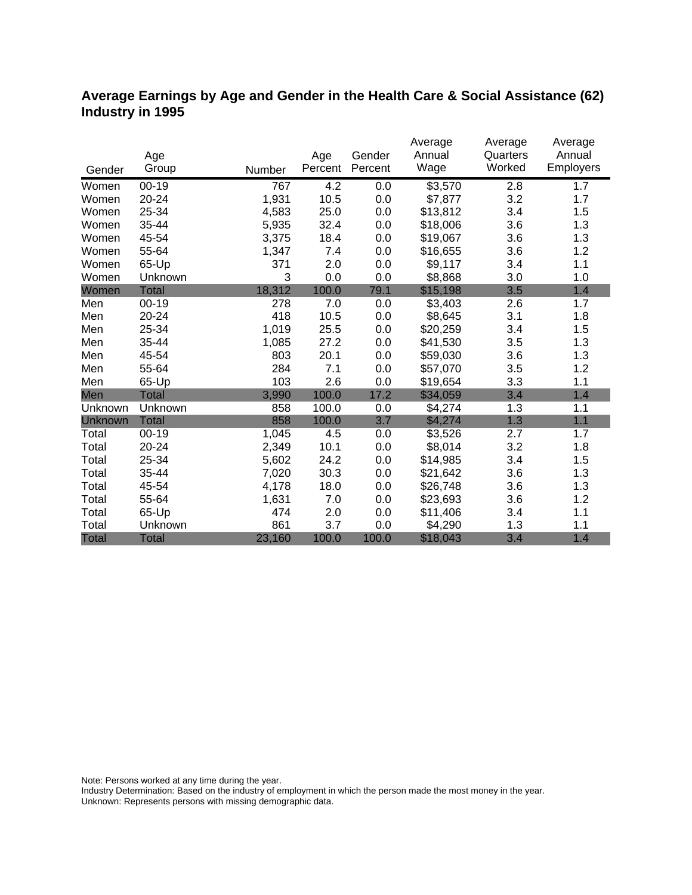### **Average Earnings by Age and Gender in the Health Care & Social Assistance (62) Industry in 1995**

|              |              |        |         |         | Average             | Average  | Average   |
|--------------|--------------|--------|---------|---------|---------------------|----------|-----------|
|              | Age          |        | Age     | Gender  | Annual              | Quarters | Annual    |
| Gender       | Group        | Number | Percent | Percent | Wage                | Worked   | Employers |
| Women        | $00 - 19$    | 767    | 4.2     | 0.0     | $\overline{$3,570}$ | 2.8      | 1.7       |
| Women        | 20-24        | 1,931  | 10.5    | 0.0     | \$7,877             | 3.2      | 1.7       |
| Women        | 25-34        | 4,583  | 25.0    | 0.0     | \$13,812            | 3.4      | 1.5       |
| Women        | 35-44        | 5,935  | 32.4    | 0.0     | \$18,006            | 3.6      | 1.3       |
| Women        | 45-54        | 3,375  | 18.4    | 0.0     | \$19,067            | 3.6      | 1.3       |
| Women        | 55-64        | 1,347  | 7.4     | 0.0     | \$16,655            | 3.6      | 1.2       |
| Women        | 65-Up        | 371    | 2.0     | 0.0     | \$9,117             | 3.4      | 1.1       |
| Women        | Unknown      | 3      | 0.0     | 0.0     | \$8,868             | 3.0      | 1.0       |
| Women        | <b>Total</b> | 18,312 | 100.0   | 79.1    | \$15,198            | 3.5      | 1.4       |
| Men          | $00 - 19$    | 278    | 7.0     | 0.0     | \$3,403             | 2.6      | 1.7       |
| Men          | 20-24        | 418    | 10.5    | 0.0     | \$8,645             | 3.1      | 1.8       |
| Men          | 25-34        | 1,019  | 25.5    | 0.0     | \$20,259            | 3.4      | 1.5       |
| Men          | 35-44        | 1,085  | 27.2    | 0.0     | \$41,530            | 3.5      | 1.3       |
| Men          | 45-54        | 803    | 20.1    | 0.0     | \$59,030            | 3.6      | 1.3       |
| Men          | 55-64        | 284    | 7.1     | 0.0     | \$57,070            | 3.5      | 1.2       |
| Men          | 65-Up        | 103    | 2.6     | 0.0     | \$19,654            | 3.3      | 1.1       |
| Men          | <b>Total</b> | 3,990  | 100.0   | 17.2    | \$34,059            | 3.4      | 1.4       |
| Unknown      | Unknown      | 858    | 100.0   | 0.0     | \$4,274             | 1.3      | 1.1       |
| Unknown      | <b>Total</b> | 858    | 100.0   | 3.7     | \$4,274             | 1.3      | 1.1       |
| Total        | $00 - 19$    | 1,045  | 4.5     | 0.0     | \$3,526             | 2.7      | 1.7       |
| Total        | 20-24        | 2,349  | 10.1    | 0.0     | \$8,014             | 3.2      | 1.8       |
| Total        | 25-34        | 5,602  | 24.2    | 0.0     | \$14,985            | 3.4      | 1.5       |
| Total        | 35-44        | 7,020  | 30.3    | 0.0     | \$21,642            | 3.6      | 1.3       |
| Total        | 45-54        | 4,178  | 18.0    | 0.0     | \$26,748            | 3.6      | 1.3       |
| Total        | 55-64        | 1,631  | 7.0     | 0.0     | \$23,693            | 3.6      | 1.2       |
| Total        | 65-Up        | 474    | 2.0     | 0.0     | \$11,406            | 3.4      | 1.1       |
| Total        | Unknown      | 861    | 3.7     | 0.0     | \$4,290             | 1.3      | 1.1       |
| <b>Total</b> | <b>Total</b> | 23,160 | 100.0   | 100.0   | \$18,043            | 3.4      | 1.4       |

Note: Persons worked at any time during the year.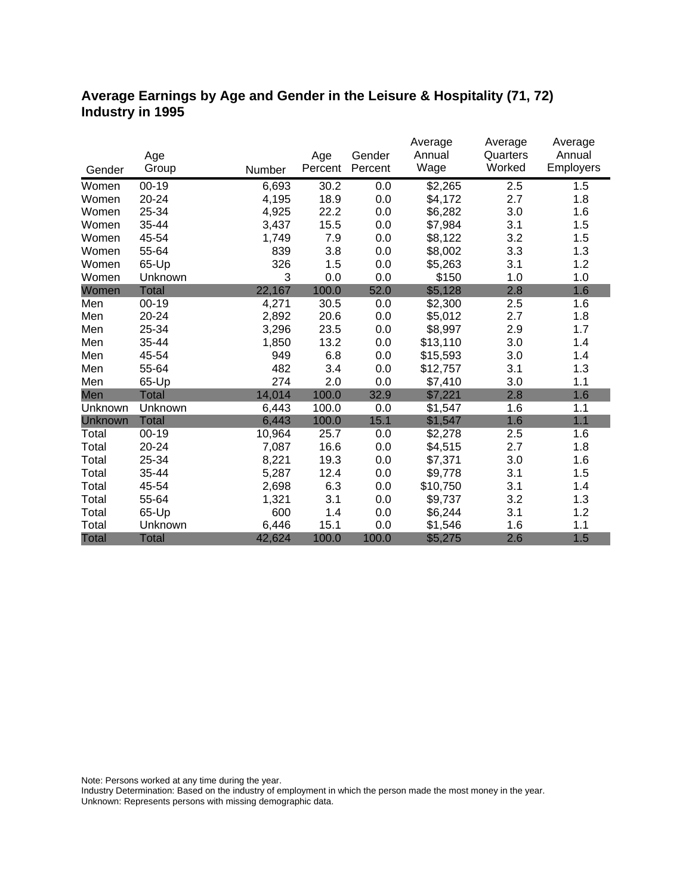### **Average Earnings by Age and Gender in the Leisure & Hospitality (71, 72) Industry in 1995**

|              |              |        |                | Gender  | Average<br>Annual | Average<br>Quarters | Average<br>Annual |
|--------------|--------------|--------|----------------|---------|-------------------|---------------------|-------------------|
|              | Age<br>Group |        | Age<br>Percent | Percent | Wage              | Worked              | Employers         |
| Gender       |              | Number |                |         |                   |                     |                   |
| Women        | $00 - 19$    | 6,693  | 30.2           | 0.0     | \$2,265           | 2.5                 | 1.5               |
| Women        | 20-24        | 4,195  | 18.9           | 0.0     | \$4,172           | 2.7                 | 1.8               |
| Women        | 25-34        | 4,925  | 22.2           | 0.0     | \$6,282           | 3.0                 | 1.6               |
| Women        | 35-44        | 3,437  | 15.5           | 0.0     | \$7,984           | 3.1                 | 1.5               |
| Women        | 45-54        | 1,749  | 7.9            | 0.0     | \$8,122           | 3.2                 | 1.5               |
| Women        | 55-64        | 839    | 3.8            | 0.0     | \$8,002           | 3.3                 | 1.3               |
| Women        | 65-Up        | 326    | 1.5            | 0.0     | \$5,263           | 3.1                 | 1.2               |
| Women        | Unknown      | 3      | 0.0            | 0.0     | \$150             | 1.0                 | 1.0               |
| Women        | <b>Total</b> | 22,167 | 100.0          | 52.0    | \$5,128           | 2.8                 | 1.6               |
| Men          | $00 - 19$    | 4,271  | 30.5           | 0.0     | \$2,300           | 2.5                 | 1.6               |
| Men          | 20-24        | 2,892  | 20.6           | 0.0     | \$5,012           | 2.7                 | 1.8               |
| Men          | 25-34        | 3,296  | 23.5           | 0.0     | \$8,997           | 2.9                 | 1.7               |
| Men          | 35-44        | 1,850  | 13.2           | 0.0     | \$13,110          | 3.0                 | 1.4               |
| Men          | 45-54        | 949    | 6.8            | 0.0     | \$15,593          | 3.0                 | 1.4               |
| Men          | 55-64        | 482    | 3.4            | 0.0     | \$12,757          | 3.1                 | 1.3               |
| Men          | 65-Up        | 274    | 2.0            | 0.0     | \$7,410           | 3.0                 | 1.1               |
| Men          | <b>Total</b> | 14,014 | 100.0          | 32.9    | \$7,221           | 2.8                 | 1.6               |
| Unknown      | Unknown      | 6,443  | 100.0          | 0.0     | \$1,547           | 1.6                 | 1.1               |
| Unknown      | <b>Total</b> | 6,443  | 100.0          | 15.1    | \$1,547           | 1.6                 | 1.1               |
| Total        | $00 - 19$    | 10,964 | 25.7           | 0.0     | \$2,278           | 2.5                 | 1.6               |
| Total        | 20-24        | 7,087  | 16.6           | 0.0     | \$4,515           | 2.7                 | 1.8               |
| Total        | 25-34        | 8,221  | 19.3           | 0.0     | \$7,371           | 3.0                 | 1.6               |
| Total        | 35-44        | 5,287  | 12.4           | 0.0     | \$9,778           | 3.1                 | 1.5               |
| Total        | 45-54        | 2,698  | 6.3            | 0.0     | \$10,750          | 3.1                 | 1.4               |
| Total        | 55-64        | 1,321  | 3.1            | 0.0     | \$9,737           | 3.2                 | 1.3               |
| Total        | 65-Up        | 600    | 1.4            | 0.0     | \$6,244           | 3.1                 | 1.2               |
| Total        | Unknown      | 6,446  | 15.1           | 0.0     | \$1,546           | 1.6                 | 1.1               |
| <b>Total</b> | <b>Total</b> | 42,624 | 100.0          | 100.0   | \$5,275           | 2.6                 | 1.5               |

Note: Persons worked at any time during the year.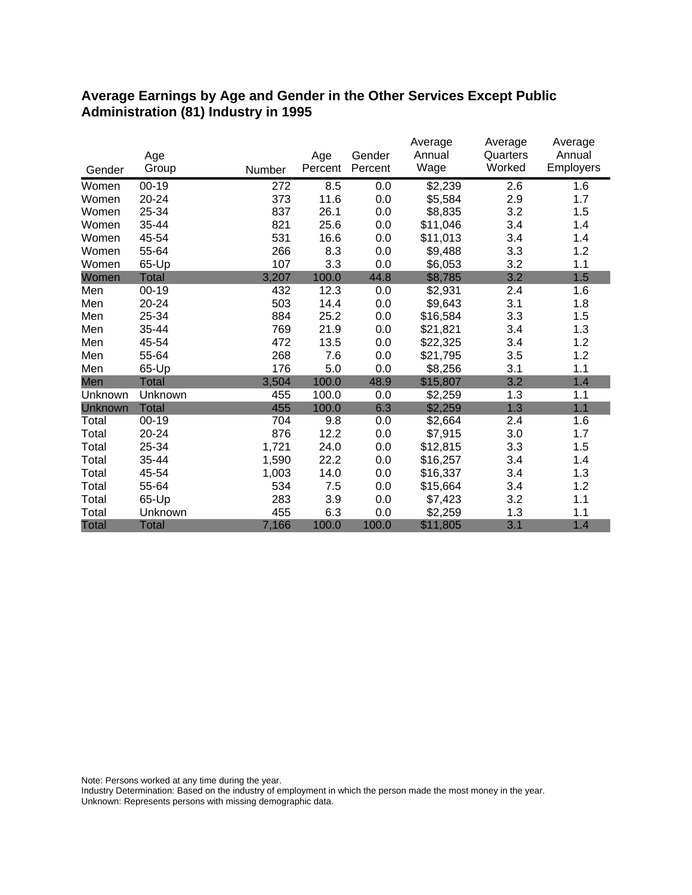#### **Average Earnings by Age and Gender in the Other Services Except Public Administration (81) Industry in 1995**

|              |              |        |         | Gender  | Average<br>Annual | Average<br>Quarters | Average<br>Annual |
|--------------|--------------|--------|---------|---------|-------------------|---------------------|-------------------|
|              | Age          |        | Age     |         | Wage              | Worked              | <b>Employers</b>  |
| Gender       | Group        | Number | Percent | Percent |                   |                     |                   |
| Women        | $00 - 19$    | 272    | 8.5     | 0.0     | \$2,239           | 2.6                 | 1.6               |
| Women        | 20-24        | 373    | 11.6    | 0.0     | \$5,584           | 2.9                 | 1.7               |
| Women        | 25-34        | 837    | 26.1    | 0.0     | \$8,835           | 3.2                 | 1.5               |
| Women        | 35-44        | 821    | 25.6    | 0.0     | \$11,046          | 3.4                 | 1.4               |
| Women        | 45-54        | 531    | 16.6    | 0.0     | \$11,013          | 3.4                 | 1.4               |
| Women        | 55-64        | 266    | 8.3     | 0.0     | \$9,488           | 3.3                 | 1.2               |
| Women        | 65-Up        | 107    | 3.3     | 0.0     | \$6,053           | 3.2                 | 1.1               |
| Women        | <b>Total</b> | 3,207  | 100.0   | 44.8    | \$8,785           | 3.2                 | 1.5               |
| Men          | $00 - 19$    | 432    | 12.3    | 0.0     | \$2,931           | 2.4                 | 1.6               |
| Men          | 20-24        | 503    | 14.4    | 0.0     | \$9,643           | 3.1                 | 1.8               |
| Men          | 25-34        | 884    | 25.2    | 0.0     | \$16,584          | 3.3                 | 1.5               |
| Men          | 35-44        | 769    | 21.9    | 0.0     | \$21,821          | 3.4                 | 1.3               |
| Men          | 45-54        | 472    | 13.5    | 0.0     | \$22,325          | 3.4                 | 1.2               |
| Men          | 55-64        | 268    | 7.6     | 0.0     | \$21,795          | 3.5                 | 1.2               |
| Men          | 65-Up        | 176    | 5.0     | 0.0     | \$8,256           | 3.1                 | 1.1               |
| Men          | <b>Total</b> | 3,504  | 100.0   | 48.9    | \$15,807          | 3.2                 | 1.4               |
| Unknown      | Unknown      | 455    | 100.0   | 0.0     | \$2,259           | 1.3                 | 1.1               |
| Unknown      | <b>Total</b> | 455    | 100.0   | 6.3     | \$2,259           | 1.3                 | 1.1               |
| Total        | $00 - 19$    | 704    | 9.8     | 0.0     | \$2,664           | 2.4                 | 1.6               |
| Total        | 20-24        | 876    | 12.2    | 0.0     | \$7,915           | 3.0                 | 1.7               |
| Total        | 25-34        | 1,721  | 24.0    | 0.0     | \$12,815          | 3.3                 | 1.5               |
| Total        | 35-44        | 1,590  | 22.2    | 0.0     | \$16,257          | 3.4                 | 1.4               |
| Total        | 45-54        | 1,003  | 14.0    | 0.0     | \$16,337          | 3.4                 | 1.3               |
| Total        | 55-64        | 534    | 7.5     | 0.0     | \$15,664          | 3.4                 | 1.2               |
| Total        | 65-Up        | 283    | 3.9     | 0.0     | \$7,423           | 3.2                 | 1.1               |
| Total        | Unknown      | 455    | 6.3     | 0.0     | \$2,259           | 1.3                 | 1.1               |
| <b>Total</b> | <b>Total</b> | 7,166  | 100.0   | 100.0   | \$11,805          | 3.1                 | 1.4               |

Note: Persons worked at any time during the year.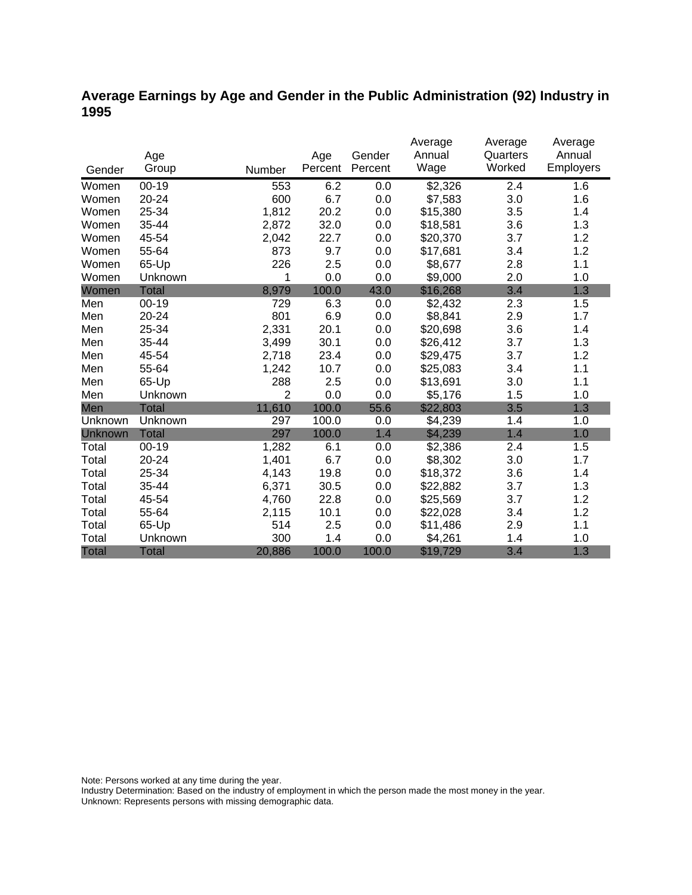### **Average Earnings by Age and Gender in the Public Administration (92) Industry in 1995**

|              |              |                |         |         | Average  | Average  | Average   |
|--------------|--------------|----------------|---------|---------|----------|----------|-----------|
|              | Age          |                | Age     | Gender  | Annual   | Quarters | Annual    |
| Gender       | Group        | Number         | Percent | Percent | Wage     | Worked   | Employers |
| Women        | $00 - 19$    | 553            | 6.2     | 0.0     | \$2,326  | 2.4      | 1.6       |
| Women        | 20-24        | 600            | 6.7     | 0.0     | \$7,583  | 3.0      | 1.6       |
| Women        | 25-34        | 1,812          | 20.2    | 0.0     | \$15,380 | 3.5      | 1.4       |
| Women        | 35-44        | 2,872          | 32.0    | 0.0     | \$18,581 | 3.6      | 1.3       |
| Women        | 45-54        | 2,042          | 22.7    | 0.0     | \$20,370 | 3.7      | 1.2       |
| Women        | 55-64        | 873            | 9.7     | 0.0     | \$17,681 | 3.4      | 1.2       |
| Women        | 65-Up        | 226            | 2.5     | 0.0     | \$8,677  | 2.8      | 1.1       |
| Women        | Unknown      | 1              | 0.0     | 0.0     | \$9,000  | 2.0      | 1.0       |
| Women        | <b>Total</b> | 8,979          | 100.0   | 43.0    | \$16,268 | 3.4      | 1.3       |
| Men          | $00 - 19$    | 729            | 6.3     | 0.0     | \$2,432  | 2.3      | 1.5       |
| Men          | 20-24        | 801            | 6.9     | 0.0     | \$8,841  | 2.9      | 1.7       |
| Men          | 25-34        | 2,331          | 20.1    | 0.0     | \$20,698 | 3.6      | 1.4       |
| Men          | 35-44        | 3,499          | 30.1    | 0.0     | \$26,412 | 3.7      | 1.3       |
| Men          | 45-54        | 2,718          | 23.4    | 0.0     | \$29,475 | 3.7      | 1.2       |
| Men          | 55-64        | 1,242          | 10.7    | 0.0     | \$25,083 | 3.4      | 1.1       |
| Men          | 65-Up        | 288            | 2.5     | 0.0     | \$13,691 | 3.0      | 1.1       |
| Men          | Unknown      | $\overline{2}$ | 0.0     | 0.0     | \$5,176  | 1.5      | 1.0       |
| Men          | <b>Total</b> | 11,610         | 100.0   | 55.6    | \$22,803 | 3.5      | 1.3       |
| Unknown      | Unknown      | 297            | 100.0   | 0.0     | \$4,239  | 1.4      | 1.0       |
| Unknown      | <b>Total</b> | 297            | 100.0   | 1.4     | \$4,239  | 1.4      | 1.0       |
| Total        | $00 - 19$    | 1,282          | 6.1     | 0.0     | \$2,386  | 2.4      | 1.5       |
| Total        | 20-24        | 1,401          | 6.7     | 0.0     | \$8,302  | 3.0      | 1.7       |
| Total        | 25-34        | 4,143          | 19.8    | 0.0     | \$18,372 | 3.6      | 1.4       |
| Total        | 35-44        | 6,371          | 30.5    | 0.0     | \$22,882 | 3.7      | 1.3       |
| Total        | 45-54        | 4,760          | 22.8    | 0.0     | \$25,569 | 3.7      | 1.2       |
| Total        | 55-64        | 2,115          | 10.1    | 0.0     | \$22,028 | 3.4      | 1.2       |
| Total        | 65-Up        | 514            | 2.5     | 0.0     | \$11,486 | 2.9      | 1.1       |
| Total        | Unknown      | 300            | 1.4     | 0.0     | \$4,261  | 1.4      | 1.0       |
| <b>Total</b> | <b>Total</b> | 20,886         | 100.0   | 100.0   | \$19,729 | 3.4      | 1.3       |

Note: Persons worked at any time during the year.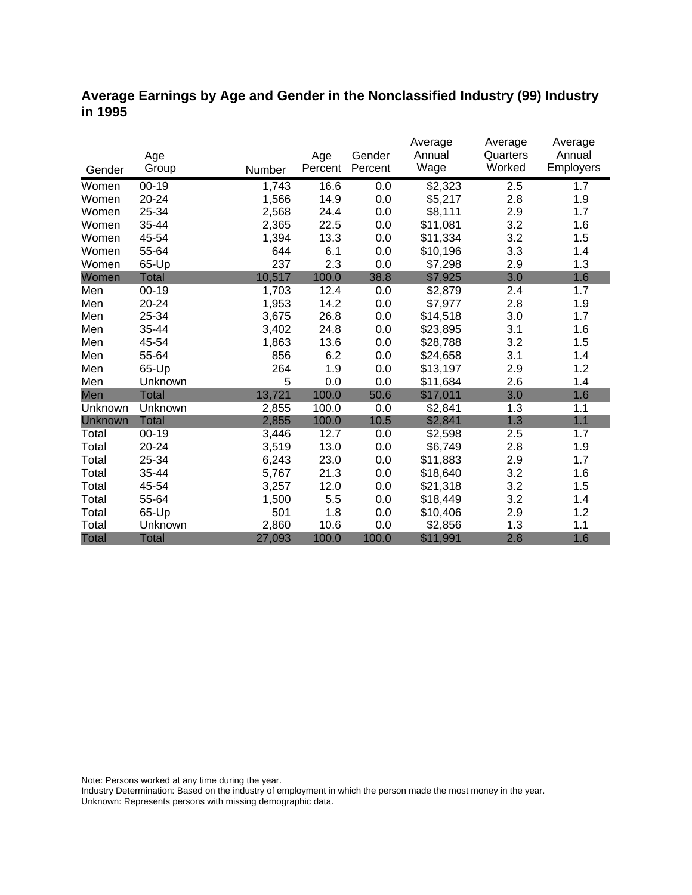#### **Average Earnings by Age and Gender in the Nonclassified Industry (99) Industry in 1995**

|              |              |        |         |         | Average  | Average  | Average          |
|--------------|--------------|--------|---------|---------|----------|----------|------------------|
|              | Age          |        | Age     | Gender  | Annual   | Quarters | Annual           |
| Gender       | Group        | Number | Percent | Percent | Wage     | Worked   | <b>Employers</b> |
| Women        | $00 - 19$    | 1,743  | 16.6    | 0.0     | \$2,323  | 2.5      | 1.7              |
| Women        | 20-24        | 1,566  | 14.9    | 0.0     | \$5,217  | 2.8      | 1.9              |
| Women        | 25-34        | 2,568  | 24.4    | 0.0     | \$8,111  | 2.9      | 1.7              |
| Women        | 35-44        | 2,365  | 22.5    | 0.0     | \$11,081 | 3.2      | 1.6              |
| Women        | 45-54        | 1,394  | 13.3    | 0.0     | \$11,334 | 3.2      | 1.5              |
| Women        | 55-64        | 644    | 6.1     | 0.0     | \$10,196 | 3.3      | 1.4              |
| Women        | 65-Up        | 237    | 2.3     | 0.0     | \$7,298  | 2.9      | 1.3              |
| Women        | <b>Total</b> | 10,517 | 100.0   | 38.8    | \$7,925  | 3.0      | 1.6              |
| Men          | $00 - 19$    | 1,703  | 12.4    | 0.0     | \$2,879  | 2.4      | 1.7              |
| Men          | 20-24        | 1,953  | 14.2    | 0.0     | \$7,977  | 2.8      | 1.9              |
| Men          | 25-34        | 3,675  | 26.8    | 0.0     | \$14,518 | 3.0      | 1.7              |
| Men          | 35-44        | 3,402  | 24.8    | 0.0     | \$23,895 | 3.1      | 1.6              |
| Men          | 45-54        | 1,863  | 13.6    | 0.0     | \$28,788 | 3.2      | 1.5              |
| Men          | 55-64        | 856    | 6.2     | 0.0     | \$24,658 | 3.1      | 1.4              |
| Men          | 65-Up        | 264    | 1.9     | 0.0     | \$13,197 | 2.9      | 1.2              |
| Men          | Unknown      | 5      | 0.0     | 0.0     | \$11,684 | 2.6      | 1.4              |
| Men          | <b>Total</b> | 13,721 | 100.0   | 50.6    | \$17,011 | 3.0      | 1.6              |
| Unknown      | Unknown      | 2,855  | 100.0   | 0.0     | \$2,841  | 1.3      | 1.1              |
| Unknown      | <b>Total</b> | 2,855  | 100.0   | 10.5    | \$2,841  | 1.3      | 1.1              |
| Total        | $00-19$      | 3,446  | 12.7    | 0.0     | \$2,598  | 2.5      | 1.7              |
| Total        | 20-24        | 3,519  | 13.0    | 0.0     | \$6,749  | 2.8      | 1.9              |
| Total        | 25-34        | 6,243  | 23.0    | 0.0     | \$11,883 | 2.9      | 1.7              |
| Total        | 35-44        | 5,767  | 21.3    | 0.0     | \$18,640 | 3.2      | 1.6              |
| Total        | 45-54        | 3,257  | 12.0    | 0.0     | \$21,318 | 3.2      | 1.5              |
| Total        | 55-64        | 1,500  | 5.5     | 0.0     | \$18,449 | 3.2      | 1.4              |
| Total        | 65-Up        | 501    | 1.8     | 0.0     | \$10,406 | 2.9      | 1.2              |
| Total        | Unknown      | 2,860  | 10.6    | 0.0     | \$2,856  | 1.3      | 1.1              |
| <b>Total</b> | <b>Total</b> | 27,093 | 100.0   | 100.0   | \$11,991 | 2.8      | 1.6              |

Note: Persons worked at any time during the year.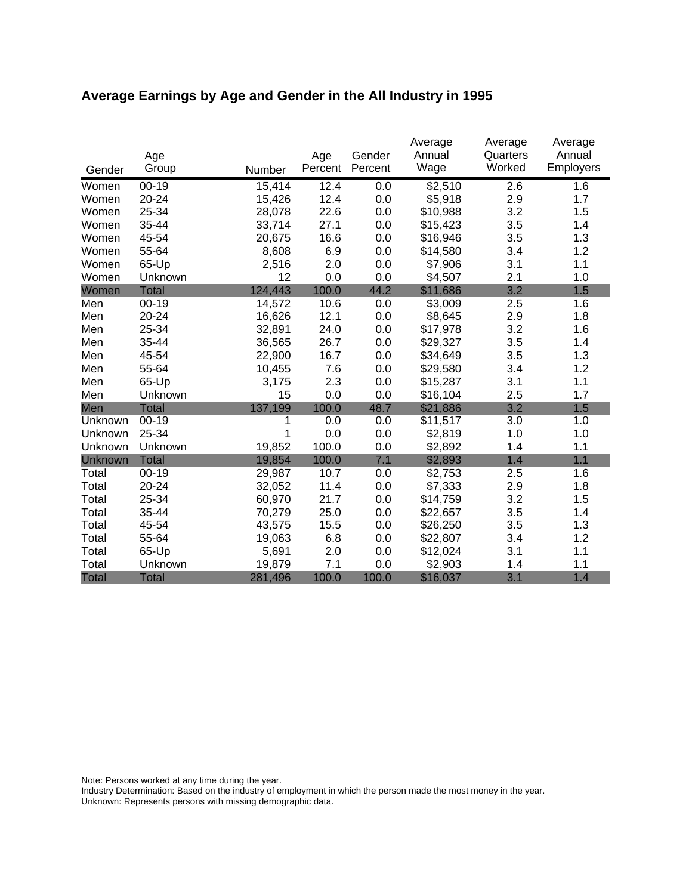# **Average Earnings by Age and Gender in the All Industry in 1995**

|              |              |         |                | Gender  | Average<br>Annual | Average<br>Quarters | Average<br>Annual |
|--------------|--------------|---------|----------------|---------|-------------------|---------------------|-------------------|
| Gender       | Age<br>Group | Number  | Age<br>Percent | Percent | Wage              | Worked              | Employers         |
| Women        | $00 - 19$    | 15,414  | 12.4           | 0.0     | \$2,510           | 2.6                 | 1.6               |
| Women        | 20-24        | 15,426  | 12.4           | 0.0     | \$5,918           | 2.9                 | 1.7               |
| Women        | 25-34        | 28,078  | 22.6           | 0.0     | \$10,988          | 3.2                 | 1.5               |
| Women        | 35-44        | 33,714  | 27.1           | 0.0     | \$15,423          | 3.5                 | 1.4               |
| Women        | 45-54        | 20,675  | 16.6           | 0.0     | \$16,946          | 3.5                 | 1.3               |
| Women        | 55-64        | 8,608   | 6.9            | 0.0     | \$14,580          | 3.4                 | 1.2               |
| Women        | 65-Up        | 2,516   | 2.0            | 0.0     | \$7,906           | 3.1                 | 1.1               |
| Women        | Unknown      | 12      | 0.0            | 0.0     | \$4,507           | 2.1                 | 1.0               |
| Women        | <b>Total</b> | 124,443 | 100.0          | 44.2    | \$11,686          | 3.2                 | 1.5               |
| Men          | $00 - 19$    | 14,572  | 10.6           | 0.0     | \$3,009           | 2.5                 | 1.6               |
| Men          | 20-24        | 16,626  | 12.1           | 0.0     | \$8,645           | 2.9                 | 1.8               |
| Men          | 25-34        | 32,891  | 24.0           | 0.0     | \$17,978          | 3.2                 | 1.6               |
| Men          | 35-44        | 36,565  | 26.7           | 0.0     | \$29,327          | 3.5                 | 1.4               |
| Men          | 45-54        | 22,900  | 16.7           | 0.0     | \$34,649          | 3.5                 | 1.3               |
| Men          | 55-64        | 10,455  | 7.6            | 0.0     | \$29,580          | 3.4                 | 1.2               |
| Men          | 65-Up        | 3,175   | 2.3            | 0.0     | \$15,287          | 3.1                 | 1.1               |
| Men          | Unknown      | 15      | 0.0            | 0.0     | \$16,104          | 2.5                 | 1.7               |
| Men          | <b>Total</b> | 137,199 | 100.0          | 48.7    | \$21,886          | 3.2                 | 1.5               |
| Unknown      | $00-19$      | 1       | 0.0            | 0.0     | \$11,517          | 3.0                 | 1.0               |
| Unknown      | 25-34        | 1       | 0.0            | 0.0     | \$2,819           | 1.0                 | 1.0               |
| Unknown      | Unknown      | 19,852  | 100.0          | 0.0     | \$2,892           | 1.4                 | 1.1               |
| Unknown      | <b>Total</b> | 19,854  | 100.0          | 7.1     | \$2,893           | 1.4                 | 1.1               |
| Total        | $00-19$      | 29,987  | 10.7           | 0.0     | \$2,753           | 2.5                 | 1.6               |
| Total        | 20-24        | 32,052  | 11.4           | 0.0     | \$7,333           | 2.9                 | 1.8               |
| Total        | 25-34        | 60,970  | 21.7           | 0.0     | \$14,759          | 3.2                 | 1.5               |
| Total        | 35-44        | 70,279  | 25.0           | 0.0     | \$22,657          | 3.5                 | 1.4               |
| Total        | 45-54        | 43,575  | 15.5           | 0.0     | \$26,250          | 3.5                 | 1.3               |
| Total        | 55-64        | 19,063  | 6.8            | 0.0     | \$22,807          | 3.4                 | 1.2               |
| Total        | 65-Up        | 5,691   | 2.0            | 0.0     | \$12,024          | 3.1                 | 1.1               |
| Total        | Unknown      | 19,879  | 7.1            | 0.0     | \$2,903           | 1.4                 | 1.1               |
| <b>Total</b> | <b>Total</b> | 281,496 | 100.0          | 100.0   | \$16,037          | 3.1                 | 1.4               |

Note: Persons worked at any time during the year.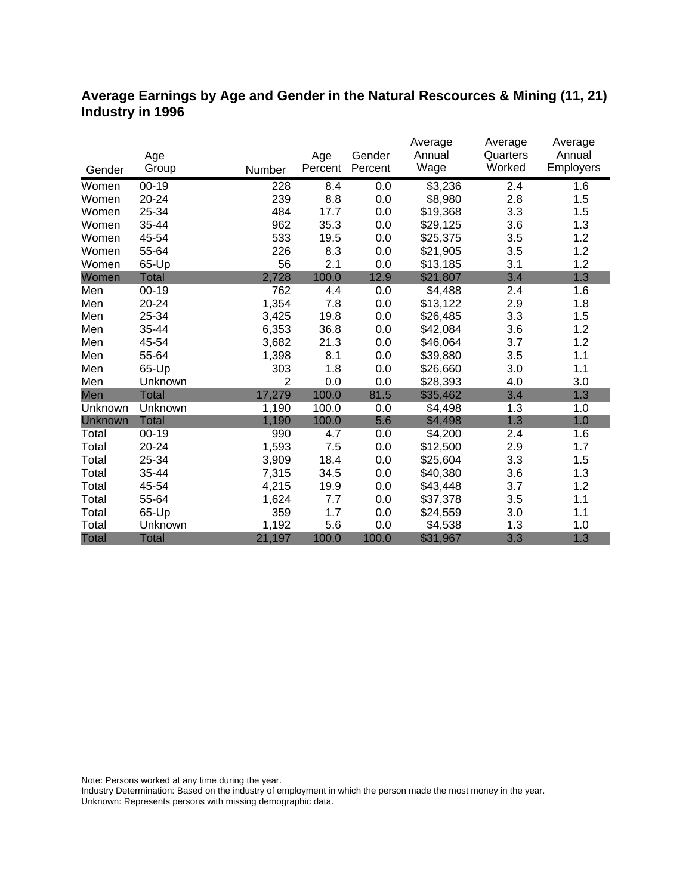#### **Average Earnings by Age and Gender in the Natural Rescources & Mining (11, 21) Industry in 1996**

|              |              |        |         |         | Average  | Average  | Average   |
|--------------|--------------|--------|---------|---------|----------|----------|-----------|
|              | Age          |        | Age     | Gender  | Annual   | Quarters | Annual    |
| Gender       | Group        | Number | Percent | Percent | Wage     | Worked   | Employers |
| Women        | $00 - 19$    | 228    | 8.4     | 0.0     | \$3,236  | 2.4      | 1.6       |
| Women        | 20-24        | 239    | 8.8     | 0.0     | \$8,980  | 2.8      | 1.5       |
| Women        | 25-34        | 484    | 17.7    | 0.0     | \$19,368 | 3.3      | 1.5       |
| Women        | 35-44        | 962    | 35.3    | 0.0     | \$29,125 | 3.6      | 1.3       |
| Women        | 45-54        | 533    | 19.5    | 0.0     | \$25,375 | 3.5      | 1.2       |
| Women        | 55-64        | 226    | 8.3     | 0.0     | \$21,905 | 3.5      | 1.2       |
| Women        | 65-Up        | 56     | 2.1     | 0.0     | \$13,185 | 3.1      | 1.2       |
| Women        | <b>Total</b> | 2,728  | 100.0   | 12.9    | \$21,807 | 3.4      | 1.3       |
| Men          | $00 - 19$    | 762    | 4.4     | 0.0     | \$4,488  | 2.4      | 1.6       |
| Men          | 20-24        | 1,354  | 7.8     | 0.0     | \$13,122 | 2.9      | 1.8       |
| Men          | 25-34        | 3,425  | 19.8    | 0.0     | \$26,485 | 3.3      | 1.5       |
| Men          | 35-44        | 6,353  | 36.8    | 0.0     | \$42,084 | 3.6      | 1.2       |
| Men          | 45-54        | 3,682  | 21.3    | 0.0     | \$46,064 | 3.7      | 1.2       |
| Men          | 55-64        | 1,398  | 8.1     | 0.0     | \$39,880 | 3.5      | 1.1       |
| Men          | 65-Up        | 303    | 1.8     | 0.0     | \$26,660 | 3.0      | 1.1       |
| Men          | Unknown      | 2      | 0.0     | 0.0     | \$28,393 | 4.0      | 3.0       |
| Men          | <b>Total</b> | 17,279 | 100.0   | 81.5    | \$35,462 | 3.4      | 1.3       |
| Unknown      | Unknown      | 1,190  | 100.0   | 0.0     | \$4,498  | 1.3      | 1.0       |
| Unknown      | <b>Total</b> | 1,190  | 100.0   | 5.6     | \$4,498  | 1.3      | 1.0       |
| Total        | $00 - 19$    | 990    | 4.7     | 0.0     | \$4,200  | 2.4      | 1.6       |
| Total        | 20-24        | 1,593  | 7.5     | 0.0     | \$12,500 | 2.9      | 1.7       |
| Total        | 25-34        | 3,909  | 18.4    | 0.0     | \$25,604 | 3.3      | 1.5       |
| Total        | 35-44        | 7,315  | 34.5    | 0.0     | \$40,380 | 3.6      | 1.3       |
| Total        | 45-54        | 4,215  | 19.9    | 0.0     | \$43,448 | 3.7      | 1.2       |
| Total        | 55-64        | 1,624  | 7.7     | 0.0     | \$37,378 | 3.5      | 1.1       |
| Total        | 65-Up        | 359    | 1.7     | 0.0     | \$24,559 | 3.0      | 1.1       |
| Total        | Unknown      | 1,192  | 5.6     | 0.0     | \$4,538  | 1.3      | 1.0       |
| <b>Total</b> | <b>Total</b> | 21,197 | 100.0   | 100.0   | \$31,967 | 3.3      | 1.3       |

Note: Persons worked at any time during the year.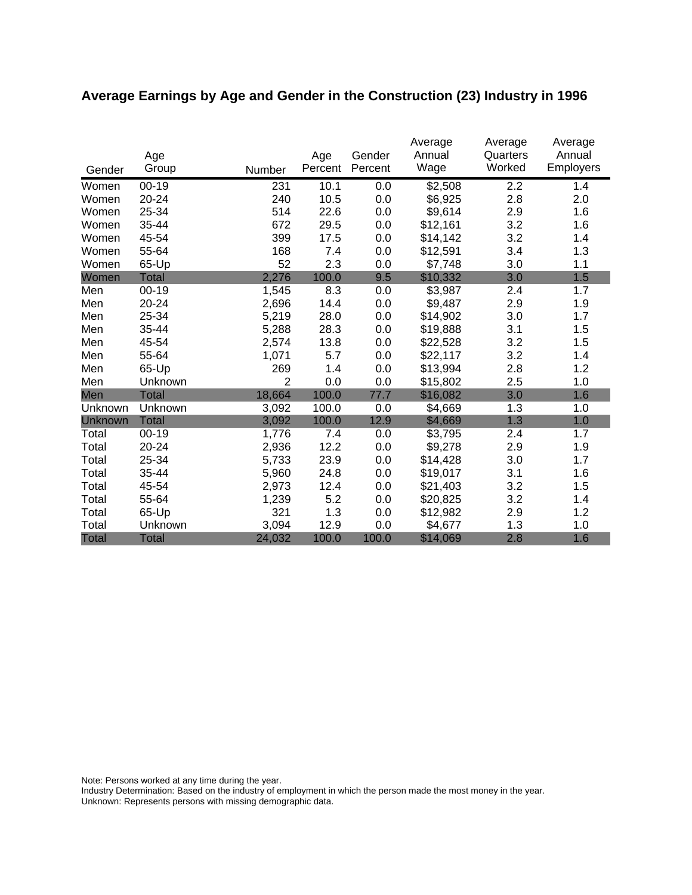# **Average Earnings by Age and Gender in the Construction (23) Industry in 1996**

|              | Age          |                | Age     | Gender  | Average<br>Annual | Average<br>Quarters | Average<br>Annual |
|--------------|--------------|----------------|---------|---------|-------------------|---------------------|-------------------|
| Gender       | Group        | Number         | Percent | Percent | Wage              | Worked              | <b>Employers</b>  |
| Women        | $00 - 19$    | 231            | 10.1    | 0.0     | \$2,508           | 2.2                 | 1.4               |
| Women        | 20-24        | 240            | 10.5    | 0.0     | \$6,925           | 2.8                 | 2.0               |
| Women        | 25-34        | 514            | 22.6    | 0.0     | \$9,614           | 2.9                 | 1.6               |
| Women        | 35-44        | 672            | 29.5    | 0.0     | \$12,161          | 3.2                 | 1.6               |
| Women        | 45-54        | 399            | 17.5    | 0.0     | \$14,142          | 3.2                 | 1.4               |
| Women        | 55-64        | 168            | 7.4     | 0.0     | \$12,591          | 3.4                 | 1.3               |
| Women        | 65-Up        | 52             | 2.3     | 0.0     | \$7,748           | 3.0                 | 1.1               |
| Women        | <b>Total</b> | 2,276          | 100.0   | 9.5     | \$10,332          | 3.0                 | 1.5               |
| Men          | $00 - 19$    | 1,545          | 8.3     | 0.0     | \$3,987           | 2.4                 | 1.7               |
| Men          | $20 - 24$    | 2,696          | 14.4    | 0.0     | \$9,487           | 2.9                 | 1.9               |
| Men          | 25-34        | 5,219          | 28.0    | 0.0     | \$14,902          | 3.0                 | 1.7               |
| Men          | 35-44        | 5,288          | 28.3    | 0.0     | \$19,888          | 3.1                 | 1.5               |
| Men          | 45-54        | 2,574          | 13.8    | 0.0     | \$22,528          | 3.2                 | 1.5               |
| Men          | 55-64        | 1,071          | 5.7     | 0.0     | \$22,117          | 3.2                 | 1.4               |
| Men          | 65-Up        | 269            | 1.4     | 0.0     | \$13,994          | 2.8                 | 1.2               |
| Men          | Unknown      | $\overline{2}$ | 0.0     | 0.0     | \$15,802          | 2.5                 | 1.0               |
| Men          | Total        | 18,664         | 100.0   | 77.7    | \$16,082          | 3.0                 | 1.6               |
| Unknown      | Unknown      | 3,092          | 100.0   | 0.0     | \$4,669           | 1.3                 | 1.0               |
| Unknown      | <b>Total</b> | 3,092          | 100.0   | 12.9    | \$4,669           | 1.3                 | 1.0               |
| Total        | $00 - 19$    | 1,776          | 7.4     | 0.0     | \$3,795           | 2.4                 | 1.7               |
| Total        | 20-24        | 2,936          | 12.2    | 0.0     | \$9,278           | 2.9                 | 1.9               |
| Total        | 25-34        | 5,733          | 23.9    | 0.0     | \$14,428          | 3.0                 | 1.7               |
| Total        | 35-44        | 5,960          | 24.8    | 0.0     | \$19,017          | 3.1                 | 1.6               |
| Total        | 45-54        | 2,973          | 12.4    | 0.0     | \$21,403          | 3.2                 | 1.5               |
| Total        | 55-64        | 1,239          | 5.2     | 0.0     | \$20,825          | 3.2                 | 1.4               |
| Total        | 65-Up        | 321            | 1.3     | 0.0     | \$12,982          | 2.9                 | 1.2               |
| Total        | Unknown      | 3,094          | 12.9    | 0.0     | \$4,677           | 1.3                 | 1.0               |
| <b>Total</b> | <b>Total</b> | 24,032         | 100.0   | 100.0   | \$14,069          | 2.8                 | 1.6               |

Note: Persons worked at any time during the year.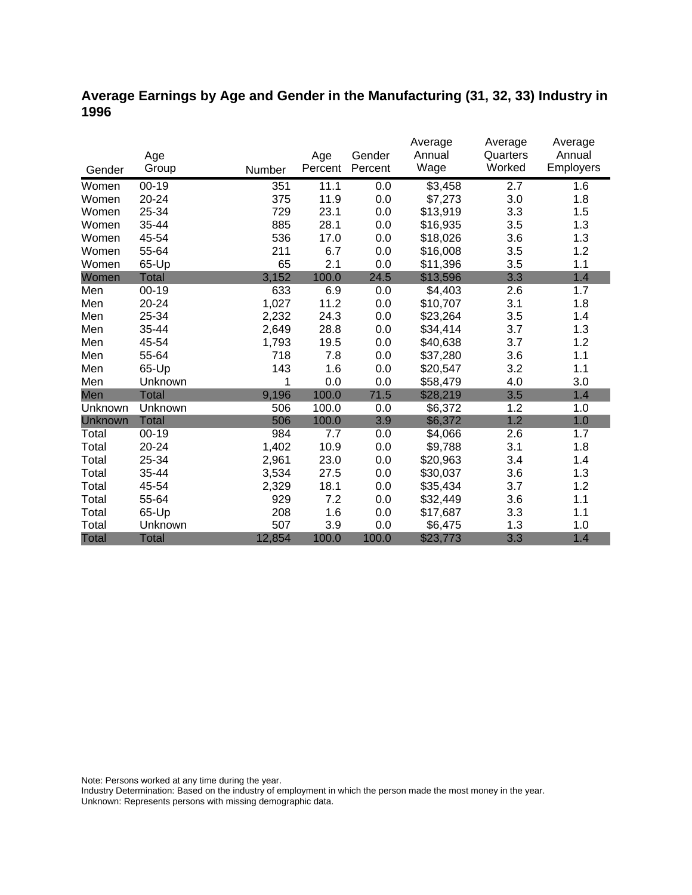## **Average Earnings by Age and Gender in the Manufacturing (31, 32, 33) Industry in 1996**

|                |              |        |         |         | Average  | Average  | Average   |
|----------------|--------------|--------|---------|---------|----------|----------|-----------|
|                | Age          |        | Age     | Gender  | Annual   | Quarters | Annual    |
| Gender         | Group        | Number | Percent | Percent | Wage     | Worked   | Employers |
| Women          | $00 - 19$    | 351    | 11.1    | 0.0     | \$3,458  | 2.7      | 1.6       |
| Women          | 20-24        | 375    | 11.9    | 0.0     | \$7,273  | 3.0      | 1.8       |
| Women          | 25-34        | 729    | 23.1    | 0.0     | \$13,919 | 3.3      | 1.5       |
| Women          | 35-44        | 885    | 28.1    | 0.0     | \$16,935 | 3.5      | 1.3       |
| Women          | 45-54        | 536    | 17.0    | 0.0     | \$18,026 | 3.6      | 1.3       |
| Women          | 55-64        | 211    | 6.7     | 0.0     | \$16,008 | 3.5      | 1.2       |
| Women          | 65-Up        | 65     | 2.1     | 0.0     | \$11,396 | 3.5      | 1.1       |
| Women          | <b>Total</b> | 3,152  | 100.0   | 24.5    | \$13,596 | 3.3      | 1.4       |
| Men            | $00 - 19$    | 633    | 6.9     | 0.0     | \$4,403  | 2.6      | 1.7       |
| Men            | 20-24        | 1,027  | 11.2    | 0.0     | \$10,707 | 3.1      | 1.8       |
| Men            | 25-34        | 2,232  | 24.3    | 0.0     | \$23,264 | 3.5      | 1.4       |
| Men            | 35-44        | 2,649  | 28.8    | 0.0     | \$34,414 | 3.7      | 1.3       |
| Men            | 45-54        | 1,793  | 19.5    | 0.0     | \$40,638 | 3.7      | 1.2       |
| Men            | 55-64        | 718    | 7.8     | 0.0     | \$37,280 | 3.6      | 1.1       |
| Men            | 65-Up        | 143    | 1.6     | 0.0     | \$20,547 | 3.2      | 1.1       |
| Men            | Unknown      | 1      | 0.0     | 0.0     | \$58,479 | 4.0      | 3.0       |
| Men            | <b>Total</b> | 9,196  | 100.0   | 71.5    | \$28,219 | 3.5      | 1.4       |
| Unknown        | Unknown      | 506    | 100.0   | 0.0     | \$6,372  | 1.2      | 1.0       |
| <b>Unknown</b> | <b>Total</b> | 506    | 100.0   | 3.9     | \$6,372  | 1.2      | 1.0       |
| Total          | $00 - 19$    | 984    | 7.7     | 0.0     | \$4,066  | 2.6      | 1.7       |
| Total          | 20-24        | 1,402  | 10.9    | 0.0     | \$9,788  | 3.1      | 1.8       |
| Total          | 25-34        | 2,961  | 23.0    | 0.0     | \$20,963 | 3.4      | 1.4       |
| Total          | 35-44        | 3,534  | 27.5    | 0.0     | \$30,037 | 3.6      | 1.3       |
| Total          | 45-54        | 2,329  | 18.1    | 0.0     | \$35,434 | 3.7      | 1.2       |
| Total          | 55-64        | 929    | 7.2     | 0.0     | \$32,449 | 3.6      | 1.1       |
| Total          | 65-Up        | 208    | 1.6     | 0.0     | \$17,687 | 3.3      | 1.1       |
| Total          | Unknown      | 507    | 3.9     | 0.0     | \$6,475  | 1.3      | 1.0       |
| <b>Total</b>   | <b>Total</b> | 12,854 | 100.0   | 100.0   | \$23,773 | 3.3      | 1.4       |

Note: Persons worked at any time during the year.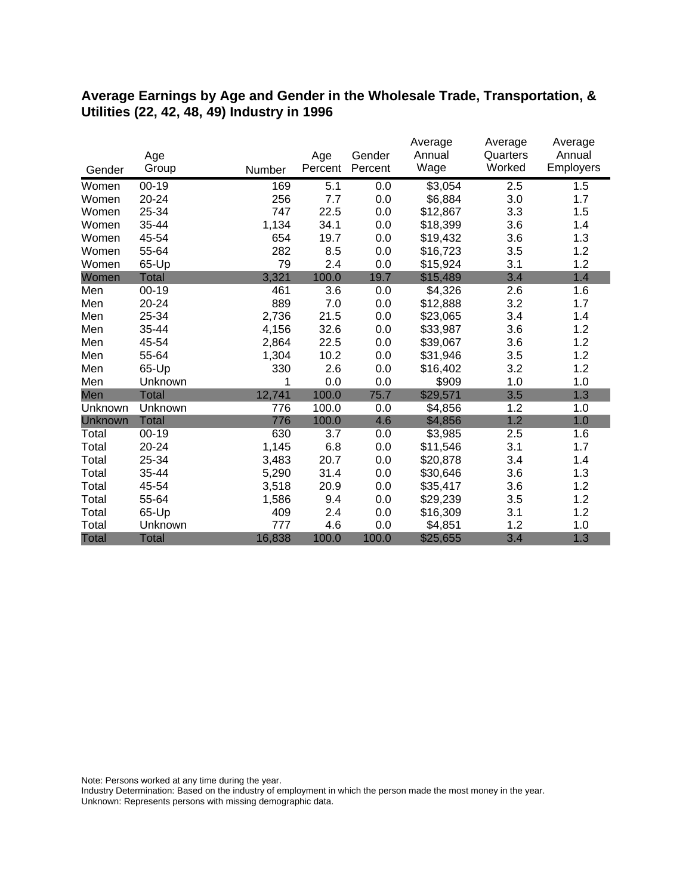#### **Average Earnings by Age and Gender in the Wholesale Trade, Transportation, & Utilities (22, 42, 48, 49) Industry in 1996**

|              |              |        |         |         | Average  | Average  | Average          |
|--------------|--------------|--------|---------|---------|----------|----------|------------------|
|              | Age          |        | Age     | Gender  | Annual   | Quarters | Annual           |
| Gender       | Group        | Number | Percent | Percent | Wage     | Worked   | <b>Employers</b> |
| Women        | $00 - 19$    | 169    | 5.1     | 0.0     | \$3,054  | 2.5      | 1.5              |
| Women        | 20-24        | 256    | 7.7     | 0.0     | \$6,884  | 3.0      | 1.7              |
| Women        | 25-34        | 747    | 22.5    | 0.0     | \$12,867 | 3.3      | 1.5              |
| Women        | 35-44        | 1,134  | 34.1    | 0.0     | \$18,399 | 3.6      | 1.4              |
| Women        | 45-54        | 654    | 19.7    | 0.0     | \$19,432 | 3.6      | 1.3              |
| Women        | 55-64        | 282    | 8.5     | 0.0     | \$16,723 | 3.5      | 1.2              |
| Women        | 65-Up        | 79     | 2.4     | 0.0     | \$15,924 | 3.1      | 1.2              |
| Women        | <b>Total</b> | 3,321  | 100.0   | 19.7    | \$15,489 | 3.4      | 1.4              |
| Men          | $00 - 19$    | 461    | 3.6     | 0.0     | \$4,326  | 2.6      | 1.6              |
| Men          | 20-24        | 889    | 7.0     | 0.0     | \$12,888 | 3.2      | 1.7              |
| Men          | 25-34        | 2,736  | 21.5    | 0.0     | \$23,065 | 3.4      | 1.4              |
| Men          | 35-44        | 4,156  | 32.6    | 0.0     | \$33,987 | 3.6      | 1.2              |
| Men          | 45-54        | 2,864  | 22.5    | 0.0     | \$39,067 | 3.6      | 1.2              |
| Men          | 55-64        | 1,304  | 10.2    | 0.0     | \$31,946 | 3.5      | 1.2              |
| Men          | 65-Up        | 330    | 2.6     | 0.0     | \$16,402 | 3.2      | 1.2              |
| Men          | Unknown      | 1      | 0.0     | 0.0     | \$909    | 1.0      | 1.0              |
| Men          | Total        | 12,741 | 100.0   | 75.7    | \$29,571 | 3.5      | 1.3              |
| Unknown      | Unknown      | 776    | 100.0   | 0.0     | \$4,856  | 1.2      | 1.0              |
| Unknown      | <b>Total</b> | 776    | 100.0   | 4.6     | \$4,856  | 1.2      | 1.0              |
| Total        | $00 - 19$    | 630    | 3.7     | 0.0     | \$3,985  | 2.5      | 1.6              |
| Total        | 20-24        | 1,145  | 6.8     | 0.0     | \$11,546 | 3.1      | 1.7              |
| Total        | 25-34        | 3,483  | 20.7    | 0.0     | \$20,878 | 3.4      | 1.4              |
| Total        | 35-44        | 5,290  | 31.4    | 0.0     | \$30,646 | 3.6      | 1.3              |
| Total        | 45-54        | 3,518  | 20.9    | 0.0     | \$35,417 | 3.6      | 1.2              |
| Total        | 55-64        | 1,586  | 9.4     | 0.0     | \$29,239 | 3.5      | 1.2              |
| Total        | 65-Up        | 409    | 2.4     | 0.0     | \$16,309 | 3.1      | 1.2              |
| Total        | Unknown      | 777    | 4.6     | 0.0     | \$4,851  | 1.2      | 1.0              |
| <b>Total</b> | <b>Total</b> | 16,838 | 100.0   | 100.0   | \$25,655 | 3.4      | 1.3              |

Note: Persons worked at any time during the year.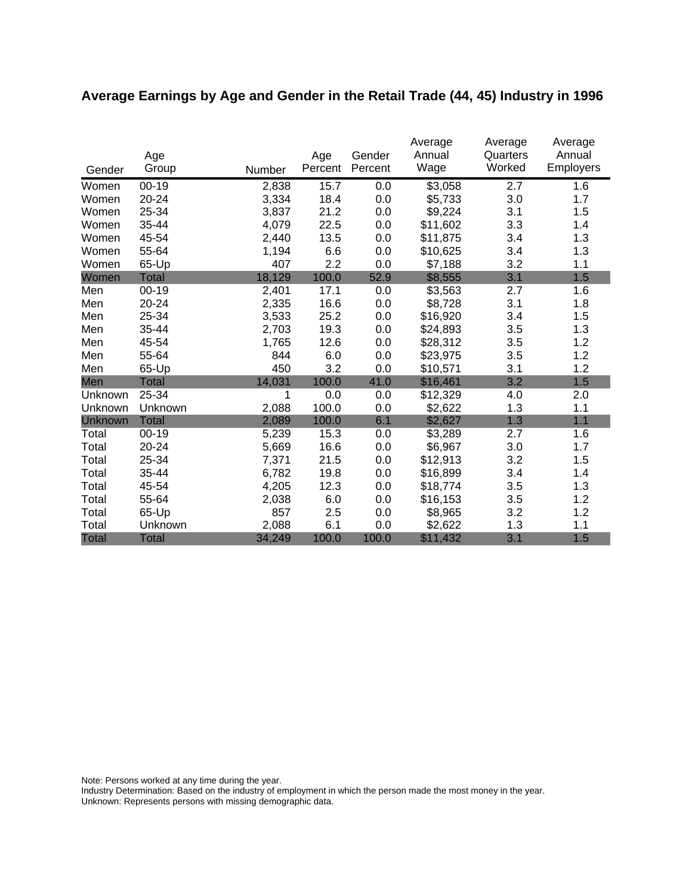# **Average Earnings by Age and Gender in the Retail Trade (44, 45) Industry in 1996**

|              | Age          |        | Age     | Gender  | Average<br>Annual | Average<br>Quarters | Average<br>Annual |
|--------------|--------------|--------|---------|---------|-------------------|---------------------|-------------------|
| Gender       | Group        | Number | Percent | Percent | Wage              | Worked              | <b>Employers</b>  |
| Women        | $00 - 19$    | 2,838  | 15.7    | 0.0     | \$3,058           | 2.7                 | 1.6               |
| Women        | 20-24        | 3,334  | 18.4    | 0.0     | \$5,733           | 3.0                 | 1.7               |
| Women        | 25-34        | 3,837  | 21.2    | 0.0     | \$9,224           | 3.1                 | 1.5               |
| Women        | 35-44        | 4,079  | 22.5    | 0.0     | \$11,602          | 3.3                 | 1.4               |
| Women        | 45-54        | 2,440  | 13.5    | 0.0     | \$11,875          | 3.4                 | 1.3               |
| Women        | 55-64        | 1,194  | 6.6     | 0.0     | \$10,625          | 3.4                 | 1.3               |
| Women        | 65-Up        | 407    | 2.2     | 0.0     | \$7,188           | 3.2                 | 1.1               |
| Women        | <b>Total</b> | 18,129 | 100.0   | 52.9    | \$8,555           | 3.1                 | 1.5               |
| Men          | $00 - 19$    | 2,401  | 17.1    | 0.0     | \$3,563           | 2.7                 | 1.6               |
| Men          | 20-24        | 2,335  | 16.6    | 0.0     | \$8,728           | 3.1                 | 1.8               |
| Men          | 25-34        | 3,533  | 25.2    | 0.0     | \$16,920          | 3.4                 | 1.5               |
| Men          | 35-44        | 2,703  | 19.3    | 0.0     | \$24,893          | 3.5                 | 1.3               |
| Men          | 45-54        | 1,765  | 12.6    | 0.0     | \$28,312          | 3.5                 | 1.2               |
| Men          | 55-64        | 844    | 6.0     | 0.0     | \$23,975          | 3.5                 | 1.2               |
| Men          | 65-Up        | 450    | 3.2     | 0.0     | \$10,571          | 3.1                 | 1.2               |
| Men          | <b>Total</b> | 14,031 | 100.0   | 41.0    | \$16,461          | 3.2                 | 1.5               |
| Unknown      | 25-34        | 1      | 0.0     | 0.0     | \$12,329          | 4.0                 | 2.0               |
| Unknown      | Unknown      | 2,088  | 100.0   | 0.0     | \$2,622           | 1.3                 | 1.1               |
| Unknown      | <b>Total</b> | 2,089  | 100.0   | 6.1     | \$2,627           | 1.3                 | 1.1               |
| Total        | $00 - 19$    | 5,239  | 15.3    | 0.0     | \$3,289           | 2.7                 | 1.6               |
| Total        | 20-24        | 5,669  | 16.6    | 0.0     | \$6,967           | 3.0                 | 1.7               |
| Total        | 25-34        | 7,371  | 21.5    | 0.0     | \$12,913          | 3.2                 | 1.5               |
| Total        | 35-44        | 6,782  | 19.8    | 0.0     | \$16,899          | 3.4                 | 1.4               |
| Total        | 45-54        | 4,205  | 12.3    | 0.0     | \$18,774          | 3.5                 | 1.3               |
| Total        | 55-64        | 2,038  | 6.0     | 0.0     | \$16,153          | 3.5                 | 1.2               |
| Total        | 65-Up        | 857    | 2.5     | 0.0     | \$8,965           | 3.2                 | 1.2               |
| Total        | Unknown      | 2,088  | 6.1     | 0.0     | \$2,622           | 1.3                 | 1.1               |
| <b>Total</b> | <b>Total</b> | 34,249 | 100.0   | 100.0   | \$11,432          | 3.1                 | 1.5               |

Note: Persons worked at any time during the year.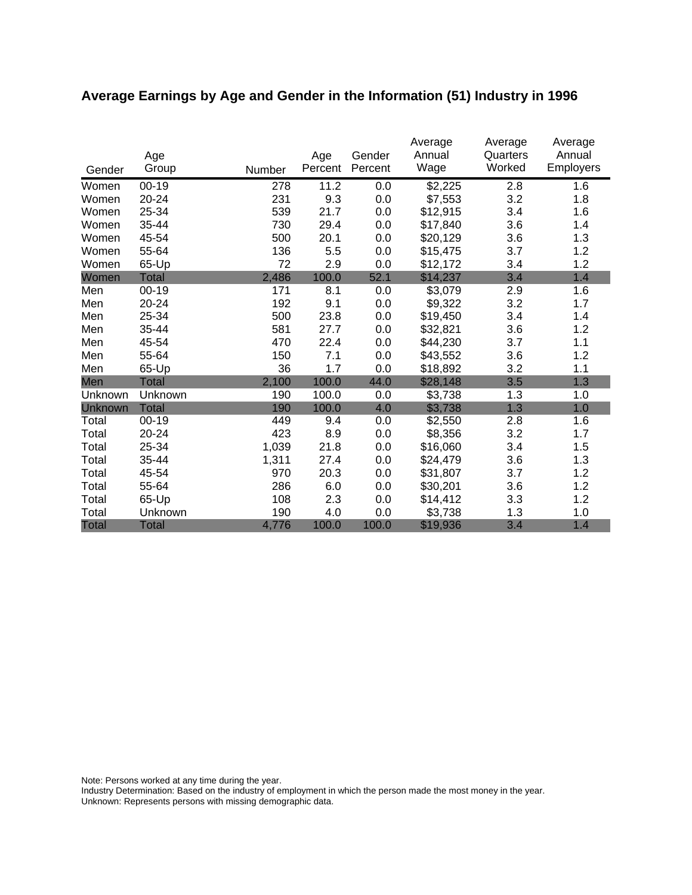# **Average Earnings by Age and Gender in the Information (51) Industry in 1996**

|              | Age          |        | Age     | Gender  | Average<br>Annual | Average<br>Quarters | Average<br>Annual |
|--------------|--------------|--------|---------|---------|-------------------|---------------------|-------------------|
| Gender       | Group        | Number | Percent | Percent | Wage              | Worked              | <b>Employers</b>  |
| Women        | $00 - 19$    | 278    | 11.2    | 0.0     | \$2,225           | 2.8                 | 1.6               |
| Women        | 20-24        | 231    | 9.3     | 0.0     | \$7,553           | 3.2                 | 1.8               |
| Women        | 25-34        | 539    | 21.7    | 0.0     | \$12,915          | 3.4                 | 1.6               |
| Women        | 35-44        | 730    | 29.4    | 0.0     | \$17,840          | 3.6                 | 1.4               |
| Women        | 45-54        | 500    | 20.1    | 0.0     | \$20,129          | 3.6                 | 1.3               |
| Women        | 55-64        | 136    | 5.5     | 0.0     | \$15,475          | 3.7                 | 1.2               |
| Women        | 65-Up        | 72     | 2.9     | 0.0     | \$12,172          | 3.4                 | 1.2               |
| Women        | <b>Total</b> | 2,486  | 100.0   | 52.1    | \$14,237          | 3.4                 | 1.4               |
| Men          | 00-19        | 171    | 8.1     | 0.0     | \$3,079           | 2.9                 | 1.6               |
| Men          | 20-24        | 192    | 9.1     | 0.0     | \$9,322           | 3.2                 | 1.7               |
| Men          | 25-34        | 500    | 23.8    | 0.0     | \$19,450          | 3.4                 | 1.4               |
| Men          | 35-44        | 581    | 27.7    | 0.0     | \$32,821          | 3.6                 | 1.2               |
| Men          | 45-54        | 470    | 22.4    | 0.0     | \$44,230          | 3.7                 | 1.1               |
| Men          | 55-64        | 150    | 7.1     | 0.0     | \$43,552          | 3.6                 | 1.2               |
| Men          | 65-Up        | 36     | 1.7     | 0.0     | \$18,892          | 3.2                 | 1.1               |
| Men          | Total        | 2,100  | 100.0   | 44.0    | \$28,148          | 3.5                 | 1.3               |
| Unknown      | Unknown      | 190    | 100.0   | 0.0     | \$3,738           | 1.3                 | 1.0               |
| Unknown      | <b>Total</b> | 190    | 100.0   | 4.0     | \$3,738           | 1.3                 | 1.0               |
| Total        | $00 - 19$    | 449    | 9.4     | 0.0     | \$2,550           | 2.8                 | 1.6               |
| Total        | 20-24        | 423    | 8.9     | 0.0     | \$8,356           | 3.2                 | 1.7               |
| Total        | 25-34        | 1,039  | 21.8    | 0.0     | \$16,060          | 3.4                 | 1.5               |
| Total        | 35-44        | 1,311  | 27.4    | 0.0     | \$24,479          | 3.6                 | 1.3               |
| Total        | 45-54        | 970    | 20.3    | 0.0     | \$31,807          | 3.7                 | 1.2               |
| Total        | 55-64        | 286    | 6.0     | 0.0     | \$30,201          | 3.6                 | 1.2               |
| Total        | 65-Up        | 108    | 2.3     | 0.0     | \$14,412          | 3.3                 | 1.2               |
| Total        | Unknown      | 190    | 4.0     | 0.0     | \$3,738           | 1.3                 | 1.0               |
| <b>Total</b> | <b>Total</b> | 4,776  | 100.0   | 100.0   | \$19,936          | 3.4                 | 1.4               |

Note: Persons worked at any time during the year.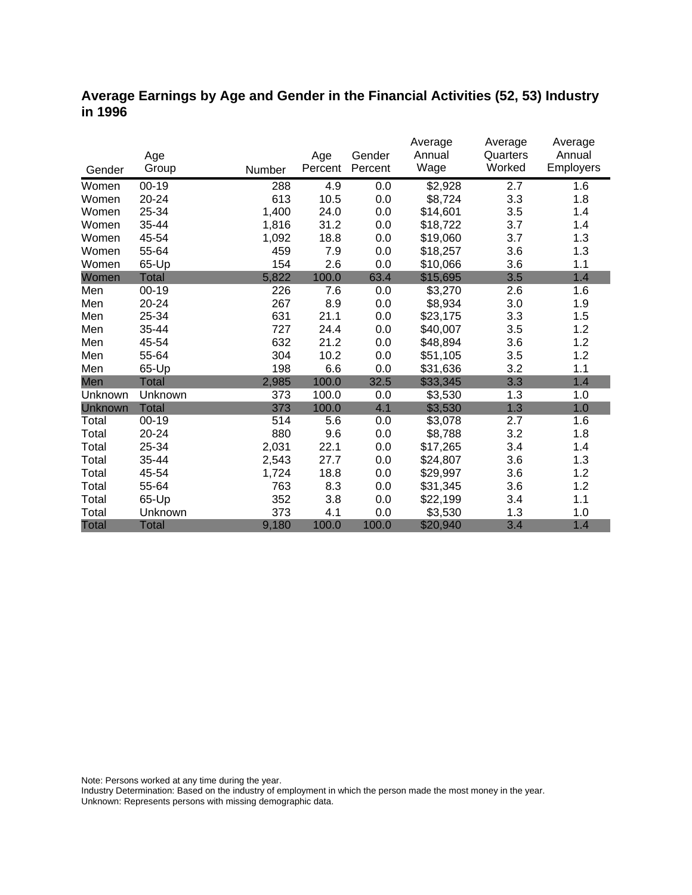### **Average Earnings by Age and Gender in the Financial Activities (52, 53) Industry in 1996**

|              |              |        |         |         | Average  | Average  | Average          |
|--------------|--------------|--------|---------|---------|----------|----------|------------------|
|              | Age          |        | Age     | Gender  | Annual   | Quarters | Annual           |
| Gender       | Group        | Number | Percent | Percent | Wage     | Worked   | <b>Employers</b> |
| Women        | $00 - 19$    | 288    | 4.9     | 0.0     | \$2,928  | 2.7      | 1.6              |
| Women        | $20 - 24$    | 613    | 10.5    | 0.0     | \$8,724  | 3.3      | 1.8              |
| Women        | 25-34        | 1,400  | 24.0    | 0.0     | \$14,601 | 3.5      | 1.4              |
| Women        | 35-44        | 1,816  | 31.2    | 0.0     | \$18,722 | 3.7      | 1.4              |
| Women        | 45-54        | 1,092  | 18.8    | 0.0     | \$19,060 | 3.7      | 1.3              |
| Women        | 55-64        | 459    | 7.9     | 0.0     | \$18,257 | 3.6      | 1.3              |
| Women        | 65-Up        | 154    | 2.6     | 0.0     | \$10,066 | 3.6      | 1.1              |
| Women        | <b>Total</b> | 5,822  | 100.0   | 63.4    | \$15,695 | 3.5      | 1.4              |
| Men          | $00 - 19$    | 226    | 7.6     | 0.0     | \$3,270  | 2.6      | 1.6              |
| Men          | 20-24        | 267    | 8.9     | 0.0     | \$8,934  | 3.0      | 1.9              |
| Men          | 25-34        | 631    | 21.1    | 0.0     | \$23,175 | 3.3      | 1.5              |
| Men          | 35-44        | 727    | 24.4    | 0.0     | \$40,007 | 3.5      | 1.2              |
| Men          | 45-54        | 632    | 21.2    | 0.0     | \$48,894 | 3.6      | 1.2              |
| Men          | 55-64        | 304    | 10.2    | 0.0     | \$51,105 | 3.5      | 1.2              |
| Men          | 65-Up        | 198    | 6.6     | 0.0     | \$31,636 | 3.2      | 1.1              |
| Men          | <b>Total</b> | 2,985  | 100.0   | 32.5    | \$33,345 | 3.3      | 1.4              |
| Unknown      | Unknown      | 373    | 100.0   | 0.0     | \$3,530  | 1.3      | 1.0              |
| Unknown      | <b>Total</b> | 373    | 100.0   | 4.1     | \$3,530  | 1.3      | 1.0              |
| Total        | $00 - 19$    | 514    | 5.6     | 0.0     | \$3,078  | 2.7      | 1.6              |
| Total        | 20-24        | 880    | 9.6     | 0.0     | \$8,788  | 3.2      | 1.8              |
| Total        | 25-34        | 2,031  | 22.1    | 0.0     | \$17,265 | 3.4      | 1.4              |
| Total        | 35-44        | 2,543  | 27.7    | 0.0     | \$24,807 | 3.6      | 1.3              |
| Total        | 45-54        | 1,724  | 18.8    | 0.0     | \$29,997 | 3.6      | 1.2              |
| Total        | 55-64        | 763    | 8.3     | 0.0     | \$31,345 | 3.6      | 1.2              |
| Total        | 65-Up        | 352    | 3.8     | 0.0     | \$22,199 | 3.4      | 1.1              |
| Total        | Unknown      | 373    | 4.1     | 0.0     | \$3,530  | 1.3      | 1.0              |
| <b>Total</b> | <b>Total</b> | 9,180  | 100.0   | 100.0   | \$20,940 | 3.4      | 1.4              |

Note: Persons worked at any time during the year.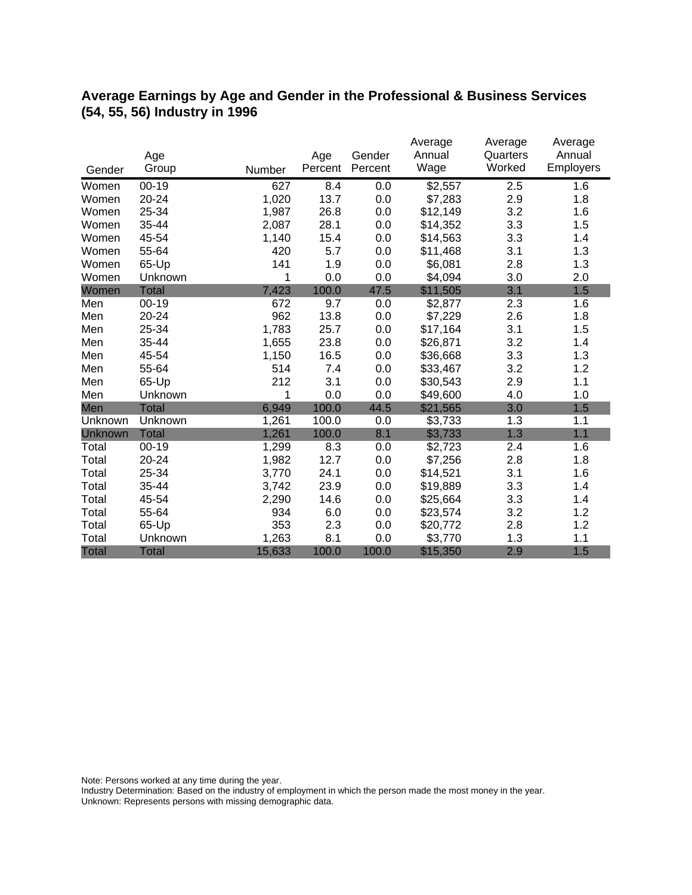## **Average Earnings by Age and Gender in the Professional & Business Services (54, 55, 56) Industry in 1996**

|              | Age          |        | Age     | Gender  | Average<br>Annual | Average<br>Quarters | Average<br>Annual |
|--------------|--------------|--------|---------|---------|-------------------|---------------------|-------------------|
| Gender       | Group        | Number | Percent | Percent | Wage              | Worked              | Employers         |
| Women        | $00 - 19$    | 627    | 8.4     | 0.0     | \$2,557           | 2.5                 | 1.6               |
| Women        | 20-24        | 1,020  | 13.7    | 0.0     | \$7,283           | 2.9                 | 1.8               |
| Women        | 25-34        | 1,987  | 26.8    | 0.0     | \$12,149          | 3.2                 | 1.6               |
| Women        | 35-44        | 2,087  | 28.1    | 0.0     | \$14,352          | 3.3                 | 1.5               |
| Women        | 45-54        | 1,140  | 15.4    | 0.0     | \$14,563          | 3.3                 | 1.4               |
| Women        | 55-64        | 420    | 5.7     | 0.0     | \$11,468          | 3.1                 | 1.3               |
| Women        | 65-Up        | 141    | 1.9     | 0.0     | \$6,081           | 2.8                 | 1.3               |
| Women        | Unknown      | 1      | 0.0     | 0.0     | \$4,094           | 3.0                 | 2.0               |
| Women        | <b>Total</b> | 7,423  | 100.0   | 47.5    | \$11,505          | 3.1                 | 1.5               |
| Men          | $00 - 19$    | 672    | 9.7     | 0.0     | \$2,877           | 2.3                 | 1.6               |
| Men          | 20-24        | 962    | 13.8    | 0.0     | \$7,229           | 2.6                 | 1.8               |
| Men          | 25-34        | 1,783  | 25.7    | 0.0     | \$17,164          | 3.1                 | 1.5               |
| Men          | 35-44        | 1,655  | 23.8    | 0.0     | \$26,871          | 3.2                 | 1.4               |
| Men          | 45-54        | 1,150  | 16.5    | 0.0     | \$36,668          | 3.3                 | 1.3               |
| Men          | 55-64        | 514    | 7.4     | 0.0     | \$33,467          | 3.2                 | 1.2               |
| Men          | 65-Up        | 212    | 3.1     | 0.0     | \$30,543          | 2.9                 | 1.1               |
| Men          | Unknown      | 1      | 0.0     | 0.0     | \$49,600          | 4.0                 | 1.0               |
| Men          | <b>Total</b> | 6,949  | 100.0   | 44.5    | \$21,565          | 3.0                 | 1.5               |
| Unknown      | Unknown      | 1,261  | 100.0   | 0.0     | \$3,733           | 1.3                 | 1.1               |
| Unknown      | <b>Total</b> | 1,261  | 100.0   | 8.1     | \$3,733           | 1.3                 | 1.1               |
| Total        | $00 - 19$    | 1,299  | 8.3     | 0.0     | \$2,723           | 2.4                 | 1.6               |
| Total        | 20-24        | 1,982  | 12.7    | 0.0     | \$7,256           | 2.8                 | 1.8               |
| Total        | 25-34        | 3,770  | 24.1    | 0.0     | \$14,521          | 3.1                 | 1.6               |
| Total        | 35-44        | 3,742  | 23.9    | 0.0     | \$19,889          | 3.3                 | 1.4               |
| Total        | 45-54        | 2,290  | 14.6    | 0.0     | \$25,664          | 3.3                 | 1.4               |
| Total        | 55-64        | 934    | 6.0     | 0.0     | \$23,574          | 3.2                 | 1.2               |
| Total        | 65-Up        | 353    | 2.3     | 0.0     | \$20,772          | 2.8                 | 1.2               |
| Total        | Unknown      | 1,263  | 8.1     | 0.0     | \$3,770           | 1.3                 | 1.1               |
| <b>Total</b> | <b>Total</b> | 15,633 | 100.0   | 100.0   | \$15,350          | 2.9                 | 1.5               |

Note: Persons worked at any time during the year.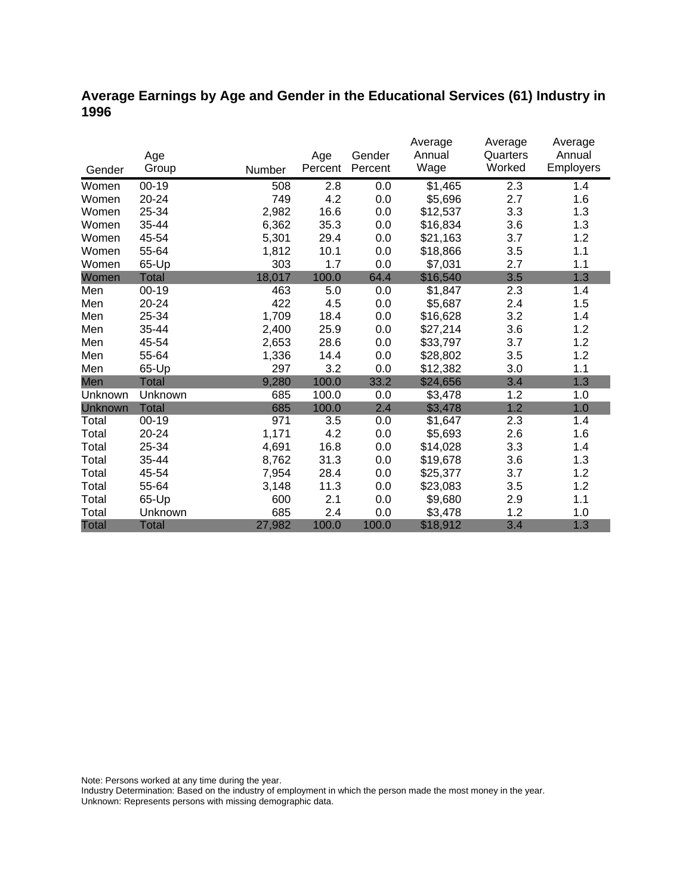## **Average Earnings by Age and Gender in the Educational Services (61) Industry in 1996**

|              |              |        |         |         | Average  | Average  | Average          |
|--------------|--------------|--------|---------|---------|----------|----------|------------------|
|              | Age          |        | Age     | Gender  | Annual   | Quarters | Annual           |
| Gender       | Group        | Number | Percent | Percent | Wage     | Worked   | <b>Employers</b> |
| Women        | $00 - 19$    | 508    | 2.8     | 0.0     | \$1,465  | 2.3      | 1.4              |
| Women        | $20 - 24$    | 749    | 4.2     | 0.0     | \$5,696  | 2.7      | 1.6              |
| Women        | 25-34        | 2,982  | 16.6    | 0.0     | \$12,537 | 3.3      | 1.3              |
| Women        | 35-44        | 6,362  | 35.3    | 0.0     | \$16,834 | 3.6      | 1.3              |
| Women        | 45-54        | 5,301  | 29.4    | 0.0     | \$21,163 | 3.7      | 1.2              |
| Women        | 55-64        | 1,812  | 10.1    | 0.0     | \$18,866 | 3.5      | 1.1              |
| Women        | 65-Up        | 303    | 1.7     | 0.0     | \$7,031  | 2.7      | 1.1              |
| Women        | <b>Total</b> | 18,017 | 100.0   | 64.4    | \$16,540 | 3.5      | 1.3              |
| Men          | 00-19        | 463    | 5.0     | 0.0     | \$1,847  | 2.3      | 1.4              |
| Men          | 20-24        | 422    | 4.5     | 0.0     | \$5,687  | 2.4      | 1.5              |
| Men          | 25-34        | 1,709  | 18.4    | 0.0     | \$16,628 | 3.2      | 1.4              |
| Men          | 35-44        | 2,400  | 25.9    | 0.0     | \$27,214 | 3.6      | 1.2              |
| Men          | 45-54        | 2,653  | 28.6    | 0.0     | \$33,797 | 3.7      | 1.2              |
| Men          | 55-64        | 1,336  | 14.4    | 0.0     | \$28,802 | 3.5      | 1.2              |
| Men          | 65-Up        | 297    | 3.2     | 0.0     | \$12,382 | 3.0      | 1.1              |
| Men          | Total        | 9,280  | 100.0   | 33.2    | \$24,656 | 3.4      | 1.3              |
| Unknown      | Unknown      | 685    | 100.0   | 0.0     | \$3,478  | 1.2      | 1.0              |
| Unknown      | <b>Total</b> | 685    | 100.0   | 2.4     | \$3,478  | 1.2      | 1.0              |
| Total        | $00 - 19$    | 971    | 3.5     | 0.0     | \$1,647  | 2.3      | 1.4              |
| Total        | 20-24        | 1,171  | 4.2     | 0.0     | \$5,693  | 2.6      | 1.6              |
| Total        | 25-34        | 4,691  | 16.8    | 0.0     | \$14,028 | 3.3      | 1.4              |
| Total        | 35-44        | 8,762  | 31.3    | 0.0     | \$19,678 | 3.6      | 1.3              |
| Total        | 45-54        | 7,954  | 28.4    | 0.0     | \$25,377 | 3.7      | 1.2              |
| Total        | 55-64        | 3,148  | 11.3    | 0.0     | \$23,083 | 3.5      | 1.2              |
| Total        | 65-Up        | 600    | 2.1     | 0.0     | \$9,680  | 2.9      | 1.1              |
| Total        | Unknown      | 685    | 2.4     | 0.0     | \$3,478  | 1.2      | 1.0              |
| <b>Total</b> | <b>Total</b> | 27,982 | 100.0   | 100.0   | \$18,912 | 3.4      | 1.3              |

Note: Persons worked at any time during the year.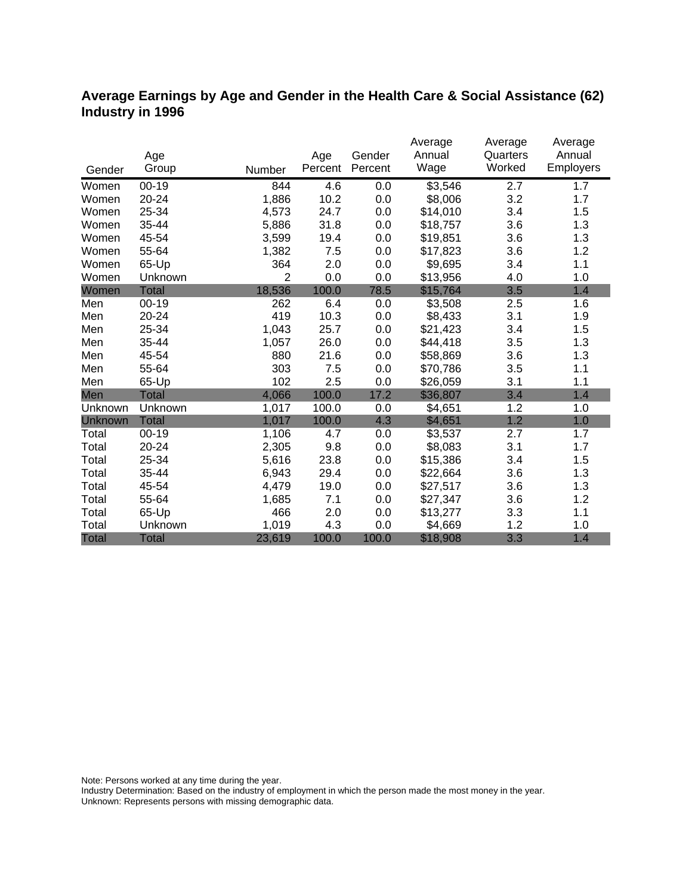### **Average Earnings by Age and Gender in the Health Care & Social Assistance (62) Industry in 1996**

|              |              |                |         |         | Average  | Average  | Average   |
|--------------|--------------|----------------|---------|---------|----------|----------|-----------|
|              | Age          |                | Age     | Gender  | Annual   | Quarters | Annual    |
| Gender       | Group        | Number         | Percent | Percent | Wage     | Worked   | Employers |
| Women        | $00 - 19$    | 844            | 4.6     | 0.0     | \$3,546  | 2.7      | 1.7       |
| Women        | 20-24        | 1,886          | 10.2    | 0.0     | \$8,006  | 3.2      | 1.7       |
| Women        | 25-34        | 4,573          | 24.7    | 0.0     | \$14,010 | 3.4      | 1.5       |
| Women        | 35-44        | 5,886          | 31.8    | 0.0     | \$18,757 | 3.6      | 1.3       |
| Women        | 45-54        | 3,599          | 19.4    | 0.0     | \$19,851 | 3.6      | 1.3       |
| Women        | 55-64        | 1,382          | 7.5     | 0.0     | \$17,823 | 3.6      | 1.2       |
| Women        | 65-Up        | 364            | 2.0     | 0.0     | \$9,695  | 3.4      | 1.1       |
| Women        | Unknown      | $\overline{2}$ | 0.0     | 0.0     | \$13,956 | 4.0      | 1.0       |
| Women        | <b>Total</b> | 18,536         | 100.0   | 78.5    | \$15,764 | 3.5      | 1.4       |
| Men          | $00 - 19$    | 262            | 6.4     | 0.0     | \$3,508  | 2.5      | 1.6       |
| Men          | 20-24        | 419            | 10.3    | 0.0     | \$8,433  | 3.1      | 1.9       |
| Men          | 25-34        | 1,043          | 25.7    | 0.0     | \$21,423 | 3.4      | 1.5       |
| Men          | 35-44        | 1,057          | 26.0    | 0.0     | \$44,418 | 3.5      | 1.3       |
| Men          | 45-54        | 880            | 21.6    | 0.0     | \$58,869 | 3.6      | 1.3       |
| Men          | 55-64        | 303            | 7.5     | 0.0     | \$70,786 | 3.5      | 1.1       |
| Men          | 65-Up        | 102            | 2.5     | 0.0     | \$26,059 | 3.1      | 1.1       |
| Men          | <b>Total</b> | 4,066          | 100.0   | 17.2    | \$36,807 | 3.4      | 1.4       |
| Unknown      | Unknown      | 1,017          | 100.0   | 0.0     | \$4,651  | 1.2      | 1.0       |
| Unknown      | <b>Total</b> | 1,017          | 100.0   | 4.3     | \$4,651  | 1.2      | 1.0       |
| Total        | $00 - 19$    | 1,106          | 4.7     | 0.0     | \$3,537  | 2.7      | 1.7       |
| Total        | $20 - 24$    | 2,305          | 9.8     | 0.0     | \$8,083  | 3.1      | 1.7       |
| Total        | 25-34        | 5,616          | 23.8    | 0.0     | \$15,386 | 3.4      | 1.5       |
| Total        | 35-44        | 6,943          | 29.4    | 0.0     | \$22,664 | 3.6      | 1.3       |
| Total        | 45-54        | 4,479          | 19.0    | 0.0     | \$27,517 | 3.6      | 1.3       |
| Total        | 55-64        | 1,685          | 7.1     | 0.0     | \$27,347 | 3.6      | 1.2       |
| Total        | 65-Up        | 466            | 2.0     | 0.0     | \$13,277 | 3.3      | 1.1       |
| Total        | Unknown      | 1,019          | 4.3     | 0.0     | \$4,669  | 1.2      | 1.0       |
| <b>Total</b> | <b>Total</b> | 23,619         | 100.0   | 100.0   | \$18,908 | 3.3      | 1.4       |

Note: Persons worked at any time during the year.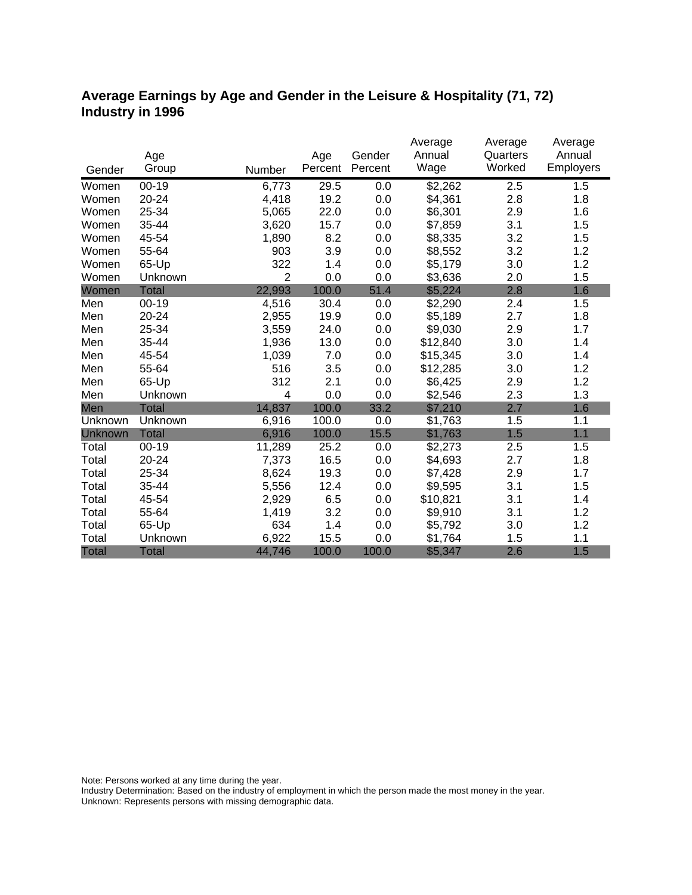### **Average Earnings by Age and Gender in the Leisure & Hospitality (71, 72) Industry in 1996**

|              |              |                |         |         | Average             | Average  | Average   |
|--------------|--------------|----------------|---------|---------|---------------------|----------|-----------|
|              | Age          |                | Age     | Gender  | Annual              | Quarters | Annual    |
| Gender       | Group        | Number         | Percent | Percent | Wage                | Worked   | Employers |
| Women        | $00 - 19$    | 6,773          | 29.5    | 0.0     | $\overline{$}2,262$ | 2.5      | 1.5       |
| Women        | $20 - 24$    | 4,418          | 19.2    | 0.0     | \$4,361             | 2.8      | 1.8       |
| Women        | 25-34        | 5,065          | 22.0    | 0.0     | \$6,301             | 2.9      | 1.6       |
| Women        | 35-44        | 3,620          | 15.7    | 0.0     | \$7,859             | 3.1      | 1.5       |
| Women        | 45-54        | 1,890          | 8.2     | 0.0     | \$8,335             | 3.2      | 1.5       |
| Women        | 55-64        | 903            | 3.9     | 0.0     | \$8,552             | 3.2      | 1.2       |
| Women        | 65-Up        | 322            | 1.4     | 0.0     | \$5,179             | 3.0      | 1.2       |
| Women        | Unknown      | $\overline{2}$ | 0.0     | 0.0     | \$3,636             | 2.0      | 1.5       |
| Women        | <b>Total</b> | 22,993         | 100.0   | 51.4    | \$5,224             | 2.8      | 1.6       |
| Men          | $00 - 19$    | 4,516          | 30.4    | 0.0     | \$2,290             | 2.4      | 1.5       |
| Men          | 20-24        | 2,955          | 19.9    | 0.0     | \$5,189             | 2.7      | 1.8       |
| Men          | 25-34        | 3,559          | 24.0    | 0.0     | \$9,030             | 2.9      | 1.7       |
| Men          | 35-44        | 1,936          | 13.0    | 0.0     | \$12,840            | 3.0      | 1.4       |
| Men          | 45-54        | 1,039          | 7.0     | 0.0     | \$15,345            | 3.0      | 1.4       |
| Men          | 55-64        | 516            | 3.5     | 0.0     | \$12,285            | 3.0      | 1.2       |
| Men          | 65-Up        | 312            | 2.1     | 0.0     | \$6,425             | 2.9      | 1.2       |
| Men          | Unknown      | 4              | 0.0     | 0.0     | \$2,546             | 2.3      | 1.3       |
| Men          | <b>Total</b> | 14,837         | 100.0   | 33.2    | \$7,210             | 2.7      | 1.6       |
| Unknown      | Unknown      | 6,916          | 100.0   | 0.0     | \$1,763             | 1.5      | 1.1       |
| Unknown      | <b>Total</b> | 6,916          | 100.0   | 15.5    | \$1,763             | 1.5      | 1.1       |
| Total        | $00 - 19$    | 11,289         | 25.2    | 0.0     | \$2,273             | 2.5      | 1.5       |
| Total        | 20-24        | 7,373          | 16.5    | 0.0     | \$4,693             | 2.7      | 1.8       |
| Total        | 25-34        | 8,624          | 19.3    | 0.0     | \$7,428             | 2.9      | 1.7       |
| Total        | 35-44        | 5,556          | 12.4    | 0.0     | \$9,595             | 3.1      | 1.5       |
| Total        | 45-54        | 2,929          | 6.5     | 0.0     | \$10,821            | 3.1      | 1.4       |
| Total        | 55-64        | 1,419          | 3.2     | 0.0     | \$9,910             | 3.1      | 1.2       |
| Total        | 65-Up        | 634            | 1.4     | 0.0     | \$5,792             | 3.0      | 1.2       |
| Total        | Unknown      | 6,922          | 15.5    | 0.0     | \$1,764             | 1.5      | 1.1       |
| <b>Total</b> | <b>Total</b> | 44,746         | 100.0   | 100.0   | \$5,347             | 2.6      | 1.5       |

Note: Persons worked at any time during the year.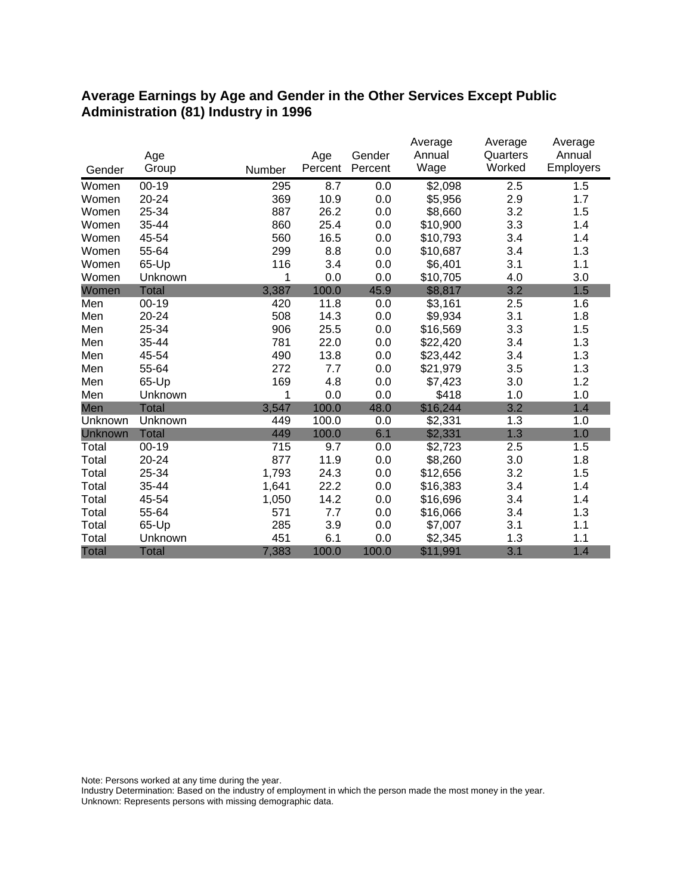#### **Average Earnings by Age and Gender in the Other Services Except Public Administration (81) Industry in 1996**

|              |              |        |                |                   | Average        | Average            | Average             |
|--------------|--------------|--------|----------------|-------------------|----------------|--------------------|---------------------|
|              | Age<br>Group |        | Age<br>Percent | Gender<br>Percent | Annual<br>Wage | Quarters<br>Worked | Annual<br>Employers |
| Gender       |              | Number |                |                   |                |                    |                     |
| Women        | $00 - 19$    | 295    | 8.7            | 0.0               | \$2,098        | 2.5                | 1.5                 |
| Women        | 20-24        | 369    | 10.9           | 0.0               | \$5,956        | 2.9                | 1.7                 |
| Women        | 25-34        | 887    | 26.2           | 0.0               | \$8,660        | 3.2                | 1.5                 |
| Women        | 35-44        | 860    | 25.4           | 0.0               | \$10,900       | 3.3                | 1.4                 |
| Women        | 45-54        | 560    | 16.5           | 0.0               | \$10,793       | 3.4                | 1.4                 |
| Women        | 55-64        | 299    | 8.8            | 0.0               | \$10,687       | 3.4                | 1.3                 |
| Women        | 65-Up        | 116    | 3.4            | 0.0               | \$6,401        | 3.1                | 1.1                 |
| Women        | Unknown      | 1      | 0.0            | 0.0               | \$10,705       | 4.0                | 3.0                 |
| Women        | <b>Total</b> | 3,387  | 100.0          | 45.9              | \$8,817        | 3.2                | 1.5                 |
| Men          | $00 - 19$    | 420    | 11.8           | 0.0               | \$3,161        | 2.5                | 1.6                 |
| Men          | 20-24        | 508    | 14.3           | 0.0               | \$9,934        | 3.1                | 1.8                 |
| Men          | 25-34        | 906    | 25.5           | 0.0               | \$16,569       | 3.3                | 1.5                 |
| Men          | 35-44        | 781    | 22.0           | 0.0               | \$22,420       | 3.4                | 1.3                 |
| Men          | 45-54        | 490    | 13.8           | 0.0               | \$23,442       | 3.4                | 1.3                 |
| Men          | 55-64        | 272    | 7.7            | 0.0               | \$21,979       | 3.5                | 1.3                 |
| Men          | 65-Up        | 169    | 4.8            | 0.0               | \$7,423        | 3.0                | 1.2                 |
| Men          | Unknown      | 1      | 0.0            | 0.0               | \$418          | 1.0                | 1.0                 |
| Men          | <b>Total</b> | 3,547  | 100.0          | 48.0              | \$16,244       | 3.2                | 1.4                 |
| Unknown      | Unknown      | 449    | 100.0          | 0.0               | \$2,331        | 1.3                | 1.0                 |
| Unknown      | <b>Total</b> | 449    | 100.0          | 6.1               | \$2,331        | 1.3                | 1.0                 |
| Total        | $00 - 19$    | 715    | 9.7            | 0.0               | \$2,723        | 2.5                | 1.5                 |
| Total        | 20-24        | 877    | 11.9           | 0.0               | \$8,260        | 3.0                | 1.8                 |
| Total        | 25-34        | 1,793  | 24.3           | 0.0               | \$12,656       | 3.2                | 1.5                 |
| Total        | 35-44        | 1,641  | 22.2           | 0.0               | \$16,383       | 3.4                | 1.4                 |
| Total        | 45-54        | 1,050  | 14.2           | 0.0               | \$16,696       | 3.4                | 1.4                 |
| Total        | 55-64        | 571    | 7.7            | 0.0               | \$16,066       | 3.4                | 1.3                 |
| Total        | 65-Up        | 285    | 3.9            | 0.0               | \$7,007        | 3.1                | 1.1                 |
| Total        | Unknown      | 451    | 6.1            | 0.0               | \$2,345        | 1.3                | 1.1                 |
| <b>Total</b> | <b>Total</b> | 7,383  | 100.0          | 100.0             | \$11,991       | 3.1                | 1.4                 |

Note: Persons worked at any time during the year.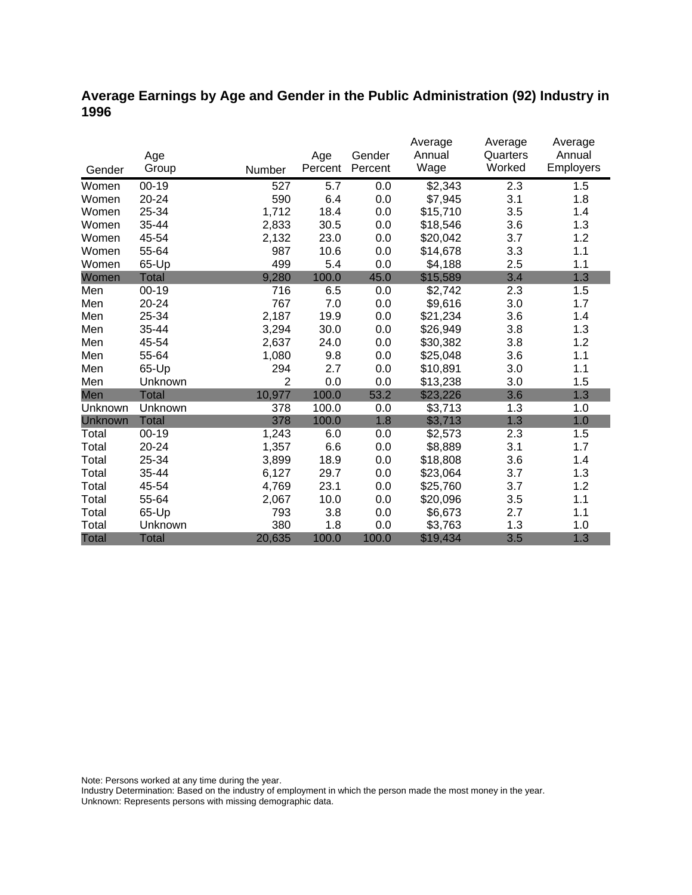## **Average Earnings by Age and Gender in the Public Administration (92) Industry in 1996**

|              |              |                |         |         | Average  | Average  | Average   |
|--------------|--------------|----------------|---------|---------|----------|----------|-----------|
|              | Age          |                | Age     | Gender  | Annual   | Quarters | Annual    |
| Gender       | Group        | Number         | Percent | Percent | Wage     | Worked   | Employers |
| Women        | $00 - 19$    | 527            | 5.7     | 0.0     | \$2,343  | 2.3      | 1.5       |
| Women        | 20-24        | 590            | 6.4     | 0.0     | \$7,945  | 3.1      | 1.8       |
| Women        | 25-34        | 1,712          | 18.4    | 0.0     | \$15,710 | 3.5      | 1.4       |
| Women        | 35-44        | 2,833          | 30.5    | 0.0     | \$18,546 | 3.6      | 1.3       |
| Women        | 45-54        | 2,132          | 23.0    | 0.0     | \$20,042 | 3.7      | 1.2       |
| Women        | 55-64        | 987            | 10.6    | 0.0     | \$14,678 | 3.3      | 1.1       |
| Women        | 65-Up        | 499            | 5.4     | 0.0     | \$4,188  | 2.5      | 1.1       |
| Women        | Total        | 9,280          | 100.0   | 45.0    | \$15,589 | 3.4      | 1.3       |
| Men          | $00 - 19$    | 716            | 6.5     | 0.0     | \$2,742  | 2.3      | 1.5       |
| Men          | 20-24        | 767            | 7.0     | 0.0     | \$9,616  | 3.0      | 1.7       |
| Men          | 25-34        | 2,187          | 19.9    | 0.0     | \$21,234 | 3.6      | 1.4       |
| Men          | 35-44        | 3,294          | 30.0    | 0.0     | \$26,949 | 3.8      | 1.3       |
| Men          | 45-54        | 2,637          | 24.0    | 0.0     | \$30,382 | 3.8      | 1.2       |
| Men          | 55-64        | 1,080          | 9.8     | 0.0     | \$25,048 | 3.6      | 1.1       |
| Men          | 65-Up        | 294            | 2.7     | 0.0     | \$10,891 | 3.0      | 1.1       |
| Men          | Unknown      | $\overline{2}$ | 0.0     | 0.0     | \$13,238 | 3.0      | 1.5       |
| Men          | <b>Total</b> | 10,977         | 100.0   | 53.2    | \$23,226 | 3.6      | 1.3       |
| Unknown      | Unknown      | 378            | 100.0   | 0.0     | \$3,713  | 1.3      | 1.0       |
| Unknown      | <b>Total</b> | 378            | 100.0   | 1.8     | \$3,713  | 1.3      | 1.0       |
| Total        | $00 - 19$    | 1,243          | 6.0     | 0.0     | \$2,573  | 2.3      | 1.5       |
| Total        | 20-24        | 1,357          | 6.6     | 0.0     | \$8,889  | 3.1      | 1.7       |
| Total        | 25-34        | 3,899          | 18.9    | 0.0     | \$18,808 | 3.6      | 1.4       |
| Total        | 35-44        | 6,127          | 29.7    | 0.0     | \$23,064 | 3.7      | 1.3       |
| Total        | 45-54        | 4,769          | 23.1    | 0.0     | \$25,760 | 3.7      | 1.2       |
| Total        | 55-64        | 2,067          | 10.0    | 0.0     | \$20,096 | 3.5      | 1.1       |
| Total        | 65-Up        | 793            | 3.8     | 0.0     | \$6,673  | 2.7      | 1.1       |
| Total        | Unknown      | 380            | 1.8     | 0.0     | \$3,763  | 1.3      | 1.0       |
| <b>Total</b> | <b>Total</b> | 20,635         | 100.0   | 100.0   | \$19,434 | 3.5      | 1.3       |

Note: Persons worked at any time during the year.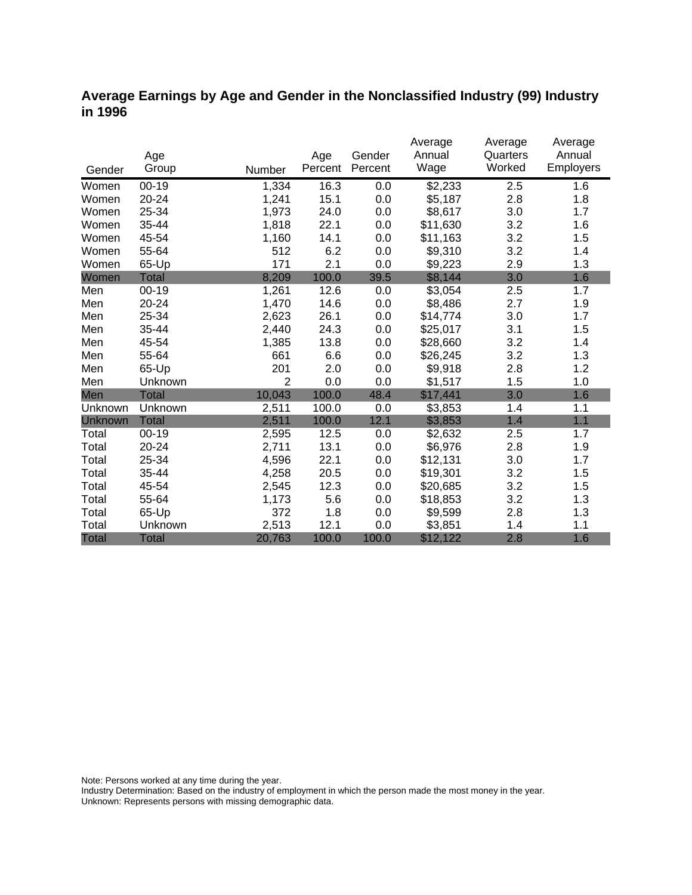### **Average Earnings by Age and Gender in the Nonclassified Industry (99) Industry in 1996**

|              |              |        |         | Gender  | Average<br>Annual   | Average<br>Quarters | Average<br>Annual |
|--------------|--------------|--------|---------|---------|---------------------|---------------------|-------------------|
|              | Age          |        | Age     | Percent | Wage                | Worked              | Employers         |
| Gender       | Group        | Number | Percent |         |                     |                     |                   |
| Women        | $00 - 19$    | 1,334  | 16.3    | 0.0     | $\overline{$}2,233$ | 2.5                 | 1.6               |
| Women        | 20-24        | 1,241  | 15.1    | 0.0     | \$5,187             | 2.8                 | 1.8               |
| Women        | 25-34        | 1,973  | 24.0    | 0.0     | \$8,617             | 3.0                 | 1.7               |
| Women        | 35-44        | 1,818  | 22.1    | 0.0     | \$11,630            | 3.2                 | 1.6               |
| Women        | 45-54        | 1,160  | 14.1    | 0.0     | \$11,163            | 3.2                 | 1.5               |
| Women        | 55-64        | 512    | 6.2     | 0.0     | \$9,310             | 3.2                 | 1.4               |
| Women        | 65-Up        | 171    | 2.1     | 0.0     | \$9,223             | 2.9                 | 1.3               |
| Women        | <b>Total</b> | 8,209  | 100.0   | 39.5    | \$8,144             | 3.0                 | 1.6               |
| Men          | $00 - 19$    | 1,261  | 12.6    | 0.0     | \$3,054             | 2.5                 | 1.7               |
| Men          | $20 - 24$    | 1,470  | 14.6    | 0.0     | \$8,486             | 2.7                 | 1.9               |
| Men          | 25-34        | 2,623  | 26.1    | 0.0     | \$14,774            | 3.0                 | 1.7               |
| Men          | 35-44        | 2,440  | 24.3    | 0.0     | \$25,017            | 3.1                 | 1.5               |
| Men          | 45-54        | 1,385  | 13.8    | 0.0     | \$28,660            | 3.2                 | 1.4               |
| Men          | 55-64        | 661    | 6.6     | 0.0     | \$26,245            | 3.2                 | 1.3               |
| Men          | 65-Up        | 201    | 2.0     | 0.0     | \$9,918             | 2.8                 | 1.2               |
| Men          | Unknown      | 2      | 0.0     | 0.0     | \$1,517             | 1.5                 | 1.0               |
| Men          | <b>Total</b> | 10,043 | 100.0   | 48.4    | \$17,441            | 3.0                 | 1.6               |
| Unknown      | Unknown      | 2,511  | 100.0   | 0.0     | \$3,853             | 1.4                 | 1.1               |
| Unknown      | <b>Total</b> | 2,511  | 100.0   | 12.1    | \$3,853             | 1.4                 | 1.1               |
| Total        | $00 - 19$    | 2,595  | 12.5    | 0.0     | \$2,632             | 2.5                 | 1.7               |
| Total        | $20 - 24$    | 2,711  | 13.1    | 0.0     | \$6,976             | 2.8                 | 1.9               |
| Total        | 25-34        | 4,596  | 22.1    | 0.0     | \$12,131            | 3.0                 | 1.7               |
| Total        | 35-44        | 4,258  | 20.5    | 0.0     | \$19,301            | 3.2                 | 1.5               |
| Total        | 45-54        | 2,545  | 12.3    | 0.0     | \$20,685            | 3.2                 | 1.5               |
| Total        | 55-64        | 1,173  | 5.6     | 0.0     | \$18,853            | 3.2                 | 1.3               |
| Total        | 65-Up        | 372    | 1.8     | 0.0     | \$9,599             | 2.8                 | 1.3               |
| Total        | Unknown      | 2,513  | 12.1    | 0.0     | \$3,851             | 1.4                 | 1.1               |
| <b>Total</b> | <b>Total</b> | 20,763 | 100.0   | 100.0   | \$12,122            | 2.8                 | 1.6               |

Note: Persons worked at any time during the year.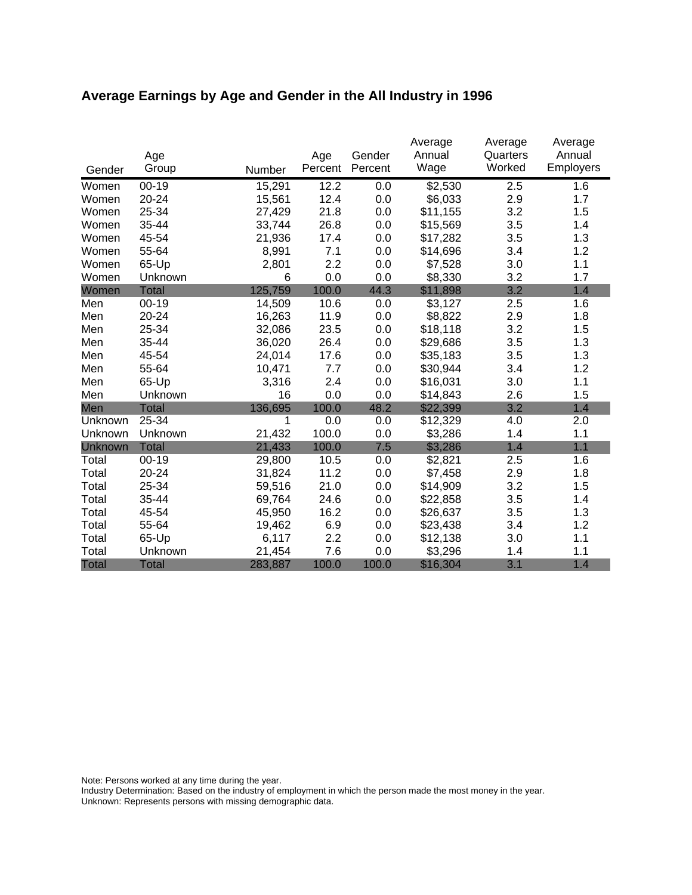# **Average Earnings by Age and Gender in the All Industry in 1996**

|              | Age          |         | Age     | Gender  | Average<br>Annual | Average<br>Quarters | Average<br>Annual |
|--------------|--------------|---------|---------|---------|-------------------|---------------------|-------------------|
| Gender       | Group        | Number  | Percent | Percent | Wage              | Worked              | Employers         |
| Women        | $00 - 19$    | 15,291  | 12.2    | 0.0     | \$2,530           | 2.5                 | 1.6               |
| Women        | 20-24        | 15,561  | 12.4    | 0.0     | \$6,033           | 2.9                 | 1.7               |
| Women        | 25-34        | 27,429  | 21.8    | 0.0     | \$11,155          | 3.2                 | 1.5               |
| Women        | 35-44        | 33,744  | 26.8    | 0.0     | \$15,569          | 3.5                 | 1.4               |
| Women        | 45-54        | 21,936  | 17.4    | 0.0     | \$17,282          | 3.5                 | 1.3               |
| Women        | 55-64        | 8,991   | 7.1     | 0.0     | \$14,696          | 3.4                 | 1.2               |
| Women        | 65-Up        | 2,801   | 2.2     | 0.0     | \$7,528           | 3.0                 | 1.1               |
| Women        | Unknown      | 6       | 0.0     | 0.0     | \$8,330           | 3.2                 | 1.7               |
| Women        | <b>Total</b> | 125,759 | 100.0   | 44.3    | \$11,898          | 3.2                 | 1.4               |
| Men          | $00 - 19$    | 14,509  | 10.6    | 0.0     | \$3,127           | 2.5                 | 1.6               |
| Men          | $20 - 24$    | 16,263  | 11.9    | 0.0     | \$8,822           | 2.9                 | 1.8               |
| Men          | 25-34        | 32,086  | 23.5    | 0.0     | \$18,118          | 3.2                 | 1.5               |
| Men          | 35-44        | 36,020  | 26.4    | 0.0     | \$29,686          | 3.5                 | 1.3               |
| Men          | 45-54        | 24,014  | 17.6    | 0.0     | \$35,183          | 3.5                 | 1.3               |
| Men          | 55-64        | 10,471  | 7.7     | 0.0     | \$30,944          | 3.4                 | 1.2               |
| Men          | 65-Up        | 3,316   | 2.4     | 0.0     | \$16,031          | 3.0                 | 1.1               |
| Men          | Unknown      | 16      | 0.0     | 0.0     | \$14,843          | 2.6                 | 1.5               |
| Men          | <b>Total</b> | 136,695 | 100.0   | 48.2    | \$22,399          | 3.2                 | 1.4               |
| Unknown      | 25-34        | 1       | 0.0     | 0.0     | \$12,329          | 4.0                 | 2.0               |
| Unknown      | Unknown      | 21,432  | 100.0   | 0.0     | \$3,286           | 1.4                 | 1.1               |
| Unknown      | <b>Total</b> | 21,433  | 100.0   | 7.5     | \$3,286           | 1.4                 | 1.1               |
| Total        | $00 - 19$    | 29,800  | 10.5    | 0.0     | \$2,821           | 2.5                 | 1.6               |
| Total        | 20-24        | 31,824  | 11.2    | 0.0     | \$7,458           | 2.9                 | 1.8               |
| Total        | 25-34        | 59,516  | 21.0    | 0.0     | \$14,909          | 3.2                 | 1.5               |
| Total        | 35-44        | 69,764  | 24.6    | 0.0     | \$22,858          | 3.5                 | 1.4               |
| Total        | 45-54        | 45,950  | 16.2    | 0.0     | \$26,637          | 3.5                 | 1.3               |
| Total        | 55-64        | 19,462  | 6.9     | 0.0     | \$23,438          | 3.4                 | 1.2               |
| Total        | 65-Up        | 6,117   | 2.2     | 0.0     | \$12,138          | 3.0                 | 1.1               |
| Total        | Unknown      | 21,454  | 7.6     | 0.0     | \$3,296           | 1.4                 | 1.1               |
| <b>Total</b> | <b>Total</b> | 283,887 | 100.0   | 100.0   | \$16,304          | 3.1                 | 1.4               |

Note: Persons worked at any time during the year.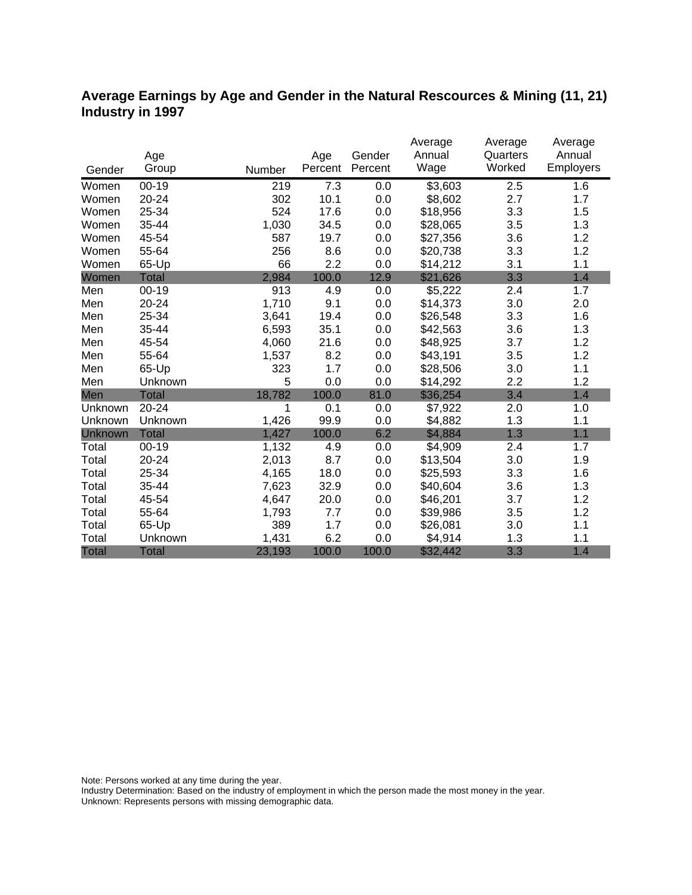### **Average Earnings by Age and Gender in the Natural Rescources & Mining (11, 21) Industry in 1997**

|              |              |        |         |         | Average  | Average  | Average   |
|--------------|--------------|--------|---------|---------|----------|----------|-----------|
|              | Age          |        | Age     | Gender  | Annual   | Quarters | Annual    |
| Gender       | Group        | Number | Percent | Percent | Wage     | Worked   | Employers |
| Women        | $00 - 19$    | 219    | 7.3     | 0.0     | \$3,603  | 2.5      | 1.6       |
| Women        | 20-24        | 302    | 10.1    | 0.0     | \$8,602  | 2.7      | 1.7       |
| Women        | 25-34        | 524    | 17.6    | 0.0     | \$18,956 | 3.3      | 1.5       |
| Women        | 35-44        | 1,030  | 34.5    | 0.0     | \$28,065 | 3.5      | 1.3       |
| Women        | 45-54        | 587    | 19.7    | 0.0     | \$27,356 | 3.6      | 1.2       |
| Women        | 55-64        | 256    | 8.6     | 0.0     | \$20,738 | 3.3      | 1.2       |
| Women        | 65-Up        | 66     | 2.2     | 0.0     | \$14,212 | 3.1      | 1.1       |
| Women        | <b>Total</b> | 2,984  | 100.0   | 12.9    | \$21,626 | 3.3      | 1.4       |
| Men          | $00 - 19$    | 913    | 4.9     | 0.0     | \$5,222  | 2.4      | 1.7       |
| Men          | 20-24        | 1,710  | 9.1     | 0.0     | \$14,373 | 3.0      | 2.0       |
| Men          | 25-34        | 3,641  | 19.4    | 0.0     | \$26,548 | 3.3      | 1.6       |
| Men          | 35-44        | 6,593  | 35.1    | 0.0     | \$42,563 | 3.6      | 1.3       |
| Men          | 45-54        | 4,060  | 21.6    | 0.0     | \$48,925 | 3.7      | 1.2       |
| Men          | 55-64        | 1,537  | 8.2     | 0.0     | \$43,191 | 3.5      | 1.2       |
| Men          | 65-Up        | 323    | 1.7     | 0.0     | \$28,506 | 3.0      | 1.1       |
| Men          | Unknown      | 5      | 0.0     | 0.0     | \$14,292 | 2.2      | 1.2       |
| Men          | <b>Total</b> | 18,782 | 100.0   | 81.0    | \$36,254 | 3.4      | 1.4       |
| Unknown      | 20-24        | 1      | 0.1     | 0.0     | \$7,922  | 2.0      | 1.0       |
| Unknown      | Unknown      | 1,426  | 99.9    | 0.0     | \$4,882  | 1.3      | 1.1       |
| Unknown      | <b>Total</b> | 1,427  | 100.0   | 6.2     | \$4,884  | 1.3      | 1.1       |
| Total        | $00 - 19$    | 1,132  | 4.9     | 0.0     | \$4,909  | 2.4      | 1.7       |
| Total        | 20-24        | 2,013  | 8.7     | 0.0     | \$13,504 | 3.0      | 1.9       |
| Total        | 25-34        | 4,165  | 18.0    | 0.0     | \$25,593 | 3.3      | 1.6       |
| Total        | 35-44        | 7,623  | 32.9    | 0.0     | \$40,604 | 3.6      | 1.3       |
| Total        | 45-54        | 4,647  | 20.0    | 0.0     | \$46,201 | 3.7      | 1.2       |
| Total        | 55-64        | 1,793  | 7.7     | 0.0     | \$39,986 | 3.5      | 1.2       |
| Total        | 65-Up        | 389    | 1.7     | 0.0     | \$26,081 | 3.0      | 1.1       |
| Total        | Unknown      | 1,431  | 6.2     | 0.0     | \$4,914  | 1.3      | 1.1       |
| <b>Total</b> | <b>Total</b> | 23,193 | 100.0   | 100.0   | \$32,442 | 3.3      | 1.4       |

Note: Persons worked at any time during the year.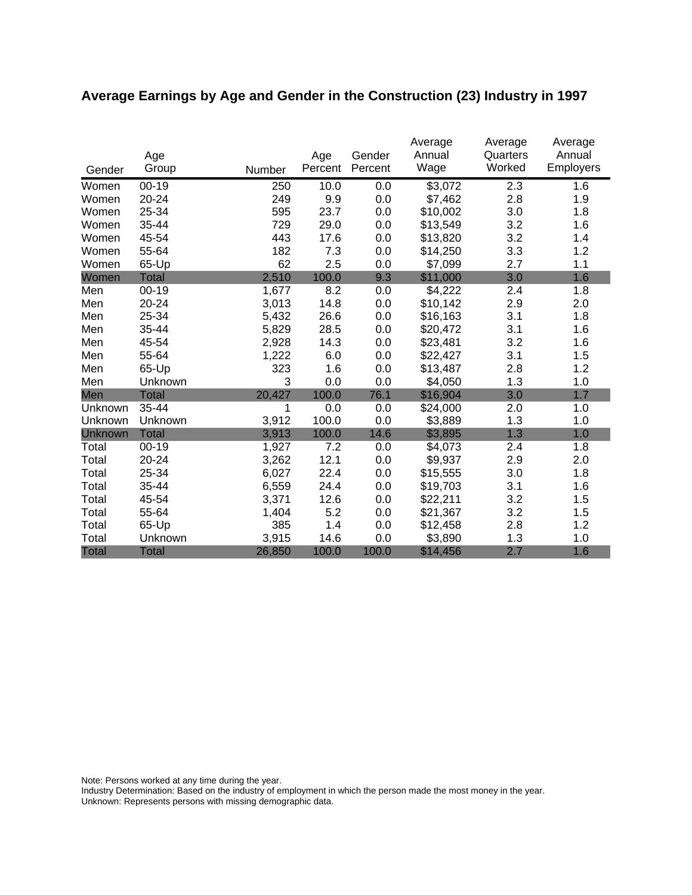# **Average Earnings by Age and Gender in the Construction (23) Industry in 1997**

|         | Age          |        | Age     | Gender  | Average<br>Annual | Average<br>Quarters<br>Worked | Average<br>Annual |
|---------|--------------|--------|---------|---------|-------------------|-------------------------------|-------------------|
| Gender  | Group        | Number | Percent | Percent | Wage              |                               | Employers         |
| Women   | $00 - 19$    | 250    | 10.0    | 0.0     | \$3,072           | 2.3                           | 1.6               |
| Women   | 20-24        | 249    | 9.9     | 0.0     | \$7,462           | 2.8                           | 1.9               |
| Women   | 25-34        | 595    | 23.7    | 0.0     | \$10,002          | 3.0                           | 1.8               |
| Women   | 35-44        | 729    | 29.0    | 0.0     | \$13,549          | 3.2                           | 1.6               |
| Women   | 45-54        | 443    | 17.6    | 0.0     | \$13,820          | 3.2                           | 1.4               |
| Women   | 55-64        | 182    | 7.3     | 0.0     | \$14,250          | 3.3                           | 1.2               |
| Women   | 65-Up        | 62     | 2.5     | 0.0     | \$7,099           | 2.7                           | 1.1               |
| Women   | <b>Total</b> | 2,510  | 100.0   | 9.3     | \$11,000          | 3.0                           | 1.6               |
| Men     | $00-19$      | 1,677  | 8.2     | 0.0     | \$4,222           | 2.4                           | 1.8               |
| Men     | 20-24        | 3,013  | 14.8    | 0.0     | \$10,142          | 2.9                           | 2.0               |
| Men     | 25-34        | 5,432  | 26.6    | 0.0     | \$16,163          | 3.1                           | 1.8               |
| Men     | 35-44        | 5,829  | 28.5    | 0.0     | \$20,472          | 3.1                           | 1.6               |
| Men     | 45-54        | 2,928  | 14.3    | 0.0     | \$23,481          | 3.2                           | 1.6               |
| Men     | 55-64        | 1,222  | 6.0     | 0.0     | \$22,427          | 3.1                           | 1.5               |
| Men     | 65-Up        | 323    | 1.6     | 0.0     | \$13,487          | 2.8                           | 1.2               |
| Men     | Unknown      | 3      | 0.0     | 0.0     | \$4,050           | 1.3                           | 1.0               |
| Men     | <b>Total</b> | 20,427 | 100.0   | 76.1    | \$16,904          | 3.0                           | 1.7               |
| Unknown | $35 - 44$    | 1      | 0.0     | 0.0     | \$24,000          | 2.0                           | 1.0               |
| Unknown | Unknown      | 3,912  | 100.0   | 0.0     | \$3,889           | 1.3                           | 1.0               |
| Unknown | <b>Total</b> | 3,913  | 100.0   | 14.6    | \$3,895           | 1.3                           | 1.0               |
| Total   | $00 - 19$    | 1,927  | 7.2     | 0.0     | \$4,073           | 2.4                           | 1.8               |
| Total   | 20-24        | 3,262  | 12.1    | 0.0     | \$9,937           | 2.9                           | 2.0               |
| Total   | 25-34        | 6,027  | 22.4    | 0.0     | \$15,555          | 3.0                           | 1.8               |
| Total   | 35-44        | 6,559  | 24.4    | 0.0     | \$19,703          | 3.1                           | 1.6               |
| Total   | 45-54        | 3,371  | 12.6    | 0.0     | \$22,211          | 3.2                           | 1.5               |
| Total   | 55-64        | 1,404  | 5.2     | 0.0     | \$21,367          | 3.2                           | 1.5               |
| Total   | 65-Up        | 385    | 1.4     | 0.0     | \$12,458          | 2.8                           | 1.2               |
| Total   | Unknown      | 3,915  | 14.6    | 0.0     | \$3,890           | 1.3                           | 1.0               |
| Total   | <b>Total</b> | 26,850 | 100.0   | 100.0   | \$14,456          | 2.7                           | 1.6               |

Note: Persons worked at any time during the year.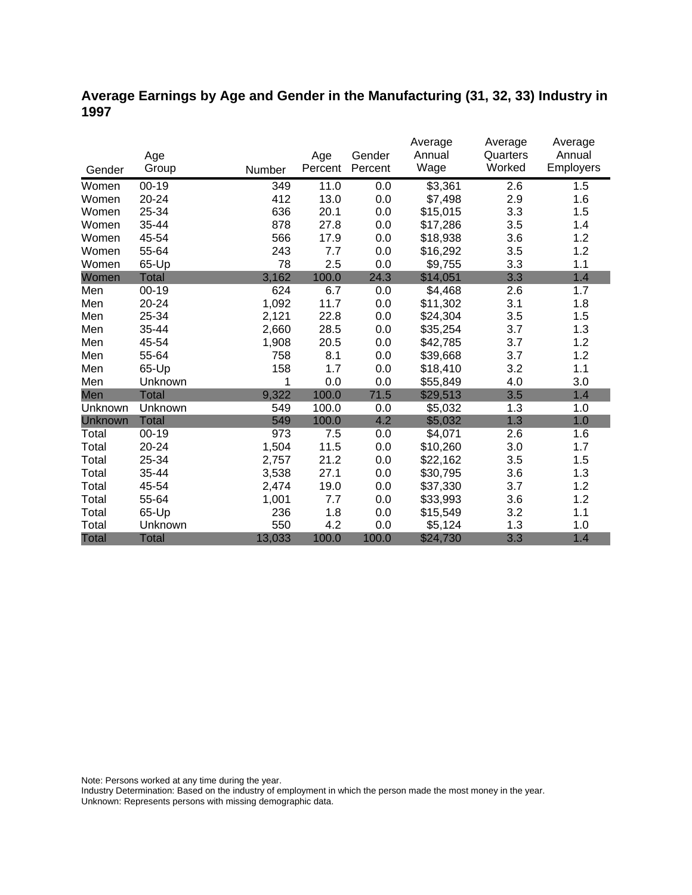## **Average Earnings by Age and Gender in the Manufacturing (31, 32, 33) Industry in 1997**

|              |              |        |         |         | Average  | Average  | Average   |
|--------------|--------------|--------|---------|---------|----------|----------|-----------|
|              | Age          |        | Age     | Gender  | Annual   | Quarters | Annual    |
| Gender       | Group        | Number | Percent | Percent | Wage     | Worked   | Employers |
| Women        | $00 - 19$    | 349    | 11.0    | 0.0     | \$3,361  | 2.6      | 1.5       |
| Women        | 20-24        | 412    | 13.0    | 0.0     | \$7,498  | 2.9      | 1.6       |
| Women        | 25-34        | 636    | 20.1    | 0.0     | \$15,015 | 3.3      | 1.5       |
| Women        | 35-44        | 878    | 27.8    | 0.0     | \$17,286 | 3.5      | 1.4       |
| Women        | 45-54        | 566    | 17.9    | 0.0     | \$18,938 | 3.6      | 1.2       |
| Women        | 55-64        | 243    | 7.7     | 0.0     | \$16,292 | 3.5      | 1.2       |
| Women        | 65-Up        | 78     | 2.5     | 0.0     | \$9,755  | 3.3      | 1.1       |
| Women        | <b>Total</b> | 3,162  | 100.0   | 24.3    | \$14,051 | 3.3      | 1.4       |
| Men          | $00 - 19$    | 624    | 6.7     | 0.0     | \$4,468  | 2.6      | 1.7       |
| Men          | 20-24        | 1,092  | 11.7    | 0.0     | \$11,302 | 3.1      | 1.8       |
| Men          | 25-34        | 2,121  | 22.8    | 0.0     | \$24,304 | 3.5      | 1.5       |
| Men          | 35-44        | 2,660  | 28.5    | 0.0     | \$35,254 | 3.7      | 1.3       |
| Men          | 45-54        | 1,908  | 20.5    | 0.0     | \$42,785 | 3.7      | 1.2       |
| Men          | 55-64        | 758    | 8.1     | 0.0     | \$39,668 | 3.7      | 1.2       |
| Men          | 65-Up        | 158    | 1.7     | 0.0     | \$18,410 | 3.2      | 1.1       |
| Men          | Unknown      | 1      | 0.0     | 0.0     | \$55,849 | 4.0      | 3.0       |
| Men          | <b>Total</b> | 9,322  | 100.0   | 71.5    | \$29,513 | 3.5      | 1.4       |
| Unknown      | Unknown      | 549    | 100.0   | 0.0     | \$5,032  | 1.3      | 1.0       |
| Unknown      | <b>Total</b> | 549    | 100.0   | 4.2     | \$5,032  | 1.3      | 1.0       |
| Total        | $00 - 19$    | 973    | 7.5     | 0.0     | \$4,071  | 2.6      | 1.6       |
| Total        | 20-24        | 1,504  | 11.5    | 0.0     | \$10,260 | 3.0      | 1.7       |
| Total        | 25-34        | 2,757  | 21.2    | 0.0     | \$22,162 | 3.5      | 1.5       |
| Total        | 35-44        | 3,538  | 27.1    | 0.0     | \$30,795 | 3.6      | 1.3       |
| Total        | 45-54        | 2,474  | 19.0    | 0.0     | \$37,330 | 3.7      | 1.2       |
| Total        | 55-64        | 1,001  | 7.7     | 0.0     | \$33,993 | 3.6      | 1.2       |
| Total        | 65-Up        | 236    | 1.8     | 0.0     | \$15,549 | 3.2      | 1.1       |
| Total        | Unknown      | 550    | 4.2     | 0.0     | \$5,124  | 1.3      | 1.0       |
| <b>Total</b> | <b>Total</b> | 13,033 | 100.0   | 100.0   | \$24,730 | 3.3      | 1.4       |

Note: Persons worked at any time during the year.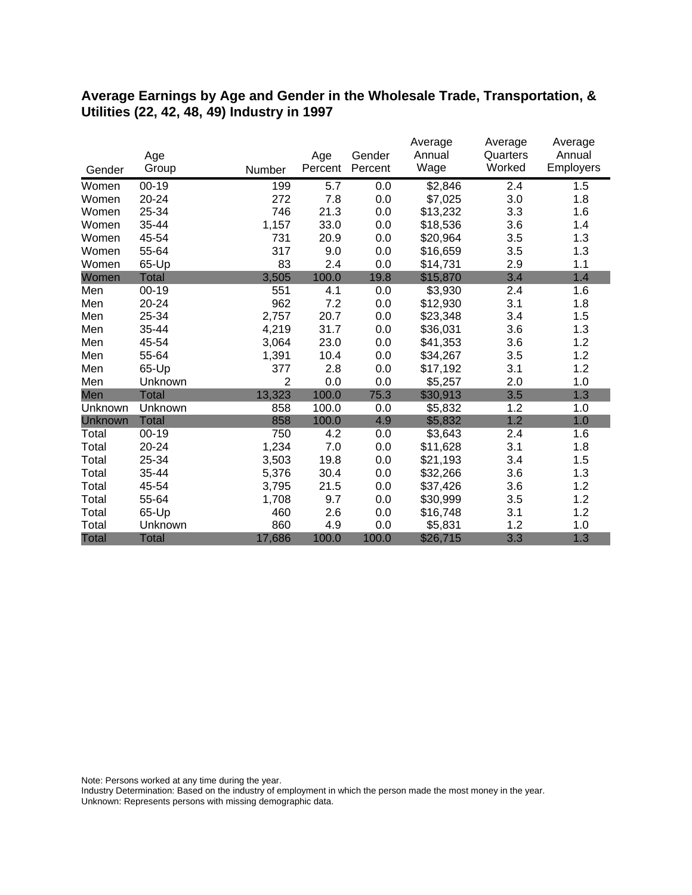#### **Average Earnings by Age and Gender in the Wholesale Trade, Transportation, & Utilities (22, 42, 48, 49) Industry in 1997**

|              |              |                |         |         | Average  | Average  | Average   |
|--------------|--------------|----------------|---------|---------|----------|----------|-----------|
|              | Age          |                | Age     | Gender  | Annual   | Quarters | Annual    |
| Gender       | Group        | Number         | Percent | Percent | Wage     | Worked   | Employers |
| Women        | $00 - 19$    | 199            | 5.7     | 0.0     | \$2,846  | 2.4      | 1.5       |
| Women        | 20-24        | 272            | 7.8     | 0.0     | \$7,025  | 3.0      | 1.8       |
| Women        | 25-34        | 746            | 21.3    | 0.0     | \$13,232 | 3.3      | 1.6       |
| Women        | 35-44        | 1,157          | 33.0    | 0.0     | \$18,536 | 3.6      | 1.4       |
| Women        | 45-54        | 731            | 20.9    | 0.0     | \$20,964 | 3.5      | 1.3       |
| Women        | 55-64        | 317            | 9.0     | 0.0     | \$16,659 | 3.5      | 1.3       |
| Women        | 65-Up        | 83             | 2.4     | 0.0     | \$14,731 | 2.9      | 1.1       |
| Women        | Total        | 3,505          | 100.0   | 19.8    | \$15,870 | 3.4      | 1.4       |
| Men          | $00 - 19$    | 551            | 4.1     | 0.0     | \$3,930  | 2.4      | 1.6       |
| Men          | 20-24        | 962            | 7.2     | 0.0     | \$12,930 | 3.1      | 1.8       |
| Men          | 25-34        | 2,757          | 20.7    | 0.0     | \$23,348 | 3.4      | 1.5       |
| Men          | 35-44        | 4,219          | 31.7    | 0.0     | \$36,031 | 3.6      | 1.3       |
| Men          | 45-54        | 3,064          | 23.0    | 0.0     | \$41,353 | 3.6      | 1.2       |
| Men          | 55-64        | 1,391          | 10.4    | 0.0     | \$34,267 | 3.5      | 1.2       |
| Men          | 65-Up        | 377            | 2.8     | 0.0     | \$17,192 | 3.1      | 1.2       |
| Men          | Unknown      | $\overline{2}$ | 0.0     | 0.0     | \$5,257  | 2.0      | 1.0       |
| Men          | Total        | 13,323         | 100.0   | 75.3    | \$30,913 | 3.5      | 1.3       |
| Unknown      | Unknown      | 858            | 100.0   | 0.0     | \$5,832  | 1.2      | 1.0       |
| Unknown      | <b>Total</b> | 858            | 100.0   | 4.9     | \$5,832  | 1.2      | 1.0       |
| Total        | $00 - 19$    | 750            | 4.2     | 0.0     | \$3,643  | 2.4      | 1.6       |
| Total        | 20-24        | 1,234          | 7.0     | 0.0     | \$11,628 | 3.1      | 1.8       |
| Total        | 25-34        | 3,503          | 19.8    | 0.0     | \$21,193 | 3.4      | 1.5       |
| Total        | 35-44        | 5,376          | 30.4    | 0.0     | \$32,266 | 3.6      | 1.3       |
| Total        | 45-54        | 3,795          | 21.5    | 0.0     | \$37,426 | 3.6      | 1.2       |
| Total        | 55-64        | 1,708          | 9.7     | 0.0     | \$30,999 | 3.5      | 1.2       |
| Total        | 65-Up        | 460            | 2.6     | 0.0     | \$16,748 | 3.1      | 1.2       |
| Total        | Unknown      | 860            | 4.9     | 0.0     | \$5,831  | 1.2      | 1.0       |
| <b>Total</b> | <b>Total</b> | 17,686         | 100.0   | 100.0   | \$26,715 | 3.3      | 1.3       |

Note: Persons worked at any time during the year.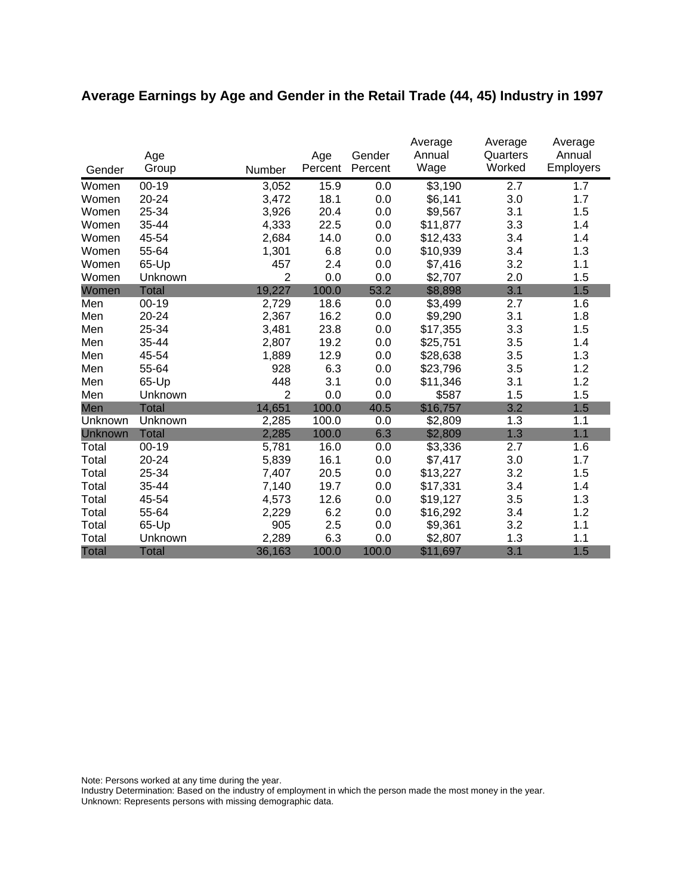# **Average Earnings by Age and Gender in the Retail Trade (44, 45) Industry in 1997**

|         | Age          |                | Age     | Gender  | Average<br>Annual | Average<br>Quarters | Average<br>Annual |
|---------|--------------|----------------|---------|---------|-------------------|---------------------|-------------------|
| Gender  | Group        | Number         | Percent | Percent | Wage              | Worked              | <b>Employers</b>  |
| Women   | $00 - 19$    | 3,052          | 15.9    | 0.0     | \$3,190           | 2.7                 | 1.7               |
| Women   | 20-24        | 3,472          | 18.1    | 0.0     | \$6,141           | 3.0                 | 1.7               |
| Women   | 25-34        | 3,926          | 20.4    | 0.0     | \$9,567           | 3.1                 | 1.5               |
| Women   | 35-44        | 4,333          | 22.5    | 0.0     | \$11,877          | 3.3                 | 1.4               |
| Women   | 45-54        | 2,684          | 14.0    | 0.0     | \$12,433          | 3.4                 | 1.4               |
| Women   | 55-64        | 1,301          | 6.8     | 0.0     | \$10,939          | 3.4                 | 1.3               |
| Women   | 65-Up        | 457            | 2.4     | 0.0     | \$7,416           | 3.2                 | 1.1               |
| Women   | Unknown      | $\overline{2}$ | 0.0     | 0.0     | \$2,707           | 2.0                 | 1.5               |
| Women   | <b>Total</b> | 19,227         | 100.0   | 53.2    | \$8,898           | 3.1                 | 1.5               |
| Men     | $00 - 19$    | 2,729          | 18.6    | 0.0     | \$3,499           | 2.7                 | 1.6               |
| Men     | 20-24        | 2,367          | 16.2    | 0.0     | \$9,290           | 3.1                 | 1.8               |
| Men     | 25-34        | 3,481          | 23.8    | 0.0     | \$17,355          | 3.3                 | 1.5               |
| Men     | 35-44        | 2,807          | 19.2    | 0.0     | \$25,751          | 3.5                 | 1.4               |
| Men     | 45-54        | 1,889          | 12.9    | 0.0     | \$28,638          | 3.5                 | 1.3               |
| Men     | 55-64        | 928            | 6.3     | 0.0     | \$23,796          | 3.5                 | 1.2               |
| Men     | 65-Up        | 448            | 3.1     | 0.0     | \$11,346          | 3.1                 | 1.2               |
| Men     | Unknown      | 2              | 0.0     | 0.0     | \$587             | 1.5                 | 1.5               |
| Men     | <b>Total</b> | 14,651         | 100.0   | 40.5    | \$16,757          | 3.2                 | 1.5               |
| Unknown | Unknown      | 2,285          | 100.0   | 0.0     | \$2,809           | 1.3                 | 1.1               |
| Unknown | <b>Total</b> | 2,285          | 100.0   | 6.3     | \$2,809           | 1.3                 | 1.1               |
| Total   | $00 - 19$    | 5,781          | 16.0    | 0.0     | \$3,336           | 2.7                 | 1.6               |
| Total   | 20-24        | 5,839          | 16.1    | 0.0     | \$7,417           | 3.0                 | 1.7               |
| Total   | 25-34        | 7,407          | 20.5    | 0.0     | \$13,227          | 3.2                 | 1.5               |
| Total   | 35-44        | 7,140          | 19.7    | 0.0     | \$17,331          | 3.4                 | 1.4               |
| Total   | 45-54        | 4,573          | 12.6    | 0.0     | \$19,127          | 3.5                 | 1.3               |
| Total   | 55-64        | 2,229          | 6.2     | 0.0     | \$16,292          | 3.4                 | 1.2               |
| Total   | 65-Up        | 905            | 2.5     | 0.0     | \$9,361           | 3.2                 | 1.1               |
| Total   | Unknown      | 2,289          | 6.3     | 0.0     | \$2,807           | 1.3                 | 1.1               |
| Total   | <b>Total</b> | 36,163         | 100.0   | 100.0   | \$11,697          | 3.1                 | 1.5               |

Note: Persons worked at any time during the year.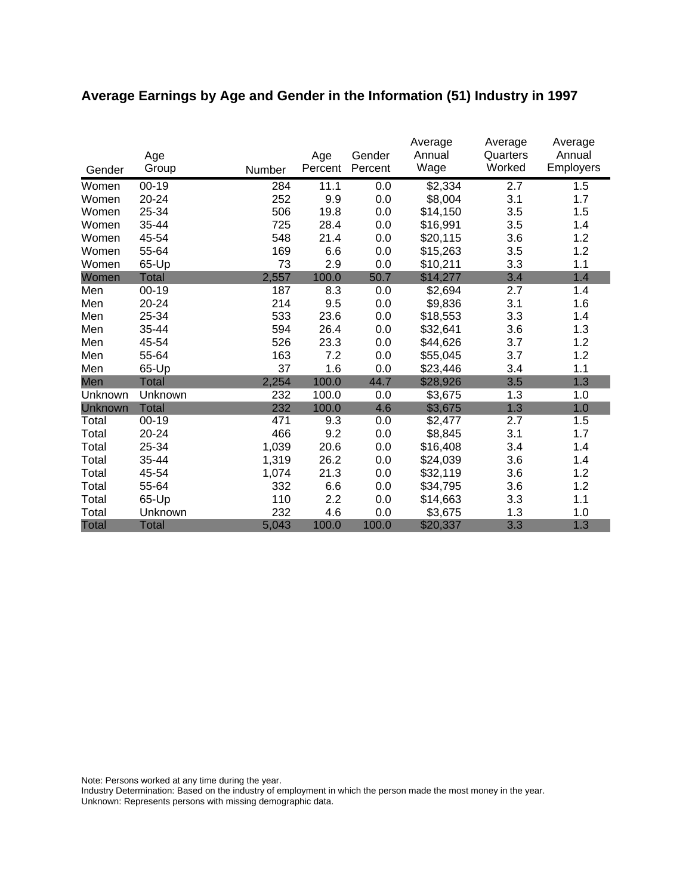# **Average Earnings by Age and Gender in the Information (51) Industry in 1997**

|              | Age          |        | Age     | Gender  | Average<br>Annual | Average<br>Quarters | Average<br>Annual |
|--------------|--------------|--------|---------|---------|-------------------|---------------------|-------------------|
| Gender       | Group        | Number | Percent | Percent | Wage              | Worked              | <b>Employers</b>  |
| Women        | $00 - 19$    | 284    | 11.1    | 0.0     | \$2,334           | 2.7                 | 1.5               |
| Women        | 20-24        | 252    | 9.9     | 0.0     | \$8,004           | 3.1                 | 1.7               |
| Women        | 25-34        | 506    | 19.8    | 0.0     | \$14,150          | 3.5                 | 1.5               |
| Women        | 35-44        | 725    | 28.4    | 0.0     | \$16,991          | 3.5                 | 1.4               |
| Women        | 45-54        | 548    | 21.4    | 0.0     | \$20,115          | 3.6                 | 1.2               |
| Women        | 55-64        | 169    | 6.6     | 0.0     | \$15,263          | 3.5                 | 1.2               |
| Women        | 65-Up        | 73     | 2.9     | 0.0     | \$10,211          | 3.3                 | 1.1               |
| Women        | <b>Total</b> | 2,557  | 100.0   | 50.7    | \$14,277          | 3.4                 | 1.4               |
| Men          | $00 - 19$    | 187    | 8.3     | 0.0     | \$2,694           | 2.7                 | 1.4               |
| Men          | 20-24        | 214    | 9.5     | 0.0     | \$9,836           | 3.1                 | 1.6               |
| Men          | 25-34        | 533    | 23.6    | 0.0     | \$18,553          | 3.3                 | 1.4               |
| Men          | 35-44        | 594    | 26.4    | 0.0     | \$32,641          | 3.6                 | 1.3               |
| Men          | 45-54        | 526    | 23.3    | 0.0     | \$44,626          | 3.7                 | 1.2               |
| Men          | 55-64        | 163    | 7.2     | 0.0     | \$55,045          | 3.7                 | 1.2               |
| Men          | 65-Up        | 37     | 1.6     | 0.0     | \$23,446          | 3.4                 | 1.1               |
| Men          | Total        | 2,254  | 100.0   | 44.7    | \$28,926          | 3.5                 | 1.3               |
| Unknown      | Unknown      | 232    | 100.0   | 0.0     | \$3,675           | 1.3                 | 1.0               |
| Unknown      | <b>Total</b> | 232    | 100.0   | 4.6     | \$3,675           | 1.3                 | 1.0               |
| Total        | $00 - 19$    | 471    | 9.3     | 0.0     | \$2,477           | 2.7                 | 1.5               |
| Total        | 20-24        | 466    | 9.2     | 0.0     | \$8,845           | 3.1                 | 1.7               |
| Total        | 25-34        | 1,039  | 20.6    | 0.0     | \$16,408          | 3.4                 | 1.4               |
| Total        | 35-44        | 1,319  | 26.2    | 0.0     | \$24,039          | 3.6                 | 1.4               |
| Total        | 45-54        | 1,074  | 21.3    | 0.0     | \$32,119          | 3.6                 | 1.2               |
| Total        | 55-64        | 332    | 6.6     | 0.0     | \$34,795          | 3.6                 | 1.2               |
| Total        | 65-Up        | 110    | 2.2     | 0.0     | \$14,663          | 3.3                 | 1.1               |
| Total        | Unknown      | 232    | 4.6     | 0.0     | \$3,675           | 1.3                 | 1.0               |
| <b>Total</b> | <b>Total</b> | 5,043  | 100.0   | 100.0   | \$20,337          | 3.3                 | 1.3               |

Note: Persons worked at any time during the year.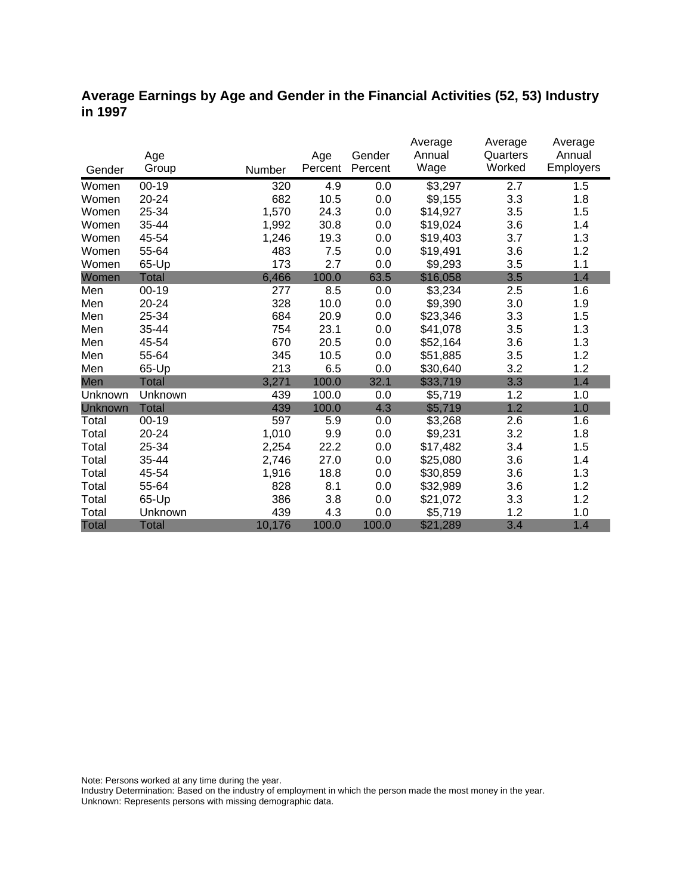### **Average Earnings by Age and Gender in the Financial Activities (52, 53) Industry in 1997**

|              |              |        |         |         | Average  | Average  | Average   |
|--------------|--------------|--------|---------|---------|----------|----------|-----------|
|              | Age          |        | Age     | Gender  | Annual   | Quarters | Annual    |
| Gender       | Group        | Number | Percent | Percent | Wage     | Worked   | Employers |
| Women        | $00 - 19$    | 320    | 4.9     | 0.0     | \$3,297  | 2.7      | 1.5       |
| Women        | 20-24        | 682    | 10.5    | 0.0     | \$9,155  | 3.3      | 1.8       |
| Women        | 25-34        | 1,570  | 24.3    | 0.0     | \$14,927 | 3.5      | 1.5       |
| Women        | 35-44        | 1,992  | 30.8    | 0.0     | \$19,024 | 3.6      | 1.4       |
| Women        | 45-54        | 1,246  | 19.3    | 0.0     | \$19,403 | 3.7      | 1.3       |
| Women        | 55-64        | 483    | 7.5     | 0.0     | \$19,491 | 3.6      | 1.2       |
| Women        | 65-Up        | 173    | 2.7     | 0.0     | \$9,293  | 3.5      | 1.1       |
| Women        | Total        | 6,466  | 100.0   | 63.5    | \$16,058 | 3.5      | 1.4       |
| Men          | $00 - 19$    | 277    | 8.5     | 0.0     | \$3,234  | 2.5      | 1.6       |
| Men          | 20-24        | 328    | 10.0    | 0.0     | \$9,390  | 3.0      | 1.9       |
| Men          | 25-34        | 684    | 20.9    | 0.0     | \$23,346 | 3.3      | 1.5       |
| Men          | 35-44        | 754    | 23.1    | 0.0     | \$41,078 | 3.5      | 1.3       |
| Men          | 45-54        | 670    | 20.5    | 0.0     | \$52,164 | 3.6      | 1.3       |
| Men          | 55-64        | 345    | 10.5    | 0.0     | \$51,885 | 3.5      | 1.2       |
| Men          | 65-Up        | 213    | 6.5     | 0.0     | \$30,640 | 3.2      | 1.2       |
| Men          | <b>Total</b> | 3,271  | 100.0   | 32.1    | \$33,719 | 3.3      | 1.4       |
| Unknown      | Unknown      | 439    | 100.0   | 0.0     | \$5,719  | 1.2      | 1.0       |
| Unknown      | <b>Total</b> | 439    | 100.0   | 4.3     | \$5,719  | 1.2      | 1.0       |
| Total        | $00-19$      | 597    | 5.9     | 0.0     | \$3,268  | 2.6      | 1.6       |
| Total        | 20-24        | 1,010  | 9.9     | 0.0     | \$9,231  | 3.2      | 1.8       |
| Total        | 25-34        | 2,254  | 22.2    | 0.0     | \$17,482 | 3.4      | 1.5       |
| Total        | 35-44        | 2,746  | 27.0    | 0.0     | \$25,080 | 3.6      | 1.4       |
| Total        | 45-54        | 1,916  | 18.8    | 0.0     | \$30,859 | 3.6      | 1.3       |
| Total        | 55-64        | 828    | 8.1     | 0.0     | \$32,989 | 3.6      | 1.2       |
| Total        | 65-Up        | 386    | 3.8     | 0.0     | \$21,072 | 3.3      | 1.2       |
| Total        | Unknown      | 439    | 4.3     | 0.0     | \$5,719  | 1.2      | 1.0       |
| <b>Total</b> | <b>Total</b> | 10,176 | 100.0   | 100.0   | \$21,289 | 3.4      | 1.4       |

Note: Persons worked at any time during the year.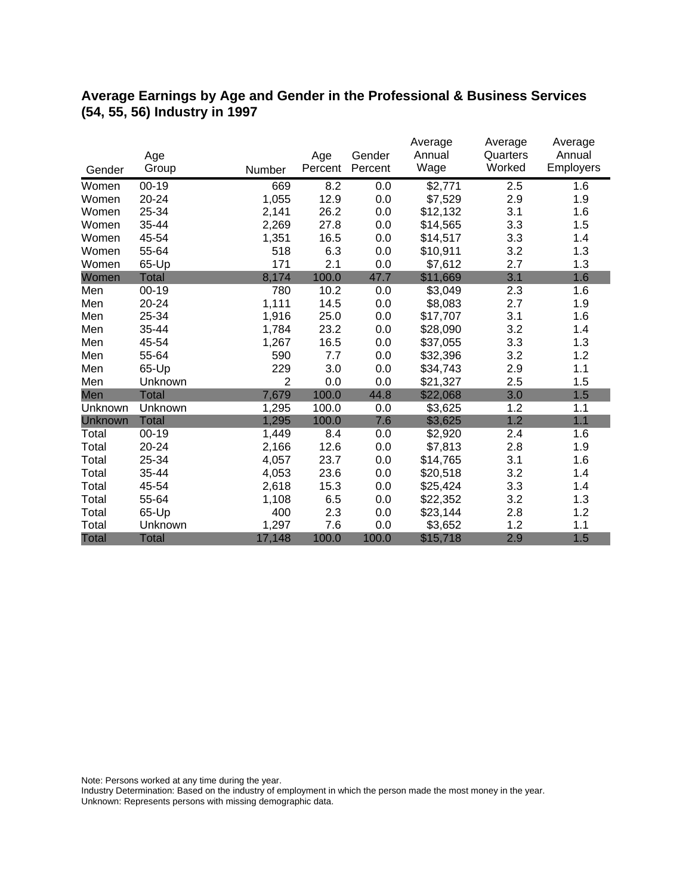## **Average Earnings by Age and Gender in the Professional & Business Services (54, 55, 56) Industry in 1997**

|              |              |                |         |         | Average  | Average  | Average   |
|--------------|--------------|----------------|---------|---------|----------|----------|-----------|
|              | Age          |                | Age     | Gender  | Annual   | Quarters | Annual    |
| Gender       | Group        | Number         | Percent | Percent | Wage     | Worked   | Employers |
| Women        | $00 - 19$    | 669            | 8.2     | 0.0     | \$2,771  | 2.5      | 1.6       |
| Women        | 20-24        | 1,055          | 12.9    | 0.0     | \$7,529  | 2.9      | 1.9       |
| Women        | 25-34        | 2,141          | 26.2    | 0.0     | \$12,132 | 3.1      | 1.6       |
| Women        | 35-44        | 2,269          | 27.8    | 0.0     | \$14,565 | 3.3      | 1.5       |
| Women        | 45-54        | 1,351          | 16.5    | 0.0     | \$14,517 | 3.3      | 1.4       |
| Women        | 55-64        | 518            | 6.3     | 0.0     | \$10,911 | 3.2      | 1.3       |
| Women        | 65-Up        | 171            | 2.1     | 0.0     | \$7,612  | 2.7      | 1.3       |
| Women        | <b>Total</b> | 8,174          | 100.0   | 47.7    | \$11,669 | 3.1      | 1.6       |
| Men          | $00 - 19$    | 780            | 10.2    | 0.0     | \$3,049  | 2.3      | 1.6       |
| Men          | 20-24        | 1,111          | 14.5    | 0.0     | \$8,083  | 2.7      | 1.9       |
| Men          | 25-34        | 1,916          | 25.0    | 0.0     | \$17,707 | 3.1      | 1.6       |
| Men          | 35-44        | 1,784          | 23.2    | 0.0     | \$28,090 | 3.2      | 1.4       |
| Men          | 45-54        | 1,267          | 16.5    | 0.0     | \$37,055 | 3.3      | 1.3       |
| Men          | 55-64        | 590            | 7.7     | 0.0     | \$32,396 | 3.2      | 1.2       |
| Men          | 65-Up        | 229            | 3.0     | 0.0     | \$34,743 | 2.9      | 1.1       |
| Men          | Unknown      | $\overline{2}$ | 0.0     | 0.0     | \$21,327 | 2.5      | 1.5       |
| Men          | <b>Total</b> | 7,679          | 100.0   | 44.8    | \$22,068 | 3.0      | 1.5       |
| Unknown      | Unknown      | 1,295          | 100.0   | 0.0     | \$3,625  | 1.2      | 1.1       |
| Unknown      | <b>Total</b> | 1,295          | 100.0   | 7.6     | \$3,625  | 1.2      | 1.1       |
| Total        | $00 - 19$    | 1,449          | 8.4     | 0.0     | \$2,920  | 2.4      | 1.6       |
| Total        | 20-24        | 2,166          | 12.6    | 0.0     | \$7,813  | 2.8      | 1.9       |
| Total        | 25-34        | 4,057          | 23.7    | 0.0     | \$14,765 | 3.1      | 1.6       |
| Total        | 35-44        | 4,053          | 23.6    | 0.0     | \$20,518 | 3.2      | 1.4       |
| Total        | 45-54        | 2,618          | 15.3    | 0.0     | \$25,424 | 3.3      | 1.4       |
| Total        | 55-64        | 1,108          | 6.5     | 0.0     | \$22,352 | 3.2      | 1.3       |
| Total        | 65-Up        | 400            | 2.3     | 0.0     | \$23,144 | 2.8      | 1.2       |
| Total        | Unknown      | 1,297          | 7.6     | 0.0     | \$3,652  | 1.2      | 1.1       |
| <b>Total</b> | <b>Total</b> | 17,148         | 100.0   | 100.0   | \$15,718 | 2.9      | 1.5       |

Note: Persons worked at any time during the year.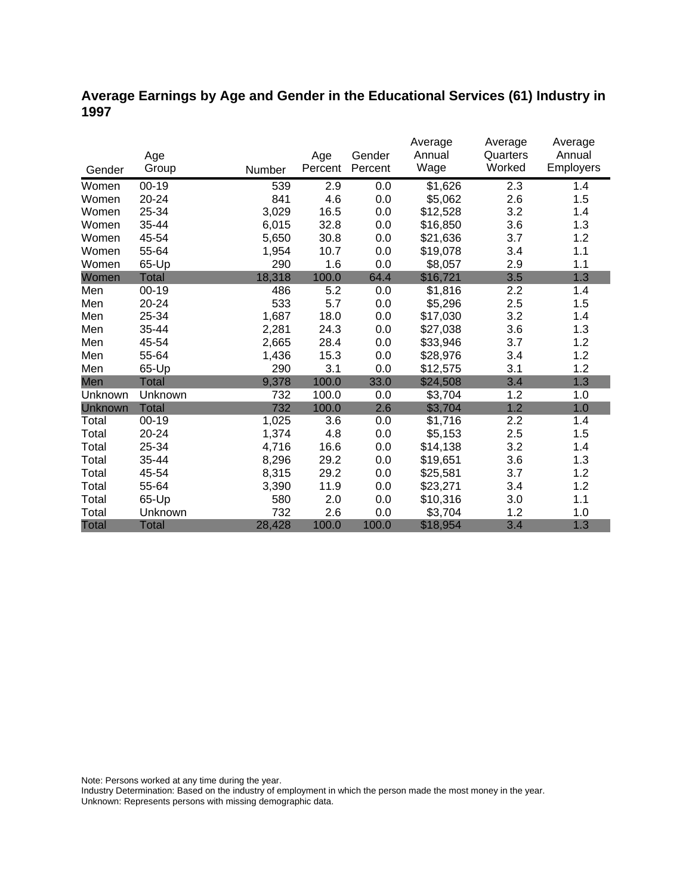## **Average Earnings by Age and Gender in the Educational Services (61) Industry in 1997**

|              |              |        |         |         | Average  | Average  | Average          |
|--------------|--------------|--------|---------|---------|----------|----------|------------------|
|              | Age          |        | Age     | Gender  | Annual   | Quarters | Annual           |
| Gender       | Group        | Number | Percent | Percent | Wage     | Worked   | <b>Employers</b> |
| Women        | 00-19        | 539    | 2.9     | 0.0     | \$1,626  | 2.3      | 1.4              |
| Women        | 20-24        | 841    | 4.6     | 0.0     | \$5,062  | 2.6      | 1.5              |
| Women        | 25-34        | 3,029  | 16.5    | 0.0     | \$12,528 | 3.2      | 1.4              |
| Women        | 35-44        | 6,015  | 32.8    | 0.0     | \$16,850 | 3.6      | 1.3              |
| Women        | 45-54        | 5,650  | 30.8    | 0.0     | \$21,636 | 3.7      | 1.2              |
| Women        | 55-64        | 1,954  | 10.7    | 0.0     | \$19,078 | 3.4      | 1.1              |
| Women        | 65-Up        | 290    | 1.6     | 0.0     | \$8,057  | 2.9      | 1.1              |
| Women        | <b>Total</b> | 18,318 | 100.0   | 64.4    | \$16,721 | 3.5      | 1.3              |
| Men          | $00 - 19$    | 486    | 5.2     | 0.0     | \$1,816  | 2.2      | 1.4              |
| Men          | $20 - 24$    | 533    | 5.7     | 0.0     | \$5,296  | 2.5      | 1.5              |
| Men          | 25-34        | 1,687  | 18.0    | 0.0     | \$17,030 | 3.2      | 1.4              |
| Men          | 35-44        | 2,281  | 24.3    | 0.0     | \$27,038 | 3.6      | 1.3              |
| Men          | 45-54        | 2,665  | 28.4    | 0.0     | \$33,946 | 3.7      | 1.2              |
| Men          | 55-64        | 1,436  | 15.3    | 0.0     | \$28,976 | 3.4      | 1.2              |
| Men          | 65-Up        | 290    | 3.1     | 0.0     | \$12,575 | 3.1      | 1.2              |
| Men          | <b>Total</b> | 9,378  | 100.0   | 33.0    | \$24,508 | 3.4      | 1.3              |
| Unknown      | Unknown      | 732    | 100.0   | 0.0     | \$3,704  | 1.2      | 1.0              |
| Unknown      | <b>Total</b> | 732    | 100.0   | 2.6     | \$3,704  | 1.2      | 1.0              |
| Total        | $00 - 19$    | 1,025  | 3.6     | 0.0     | \$1,716  | 2.2      | 1.4              |
| Total        | 20-24        | 1,374  | 4.8     | 0.0     | \$5,153  | 2.5      | 1.5              |
| Total        | 25-34        | 4,716  | 16.6    | 0.0     | \$14,138 | 3.2      | 1.4              |
| Total        | 35-44        | 8,296  | 29.2    | 0.0     | \$19,651 | 3.6      | 1.3              |
| Total        | 45-54        | 8,315  | 29.2    | 0.0     | \$25,581 | 3.7      | 1.2              |
| Total        | 55-64        | 3,390  | 11.9    | 0.0     | \$23,271 | 3.4      | 1.2              |
| Total        | 65-Up        | 580    | 2.0     | 0.0     | \$10,316 | 3.0      | 1.1              |
| Total        | Unknown      | 732    | 2.6     | 0.0     | \$3,704  | 1.2      | 1.0              |
| <b>Total</b> | <b>Total</b> | 28,428 | 100.0   | 100.0   | \$18,954 | 3.4      | 1.3              |

Note: Persons worked at any time during the year.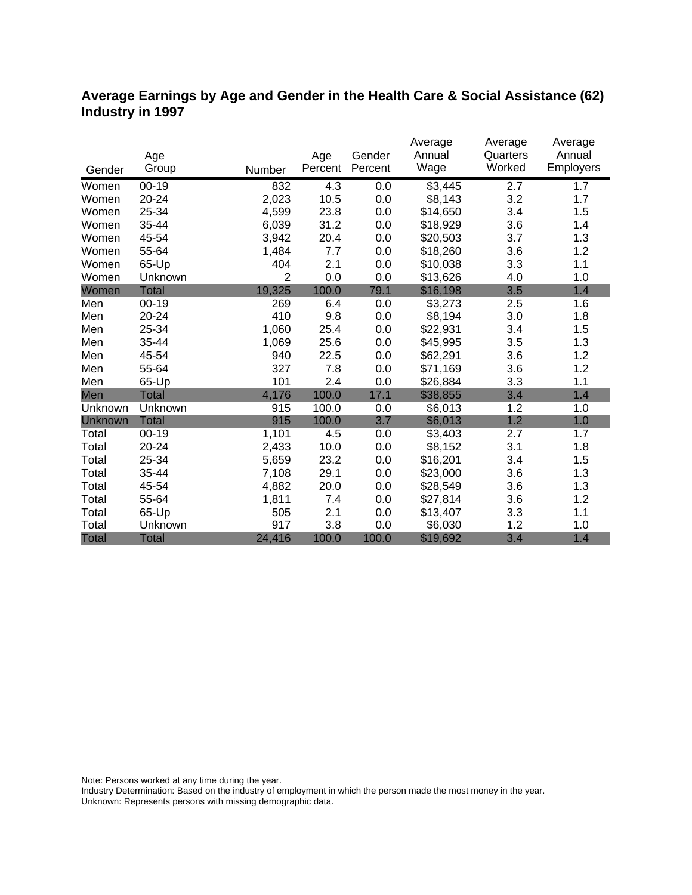## **Average Earnings by Age and Gender in the Health Care & Social Assistance (62) Industry in 1997**

|              |              |                |         |         | Average  | Average  | Average   |
|--------------|--------------|----------------|---------|---------|----------|----------|-----------|
|              | Age          |                | Age     | Gender  | Annual   | Quarters | Annual    |
| Gender       | Group        | Number         | Percent | Percent | Wage     | Worked   | Employers |
| Women        | $00 - 19$    | 832            | 4.3     | 0.0     | \$3,445  | 2.7      | 1.7       |
| Women        | 20-24        | 2,023          | 10.5    | 0.0     | \$8,143  | 3.2      | 1.7       |
| Women        | 25-34        | 4,599          | 23.8    | 0.0     | \$14,650 | 3.4      | 1.5       |
| Women        | 35-44        | 6,039          | 31.2    | 0.0     | \$18,929 | 3.6      | 1.4       |
| Women        | 45-54        | 3,942          | 20.4    | 0.0     | \$20,503 | 3.7      | 1.3       |
| Women        | 55-64        | 1,484          | 7.7     | 0.0     | \$18,260 | 3.6      | 1.2       |
| Women        | 65-Up        | 404            | 2.1     | 0.0     | \$10,038 | 3.3      | 1.1       |
| Women        | Unknown      | $\overline{2}$ | 0.0     | 0.0     | \$13,626 | 4.0      | 1.0       |
| Women        | <b>Total</b> | 19,325         | 100.0   | 79.1    | \$16,198 | 3.5      | 1.4       |
| Men          | $00 - 19$    | 269            | 6.4     | 0.0     | \$3,273  | 2.5      | 1.6       |
| Men          | 20-24        | 410            | 9.8     | 0.0     | \$8,194  | 3.0      | 1.8       |
| Men          | 25-34        | 1,060          | 25.4    | 0.0     | \$22,931 | 3.4      | 1.5       |
| Men          | 35-44        | 1,069          | 25.6    | 0.0     | \$45,995 | 3.5      | 1.3       |
| Men          | 45-54        | 940            | 22.5    | 0.0     | \$62,291 | 3.6      | 1.2       |
| Men          | 55-64        | 327            | 7.8     | 0.0     | \$71,169 | 3.6      | 1.2       |
| Men          | 65-Up        | 101            | 2.4     | 0.0     | \$26,884 | 3.3      | 1.1       |
| Men          | <b>Total</b> | 4,176          | 100.0   | 17.1    | \$38,855 | 3.4      | 1.4       |
| Unknown      | Unknown      | 915            | 100.0   | 0.0     | \$6,013  | 1.2      | 1.0       |
| Unknown      | <b>Total</b> | 915            | 100.0   | 3.7     | \$6,013  | 1.2      | 1.0       |
| Total        | $00 - 19$    | 1,101          | 4.5     | 0.0     | \$3,403  | 2.7      | 1.7       |
| Total        | $20 - 24$    | 2,433          | 10.0    | 0.0     | \$8,152  | 3.1      | 1.8       |
| Total        | 25-34        | 5,659          | 23.2    | 0.0     | \$16,201 | 3.4      | 1.5       |
| Total        | 35-44        | 7,108          | 29.1    | 0.0     | \$23,000 | 3.6      | 1.3       |
| Total        | 45-54        | 4,882          | 20.0    | 0.0     | \$28,549 | 3.6      | 1.3       |
| Total        | 55-64        | 1,811          | 7.4     | 0.0     | \$27,814 | 3.6      | 1.2       |
| Total        | 65-Up        | 505            | 2.1     | 0.0     | \$13,407 | 3.3      | 1.1       |
| Total        | Unknown      | 917            | 3.8     | 0.0     | \$6,030  | 1.2      | 1.0       |
| <b>Total</b> | <b>Total</b> | 24,416         | 100.0   | 100.0   | \$19,692 | 3.4      | 1.4       |

Note: Persons worked at any time during the year.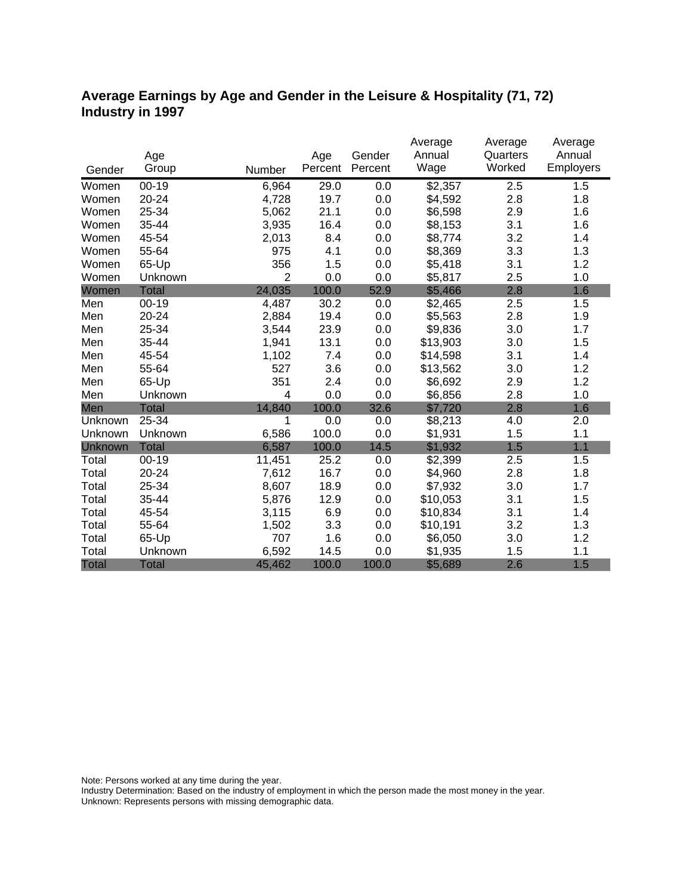## **Average Earnings by Age and Gender in the Leisure & Hospitality (71, 72) Industry in 1997**

|              |              |                |         |         | Average  | Average  | Average   |
|--------------|--------------|----------------|---------|---------|----------|----------|-----------|
|              | Age          |                | Age     | Gender  | Annual   | Quarters | Annual    |
| Gender       | Group        | Number         | Percent | Percent | Wage     | Worked   | Employers |
| Women        | $00 - 19$    | 6,964          | 29.0    | 0.0     | \$2,357  | 2.5      | 1.5       |
| Women        | 20-24        | 4,728          | 19.7    | 0.0     | \$4,592  | 2.8      | 1.8       |
| Women        | 25-34        | 5,062          | 21.1    | 0.0     | \$6,598  | 2.9      | 1.6       |
| Women        | 35-44        | 3,935          | 16.4    | 0.0     | \$8,153  | 3.1      | 1.6       |
| Women        | 45-54        | 2,013          | 8.4     | 0.0     | \$8,774  | 3.2      | 1.4       |
| Women        | 55-64        | 975            | 4.1     | 0.0     | \$8,369  | 3.3      | 1.3       |
| Women        | 65-Up        | 356            | 1.5     | 0.0     | \$5,418  | 3.1      | 1.2       |
| Women        | Unknown      | $\overline{2}$ | 0.0     | 0.0     | \$5,817  | 2.5      | 1.0       |
| Women        | <b>Total</b> | 24,035         | 100.0   | 52.9    | \$5,466  | 2.8      | 1.6       |
| Men          | $00 - 19$    | 4,487          | 30.2    | 0.0     | \$2,465  | 2.5      | 1.5       |
| Men          | 20-24        | 2,884          | 19.4    | 0.0     | \$5,563  | 2.8      | 1.9       |
| Men          | 25-34        | 3,544          | 23.9    | 0.0     | \$9,836  | 3.0      | 1.7       |
| Men          | 35-44        | 1,941          | 13.1    | 0.0     | \$13,903 | 3.0      | 1.5       |
| Men          | 45-54        | 1,102          | 7.4     | 0.0     | \$14,598 | 3.1      | 1.4       |
| Men          | 55-64        | 527            | 3.6     | 0.0     | \$13,562 | 3.0      | 1.2       |
| Men          | 65-Up        | 351            | 2.4     | 0.0     | \$6,692  | 2.9      | 1.2       |
| Men          | Unknown      | 4              | 0.0     | 0.0     | \$6,856  | 2.8      | 1.0       |
| Men          | <b>Total</b> | 14,840         | 100.0   | 32.6    | \$7,720  | 2.8      | 1.6       |
| Unknown      | 25-34        | 1              | 0.0     | 0.0     | \$8,213  | 4.0      | 2.0       |
| Unknown      | Unknown      | 6,586          | 100.0   | 0.0     | \$1,931  | 1.5      | 1.1       |
| Unknown      | <b>Total</b> | 6,587          | 100.0   | 14.5    | \$1,932  | 1.5      | 1.1       |
| Total        | $00 - 19$    | 11,451         | 25.2    | 0.0     | \$2,399  | 2.5      | 1.5       |
| Total        | 20-24        | 7,612          | 16.7    | 0.0     | \$4,960  | 2.8      | 1.8       |
| Total        | 25-34        | 8,607          | 18.9    | 0.0     | \$7,932  | 3.0      | 1.7       |
| Total        | 35-44        | 5,876          | 12.9    | 0.0     | \$10,053 | 3.1      | 1.5       |
| Total        | 45-54        | 3,115          | 6.9     | 0.0     | \$10,834 | 3.1      | 1.4       |
| Total        | 55-64        | 1,502          | 3.3     | 0.0     | \$10,191 | 3.2      | 1.3       |
| Total        | 65-Up        | 707            | 1.6     | 0.0     | \$6,050  | 3.0      | 1.2       |
| Total        | Unknown      | 6,592          | 14.5    | 0.0     | \$1,935  | 1.5      | 1.1       |
| <b>Total</b> | <b>Total</b> | 45,462         | 100.0   | 100.0   | \$5,689  | 2.6      | 1.5       |

Note: Persons worked at any time during the year.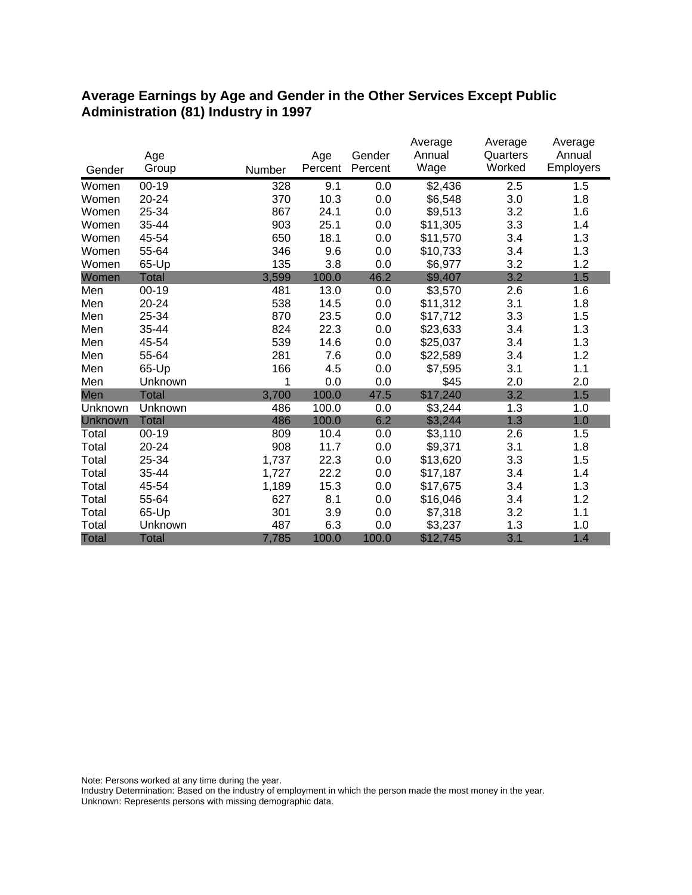#### **Average Earnings by Age and Gender in the Other Services Except Public Administration (81) Industry in 1997**

|              |              |        |         |         | Average  | Average  | Average   |
|--------------|--------------|--------|---------|---------|----------|----------|-----------|
|              | Age          |        | Age     | Gender  | Annual   | Quarters | Annual    |
| Gender       | Group        | Number | Percent | Percent | Wage     | Worked   | Employers |
| Women        | $00 - 19$    | 328    | 9.1     | 0.0     | \$2,436  | 2.5      | 1.5       |
| Women        | 20-24        | 370    | 10.3    | 0.0     | \$6,548  | 3.0      | 1.8       |
| Women        | 25-34        | 867    | 24.1    | 0.0     | \$9,513  | 3.2      | 1.6       |
| Women        | 35-44        | 903    | 25.1    | 0.0     | \$11,305 | 3.3      | 1.4       |
| Women        | 45-54        | 650    | 18.1    | 0.0     | \$11,570 | 3.4      | 1.3       |
| Women        | 55-64        | 346    | 9.6     | 0.0     | \$10,733 | 3.4      | 1.3       |
| Women        | 65-Up        | 135    | 3.8     | 0.0     | \$6,977  | 3.2      | 1.2       |
| Women        | <b>Total</b> | 3,599  | 100.0   | 46.2    | \$9,407  | 3.2      | 1.5       |
| Men          | $00 - 19$    | 481    | 13.0    | 0.0     | \$3,570  | 2.6      | 1.6       |
| Men          | 20-24        | 538    | 14.5    | 0.0     | \$11,312 | 3.1      | 1.8       |
| Men          | 25-34        | 870    | 23.5    | 0.0     | \$17,712 | 3.3      | 1.5       |
| Men          | 35-44        | 824    | 22.3    | 0.0     | \$23,633 | 3.4      | 1.3       |
| Men          | 45-54        | 539    | 14.6    | 0.0     | \$25,037 | 3.4      | 1.3       |
| Men          | 55-64        | 281    | 7.6     | 0.0     | \$22,589 | 3.4      | 1.2       |
| Men          | 65-Up        | 166    | 4.5     | 0.0     | \$7,595  | 3.1      | 1.1       |
| Men          | Unknown      | 1      | 0.0     | 0.0     | \$45     | 2.0      | 2.0       |
| Men          | <b>Total</b> | 3,700  | 100.0   | 47.5    | \$17,240 | 3.2      | 1.5       |
| Unknown      | Unknown      | 486    | 100.0   | 0.0     | \$3,244  | 1.3      | 1.0       |
| Unknown      | <b>Total</b> | 486    | 100.0   | 6.2     | \$3,244  | 1.3      | 1.0       |
| Total        | $00 - 19$    | 809    | 10.4    | 0.0     | \$3,110  | 2.6      | 1.5       |
| Total        | 20-24        | 908    | 11.7    | 0.0     | \$9,371  | 3.1      | 1.8       |
| Total        | 25-34        | 1,737  | 22.3    | 0.0     | \$13,620 | 3.3      | 1.5       |
| Total        | 35-44        | 1,727  | 22.2    | 0.0     | \$17,187 | 3.4      | 1.4       |
| Total        | 45-54        | 1,189  | 15.3    | 0.0     | \$17,675 | 3.4      | 1.3       |
| Total        | 55-64        | 627    | 8.1     | 0.0     | \$16,046 | 3.4      | 1.2       |
| Total        | 65-Up        | 301    | 3.9     | 0.0     | \$7,318  | 3.2      | 1.1       |
| Total        | Unknown      | 487    | 6.3     | 0.0     | \$3,237  | 1.3      | 1.0       |
| <b>Total</b> | <b>Total</b> | 7,785  | 100.0   | 100.0   | \$12,745 | 3.1      | 1.4       |

Note: Persons worked at any time during the year.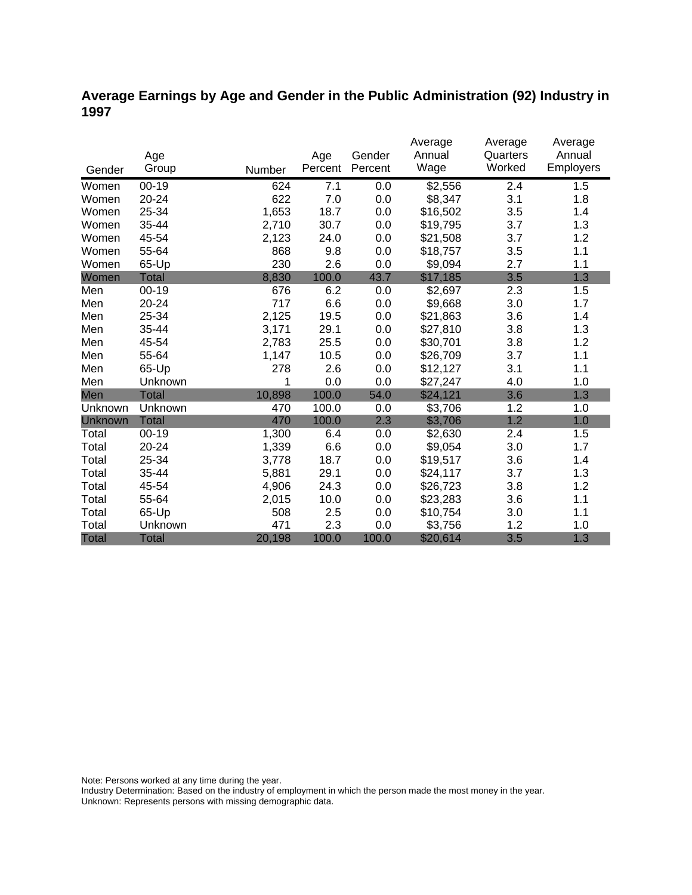## **Average Earnings by Age and Gender in the Public Administration (92) Industry in 1997**

|              |              |        |         |         | Average  | Average  | Average          |
|--------------|--------------|--------|---------|---------|----------|----------|------------------|
|              | Age          |        | Age     | Gender  | Annual   | Quarters | Annual           |
| Gender       | Group        | Number | Percent | Percent | Wage     | Worked   | <b>Employers</b> |
| Women        | $00 - 19$    | 624    | 7.1     | 0.0     | \$2,556  | 2.4      | 1.5              |
| Women        | 20-24        | 622    | 7.0     | 0.0     | \$8,347  | 3.1      | 1.8              |
| Women        | 25-34        | 1,653  | 18.7    | 0.0     | \$16,502 | 3.5      | 1.4              |
| Women        | 35-44        | 2,710  | 30.7    | 0.0     | \$19,795 | 3.7      | 1.3              |
| Women        | 45-54        | 2,123  | 24.0    | 0.0     | \$21,508 | 3.7      | 1.2              |
| Women        | 55-64        | 868    | 9.8     | 0.0     | \$18,757 | 3.5      | 1.1              |
| Women        | 65-Up        | 230    | 2.6     | 0.0     | \$9,094  | 2.7      | 1.1              |
| Women        | <b>Total</b> | 8,830  | 100.0   | 43.7    | \$17,185 | 3.5      | 1.3              |
| Men          | $00 - 19$    | 676    | 6.2     | 0.0     | \$2,697  | 2.3      | 1.5              |
| Men          | 20-24        | 717    | 6.6     | 0.0     | \$9,668  | 3.0      | 1.7              |
| Men          | 25-34        | 2,125  | 19.5    | 0.0     | \$21,863 | 3.6      | 1.4              |
| Men          | 35-44        | 3,171  | 29.1    | 0.0     | \$27,810 | 3.8      | 1.3              |
| Men          | 45-54        | 2,783  | 25.5    | 0.0     | \$30,701 | 3.8      | 1.2              |
| Men          | 55-64        | 1,147  | 10.5    | 0.0     | \$26,709 | 3.7      | 1.1              |
| Men          | 65-Up        | 278    | 2.6     | 0.0     | \$12,127 | 3.1      | 1.1              |
| Men          | Unknown      | 1      | 0.0     | 0.0     | \$27,247 | 4.0      | 1.0              |
| Men          | <b>Total</b> | 10,898 | 100.0   | 54.0    | \$24,121 | 3.6      | 1.3              |
| Unknown      | Unknown      | 470    | 100.0   | 0.0     | \$3,706  | 1.2      | 1.0              |
| Unknown      | <b>Total</b> | 470    | 100.0   | 2.3     | \$3,706  | 1.2      | 1.0              |
| Total        | $00 - 19$    | 1,300  | 6.4     | 0.0     | \$2,630  | 2.4      | 1.5              |
| Total        | $20 - 24$    | 1,339  | 6.6     | 0.0     | \$9,054  | 3.0      | 1.7              |
| Total        | 25-34        | 3,778  | 18.7    | 0.0     | \$19,517 | 3.6      | 1.4              |
| Total        | 35-44        | 5,881  | 29.1    | 0.0     | \$24,117 | 3.7      | 1.3              |
| Total        | 45-54        | 4,906  | 24.3    | 0.0     | \$26,723 | 3.8      | 1.2              |
| Total        | 55-64        | 2,015  | 10.0    | 0.0     | \$23,283 | 3.6      | 1.1              |
| Total        | 65-Up        | 508    | 2.5     | 0.0     | \$10,754 | 3.0      | 1.1              |
| Total        | Unknown      | 471    | 2.3     | 0.0     | \$3,756  | 1.2      | 1.0              |
| <b>Total</b> | <b>Total</b> | 20,198 | 100.0   | 100.0   | \$20,614 | 3.5      | 1.3              |

Note: Persons worked at any time during the year.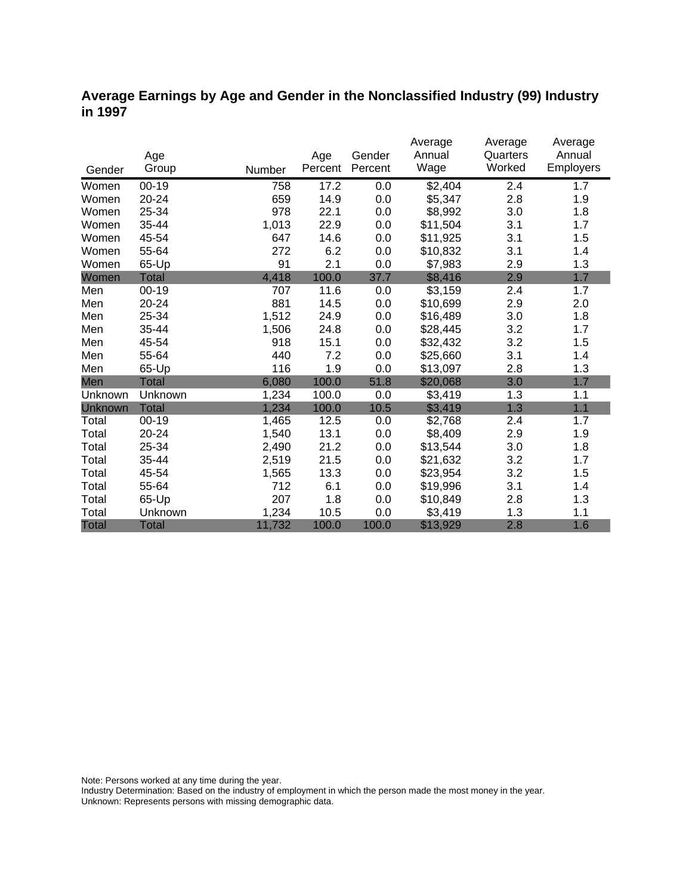### **Average Earnings by Age and Gender in the Nonclassified Industry (99) Industry in 1997**

|              |              |        |         |         | Average  | Average  | Average   |
|--------------|--------------|--------|---------|---------|----------|----------|-----------|
|              | Age          |        | Age     | Gender  | Annual   | Quarters | Annual    |
| Gender       | Group        | Number | Percent | Percent | Wage     | Worked   | Employers |
| Women        | $00 - 19$    | 758    | 17.2    | 0.0     | \$2,404  | 2.4      | 1.7       |
| Women        | 20-24        | 659    | 14.9    | 0.0     | \$5,347  | 2.8      | 1.9       |
| Women        | 25-34        | 978    | 22.1    | 0.0     | \$8,992  | 3.0      | 1.8       |
| Women        | 35-44        | 1,013  | 22.9    | 0.0     | \$11,504 | 3.1      | 1.7       |
| Women        | 45-54        | 647    | 14.6    | 0.0     | \$11,925 | 3.1      | 1.5       |
| Women        | 55-64        | 272    | 6.2     | 0.0     | \$10,832 | 3.1      | 1.4       |
| Women        | 65-Up        | 91     | 2.1     | 0.0     | \$7,983  | 2.9      | 1.3       |
| Women        | <b>Total</b> | 4,418  | 100.0   | 37.7    | \$8,416  | 2.9      | 1.7       |
| Men          | 00-19        | 707    | 11.6    | 0.0     | \$3,159  | 2.4      | 1.7       |
| Men          | 20-24        | 881    | 14.5    | 0.0     | \$10,699 | 2.9      | 2.0       |
| Men          | 25-34        | 1,512  | 24.9    | 0.0     | \$16,489 | 3.0      | 1.8       |
| Men          | 35-44        | 1,506  | 24.8    | 0.0     | \$28,445 | 3.2      | 1.7       |
| Men          | 45-54        | 918    | 15.1    | 0.0     | \$32,432 | 3.2      | 1.5       |
| Men          | 55-64        | 440    | 7.2     | 0.0     | \$25,660 | 3.1      | 1.4       |
| Men          | 65-Up        | 116    | 1.9     | 0.0     | \$13,097 | 2.8      | 1.3       |
| Men          | Total        | 6,080  | 100.0   | 51.8    | \$20,068 | 3.0      | 1.7       |
| Unknown      | Unknown      | 1,234  | 100.0   | 0.0     | \$3,419  | 1.3      | 1.1       |
| Unknown      | <b>Total</b> | 1,234  | 100.0   | 10.5    | \$3,419  | 1.3      | 1.1       |
| Total        | $00 - 19$    | 1,465  | 12.5    | 0.0     | \$2,768  | 2.4      | 1.7       |
| Total        | 20-24        | 1,540  | 13.1    | 0.0     | \$8,409  | 2.9      | 1.9       |
| Total        | 25-34        | 2,490  | 21.2    | 0.0     | \$13,544 | 3.0      | 1.8       |
| Total        | 35-44        | 2,519  | 21.5    | 0.0     | \$21,632 | 3.2      | 1.7       |
| Total        | 45-54        | 1,565  | 13.3    | 0.0     | \$23,954 | 3.2      | 1.5       |
| Total        | 55-64        | 712    | 6.1     | 0.0     | \$19,996 | 3.1      | 1.4       |
| Total        | 65-Up        | 207    | 1.8     | 0.0     | \$10,849 | 2.8      | 1.3       |
| Total        | Unknown      | 1,234  | 10.5    | 0.0     | \$3,419  | 1.3      | 1.1       |
| <b>Total</b> | <b>Total</b> | 11,732 | 100.0   | 100.0   | \$13,929 | 2.8      | 1.6       |

Note: Persons worked at any time during the year.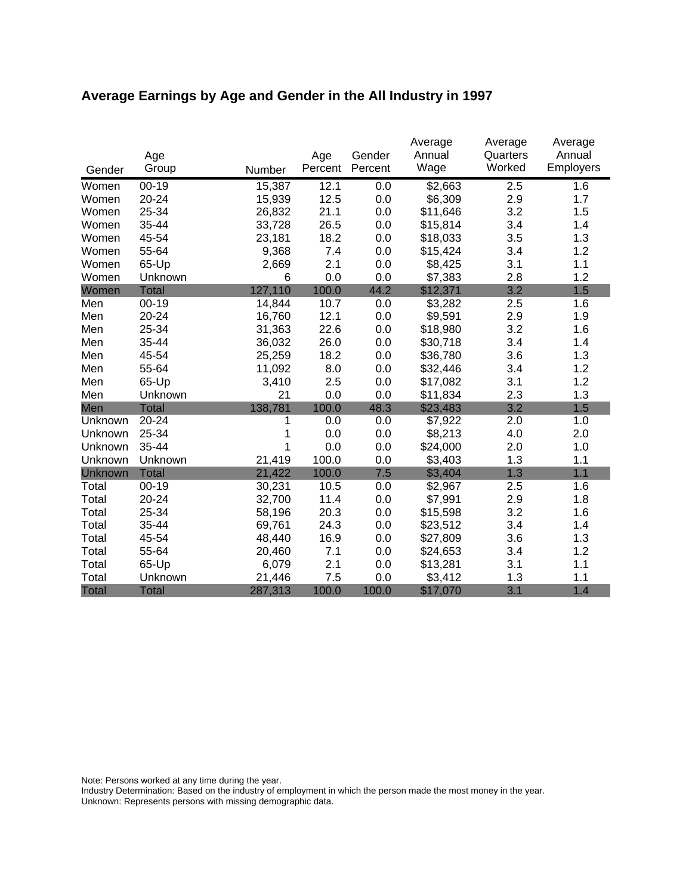# **Average Earnings by Age and Gender in the All Industry in 1997**

|              | Age          |         | Age     | Gender  | Average<br>Annual | Average<br>Quarters | Average<br>Annual |
|--------------|--------------|---------|---------|---------|-------------------|---------------------|-------------------|
| Gender       | Group        | Number  | Percent | Percent | Wage              | Worked              | Employers         |
| Women        | $00 - 19$    | 15,387  | 12.1    | 0.0     | \$2,663           | 2.5                 | 1.6               |
| Women        | 20-24        | 15,939  | 12.5    | 0.0     | \$6,309           | 2.9                 | 1.7               |
| Women        | 25-34        | 26,832  | 21.1    | 0.0     | \$11,646          | 3.2                 | 1.5               |
| Women        | 35-44        | 33,728  | 26.5    | 0.0     | \$15,814          | 3.4                 | 1.4               |
| Women        | 45-54        | 23,181  | 18.2    | 0.0     | \$18,033          | 3.5                 | 1.3               |
| Women        | 55-64        | 9,368   | 7.4     | 0.0     | \$15,424          | 3.4                 | 1.2               |
| Women        | 65-Up        | 2,669   | 2.1     | 0.0     | \$8,425           | 3.1                 | 1.1               |
| Women        | Unknown      | 6       | 0.0     | 0.0     | \$7,383           | 2.8                 | 1.2               |
| Women        | <b>Total</b> | 127,110 | 100.0   | 44.2    | \$12,371          | 3.2                 | 1.5               |
| Men          | $00 - 19$    | 14,844  | 10.7    | 0.0     | \$3,282           | 2.5                 | 1.6               |
| Men          | 20-24        | 16,760  | 12.1    | 0.0     | \$9,591           | 2.9                 | 1.9               |
| Men          | 25-34        | 31,363  | 22.6    | 0.0     | \$18,980          | 3.2                 | 1.6               |
| Men          | 35-44        | 36,032  | 26.0    | 0.0     | \$30,718          | 3.4                 | 1.4               |
| Men          | 45-54        | 25,259  | 18.2    | 0.0     | \$36,780          | 3.6                 | 1.3               |
| Men          | 55-64        | 11,092  | 8.0     | 0.0     | \$32,446          | 3.4                 | 1.2               |
| Men          | 65-Up        | 3,410   | 2.5     | 0.0     | \$17,082          | 3.1                 | 1.2               |
| Men          | Unknown      | 21      | 0.0     | 0.0     | \$11,834          | 2.3                 | 1.3               |
| Men          | <b>Total</b> | 138,781 | 100.0   | 48.3    | \$23,483          | 3.2                 | 1.5               |
| Unknown      | 20-24        | 1       | 0.0     | 0.0     | \$7,922           | 2.0                 | 1.0               |
| Unknown      | 25-34        | 1       | 0.0     | 0.0     | \$8,213           | 4.0                 | 2.0               |
| Unknown      | 35-44        | 1       | 0.0     | 0.0     | \$24,000          | 2.0                 | 1.0               |
| Unknown      | Unknown      | 21,419  | 100.0   | 0.0     | \$3,403           | 1.3                 | 1.1               |
| Unknown      | <b>Total</b> | 21,422  | 100.0   | 7.5     | \$3,404           | 1.3                 | 1.1               |
| Total        | $00 - 19$    | 30,231  | 10.5    | 0.0     | \$2,967           | 2.5                 | 1.6               |
| Total        | 20-24        | 32,700  | 11.4    | 0.0     | \$7,991           | 2.9                 | 1.8               |
| Total        | 25-34        | 58,196  | 20.3    | 0.0     | \$15,598          | 3.2                 | 1.6               |
| Total        | 35-44        | 69,761  | 24.3    | 0.0     | \$23,512          | 3.4                 | 1.4               |
| Total        | 45-54        | 48,440  | 16.9    | 0.0     | \$27,809          | 3.6                 | 1.3               |
| Total        | 55-64        | 20,460  | 7.1     | 0.0     | \$24,653          | 3.4                 | 1.2               |
| Total        | 65-Up        | 6,079   | 2.1     | 0.0     | \$13,281          | 3.1                 | 1.1               |
| Total        | Unknown      | 21,446  | 7.5     | 0.0     | \$3,412           | 1.3                 | 1.1               |
| <b>Total</b> | <b>Total</b> | 287,313 | 100.0   | 100.0   | \$17,070          | 3.1                 | 1.4               |

Note: Persons worked at any time during the year.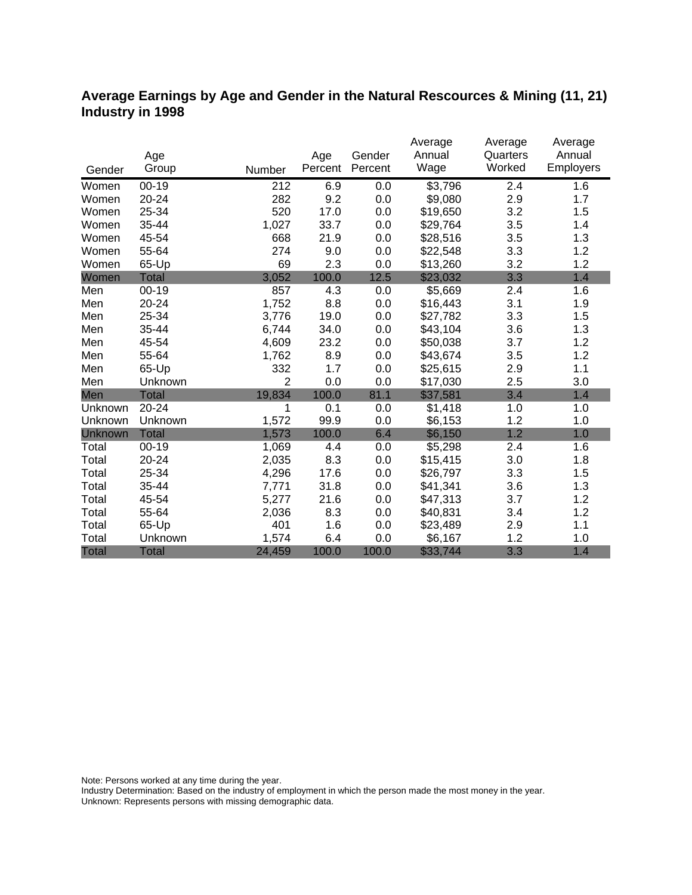### **Average Earnings by Age and Gender in the Natural Rescources & Mining (11, 21) Industry in 1998**

|              |              |                |         |         | Average  | Average  | Average   |
|--------------|--------------|----------------|---------|---------|----------|----------|-----------|
|              | Age          |                | Age     | Gender  | Annual   | Quarters | Annual    |
| Gender       | Group        | Number         | Percent | Percent | Wage     | Worked   | Employers |
| Women        | $00 - 19$    | 212            | 6.9     | 0.0     | \$3,796  | 2.4      | 1.6       |
| Women        | 20-24        | 282            | 9.2     | 0.0     | \$9,080  | 2.9      | 1.7       |
| Women        | 25-34        | 520            | 17.0    | 0.0     | \$19,650 | 3.2      | 1.5       |
| Women        | 35-44        | 1,027          | 33.7    | 0.0     | \$29,764 | 3.5      | 1.4       |
| Women        | 45-54        | 668            | 21.9    | 0.0     | \$28,516 | 3.5      | 1.3       |
| Women        | 55-64        | 274            | 9.0     | 0.0     | \$22,548 | 3.3      | 1.2       |
| Women        | 65-Up        | 69             | 2.3     | 0.0     | \$13,260 | 3.2      | 1.2       |
| Women        | <b>Total</b> | 3,052          | 100.0   | 12.5    | \$23,032 | 3.3      | 1.4       |
| Men          | $00 - 19$    | 857            | 4.3     | 0.0     | \$5,669  | 2.4      | 1.6       |
| Men          | 20-24        | 1,752          | 8.8     | 0.0     | \$16,443 | 3.1      | 1.9       |
| Men          | 25-34        | 3,776          | 19.0    | 0.0     | \$27,782 | 3.3      | 1.5       |
| Men          | 35-44        | 6,744          | 34.0    | 0.0     | \$43,104 | 3.6      | 1.3       |
| Men          | 45-54        | 4,609          | 23.2    | 0.0     | \$50,038 | 3.7      | 1.2       |
| Men          | 55-64        | 1,762          | 8.9     | 0.0     | \$43,674 | 3.5      | 1.2       |
| Men          | 65-Up        | 332            | 1.7     | 0.0     | \$25,615 | 2.9      | 1.1       |
| Men          | Unknown      | $\overline{2}$ | 0.0     | 0.0     | \$17,030 | 2.5      | 3.0       |
| Men          | <b>Total</b> | 19,834         | 100.0   | 81.1    | \$37,581 | 3.4      | 1.4       |
| Unknown      | 20-24        | 1              | 0.1     | 0.0     | \$1,418  | 1.0      | 1.0       |
| Unknown      | Unknown      | 1,572          | 99.9    | 0.0     | \$6,153  | 1.2      | 1.0       |
| Unknown      | <b>Total</b> | 1,573          | 100.0   | 6.4     | \$6,150  | 1.2      | 1.0       |
| Total        | $00 - 19$    | 1,069          | 4.4     | 0.0     | \$5,298  | 2.4      | 1.6       |
| Total        | $20 - 24$    | 2,035          | 8.3     | 0.0     | \$15,415 | 3.0      | 1.8       |
| Total        | 25-34        | 4,296          | 17.6    | 0.0     | \$26,797 | 3.3      | 1.5       |
| Total        | 35-44        | 7,771          | 31.8    | 0.0     | \$41,341 | 3.6      | 1.3       |
| Total        | 45-54        | 5,277          | 21.6    | 0.0     | \$47,313 | 3.7      | 1.2       |
| Total        | 55-64        | 2,036          | 8.3     | 0.0     | \$40,831 | 3.4      | 1.2       |
| Total        | 65-Up        | 401            | 1.6     | 0.0     | \$23,489 | 2.9      | 1.1       |
| Total        | Unknown      | 1,574          | 6.4     | 0.0     | \$6,167  | 1.2      | 1.0       |
| <b>Total</b> | <b>Total</b> | 24,459         | 100.0   | 100.0   | \$33,744 | 3.3      | 1.4       |

Note: Persons worked at any time during the year.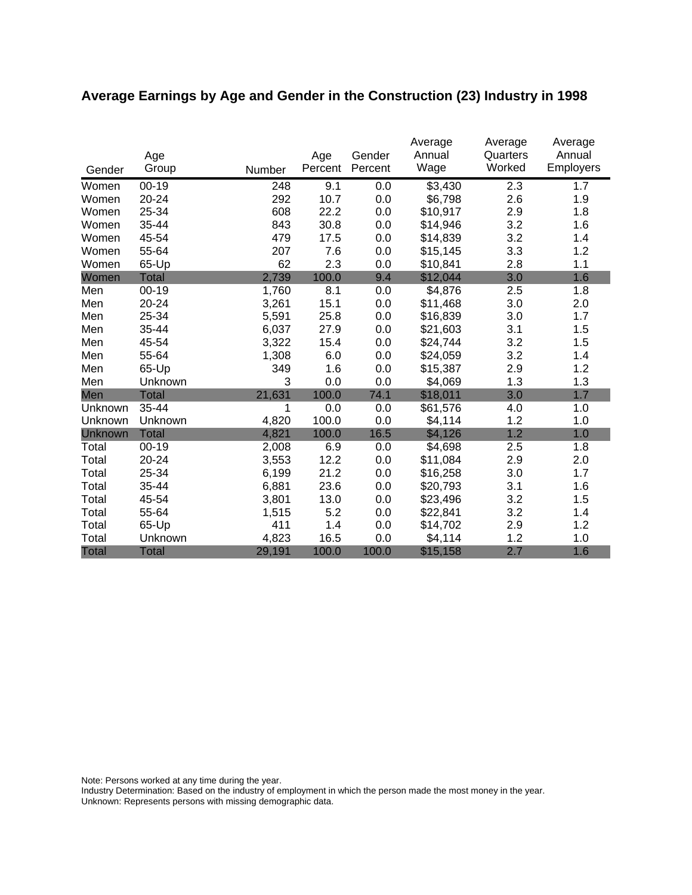# **Average Earnings by Age and Gender in the Construction (23) Industry in 1998**

|         | Age          |        | Age     | Gender  | Average<br>Annual | Average<br>Quarters | Average<br>Annual |
|---------|--------------|--------|---------|---------|-------------------|---------------------|-------------------|
| Gender  | Group        | Number | Percent | Percent | Wage              | Worked              | Employers         |
| Women   | $00 - 19$    | 248    | 9.1     | 0.0     | \$3,430           | 2.3                 | 1.7               |
| Women   | 20-24        | 292    | 10.7    | 0.0     | \$6,798           | 2.6                 | 1.9               |
| Women   | 25-34        | 608    | 22.2    | 0.0     | \$10,917          | 2.9                 | 1.8               |
| Women   | 35-44        | 843    | 30.8    | 0.0     | \$14,946          | 3.2                 | 1.6               |
| Women   | 45-54        | 479    | 17.5    | 0.0     | \$14,839          | 3.2                 | 1.4               |
| Women   | 55-64        | 207    | 7.6     | 0.0     | \$15,145          | 3.3                 | 1.2               |
| Women   | 65-Up        | 62     | 2.3     | 0.0     | \$10,841          | 2.8                 | 1.1               |
| Women   | <b>Total</b> | 2,739  | 100.0   | 9.4     | \$12,044          | 3.0                 | 1.6               |
| Men     | $00 - 19$    | 1,760  | 8.1     | 0.0     | \$4,876           | 2.5                 | 1.8               |
| Men     | 20-24        | 3,261  | 15.1    | 0.0     | \$11,468          | 3.0                 | 2.0               |
| Men     | 25-34        | 5,591  | 25.8    | 0.0     | \$16,839          | 3.0                 | 1.7               |
| Men     | 35-44        | 6,037  | 27.9    | 0.0     | \$21,603          | 3.1                 | 1.5               |
| Men     | 45-54        | 3,322  | 15.4    | 0.0     | \$24,744          | 3.2                 | 1.5               |
| Men     | 55-64        | 1,308  | 6.0     | 0.0     | \$24,059          | 3.2                 | 1.4               |
| Men     | 65-Up        | 349    | 1.6     | 0.0     | \$15,387          | 2.9                 | 1.2               |
| Men     | Unknown      | 3      | 0.0     | 0.0     | \$4,069           | 1.3                 | 1.3               |
| Men     | <b>Total</b> | 21,631 | 100.0   | 74.1    | \$18,011          | 3.0                 | 1.7               |
| Unknown | $35 - 44$    | 1      | 0.0     | 0.0     | \$61,576          | 4.0                 | 1.0               |
| Unknown | Unknown      | 4,820  | 100.0   | 0.0     | \$4,114           | 1.2                 | 1.0               |
| Unknown | <b>Total</b> | 4,821  | 100.0   | 16.5    | \$4,126           | 1.2                 | 1.0               |
| Total   | $00 - 19$    | 2,008  | 6.9     | 0.0     | \$4,698           | 2.5                 | 1.8               |
| Total   | 20-24        | 3,553  | 12.2    | 0.0     | \$11,084          | 2.9                 | 2.0               |
| Total   | 25-34        | 6,199  | 21.2    | 0.0     | \$16,258          | 3.0                 | 1.7               |
| Total   | 35-44        | 6,881  | 23.6    | 0.0     | \$20,793          | 3.1                 | 1.6               |
| Total   | 45-54        | 3,801  | 13.0    | 0.0     | \$23,496          | 3.2                 | 1.5               |
| Total   | 55-64        | 1,515  | 5.2     | 0.0     | \$22,841          | 3.2                 | 1.4               |
| Total   | 65-Up        | 411    | 1.4     | 0.0     | \$14,702          | 2.9                 | 1.2               |
| Total   | Unknown      | 4,823  | 16.5    | 0.0     | \$4,114           | 1.2                 | 1.0               |
| Total   | <b>Total</b> | 29,191 | 100.0   | 100.0   | \$15,158          | 2.7                 | 1.6               |

Note: Persons worked at any time during the year.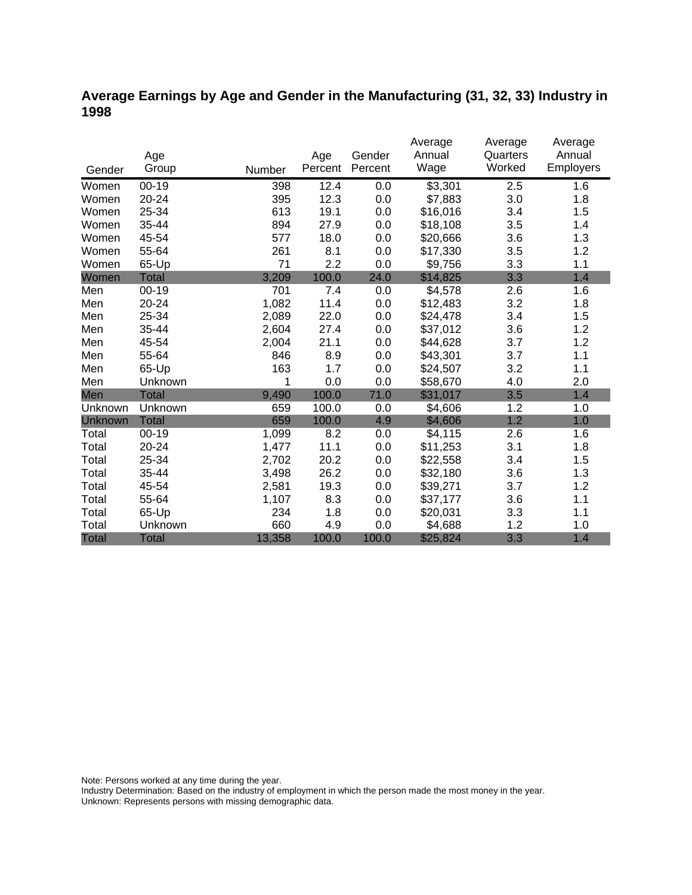## **Average Earnings by Age and Gender in the Manufacturing (31, 32, 33) Industry in 1998**

|              |              |        |         |         | Average  | Average  | Average   |
|--------------|--------------|--------|---------|---------|----------|----------|-----------|
|              | Age          |        | Age     | Gender  | Annual   | Quarters | Annual    |
| Gender       | Group        | Number | Percent | Percent | Wage     | Worked   | Employers |
| Women        | $00-19$      | 398    | 12.4    | 0.0     | \$3,301  | 2.5      | 1.6       |
| Women        | 20-24        | 395    | 12.3    | 0.0     | \$7,883  | 3.0      | 1.8       |
| Women        | 25-34        | 613    | 19.1    | 0.0     | \$16,016 | 3.4      | 1.5       |
| Women        | 35-44        | 894    | 27.9    | 0.0     | \$18,108 | 3.5      | 1.4       |
| Women        | 45-54        | 577    | 18.0    | 0.0     | \$20,666 | 3.6      | 1.3       |
| Women        | 55-64        | 261    | 8.1     | 0.0     | \$17,330 | 3.5      | 1.2       |
| Women        | 65-Up        | 71     | 2.2     | 0.0     | \$9,756  | 3.3      | 1.1       |
| Women        | <b>Total</b> | 3,209  | 100.0   | 24.0    | \$14,825 | 3.3      | 1.4       |
| Men          | $00 - 19$    | 701    | 7.4     | 0.0     | \$4,578  | 2.6      | 1.6       |
| Men          | 20-24        | 1,082  | 11.4    | 0.0     | \$12,483 | 3.2      | 1.8       |
| Men          | 25-34        | 2,089  | 22.0    | 0.0     | \$24,478 | 3.4      | 1.5       |
| Men          | 35-44        | 2,604  | 27.4    | 0.0     | \$37,012 | 3.6      | 1.2       |
| Men          | 45-54        | 2,004  | 21.1    | 0.0     | \$44,628 | 3.7      | 1.2       |
| Men          | 55-64        | 846    | 8.9     | 0.0     | \$43,301 | 3.7      | 1.1       |
| Men          | 65-Up        | 163    | 1.7     | 0.0     | \$24,507 | 3.2      | 1.1       |
| Men          | Unknown      | 1      | 0.0     | 0.0     | \$58,670 | 4.0      | 2.0       |
| Men          | <b>Total</b> | 9,490  | 100.0   | 71.0    | \$31,017 | 3.5      | 1.4       |
| Unknown      | Unknown      | 659    | 100.0   | 0.0     | \$4,606  | 1.2      | 1.0       |
| Unknown      | <b>Total</b> | 659    | 100.0   | 4.9     | \$4,606  | 1.2      | 1.0       |
| Total        | $00 - 19$    | 1,099  | 8.2     | 0.0     | \$4,115  | 2.6      | 1.6       |
| Total        | 20-24        | 1,477  | 11.1    | 0.0     | \$11,253 | 3.1      | 1.8       |
| Total        | 25-34        | 2,702  | 20.2    | 0.0     | \$22,558 | 3.4      | 1.5       |
| Total        | 35-44        | 3,498  | 26.2    | 0.0     | \$32,180 | 3.6      | 1.3       |
| Total        | 45-54        | 2,581  | 19.3    | 0.0     | \$39,271 | 3.7      | 1.2       |
| Total        | 55-64        | 1,107  | 8.3     | 0.0     | \$37,177 | 3.6      | 1.1       |
| Total        | 65-Up        | 234    | 1.8     | 0.0     | \$20,031 | 3.3      | 1.1       |
| Total        | Unknown      | 660    | 4.9     | 0.0     | \$4,688  | 1.2      | 1.0       |
| <b>Total</b> | <b>Total</b> | 13,358 | 100.0   | 100.0   | \$25,824 | 3.3      | 1.4       |

Note: Persons worked at any time during the year.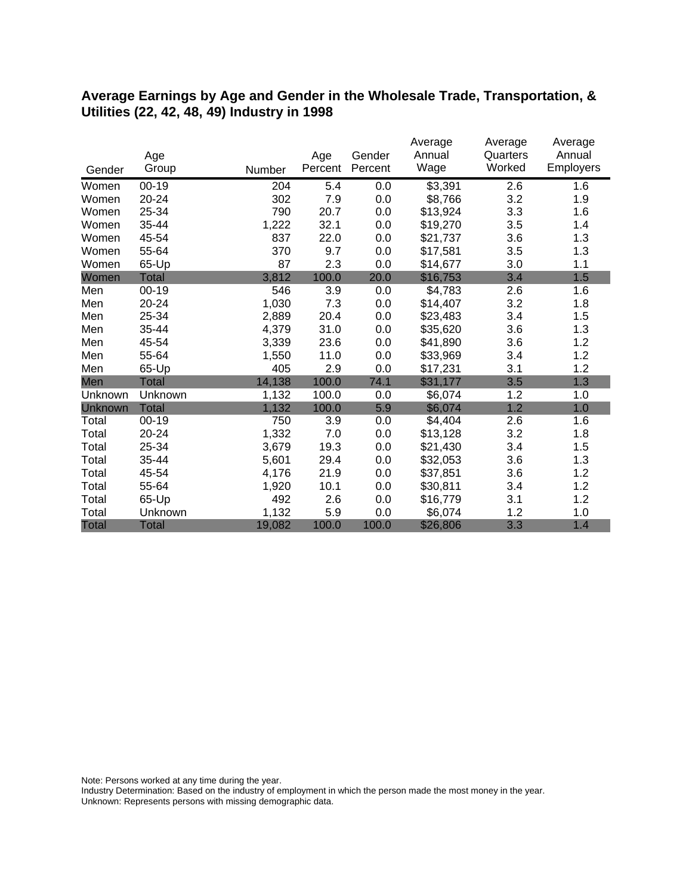#### **Average Earnings by Age and Gender in the Wholesale Trade, Transportation, & Utilities (22, 42, 48, 49) Industry in 1998**

|              |              |        |         |         | Average  | Average  | Average          |
|--------------|--------------|--------|---------|---------|----------|----------|------------------|
|              | Age          |        | Age     | Gender  | Annual   | Quarters | Annual           |
| Gender       | Group        | Number | Percent | Percent | Wage     | Worked   | <b>Employers</b> |
| Women        | $00 - 19$    | 204    | 5.4     | 0.0     | \$3,391  | 2.6      | 1.6              |
| Women        | 20-24        | 302    | 7.9     | 0.0     | \$8,766  | 3.2      | 1.9              |
| Women        | 25-34        | 790    | 20.7    | 0.0     | \$13,924 | 3.3      | 1.6              |
| Women        | 35-44        | 1,222  | 32.1    | 0.0     | \$19,270 | 3.5      | 1.4              |
| Women        | 45-54        | 837    | 22.0    | 0.0     | \$21,737 | 3.6      | 1.3              |
| Women        | 55-64        | 370    | 9.7     | 0.0     | \$17,581 | 3.5      | 1.3              |
| Women        | 65-Up        | 87     | 2.3     | 0.0     | \$14,677 | 3.0      | 1.1              |
| Women        | Total        | 3,812  | 100.0   | 20.0    | \$16,753 | 3.4      | 1.5              |
| Men          | $00 - 19$    | 546    | 3.9     | 0.0     | \$4,783  | 2.6      | 1.6              |
| Men          | 20-24        | 1,030  | 7.3     | 0.0     | \$14,407 | 3.2      | 1.8              |
| Men          | 25-34        | 2,889  | 20.4    | 0.0     | \$23,483 | 3.4      | 1.5              |
| Men          | 35-44        | 4,379  | 31.0    | 0.0     | \$35,620 | 3.6      | 1.3              |
| Men          | 45-54        | 3,339  | 23.6    | 0.0     | \$41,890 | 3.6      | 1.2              |
| Men          | 55-64        | 1,550  | 11.0    | 0.0     | \$33,969 | 3.4      | 1.2              |
| Men          | 65-Up        | 405    | 2.9     | 0.0     | \$17,231 | 3.1      | 1.2              |
| Men          | <b>Total</b> | 14,138 | 100.0   | 74.1    | \$31,177 | 3.5      | 1.3              |
| Unknown      | Unknown      | 1,132  | 100.0   | 0.0     | \$6,074  | 1.2      | 1.0              |
| Unknown      | <b>Total</b> | 1,132  | 100.0   | 5.9     | \$6,074  | 1.2      | 1.0              |
| Total        | $00 - 19$    | 750    | 3.9     | 0.0     | \$4,404  | 2.6      | 1.6              |
| Total        | 20-24        | 1,332  | 7.0     | 0.0     | \$13,128 | 3.2      | 1.8              |
| Total        | 25-34        | 3,679  | 19.3    | 0.0     | \$21,430 | 3.4      | 1.5              |
| Total        | 35-44        | 5,601  | 29.4    | 0.0     | \$32,053 | 3.6      | 1.3              |
| Total        | 45-54        | 4,176  | 21.9    | 0.0     | \$37,851 | 3.6      | 1.2              |
| Total        | 55-64        | 1,920  | 10.1    | 0.0     | \$30,811 | 3.4      | 1.2              |
| Total        | 65-Up        | 492    | 2.6     | 0.0     | \$16,779 | 3.1      | 1.2              |
| Total        | Unknown      | 1,132  | 5.9     | 0.0     | \$6,074  | 1.2      | 1.0              |
| <b>Total</b> | <b>Total</b> | 19,082 | 100.0   | 100.0   | \$26,806 | 3.3      | 1.4              |

Note: Persons worked at any time during the year.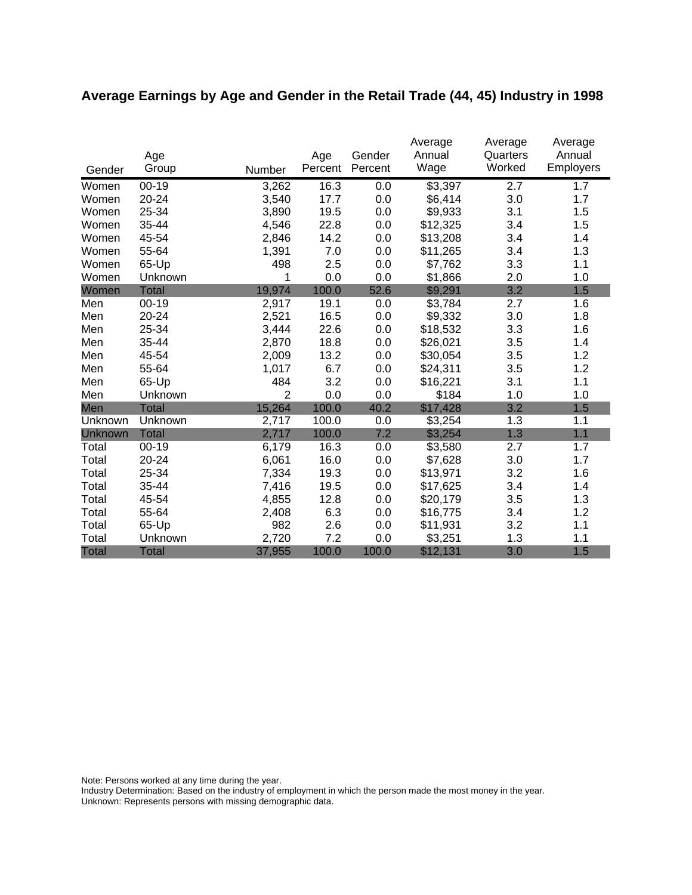# **Average Earnings by Age and Gender in the Retail Trade (44, 45) Industry in 1998**

|         |              |                |                | Gender  | Average<br>Annual | Average<br>Quarters | Average<br>Annual |
|---------|--------------|----------------|----------------|---------|-------------------|---------------------|-------------------|
| Gender  | Age<br>Group | Number         | Age<br>Percent | Percent | Wage              | Worked              | <b>Employers</b>  |
| Women   | $00 - 19$    | 3,262          | 16.3           | 0.0     | \$3,397           | 2.7                 | 1.7               |
| Women   | 20-24        | 3,540          | 17.7           | 0.0     | \$6,414           | 3.0                 | 1.7               |
| Women   | 25-34        | 3,890          | 19.5           | 0.0     | \$9,933           | 3.1                 | 1.5               |
| Women   | 35-44        | 4,546          | 22.8           | 0.0     | \$12,325          | 3.4                 | 1.5               |
| Women   | 45-54        | 2,846          | 14.2           | 0.0     | \$13,208          | 3.4                 | 1.4               |
| Women   | 55-64        | 1,391          | 7.0            | 0.0     | \$11,265          | 3.4                 | 1.3               |
| Women   | 65-Up        | 498            | 2.5            | 0.0     | \$7,762           | 3.3                 | 1.1               |
| Women   | Unknown      | 1              | 0.0            | 0.0     | \$1,866           | 2.0                 | 1.0               |
| Women   | <b>Total</b> | 19,974         | 100.0          | 52.6    | \$9,291           | 3.2                 | 1.5               |
| Men     | $00-19$      | 2,917          | 19.1           | 0.0     | \$3,784           | 2.7                 | 1.6               |
| Men     | 20-24        | 2,521          | 16.5           | 0.0     | \$9,332           | 3.0                 | 1.8               |
| Men     | 25-34        | 3,444          | 22.6           | 0.0     | \$18,532          | 3.3                 | 1.6               |
| Men     | 35-44        | 2,870          | 18.8           | 0.0     | \$26,021          | 3.5                 | 1.4               |
| Men     | 45-54        | 2,009          | 13.2           | 0.0     | \$30,054          | 3.5                 | 1.2               |
| Men     | 55-64        | 1,017          | 6.7            | 0.0     | \$24,311          | 3.5                 | 1.2               |
| Men     | 65-Up        | 484            | 3.2            | 0.0     | \$16,221          | 3.1                 | 1.1               |
| Men     | Unknown      | $\overline{2}$ | 0.0            | 0.0     | \$184             | 1.0                 | 1.0               |
| Men     | <b>Total</b> | 15,264         | 100.0          | 40.2    | \$17,428          | 3.2                 | 1.5               |
| Unknown | Unknown      | 2,717          | 100.0          | 0.0     | \$3,254           | 1.3                 | 1.1               |
| Unknown | <b>Total</b> | 2,717          | 100.0          | 7.2     | \$3,254           | 1.3                 | 1.1               |
| Total   | $00 - 19$    | 6,179          | 16.3           | 0.0     | \$3,580           | 2.7                 | 1.7               |
| Total   | 20-24        | 6,061          | 16.0           | 0.0     | \$7,628           | 3.0                 | 1.7               |
| Total   | 25-34        | 7,334          | 19.3           | 0.0     | \$13,971          | 3.2                 | 1.6               |
| Total   | 35-44        | 7,416          | 19.5           | 0.0     | \$17,625          | 3.4                 | 1.4               |
| Total   | 45-54        | 4,855          | 12.8           | 0.0     | \$20,179          | 3.5                 | 1.3               |
| Total   | 55-64        | 2,408          | 6.3            | 0.0     | \$16,775          | 3.4                 | 1.2               |
| Total   | 65-Up        | 982            | 2.6            | 0.0     | \$11,931          | 3.2                 | 1.1               |
| Total   | Unknown      | 2,720          | 7.2            | 0.0     | \$3,251           | 1.3                 | 1.1               |
| Total   | <b>Total</b> | 37,955         | 100.0          | 100.0   | \$12,131          | 3.0                 | 1.5               |

Note: Persons worked at any time during the year.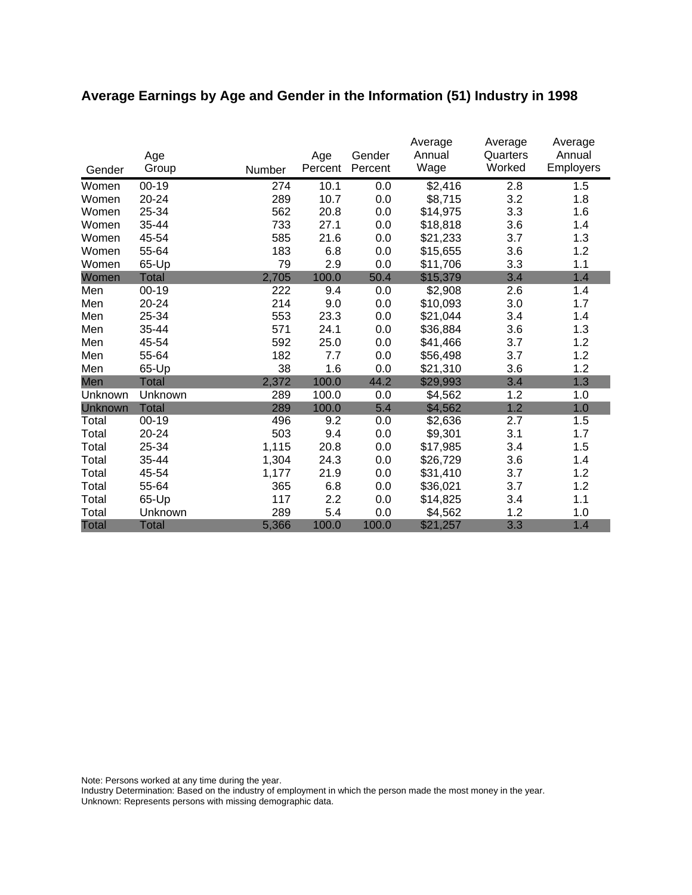# **Average Earnings by Age and Gender in the Information (51) Industry in 1998**

|              | Age<br>Group |        | Age<br>Percent | Gender<br>Percent | Average<br>Annual<br>Wage | Average<br>Quarters<br>Worked | Average<br>Annual<br><b>Employers</b> |
|--------------|--------------|--------|----------------|-------------------|---------------------------|-------------------------------|---------------------------------------|
| Gender       |              | Number |                |                   |                           |                               |                                       |
| Women        | $00 - 19$    | 274    | 10.1           | 0.0               | \$2,416                   | 2.8                           | 1.5                                   |
| Women        | 20-24        | 289    | 10.7           | 0.0               | \$8,715                   | 3.2                           | 1.8                                   |
| Women        | 25-34        | 562    | 20.8           | 0.0               | \$14,975                  | 3.3                           | 1.6                                   |
| Women        | 35-44        | 733    | 27.1           | 0.0               | \$18,818                  | 3.6                           | 1.4                                   |
| Women        | 45-54        | 585    | 21.6           | 0.0               | \$21,233                  | 3.7                           | 1.3                                   |
| Women        | 55-64        | 183    | 6.8            | 0.0               | \$15,655                  | 3.6                           | 1.2                                   |
| Women        | 65-Up        | 79     | 2.9            | 0.0               | \$11,706                  | 3.3                           | 1.1                                   |
| Women        | <b>Total</b> | 2,705  | 100.0          | 50.4              | \$15,379                  | 3.4                           | 1.4                                   |
| Men          | 00-19        | 222    | 9.4            | 0.0               | \$2,908                   | 2.6                           | 1.4                                   |
| Men          | 20-24        | 214    | 9.0            | 0.0               | \$10,093                  | 3.0                           | 1.7                                   |
| Men          | 25-34        | 553    | 23.3           | 0.0               | \$21,044                  | 3.4                           | 1.4                                   |
| Men          | 35-44        | 571    | 24.1           | 0.0               | \$36,884                  | 3.6                           | 1.3                                   |
| Men          | 45-54        | 592    | 25.0           | 0.0               | \$41,466                  | 3.7                           | 1.2                                   |
| Men          | 55-64        | 182    | 7.7            | 0.0               | \$56,498                  | 3.7                           | 1.2                                   |
| Men          | 65-Up        | 38     | 1.6            | 0.0               | \$21,310                  | 3.6                           | 1.2                                   |
| Men          | Total        | 2,372  | 100.0          | 44.2              | \$29,993                  | 3.4                           | 1.3                                   |
| Unknown      | Unknown      | 289    | 100.0          | 0.0               | \$4,562                   | 1.2                           | 1.0                                   |
| Unknown      | <b>Total</b> | 289    | 100.0          | 5.4               | \$4,562                   | 1.2                           | 1.0                                   |
| Total        | $00 - 19$    | 496    | 9.2            | 0.0               | \$2,636                   | 2.7                           | 1.5                                   |
| Total        | 20-24        | 503    | 9.4            | 0.0               | \$9,301                   | 3.1                           | 1.7                                   |
| Total        | 25-34        | 1,115  | 20.8           | 0.0               | \$17,985                  | 3.4                           | 1.5                                   |
| Total        | 35-44        | 1,304  | 24.3           | 0.0               | \$26,729                  | 3.6                           | 1.4                                   |
| Total        | 45-54        | 1,177  | 21.9           | 0.0               | \$31,410                  | 3.7                           | 1.2                                   |
| Total        | 55-64        | 365    | 6.8            | 0.0               | \$36,021                  | 3.7                           | 1.2                                   |
| Total        | 65-Up        | 117    | 2.2            | 0.0               | \$14,825                  | 3.4                           | 1.1                                   |
| Total        | Unknown      | 289    | 5.4            | 0.0               | \$4,562                   | 1.2                           | 1.0                                   |
| <b>Total</b> | <b>Total</b> | 5,366  | 100.0          | 100.0             | \$21,257                  | 3.3                           | 1.4                                   |

Note: Persons worked at any time during the year.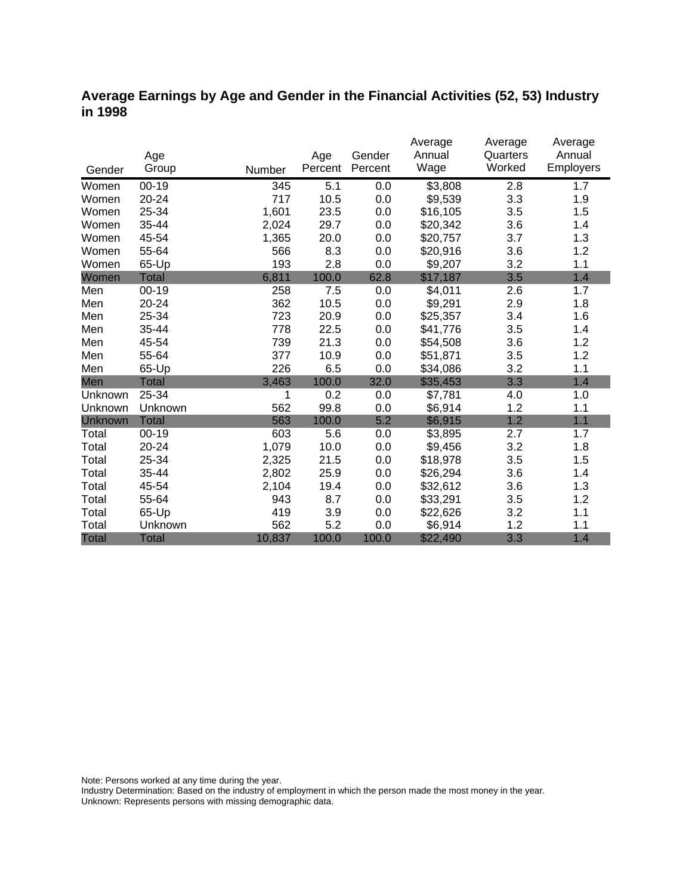### **Average Earnings by Age and Gender in the Financial Activities (52, 53) Industry in 1998**

|              |              |        |         |         | Average  | Average  | Average   |
|--------------|--------------|--------|---------|---------|----------|----------|-----------|
|              | Age          |        | Age     | Gender  | Annual   | Quarters | Annual    |
| Gender       | Group        | Number | Percent | Percent | Wage     | Worked   | Employers |
| Women        | $00 - 19$    | 345    | 5.1     | 0.0     | \$3,808  | 2.8      | 1.7       |
| Women        | 20-24        | 717    | 10.5    | 0.0     | \$9,539  | 3.3      | 1.9       |
| Women        | 25-34        | 1,601  | 23.5    | 0.0     | \$16,105 | 3.5      | 1.5       |
| Women        | 35-44        | 2,024  | 29.7    | 0.0     | \$20,342 | 3.6      | 1.4       |
| Women        | 45-54        | 1,365  | 20.0    | 0.0     | \$20,757 | 3.7      | 1.3       |
| Women        | 55-64        | 566    | 8.3     | 0.0     | \$20,916 | 3.6      | 1.2       |
| Women        | 65-Up        | 193    | 2.8     | 0.0     | \$9,207  | 3.2      | 1.1       |
| Women        | <b>Total</b> | 6,811  | 100.0   | 62.8    | \$17,187 | 3.5      | 1.4       |
| Men          | $00 - 19$    | 258    | 7.5     | 0.0     | \$4,011  | 2.6      | 1.7       |
| Men          | 20-24        | 362    | 10.5    | 0.0     | \$9,291  | 2.9      | 1.8       |
| Men          | 25-34        | 723    | 20.9    | 0.0     | \$25,357 | 3.4      | 1.6       |
| Men          | 35-44        | 778    | 22.5    | 0.0     | \$41,776 | 3.5      | 1.4       |
| Men          | 45-54        | 739    | 21.3    | 0.0     | \$54,508 | 3.6      | 1.2       |
| Men          | 55-64        | 377    | 10.9    | 0.0     | \$51,871 | 3.5      | 1.2       |
| Men          | 65-Up        | 226    | 6.5     | 0.0     | \$34,086 | 3.2      | 1.1       |
| Men          | <b>Total</b> | 3,463  | 100.0   | 32.0    | \$35,453 | 3.3      | 1.4       |
| Unknown      | 25-34        | 1      | 0.2     | 0.0     | \$7,781  | 4.0      | 1.0       |
| Unknown      | Unknown      | 562    | 99.8    | 0.0     | \$6,914  | 1.2      | 1.1       |
| Unknown      | <b>Total</b> | 563    | 100.0   | 5.2     | \$6,915  | 1.2      | 1.1       |
| Total        | $00 - 19$    | 603    | 5.6     | 0.0     | \$3,895  | 2.7      | 1.7       |
| Total        | $20 - 24$    | 1,079  | 10.0    | 0.0     | \$9,456  | 3.2      | 1.8       |
| Total        | 25-34        | 2,325  | 21.5    | 0.0     | \$18,978 | 3.5      | 1.5       |
| Total        | 35-44        | 2,802  | 25.9    | 0.0     | \$26,294 | 3.6      | 1.4       |
| Total        | 45-54        | 2,104  | 19.4    | 0.0     | \$32,612 | 3.6      | 1.3       |
| Total        | 55-64        | 943    | 8.7     | 0.0     | \$33,291 | 3.5      | 1.2       |
| Total        | 65-Up        | 419    | 3.9     | 0.0     | \$22,626 | 3.2      | 1.1       |
| Total        | Unknown      | 562    | 5.2     | 0.0     | \$6,914  | 1.2      | 1.1       |
| <b>Total</b> | <b>Total</b> | 10,837 | 100.0   | 100.0   | \$22,490 | 3.3      | 1.4       |

Note: Persons worked at any time during the year.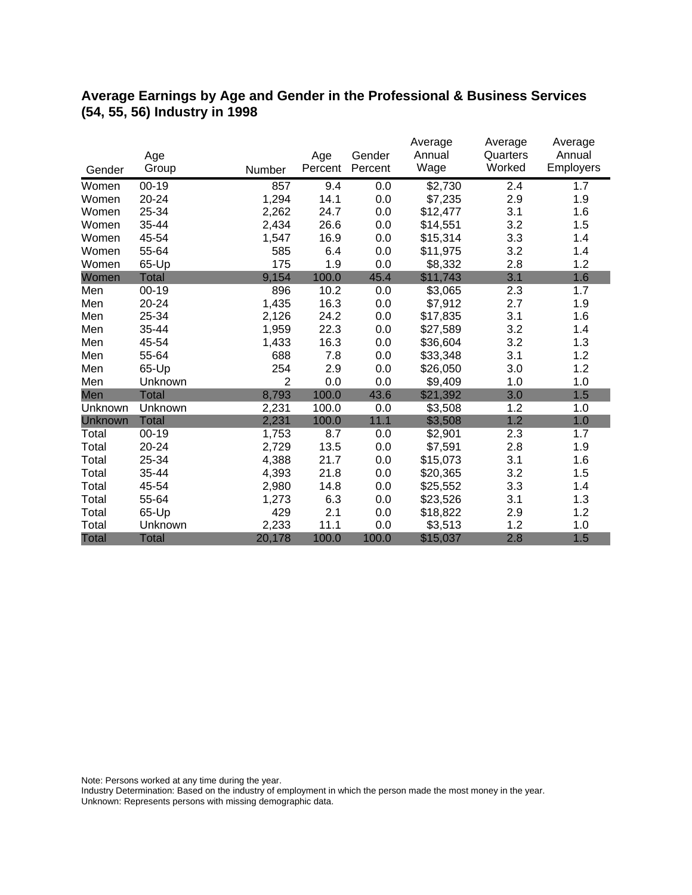## **Average Earnings by Age and Gender in the Professional & Business Services (54, 55, 56) Industry in 1998**

|              |              |                |         |         | Average  | Average  | Average   |
|--------------|--------------|----------------|---------|---------|----------|----------|-----------|
|              | Age          |                | Age     | Gender  | Annual   | Quarters | Annual    |
| Gender       | Group        | Number         | Percent | Percent | Wage     | Worked   | Employers |
| Women        | $00 - 19$    | 857            | 9.4     | 0.0     | \$2,730  | 2.4      | 1.7       |
| Women        | 20-24        | 1,294          | 14.1    | 0.0     | \$7,235  | 2.9      | 1.9       |
| Women        | 25-34        | 2,262          | 24.7    | 0.0     | \$12,477 | 3.1      | 1.6       |
| Women        | 35-44        | 2,434          | 26.6    | 0.0     | \$14,551 | 3.2      | 1.5       |
| Women        | 45-54        | 1,547          | 16.9    | 0.0     | \$15,314 | 3.3      | 1.4       |
| Women        | 55-64        | 585            | 6.4     | 0.0     | \$11,975 | 3.2      | 1.4       |
| Women        | 65-Up        | 175            | 1.9     | 0.0     | \$8,332  | 2.8      | 1.2       |
| Women        | <b>Total</b> | 9,154          | 100.0   | 45.4    | \$11,743 | 3.1      | 1.6       |
| Men          | $00 - 19$    | 896            | 10.2    | 0.0     | \$3,065  | 2.3      | 1.7       |
| Men          | 20-24        | 1,435          | 16.3    | 0.0     | \$7,912  | 2.7      | 1.9       |
| Men          | 25-34        | 2,126          | 24.2    | 0.0     | \$17,835 | 3.1      | 1.6       |
| Men          | 35-44        | 1,959          | 22.3    | 0.0     | \$27,589 | 3.2      | 1.4       |
| Men          | 45-54        | 1,433          | 16.3    | 0.0     | \$36,604 | 3.2      | 1.3       |
| Men          | 55-64        | 688            | 7.8     | 0.0     | \$33,348 | 3.1      | 1.2       |
| Men          | 65-Up        | 254            | 2.9     | 0.0     | \$26,050 | 3.0      | 1.2       |
| Men          | Unknown      | $\overline{2}$ | 0.0     | 0.0     | \$9,409  | 1.0      | 1.0       |
| Men          | <b>Total</b> | 8,793          | 100.0   | 43.6    | \$21,392 | 3.0      | 1.5       |
| Unknown      | Unknown      | 2,231          | 100.0   | 0.0     | \$3,508  | 1.2      | 1.0       |
| Unknown      | <b>Total</b> | 2,231          | 100.0   | 11.1    | \$3,508  | 1.2      | 1.0       |
| Total        | $00 - 19$    | 1,753          | 8.7     | 0.0     | \$2,901  | 2.3      | 1.7       |
| Total        | 20-24        | 2,729          | 13.5    | 0.0     | \$7,591  | 2.8      | 1.9       |
| Total        | 25-34        | 4,388          | 21.7    | 0.0     | \$15,073 | 3.1      | 1.6       |
| Total        | 35-44        | 4,393          | 21.8    | 0.0     | \$20,365 | 3.2      | 1.5       |
| Total        | 45-54        | 2,980          | 14.8    | 0.0     | \$25,552 | 3.3      | 1.4       |
| Total        | 55-64        | 1,273          | 6.3     | 0.0     | \$23,526 | 3.1      | 1.3       |
| Total        | 65-Up        | 429            | 2.1     | 0.0     | \$18,822 | 2.9      | 1.2       |
| Total        | Unknown      | 2,233          | 11.1    | 0.0     | \$3,513  | 1.2      | 1.0       |
| <b>Total</b> | <b>Total</b> | 20,178         | 100.0   | 100.0   | \$15,037 | 2.8      | 1.5       |

Note: Persons worked at any time during the year.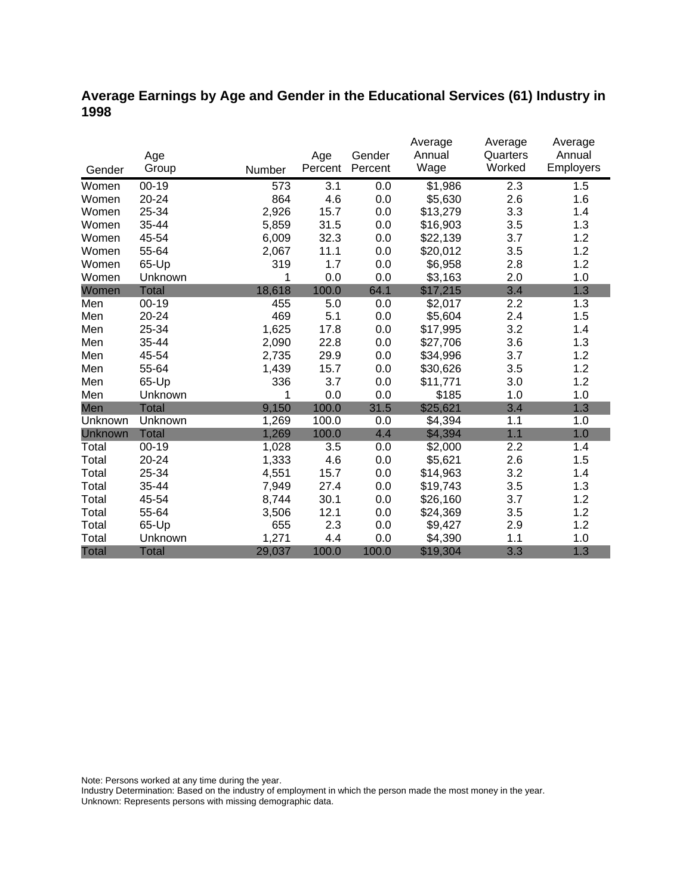## **Average Earnings by Age and Gender in the Educational Services (61) Industry in 1998**

|              |              |        |         |         | Average  | Average  | Average   |
|--------------|--------------|--------|---------|---------|----------|----------|-----------|
|              | Age          |        | Age     | Gender  | Annual   | Quarters | Annual    |
| Gender       | Group        | Number | Percent | Percent | Wage     | Worked   | Employers |
| Women        | $00 - 19$    | 573    | 3.1     | 0.0     | \$1,986  | 2.3      | 1.5       |
| Women        | 20-24        | 864    | 4.6     | 0.0     | \$5,630  | 2.6      | 1.6       |
| Women        | 25-34        | 2,926  | 15.7    | 0.0     | \$13,279 | 3.3      | 1.4       |
| Women        | 35-44        | 5,859  | 31.5    | 0.0     | \$16,903 | 3.5      | 1.3       |
| Women        | 45-54        | 6,009  | 32.3    | 0.0     | \$22,139 | 3.7      | 1.2       |
| Women        | 55-64        | 2,067  | 11.1    | 0.0     | \$20,012 | 3.5      | 1.2       |
| Women        | 65-Up        | 319    | 1.7     | 0.0     | \$6,958  | 2.8      | 1.2       |
| Women        | Unknown      | 1      | 0.0     | 0.0     | \$3,163  | 2.0      | 1.0       |
| Women        | <b>Total</b> | 18,618 | 100.0   | 64.1    | \$17,215 | 3.4      | 1.3       |
| Men          | $00 - 19$    | 455    | 5.0     | 0.0     | \$2,017  | 2.2      | 1.3       |
| Men          | 20-24        | 469    | 5.1     | 0.0     | \$5,604  | 2.4      | 1.5       |
| Men          | 25-34        | 1,625  | 17.8    | 0.0     | \$17,995 | 3.2      | 1.4       |
| Men          | 35-44        | 2,090  | 22.8    | 0.0     | \$27,706 | 3.6      | 1.3       |
| Men          | 45-54        | 2,735  | 29.9    | 0.0     | \$34,996 | 3.7      | 1.2       |
| Men          | 55-64        | 1,439  | 15.7    | 0.0     | \$30,626 | 3.5      | 1.2       |
| Men          | 65-Up        | 336    | 3.7     | 0.0     | \$11,771 | 3.0      | 1.2       |
| Men          | Unknown      | 1      | 0.0     | 0.0     | \$185    | 1.0      | 1.0       |
| Men          | <b>Total</b> | 9,150  | 100.0   | 31.5    | \$25,621 | 3.4      | 1.3       |
| Unknown      | Unknown      | 1,269  | 100.0   | 0.0     | \$4,394  | 1.1      | 1.0       |
| Unknown      | <b>Total</b> | 1,269  | 100.0   | 4.4     | \$4,394  | 1.1      | 1.0       |
| Total        | $00 - 19$    | 1,028  | 3.5     | 0.0     | \$2,000  | 2.2      | 1.4       |
| Total        | $20 - 24$    | 1,333  | 4.6     | 0.0     | \$5,621  | 2.6      | 1.5       |
| Total        | 25-34        | 4,551  | 15.7    | 0.0     | \$14,963 | 3.2      | 1.4       |
| Total        | 35-44        | 7,949  | 27.4    | 0.0     | \$19,743 | 3.5      | 1.3       |
| Total        | 45-54        | 8,744  | 30.1    | 0.0     | \$26,160 | 3.7      | 1.2       |
| Total        | 55-64        | 3,506  | 12.1    | 0.0     | \$24,369 | 3.5      | 1.2       |
| Total        | 65-Up        | 655    | 2.3     | 0.0     | \$9,427  | 2.9      | 1.2       |
| Total        | Unknown      | 1,271  | 4.4     | 0.0     | \$4,390  | 1.1      | 1.0       |
| <b>Total</b> | Total        | 29,037 | 100.0   | 100.0   | \$19,304 | 3.3      | 1.3       |

Note: Persons worked at any time during the year.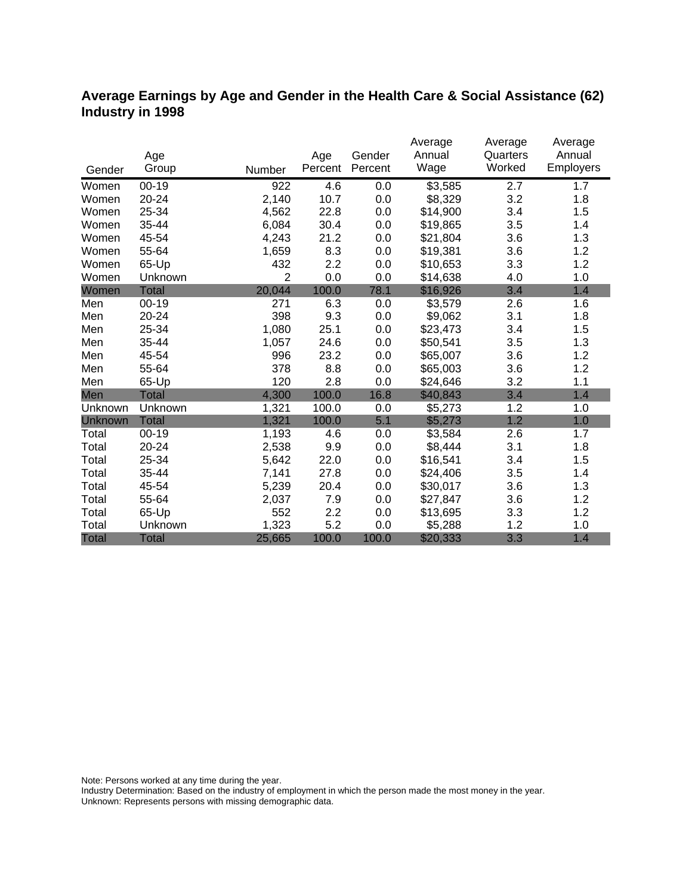## **Average Earnings by Age and Gender in the Health Care & Social Assistance (62) Industry in 1998**

|              |              |                |         |         | Average  | Average  | Average   |
|--------------|--------------|----------------|---------|---------|----------|----------|-----------|
|              | Age          |                | Age     | Gender  | Annual   | Quarters | Annual    |
| Gender       | Group        | Number         | Percent | Percent | Wage     | Worked   | Employers |
| Women        | $00 - 19$    | 922            | 4.6     | 0.0     | \$3,585  | 2.7      | 1.7       |
| Women        | 20-24        | 2,140          | 10.7    | 0.0     | \$8,329  | 3.2      | 1.8       |
| Women        | 25-34        | 4,562          | 22.8    | 0.0     | \$14,900 | 3.4      | 1.5       |
| Women        | 35-44        | 6,084          | 30.4    | 0.0     | \$19,865 | 3.5      | 1.4       |
| Women        | 45-54        | 4,243          | 21.2    | 0.0     | \$21,804 | 3.6      | 1.3       |
| Women        | 55-64        | 1,659          | 8.3     | 0.0     | \$19,381 | 3.6      | 1.2       |
| Women        | 65-Up        | 432            | 2.2     | 0.0     | \$10,653 | 3.3      | 1.2       |
| Women        | Unknown      | $\overline{2}$ | 0.0     | 0.0     | \$14,638 | 4.0      | 1.0       |
| Women        | <b>Total</b> | 20,044         | 100.0   | 78.1    | \$16,926 | 3.4      | 1.4       |
| Men          | $00 - 19$    | 271            | 6.3     | 0.0     | \$3,579  | 2.6      | 1.6       |
| Men          | 20-24        | 398            | 9.3     | 0.0     | \$9,062  | 3.1      | 1.8       |
| Men          | 25-34        | 1,080          | 25.1    | 0.0     | \$23,473 | 3.4      | 1.5       |
| Men          | 35-44        | 1,057          | 24.6    | 0.0     | \$50,541 | 3.5      | 1.3       |
| Men          | 45-54        | 996            | 23.2    | 0.0     | \$65,007 | 3.6      | 1.2       |
| Men          | 55-64        | 378            | 8.8     | 0.0     | \$65,003 | 3.6      | 1.2       |
| Men          | 65-Up        | 120            | 2.8     | 0.0     | \$24,646 | 3.2      | 1.1       |
| Men          | <b>Total</b> | 4,300          | 100.0   | 16.8    | \$40,843 | 3.4      | 1.4       |
| Unknown      | Unknown      | 1,321          | 100.0   | 0.0     | \$5,273  | 1.2      | 1.0       |
| Unknown      | <b>Total</b> | 1,321          | 100.0   | 5.1     | \$5,273  | 1.2      | 1.0       |
| Total        | $00 - 19$    | 1,193          | 4.6     | 0.0     | \$3,584  | 2.6      | 1.7       |
| Total        | $20 - 24$    | 2,538          | 9.9     | 0.0     | \$8,444  | 3.1      | 1.8       |
| Total        | 25-34        | 5,642          | 22.0    | 0.0     | \$16,541 | 3.4      | 1.5       |
| Total        | 35-44        | 7,141          | 27.8    | 0.0     | \$24,406 | 3.5      | 1.4       |
| Total        | 45-54        | 5,239          | 20.4    | 0.0     | \$30,017 | 3.6      | 1.3       |
| Total        | 55-64        | 2,037          | 7.9     | 0.0     | \$27,847 | 3.6      | 1.2       |
| Total        | 65-Up        | 552            | 2.2     | 0.0     | \$13,695 | 3.3      | 1.2       |
| Total        | Unknown      | 1,323          | 5.2     | 0.0     | \$5,288  | 1.2      | 1.0       |
| <b>Total</b> | <b>Total</b> | 25,665         | 100.0   | 100.0   | \$20,333 | 3.3      | 1.4       |

Note: Persons worked at any time during the year.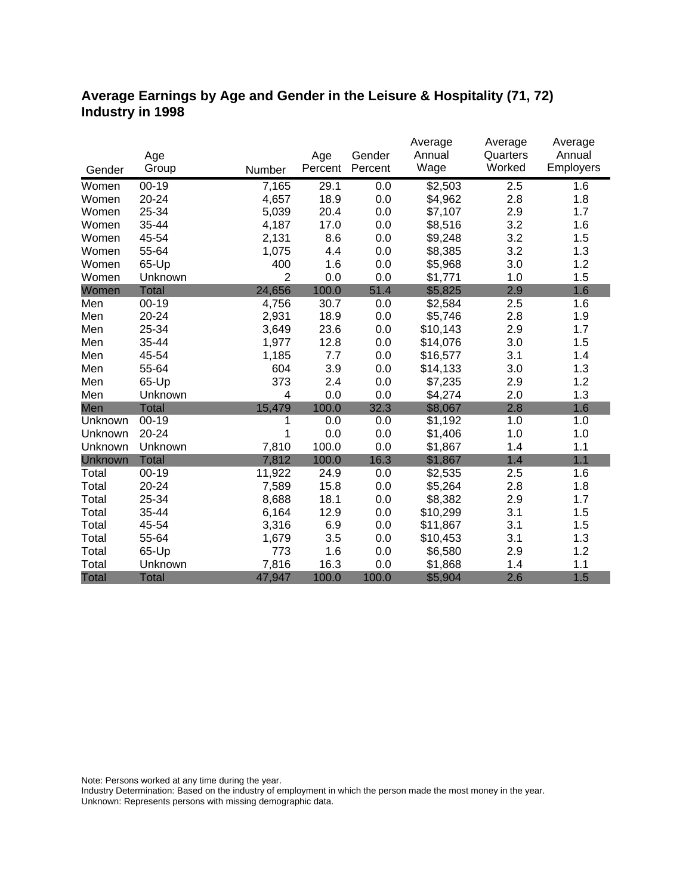## **Average Earnings by Age and Gender in the Leisure & Hospitality (71, 72) Industry in 1998**

|              |              |                |         |         | Average  | Average  | Average   |
|--------------|--------------|----------------|---------|---------|----------|----------|-----------|
|              | Age          |                | Age     | Gender  | Annual   | Quarters | Annual    |
| Gender       | Group        | Number         | Percent | Percent | Wage     | Worked   | Employers |
| Women        | $00 - 19$    | 7,165          | 29.1    | 0.0     | \$2,503  | 2.5      | 1.6       |
| Women        | 20-24        | 4,657          | 18.9    | 0.0     | \$4,962  | 2.8      | 1.8       |
| Women        | 25-34        | 5,039          | 20.4    | 0.0     | \$7,107  | 2.9      | 1.7       |
| Women        | 35-44        | 4,187          | 17.0    | 0.0     | \$8,516  | 3.2      | 1.6       |
| Women        | 45-54        | 2,131          | 8.6     | 0.0     | \$9,248  | 3.2      | 1.5       |
| Women        | 55-64        | 1,075          | 4.4     | 0.0     | \$8,385  | 3.2      | 1.3       |
| Women        | 65-Up        | 400            | 1.6     | 0.0     | \$5,968  | 3.0      | 1.2       |
| Women        | Unknown      | $\overline{2}$ | 0.0     | 0.0     | \$1,771  | 1.0      | 1.5       |
| Women        | <b>Total</b> | 24,656         | 100.0   | 51.4    | \$5,825  | 2.9      | 1.6       |
| Men          | $00 - 19$    | 4,756          | 30.7    | 0.0     | \$2,584  | 2.5      | 1.6       |
| Men          | 20-24        | 2,931          | 18.9    | 0.0     | \$5,746  | 2.8      | 1.9       |
| Men          | 25-34        | 3,649          | 23.6    | 0.0     | \$10,143 | 2.9      | 1.7       |
| Men          | 35-44        | 1,977          | 12.8    | 0.0     | \$14,076 | 3.0      | 1.5       |
| Men          | 45-54        | 1,185          | 7.7     | 0.0     | \$16,577 | 3.1      | 1.4       |
| Men          | 55-64        | 604            | 3.9     | 0.0     | \$14,133 | 3.0      | 1.3       |
| Men          | 65-Up        | 373            | 2.4     | 0.0     | \$7,235  | 2.9      | 1.2       |
| Men          | Unknown      | $\overline{4}$ | 0.0     | 0.0     | \$4,274  | 2.0      | 1.3       |
| Men          | <b>Total</b> | 15,479         | 100.0   | 32.3    | \$8,067  | 2.8      | 1.6       |
| Unknown      | $00-19$      | 1              | 0.0     | 0.0     | \$1,192  | 1.0      | 1.0       |
| Unknown      | 20-24        | 1              | 0.0     | 0.0     | \$1,406  | 1.0      | 1.0       |
| Unknown      | Unknown      | 7,810          | 100.0   | 0.0     | \$1,867  | 1.4      | 1.1       |
| Unknown      | <b>Total</b> | 7,812          | 100.0   | 16.3    | \$1,867  | 1.4      | 1.1       |
| Total        | $00 - 19$    | 11,922         | 24.9    | 0.0     | \$2,535  | 2.5      | 1.6       |
| Total        | 20-24        | 7,589          | 15.8    | 0.0     | \$5,264  | 2.8      | 1.8       |
| Total        | 25-34        | 8,688          | 18.1    | 0.0     | \$8,382  | 2.9      | 1.7       |
| Total        | 35-44        | 6,164          | 12.9    | 0.0     | \$10,299 | 3.1      | 1.5       |
| Total        | 45-54        | 3,316          | 6.9     | 0.0     | \$11,867 | 3.1      | 1.5       |
| Total        | 55-64        | 1,679          | 3.5     | 0.0     | \$10,453 | 3.1      | 1.3       |
| Total        | 65-Up        | 773            | 1.6     | 0.0     | \$6,580  | 2.9      | 1.2       |
| Total        | Unknown      | 7,816          | 16.3    | 0.0     | \$1,868  | 1.4      | 1.1       |
| <b>Total</b> | <b>Total</b> | 47,947         | 100.0   | 100.0   | \$5,904  | 2.6      | 1.5       |

Note: Persons worked at any time during the year.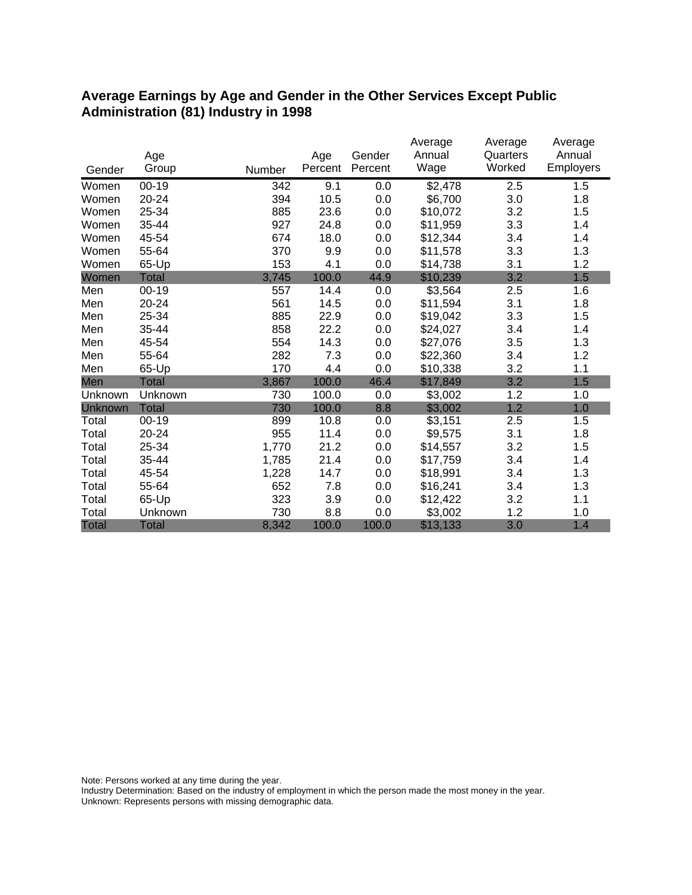#### **Average Earnings by Age and Gender in the Other Services Except Public Administration (81) Industry in 1998**

|              |              |        |         |         | Average  | Average  | Average   |
|--------------|--------------|--------|---------|---------|----------|----------|-----------|
|              | Age          |        | Age     | Gender  | Annual   | Quarters | Annual    |
| Gender       | Group        | Number | Percent | Percent | Wage     | Worked   | Employers |
| Women        | $00-19$      | 342    | 9.1     | 0.0     | \$2,478  | 2.5      | 1.5       |
| Women        | 20-24        | 394    | 10.5    | 0.0     | \$6,700  | 3.0      | 1.8       |
| Women        | 25-34        | 885    | 23.6    | 0.0     | \$10,072 | 3.2      | 1.5       |
| Women        | 35-44        | 927    | 24.8    | 0.0     | \$11,959 | 3.3      | 1.4       |
| Women        | 45-54        | 674    | 18.0    | 0.0     | \$12,344 | 3.4      | 1.4       |
| Women        | 55-64        | 370    | 9.9     | 0.0     | \$11,578 | 3.3      | 1.3       |
| Women        | 65-Up        | 153    | 4.1     | 0.0     | \$14,738 | 3.1      | 1.2       |
| Women        | Total        | 3,745  | 100.0   | 44.9    | \$10,239 | 3.2      | 1.5       |
| Men          | $00 - 19$    | 557    | 14.4    | 0.0     | \$3,564  | 2.5      | 1.6       |
| Men          | 20-24        | 561    | 14.5    | 0.0     | \$11,594 | 3.1      | 1.8       |
| Men          | 25-34        | 885    | 22.9    | 0.0     | \$19,042 | 3.3      | 1.5       |
| Men          | 35-44        | 858    | 22.2    | 0.0     | \$24,027 | 3.4      | 1.4       |
| Men          | 45-54        | 554    | 14.3    | 0.0     | \$27,076 | 3.5      | 1.3       |
| Men          | 55-64        | 282    | 7.3     | 0.0     | \$22,360 | 3.4      | 1.2       |
| Men          | 65-Up        | 170    | 4.4     | 0.0     | \$10,338 | 3.2      | 1.1       |
| Men          | <b>Total</b> | 3,867  | 100.0   | 46.4    | \$17,849 | 3.2      | 1.5       |
| Unknown      | Unknown      | 730    | 100.0   | 0.0     | \$3,002  | 1.2      | 1.0       |
| Unknown      | <b>Total</b> | 730    | 100.0   | 8.8     | \$3,002  | 1.2      | 1.0       |
| Total        | $00 - 19$    | 899    | 10.8    | 0.0     | \$3,151  | 2.5      | 1.5       |
| Total        | 20-24        | 955    | 11.4    | 0.0     | \$9,575  | 3.1      | 1.8       |
| Total        | 25-34        | 1,770  | 21.2    | 0.0     | \$14,557 | 3.2      | 1.5       |
| Total        | 35-44        | 1,785  | 21.4    | 0.0     | \$17,759 | 3.4      | 1.4       |
| Total        | 45-54        | 1,228  | 14.7    | 0.0     | \$18,991 | 3.4      | 1.3       |
| Total        | 55-64        | 652    | 7.8     | 0.0     | \$16,241 | 3.4      | 1.3       |
| Total        | 65-Up        | 323    | 3.9     | 0.0     | \$12,422 | 3.2      | 1.1       |
| Total        | Unknown      | 730    | 8.8     | 0.0     | \$3,002  | 1.2      | 1.0       |
| <b>Total</b> | <b>Total</b> | 8,342  | 100.0   | 100.0   | \$13,133 | 3.0      | 1.4       |

Note: Persons worked at any time during the year.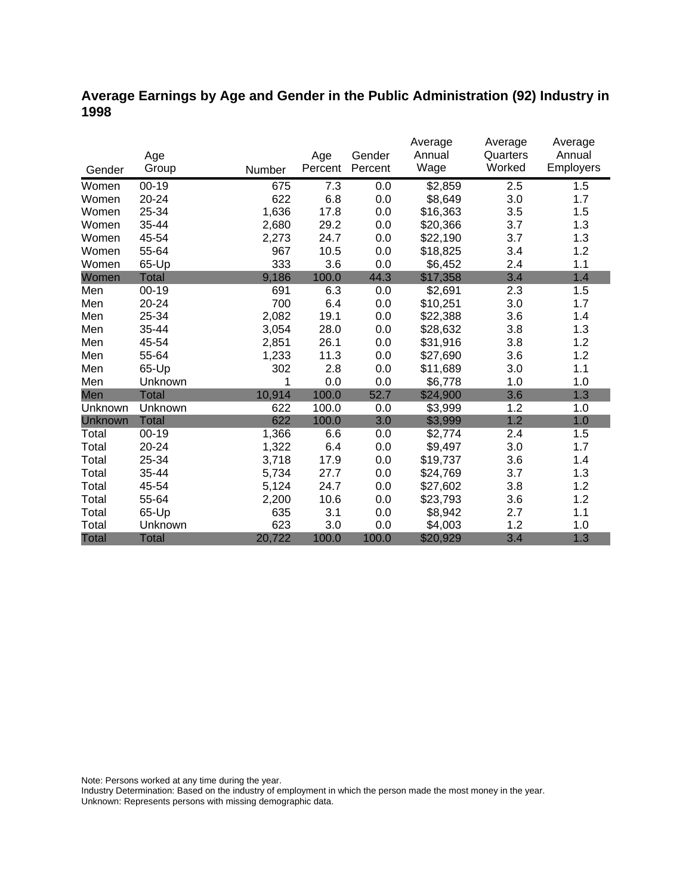## **Average Earnings by Age and Gender in the Public Administration (92) Industry in 1998**

|              |              |        |         |         | Average  | Average  | Average   |
|--------------|--------------|--------|---------|---------|----------|----------|-----------|
|              | Age          |        | Age     | Gender  | Annual   | Quarters | Annual    |
| Gender       | Group        | Number | Percent | Percent | Wage     | Worked   | Employers |
| Women        | $00 - 19$    | 675    | 7.3     | 0.0     | \$2,859  | 2.5      | 1.5       |
| Women        | 20-24        | 622    | 6.8     | 0.0     | \$8,649  | 3.0      | 1.7       |
| Women        | 25-34        | 1,636  | 17.8    | 0.0     | \$16,363 | 3.5      | 1.5       |
| Women        | 35-44        | 2,680  | 29.2    | 0.0     | \$20,366 | 3.7      | 1.3       |
| Women        | 45-54        | 2,273  | 24.7    | 0.0     | \$22,190 | 3.7      | 1.3       |
| Women        | 55-64        | 967    | 10.5    | 0.0     | \$18,825 | 3.4      | 1.2       |
| Women        | 65-Up        | 333    | 3.6     | 0.0     | \$6,452  | 2.4      | 1.1       |
| Women        | <b>Total</b> | 9,186  | 100.0   | 44.3    | \$17,358 | 3.4      | 1.4       |
| Men          | $00 - 19$    | 691    | 6.3     | 0.0     | \$2,691  | 2.3      | 1.5       |
| Men          | 20-24        | 700    | 6.4     | 0.0     | \$10,251 | 3.0      | 1.7       |
| Men          | 25-34        | 2,082  | 19.1    | 0.0     | \$22,388 | 3.6      | 1.4       |
| Men          | 35-44        | 3,054  | 28.0    | 0.0     | \$28,632 | 3.8      | 1.3       |
| Men          | 45-54        | 2,851  | 26.1    | 0.0     | \$31,916 | 3.8      | 1.2       |
| Men          | 55-64        | 1,233  | 11.3    | 0.0     | \$27,690 | 3.6      | 1.2       |
| Men          | 65-Up        | 302    | 2.8     | 0.0     | \$11,689 | 3.0      | 1.1       |
| Men          | Unknown      | 1      | 0.0     | 0.0     | \$6,778  | 1.0      | 1.0       |
| Men          | <b>Total</b> | 10,914 | 100.0   | 52.7    | \$24,900 | 3.6      | 1.3       |
| Unknown      | Unknown      | 622    | 100.0   | 0.0     | \$3,999  | 1.2      | 1.0       |
| Unknown      | <b>Total</b> | 622    | 100.0   | 3.0     | \$3,999  | 1.2      | 1.0       |
| Total        | $00 - 19$    | 1,366  | 6.6     | 0.0     | \$2,774  | 2.4      | 1.5       |
| Total        | $20 - 24$    | 1,322  | 6.4     | 0.0     | \$9,497  | 3.0      | 1.7       |
| Total        | 25-34        | 3,718  | 17.9    | 0.0     | \$19,737 | 3.6      | 1.4       |
| Total        | 35-44        | 5,734  | 27.7    | 0.0     | \$24,769 | 3.7      | 1.3       |
| Total        | 45-54        | 5,124  | 24.7    | 0.0     | \$27,602 | 3.8      | 1.2       |
| Total        | 55-64        | 2,200  | 10.6    | 0.0     | \$23,793 | 3.6      | 1.2       |
| Total        | 65-Up        | 635    | 3.1     | 0.0     | \$8,942  | 2.7      | 1.1       |
| Total        | Unknown      | 623    | 3.0     | 0.0     | \$4,003  | 1.2      | 1.0       |
| <b>Total</b> | <b>Total</b> | 20,722 | 100.0   | 100.0   | \$20,929 | 3.4      | 1.3       |

Note: Persons worked at any time during the year.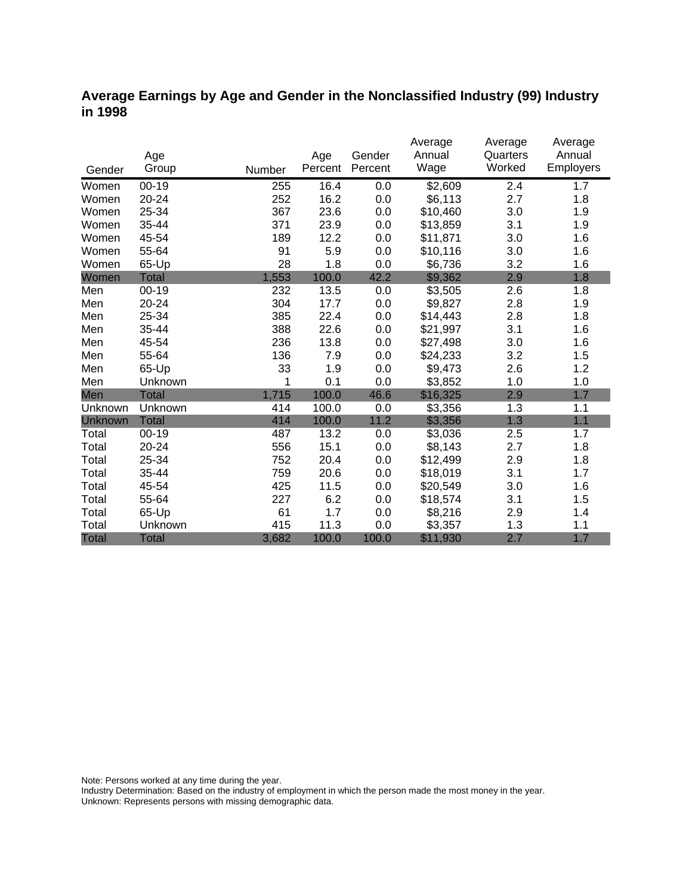### **Average Earnings by Age and Gender in the Nonclassified Industry (99) Industry in 1998**

|              |              |        |         |         | Average<br>Annual | Average<br>Quarters | Average<br>Annual |
|--------------|--------------|--------|---------|---------|-------------------|---------------------|-------------------|
|              | Age          |        | Age     | Gender  |                   | Worked              |                   |
| Gender       | Group        | Number | Percent | Percent | Wage              |                     | Employers         |
| Women        | $00 - 19$    | 255    | 16.4    | 0.0     | \$2,609           | 2.4                 | 1.7               |
| Women        | 20-24        | 252    | 16.2    | 0.0     | \$6,113           | 2.7                 | 1.8               |
| Women        | 25-34        | 367    | 23.6    | 0.0     | \$10,460          | 3.0                 | 1.9               |
| Women        | 35-44        | 371    | 23.9    | 0.0     | \$13,859          | 3.1                 | 1.9               |
| Women        | 45-54        | 189    | 12.2    | 0.0     | \$11,871          | 3.0                 | 1.6               |
| Women        | 55-64        | 91     | 5.9     | 0.0     | \$10,116          | 3.0                 | 1.6               |
| Women        | 65-Up        | 28     | 1.8     | 0.0     | \$6,736           | 3.2                 | 1.6               |
| Women        | <b>Total</b> | 1,553  | 100.0   | 42.2    | \$9,362           | 2.9                 | 1.8               |
| Men          | $00 - 19$    | 232    | 13.5    | 0.0     | \$3,505           | 2.6                 | 1.8               |
| Men          | 20-24        | 304    | 17.7    | 0.0     | \$9,827           | 2.8                 | 1.9               |
| Men          | 25-34        | 385    | 22.4    | 0.0     | \$14,443          | 2.8                 | 1.8               |
| Men          | 35-44        | 388    | 22.6    | 0.0     | \$21,997          | 3.1                 | 1.6               |
| Men          | 45-54        | 236    | 13.8    | 0.0     | \$27,498          | 3.0                 | 1.6               |
| Men          | 55-64        | 136    | 7.9     | 0.0     | \$24,233          | 3.2                 | 1.5               |
| Men          | 65-Up        | 33     | 1.9     | 0.0     | \$9,473           | 2.6                 | 1.2               |
| Men          | Unknown      | 1      | 0.1     | 0.0     | \$3,852           | 1.0                 | 1.0               |
| Men          | <b>Total</b> | 1,715  | 100.0   | 46.6    | \$16,325          | 2.9                 | 1.7               |
| Unknown      | Unknown      | 414    | 100.0   | 0.0     | \$3,356           | 1.3                 | 1.1               |
| Unknown      | <b>Total</b> | 414    | 100.0   | 11.2    | \$3,356           | 1.3                 | 1.1               |
| Total        | $00 - 19$    | 487    | 13.2    | 0.0     | \$3,036           | 2.5                 | 1.7               |
| Total        | 20-24        | 556    | 15.1    | 0.0     | \$8,143           | 2.7                 | 1.8               |
| Total        | 25-34        | 752    | 20.4    | 0.0     | \$12,499          | 2.9                 | 1.8               |
| Total        | 35-44        | 759    | 20.6    | 0.0     | \$18,019          | 3.1                 | 1.7               |
| Total        | 45-54        | 425    | 11.5    | 0.0     | \$20,549          | 3.0                 | 1.6               |
| Total        | 55-64        | 227    | 6.2     | 0.0     | \$18,574          | 3.1                 | 1.5               |
| Total        | 65-Up        | 61     | 1.7     | 0.0     | \$8,216           | 2.9                 | 1.4               |
| Total        | Unknown      | 415    | 11.3    | 0.0     | \$3,357           | 1.3                 | 1.1               |
| <b>Total</b> | <b>Total</b> | 3,682  | 100.0   | 100.0   | \$11,930          | 2.7                 | 1.7               |

Note: Persons worked at any time during the year.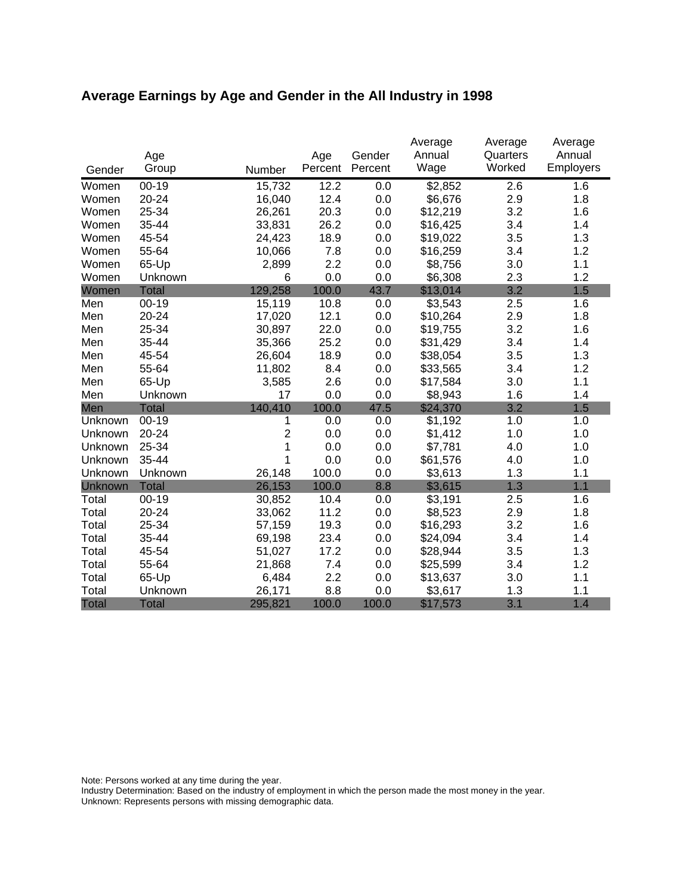# **Average Earnings by Age and Gender in the All Industry in 1998**

|              |              |         |         |         | Average  | Average  | Average   |
|--------------|--------------|---------|---------|---------|----------|----------|-----------|
|              | Age          |         | Age     | Gender  | Annual   | Quarters | Annual    |
| Gender       | Group        | Number  | Percent | Percent | Wage     | Worked   | Employers |
| Women        | $00 - 19$    | 15,732  | 12.2    | 0.0     | \$2,852  | 2.6      | 1.6       |
| Women        | 20-24        | 16,040  | 12.4    | $0.0\,$ | \$6,676  | 2.9      | 1.8       |
| Women        | 25-34        | 26,261  | 20.3    | 0.0     | \$12,219 | 3.2      | 1.6       |
| Women        | 35-44        | 33,831  | 26.2    | 0.0     | \$16,425 | 3.4      | 1.4       |
| Women        | 45-54        | 24,423  | 18.9    | 0.0     | \$19,022 | 3.5      | 1.3       |
| Women        | 55-64        | 10,066  | 7.8     | 0.0     | \$16,259 | 3.4      | 1.2       |
| Women        | 65-Up        | 2,899   | 2.2     | 0.0     | \$8,756  | 3.0      | 1.1       |
| Women        | Unknown      | 6       | 0.0     | 0.0     | \$6,308  | 2.3      | 1.2       |
| Women        | <b>Total</b> | 129,258 | 100.0   | 43.7    | \$13,014 | 3.2      | 1.5       |
| Men          | $00-19$      | 15,119  | 10.8    | 0.0     | \$3,543  | 2.5      | 1.6       |
| Men          | 20-24        | 17,020  | 12.1    | 0.0     | \$10,264 | 2.9      | 1.8       |
| Men          | 25-34        | 30,897  | 22.0    | 0.0     | \$19,755 | 3.2      | 1.6       |
| Men          | 35-44        | 35,366  | 25.2    | 0.0     | \$31,429 | 3.4      | 1.4       |
| Men          | 45-54        | 26,604  | 18.9    | 0.0     | \$38,054 | 3.5      | 1.3       |
| Men          | 55-64        | 11,802  | 8.4     | 0.0     | \$33,565 | 3.4      | 1.2       |
| Men          | 65-Up        | 3,585   | 2.6     | 0.0     | \$17,584 | 3.0      | 1.1       |
| Men          | Unknown      | 17      | 0.0     | 0.0     | \$8,943  | 1.6      | 1.4       |
| Men          | <b>Total</b> | 140,410 | 100.0   | 47.5    | \$24,370 | 3.2      | 1.5       |
| Unknown      | $00 - 19$    | 1       | 0.0     | 0.0     | \$1,192  | 1.0      | 1.0       |
| Unknown      | 20-24        | 2       | 0.0     | 0.0     | \$1,412  | 1.0      | 1.0       |
| Unknown      | 25-34        | 1       | 0.0     | 0.0     | \$7,781  | 4.0      | 1.0       |
| Unknown      | 35-44        | 1       | 0.0     | 0.0     | \$61,576 | 4.0      | 1.0       |
| Unknown      | Unknown      | 26,148  | 100.0   | 0.0     | \$3,613  | 1.3      | 1.1       |
| Unknown      | <b>Total</b> | 26,153  | 100.0   | 8.8     | \$3,615  | 1.3      | 1.1       |
| Total        | $00-19$      | 30,852  | 10.4    | 0.0     | \$3,191  | 2.5      | 1.6       |
| Total        | 20-24        | 33,062  | 11.2    | 0.0     | \$8,523  | 2.9      | 1.8       |
| Total        | 25-34        | 57,159  | 19.3    | 0.0     | \$16,293 | 3.2      | 1.6       |
| Total        | 35-44        | 69,198  | 23.4    | 0.0     | \$24,094 | 3.4      | 1.4       |
| Total        | 45-54        | 51,027  | 17.2    | 0.0     | \$28,944 | 3.5      | 1.3       |
| Total        | 55-64        | 21,868  | 7.4     | 0.0     | \$25,599 | 3.4      | 1.2       |
| Total        | 65-Up        | 6,484   | 2.2     | 0.0     | \$13,637 | 3.0      | 1.1       |
| Total        | Unknown      | 26,171  | 8.8     | 0.0     | \$3,617  | 1.3      | 1.1       |
| <b>Total</b> | <b>Total</b> | 295,821 | 100.0   | 100.0   | \$17,573 | 3.1      | 1.4       |

Note: Persons worked at any time during the year.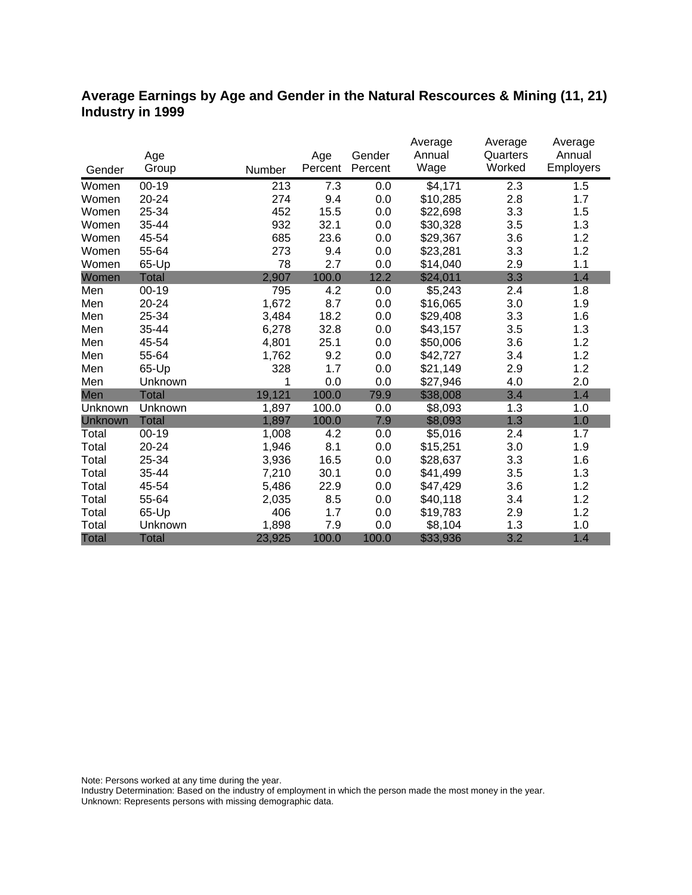### **Average Earnings by Age and Gender in the Natural Rescources & Mining (11, 21) Industry in 1999**

|                |              |        |         |         | Average  | Average  | Average   |
|----------------|--------------|--------|---------|---------|----------|----------|-----------|
|                | Age          |        | Age     | Gender  | Annual   | Quarters | Annual    |
| Gender         | Group        | Number | Percent | Percent | Wage     | Worked   | Employers |
| Women          | $00 - 19$    | 213    | 7.3     | 0.0     | \$4,171  | 2.3      | 1.5       |
| Women          | 20-24        | 274    | 9.4     | 0.0     | \$10,285 | 2.8      | 1.7       |
| Women          | 25-34        | 452    | 15.5    | 0.0     | \$22,698 | 3.3      | 1.5       |
| Women          | 35-44        | 932    | 32.1    | 0.0     | \$30,328 | 3.5      | 1.3       |
| Women          | 45-54        | 685    | 23.6    | 0.0     | \$29,367 | 3.6      | 1.2       |
| Women          | 55-64        | 273    | 9.4     | 0.0     | \$23,281 | 3.3      | 1.2       |
| Women          | 65-Up        | 78     | 2.7     | 0.0     | \$14,040 | 2.9      | 1.1       |
| Women          | <b>Total</b> | 2,907  | 100.0   | 12.2    | \$24,011 | 3.3      | 1.4       |
| Men            | $00 - 19$    | 795    | 4.2     | 0.0     | \$5,243  | 2.4      | 1.8       |
| Men            | 20-24        | 1,672  | 8.7     | 0.0     | \$16,065 | 3.0      | 1.9       |
| Men            | 25-34        | 3,484  | 18.2    | 0.0     | \$29,408 | 3.3      | 1.6       |
| Men            | 35-44        | 6,278  | 32.8    | 0.0     | \$43,157 | 3.5      | 1.3       |
| Men            | 45-54        | 4,801  | 25.1    | 0.0     | \$50,006 | 3.6      | 1.2       |
| Men            | 55-64        | 1,762  | 9.2     | 0.0     | \$42,727 | 3.4      | 1.2       |
| Men            | 65-Up        | 328    | 1.7     | 0.0     | \$21,149 | 2.9      | 1.2       |
| Men            | Unknown      | 1      | 0.0     | 0.0     | \$27,946 | 4.0      | 2.0       |
| Men            | <b>Total</b> | 19,121 | 100.0   | 79.9    | \$38,008 | 3.4      | 1.4       |
| Unknown        | Unknown      | 1,897  | 100.0   | 0.0     | \$8,093  | 1.3      | 1.0       |
| <b>Unknown</b> | <b>Total</b> | 1,897  | 100.0   | 7.9     | \$8,093  | 1.3      | 1.0       |
| Total          | $00 - 19$    | 1,008  | 4.2     | 0.0     | \$5,016  | 2.4      | 1.7       |
| Total          | 20-24        | 1,946  | 8.1     | 0.0     | \$15,251 | 3.0      | 1.9       |
| Total          | 25-34        | 3,936  | 16.5    | 0.0     | \$28,637 | 3.3      | 1.6       |
| Total          | 35-44        | 7,210  | 30.1    | 0.0     | \$41,499 | 3.5      | 1.3       |
| Total          | 45-54        | 5,486  | 22.9    | 0.0     | \$47,429 | 3.6      | 1.2       |
| Total          | 55-64        | 2,035  | 8.5     | 0.0     | \$40,118 | 3.4      | 1.2       |
| Total          | 65-Up        | 406    | 1.7     | 0.0     | \$19,783 | 2.9      | 1.2       |
| Total          | Unknown      | 1,898  | 7.9     | 0.0     | \$8,104  | 1.3      | 1.0       |
| <b>Total</b>   | <b>Total</b> | 23,925 | 100.0   | 100.0   | \$33,936 | 3.2      | 1.4       |

Note: Persons worked at any time during the year.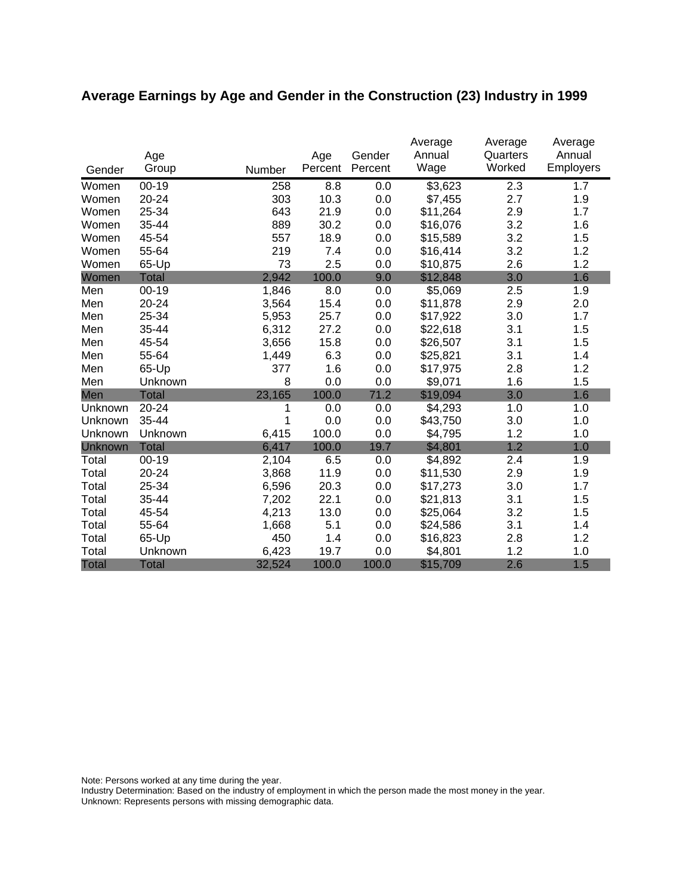# **Average Earnings by Age and Gender in the Construction (23) Industry in 1999**

|              | Age          |        | Age     | Gender  | Average<br>Annual | Average<br>Quarters | Average<br>Annual |
|--------------|--------------|--------|---------|---------|-------------------|---------------------|-------------------|
| Gender       | Group        | Number | Percent | Percent | Wage              | Worked              | Employers         |
| Women        | $00 - 19$    | 258    | 8.8     | 0.0     | \$3,623           | 2.3                 | 1.7               |
| Women        | 20-24        | 303    | 10.3    | 0.0     | \$7,455           | 2.7                 | 1.9               |
| Women        | 25-34        | 643    | 21.9    | 0.0     | \$11,264          | 2.9                 | 1.7               |
| Women        | 35-44        | 889    | 30.2    | 0.0     | \$16,076          | 3.2                 | 1.6               |
| Women        | 45-54        | 557    | 18.9    | 0.0     | \$15,589          | 3.2                 | 1.5               |
| Women        | 55-64        | 219    | 7.4     | 0.0     | \$16,414          | 3.2                 | 1.2               |
| Women        | 65-Up        | 73     | 2.5     | 0.0     | \$10,875          | 2.6                 | 1.2               |
| Women        | <b>Total</b> | 2,942  | 100.0   | 9.0     | \$12,848          | 3.0                 | 1.6               |
| Men          | $00 - 19$    | 1,846  | 8.0     | 0.0     | \$5,069           | 2.5                 | 1.9               |
| Men          | 20-24        | 3,564  | 15.4    | 0.0     | \$11,878          | 2.9                 | 2.0               |
| Men          | 25-34        | 5,953  | 25.7    | 0.0     | \$17,922          | 3.0                 | 1.7               |
| Men          | 35-44        | 6,312  | 27.2    | 0.0     | \$22,618          | 3.1                 | 1.5               |
| Men          | 45-54        | 3,656  | 15.8    | 0.0     | \$26,507          | 3.1                 | 1.5               |
| Men          | 55-64        | 1,449  | 6.3     | 0.0     | \$25,821          | 3.1                 | 1.4               |
| Men          | 65-Up        | 377    | 1.6     | 0.0     | \$17,975          | 2.8                 | 1.2               |
| Men          | Unknown      | 8      | 0.0     | 0.0     | \$9,071           | 1.6                 | 1.5               |
| Men          | <b>Total</b> | 23,165 | 100.0   | 71.2    | \$19,094          | 3.0                 | 1.6               |
| Unknown      | 20-24        |        | 0.0     | 0.0     | \$4,293           | 1.0                 | 1.0               |
| Unknown      | 35-44        | 1      | 0.0     | 0.0     | \$43,750          | 3.0                 | 1.0               |
| Unknown      | Unknown      | 6,415  | 100.0   | 0.0     | \$4,795           | 1.2                 | 1.0               |
| Unknown      | <b>Total</b> | 6,417  | 100.0   | 19.7    | \$4,801           | 1.2                 | 1.0               |
| Total        | $00 - 19$    | 2,104  | 6.5     | 0.0     | \$4,892           | 2.4                 | 1.9               |
| Total        | 20-24        | 3,868  | 11.9    | 0.0     | \$11,530          | 2.9                 | 1.9               |
| Total        | 25-34        | 6,596  | 20.3    | 0.0     | \$17,273          | 3.0                 | 1.7               |
| Total        | 35-44        | 7,202  | 22.1    | 0.0     | \$21,813          | 3.1                 | 1.5               |
| Total        | 45-54        | 4,213  | 13.0    | 0.0     | \$25,064          | 3.2                 | 1.5               |
| Total        | 55-64        | 1,668  | 5.1     | 0.0     | \$24,586          | 3.1                 | 1.4               |
| Total        | 65-Up        | 450    | 1.4     | 0.0     | \$16,823          | 2.8                 | 1.2               |
| Total        | Unknown      | 6,423  | 19.7    | 0.0     | \$4,801           | 1.2                 | 1.0               |
| <b>Total</b> | <b>Total</b> | 32,524 | 100.0   | 100.0   | \$15,709          | 2.6                 | 1.5               |

Note: Persons worked at any time during the year.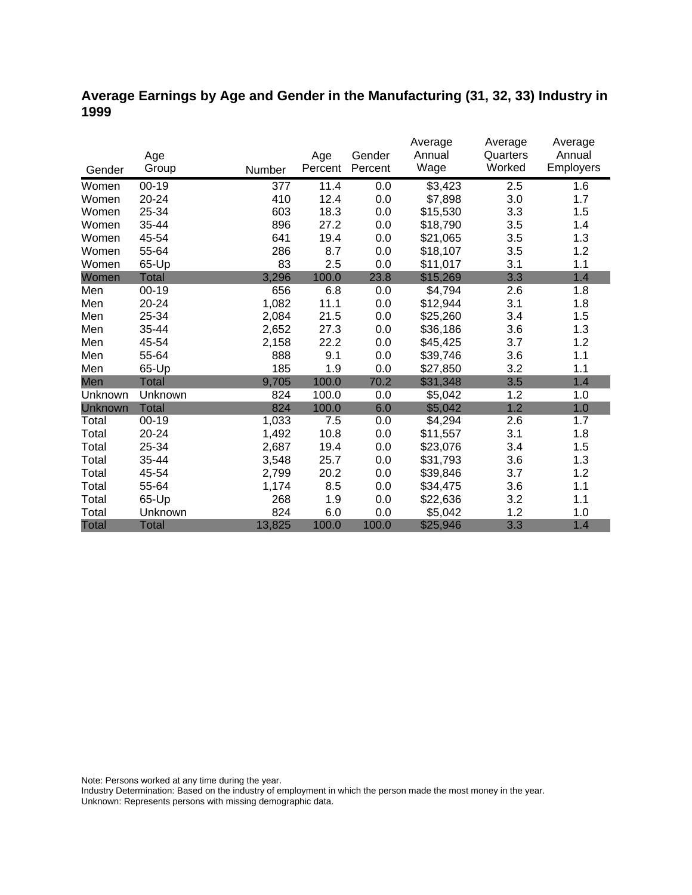## **Average Earnings by Age and Gender in the Manufacturing (31, 32, 33) Industry in 1999**

|              |              |        |         |         | Average  | Average  | Average          |
|--------------|--------------|--------|---------|---------|----------|----------|------------------|
|              | Age          |        | Age     | Gender  | Annual   | Quarters | Annual           |
| Gender       | Group        | Number | Percent | Percent | Wage     | Worked   | <b>Employers</b> |
| Women        | $00 - 19$    | 377    | 11.4    | 0.0     | \$3,423  | 2.5      | 1.6              |
| Women        | 20-24        | 410    | 12.4    | 0.0     | \$7,898  | 3.0      | 1.7              |
| Women        | 25-34        | 603    | 18.3    | 0.0     | \$15,530 | 3.3      | 1.5              |
| Women        | 35-44        | 896    | 27.2    | 0.0     | \$18,790 | 3.5      | 1.4              |
| Women        | 45-54        | 641    | 19.4    | 0.0     | \$21,065 | 3.5      | 1.3              |
| Women        | 55-64        | 286    | 8.7     | 0.0     | \$18,107 | 3.5      | 1.2              |
| Women        | 65-Up        | 83     | 2.5     | 0.0     | \$11,017 | 3.1      | 1.1              |
| Women        | Total        | 3,296  | 100.0   | 23.8    | \$15,269 | 3.3      | 1.4              |
| Men          | $00 - 19$    | 656    | 6.8     | 0.0     | \$4,794  | 2.6      | 1.8              |
| Men          | 20-24        | 1,082  | 11.1    | 0.0     | \$12,944 | 3.1      | 1.8              |
| Men          | 25-34        | 2,084  | 21.5    | 0.0     | \$25,260 | 3.4      | 1.5              |
| Men          | 35-44        | 2,652  | 27.3    | 0.0     | \$36,186 | 3.6      | 1.3              |
| Men          | 45-54        | 2,158  | 22.2    | 0.0     | \$45,425 | 3.7      | 1.2              |
| Men          | 55-64        | 888    | 9.1     | 0.0     | \$39,746 | 3.6      | 1.1              |
| Men          | 65-Up        | 185    | 1.9     | 0.0     | \$27,850 | 3.2      | 1.1              |
| Men          | <b>Total</b> | 9,705  | 100.0   | 70.2    | \$31,348 | 3.5      | 1.4              |
| Unknown      | Unknown      | 824    | 100.0   | 0.0     | \$5,042  | 1.2      | 1.0              |
| Unknown      | <b>Total</b> | 824    | 100.0   | 6.0     | \$5,042  | 1.2      | 1.0              |
| Total        | $00 - 19$    | 1,033  | 7.5     | 0.0     | \$4,294  | 2.6      | 1.7              |
| Total        | 20-24        | 1,492  | 10.8    | 0.0     | \$11,557 | 3.1      | 1.8              |
| Total        | 25-34        | 2,687  | 19.4    | 0.0     | \$23,076 | 3.4      | 1.5              |
| Total        | 35-44        | 3,548  | 25.7    | 0.0     | \$31,793 | 3.6      | 1.3              |
| Total        | 45-54        | 2,799  | 20.2    | 0.0     | \$39,846 | 3.7      | 1.2              |
| Total        | 55-64        | 1,174  | 8.5     | 0.0     | \$34,475 | 3.6      | 1.1              |
| Total        | 65-Up        | 268    | 1.9     | 0.0     | \$22,636 | 3.2      | 1.1              |
| Total        | Unknown      | 824    | 6.0     | 0.0     | \$5,042  | 1.2      | 1.0              |
| <b>Total</b> | <b>Total</b> | 13,825 | 100.0   | 100.0   | \$25,946 | 3.3      | 1.4              |

Note: Persons worked at any time during the year.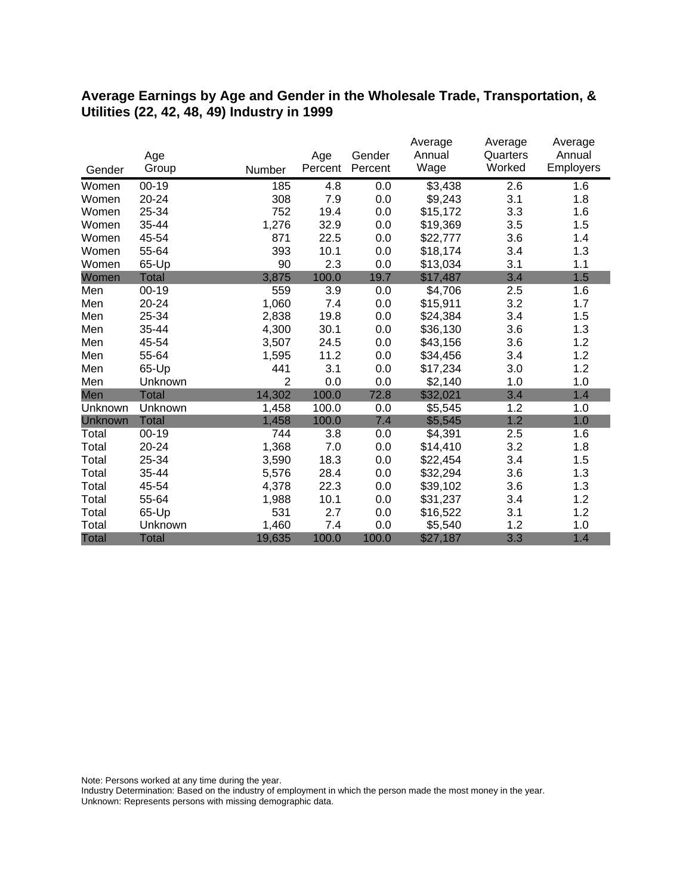#### **Average Earnings by Age and Gender in the Wholesale Trade, Transportation, & Utilities (22, 42, 48, 49) Industry in 1999**

|              |              |                |         |         | Average  | Average  | Average          |
|--------------|--------------|----------------|---------|---------|----------|----------|------------------|
|              | Age          |                | Age     | Gender  | Annual   | Quarters | Annual           |
| Gender       | Group        | Number         | Percent | Percent | Wage     | Worked   | <b>Employers</b> |
| Women        | $00 - 19$    | 185            | 4.8     | 0.0     | \$3,438  | 2.6      | 1.6              |
| Women        | 20-24        | 308            | 7.9     | 0.0     | \$9,243  | 3.1      | 1.8              |
| Women        | 25-34        | 752            | 19.4    | 0.0     | \$15,172 | 3.3      | 1.6              |
| Women        | 35-44        | 1,276          | 32.9    | 0.0     | \$19,369 | 3.5      | 1.5              |
| Women        | 45-54        | 871            | 22.5    | 0.0     | \$22,777 | 3.6      | 1.4              |
| Women        | 55-64        | 393            | 10.1    | 0.0     | \$18,174 | 3.4      | 1.3              |
| Women        | 65-Up        | 90             | 2.3     | 0.0     | \$13,034 | 3.1      | 1.1              |
| Women        | <b>Total</b> | 3,875          | 100.0   | 19.7    | \$17,487 | 3.4      | 1.5              |
| Men          | $00 - 19$    | 559            | 3.9     | 0.0     | \$4,706  | 2.5      | 1.6              |
| Men          | 20-24        | 1,060          | 7.4     | 0.0     | \$15,911 | 3.2      | 1.7              |
| Men          | 25-34        | 2,838          | 19.8    | 0.0     | \$24,384 | 3.4      | 1.5              |
| Men          | 35-44        | 4,300          | 30.1    | 0.0     | \$36,130 | 3.6      | 1.3              |
| Men          | 45-54        | 3,507          | 24.5    | 0.0     | \$43,156 | 3.6      | 1.2              |
| Men          | 55-64        | 1,595          | 11.2    | 0.0     | \$34,456 | 3.4      | 1.2              |
| Men          | 65-Up        | 441            | 3.1     | 0.0     | \$17,234 | 3.0      | 1.2              |
| Men          | Unknown      | $\overline{2}$ | 0.0     | 0.0     | \$2,140  | 1.0      | 1.0              |
| Men          | <b>Total</b> | 14,302         | 100.0   | 72.8    | \$32,021 | 3.4      | 1.4              |
| Unknown      | Unknown      | 1,458          | 100.0   | 0.0     | \$5,545  | 1.2      | 1.0              |
| Unknown      | <b>Total</b> | 1,458          | 100.0   | 7.4     | \$5,545  | 1.2      | 1.0              |
| Total        | $00 - 19$    | 744            | 3.8     | 0.0     | \$4,391  | 2.5      | 1.6              |
| Total        | $20 - 24$    | 1,368          | 7.0     | 0.0     | \$14,410 | 3.2      | 1.8              |
| Total        | 25-34        | 3,590          | 18.3    | 0.0     | \$22,454 | 3.4      | 1.5              |
| Total        | 35-44        | 5,576          | 28.4    | 0.0     | \$32,294 | 3.6      | 1.3              |
| Total        | 45-54        | 4,378          | 22.3    | 0.0     | \$39,102 | 3.6      | 1.3              |
| Total        | 55-64        | 1,988          | 10.1    | 0.0     | \$31,237 | 3.4      | 1.2              |
| Total        | 65-Up        | 531            | 2.7     | 0.0     | \$16,522 | 3.1      | 1.2              |
| Total        | Unknown      | 1,460          | 7.4     | 0.0     | \$5,540  | 1.2      | 1.0              |
| <b>Total</b> | <b>Total</b> | 19,635         | 100.0   | 100.0   | \$27,187 | 3.3      | 1.4              |

Note: Persons worked at any time during the year.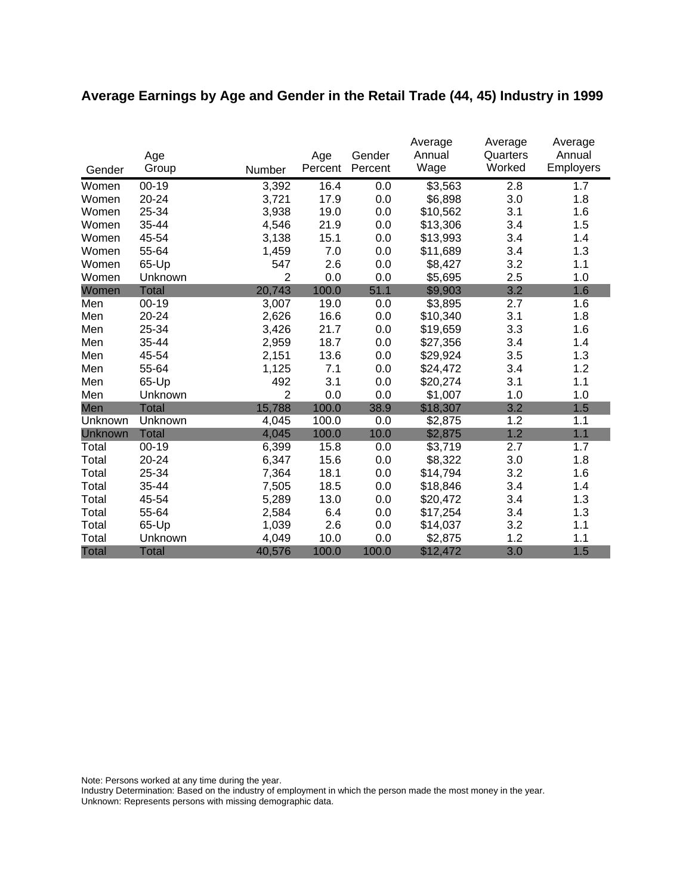# **Average Earnings by Age and Gender in the Retail Trade (44, 45) Industry in 1999**

|              | Age          |                | Age     | Gender  | Average<br>Annual | Average<br>Quarters | Average<br>Annual |
|--------------|--------------|----------------|---------|---------|-------------------|---------------------|-------------------|
| Gender       | Group        | Number         | Percent | Percent | Wage              | Worked              | <b>Employers</b>  |
| Women        | $00 - 19$    | 3,392          | 16.4    | 0.0     | \$3,563           | 2.8                 | 1.7               |
| Women        | 20-24        | 3,721          | 17.9    | 0.0     | \$6,898           | 3.0                 | 1.8               |
| Women        | 25-34        | 3,938          | 19.0    | 0.0     | \$10,562          | 3.1                 | 1.6               |
| Women        | 35-44        | 4,546          | 21.9    | 0.0     | \$13,306          | 3.4                 | 1.5               |
| Women        | 45-54        | 3,138          | 15.1    | 0.0     | \$13,993          | 3.4                 | 1.4               |
| Women        | 55-64        | 1,459          | 7.0     | 0.0     | \$11,689          | 3.4                 | 1.3               |
| Women        | 65-Up        | 547            | 2.6     | 0.0     | \$8,427           | 3.2                 | 1.1               |
| Women        | Unknown      | $\overline{2}$ | 0.0     | 0.0     | \$5,695           | 2.5                 | 1.0               |
| Women        | <b>Total</b> | 20,743         | 100.0   | 51.1    | \$9,903           | 3.2                 | 1.6               |
| Men          | $00-19$      | 3,007          | 19.0    | 0.0     | \$3,895           | 2.7                 | 1.6               |
| Men          | 20-24        | 2,626          | 16.6    | 0.0     | \$10,340          | 3.1                 | 1.8               |
| Men          | 25-34        | 3,426          | 21.7    | 0.0     | \$19,659          | 3.3                 | 1.6               |
| Men          | 35-44        | 2,959          | 18.7    | 0.0     | \$27,356          | 3.4                 | 1.4               |
| Men          | 45-54        | 2,151          | 13.6    | 0.0     | \$29,924          | 3.5                 | 1.3               |
| Men          | 55-64        | 1,125          | 7.1     | 0.0     | \$24,472          | 3.4                 | 1.2               |
| Men          | 65-Up        | 492            | 3.1     | 0.0     | \$20,274          | 3.1                 | 1.1               |
| Men          | Unknown      | $\overline{2}$ | 0.0     | 0.0     | \$1,007           | 1.0                 | 1.0               |
| Men          | <b>Total</b> | 15,788         | 100.0   | 38.9    | \$18,307          | 3.2                 | 1.5               |
| Unknown      | Unknown      | 4,045          | 100.0   | 0.0     | \$2,875           | 1.2                 | 1.1               |
| Unknown      | <b>Total</b> | 4,045          | 100.0   | 10.0    | \$2,875           | 1.2                 | 1.1               |
| Total        | $00 - 19$    | 6,399          | 15.8    | 0.0     | \$3,719           | 2.7                 | 1.7               |
| Total        | 20-24        | 6,347          | 15.6    | 0.0     | \$8,322           | 3.0                 | 1.8               |
| Total        | 25-34        | 7,364          | 18.1    | 0.0     | \$14,794          | 3.2                 | 1.6               |
| Total        | 35-44        | 7,505          | 18.5    | 0.0     | \$18,846          | 3.4                 | 1.4               |
| Total        | 45-54        | 5,289          | 13.0    | 0.0     | \$20,472          | 3.4                 | 1.3               |
| Total        | 55-64        | 2,584          | 6.4     | 0.0     | \$17,254          | 3.4                 | 1.3               |
| Total        | 65-Up        | 1,039          | 2.6     | 0.0     | \$14,037          | 3.2                 | 1.1               |
| Total        | Unknown      | 4,049          | 10.0    | 0.0     | \$2,875           | 1.2                 | 1.1               |
| <b>Total</b> | <b>Total</b> | 40,576         | 100.0   | 100.0   | \$12,472          | 3.0                 | 1.5               |

Note: Persons worked at any time during the year.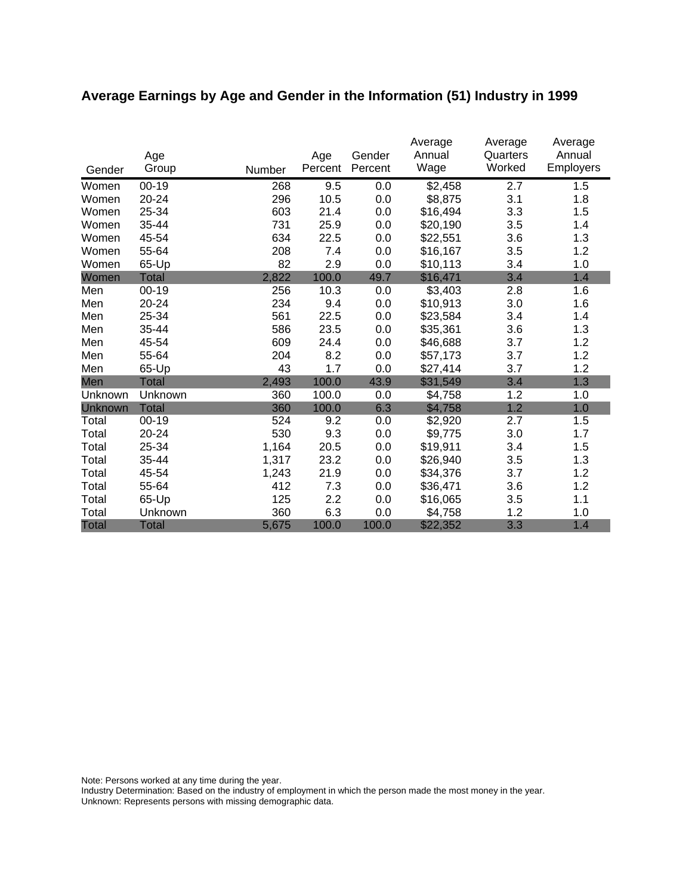# **Average Earnings by Age and Gender in the Information (51) Industry in 1999**

|              | Age          |        | Age     | Gender  | Average<br>Annual | Average<br>Quarters | Average<br>Annual |
|--------------|--------------|--------|---------|---------|-------------------|---------------------|-------------------|
| Gender       | Group        | Number | Percent | Percent | Wage              | Worked              | Employers         |
| Women        | $00 - 19$    | 268    | 9.5     | 0.0     | \$2,458           | 2.7                 | 1.5               |
| Women        | 20-24        | 296    | 10.5    | 0.0     | \$8,875           | 3.1                 | 1.8               |
| Women        | 25-34        | 603    | 21.4    | 0.0     | \$16,494          | 3.3                 | 1.5               |
| Women        | 35-44        | 731    | 25.9    | 0.0     | \$20,190          | 3.5                 | 1.4               |
| Women        | 45-54        | 634    | 22.5    | 0.0     | \$22,551          | 3.6                 | 1.3               |
| Women        | 55-64        | 208    | 7.4     | 0.0     | \$16,167          | 3.5                 | 1.2               |
| Women        | 65-Up        | 82     | 2.9     | 0.0     | \$10,113          | 3.4                 | 1.0               |
| Women        | <b>Total</b> | 2,822  | 100.0   | 49.7    | \$16,471          | 3.4                 | 1.4               |
| Men          | $00 - 19$    | 256    | 10.3    | 0.0     | \$3,403           | 2.8                 | 1.6               |
| Men          | 20-24        | 234    | 9.4     | 0.0     | \$10,913          | 3.0                 | 1.6               |
| Men          | 25-34        | 561    | 22.5    | 0.0     | \$23,584          | 3.4                 | 1.4               |
| Men          | 35-44        | 586    | 23.5    | 0.0     | \$35,361          | 3.6                 | 1.3               |
| Men          | 45-54        | 609    | 24.4    | 0.0     | \$46,688          | 3.7                 | 1.2               |
| Men          | 55-64        | 204    | 8.2     | 0.0     | \$57,173          | 3.7                 | 1.2               |
| Men          | 65-Up        | 43     | 1.7     | 0.0     | \$27,414          | 3.7                 | 1.2               |
| Men          | <b>Total</b> | 2,493  | 100.0   | 43.9    | \$31,549          | 3.4                 | 1.3               |
| Unknown      | Unknown      | 360    | 100.0   | 0.0     | \$4,758           | 1.2                 | 1.0               |
| Unknown      | <b>Total</b> | 360    | 100.0   | 6.3     | \$4,758           | 1.2                 | 1.0               |
| Total        | $00 - 19$    | 524    | 9.2     | 0.0     | \$2,920           | 2.7                 | 1.5               |
| Total        | 20-24        | 530    | 9.3     | 0.0     | \$9,775           | 3.0                 | 1.7               |
| Total        | 25-34        | 1,164  | 20.5    | 0.0     | \$19,911          | 3.4                 | 1.5               |
| Total        | 35-44        | 1,317  | 23.2    | 0.0     | \$26,940          | 3.5                 | 1.3               |
| Total        | 45-54        | 1,243  | 21.9    | 0.0     | \$34,376          | 3.7                 | 1.2               |
| Total        | 55-64        | 412    | 7.3     | 0.0     | \$36,471          | 3.6                 | 1.2               |
| Total        | 65-Up        | 125    | 2.2     | 0.0     | \$16,065          | 3.5                 | 1.1               |
| Total        | Unknown      | 360    | 6.3     | 0.0     | \$4,758           | 1.2                 | 1.0               |
| <b>Total</b> | <b>Total</b> | 5,675  | 100.0   | 100.0   | \$22,352          | 3.3                 | 1.4               |

Note: Persons worked at any time during the year.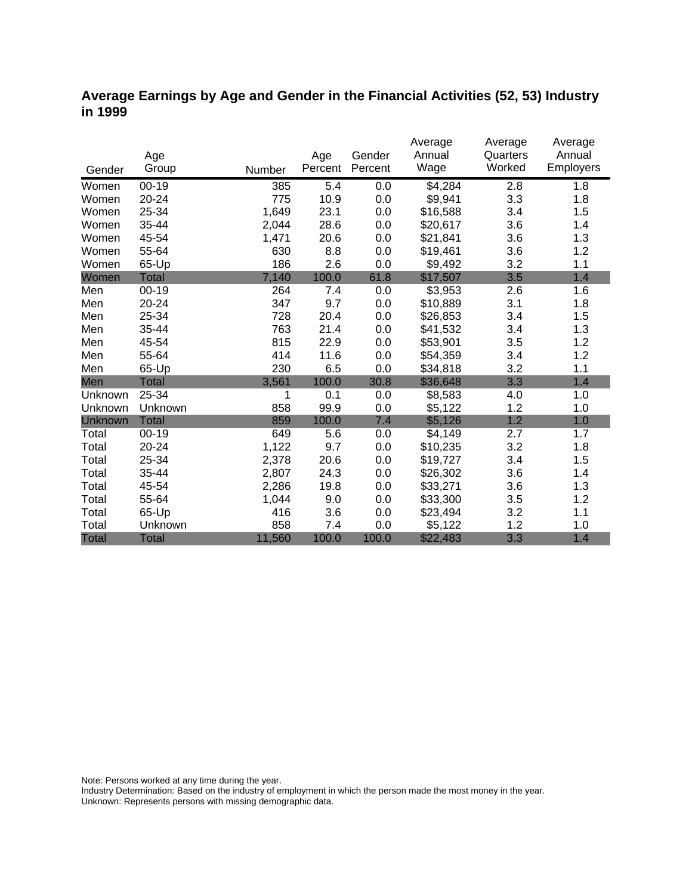### **Average Earnings by Age and Gender in the Financial Activities (52, 53) Industry in 1999**

|              |              |        |         |         | Average  | Average  | Average   |
|--------------|--------------|--------|---------|---------|----------|----------|-----------|
|              | Age          |        | Age     | Gender  | Annual   | Quarters | Annual    |
| Gender       | Group        | Number | Percent | Percent | Wage     | Worked   | Employers |
| Women        | $00 - 19$    | 385    | 5.4     | 0.0     | \$4,284  | 2.8      | 1.8       |
| Women        | 20-24        | 775    | 10.9    | 0.0     | \$9,941  | 3.3      | 1.8       |
| Women        | 25-34        | 1,649  | 23.1    | 0.0     | \$16,588 | 3.4      | 1.5       |
| Women        | 35-44        | 2,044  | 28.6    | 0.0     | \$20,617 | 3.6      | 1.4       |
| Women        | 45-54        | 1,471  | 20.6    | 0.0     | \$21,841 | 3.6      | 1.3       |
| Women        | 55-64        | 630    | 8.8     | 0.0     | \$19,461 | 3.6      | 1.2       |
| Women        | 65-Up        | 186    | 2.6     | 0.0     | \$9,492  | 3.2      | 1.1       |
| Women        | <b>Total</b> | 7,140  | 100.0   | 61.8    | \$17,507 | 3.5      | 1.4       |
| Men          | $00 - 19$    | 264    | 7.4     | 0.0     | \$3,953  | 2.6      | 1.6       |
| Men          | $20 - 24$    | 347    | 9.7     | 0.0     | \$10,889 | 3.1      | 1.8       |
| Men          | 25-34        | 728    | 20.4    | 0.0     | \$26,853 | 3.4      | 1.5       |
| Men          | 35-44        | 763    | 21.4    | 0.0     | \$41,532 | 3.4      | 1.3       |
| Men          | 45-54        | 815    | 22.9    | 0.0     | \$53,901 | 3.5      | 1.2       |
| Men          | 55-64        | 414    | 11.6    | 0.0     | \$54,359 | 3.4      | 1.2       |
| Men          | 65-Up        | 230    | 6.5     | 0.0     | \$34,818 | 3.2      | 1.1       |
| Men          | <b>Total</b> | 3,561  | 100.0   | 30.8    | \$36,648 | 3.3      | 1.4       |
| Unknown      | 25-34        | 1      | 0.1     | 0.0     | \$8,583  | 4.0      | 1.0       |
| Unknown      | Unknown      | 858    | 99.9    | 0.0     | \$5,122  | 1.2      | 1.0       |
| Unknown      | <b>Total</b> | 859    | 100.0   | 7.4     | \$5,126  | 1.2      | 1.0       |
| Total        | $00 - 19$    | 649    | 5.6     | 0.0     | \$4,149  | 2.7      | 1.7       |
| Total        | 20-24        | 1,122  | 9.7     | 0.0     | \$10,235 | 3.2      | 1.8       |
| Total        | 25-34        | 2,378  | 20.6    | 0.0     | \$19,727 | 3.4      | 1.5       |
| Total        | 35-44        | 2,807  | 24.3    | 0.0     | \$26,302 | 3.6      | 1.4       |
| Total        | 45-54        | 2,286  | 19.8    | 0.0     | \$33,271 | 3.6      | 1.3       |
| Total        | 55-64        | 1,044  | 9.0     | 0.0     | \$33,300 | 3.5      | 1.2       |
| Total        | 65-Up        | 416    | 3.6     | 0.0     | \$23,494 | 3.2      | 1.1       |
| Total        | Unknown      | 858    | 7.4     | 0.0     | \$5,122  | 1.2      | 1.0       |
| <b>Total</b> | <b>Total</b> | 11,560 | 100.0   | 100.0   | \$22,483 | 3.3      | 1.4       |

Note: Persons worked at any time during the year.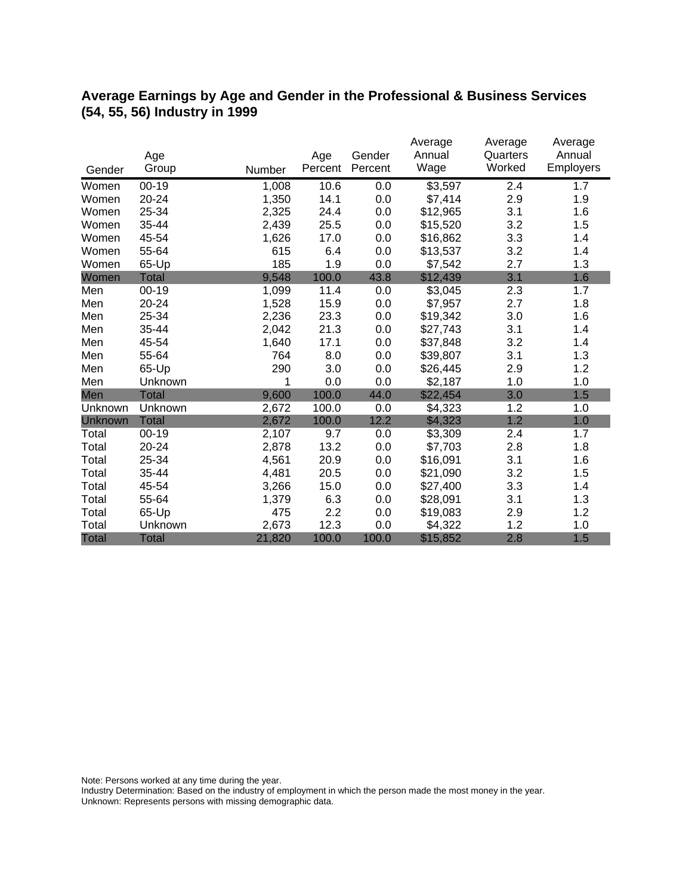### **Average Earnings by Age and Gender in the Professional & Business Services (54, 55, 56) Industry in 1999**

|              |              |        |         |         | Average  | Average  | Average   |
|--------------|--------------|--------|---------|---------|----------|----------|-----------|
|              | Age          |        | Age     | Gender  | Annual   | Quarters | Annual    |
| Gender       | Group        | Number | Percent | Percent | Wage     | Worked   | Employers |
| Women        | $00 - 19$    | 1,008  | 10.6    | 0.0     | \$3,597  | 2.4      | 1.7       |
| Women        | 20-24        | 1,350  | 14.1    | 0.0     | \$7,414  | 2.9      | 1.9       |
| Women        | 25-34        | 2,325  | 24.4    | 0.0     | \$12,965 | 3.1      | 1.6       |
| Women        | 35-44        | 2,439  | 25.5    | 0.0     | \$15,520 | 3.2      | 1.5       |
| Women        | 45-54        | 1,626  | 17.0    | 0.0     | \$16,862 | 3.3      | 1.4       |
| Women        | 55-64        | 615    | 6.4     | 0.0     | \$13,537 | 3.2      | 1.4       |
| Women        | 65-Up        | 185    | 1.9     | 0.0     | \$7,542  | 2.7      | 1.3       |
| Women        | <b>Total</b> | 9,548  | 100.0   | 43.8    | \$12,439 | 3.1      | 1.6       |
| Men          | $00 - 19$    | 1,099  | 11.4    | 0.0     | \$3,045  | 2.3      | 1.7       |
| Men          | 20-24        | 1,528  | 15.9    | 0.0     | \$7,957  | 2.7      | 1.8       |
| Men          | 25-34        | 2,236  | 23.3    | 0.0     | \$19,342 | 3.0      | 1.6       |
| Men          | 35-44        | 2,042  | 21.3    | 0.0     | \$27,743 | 3.1      | 1.4       |
| Men          | 45-54        | 1,640  | 17.1    | 0.0     | \$37,848 | 3.2      | 1.4       |
| Men          | 55-64        | 764    | 8.0     | 0.0     | \$39,807 | 3.1      | 1.3       |
| Men          | 65-Up        | 290    | 3.0     | 0.0     | \$26,445 | 2.9      | 1.2       |
| Men          | Unknown      | 1      | 0.0     | 0.0     | \$2,187  | 1.0      | 1.0       |
| Men          | <b>Total</b> | 9,600  | 100.0   | 44.0    | \$22,454 | 3.0      | 1.5       |
| Unknown      | Unknown      | 2,672  | 100.0   | 0.0     | \$4,323  | 1.2      | 1.0       |
| Unknown      | <b>Total</b> | 2,672  | 100.0   | 12.2    | \$4,323  | 1.2      | 1.0       |
| Total        | $00 - 19$    | 2,107  | 9.7     | 0.0     | \$3,309  | 2.4      | 1.7       |
| Total        | 20-24        | 2,878  | 13.2    | 0.0     | \$7,703  | 2.8      | 1.8       |
| Total        | 25-34        | 4,561  | 20.9    | 0.0     | \$16,091 | 3.1      | 1.6       |
| Total        | 35-44        | 4,481  | 20.5    | 0.0     | \$21,090 | 3.2      | 1.5       |
| Total        | 45-54        | 3,266  | 15.0    | 0.0     | \$27,400 | 3.3      | 1.4       |
| Total        | 55-64        | 1,379  | 6.3     | 0.0     | \$28,091 | 3.1      | 1.3       |
| Total        | 65-Up        | 475    | 2.2     | 0.0     | \$19,083 | 2.9      | 1.2       |
| Total        | Unknown      | 2,673  | 12.3    | 0.0     | \$4,322  | 1.2      | 1.0       |
| <b>Total</b> | <b>Total</b> | 21,820 | 100.0   | 100.0   | \$15,852 | 2.8      | 1.5       |

Note: Persons worked at any time during the year.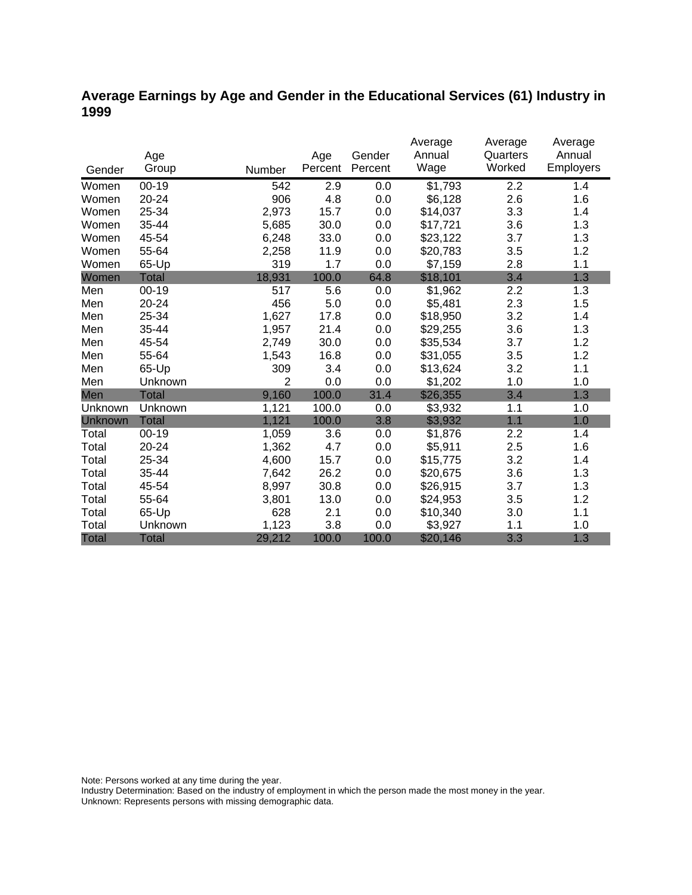### **Average Earnings by Age and Gender in the Educational Services (61) Industry in 1999**

|                |              |                |         |         | Average  | Average  | Average   |
|----------------|--------------|----------------|---------|---------|----------|----------|-----------|
|                | Age          |                | Age     | Gender  | Annual   | Quarters | Annual    |
| Gender         | Group        | Number         | Percent | Percent | Wage     | Worked   | Employers |
| Women          | $00 - 19$    | 542            | 2.9     | 0.0     | \$1,793  | 2.2      | 1.4       |
| Women          | 20-24        | 906            | 4.8     | 0.0     | \$6,128  | 2.6      | 1.6       |
| Women          | 25-34        | 2,973          | 15.7    | 0.0     | \$14,037 | 3.3      | 1.4       |
| Women          | 35-44        | 5,685          | 30.0    | 0.0     | \$17,721 | 3.6      | 1.3       |
| Women          | 45-54        | 6,248          | 33.0    | 0.0     | \$23,122 | 3.7      | 1.3       |
| Women          | 55-64        | 2,258          | 11.9    | 0.0     | \$20,783 | 3.5      | 1.2       |
| Women          | 65-Up        | 319            | 1.7     | 0.0     | \$7,159  | 2.8      | 1.1       |
| Women          | <b>Total</b> | 18,931         | 100.0   | 64.8    | \$18,101 | 3.4      | 1.3       |
| Men            | $00 - 19$    | 517            | 5.6     | 0.0     | \$1,962  | 2.2      | 1.3       |
| Men            | $20 - 24$    | 456            | 5.0     | 0.0     | \$5,481  | 2.3      | 1.5       |
| Men            | 25-34        | 1,627          | 17.8    | 0.0     | \$18,950 | 3.2      | 1.4       |
| Men            | 35-44        | 1,957          | 21.4    | 0.0     | \$29,255 | 3.6      | 1.3       |
| Men            | 45-54        | 2,749          | 30.0    | 0.0     | \$35,534 | 3.7      | 1.2       |
| Men            | 55-64        | 1,543          | 16.8    | 0.0     | \$31,055 | 3.5      | 1.2       |
| Men            | 65-Up        | 309            | 3.4     | 0.0     | \$13,624 | 3.2      | 1.1       |
| Men            | Unknown      | $\overline{2}$ | 0.0     | 0.0     | \$1,202  | 1.0      | 1.0       |
| Men            | <b>Total</b> | 9,160          | 100.0   | 31.4    | \$26,355 | 3.4      | 1.3       |
| Unknown        | Unknown      | 1,121          | 100.0   | 0.0     | \$3,932  | 1.1      | 1.0       |
| <b>Unknown</b> | <b>Total</b> | 1,121          | 100.0   | 3.8     | \$3,932  | 1.1      | 1.0       |
| Total          | $00 - 19$    | 1,059          | 3.6     | 0.0     | \$1,876  | 2.2      | 1.4       |
| Total          | 20-24        | 1,362          | 4.7     | 0.0     | \$5,911  | 2.5      | 1.6       |
| Total          | 25-34        | 4,600          | 15.7    | 0.0     | \$15,775 | 3.2      | 1.4       |
| Total          | 35-44        | 7,642          | 26.2    | 0.0     | \$20,675 | 3.6      | 1.3       |
| Total          | 45-54        | 8,997          | 30.8    | 0.0     | \$26,915 | 3.7      | 1.3       |
| Total          | 55-64        | 3,801          | 13.0    | 0.0     | \$24,953 | 3.5      | 1.2       |
| Total          | 65-Up        | 628            | 2.1     | 0.0     | \$10,340 | 3.0      | 1.1       |
| Total          | Unknown      | 1,123          | 3.8     | 0.0     | \$3,927  | 1.1      | 1.0       |
| <b>Total</b>   | <b>Total</b> | 29,212         | 100.0   | 100.0   | \$20,146 | 3.3      | 1.3       |

Note: Persons worked at any time during the year.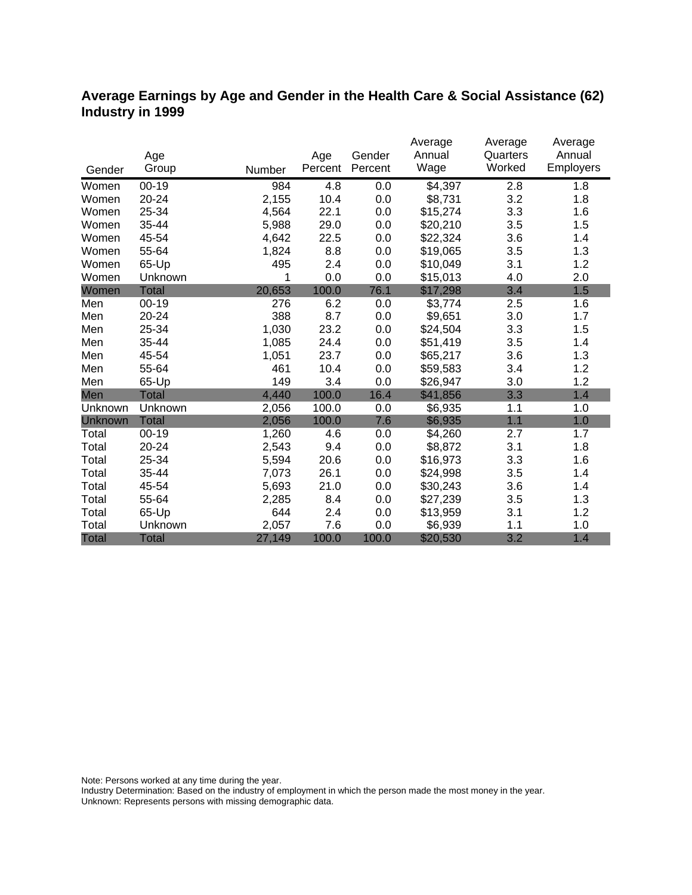### **Average Earnings by Age and Gender in the Health Care & Social Assistance (62) Industry in 1999**

|              |              |        |         |         | Average             | Average  | Average   |
|--------------|--------------|--------|---------|---------|---------------------|----------|-----------|
|              | Age          |        | Age     | Gender  | Annual              | Quarters | Annual    |
| Gender       | Group        | Number | Percent | Percent | Wage                | Worked   | Employers |
| Women        | $00 - 19$    | 984    | 4.8     | 0.0     | $\overline{$}4,397$ | 2.8      | 1.8       |
| Women        | 20-24        | 2,155  | 10.4    | 0.0     | \$8,731             | 3.2      | 1.8       |
| Women        | 25-34        | 4,564  | 22.1    | 0.0     | \$15,274            | 3.3      | 1.6       |
| Women        | 35-44        | 5,988  | 29.0    | 0.0     | \$20,210            | 3.5      | 1.5       |
| Women        | 45-54        | 4,642  | 22.5    | 0.0     | \$22,324            | 3.6      | 1.4       |
| Women        | 55-64        | 1,824  | 8.8     | 0.0     | \$19,065            | 3.5      | 1.3       |
| Women        | 65-Up        | 495    | 2.4     | 0.0     | \$10,049            | 3.1      | 1.2       |
| Women        | Unknown      | 1      | 0.0     | 0.0     | \$15,013            | 4.0      | 2.0       |
| Women        | <b>Total</b> | 20,653 | 100.0   | 76.1    | \$17,298            | 3.4      | 1.5       |
| Men          | $00 - 19$    | 276    | 6.2     | 0.0     | \$3,774             | 2.5      | 1.6       |
| Men          | 20-24        | 388    | 8.7     | 0.0     | \$9,651             | 3.0      | 1.7       |
| Men          | 25-34        | 1,030  | 23.2    | 0.0     | \$24,504            | 3.3      | 1.5       |
| Men          | 35-44        | 1,085  | 24.4    | 0.0     | \$51,419            | 3.5      | 1.4       |
| Men          | 45-54        | 1,051  | 23.7    | 0.0     | \$65,217            | 3.6      | 1.3       |
| Men          | 55-64        | 461    | 10.4    | 0.0     | \$59,583            | 3.4      | 1.2       |
| Men          | 65-Up        | 149    | 3.4     | 0.0     | \$26,947            | 3.0      | 1.2       |
| Men          | <b>Total</b> | 4,440  | 100.0   | 16.4    | \$41,856            | 3.3      | 1.4       |
| Unknown      | Unknown      | 2,056  | 100.0   | 0.0     | \$6,935             | 1.1      | 1.0       |
| Unknown      | <b>Total</b> | 2,056  | 100.0   | 7.6     | \$6,935             | 1.1      | 1.0       |
| Total        | $00 - 19$    | 1,260  | 4.6     | 0.0     | \$4,260             | 2.7      | 1.7       |
| Total        | 20-24        | 2,543  | 9.4     | 0.0     | \$8,872             | 3.1      | 1.8       |
| Total        | 25-34        | 5,594  | 20.6    | 0.0     | \$16,973            | 3.3      | 1.6       |
| Total        | 35-44        | 7,073  | 26.1    | 0.0     | \$24,998            | 3.5      | 1.4       |
| Total        | 45-54        | 5,693  | 21.0    | 0.0     | \$30,243            | 3.6      | 1.4       |
| Total        | 55-64        | 2,285  | 8.4     | 0.0     | \$27,239            | 3.5      | 1.3       |
| Total        | 65-Up        | 644    | 2.4     | 0.0     | \$13,959            | 3.1      | 1.2       |
| Total        | Unknown      | 2,057  | 7.6     | 0.0     | \$6,939             | 1.1      | 1.0       |
| <b>Total</b> | <b>Total</b> | 27,149 | 100.0   | 100.0   | \$20,530            | 3.2      | 1.4       |

Note: Persons worked at any time during the year.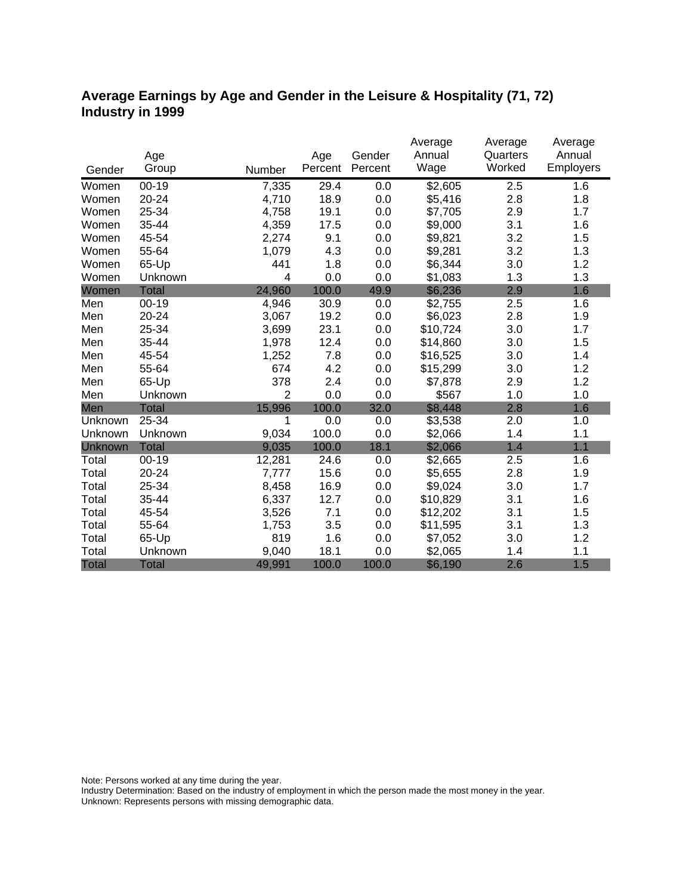### **Average Earnings by Age and Gender in the Leisure & Hospitality (71, 72) Industry in 1999**

|              |              |                |         |         | Average  | Average  | Average   |
|--------------|--------------|----------------|---------|---------|----------|----------|-----------|
|              | Age          |                | Age     | Gender  | Annual   | Quarters | Annual    |
| Gender       | Group        | Number         | Percent | Percent | Wage     | Worked   | Employers |
| Women        | $00 - 19$    | 7,335          | 29.4    | 0.0     | \$2,605  | 2.5      | 1.6       |
| Women        | 20-24        | 4,710          | 18.9    | 0.0     | \$5,416  | 2.8      | 1.8       |
| Women        | 25-34        | 4,758          | 19.1    | 0.0     | \$7,705  | 2.9      | 1.7       |
| Women        | 35-44        | 4,359          | 17.5    | 0.0     | \$9,000  | 3.1      | 1.6       |
| Women        | 45-54        | 2,274          | 9.1     | 0.0     | \$9,821  | 3.2      | 1.5       |
| Women        | 55-64        | 1,079          | 4.3     | 0.0     | \$9,281  | 3.2      | 1.3       |
| Women        | 65-Up        | 441            | 1.8     | 0.0     | \$6,344  | 3.0      | 1.2       |
| Women        | Unknown      | 4              | 0.0     | 0.0     | \$1,083  | 1.3      | 1.3       |
| Women        | <b>Total</b> | 24,960         | 100.0   | 49.9    | \$6,236  | 2.9      | 1.6       |
| Men          | $00 - 19$    | 4,946          | 30.9    | 0.0     | \$2,755  | 2.5      | 1.6       |
| Men          | 20-24        | 3,067          | 19.2    | 0.0     | \$6,023  | 2.8      | 1.9       |
| Men          | 25-34        | 3,699          | 23.1    | 0.0     | \$10,724 | 3.0      | 1.7       |
| Men          | 35-44        | 1,978          | 12.4    | 0.0     | \$14,860 | 3.0      | 1.5       |
| Men          | 45-54        | 1,252          | 7.8     | 0.0     | \$16,525 | 3.0      | 1.4       |
| Men          | 55-64        | 674            | 4.2     | 0.0     | \$15,299 | 3.0      | 1.2       |
| Men          | 65-Up        | 378            | 2.4     | 0.0     | \$7,878  | 2.9      | 1.2       |
| Men          | Unknown      | $\overline{2}$ | 0.0     | 0.0     | \$567    | 1.0      | 1.0       |
| Men          | <b>Total</b> | 15,996         | 100.0   | 32.0    | \$8,448  | 2.8      | 1.6       |
| Unknown      | 25-34        | 1              | 0.0     | 0.0     | \$3,538  | 2.0      | 1.0       |
| Unknown      | Unknown      | 9,034          | 100.0   | 0.0     | \$2,066  | 1.4      | 1.1       |
| Unknown      | <b>Total</b> | 9,035          | 100.0   | 18.1    | \$2,066  | 1.4      | 1.1       |
| Total        | $00 - 19$    | 12,281         | 24.6    | 0.0     | \$2,665  | 2.5      | 1.6       |
| Total        | 20-24        | 7,777          | 15.6    | 0.0     | \$5,655  | 2.8      | 1.9       |
| Total        | 25-34        | 8,458          | 16.9    | 0.0     | \$9,024  | 3.0      | 1.7       |
| Total        | 35-44        | 6,337          | 12.7    | 0.0     | \$10,829 | 3.1      | 1.6       |
| Total        | 45-54        | 3,526          | 7.1     | 0.0     | \$12,202 | 3.1      | 1.5       |
| Total        | 55-64        | 1,753          | 3.5     | 0.0     | \$11,595 | 3.1      | 1.3       |
| Total        | 65-Up        | 819            | 1.6     | 0.0     | \$7,052  | 3.0      | 1.2       |
| Total        | Unknown      | 9,040          | 18.1    | 0.0     | \$2,065  | 1.4      | 1.1       |
| <b>Total</b> | <b>Total</b> | 49,991         | 100.0   | 100.0   | \$6,190  | 2.6      | 1.5       |

Note: Persons worked at any time during the year.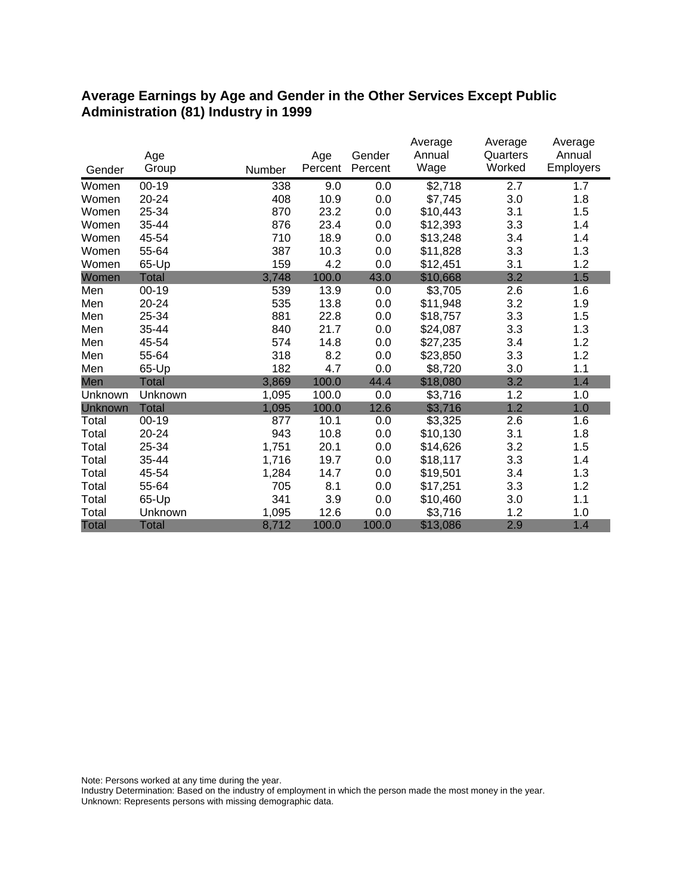#### **Average Earnings by Age and Gender in the Other Services Except Public Administration (81) Industry in 1999**

|                |              |        |         |         | Average  | Average  | Average          |
|----------------|--------------|--------|---------|---------|----------|----------|------------------|
|                | Age          |        | Age     | Gender  | Annual   | Quarters | Annual           |
| Gender         | Group        | Number | Percent | Percent | Wage     | Worked   | <b>Employers</b> |
| Women          | $00-19$      | 338    | 9.0     | 0.0     | \$2,718  | 2.7      | 1.7              |
| Women          | 20-24        | 408    | 10.9    | 0.0     | \$7,745  | 3.0      | 1.8              |
| Women          | 25-34        | 870    | 23.2    | 0.0     | \$10,443 | 3.1      | 1.5              |
| Women          | 35-44        | 876    | 23.4    | 0.0     | \$12,393 | 3.3      | 1.4              |
| Women          | 45-54        | 710    | 18.9    | 0.0     | \$13,248 | 3.4      | 1.4              |
| Women          | 55-64        | 387    | 10.3    | 0.0     | \$11,828 | 3.3      | 1.3              |
| Women          | 65-Up        | 159    | 4.2     | 0.0     | \$12,451 | 3.1      | 1.2              |
| Women          | <b>Total</b> | 3,748  | 100.0   | 43.0    | \$10,668 | 3.2      | 1.5              |
| Men            | $00 - 19$    | 539    | 13.9    | 0.0     | \$3,705  | 2.6      | 1.6              |
| Men            | 20-24        | 535    | 13.8    | 0.0     | \$11,948 | 3.2      | 1.9              |
| Men            | 25-34        | 881    | 22.8    | 0.0     | \$18,757 | 3.3      | 1.5              |
| Men            | 35-44        | 840    | 21.7    | 0.0     | \$24,087 | 3.3      | 1.3              |
| Men            | 45-54        | 574    | 14.8    | 0.0     | \$27,235 | 3.4      | 1.2              |
| Men            | 55-64        | 318    | 8.2     | 0.0     | \$23,850 | 3.3      | 1.2              |
| Men            | 65-Up        | 182    | 4.7     | 0.0     | \$8,720  | 3.0      | 1.1              |
| Men            | Total        | 3,869  | 100.0   | 44.4    | \$18,080 | 3.2      | 1.4              |
| Unknown        | Unknown      | 1,095  | 100.0   | 0.0     | \$3,716  | 1.2      | 1.0              |
| <b>Unknown</b> | <b>Total</b> | 1,095  | 100.0   | 12.6    | \$3,716  | 1.2      | 1.0              |
| Total          | $00 - 19$    | 877    | 10.1    | 0.0     | \$3,325  | 2.6      | 1.6              |
| Total          | 20-24        | 943    | 10.8    | 0.0     | \$10,130 | 3.1      | 1.8              |
| Total          | 25-34        | 1,751  | 20.1    | 0.0     | \$14,626 | 3.2      | 1.5              |
| Total          | 35-44        | 1,716  | 19.7    | 0.0     | \$18,117 | 3.3      | 1.4              |
| Total          | 45-54        | 1,284  | 14.7    | 0.0     | \$19,501 | 3.4      | 1.3              |
| Total          | 55-64        | 705    | 8.1     | 0.0     | \$17,251 | 3.3      | 1.2              |
| Total          | 65-Up        | 341    | 3.9     | 0.0     | \$10,460 | 3.0      | 1.1              |
| Total          | Unknown      | 1,095  | 12.6    | 0.0     | \$3,716  | 1.2      | 1.0              |
| <b>Total</b>   | <b>Total</b> | 8,712  | 100.0   | 100.0   | \$13,086 | 2.9      | 1.4              |

Note: Persons worked at any time during the year.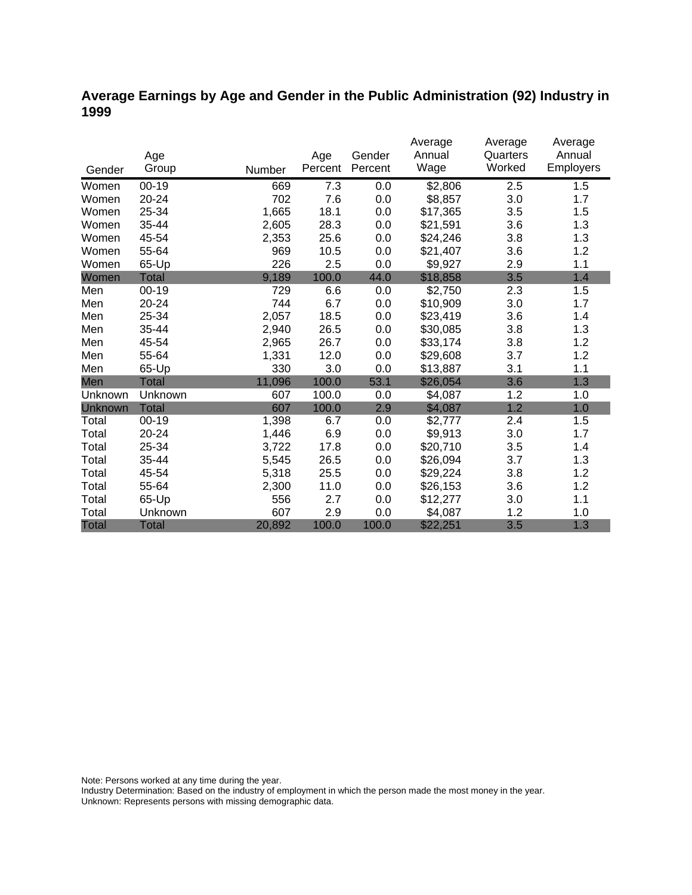### **Average Earnings by Age and Gender in the Public Administration (92) Industry in 1999**

|                |              |        |         |         | Average  | Average  | Average   |
|----------------|--------------|--------|---------|---------|----------|----------|-----------|
|                | Age          |        | Age     | Gender  | Annual   | Quarters | Annual    |
| Gender         | Group        | Number | Percent | Percent | Wage     | Worked   | Employers |
| Women          | $00 - 19$    | 669    | 7.3     | 0.0     | \$2,806  | 2.5      | 1.5       |
| Women          | 20-24        | 702    | 7.6     | 0.0     | \$8,857  | 3.0      | 1.7       |
| Women          | 25-34        | 1,665  | 18.1    | 0.0     | \$17,365 | 3.5      | 1.5       |
| Women          | 35-44        | 2,605  | 28.3    | 0.0     | \$21,591 | 3.6      | 1.3       |
| Women          | 45-54        | 2,353  | 25.6    | 0.0     | \$24,246 | 3.8      | 1.3       |
| Women          | 55-64        | 969    | 10.5    | 0.0     | \$21,407 | 3.6      | 1.2       |
| Women          | 65-Up        | 226    | 2.5     | 0.0     | \$9,927  | 2.9      | 1.1       |
| Women          | Total        | 9,189  | 100.0   | 44.0    | \$18,858 | 3.5      | 1.4       |
| Men            | $00 - 19$    | 729    | 6.6     | 0.0     | \$2,750  | 2.3      | 1.5       |
| Men            | $20 - 24$    | 744    | 6.7     | 0.0     | \$10,909 | 3.0      | 1.7       |
| Men            | 25-34        | 2,057  | 18.5    | 0.0     | \$23,419 | 3.6      | 1.4       |
| Men            | 35-44        | 2,940  | 26.5    | 0.0     | \$30,085 | 3.8      | 1.3       |
| Men            | 45-54        | 2,965  | 26.7    | 0.0     | \$33,174 | 3.8      | 1.2       |
| Men            | 55-64        | 1,331  | 12.0    | 0.0     | \$29,608 | 3.7      | 1.2       |
| Men            | 65-Up        | 330    | 3.0     | 0.0     | \$13,887 | 3.1      | 1.1       |
| Men            | <b>Total</b> | 11,096 | 100.0   | 53.1    | \$26,054 | 3.6      | 1.3       |
| Unknown        | Unknown      | 607    | 100.0   | 0.0     | \$4,087  | 1.2      | 1.0       |
| <b>Unknown</b> | <b>Total</b> | 607    | 100.0   | 2.9     | \$4,087  | 1.2      | 1.0       |
| Total          | $00 - 19$    | 1,398  | 6.7     | 0.0     | \$2,777  | 2.4      | 1.5       |
| Total          | 20-24        | 1,446  | 6.9     | 0.0     | \$9,913  | 3.0      | 1.7       |
| Total          | 25-34        | 3,722  | 17.8    | 0.0     | \$20,710 | 3.5      | 1.4       |
| Total          | 35-44        | 5,545  | 26.5    | 0.0     | \$26,094 | 3.7      | 1.3       |
| Total          | 45-54        | 5,318  | 25.5    | 0.0     | \$29,224 | 3.8      | 1.2       |
| Total          | 55-64        | 2,300  | 11.0    | 0.0     | \$26,153 | 3.6      | 1.2       |
| Total          | 65-Up        | 556    | 2.7     | 0.0     | \$12,277 | 3.0      | 1.1       |
| Total          | Unknown      | 607    | 2.9     | 0.0     | \$4,087  | 1.2      | 1.0       |
| <b>Total</b>   | <b>Total</b> | 20,892 | 100.0   | 100.0   | \$22,251 | 3.5      | 1.3       |

Note: Persons worked at any time during the year.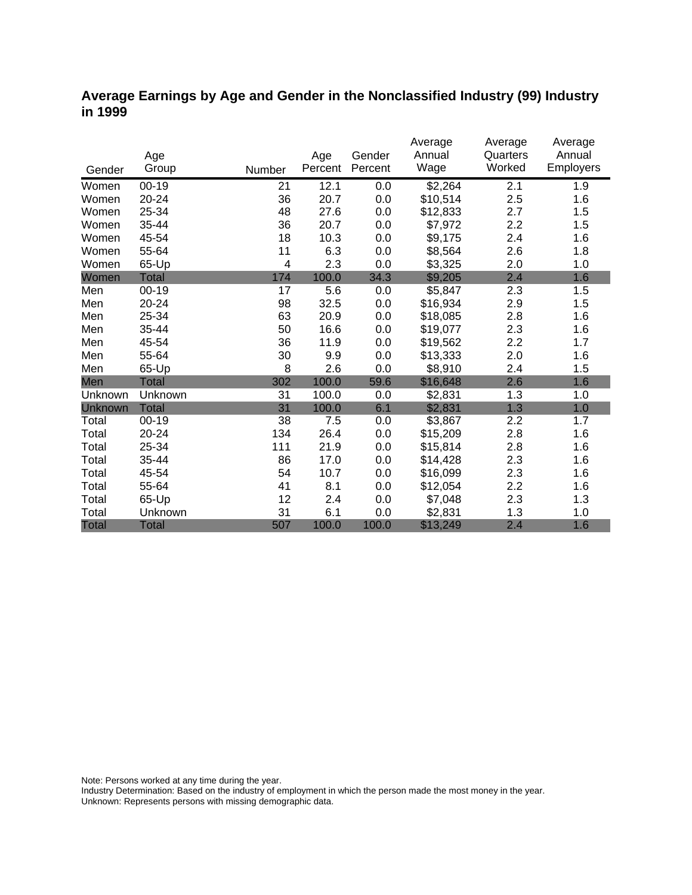#### **Average Earnings by Age and Gender in the Nonclassified Industry (99) Industry in 1999**

|              | Age          |        | Age     | Gender  | Average<br>Annual | Average<br>Quarters | Average<br>Annual |
|--------------|--------------|--------|---------|---------|-------------------|---------------------|-------------------|
| Gender       | Group        | Number | Percent | Percent | Wage              | Worked              | <b>Employers</b>  |
| Women        | $00 - 19$    | 21     | 12.1    | 0.0     | \$2,264           | 2.1                 | 1.9               |
| Women        | 20-24        | 36     | 20.7    | 0.0     | \$10,514          | 2.5                 | 1.6               |
| Women        | 25-34        | 48     | 27.6    | 0.0     | \$12,833          | 2.7                 | 1.5               |
| Women        | 35-44        | 36     | 20.7    | 0.0     | \$7,972           | 2.2                 | 1.5               |
| Women        | 45-54        | 18     | 10.3    | 0.0     | \$9,175           | 2.4                 | 1.6               |
| Women        | 55-64        | 11     | 6.3     | 0.0     | \$8,564           | 2.6                 | 1.8               |
| Women        | 65-Up        | 4      | 2.3     | 0.0     | \$3,325           | 2.0                 | 1.0               |
| Women        | <b>Total</b> | 174    | 100.0   | 34.3    | \$9,205           | 2.4                 | 1.6               |
| Men          | $00 - 19$    | 17     | 5.6     | 0.0     | \$5,847           | 2.3                 | 1.5               |
| Men          | 20-24        | 98     | 32.5    | 0.0     | \$16,934          | 2.9                 | 1.5               |
| Men          | 25-34        | 63     | 20.9    | 0.0     | \$18,085          | 2.8                 | 1.6               |
| Men          | 35-44        | 50     | 16.6    | 0.0     | \$19,077          | 2.3                 | 1.6               |
| Men          | 45-54        | 36     | 11.9    | 0.0     | \$19,562          | 2.2                 | 1.7               |
| Men          | 55-64        | 30     | 9.9     | 0.0     | \$13,333          | 2.0                 | 1.6               |
| Men          | 65-Up        | 8      | 2.6     | 0.0     | \$8,910           | 2.4                 | 1.5               |
| Men          | <b>Total</b> | 302    | 100.0   | 59.6    | \$16,648          | 2.6                 | 1.6               |
| Unknown      | Unknown      | 31     | 100.0   | 0.0     | \$2,831           | 1.3                 | 1.0               |
| Unknown      | <b>Total</b> | 31     | 100.0   | 6.1     | \$2,831           | 1.3                 | 1.0               |
| Total        | $00 - 19$    | 38     | 7.5     | 0.0     | \$3,867           | 2.2                 | 1.7               |
| Total        | 20-24        | 134    | 26.4    | 0.0     | \$15,209          | 2.8                 | 1.6               |
| Total        | 25-34        | 111    | 21.9    | 0.0     | \$15,814          | 2.8                 | 1.6               |
| Total        | 35-44        | 86     | 17.0    | 0.0     | \$14,428          | 2.3                 | 1.6               |
| Total        | 45-54        | 54     | 10.7    | 0.0     | \$16,099          | 2.3                 | 1.6               |
| Total        | 55-64        | 41     | 8.1     | 0.0     | \$12,054          | 2.2                 | 1.6               |
| Total        | 65-Up        | 12     | 2.4     | 0.0     | \$7,048           | 2.3                 | 1.3               |
| Total        | Unknown      | 31     | 6.1     | 0.0     | \$2,831           | 1.3                 | 1.0               |
| <b>Total</b> | <b>Total</b> | 507    | 100.0   | 100.0   | \$13,249          | 2.4                 | 1.6               |

Note: Persons worked at any time during the year.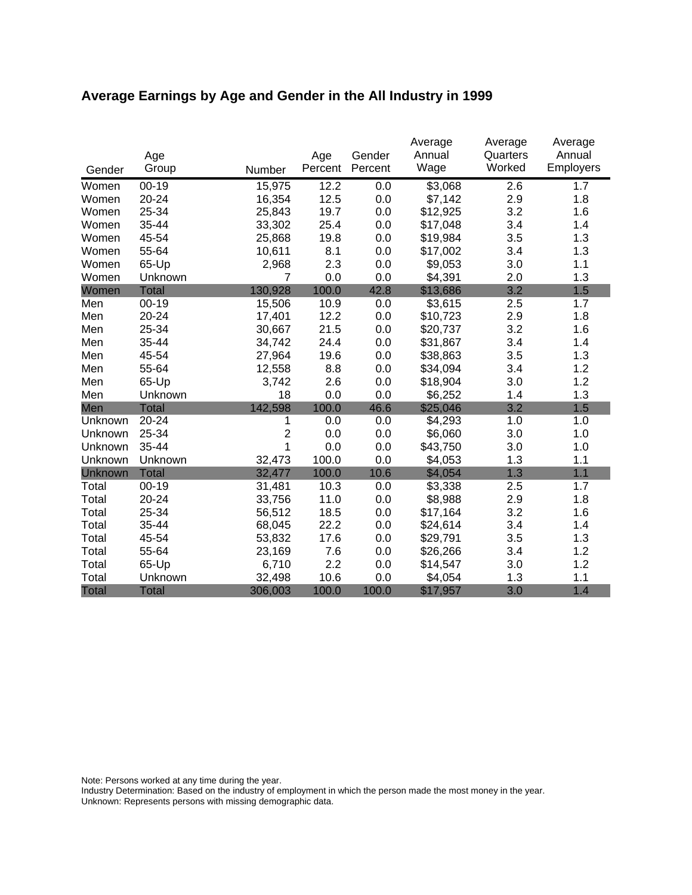# **Average Earnings by Age and Gender in the All Industry in 1999**

|              | Age          |                | Age     | Gender  | Average<br>Annual | Average<br>Quarters | Average<br>Annual |
|--------------|--------------|----------------|---------|---------|-------------------|---------------------|-------------------|
| Gender       | Group        | Number         | Percent | Percent | Wage              | Worked              | Employers         |
| Women        | $00 - 19$    | 15,975         | 12.2    | 0.0     | \$3,068           | 2.6                 | 1.7               |
| Women        | 20-24        | 16,354         | 12.5    | 0.0     | \$7,142           | 2.9                 | 1.8               |
| Women        | 25-34        | 25,843         | 19.7    | 0.0     | \$12,925          | 3.2                 | 1.6               |
| Women        | 35-44        | 33,302         | 25.4    | 0.0     | \$17,048          | 3.4                 | 1.4               |
| Women        | 45-54        | 25,868         | 19.8    | 0.0     | \$19,984          | 3.5                 | 1.3               |
| Women        | 55-64        | 10,611         | 8.1     | 0.0     | \$17,002          | 3.4                 | 1.3               |
| Women        | 65-Up        | 2,968          | 2.3     | 0.0     | \$9,053           | 3.0                 | 1.1               |
| Women        | Unknown      | 7              | 0.0     | 0.0     | \$4,391           | 2.0                 | 1.3               |
| Women        | <b>Total</b> | 130,928        | 100.0   | 42.8    | \$13,686          | 3.2                 | 1.5               |
| Men          | $00-19$      | 15,506         | 10.9    | 0.0     | \$3,615           | 2.5                 | 1.7               |
| Men          | 20-24        | 17,401         | 12.2    | 0.0     | \$10,723          | 2.9                 | 1.8               |
| Men          | 25-34        | 30,667         | 21.5    | 0.0     | \$20,737          | 3.2                 | 1.6               |
| Men          | 35-44        | 34,742         | 24.4    | 0.0     | \$31,867          | 3.4                 | 1.4               |
| Men          | 45-54        | 27,964         | 19.6    | 0.0     | \$38,863          | 3.5                 | 1.3               |
| Men          | 55-64        | 12,558         | 8.8     | 0.0     | \$34,094          | 3.4                 | 1.2               |
| Men          | 65-Up        | 3,742          | 2.6     | 0.0     | \$18,904          | 3.0                 | 1.2               |
| Men          | Unknown      | 18             | 0.0     | 0.0     | \$6,252           | 1.4                 | 1.3               |
| Men          | <b>Total</b> | 142,598        | 100.0   | 46.6    | \$25,046          | 3.2                 | 1.5               |
| Unknown      | 20-24        | 1              | 0.0     | 0.0     | \$4,293           | 1.0                 | 1.0               |
| Unknown      | 25-34        | $\overline{2}$ | 0.0     | 0.0     | \$6,060           | 3.0                 | 1.0               |
| Unknown      | 35-44        | 1              | 0.0     | 0.0     | \$43,750          | 3.0                 | 1.0               |
| Unknown      | Unknown      | 32,473         | 100.0   | 0.0     | \$4,053           | 1.3                 | 1.1               |
| Unknown      | <b>Total</b> | 32,477         | 100.0   | 10.6    | \$4,054           | 1.3                 | 1.1               |
| Total        | $00-19$      | 31,481         | 10.3    | 0.0     | \$3,338           | 2.5                 | 1.7               |
| Total        | $20 - 24$    | 33,756         | 11.0    | 0.0     | \$8,988           | 2.9                 | 1.8               |
| Total        | 25-34        | 56,512         | 18.5    | 0.0     | \$17,164          | 3.2                 | 1.6               |
| Total        | 35-44        | 68,045         | 22.2    | 0.0     | \$24,614          | 3.4                 | 1.4               |
| Total        | 45-54        | 53,832         | 17.6    | 0.0     | \$29,791          | 3.5                 | 1.3               |
| Total        | 55-64        | 23,169         | 7.6     | 0.0     | \$26,266          | 3.4                 | 1.2               |
| Total        | 65-Up        | 6,710          | 2.2     | 0.0     | \$14,547          | 3.0                 | 1.2               |
| Total        | Unknown      | 32,498         | 10.6    | 0.0     | \$4,054           | 1.3                 | 1.1               |
| <b>Total</b> | <b>Total</b> | 306,003        | 100.0   | 100.0   | \$17,957          | 3.0                 | 1.4               |

Note: Persons worked at any time during the year.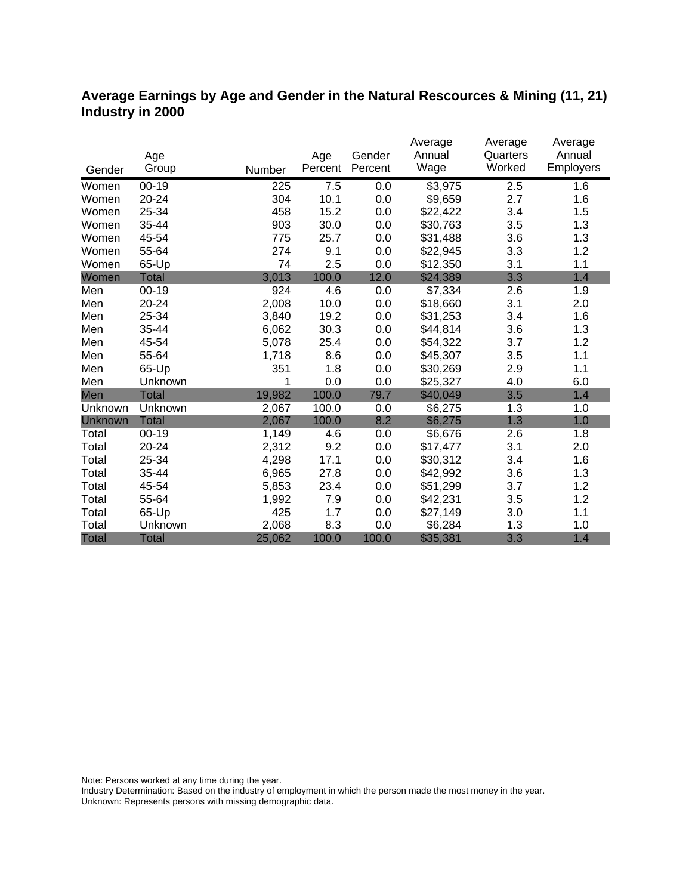#### **Average Earnings by Age and Gender in the Natural Rescources & Mining (11, 21) Industry in 2000**

|              |              |        |         |         | Average  | Average  | Average   |
|--------------|--------------|--------|---------|---------|----------|----------|-----------|
|              | Age          |        | Age     | Gender  | Annual   | Quarters | Annual    |
| Gender       | Group        | Number | Percent | Percent | Wage     | Worked   | Employers |
| Women        | $00 - 19$    | 225    | 7.5     | 0.0     | \$3,975  | 2.5      | 1.6       |
| Women        | 20-24        | 304    | 10.1    | 0.0     | \$9,659  | 2.7      | 1.6       |
| Women        | 25-34        | 458    | 15.2    | 0.0     | \$22,422 | 3.4      | 1.5       |
| Women        | 35-44        | 903    | 30.0    | 0.0     | \$30,763 | 3.5      | 1.3       |
| Women        | 45-54        | 775    | 25.7    | 0.0     | \$31,488 | 3.6      | 1.3       |
| Women        | 55-64        | 274    | 9.1     | 0.0     | \$22,945 | 3.3      | 1.2       |
| Women        | 65-Up        | 74     | 2.5     | 0.0     | \$12,350 | 3.1      | 1.1       |
| Women        | <b>Total</b> | 3,013  | 100.0   | 12.0    | \$24,389 | 3.3      | 1.4       |
| Men          | $00 - 19$    | 924    | 4.6     | 0.0     | \$7,334  | 2.6      | 1.9       |
| Men          | 20-24        | 2,008  | 10.0    | 0.0     | \$18,660 | 3.1      | 2.0       |
| Men          | 25-34        | 3,840  | 19.2    | 0.0     | \$31,253 | 3.4      | 1.6       |
| Men          | 35-44        | 6,062  | 30.3    | 0.0     | \$44,814 | 3.6      | 1.3       |
| Men          | 45-54        | 5,078  | 25.4    | 0.0     | \$54,322 | 3.7      | 1.2       |
| Men          | 55-64        | 1,718  | 8.6     | 0.0     | \$45,307 | 3.5      | 1.1       |
| Men          | 65-Up        | 351    | 1.8     | 0.0     | \$30,269 | 2.9      | 1.1       |
| Men          | Unknown      | 1      | 0.0     | 0.0     | \$25,327 | 4.0      | 6.0       |
| Men          | <b>Total</b> | 19,982 | 100.0   | 79.7    | \$40,049 | 3.5      | 1.4       |
| Unknown      | Unknown      | 2,067  | 100.0   | 0.0     | \$6,275  | 1.3      | 1.0       |
| Unknown      | <b>Total</b> | 2,067  | 100.0   | 8.2     | \$6,275  | 1.3      | 1.0       |
| Total        | $00 - 19$    | 1,149  | 4.6     | 0.0     | \$6,676  | 2.6      | 1.8       |
| Total        | 20-24        | 2,312  | 9.2     | 0.0     | \$17,477 | 3.1      | 2.0       |
| Total        | 25-34        | 4,298  | 17.1    | 0.0     | \$30,312 | 3.4      | 1.6       |
| Total        | 35-44        | 6,965  | 27.8    | 0.0     | \$42,992 | 3.6      | 1.3       |
| Total        | 45-54        | 5,853  | 23.4    | 0.0     | \$51,299 | 3.7      | 1.2       |
| Total        | 55-64        | 1,992  | 7.9     | 0.0     | \$42,231 | 3.5      | 1.2       |
| Total        | 65-Up        | 425    | 1.7     | 0.0     | \$27,149 | 3.0      | 1.1       |
| Total        | Unknown      | 2,068  | 8.3     | 0.0     | \$6,284  | 1.3      | 1.0       |
| <b>Total</b> | <b>Total</b> | 25,062 | 100.0   | 100.0   | \$35,381 | 3.3      | 1.4       |

Note: Persons worked at any time during the year.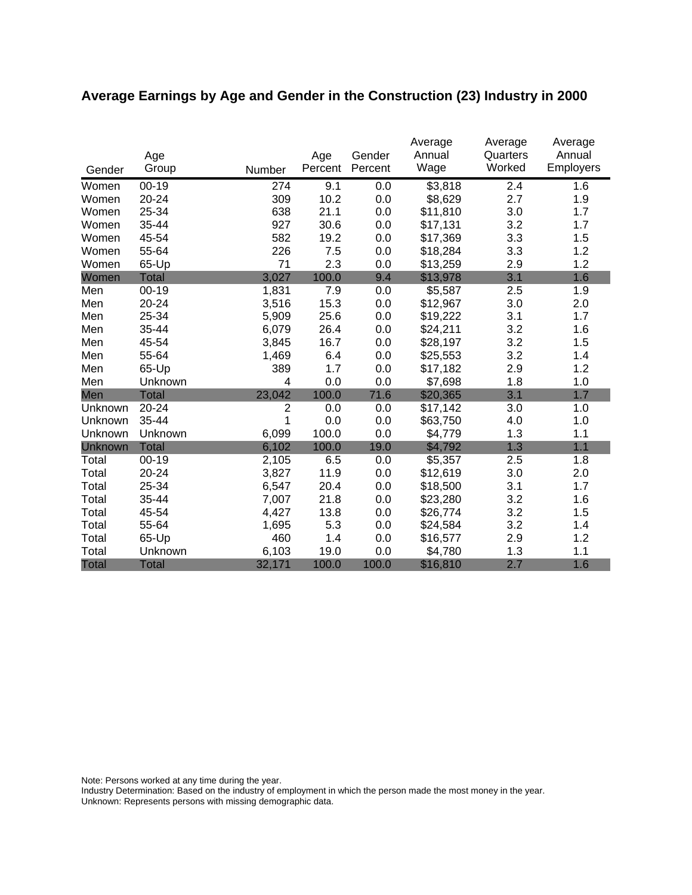# **Average Earnings by Age and Gender in the Construction (23) Industry in 2000**

|                | Age          |                | Age     | Gender  | Average<br>Annual | Average<br>Quarters | Average<br>Annual |
|----------------|--------------|----------------|---------|---------|-------------------|---------------------|-------------------|
| Gender         | Group        | Number         | Percent | Percent | Wage              | Worked              | Employers         |
| Women          | $00 - 19$    | 274            | 9.1     | 0.0     | \$3,818           | 2.4                 | 1.6               |
| Women          | 20-24        | 309            | 10.2    | 0.0     | \$8,629           | 2.7                 | 1.9               |
| Women          | 25-34        | 638            | 21.1    | 0.0     | \$11,810          | 3.0                 | 1.7               |
| Women          | 35-44        | 927            | 30.6    | 0.0     | \$17,131          | 3.2                 | 1.7               |
| Women          | 45-54        | 582            | 19.2    | 0.0     | \$17,369          | 3.3                 | 1.5               |
| Women          | 55-64        | 226            | 7.5     | 0.0     | \$18,284          | 3.3                 | 1.2               |
| Women          | 65-Up        | 71             | 2.3     | 0.0     | \$13,259          | 2.9                 | 1.2               |
| Women          | <b>Total</b> | 3,027          | 100.0   | 9.4     | \$13,978          | 3.1                 | 1.6               |
| Men            | $00 - 19$    | 1,831          | 7.9     | 0.0     | \$5,587           | 2.5                 | 1.9               |
| Men            | 20-24        | 3,516          | 15.3    | 0.0     | \$12,967          | 3.0                 | 2.0               |
| Men            | 25-34        | 5,909          | 25.6    | 0.0     | \$19,222          | 3.1                 | 1.7               |
| Men            | 35-44        | 6,079          | 26.4    | 0.0     | \$24,211          | 3.2                 | 1.6               |
| Men            | 45-54        | 3,845          | 16.7    | 0.0     | \$28,197          | 3.2                 | 1.5               |
| Men            | 55-64        | 1,469          | 6.4     | 0.0     | \$25,553          | 3.2                 | 1.4               |
| Men            | 65-Up        | 389            | 1.7     | 0.0     | \$17,182          | 2.9                 | 1.2               |
| Men            | Unknown      | 4              | 0.0     | 0.0     | \$7,698           | 1.8                 | 1.0               |
| Men            | <b>Total</b> | 23,042         | 100.0   | 71.6    | \$20,365          | 3.1                 | 1.7               |
| Unknown        | 20-24        | $\overline{2}$ | 0.0     | 0.0     | \$17,142          | 3.0                 | 1.0               |
| Unknown        | 35-44        | 1              | 0.0     | 0.0     | \$63,750          | 4.0                 | 1.0               |
| Unknown        | Unknown      | 6,099          | 100.0   | 0.0     | \$4,779           | 1.3                 | 1.1               |
| <b>Unknown</b> | <b>Total</b> | 6,102          | 100.0   | 19.0    | \$4,792           | 1.3                 | 1.1               |
| Total          | $00 - 19$    | 2,105          | 6.5     | 0.0     | \$5,357           | 2.5                 | 1.8               |
| Total          | 20-24        | 3,827          | 11.9    | 0.0     | \$12,619          | 3.0                 | 2.0               |
| Total          | 25-34        | 6,547          | 20.4    | 0.0     | \$18,500          | 3.1                 | 1.7               |
| Total          | 35-44        | 7,007          | 21.8    | 0.0     | \$23,280          | 3.2                 | 1.6               |
| Total          | 45-54        | 4,427          | 13.8    | 0.0     | \$26,774          | 3.2                 | 1.5               |
| Total          | 55-64        | 1,695          | 5.3     | 0.0     | \$24,584          | 3.2                 | 1.4               |
| Total          | 65-Up        | 460            | 1.4     | 0.0     | \$16,577          | 2.9                 | 1.2               |
| Total          | Unknown      | 6,103          | 19.0    | 0.0     | \$4,780           | 1.3                 | 1.1               |
| <b>Total</b>   | <b>Total</b> | 32,171         | 100.0   | 100.0   | \$16,810          | 2.7                 | 1.6               |

Note: Persons worked at any time during the year.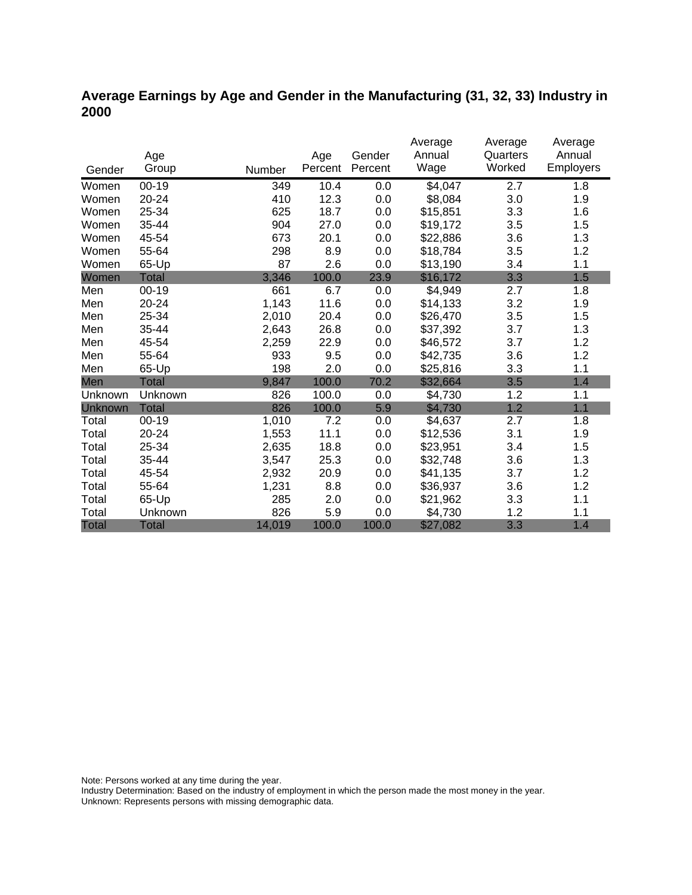### **Average Earnings by Age and Gender in the Manufacturing (31, 32, 33) Industry in 2000**

|                |              |        |         |         | Average  | Average  | Average          |
|----------------|--------------|--------|---------|---------|----------|----------|------------------|
|                | Age          |        | Age     | Gender  | Annual   | Quarters | Annual           |
| Gender         | Group        | Number | Percent | Percent | Wage     | Worked   | <b>Employers</b> |
| Women          | $00-19$      | 349    | 10.4    | 0.0     | \$4,047  | 2.7      | 1.8              |
| Women          | 20-24        | 410    | 12.3    | 0.0     | \$8,084  | 3.0      | 1.9              |
| Women          | 25-34        | 625    | 18.7    | 0.0     | \$15,851 | 3.3      | 1.6              |
| Women          | 35-44        | 904    | 27.0    | 0.0     | \$19,172 | 3.5      | 1.5              |
| Women          | 45-54        | 673    | 20.1    | 0.0     | \$22,886 | 3.6      | 1.3              |
| Women          | 55-64        | 298    | 8.9     | 0.0     | \$18,784 | 3.5      | 1.2              |
| Women          | 65-Up        | 87     | 2.6     | 0.0     | \$13,190 | 3.4      | 1.1              |
| Women          | Total        | 3,346  | 100.0   | 23.9    | \$16,172 | 3.3      | 1.5              |
| Men            | $00 - 19$    | 661    | 6.7     | 0.0     | \$4,949  | 2.7      | 1.8              |
| Men            | 20-24        | 1,143  | 11.6    | 0.0     | \$14,133 | 3.2      | 1.9              |
| Men            | 25-34        | 2,010  | 20.4    | 0.0     | \$26,470 | 3.5      | 1.5              |
| Men            | 35-44        | 2,643  | 26.8    | 0.0     | \$37,392 | 3.7      | 1.3              |
| Men            | 45-54        | 2,259  | 22.9    | 0.0     | \$46,572 | 3.7      | 1.2              |
| Men            | 55-64        | 933    | 9.5     | 0.0     | \$42,735 | 3.6      | 1.2              |
| Men            | 65-Up        | 198    | 2.0     | 0.0     | \$25,816 | 3.3      | 1.1              |
| Men            | <b>Total</b> | 9,847  | 100.0   | 70.2    | \$32,664 | 3.5      | 1.4              |
| Unknown        | Unknown      | 826    | 100.0   | 0.0     | \$4,730  | 1.2      | 1.1              |
| <b>Unknown</b> | <b>Total</b> | 826    | 100.0   | 5.9     | \$4,730  | 1.2      | 1.1              |
| Total          | $00 - 19$    | 1,010  | 7.2     | 0.0     | \$4,637  | 2.7      | 1.8              |
| Total          | 20-24        | 1,553  | 11.1    | 0.0     | \$12,536 | 3.1      | 1.9              |
| Total          | 25-34        | 2,635  | 18.8    | 0.0     | \$23,951 | 3.4      | 1.5              |
| Total          | 35-44        | 3,547  | 25.3    | 0.0     | \$32,748 | 3.6      | 1.3              |
| Total          | 45-54        | 2,932  | 20.9    | 0.0     | \$41,135 | 3.7      | 1.2              |
| Total          | 55-64        | 1,231  | 8.8     | 0.0     | \$36,937 | 3.6      | 1.2              |
| Total          | 65-Up        | 285    | 2.0     | 0.0     | \$21,962 | 3.3      | 1.1              |
| Total          | Unknown      | 826    | 5.9     | 0.0     | \$4,730  | 1.2      | 1.1              |
| <b>Total</b>   | <b>Total</b> | 14,019 | 100.0   | 100.0   | \$27,082 | 3.3      | 1.4              |

Note: Persons worked at any time during the year.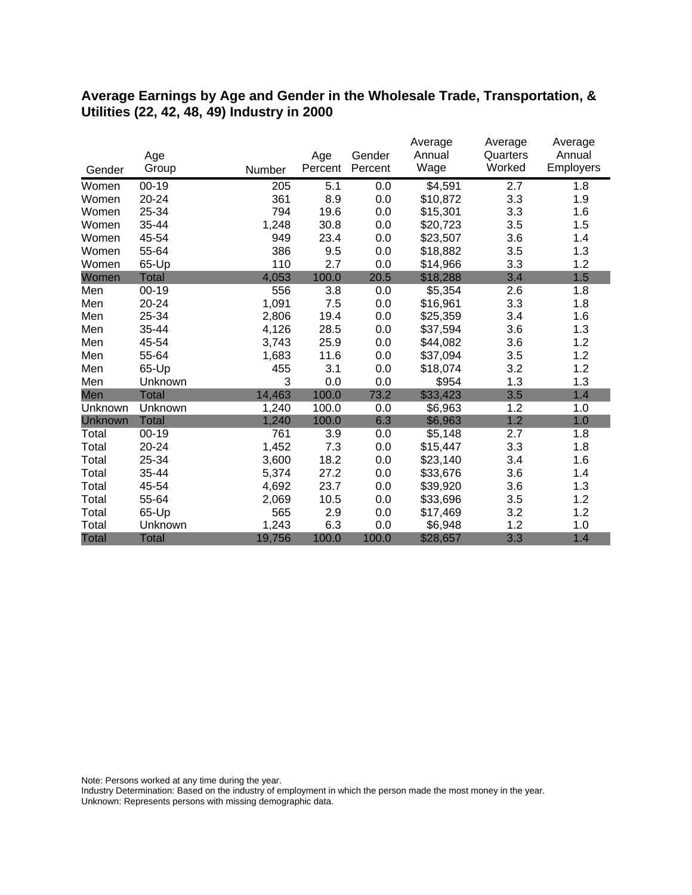#### **Average Earnings by Age and Gender in the Wholesale Trade, Transportation, & Utilities (22, 42, 48, 49) Industry in 2000**

|              |              |        |         |         | Average  | Average  | Average          |
|--------------|--------------|--------|---------|---------|----------|----------|------------------|
|              | Age          |        | Age     | Gender  | Annual   | Quarters | Annual           |
| Gender       | Group        | Number | Percent | Percent | Wage     | Worked   | <b>Employers</b> |
| Women        | $00 - 19$    | 205    | 5.1     | 0.0     | \$4,591  | 2.7      | 1.8              |
| Women        | 20-24        | 361    | 8.9     | 0.0     | \$10,872 | 3.3      | 1.9              |
| Women        | 25-34        | 794    | 19.6    | 0.0     | \$15,301 | 3.3      | 1.6              |
| Women        | 35-44        | 1,248  | 30.8    | 0.0     | \$20,723 | 3.5      | 1.5              |
| Women        | 45-54        | 949    | 23.4    | 0.0     | \$23,507 | 3.6      | 1.4              |
| Women        | 55-64        | 386    | 9.5     | 0.0     | \$18,882 | 3.5      | 1.3              |
| Women        | 65-Up        | 110    | 2.7     | 0.0     | \$14,966 | 3.3      | 1.2              |
| Women        | <b>Total</b> | 4,053  | 100.0   | 20.5    | \$18,288 | 3.4      | 1.5              |
| Men          | $00 - 19$    | 556    | 3.8     | 0.0     | \$5,354  | 2.6      | 1.8              |
| Men          | 20-24        | 1,091  | 7.5     | 0.0     | \$16,961 | 3.3      | 1.8              |
| Men          | 25-34        | 2,806  | 19.4    | 0.0     | \$25,359 | 3.4      | 1.6              |
| Men          | 35-44        | 4,126  | 28.5    | 0.0     | \$37,594 | 3.6      | 1.3              |
| Men          | 45-54        | 3,743  | 25.9    | 0.0     | \$44,082 | 3.6      | 1.2              |
| Men          | 55-64        | 1,683  | 11.6    | 0.0     | \$37,094 | 3.5      | 1.2              |
| Men          | 65-Up        | 455    | 3.1     | 0.0     | \$18,074 | 3.2      | 1.2              |
| Men          | Unknown      | 3      | 0.0     | 0.0     | \$954    | 1.3      | 1.3              |
| Men          | Total        | 14,463 | 100.0   | 73.2    | \$33,423 | 3.5      | 1.4              |
| Unknown      | Unknown      | 1,240  | 100.0   | 0.0     | \$6,963  | 1.2      | 1.0              |
| Unknown      | <b>Total</b> | 1,240  | 100.0   | 6.3     | \$6,963  | 1.2      | 1.0              |
| Total        | $00 - 19$    | 761    | 3.9     | 0.0     | \$5,148  | 2.7      | 1.8              |
| Total        | $20 - 24$    | 1,452  | 7.3     | 0.0     | \$15,447 | 3.3      | 1.8              |
| Total        | 25-34        | 3,600  | 18.2    | 0.0     | \$23,140 | 3.4      | 1.6              |
| Total        | 35-44        | 5,374  | 27.2    | 0.0     | \$33,676 | 3.6      | 1.4              |
| Total        | 45-54        | 4,692  | 23.7    | 0.0     | \$39,920 | 3.6      | 1.3              |
| Total        | 55-64        | 2,069  | 10.5    | 0.0     | \$33,696 | 3.5      | 1.2              |
| Total        | 65-Up        | 565    | 2.9     | 0.0     | \$17,469 | 3.2      | 1.2              |
| Total        | Unknown      | 1,243  | 6.3     | 0.0     | \$6,948  | 1.2      | 1.0              |
| <b>Total</b> | <b>Total</b> | 19,756 | 100.0   | 100.0   | \$28,657 | 3.3      | 1.4              |

Note: Persons worked at any time during the year.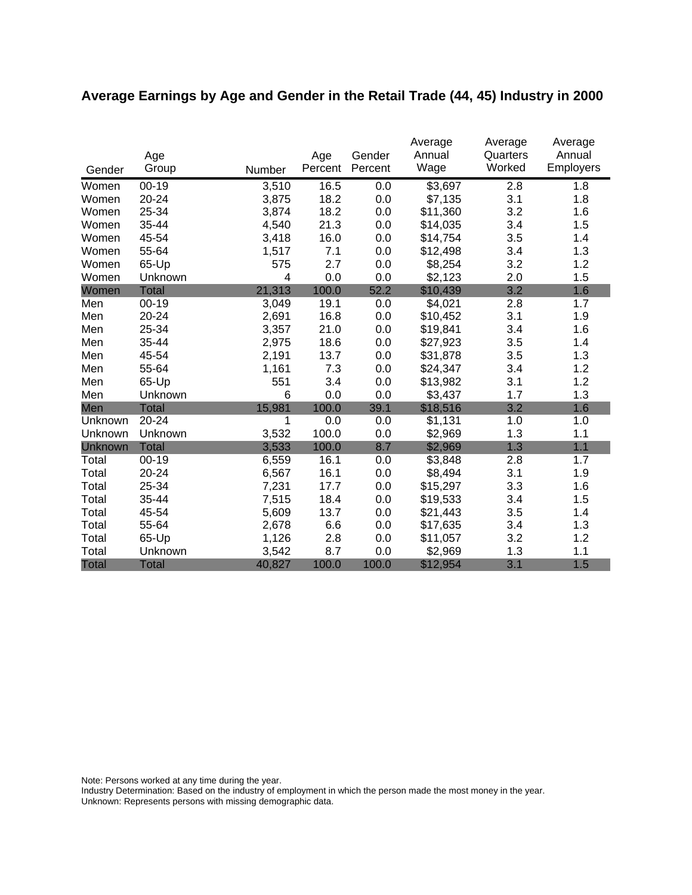# **Average Earnings by Age and Gender in the Retail Trade (44, 45) Industry in 2000**

|              |              |        |         |         | Average  | Average  | Average   |
|--------------|--------------|--------|---------|---------|----------|----------|-----------|
|              | Age          |        | Age     | Gender  | Annual   | Quarters | Annual    |
| Gender       | Group        | Number | Percent | Percent | Wage     | Worked   | Employers |
| Women        | $00 - 19$    | 3,510  | 16.5    | 0.0     | \$3,697  | 2.8      | 1.8       |
| Women        | 20-24        | 3,875  | 18.2    | 0.0     | \$7,135  | 3.1      | 1.8       |
| Women        | 25-34        | 3,874  | 18.2    | 0.0     | \$11,360 | 3.2      | 1.6       |
| Women        | 35-44        | 4,540  | 21.3    | 0.0     | \$14,035 | 3.4      | 1.5       |
| Women        | 45-54        | 3,418  | 16.0    | 0.0     | \$14,754 | 3.5      | 1.4       |
| Women        | 55-64        | 1,517  | 7.1     | 0.0     | \$12,498 | 3.4      | 1.3       |
| Women        | 65-Up        | 575    | 2.7     | 0.0     | \$8,254  | 3.2      | 1.2       |
| Women        | Unknown      | 4      | 0.0     | 0.0     | \$2,123  | 2.0      | 1.5       |
| Women        | <b>Total</b> | 21,313 | 100.0   | 52.2    | \$10,439 | 3.2      | 1.6       |
| Men          | $00 - 19$    | 3,049  | 19.1    | 0.0     | \$4,021  | 2.8      | 1.7       |
| Men          | 20-24        | 2,691  | 16.8    | 0.0     | \$10,452 | 3.1      | 1.9       |
| Men          | 25-34        | 3,357  | 21.0    | 0.0     | \$19,841 | 3.4      | 1.6       |
| Men          | 35-44        | 2,975  | 18.6    | 0.0     | \$27,923 | 3.5      | 1.4       |
| Men          | 45-54        | 2,191  | 13.7    | 0.0     | \$31,878 | 3.5      | 1.3       |
| Men          | 55-64        | 1,161  | 7.3     | 0.0     | \$24,347 | 3.4      | 1.2       |
| Men          | 65-Up        | 551    | 3.4     | 0.0     | \$13,982 | 3.1      | 1.2       |
| Men          | Unknown      | 6      | 0.0     | 0.0     | \$3,437  | 1.7      | 1.3       |
| Men          | <b>Total</b> | 15,981 | 100.0   | 39.1    | \$18,516 | 3.2      | 1.6       |
| Unknown      | 20-24        | 1      | 0.0     | 0.0     | \$1,131  | 1.0      | 1.0       |
| Unknown      | Unknown      | 3,532  | 100.0   | 0.0     | \$2,969  | 1.3      | 1.1       |
| Unknown      | <b>Total</b> | 3,533  | 100.0   | 8.7     | \$2,969  | 1.3      | 1.1       |
| Total        | $00-19$      | 6,559  | 16.1    | 0.0     | \$3,848  | 2.8      | 1.7       |
| Total        | 20-24        | 6,567  | 16.1    | 0.0     | \$8,494  | 3.1      | 1.9       |
| Total        | 25-34        | 7,231  | 17.7    | 0.0     | \$15,297 | 3.3      | 1.6       |
| Total        | 35-44        | 7,515  | 18.4    | 0.0     | \$19,533 | 3.4      | 1.5       |
| Total        | 45-54        | 5,609  | 13.7    | 0.0     | \$21,443 | 3.5      | 1.4       |
| Total        | 55-64        | 2,678  | 6.6     | 0.0     | \$17,635 | 3.4      | 1.3       |
| Total        | 65-Up        | 1,126  | 2.8     | 0.0     | \$11,057 | 3.2      | 1.2       |
| Total        | Unknown      | 3,542  | 8.7     | 0.0     | \$2,969  | 1.3      | 1.1       |
| <b>Total</b> | <b>Total</b> | 40,827 | 100.0   | 100.0   | \$12,954 | 3.1      | 1.5       |

Note: Persons worked at any time during the year.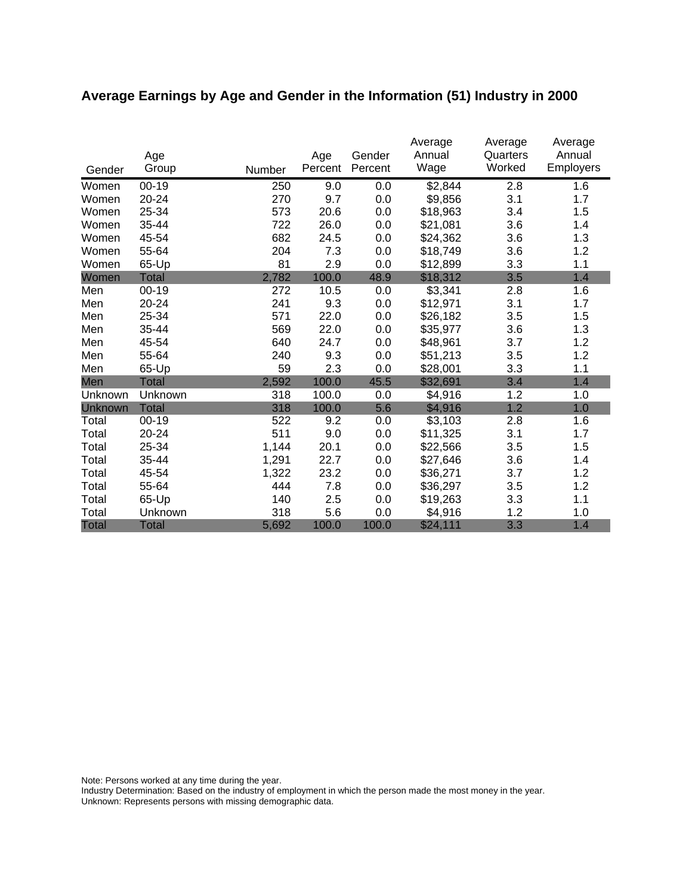# **Average Earnings by Age and Gender in the Information (51) Industry in 2000**

|              | Age          |        | Age     | Gender  | Average<br>Annual | Average<br>Quarters | Average<br>Annual |
|--------------|--------------|--------|---------|---------|-------------------|---------------------|-------------------|
| Gender       | Group        | Number | Percent | Percent | Wage              | Worked              | <b>Employers</b>  |
| Women        | $00 - 19$    | 250    | 9.0     | 0.0     | \$2,844           | 2.8                 | 1.6               |
| Women        | 20-24        | 270    | 9.7     | 0.0     | \$9,856           | 3.1                 | 1.7               |
| Women        | 25-34        | 573    | 20.6    | 0.0     | \$18,963          | 3.4                 | 1.5               |
| Women        | 35-44        | 722    | 26.0    | 0.0     | \$21,081          | 3.6                 | 1.4               |
| Women        | 45-54        | 682    | 24.5    | 0.0     | \$24,362          | 3.6                 | 1.3               |
| Women        | 55-64        | 204    | 7.3     | 0.0     | \$18,749          | 3.6                 | 1.2               |
| Women        | 65-Up        | 81     | 2.9     | 0.0     | \$12,899          | 3.3                 | 1.1               |
| Women        | <b>Total</b> | 2,782  | 100.0   | 48.9    | \$18,312          | 3.5                 | 1.4               |
| Men          | 00-19        | 272    | 10.5    | 0.0     | \$3,341           | 2.8                 | 1.6               |
| Men          | 20-24        | 241    | 9.3     | 0.0     | \$12,971          | 3.1                 | 1.7               |
| Men          | 25-34        | 571    | 22.0    | 0.0     | \$26,182          | 3.5                 | 1.5               |
| Men          | 35-44        | 569    | 22.0    | 0.0     | \$35,977          | 3.6                 | 1.3               |
| Men          | 45-54        | 640    | 24.7    | 0.0     | \$48,961          | 3.7                 | 1.2               |
| Men          | 55-64        | 240    | 9.3     | 0.0     | \$51,213          | 3.5                 | 1.2               |
| Men          | 65-Up        | 59     | 2.3     | 0.0     | \$28,001          | 3.3                 | 1.1               |
| Men          | Total        | 2,592  | 100.0   | 45.5    | \$32,691          | 3.4                 | 1.4               |
| Unknown      | Unknown      | 318    | 100.0   | 0.0     | \$4,916           | 1.2                 | 1.0               |
| Unknown      | <b>Total</b> | 318    | 100.0   | 5.6     | \$4,916           | 1.2                 | 1.0               |
| Total        | $00 - 19$    | 522    | 9.2     | 0.0     | \$3,103           | 2.8                 | 1.6               |
| Total        | 20-24        | 511    | 9.0     | 0.0     | \$11,325          | 3.1                 | 1.7               |
| Total        | 25-34        | 1,144  | 20.1    | 0.0     | \$22,566          | 3.5                 | 1.5               |
| Total        | 35-44        | 1,291  | 22.7    | 0.0     | \$27,646          | 3.6                 | 1.4               |
| Total        | 45-54        | 1,322  | 23.2    | 0.0     | \$36,271          | 3.7                 | 1.2               |
| Total        | 55-64        | 444    | 7.8     | 0.0     | \$36,297          | 3.5                 | 1.2               |
| Total        | 65-Up        | 140    | 2.5     | 0.0     | \$19,263          | 3.3                 | 1.1               |
| Total        | Unknown      | 318    | 5.6     | 0.0     | \$4,916           | 1.2                 | 1.0               |
| <b>Total</b> | <b>Total</b> | 5,692  | 100.0   | 100.0   | \$24,111          | 3.3                 | 1.4               |

Note: Persons worked at any time during the year.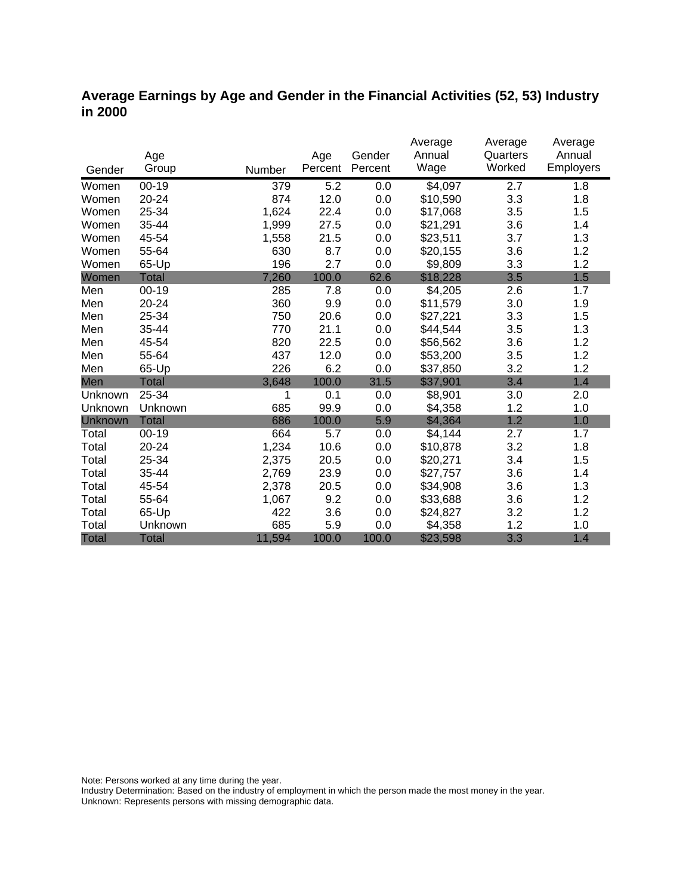#### **Average Earnings by Age and Gender in the Financial Activities (52, 53) Industry in 2000**

|              |              |        |         |         | Average  | Average  | Average          |
|--------------|--------------|--------|---------|---------|----------|----------|------------------|
|              | Age          |        | Age     | Gender  | Annual   | Quarters | Annual           |
| Gender       | Group        | Number | Percent | Percent | Wage     | Worked   | <b>Employers</b> |
| Women        | $00 - 19$    | 379    | 5.2     | 0.0     | \$4,097  | 2.7      | 1.8              |
| Women        | 20-24        | 874    | 12.0    | 0.0     | \$10,590 | 3.3      | 1.8              |
| Women        | 25-34        | 1,624  | 22.4    | 0.0     | \$17,068 | 3.5      | 1.5              |
| Women        | 35-44        | 1,999  | 27.5    | 0.0     | \$21,291 | 3.6      | 1.4              |
| Women        | 45-54        | 1,558  | 21.5    | 0.0     | \$23,511 | 3.7      | 1.3              |
| Women        | 55-64        | 630    | 8.7     | 0.0     | \$20,155 | 3.6      | 1.2              |
| Women        | 65-Up        | 196    | 2.7     | 0.0     | \$9,809  | 3.3      | 1.2              |
| Women        | <b>Total</b> | 7,260  | 100.0   | 62.6    | \$18,228 | 3.5      | 1.5              |
| Men          | $00 - 19$    | 285    | 7.8     | 0.0     | \$4,205  | 2.6      | 1.7              |
| Men          | 20-24        | 360    | 9.9     | 0.0     | \$11,579 | 3.0      | 1.9              |
| Men          | 25-34        | 750    | 20.6    | 0.0     | \$27,221 | 3.3      | 1.5              |
| Men          | 35-44        | 770    | 21.1    | 0.0     | \$44,544 | 3.5      | 1.3              |
| Men          | 45-54        | 820    | 22.5    | 0.0     | \$56,562 | 3.6      | 1.2              |
| Men          | 55-64        | 437    | 12.0    | 0.0     | \$53,200 | 3.5      | 1.2              |
| Men          | 65-Up        | 226    | 6.2     | 0.0     | \$37,850 | 3.2      | 1.2              |
| Men          | <b>Total</b> | 3,648  | 100.0   | 31.5    | \$37,901 | 3.4      | 1.4              |
| Unknown      | 25-34        | 1      | 0.1     | 0.0     | \$8,901  | 3.0      | 2.0              |
| Unknown      | Unknown      | 685    | 99.9    | 0.0     | \$4,358  | 1.2      | 1.0              |
| Unknown      | <b>Total</b> | 686    | 100.0   | 5.9     | \$4,364  | 1.2      | 1.0              |
| Total        | $00 - 19$    | 664    | 5.7     | 0.0     | \$4,144  | 2.7      | 1.7              |
| Total        | $20 - 24$    | 1,234  | 10.6    | 0.0     | \$10,878 | 3.2      | 1.8              |
| Total        | 25-34        | 2,375  | 20.5    | 0.0     | \$20,271 | 3.4      | 1.5              |
| Total        | 35-44        | 2,769  | 23.9    | 0.0     | \$27,757 | 3.6      | 1.4              |
| Total        | 45-54        | 2,378  | 20.5    | 0.0     | \$34,908 | 3.6      | 1.3              |
| Total        | 55-64        | 1,067  | 9.2     | 0.0     | \$33,688 | 3.6      | 1.2              |
| Total        | 65-Up        | 422    | 3.6     | 0.0     | \$24,827 | 3.2      | 1.2              |
| Total        | Unknown      | 685    | 5.9     | 0.0     | \$4,358  | 1.2      | 1.0              |
| <b>Total</b> | <b>Total</b> | 11,594 | 100.0   | 100.0   | \$23,598 | 3.3      | 1.4              |

Note: Persons worked at any time during the year.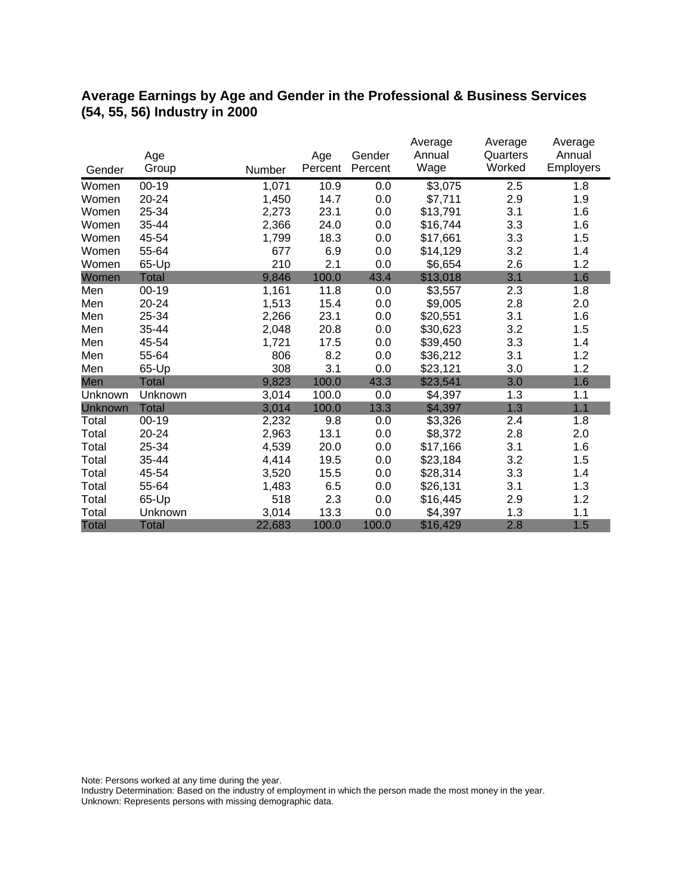### **Average Earnings by Age and Gender in the Professional & Business Services (54, 55, 56) Industry in 2000**

|              | Age          |        | Age     | Gender  | Average<br>Annual | Average<br>Quarters | Average<br>Annual |
|--------------|--------------|--------|---------|---------|-------------------|---------------------|-------------------|
| Gender       | Group        | Number | Percent | Percent | Wage              | Worked              | <b>Employers</b>  |
| Women        | $00 - 19$    | 1,071  | 10.9    | 0.0     | \$3,075           | 2.5                 | 1.8               |
| Women        | 20-24        | 1,450  | 14.7    | 0.0     | \$7,711           | 2.9                 | 1.9               |
| Women        | 25-34        | 2,273  | 23.1    | 0.0     | \$13,791          | 3.1                 | 1.6               |
| Women        | 35-44        | 2,366  | 24.0    | 0.0     | \$16,744          | 3.3                 | 1.6               |
| Women        | 45-54        | 1,799  | 18.3    | 0.0     | \$17,661          | 3.3                 | 1.5               |
| Women        | 55-64        | 677    | 6.9     | 0.0     | \$14,129          | 3.2                 | 1.4               |
| Women        | 65-Up        | 210    | 2.1     | 0.0     | \$6,654           | 2.6                 | 1.2               |
| Women        | <b>Total</b> | 9,846  | 100.0   | 43.4    | \$13,018          | 3.1                 | 1.6               |
| Men          | $00 - 19$    | 1,161  | 11.8    | 0.0     | \$3,557           | 2.3                 | 1.8               |
| Men          | 20-24        | 1,513  | 15.4    | 0.0     | \$9,005           | 2.8                 | 2.0               |
| Men          | 25-34        | 2,266  | 23.1    | 0.0     | \$20,551          | 3.1                 | 1.6               |
| Men          | 35-44        | 2,048  | 20.8    | 0.0     | \$30,623          | 3.2                 | 1.5               |
| Men          | 45-54        | 1,721  | 17.5    | 0.0     | \$39,450          | 3.3                 | 1.4               |
| Men          | 55-64        | 806    | 8.2     | 0.0     | \$36,212          | 3.1                 | 1.2               |
| Men          | 65-Up        | 308    | 3.1     | 0.0     | \$23,121          | 3.0                 | 1.2               |
| Men          | <b>Total</b> | 9,823  | 100.0   | 43.3    | \$23,541          | 3.0                 | 1.6               |
| Unknown      | Unknown      | 3,014  | 100.0   | 0.0     | \$4,397           | 1.3                 | 1.1               |
| Unknown      | <b>Total</b> | 3,014  | 100.0   | 13.3    | \$4,397           | 1.3                 | 1.1               |
| Total        | $00 - 19$    | 2,232  | 9.8     | 0.0     | \$3,326           | 2.4                 | 1.8               |
| Total        | 20-24        | 2,963  | 13.1    | 0.0     | \$8,372           | 2.8                 | 2.0               |
| Total        | 25-34        | 4,539  | 20.0    | 0.0     | \$17,166          | 3.1                 | 1.6               |
| Total        | 35-44        | 4,414  | 19.5    | 0.0     | \$23,184          | 3.2                 | 1.5               |
| Total        | 45-54        | 3,520  | 15.5    | 0.0     | \$28,314          | 3.3                 | 1.4               |
| Total        | 55-64        | 1,483  | 6.5     | 0.0     | \$26,131          | 3.1                 | 1.3               |
| Total        | 65-Up        | 518    | 2.3     | 0.0     | \$16,445          | 2.9                 | 1.2               |
| Total        | Unknown      | 3,014  | 13.3    | 0.0     | \$4,397           | 1.3                 | 1.1               |
| <b>Total</b> | <b>Total</b> | 22,683 | 100.0   | 100.0   | \$16,429          | 2.8                 | 1.5               |

Note: Persons worked at any time during the year.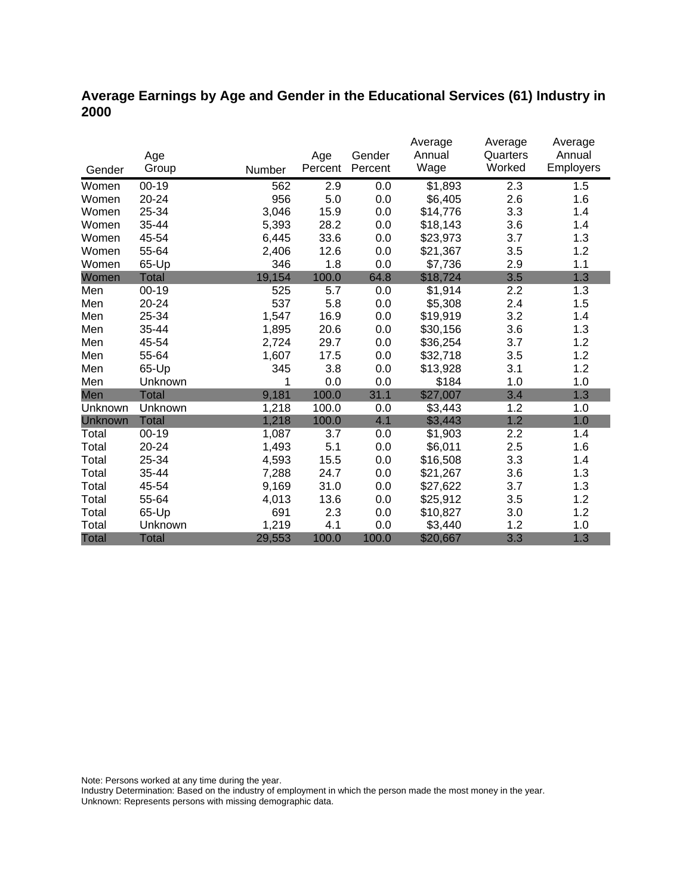### **Average Earnings by Age and Gender in the Educational Services (61) Industry in 2000**

|              |              |        |         |         | Average             | Average  | Average   |
|--------------|--------------|--------|---------|---------|---------------------|----------|-----------|
|              | Age          |        | Age     | Gender  | Annual              | Quarters | Annual    |
| Gender       | Group        | Number | Percent | Percent | Wage                | Worked   | Employers |
| Women        | $00 - 19$    | 562    | 2.9     | 0.0     | $\overline{$}1,893$ | 2.3      | 1.5       |
| Women        | 20-24        | 956    | 5.0     | 0.0     | \$6,405             | 2.6      | 1.6       |
| Women        | 25-34        | 3,046  | 15.9    | 0.0     | \$14,776            | 3.3      | 1.4       |
| Women        | 35-44        | 5,393  | 28.2    | 0.0     | \$18,143            | 3.6      | 1.4       |
| Women        | 45-54        | 6,445  | 33.6    | 0.0     | \$23,973            | 3.7      | 1.3       |
| Women        | 55-64        | 2,406  | 12.6    | 0.0     | \$21,367            | 3.5      | 1.2       |
| Women        | 65-Up        | 346    | 1.8     | 0.0     | \$7,736             | 2.9      | 1.1       |
| Women        | <b>Total</b> | 19,154 | 100.0   | 64.8    | \$18,724            | 3.5      | 1.3       |
| Men          | $00 - 19$    | 525    | 5.7     | 0.0     | \$1,914             | 2.2      | 1.3       |
| Men          | 20-24        | 537    | 5.8     | 0.0     | \$5,308             | 2.4      | 1.5       |
| Men          | 25-34        | 1,547  | 16.9    | 0.0     | \$19,919            | 3.2      | 1.4       |
| Men          | 35-44        | 1,895  | 20.6    | 0.0     | \$30,156            | 3.6      | 1.3       |
| Men          | 45-54        | 2,724  | 29.7    | 0.0     | \$36,254            | 3.7      | 1.2       |
| Men          | 55-64        | 1,607  | 17.5    | 0.0     | \$32,718            | 3.5      | 1.2       |
| Men          | 65-Up        | 345    | 3.8     | 0.0     | \$13,928            | 3.1      | 1.2       |
| Men          | Unknown      | 1      | 0.0     | 0.0     | \$184               | 1.0      | 1.0       |
| Men          | <b>Total</b> | 9,181  | 100.0   | 31.1    | \$27,007            | 3.4      | 1.3       |
| Unknown      | Unknown      | 1,218  | 100.0   | 0.0     | \$3,443             | 1.2      | 1.0       |
| Unknown      | <b>Total</b> | 1,218  | 100.0   | 4.1     | \$3,443             | 1.2      | 1.0       |
| Total        | $00 - 19$    | 1,087  | 3.7     | 0.0     | \$1,903             | 2.2      | 1.4       |
| Total        | 20-24        | 1,493  | 5.1     | 0.0     | \$6,011             | 2.5      | 1.6       |
| Total        | 25-34        | 4,593  | 15.5    | 0.0     | \$16,508            | 3.3      | 1.4       |
| Total        | 35-44        | 7,288  | 24.7    | 0.0     | \$21,267            | 3.6      | 1.3       |
| Total        | 45-54        | 9,169  | 31.0    | 0.0     | \$27,622            | 3.7      | 1.3       |
| Total        | 55-64        | 4,013  | 13.6    | 0.0     | \$25,912            | 3.5      | 1.2       |
| Total        | 65-Up        | 691    | 2.3     | 0.0     | \$10,827            | 3.0      | 1.2       |
| Total        | Unknown      | 1,219  | 4.1     | 0.0     | \$3,440             | 1.2      | 1.0       |
| <b>Total</b> | <b>Total</b> | 29,553 | 100.0   | 100.0   | \$20,667            | 3.3      | 1.3       |

Note: Persons worked at any time during the year.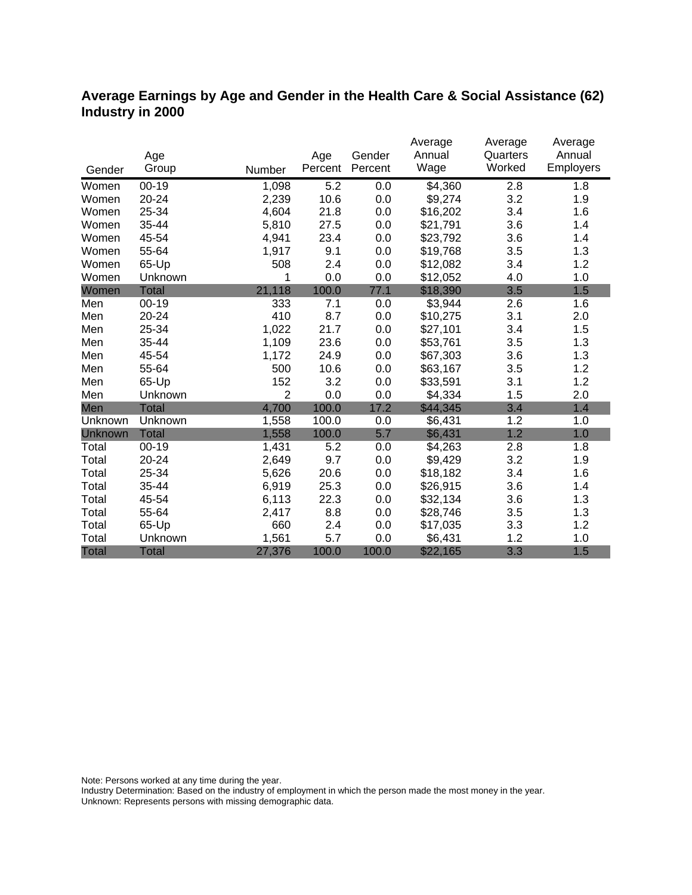### **Average Earnings by Age and Gender in the Health Care & Social Assistance (62) Industry in 2000**

|              |              |                |         |         | Average        | Average  | Average   |
|--------------|--------------|----------------|---------|---------|----------------|----------|-----------|
|              | Age          |                | Age     | Gender  | Annual         | Quarters | Annual    |
| Gender       | Group        | Number         | Percent | Percent | Wage           | Worked   | Employers |
| Women        | $00 - 19$    | 1,098          | 5.2     | 0.0     | $\sqrt{4,360}$ | 2.8      | 1.8       |
| Women        | 20-24        | 2,239          | 10.6    | 0.0     | \$9,274        | 3.2      | 1.9       |
| Women        | 25-34        | 4,604          | 21.8    | 0.0     | \$16,202       | 3.4      | 1.6       |
| Women        | 35-44        | 5,810          | 27.5    | 0.0     | \$21,791       | 3.6      | 1.4       |
| Women        | 45-54        | 4,941          | 23.4    | 0.0     | \$23,792       | 3.6      | 1.4       |
| Women        | 55-64        | 1,917          | 9.1     | 0.0     | \$19,768       | 3.5      | 1.3       |
| Women        | 65-Up        | 508            | 2.4     | 0.0     | \$12,082       | 3.4      | 1.2       |
| Women        | Unknown      | 1              | 0.0     | 0.0     | \$12,052       | 4.0      | 1.0       |
| Women        | <b>Total</b> | 21,118         | 100.0   | 77.1    | \$18,390       | 3.5      | 1.5       |
| Men          | $00 - 19$    | 333            | 7.1     | 0.0     | \$3,944        | 2.6      | 1.6       |
| Men          | 20-24        | 410            | 8.7     | 0.0     | \$10,275       | 3.1      | 2.0       |
| Men          | 25-34        | 1,022          | 21.7    | 0.0     | \$27,101       | 3.4      | 1.5       |
| Men          | 35-44        | 1,109          | 23.6    | 0.0     | \$53,761       | 3.5      | 1.3       |
| Men          | 45-54        | 1,172          | 24.9    | 0.0     | \$67,303       | 3.6      | 1.3       |
| Men          | 55-64        | 500            | 10.6    | 0.0     | \$63,167       | 3.5      | 1.2       |
| Men          | 65-Up        | 152            | 3.2     | 0.0     | \$33,591       | 3.1      | 1.2       |
| Men          | Unknown      | $\overline{2}$ | 0.0     | 0.0     | \$4,334        | 1.5      | 2.0       |
| Men          | <b>Total</b> | 4,700          | 100.0   | 17.2    | \$44,345       | 3.4      | 1.4       |
| Unknown      | Unknown      | 1,558          | 100.0   | 0.0     | \$6,431        | 1.2      | 1.0       |
| Unknown      | <b>Total</b> | 1,558          | 100.0   | 5.7     | \$6,431        | 1.2      | 1.0       |
| Total        | $00 - 19$    | 1,431          | 5.2     | 0.0     | \$4,263        | 2.8      | 1.8       |
| Total        | 20-24        | 2,649          | 9.7     | 0.0     | \$9,429        | 3.2      | 1.9       |
| Total        | 25-34        | 5,626          | 20.6    | 0.0     | \$18,182       | 3.4      | 1.6       |
| Total        | 35-44        | 6,919          | 25.3    | 0.0     | \$26,915       | 3.6      | 1.4       |
| Total        | 45-54        | 6,113          | 22.3    | 0.0     | \$32,134       | 3.6      | 1.3       |
| Total        | 55-64        | 2,417          | 8.8     | 0.0     | \$28,746       | 3.5      | 1.3       |
| Total        | 65-Up        | 660            | 2.4     | 0.0     | \$17,035       | 3.3      | 1.2       |
| Total        | Unknown      | 1,561          | 5.7     | 0.0     | \$6,431        | 1.2      | 1.0       |
| <b>Total</b> | <b>Total</b> | 27,376         | 100.0   | 100.0   | \$22,165       | 3.3      | 1.5       |

Note: Persons worked at any time during the year.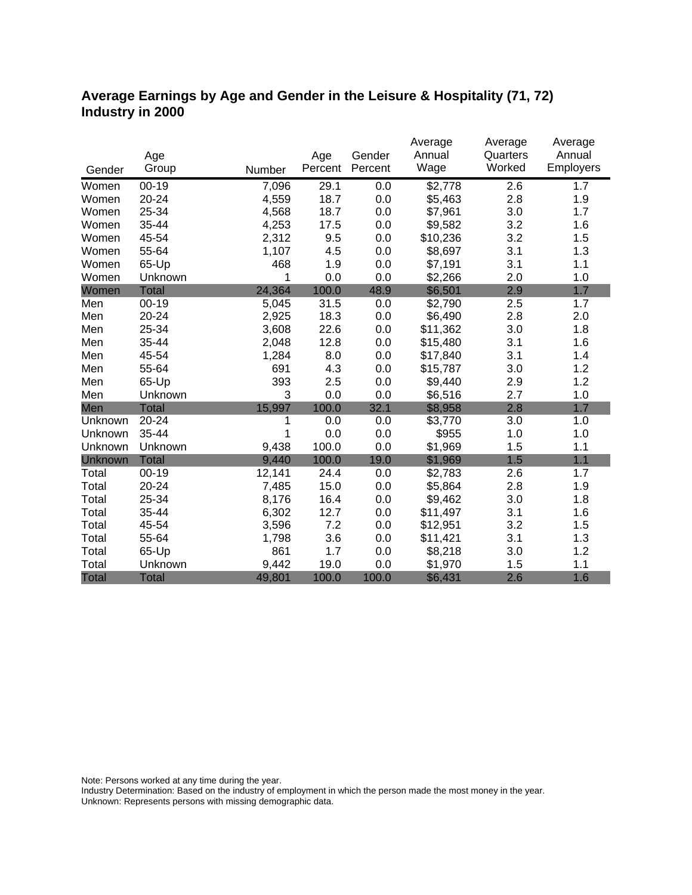### **Average Earnings by Age and Gender in the Leisure & Hospitality (71, 72) Industry in 2000**

|              |              |        |         |         | Average  | Average  | Average   |
|--------------|--------------|--------|---------|---------|----------|----------|-----------|
|              | Age          |        | Age     | Gender  | Annual   | Quarters | Annual    |
| Gender       | Group        | Number | Percent | Percent | Wage     | Worked   | Employers |
| Women        | $00 - 19$    | 7,096  | 29.1    | 0.0     | \$2,778  | 2.6      | 1.7       |
| Women        | 20-24        | 4,559  | 18.7    | 0.0     | \$5,463  | 2.8      | 1.9       |
| Women        | 25-34        | 4,568  | 18.7    | 0.0     | \$7,961  | 3.0      | 1.7       |
| Women        | 35-44        | 4,253  | 17.5    | 0.0     | \$9,582  | 3.2      | 1.6       |
| Women        | 45-54        | 2,312  | 9.5     | 0.0     | \$10,236 | 3.2      | 1.5       |
| Women        | 55-64        | 1,107  | 4.5     | 0.0     | \$8,697  | 3.1      | 1.3       |
| Women        | 65-Up        | 468    | 1.9     | 0.0     | \$7,191  | 3.1      | 1.1       |
| Women        | Unknown      | 1      | 0.0     | 0.0     | \$2,266  | 2.0      | 1.0       |
| Women        | <b>Total</b> | 24,364 | 100.0   | 48.9    | \$6,501  | 2.9      | 1.7       |
| Men          | $00 - 19$    | 5,045  | 31.5    | 0.0     | \$2,790  | 2.5      | 1.7       |
| Men          | 20-24        | 2,925  | 18.3    | 0.0     | \$6,490  | 2.8      | 2.0       |
| Men          | 25-34        | 3,608  | 22.6    | 0.0     | \$11,362 | 3.0      | 1.8       |
| Men          | 35-44        | 2,048  | 12.8    | 0.0     | \$15,480 | 3.1      | 1.6       |
| Men          | 45-54        | 1,284  | 8.0     | 0.0     | \$17,840 | 3.1      | 1.4       |
| Men          | 55-64        | 691    | 4.3     | 0.0     | \$15,787 | 3.0      | 1.2       |
| Men          | 65-Up        | 393    | 2.5     | 0.0     | \$9,440  | 2.9      | 1.2       |
| Men          | Unknown      | 3      | 0.0     | 0.0     | \$6,516  | 2.7      | 1.0       |
| Men          | <b>Total</b> | 15,997 | 100.0   | 32.1    | \$8,958  | 2.8      | 1.7       |
| Unknown      | 20-24        | 1      | 0.0     | 0.0     | \$3,770  | 3.0      | 1.0       |
| Unknown      | 35-44        | 1      | 0.0     | 0.0     | \$955    | 1.0      | 1.0       |
| Unknown      | Unknown      | 9,438  | 100.0   | 0.0     | \$1,969  | 1.5      | 1.1       |
| Unknown      | <b>Total</b> | 9,440  | 100.0   | 19.0    | \$1,969  | 1.5      | 1.1       |
| Total        | $00 - 19$    | 12,141 | 24.4    | 0.0     | \$2,783  | 2.6      | 1.7       |
| Total        | 20-24        | 7,485  | 15.0    | 0.0     | \$5,864  | 2.8      | 1.9       |
| Total        | 25-34        | 8,176  | 16.4    | 0.0     | \$9,462  | 3.0      | 1.8       |
| Total        | 35-44        | 6,302  | 12.7    | 0.0     | \$11,497 | 3.1      | 1.6       |
| Total        | 45-54        | 3,596  | 7.2     | 0.0     | \$12,951 | 3.2      | 1.5       |
| Total        | 55-64        | 1,798  | 3.6     | 0.0     | \$11,421 | 3.1      | 1.3       |
| Total        | 65-Up        | 861    | 1.7     | 0.0     | \$8,218  | 3.0      | 1.2       |
| Total        | Unknown      | 9,442  | 19.0    | 0.0     | \$1,970  | 1.5      | 1.1       |
| <b>Total</b> | <b>Total</b> | 49,801 | 100.0   | 100.0   | \$6,431  | 2.6      | 1.6       |

Note: Persons worked at any time during the year.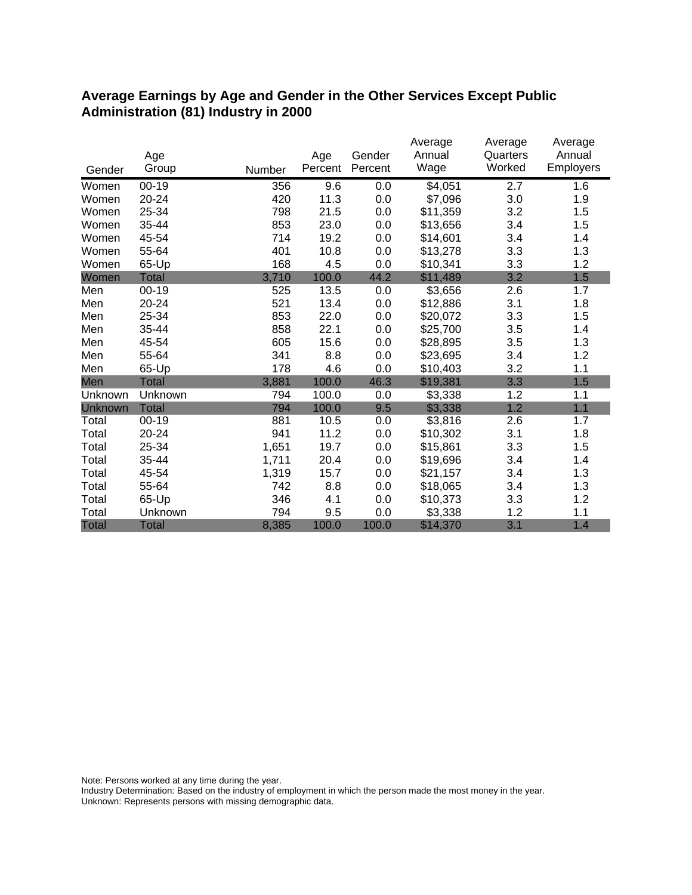#### **Average Earnings by Age and Gender in the Other Services Except Public Administration (81) Industry in 2000**

|                |              |        |         |         | Average  | Average  | Average   |
|----------------|--------------|--------|---------|---------|----------|----------|-----------|
|                | Age          |        | Age     | Gender  | Annual   | Quarters | Annual    |
| Gender         | Group        | Number | Percent | Percent | Wage     | Worked   | Employers |
| Women          | $00-19$      | 356    | 9.6     | 0.0     | \$4,051  | 2.7      | 1.6       |
| Women          | 20-24        | 420    | 11.3    | 0.0     | \$7,096  | 3.0      | 1.9       |
| Women          | 25-34        | 798    | 21.5    | 0.0     | \$11,359 | 3.2      | 1.5       |
| Women          | 35-44        | 853    | 23.0    | 0.0     | \$13,656 | 3.4      | 1.5       |
| Women          | 45-54        | 714    | 19.2    | 0.0     | \$14,601 | 3.4      | 1.4       |
| Women          | 55-64        | 401    | 10.8    | 0.0     | \$13,278 | 3.3      | 1.3       |
| Women          | 65-Up        | 168    | 4.5     | 0.0     | \$10,341 | 3.3      | 1.2       |
| Women          | <b>Total</b> | 3,710  | 100.0   | 44.2    | \$11,489 | 3.2      | 1.5       |
| Men            | $00 - 19$    | 525    | 13.5    | 0.0     | \$3,656  | 2.6      | 1.7       |
| Men            | 20-24        | 521    | 13.4    | 0.0     | \$12,886 | 3.1      | 1.8       |
| Men            | 25-34        | 853    | 22.0    | 0.0     | \$20,072 | 3.3      | 1.5       |
| Men            | 35-44        | 858    | 22.1    | 0.0     | \$25,700 | 3.5      | 1.4       |
| Men            | 45-54        | 605    | 15.6    | 0.0     | \$28,895 | 3.5      | 1.3       |
| Men            | 55-64        | 341    | 8.8     | 0.0     | \$23,695 | 3.4      | 1.2       |
| Men            | 65-Up        | 178    | 4.6     | 0.0     | \$10,403 | 3.2      | 1.1       |
| Men            | <b>Total</b> | 3,881  | 100.0   | 46.3    | \$19,381 | 3.3      | 1.5       |
| Unknown        | Unknown      | 794    | 100.0   | 0.0     | \$3,338  | 1.2      | 1.1       |
| <b>Unknown</b> | <b>Total</b> | 794    | 100.0   | 9.5     | \$3,338  | 1.2      | 1.1       |
| Total          | $00 - 19$    | 881    | 10.5    | 0.0     | \$3,816  | 2.6      | 1.7       |
| Total          | 20-24        | 941    | 11.2    | 0.0     | \$10,302 | 3.1      | 1.8       |
| Total          | 25-34        | 1,651  | 19.7    | 0.0     | \$15,861 | 3.3      | 1.5       |
| Total          | 35-44        | 1,711  | 20.4    | 0.0     | \$19,696 | 3.4      | 1.4       |
| Total          | 45-54        | 1,319  | 15.7    | 0.0     | \$21,157 | 3.4      | 1.3       |
| Total          | 55-64        | 742    | 8.8     | 0.0     | \$18,065 | 3.4      | 1.3       |
| Total          | 65-Up        | 346    | 4.1     | 0.0     | \$10,373 | 3.3      | 1.2       |
| Total          | Unknown      | 794    | 9.5     | 0.0     | \$3,338  | 1.2      | 1.1       |
| <b>Total</b>   | <b>Total</b> | 8,385  | 100.0   | 100.0   | \$14,370 | 3.1      | 1.4       |

Note: Persons worked at any time during the year.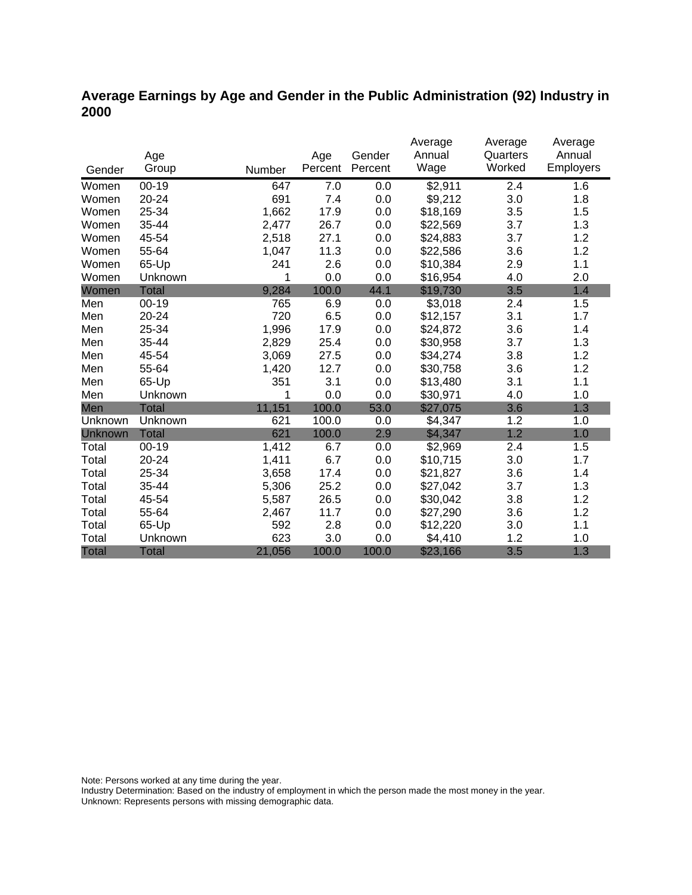### **Average Earnings by Age and Gender in the Public Administration (92) Industry in 2000**

|              |              |        |         |         | Average  | Average  | Average   |
|--------------|--------------|--------|---------|---------|----------|----------|-----------|
|              | Age          |        | Age     | Gender  | Annual   | Quarters | Annual    |
| Gender       | Group        | Number | Percent | Percent | Wage     | Worked   | Employers |
| Women        | $00 - 19$    | 647    | 7.0     | 0.0     | \$2,911  | 2.4      | 1.6       |
| Women        | 20-24        | 691    | 7.4     | 0.0     | \$9,212  | 3.0      | 1.8       |
| Women        | 25-34        | 1,662  | 17.9    | 0.0     | \$18,169 | 3.5      | 1.5       |
| Women        | 35-44        | 2,477  | 26.7    | 0.0     | \$22,569 | 3.7      | 1.3       |
| Women        | 45-54        | 2,518  | 27.1    | 0.0     | \$24,883 | 3.7      | 1.2       |
| Women        | 55-64        | 1,047  | 11.3    | 0.0     | \$22,586 | 3.6      | 1.2       |
| Women        | 65-Up        | 241    | 2.6     | 0.0     | \$10,384 | 2.9      | 1.1       |
| Women        | Unknown      | 1      | 0.0     | 0.0     | \$16,954 | 4.0      | 2.0       |
| Women        | <b>Total</b> | 9,284  | 100.0   | 44.1    | \$19,730 | 3.5      | 1.4       |
| Men          | $00 - 19$    | 765    | 6.9     | 0.0     | \$3,018  | 2.4      | 1.5       |
| Men          | 20-24        | 720    | 6.5     | 0.0     | \$12,157 | 3.1      | 1.7       |
| Men          | 25-34        | 1,996  | 17.9    | 0.0     | \$24,872 | 3.6      | 1.4       |
| Men          | 35-44        | 2,829  | 25.4    | 0.0     | \$30,958 | 3.7      | 1.3       |
| Men          | 45-54        | 3,069  | 27.5    | 0.0     | \$34,274 | 3.8      | 1.2       |
| Men          | 55-64        | 1,420  | 12.7    | 0.0     | \$30,758 | 3.6      | 1.2       |
| Men          | 65-Up        | 351    | 3.1     | 0.0     | \$13,480 | 3.1      | 1.1       |
| Men          | Unknown      | 1      | 0.0     | 0.0     | \$30,971 | 4.0      | 1.0       |
| Men          | <b>Total</b> | 11,151 | 100.0   | 53.0    | \$27,075 | 3.6      | 1.3       |
| Unknown      | Unknown      | 621    | 100.0   | 0.0     | \$4,347  | 1.2      | 1.0       |
| Unknown      | Total        | 621    | 100.0   | 2.9     | \$4,347  | 1.2      | 1.0       |
| Total        | $00 - 19$    | 1,412  | 6.7     | 0.0     | \$2,969  | 2.4      | 1.5       |
| Total        | $20 - 24$    | 1,411  | 6.7     | 0.0     | \$10,715 | 3.0      | 1.7       |
| Total        | 25-34        | 3,658  | 17.4    | 0.0     | \$21,827 | 3.6      | 1.4       |
| Total        | 35-44        | 5,306  | 25.2    | 0.0     | \$27,042 | 3.7      | 1.3       |
| Total        | 45-54        | 5,587  | 26.5    | 0.0     | \$30,042 | 3.8      | 1.2       |
| Total        | 55-64        | 2,467  | 11.7    | 0.0     | \$27,290 | 3.6      | 1.2       |
| Total        | 65-Up        | 592    | 2.8     | 0.0     | \$12,220 | 3.0      | 1.1       |
| Total        | Unknown      | 623    | 3.0     | 0.0     | \$4,410  | 1.2      | 1.0       |
| <b>Total</b> | <b>Total</b> | 21,056 | 100.0   | 100.0   | \$23,166 | 3.5      | 1.3       |

Note: Persons worked at any time during the year.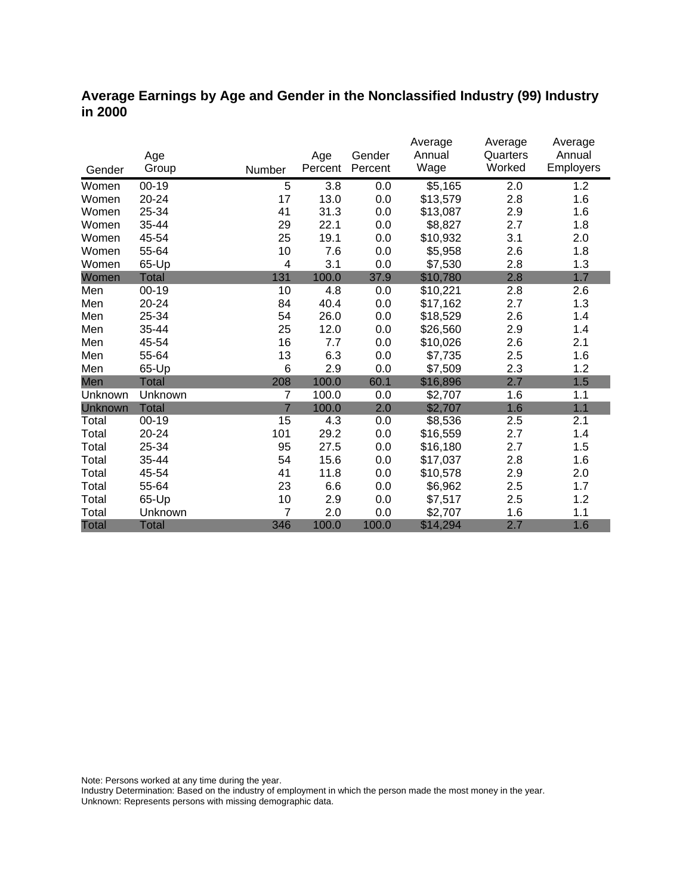#### **Average Earnings by Age and Gender in the Nonclassified Industry (99) Industry in 2000**

|              | Age          |                | Age     | Gender  | Average<br>Annual | Average<br>Quarters | Average<br>Annual |
|--------------|--------------|----------------|---------|---------|-------------------|---------------------|-------------------|
| Gender       | Group        | Number         | Percent | Percent | Wage              | Worked              | <b>Employers</b>  |
| Women        | $00 - 19$    | 5              | 3.8     | 0.0     | \$5,165           | 2.0                 | 1.2               |
| Women        | $20 - 24$    | 17             | 13.0    | 0.0     | \$13,579          | 2.8                 | 1.6               |
| Women        | 25-34        | 41             | 31.3    | 0.0     | \$13,087          | 2.9                 | 1.6               |
| Women        | 35-44        | 29             | 22.1    | 0.0     | \$8,827           | 2.7                 | 1.8               |
| Women        | 45-54        | 25             | 19.1    | 0.0     | \$10,932          | 3.1                 | 2.0               |
| Women        | 55-64        | 10             | 7.6     | 0.0     | \$5,958           | 2.6                 | 1.8               |
| Women        | 65-Up        | 4              | 3.1     | 0.0     | \$7,530           | 2.8                 | 1.3               |
| Women        | <b>Total</b> | 131            | 100.0   | 37.9    | \$10,780          | 2.8                 | 1.7               |
| Men          | $00 - 19$    | 10             | 4.8     | 0.0     | \$10,221          | 2.8                 | 2.6               |
| Men          | 20-24        | 84             | 40.4    | 0.0     | \$17,162          | 2.7                 | 1.3               |
| Men          | 25-34        | 54             | 26.0    | 0.0     | \$18,529          | 2.6                 | 1.4               |
| Men          | 35-44        | 25             | 12.0    | 0.0     | \$26,560          | 2.9                 | 1.4               |
| Men          | 45-54        | 16             | 7.7     | 0.0     | \$10,026          | 2.6                 | 2.1               |
| Men          | 55-64        | 13             | 6.3     | 0.0     | \$7,735           | 2.5                 | 1.6               |
| Men          | 65-Up        | 6              | 2.9     | 0.0     | \$7,509           | 2.3                 | 1.2               |
| Men          | <b>Total</b> | 208            | 100.0   | 60.1    | \$16,896          | 2.7                 | 1.5               |
| Unknown      | Unknown      | 7              | 100.0   | 0.0     | \$2,707           | 1.6                 | 1.1               |
| Unknown      | <b>Total</b> | $\overline{7}$ | 100.0   | 2.0     | \$2,707           | 1.6                 | 1.1               |
| Total        | $00 - 19$    | 15             | 4.3     | 0.0     | \$8,536           | 2.5                 | 2.1               |
| Total        | 20-24        | 101            | 29.2    | 0.0     | \$16,559          | 2.7                 | 1.4               |
| Total        | 25-34        | 95             | 27.5    | 0.0     | \$16,180          | 2.7                 | 1.5               |
| Total        | 35-44        | 54             | 15.6    | 0.0     | \$17,037          | 2.8                 | 1.6               |
| Total        | 45-54        | 41             | 11.8    | 0.0     | \$10,578          | 2.9                 | 2.0               |
| Total        | 55-64        | 23             | 6.6     | 0.0     | \$6,962           | 2.5                 | 1.7               |
| Total        | 65-Up        | 10             | 2.9     | 0.0     | \$7,517           | 2.5                 | 1.2               |
| Total        | Unknown      | 7              | 2.0     | 0.0     | \$2,707           | 1.6                 | 1.1               |
| <b>Total</b> | <b>Total</b> | 346            | 100.0   | 100.0   | \$14,294          | 2.7                 | 1.6               |

Note: Persons worked at any time during the year.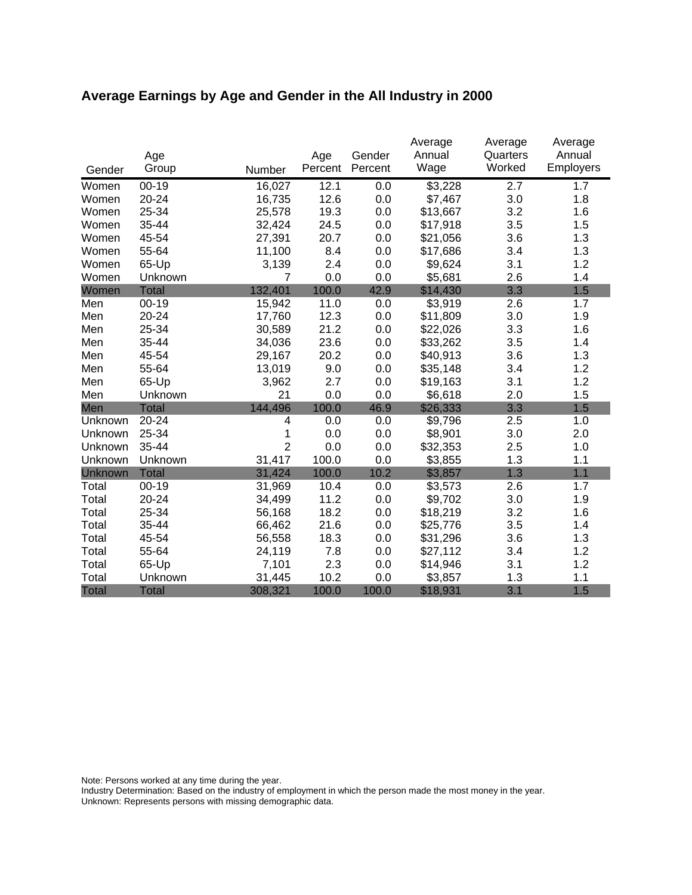# **Average Earnings by Age and Gender in the All Industry in 2000**

|              |              |                |                |                   | Average        | Average            | Average             |
|--------------|--------------|----------------|----------------|-------------------|----------------|--------------------|---------------------|
| Gender       | Age<br>Group | Number         | Age<br>Percent | Gender<br>Percent | Annual<br>Wage | Quarters<br>Worked | Annual<br>Employers |
| Women        | $00 - 19$    | 16,027         | 12.1           | 0.0               | \$3,228        | 2.7                | 1.7                 |
| Women        | 20-24        | 16,735         | 12.6           | 0.0               | \$7,467        | 3.0                | 1.8                 |
| Women        | 25-34        | 25,578         | 19.3           | 0.0               | \$13,667       | 3.2                | 1.6                 |
| Women        | 35-44        | 32,424         | 24.5           | 0.0               | \$17,918       | 3.5                | 1.5                 |
| Women        | 45-54        | 27,391         | 20.7           | 0.0               | \$21,056       | 3.6                | 1.3                 |
| Women        | 55-64        | 11,100         | 8.4            | 0.0               | \$17,686       | 3.4                | 1.3                 |
| Women        | 65-Up        | 3,139          | 2.4            | 0.0               | \$9,624        | 3.1                | 1.2                 |
| Women        | Unknown      | 7              | 0.0            | 0.0               | \$5,681        | 2.6                | 1.4                 |
| Women        | <b>Total</b> | 132,401        | 100.0          | 42.9              | \$14,430       | 3.3                | 1.5                 |
| Men          | $00-19$      | 15,942         | 11.0           | 0.0               | \$3,919        | 2.6                | 1.7                 |
| Men          | $20 - 24$    | 17,760         | 12.3           | 0.0               | \$11,809       | 3.0                | 1.9                 |
| Men          | 25-34        | 30,589         | 21.2           | 0.0               | \$22,026       | 3.3                | 1.6                 |
| Men          | 35-44        | 34,036         | 23.6           | 0.0               | \$33,262       | 3.5                | 1.4                 |
| Men          | 45-54        | 29,167         | 20.2           | 0.0               | \$40,913       | 3.6                | 1.3                 |
| Men          | 55-64        | 13,019         | 9.0            | 0.0               | \$35,148       | 3.4                | 1.2                 |
| Men          | 65-Up        | 3,962          | 2.7            | 0.0               | \$19,163       | 3.1                | 1.2                 |
| Men          | Unknown      | 21             | 0.0            | 0.0               | \$6,618        | 2.0                | 1.5                 |
| Men          | <b>Total</b> | 144,496        | 100.0          | 46.9              | \$26,333       | 3.3                | 1.5                 |
| Unknown      | 20-24        | 4              | 0.0            | 0.0               | \$9,796        | 2.5                | 1.0                 |
| Unknown      | 25-34        | 1              | 0.0            | 0.0               | \$8,901        | 3.0                | 2.0                 |
| Unknown      | 35-44        | $\overline{2}$ | 0.0            | 0.0               | \$32,353       | 2.5                | 1.0                 |
| Unknown      | Unknown      | 31,417         | 100.0          | 0.0               | \$3,855        | 1.3                | 1.1                 |
| Unknown      | <b>Total</b> | 31,424         | 100.0          | 10.2              | \$3,857        | 1.3                | 1.1                 |
| Total        | $00 - 19$    | 31,969         | 10.4           | 0.0               | \$3,573        | 2.6                | 1.7                 |
| Total        | 20-24        | 34,499         | 11.2           | 0.0               | \$9,702        | 3.0                | 1.9                 |
| Total        | 25-34        | 56,168         | 18.2           | 0.0               | \$18,219       | 3.2                | 1.6                 |
| Total        | 35-44        | 66,462         | 21.6           | 0.0               | \$25,776       | 3.5                | 1.4                 |
| Total        | 45-54        | 56,558         | 18.3           | 0.0               | \$31,296       | 3.6                | 1.3                 |
| Total        | 55-64        | 24,119         | 7.8            | 0.0               | \$27,112       | 3.4                | 1.2                 |
| Total        | 65-Up        | 7,101          | 2.3            | 0.0               | \$14,946       | 3.1                | 1.2                 |
| Total        | Unknown      | 31,445         | 10.2           | 0.0               | \$3,857        | 1.3                | 1.1                 |
| <b>Total</b> | <b>Total</b> | 308,321        | 100.0          | 100.0             | \$18,931       | 3.1                | 1.5                 |

Note: Persons worked at any time during the year.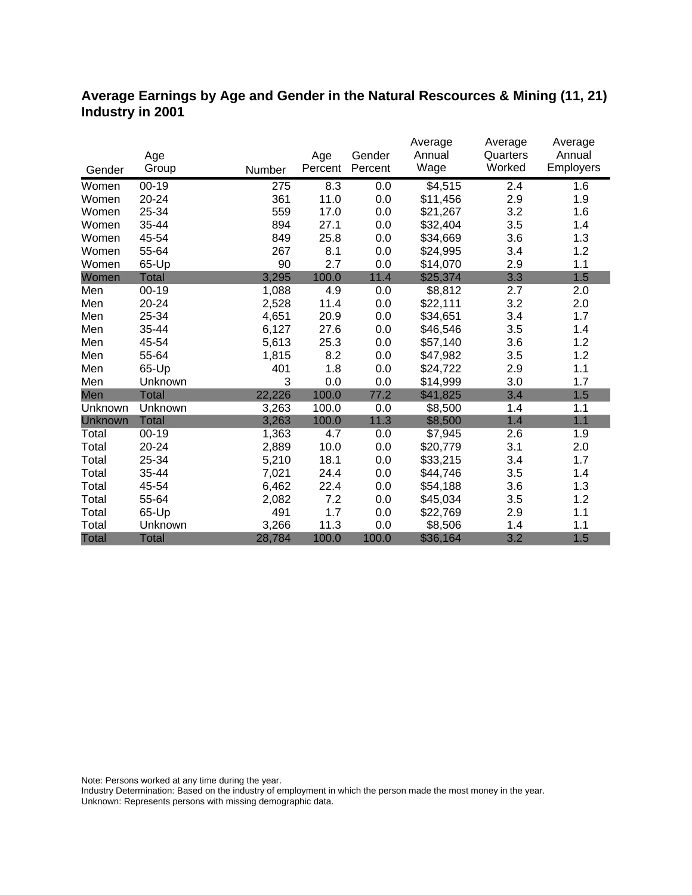#### **Average Earnings by Age and Gender in the Natural Rescources & Mining (11, 21) Industry in 2001**

|              |              |        |         |         | Average             | Average  | Average   |
|--------------|--------------|--------|---------|---------|---------------------|----------|-----------|
|              | Age          |        | Age     | Gender  | Annual              | Quarters | Annual    |
| Gender       | Group        | Number | Percent | Percent | Wage                | Worked   | Employers |
| Women        | $00 - 19$    | 275    | 8.3     | 0.0     | $\overline{$4,515}$ | 2.4      | 1.6       |
| Women        | 20-24        | 361    | 11.0    | 0.0     | \$11,456            | 2.9      | 1.9       |
| Women        | 25-34        | 559    | 17.0    | 0.0     | \$21,267            | 3.2      | 1.6       |
| Women        | 35-44        | 894    | 27.1    | 0.0     | \$32,404            | 3.5      | 1.4       |
| Women        | 45-54        | 849    | 25.8    | 0.0     | \$34,669            | 3.6      | 1.3       |
| Women        | 55-64        | 267    | 8.1     | 0.0     | \$24,995            | 3.4      | 1.2       |
| Women        | 65-Up        | 90     | 2.7     | 0.0     | \$14,070            | 2.9      | 1.1       |
| Women        | <b>Total</b> | 3,295  | 100.0   | 11.4    | \$25,374            | 3.3      | 1.5       |
| Men          | $00 - 19$    | 1,088  | 4.9     | 0.0     | \$8,812             | 2.7      | 2.0       |
| Men          | 20-24        | 2,528  | 11.4    | 0.0     | \$22,111            | 3.2      | 2.0       |
| Men          | 25-34        | 4,651  | 20.9    | 0.0     | \$34,651            | 3.4      | 1.7       |
| Men          | 35-44        | 6,127  | 27.6    | 0.0     | \$46,546            | 3.5      | 1.4       |
| Men          | 45-54        | 5,613  | 25.3    | 0.0     | \$57,140            | 3.6      | 1.2       |
| Men          | 55-64        | 1,815  | 8.2     | 0.0     | \$47,982            | 3.5      | 1.2       |
| Men          | 65-Up        | 401    | 1.8     | 0.0     | \$24,722            | 2.9      | 1.1       |
| Men          | Unknown      | 3      | 0.0     | 0.0     | \$14,999            | 3.0      | 1.7       |
| Men          | Total        | 22,226 | 100.0   | 77.2    | \$41,825            | 3.4      | 1.5       |
| Unknown      | Unknown      | 3,263  | 100.0   | 0.0     | \$8,500             | 1.4      | 1.1       |
| Unknown      | <b>Total</b> | 3,263  | 100.0   | 11.3    | \$8,500             | 1.4      | 1.1       |
| Total        | $00 - 19$    | 1,363  | 4.7     | 0.0     | \$7,945             | 2.6      | 1.9       |
| Total        | 20-24        | 2,889  | 10.0    | 0.0     | \$20,779            | 3.1      | 2.0       |
| Total        | 25-34        | 5,210  | 18.1    | 0.0     | \$33,215            | 3.4      | 1.7       |
| Total        | 35-44        | 7,021  | 24.4    | 0.0     | \$44,746            | 3.5      | 1.4       |
| Total        | 45-54        | 6,462  | 22.4    | 0.0     | \$54,188            | 3.6      | 1.3       |
| Total        | 55-64        | 2,082  | 7.2     | 0.0     | \$45,034            | 3.5      | 1.2       |
| Total        | 65-Up        | 491    | 1.7     | 0.0     | \$22,769            | 2.9      | 1.1       |
| Total        | Unknown      | 3,266  | 11.3    | 0.0     | \$8,506             | 1.4      | 1.1       |
| <b>Total</b> | <b>Total</b> | 28,784 | 100.0   | 100.0   | \$36,164            | 3.2      | 1.5       |

Note: Persons worked at any time during the year.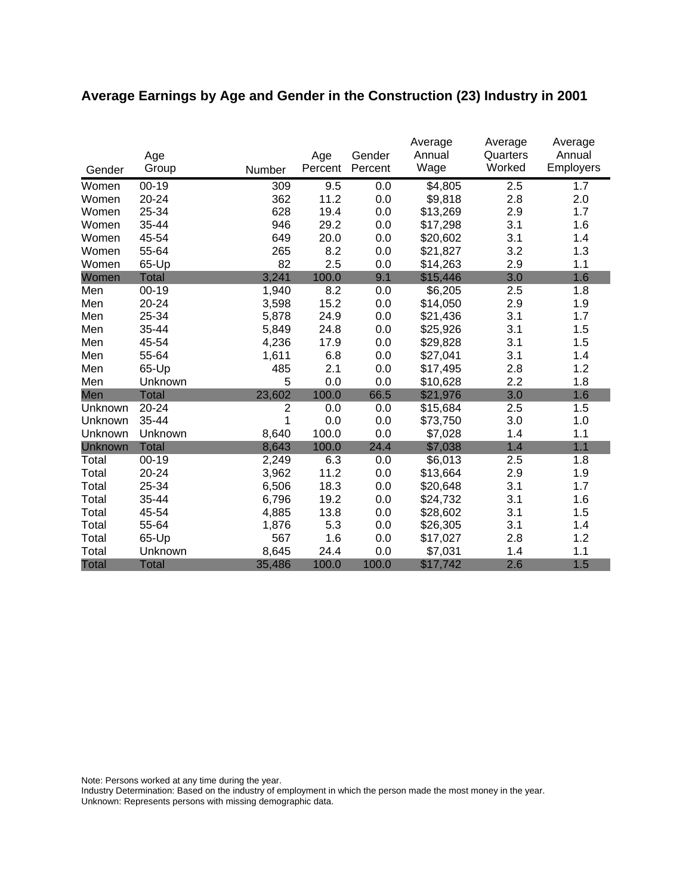# **Average Earnings by Age and Gender in the Construction (23) Industry in 2001**

|              | Age          |        | Age     | Gender  | Average<br>Annual | Average<br>Quarters | Average<br>Annual |
|--------------|--------------|--------|---------|---------|-------------------|---------------------|-------------------|
| Gender       | Group        | Number | Percent | Percent | Wage              | Worked              | Employers         |
| Women        | $00 - 19$    | 309    | 9.5     | 0.0     | \$4,805           | 2.5                 | 1.7               |
| Women        | 20-24        | 362    | 11.2    | 0.0     | \$9,818           | 2.8                 | 2.0               |
| Women        | 25-34        | 628    | 19.4    | 0.0     | \$13,269          | 2.9                 | 1.7               |
| Women        | 35-44        | 946    | 29.2    | 0.0     | \$17,298          | 3.1                 | 1.6               |
| Women        | 45-54        | 649    | 20.0    | 0.0     | \$20,602          | 3.1                 | 1.4               |
| Women        | 55-64        | 265    | 8.2     | 0.0     | \$21,827          | 3.2                 | 1.3               |
| Women        | 65-Up        | 82     | 2.5     | 0.0     | \$14,263          | 2.9                 | 1.1               |
| Women        | <b>Total</b> | 3,241  | 100.0   | 9.1     | \$15,446          | 3.0                 | 1.6               |
| Men          | $00 - 19$    | 1,940  | 8.2     | 0.0     | \$6,205           | 2.5                 | 1.8               |
| Men          | 20-24        | 3,598  | 15.2    | 0.0     | \$14,050          | 2.9                 | 1.9               |
| Men          | 25-34        | 5,878  | 24.9    | 0.0     | \$21,436          | 3.1                 | 1.7               |
| Men          | 35-44        | 5,849  | 24.8    | 0.0     | \$25,926          | 3.1                 | 1.5               |
| Men          | 45-54        | 4,236  | 17.9    | 0.0     | \$29,828          | 3.1                 | 1.5               |
| Men          | 55-64        | 1,611  | 6.8     | 0.0     | \$27,041          | 3.1                 | 1.4               |
| Men          | 65-Up        | 485    | 2.1     | 0.0     | \$17,495          | 2.8                 | 1.2               |
| Men          | Unknown      | 5      | 0.0     | 0.0     | \$10,628          | 2.2                 | 1.8               |
| Men          | <b>Total</b> | 23,602 | 100.0   | 66.5    | \$21,976          | 3.0                 | 1.6               |
| Unknown      | 20-24        | 2      | 0.0     | 0.0     | \$15,684          | 2.5                 | 1.5               |
| Unknown      | 35-44        | 1      | 0.0     | 0.0     | \$73,750          | 3.0                 | 1.0               |
| Unknown      | Unknown      | 8,640  | 100.0   | 0.0     | \$7,028           | 1.4                 | 1.1               |
| Unknown      | <b>Total</b> | 8,643  | 100.0   | 24.4    | \$7,038           | 1.4                 | 1.1               |
| Total        | $00 - 19$    | 2,249  | 6.3     | 0.0     | \$6,013           | 2.5                 | 1.8               |
| Total        | 20-24        | 3,962  | 11.2    | 0.0     | \$13,664          | 2.9                 | 1.9               |
| Total        | 25-34        | 6,506  | 18.3    | 0.0     | \$20,648          | 3.1                 | 1.7               |
| Total        | 35-44        | 6,796  | 19.2    | 0.0     | \$24,732          | 3.1                 | 1.6               |
| Total        | 45-54        | 4,885  | 13.8    | 0.0     | \$28,602          | 3.1                 | 1.5               |
| Total        | 55-64        | 1,876  | 5.3     | 0.0     | \$26,305          | 3.1                 | 1.4               |
| Total        | 65-Up        | 567    | 1.6     | 0.0     | \$17,027          | 2.8                 | 1.2               |
| Total        | Unknown      | 8,645  | 24.4    | 0.0     | \$7,031           | 1.4                 | 1.1               |
| <b>Total</b> | <b>Total</b> | 35,486 | 100.0   | 100.0   | \$17,742          | 2.6                 | 1.5               |

Note: Persons worked at any time during the year.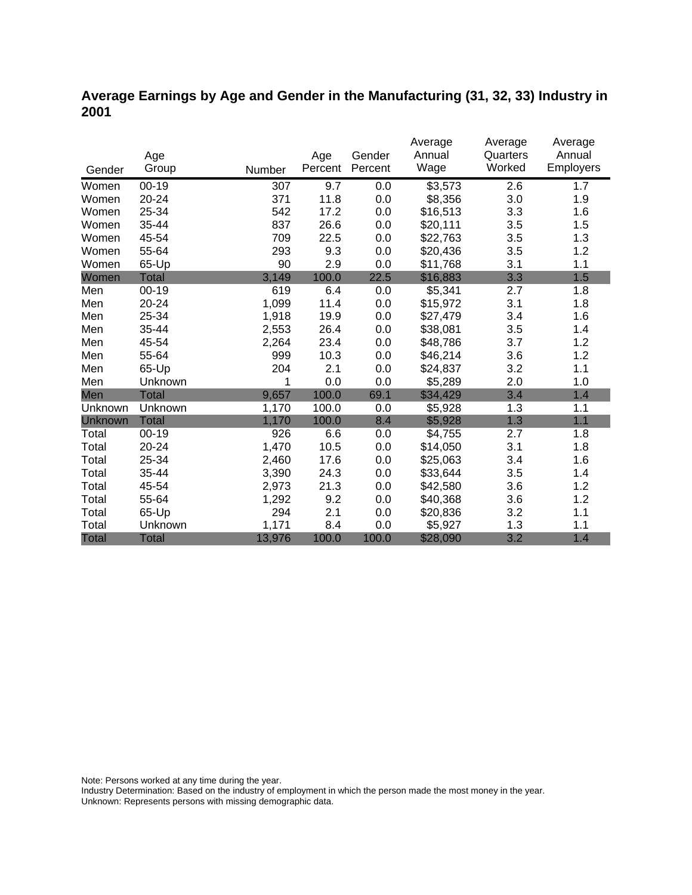### **Average Earnings by Age and Gender in the Manufacturing (31, 32, 33) Industry in 2001**

|              |              |        |         |         | Average             | Average  | Average   |
|--------------|--------------|--------|---------|---------|---------------------|----------|-----------|
|              | Age          |        | Age     | Gender  | Annual              | Quarters | Annual    |
| Gender       | Group        | Number | Percent | Percent | Wage                | Worked   | Employers |
| Women        | $00 - 19$    | 307    | 9.7     | 0.0     | $\overline{$3,573}$ | 2.6      | 1.7       |
| Women        | 20-24        | 371    | 11.8    | 0.0     | \$8,356             | 3.0      | 1.9       |
| Women        | 25-34        | 542    | 17.2    | 0.0     | \$16,513            | 3.3      | 1.6       |
| Women        | 35-44        | 837    | 26.6    | 0.0     | \$20,111            | 3.5      | 1.5       |
| Women        | 45-54        | 709    | 22.5    | 0.0     | \$22,763            | 3.5      | 1.3       |
| Women        | 55-64        | 293    | 9.3     | 0.0     | \$20,436            | 3.5      | 1.2       |
| Women        | 65-Up        | 90     | 2.9     | 0.0     | \$11,768            | 3.1      | 1.1       |
| Women        | <b>Total</b> | 3,149  | 100.0   | 22.5    | \$16,883            | 3.3      | 1.5       |
| Men          | $00 - 19$    | 619    | 6.4     | 0.0     | \$5,341             | 2.7      | 1.8       |
| Men          | 20-24        | 1,099  | 11.4    | 0.0     | \$15,972            | 3.1      | 1.8       |
| Men          | 25-34        | 1,918  | 19.9    | 0.0     | \$27,479            | 3.4      | 1.6       |
| Men          | 35-44        | 2,553  | 26.4    | 0.0     | \$38,081            | 3.5      | 1.4       |
| Men          | 45-54        | 2,264  | 23.4    | 0.0     | \$48,786            | 3.7      | 1.2       |
| Men          | 55-64        | 999    | 10.3    | 0.0     | \$46,214            | 3.6      | 1.2       |
| Men          | 65-Up        | 204    | 2.1     | 0.0     | \$24,837            | 3.2      | 1.1       |
| Men          | Unknown      | 1      | 0.0     | 0.0     | \$5,289             | 2.0      | 1.0       |
| Men          | <b>Total</b> | 9,657  | 100.0   | 69.1    | \$34,429            | 3.4      | 1.4       |
| Unknown      | Unknown      | 1,170  | 100.0   | 0.0     | \$5,928             | 1.3      | 1.1       |
| Unknown      | <b>Total</b> | 1,170  | 100.0   | 8.4     | \$5,928             | 1.3      | 1.1       |
| Total        | $00 - 19$    | 926    | 6.6     | 0.0     | \$4,755             | 2.7      | 1.8       |
| Total        | 20-24        | 1,470  | 10.5    | 0.0     | \$14,050            | 3.1      | 1.8       |
| Total        | 25-34        | 2,460  | 17.6    | 0.0     | \$25,063            | 3.4      | 1.6       |
| Total        | 35-44        | 3,390  | 24.3    | 0.0     | \$33,644            | 3.5      | 1.4       |
| Total        | 45-54        | 2,973  | 21.3    | 0.0     | \$42,580            | 3.6      | 1.2       |
| Total        | 55-64        | 1,292  | 9.2     | 0.0     | \$40,368            | 3.6      | 1.2       |
| Total        | 65-Up        | 294    | 2.1     | 0.0     | \$20,836            | 3.2      | 1.1       |
| Total        | Unknown      | 1,171  | 8.4     | 0.0     | \$5,927             | 1.3      | 1.1       |
| <b>Total</b> | <b>Total</b> | 13,976 | 100.0   | 100.0   | \$28,090            | 3.2      | 1.4       |

Note: Persons worked at any time during the year.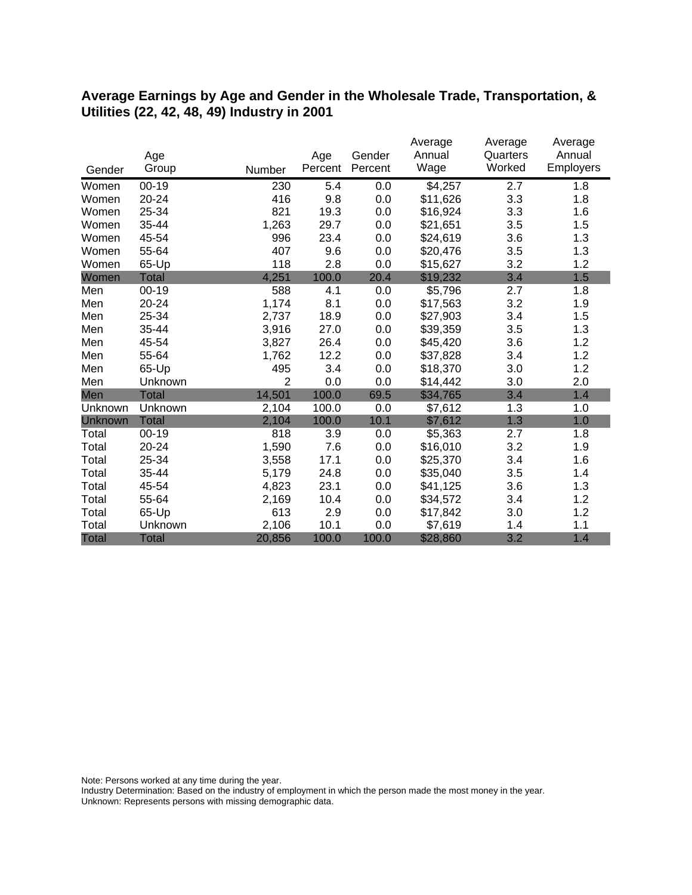#### **Average Earnings by Age and Gender in the Wholesale Trade, Transportation, & Utilities (22, 42, 48, 49) Industry in 2001**

|              |              |                |         |         | Average  | Average  | Average   |
|--------------|--------------|----------------|---------|---------|----------|----------|-----------|
|              | Age          |                | Age     | Gender  | Annual   | Quarters | Annual    |
| Gender       | Group        | Number         | Percent | Percent | Wage     | Worked   | Employers |
| Women        | $00 - 19$    | 230            | 5.4     | 0.0     | \$4,257  | 2.7      | 1.8       |
| Women        | 20-24        | 416            | 9.8     | 0.0     | \$11,626 | 3.3      | 1.8       |
| Women        | 25-34        | 821            | 19.3    | 0.0     | \$16,924 | 3.3      | 1.6       |
| Women        | 35-44        | 1,263          | 29.7    | 0.0     | \$21,651 | 3.5      | 1.5       |
| Women        | 45-54        | 996            | 23.4    | 0.0     | \$24,619 | 3.6      | 1.3       |
| Women        | 55-64        | 407            | 9.6     | 0.0     | \$20,476 | 3.5      | 1.3       |
| Women        | 65-Up        | 118            | 2.8     | 0.0     | \$15,627 | 3.2      | 1.2       |
| Women        | Total        | 4,251          | 100.0   | 20.4    | \$19,232 | 3.4      | 1.5       |
| Men          | $00 - 19$    | 588            | 4.1     | 0.0     | \$5,796  | 2.7      | 1.8       |
| Men          | 20-24        | 1,174          | 8.1     | 0.0     | \$17,563 | 3.2      | 1.9       |
| Men          | 25-34        | 2,737          | 18.9    | 0.0     | \$27,903 | 3.4      | 1.5       |
| Men          | 35-44        | 3,916          | 27.0    | 0.0     | \$39,359 | 3.5      | 1.3       |
| Men          | 45-54        | 3,827          | 26.4    | 0.0     | \$45,420 | 3.6      | 1.2       |
| Men          | 55-64        | 1,762          | 12.2    | 0.0     | \$37,828 | 3.4      | 1.2       |
| Men          | 65-Up        | 495            | 3.4     | 0.0     | \$18,370 | 3.0      | 1.2       |
| Men          | Unknown      | $\overline{2}$ | 0.0     | 0.0     | \$14,442 | 3.0      | 2.0       |
| Men          | <b>Total</b> | 14,501         | 100.0   | 69.5    | \$34,765 | 3.4      | 1.4       |
| Unknown      | Unknown      | 2,104          | 100.0   | 0.0     | \$7,612  | 1.3      | 1.0       |
| Unknown      | <b>Total</b> | 2,104          | 100.0   | 10.1    | \$7,612  | 1.3      | 1.0       |
| Total        | $00 - 19$    | 818            | 3.9     | 0.0     | \$5,363  | 2.7      | 1.8       |
| Total        | 20-24        | 1,590          | 7.6     | 0.0     | \$16,010 | 3.2      | 1.9       |
| Total        | 25-34        | 3,558          | 17.1    | 0.0     | \$25,370 | 3.4      | 1.6       |
| Total        | 35-44        | 5,179          | 24.8    | 0.0     | \$35,040 | 3.5      | 1.4       |
| Total        | 45-54        | 4,823          | 23.1    | 0.0     | \$41,125 | 3.6      | 1.3       |
| Total        | 55-64        | 2,169          | 10.4    | 0.0     | \$34,572 | 3.4      | 1.2       |
| Total        | 65-Up        | 613            | 2.9     | 0.0     | \$17,842 | 3.0      | 1.2       |
| Total        | Unknown      | 2,106          | 10.1    | 0.0     | \$7,619  | 1.4      | 1.1       |
| <b>Total</b> | <b>Total</b> | 20,856         | 100.0   | 100.0   | \$28,860 | 3.2      | 1.4       |

Note: Persons worked at any time during the year.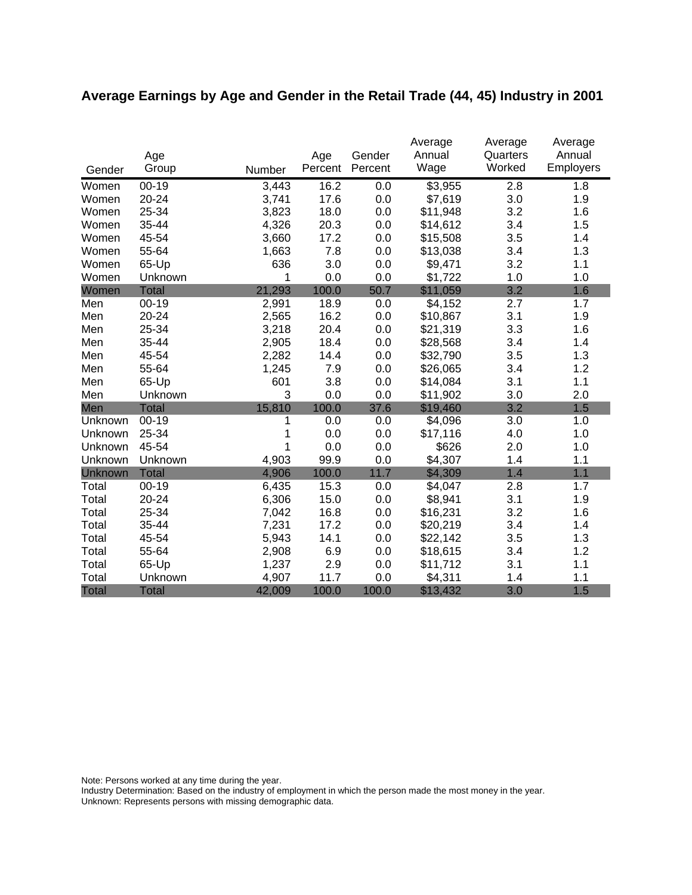# **Average Earnings by Age and Gender in the Retail Trade (44, 45) Industry in 2001**

|              |              |        |         |         | Average  | Average  | Average   |
|--------------|--------------|--------|---------|---------|----------|----------|-----------|
|              | Age          |        | Age     | Gender  | Annual   | Quarters | Annual    |
| Gender       | Group        | Number | Percent | Percent | Wage     | Worked   | Employers |
| Women        | $00 - 19$    | 3,443  | 16.2    | 0.0     | \$3,955  | 2.8      | 1.8       |
| Women        | 20-24        | 3,741  | 17.6    | 0.0     | \$7,619  | 3.0      | 1.9       |
| Women        | 25-34        | 3,823  | 18.0    | 0.0     | \$11,948 | 3.2      | 1.6       |
| Women        | 35-44        | 4,326  | 20.3    | 0.0     | \$14,612 | 3.4      | 1.5       |
| Women        | 45-54        | 3,660  | 17.2    | 0.0     | \$15,508 | 3.5      | 1.4       |
| Women        | 55-64        | 1,663  | 7.8     | 0.0     | \$13,038 | 3.4      | 1.3       |
| Women        | 65-Up        | 636    | 3.0     | 0.0     | \$9,471  | 3.2      | 1.1       |
| Women        | Unknown      | 1      | 0.0     | 0.0     | \$1,722  | 1.0      | 1.0       |
| Women        | <b>Total</b> | 21,293 | 100.0   | 50.7    | \$11,059 | 3.2      | 1.6       |
| Men          | $00 - 19$    | 2,991  | 18.9    | 0.0     | \$4,152  | 2.7      | 1.7       |
| Men          | $20 - 24$    | 2,565  | 16.2    | 0.0     | \$10,867 | 3.1      | 1.9       |
| Men          | 25-34        | 3,218  | 20.4    | 0.0     | \$21,319 | 3.3      | 1.6       |
| Men          | 35-44        | 2,905  | 18.4    | 0.0     | \$28,568 | 3.4      | 1.4       |
| Men          | 45-54        | 2,282  | 14.4    | 0.0     | \$32,790 | 3.5      | 1.3       |
| Men          | 55-64        | 1,245  | 7.9     | 0.0     | \$26,065 | 3.4      | 1.2       |
| Men          | 65-Up        | 601    | 3.8     | 0.0     | \$14,084 | 3.1      | 1.1       |
| Men          | Unknown      | 3      | 0.0     | 0.0     | \$11,902 | 3.0      | 2.0       |
| Men          | <b>Total</b> | 15,810 | 100.0   | 37.6    | \$19,460 | 3.2      | 1.5       |
| Unknown      | $00-19$      | 1      | 0.0     | 0.0     | \$4,096  | 3.0      | 1.0       |
| Unknown      | 25-34        | 1      | 0.0     | 0.0     | \$17,116 | 4.0      | 1.0       |
| Unknown      | 45-54        | 1      | 0.0     | 0.0     | \$626    | 2.0      | 1.0       |
| Unknown      | Unknown      | 4,903  | 99.9    | 0.0     | \$4,307  | 1.4      | 1.1       |
| Unknown      | <b>Total</b> | 4,906  | 100.0   | 11.7    | \$4,309  | 1.4      | 1.1       |
| Total        | $00 - 19$    | 6,435  | 15.3    | 0.0     | \$4,047  | 2.8      | 1.7       |
| Total        | 20-24        | 6,306  | 15.0    | 0.0     | \$8,941  | 3.1      | 1.9       |
| Total        | 25-34        | 7,042  | 16.8    | 0.0     | \$16,231 | 3.2      | 1.6       |
| Total        | 35-44        | 7,231  | 17.2    | 0.0     | \$20,219 | 3.4      | 1.4       |
| Total        | 45-54        | 5,943  | 14.1    | 0.0     | \$22,142 | 3.5      | 1.3       |
| Total        | 55-64        | 2,908  | 6.9     | 0.0     | \$18,615 | 3.4      | 1.2       |
| Total        | 65-Up        | 1,237  | 2.9     | 0.0     | \$11,712 | 3.1      | 1.1       |
| Total        | Unknown      | 4,907  | 11.7    | 0.0     | \$4,311  | 1.4      | 1.1       |
| <b>Total</b> | <b>Total</b> | 42,009 | 100.0   | 100.0   | \$13,432 | 3.0      | 1.5       |

Note: Persons worked at any time during the year.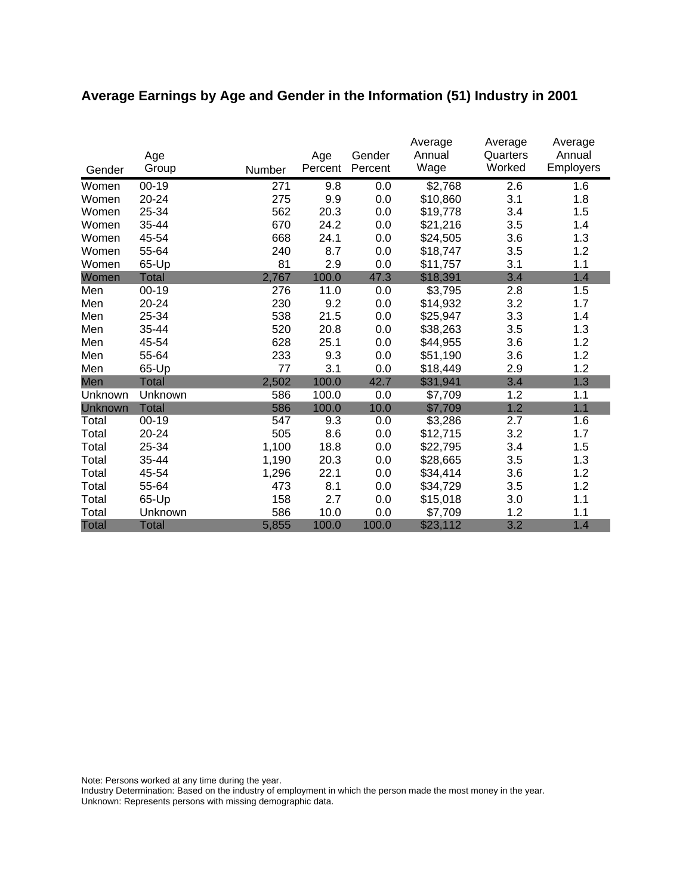# **Average Earnings by Age and Gender in the Information (51) Industry in 2001**

|              | Age          |        | Age     | Gender  | Average<br>Annual<br>Wage | Average<br>Quarters<br>Worked | Average<br>Annual<br><b>Employers</b> |
|--------------|--------------|--------|---------|---------|---------------------------|-------------------------------|---------------------------------------|
| Gender       | Group        | Number | Percent | Percent |                           |                               |                                       |
| Women        | $00 - 19$    | 271    | 9.8     | 0.0     | \$2,768                   | 2.6                           | 1.6                                   |
| Women        | 20-24        | 275    | 9.9     | 0.0     | \$10,860                  | 3.1                           | 1.8                                   |
| Women        | 25-34        | 562    | 20.3    | 0.0     | \$19,778                  | 3.4                           | 1.5                                   |
| Women        | 35-44        | 670    | 24.2    | 0.0     | \$21,216                  | 3.5                           | 1.4                                   |
| Women        | 45-54        | 668    | 24.1    | 0.0     | \$24,505                  | 3.6                           | 1.3                                   |
| Women        | 55-64        | 240    | 8.7     | 0.0     | \$18,747                  | 3.5                           | 1.2                                   |
| Women        | 65-Up        | 81     | 2.9     | 0.0     | \$11,757                  | 3.1                           | 1.1                                   |
| Women        | <b>Total</b> | 2,767  | 100.0   | 47.3    | \$18,391                  | 3.4                           | 1.4                                   |
| Men          | 00-19        | 276    | 11.0    | 0.0     | \$3,795                   | 2.8                           | 1.5                                   |
| Men          | 20-24        | 230    | 9.2     | 0.0     | \$14,932                  | 3.2                           | 1.7                                   |
| Men          | 25-34        | 538    | 21.5    | 0.0     | \$25,947                  | 3.3                           | 1.4                                   |
| Men          | 35-44        | 520    | 20.8    | 0.0     | \$38,263                  | 3.5                           | 1.3                                   |
| Men          | 45-54        | 628    | 25.1    | 0.0     | \$44,955                  | 3.6                           | 1.2                                   |
| Men          | 55-64        | 233    | 9.3     | 0.0     | \$51,190                  | 3.6                           | 1.2                                   |
| Men          | 65-Up        | 77     | 3.1     | 0.0     | \$18,449                  | 2.9                           | 1.2                                   |
| Men          | Total        | 2,502  | 100.0   | 42.7    | \$31,941                  | 3.4                           | 1.3                                   |
| Unknown      | Unknown      | 586    | 100.0   | 0.0     | \$7,709                   | 1.2                           | 1.1                                   |
| Unknown      | <b>Total</b> | 586    | 100.0   | 10.0    | \$7,709                   | 1.2                           | 1.1                                   |
| Total        | $00 - 19$    | 547    | 9.3     | 0.0     | \$3,286                   | 2.7                           | 1.6                                   |
| Total        | 20-24        | 505    | 8.6     | 0.0     | \$12,715                  | 3.2                           | 1.7                                   |
| Total        | 25-34        | 1,100  | 18.8    | 0.0     | \$22,795                  | 3.4                           | 1.5                                   |
| Total        | 35-44        | 1,190  | 20.3    | 0.0     | \$28,665                  | 3.5                           | 1.3                                   |
| Total        | 45-54        | 1,296  | 22.1    | 0.0     | \$34,414                  | 3.6                           | 1.2                                   |
| Total        | 55-64        | 473    | 8.1     | 0.0     | \$34,729                  | 3.5                           | 1.2                                   |
| Total        | 65-Up        | 158    | 2.7     | 0.0     | \$15,018                  | 3.0                           | 1.1                                   |
| Total        | Unknown      | 586    | 10.0    | 0.0     | \$7,709                   | 1.2                           | 1.1                                   |
| <b>Total</b> | <b>Total</b> | 5,855  | 100.0   | 100.0   | \$23,112                  | 3.2                           | 1.4                                   |

Note: Persons worked at any time during the year.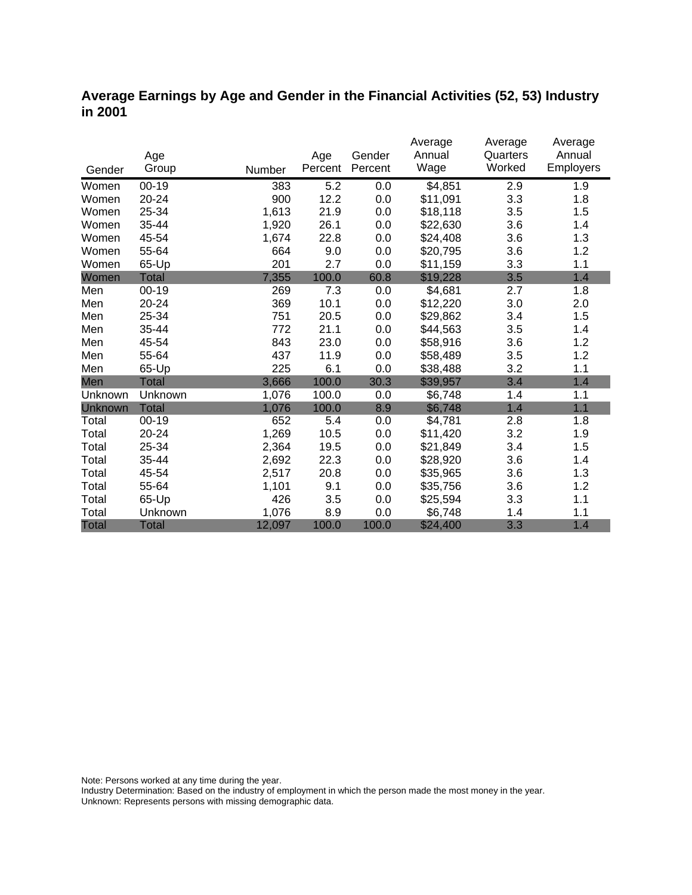### **Average Earnings by Age and Gender in the Financial Activities (52, 53) Industry in 2001**

|                |              |        |         |         | Average  | Average  | Average          |
|----------------|--------------|--------|---------|---------|----------|----------|------------------|
|                | Age          |        | Age     | Gender  | Annual   | Quarters | Annual           |
| Gender         | Group        | Number | Percent | Percent | Wage     | Worked   | <b>Employers</b> |
| Women          | $00 - 19$    | 383    | 5.2     | 0.0     | \$4,851  | 2.9      | 1.9              |
| Women          | 20-24        | 900    | 12.2    | 0.0     | \$11,091 | 3.3      | 1.8              |
| Women          | 25-34        | 1,613  | 21.9    | 0.0     | \$18,118 | 3.5      | 1.5              |
| Women          | 35-44        | 1,920  | 26.1    | 0.0     | \$22,630 | 3.6      | 1.4              |
| Women          | 45-54        | 1,674  | 22.8    | 0.0     | \$24,408 | 3.6      | 1.3              |
| Women          | 55-64        | 664    | 9.0     | 0.0     | \$20,795 | 3.6      | 1.2              |
| Women          | 65-Up        | 201    | 2.7     | 0.0     | \$11,159 | 3.3      | 1.1              |
| Women          | <b>Total</b> | 7,355  | 100.0   | 60.8    | \$19,228 | 3.5      | 1.4              |
| Men            | 00-19        | 269    | 7.3     | 0.0     | \$4,681  | 2.7      | 1.8              |
| Men            | 20-24        | 369    | 10.1    | 0.0     | \$12,220 | 3.0      | 2.0              |
| Men            | 25-34        | 751    | 20.5    | 0.0     | \$29,862 | 3.4      | 1.5              |
| Men            | 35-44        | 772    | 21.1    | 0.0     | \$44,563 | 3.5      | 1.4              |
| Men            | 45-54        | 843    | 23.0    | 0.0     | \$58,916 | 3.6      | 1.2              |
| Men            | 55-64        | 437    | 11.9    | 0.0     | \$58,489 | 3.5      | 1.2              |
| Men            | 65-Up        | 225    | 6.1     | 0.0     | \$38,488 | 3.2      | 1.1              |
| Men            | Total        | 3,666  | 100.0   | 30.3    | \$39,957 | 3.4      | 1.4              |
| Unknown        | Unknown      | 1,076  | 100.0   | 0.0     | \$6,748  | 1.4      | 1.1              |
| <b>Unknown</b> | <b>Total</b> | 1,076  | 100.0   | 8.9     | \$6,748  | 1.4      | 1.1              |
| Total          | $00 - 19$    | 652    | 5.4     | 0.0     | \$4,781  | 2.8      | 1.8              |
| Total          | 20-24        | 1,269  | 10.5    | 0.0     | \$11,420 | 3.2      | 1.9              |
| Total          | 25-34        | 2,364  | 19.5    | 0.0     | \$21,849 | 3.4      | 1.5              |
| Total          | 35-44        | 2,692  | 22.3    | 0.0     | \$28,920 | 3.6      | 1.4              |
| Total          | 45-54        | 2,517  | 20.8    | 0.0     | \$35,965 | 3.6      | 1.3              |
| Total          | 55-64        | 1,101  | 9.1     | 0.0     | \$35,756 | 3.6      | 1.2              |
| Total          | 65-Up        | 426    | 3.5     | 0.0     | \$25,594 | 3.3      | 1.1              |
| Total          | Unknown      | 1,076  | 8.9     | 0.0     | \$6,748  | 1.4      | 1.1              |
| <b>Total</b>   | <b>Total</b> | 12,097 | 100.0   | 100.0   | \$24,400 | 3.3      | 1.4              |

Note: Persons worked at any time during the year.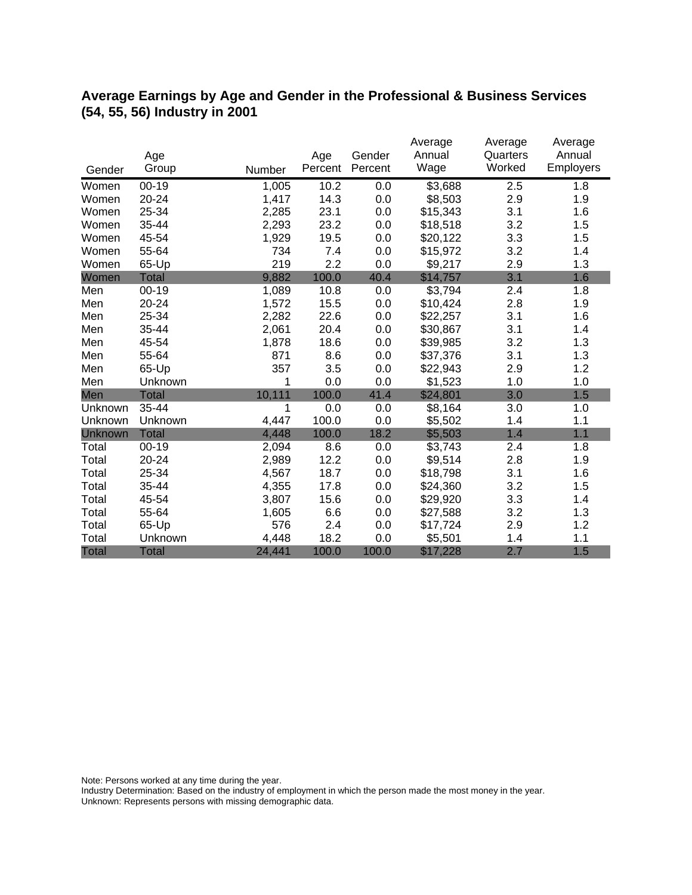### **Average Earnings by Age and Gender in the Professional & Business Services (54, 55, 56) Industry in 2001**

|              | Age          |        | Age     | Gender  | Average<br>Annual | Average<br>Quarters | Average<br>Annual |
|--------------|--------------|--------|---------|---------|-------------------|---------------------|-------------------|
| Gender       | Group        | Number | Percent | Percent | Wage              | Worked              | <b>Employers</b>  |
| Women        | $00 - 19$    | 1,005  | 10.2    | 0.0     | \$3,688           | 2.5                 | 1.8               |
| Women        | 20-24        | 1,417  | 14.3    | 0.0     | \$8,503           | 2.9                 | 1.9               |
| Women        | 25-34        | 2,285  | 23.1    | 0.0     | \$15,343          | 3.1                 | 1.6               |
| Women        | 35-44        | 2,293  | 23.2    | 0.0     | \$18,518          | 3.2                 | 1.5               |
| Women        | 45-54        | 1,929  | 19.5    | 0.0     | \$20,122          | 3.3                 | 1.5               |
| Women        | 55-64        | 734    | 7.4     | 0.0     | \$15,972          | 3.2                 | 1.4               |
| Women        | 65-Up        | 219    | 2.2     | 0.0     | \$9,217           | 2.9                 | 1.3               |
| Women        | <b>Total</b> | 9,882  | 100.0   | 40.4    | \$14,757          | 3.1                 | 1.6               |
| Men          | $00 - 19$    | 1,089  | 10.8    | 0.0     | \$3,794           | 2.4                 | 1.8               |
| Men          | $20 - 24$    | 1,572  | 15.5    | 0.0     | \$10,424          | 2.8                 | 1.9               |
| Men          | 25-34        | 2,282  | 22.6    | 0.0     | \$22,257          | 3.1                 | 1.6               |
| Men          | 35-44        | 2,061  | 20.4    | 0.0     | \$30,867          | 3.1                 | 1.4               |
| Men          | 45-54        | 1,878  | 18.6    | 0.0     | \$39,985          | 3.2                 | 1.3               |
| Men          | 55-64        | 871    | 8.6     | 0.0     | \$37,376          | 3.1                 | 1.3               |
| Men          | 65-Up        | 357    | 3.5     | 0.0     | \$22,943          | 2.9                 | 1.2               |
| Men          | Unknown      | 1      | 0.0     | 0.0     | \$1,523           | 1.0                 | 1.0               |
| Men          | <b>Total</b> | 10,111 | 100.0   | 41.4    | \$24,801          | 3.0                 | 1.5               |
| Unknown      | 35-44        | 1      | 0.0     | 0.0     | \$8,164           | 3.0                 | 1.0               |
| Unknown      | Unknown      | 4,447  | 100.0   | 0.0     | \$5,502           | 1.4                 | 1.1               |
| Unknown      | <b>Total</b> | 4,448  | 100.0   | 18.2    | \$5,503           | 1.4                 | 1.1               |
| Total        | $00 - 19$    | 2,094  | 8.6     | 0.0     | \$3,743           | 2.4                 | 1.8               |
| Total        | 20-24        | 2,989  | 12.2    | 0.0     | \$9,514           | 2.8                 | 1.9               |
| Total        | 25-34        | 4,567  | 18.7    | 0.0     | \$18,798          | 3.1                 | 1.6               |
| Total        | 35-44        | 4,355  | 17.8    | 0.0     | \$24,360          | 3.2                 | 1.5               |
| Total        | 45-54        | 3,807  | 15.6    | 0.0     | \$29,920          | 3.3                 | 1.4               |
| Total        | 55-64        | 1,605  | 6.6     | 0.0     | \$27,588          | 3.2                 | 1.3               |
| Total        | 65-Up        | 576    | 2.4     | 0.0     | \$17,724          | 2.9                 | 1.2               |
| Total        | Unknown      | 4,448  | 18.2    | 0.0     | \$5,501           | 1.4                 | 1.1               |
| <b>Total</b> | <b>Total</b> | 24,441 | 100.0   | 100.0   | \$17,228          | 2.7                 | 1.5               |

Note: Persons worked at any time during the year.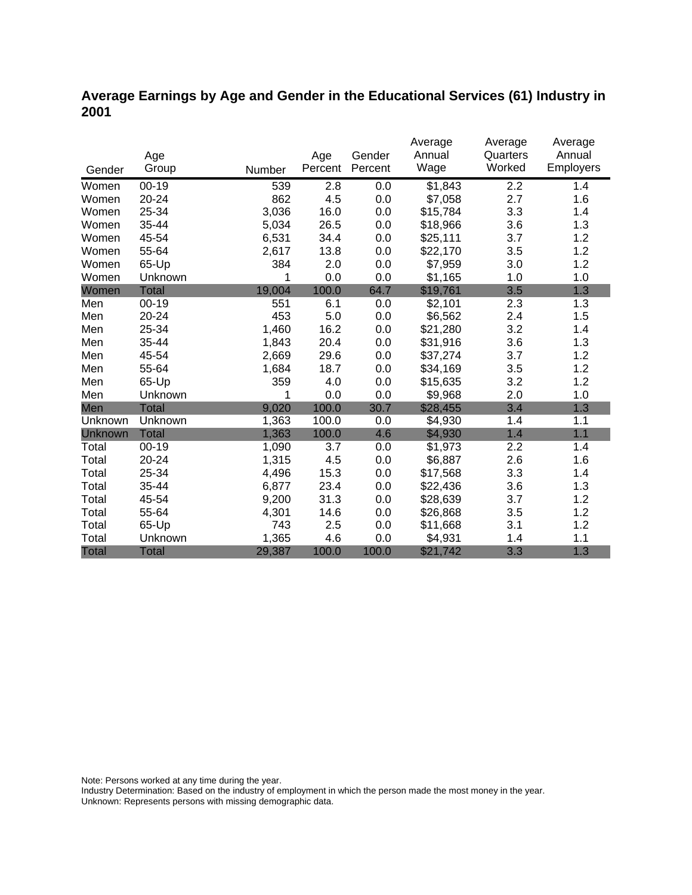### **Average Earnings by Age and Gender in the Educational Services (61) Industry in 2001**

|              |              |        |         |         | Average  | Average  | Average   |
|--------------|--------------|--------|---------|---------|----------|----------|-----------|
|              | Age          |        | Age     | Gender  | Annual   | Quarters | Annual    |
| Gender       | Group        | Number | Percent | Percent | Wage     | Worked   | Employers |
| Women        | $00 - 19$    | 539    | 2.8     | 0.0     | \$1,843  | 2.2      | 1.4       |
| Women        | 20-24        | 862    | 4.5     | 0.0     | \$7,058  | 2.7      | 1.6       |
| Women        | 25-34        | 3,036  | 16.0    | 0.0     | \$15,784 | 3.3      | 1.4       |
| Women        | 35-44        | 5,034  | 26.5    | 0.0     | \$18,966 | 3.6      | 1.3       |
| Women        | 45-54        | 6,531  | 34.4    | 0.0     | \$25,111 | 3.7      | 1.2       |
| Women        | 55-64        | 2,617  | 13.8    | 0.0     | \$22,170 | 3.5      | 1.2       |
| Women        | 65-Up        | 384    | 2.0     | 0.0     | \$7,959  | 3.0      | 1.2       |
| Women        | Unknown      | 1      | 0.0     | 0.0     | \$1,165  | 1.0      | 1.0       |
| Women        | <b>Total</b> | 19,004 | 100.0   | 64.7    | \$19,761 | 3.5      | 1.3       |
| Men          | $00 - 19$    | 551    | 6.1     | 0.0     | \$2,101  | 2.3      | 1.3       |
| Men          | 20-24        | 453    | 5.0     | 0.0     | \$6,562  | 2.4      | 1.5       |
| Men          | 25-34        | 1,460  | 16.2    | 0.0     | \$21,280 | 3.2      | 1.4       |
| Men          | 35-44        | 1,843  | 20.4    | 0.0     | \$31,916 | 3.6      | 1.3       |
| Men          | 45-54        | 2,669  | 29.6    | 0.0     | \$37,274 | 3.7      | 1.2       |
| Men          | 55-64        | 1,684  | 18.7    | 0.0     | \$34,169 | 3.5      | 1.2       |
| Men          | 65-Up        | 359    | 4.0     | 0.0     | \$15,635 | 3.2      | 1.2       |
| Men          | Unknown      | 1      | 0.0     | 0.0     | \$9,968  | 2.0      | 1.0       |
| Men          | <b>Total</b> | 9,020  | 100.0   | 30.7    | \$28,455 | 3.4      | 1.3       |
| Unknown      | Unknown      | 1,363  | 100.0   | 0.0     | \$4,930  | 1.4      | 1.1       |
| Unknown      | <b>Total</b> | 1,363  | 100.0   | 4.6     | \$4,930  | 1.4      | 1.1       |
| Total        | $00 - 19$    | 1,090  | 3.7     | 0.0     | \$1,973  | 2.2      | 1.4       |
| Total        | $20 - 24$    | 1,315  | 4.5     | 0.0     | \$6,887  | 2.6      | 1.6       |
| Total        | 25-34        | 4,496  | 15.3    | 0.0     | \$17,568 | 3.3      | 1.4       |
| Total        | 35-44        | 6,877  | 23.4    | 0.0     | \$22,436 | 3.6      | 1.3       |
| Total        | 45-54        | 9,200  | 31.3    | 0.0     | \$28,639 | 3.7      | 1.2       |
| Total        | 55-64        | 4,301  | 14.6    | 0.0     | \$26,868 | 3.5      | 1.2       |
| Total        | 65-Up        | 743    | 2.5     | 0.0     | \$11,668 | 3.1      | 1.2       |
| Total        | Unknown      | 1,365  | 4.6     | 0.0     | \$4,931  | 1.4      | 1.1       |
| <b>Total</b> | Total        | 29,387 | 100.0   | 100.0   | \$21,742 | 3.3      | 1.3       |

Note: Persons worked at any time during the year.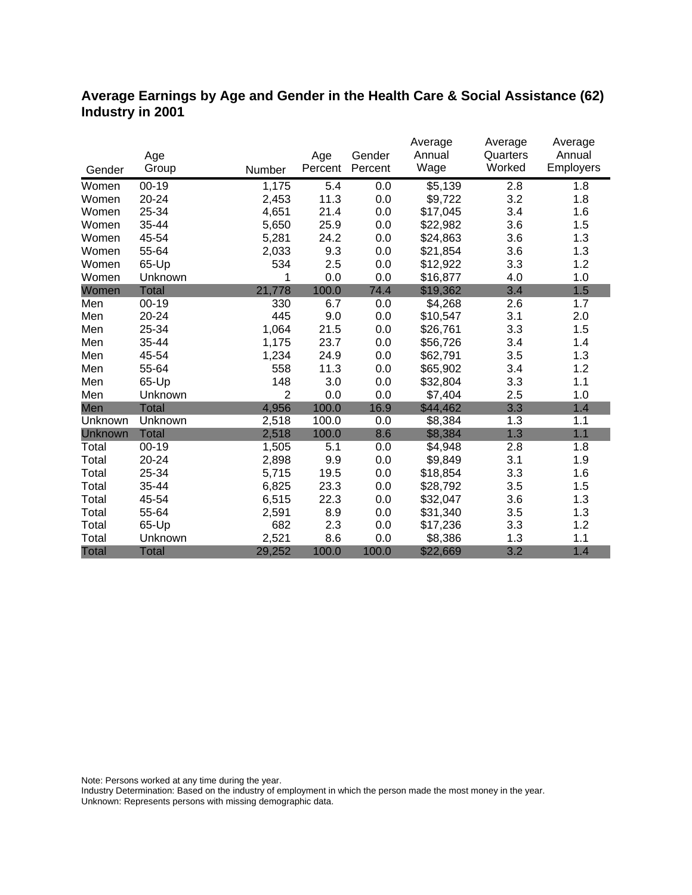# **Average Earnings by Age and Gender in the Health Care & Social Assistance (62) Industry in 2001**

|              |              |                |         |         | Average  | Average  | Average   |
|--------------|--------------|----------------|---------|---------|----------|----------|-----------|
|              | Age          |                | Age     | Gender  | Annual   | Quarters | Annual    |
| Gender       | Group        | Number         | Percent | Percent | Wage     | Worked   | Employers |
| Women        | $00 - 19$    | 1,175          | 5.4     | 0.0     | \$5,139  | 2.8      | 1.8       |
| Women        | 20-24        | 2,453          | 11.3    | 0.0     | \$9,722  | 3.2      | 1.8       |
| Women        | 25-34        | 4,651          | 21.4    | 0.0     | \$17,045 | 3.4      | 1.6       |
| Women        | 35-44        | 5,650          | 25.9    | 0.0     | \$22,982 | 3.6      | 1.5       |
| Women        | 45-54        | 5,281          | 24.2    | 0.0     | \$24,863 | 3.6      | 1.3       |
| Women        | 55-64        | 2,033          | 9.3     | 0.0     | \$21,854 | 3.6      | 1.3       |
| Women        | 65-Up        | 534            | 2.5     | 0.0     | \$12,922 | 3.3      | 1.2       |
| Women        | Unknown      | 1              | 0.0     | 0.0     | \$16,877 | 4.0      | 1.0       |
| Women        | <b>Total</b> | 21,778         | 100.0   | 74.4    | \$19,362 | 3.4      | 1.5       |
| Men          | $00 - 19$    | 330            | 6.7     | 0.0     | \$4,268  | 2.6      | 1.7       |
| Men          | 20-24        | 445            | 9.0     | 0.0     | \$10,547 | 3.1      | 2.0       |
| Men          | 25-34        | 1,064          | 21.5    | 0.0     | \$26,761 | 3.3      | 1.5       |
| Men          | 35-44        | 1,175          | 23.7    | 0.0     | \$56,726 | 3.4      | 1.4       |
| Men          | 45-54        | 1,234          | 24.9    | 0.0     | \$62,791 | 3.5      | 1.3       |
| Men          | 55-64        | 558            | 11.3    | 0.0     | \$65,902 | 3.4      | 1.2       |
| Men          | 65-Up        | 148            | 3.0     | 0.0     | \$32,804 | 3.3      | 1.1       |
| Men          | Unknown      | $\overline{2}$ | 0.0     | 0.0     | \$7,404  | 2.5      | 1.0       |
| Men          | <b>Total</b> | 4,956          | 100.0   | 16.9    | \$44,462 | 3.3      | 1.4       |
| Unknown      | Unknown      | 2,518          | 100.0   | 0.0     | \$8,384  | 1.3      | 1.1       |
| Unknown      | <b>Total</b> | 2,518          | 100.0   | 8.6     | \$8,384  | 1.3      | 1.1       |
| Total        | $00 - 19$    | 1,505          | 5.1     | 0.0     | \$4,948  | 2.8      | 1.8       |
| Total        | 20-24        | 2,898          | 9.9     | 0.0     | \$9,849  | 3.1      | 1.9       |
| Total        | 25-34        | 5,715          | 19.5    | 0.0     | \$18,854 | 3.3      | 1.6       |
| Total        | 35-44        | 6,825          | 23.3    | 0.0     | \$28,792 | 3.5      | 1.5       |
| Total        | 45-54        | 6,515          | 22.3    | 0.0     | \$32,047 | 3.6      | 1.3       |
| Total        | 55-64        | 2,591          | 8.9     | 0.0     | \$31,340 | 3.5      | 1.3       |
| Total        | 65-Up        | 682            | 2.3     | 0.0     | \$17,236 | 3.3      | 1.2       |
| Total        | Unknown      | 2,521          | 8.6     | 0.0     | \$8,386  | 1.3      | 1.1       |
| <b>Total</b> | <b>Total</b> | 29,252         | 100.0   | 100.0   | \$22,669 | 3.2      | 1.4       |

Note: Persons worked at any time during the year.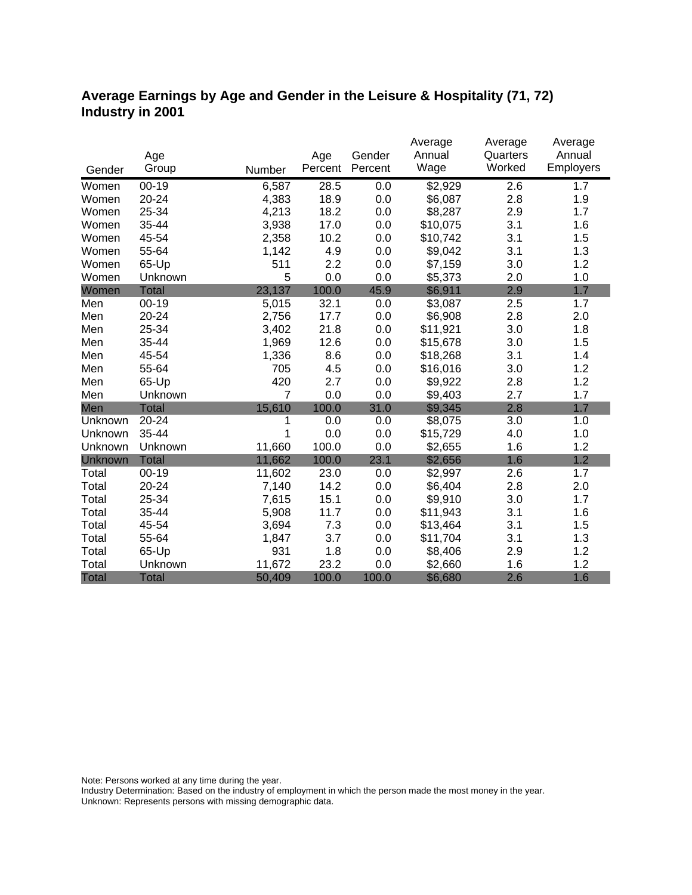# **Average Earnings by Age and Gender in the Leisure & Hospitality (71, 72) Industry in 2001**

|              |              |                |         |         | Average  | Average  | Average   |
|--------------|--------------|----------------|---------|---------|----------|----------|-----------|
|              | Age          |                | Age     | Gender  | Annual   | Quarters | Annual    |
| Gender       | Group        | Number         | Percent | Percent | Wage     | Worked   | Employers |
| Women        | $00 - 19$    | 6,587          | 28.5    | 0.0     | \$2,929  | 2.6      | 1.7       |
| Women        | 20-24        | 4,383          | 18.9    | 0.0     | \$6,087  | 2.8      | 1.9       |
| Women        | 25-34        | 4,213          | 18.2    | 0.0     | \$8,287  | 2.9      | 1.7       |
| Women        | 35-44        | 3,938          | 17.0    | 0.0     | \$10,075 | 3.1      | 1.6       |
| Women        | 45-54        | 2,358          | 10.2    | 0.0     | \$10,742 | 3.1      | 1.5       |
| Women        | 55-64        | 1,142          | 4.9     | 0.0     | \$9,042  | 3.1      | 1.3       |
| Women        | 65-Up        | 511            | 2.2     | 0.0     | \$7,159  | 3.0      | 1.2       |
| Women        | Unknown      | 5              | 0.0     | 0.0     | \$5,373  | 2.0      | 1.0       |
| Women        | <b>Total</b> | 23,137         | 100.0   | 45.9    | \$6,911  | 2.9      | 1.7       |
| Men          | $00 - 19$    | 5,015          | 32.1    | 0.0     | \$3,087  | 2.5      | 1.7       |
| Men          | 20-24        | 2,756          | 17.7    | 0.0     | \$6,908  | 2.8      | 2.0       |
| Men          | 25-34        | 3,402          | 21.8    | 0.0     | \$11,921 | 3.0      | 1.8       |
| Men          | 35-44        | 1,969          | 12.6    | 0.0     | \$15,678 | 3.0      | 1.5       |
| Men          | 45-54        | 1,336          | 8.6     | 0.0     | \$18,268 | 3.1      | 1.4       |
| Men          | 55-64        | 705            | 4.5     | 0.0     | \$16,016 | 3.0      | 1.2       |
| Men          | 65-Up        | 420            | 2.7     | 0.0     | \$9,922  | 2.8      | 1.2       |
| Men          | Unknown      | $\overline{7}$ | 0.0     | 0.0     | \$9,403  | 2.7      | 1.7       |
| Men          | <b>Total</b> | 15,610         | 100.0   | 31.0    | \$9,345  | 2.8      | 1.7       |
| Unknown      | 20-24        | 1              | 0.0     | 0.0     | \$8,075  | 3.0      | 1.0       |
| Unknown      | 35-44        | 1              | 0.0     | 0.0     | \$15,729 | 4.0      | 1.0       |
| Unknown      | Unknown      | 11,660         | 100.0   | 0.0     | \$2,655  | 1.6      | 1.2       |
| Unknown      | <b>Total</b> | 11,662         | 100.0   | 23.1    | \$2,656  | 1.6      | 1.2       |
| Total        | $00 - 19$    | 11,602         | 23.0    | 0.0     | \$2,997  | 2.6      | 1.7       |
| Total        | 20-24        | 7,140          | 14.2    | 0.0     | \$6,404  | 2.8      | 2.0       |
| Total        | 25-34        | 7,615          | 15.1    | 0.0     | \$9,910  | 3.0      | 1.7       |
| Total        | 35-44        | 5,908          | 11.7    | 0.0     | \$11,943 | 3.1      | 1.6       |
| Total        | 45-54        | 3,694          | 7.3     | 0.0     | \$13,464 | 3.1      | 1.5       |
| Total        | 55-64        | 1,847          | 3.7     | 0.0     | \$11,704 | 3.1      | 1.3       |
| Total        | 65-Up        | 931            | 1.8     | 0.0     | \$8,406  | 2.9      | 1.2       |
| Total        | Unknown      | 11,672         | 23.2    | 0.0     | \$2,660  | 1.6      | 1.2       |
| <b>Total</b> | <b>Total</b> | 50,409         | 100.0   | 100.0   | \$6,680  | 2.6      | 1.6       |

Note: Persons worked at any time during the year.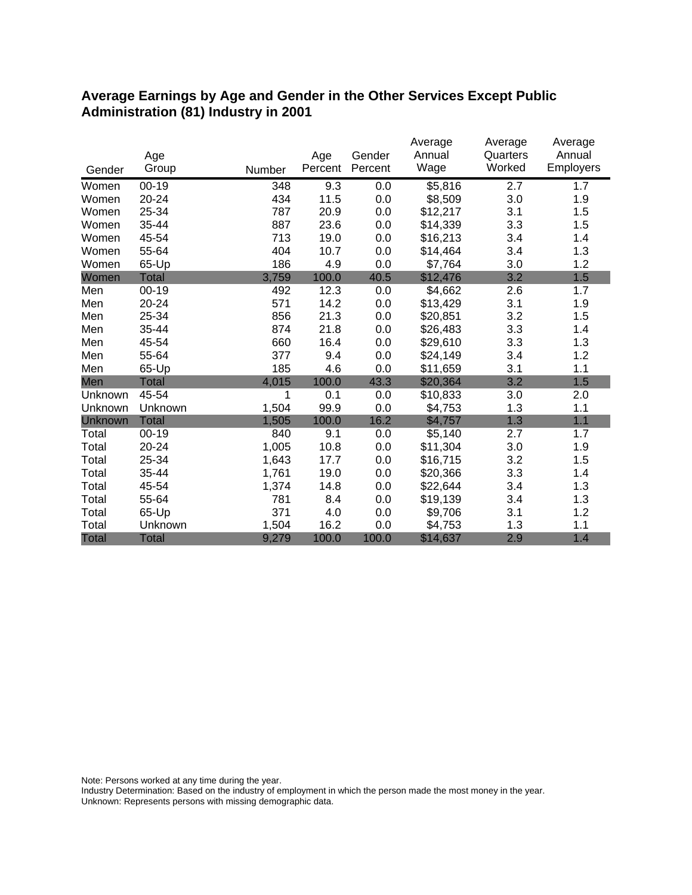### **Average Earnings by Age and Gender in the Other Services Except Public Administration (81) Industry in 2001**

|              |              |        |         |         | Average<br>Annual | Average<br>Quarters | Average<br>Annual |
|--------------|--------------|--------|---------|---------|-------------------|---------------------|-------------------|
|              | Age          |        | Age     | Gender  |                   | Worked              |                   |
| Gender       | Group        | Number | Percent | Percent | Wage              |                     | Employers         |
| Women        | $00 - 19$    | 348    | 9.3     | 0.0     | \$5,816           | 2.7                 | 1.7               |
| Women        | 20-24        | 434    | 11.5    | 0.0     | \$8,509           | 3.0                 | 1.9               |
| Women        | 25-34        | 787    | 20.9    | 0.0     | \$12,217          | 3.1                 | 1.5               |
| Women        | 35-44        | 887    | 23.6    | 0.0     | \$14,339          | 3.3                 | 1.5               |
| Women        | 45-54        | 713    | 19.0    | 0.0     | \$16,213          | 3.4                 | 1.4               |
| Women        | 55-64        | 404    | 10.7    | 0.0     | \$14,464          | 3.4                 | 1.3               |
| Women        | 65-Up        | 186    | 4.9     | 0.0     | \$7,764           | 3.0                 | 1.2               |
| Women        | <b>Total</b> | 3,759  | 100.0   | 40.5    | \$12,476          | 3.2                 | 1.5               |
| Men          | $00 - 19$    | 492    | 12.3    | 0.0     | \$4,662           | 2.6                 | 1.7               |
| Men          | 20-24        | 571    | 14.2    | 0.0     | \$13,429          | 3.1                 | 1.9               |
| Men          | 25-34        | 856    | 21.3    | 0.0     | \$20,851          | 3.2                 | 1.5               |
| Men          | 35-44        | 874    | 21.8    | 0.0     | \$26,483          | 3.3                 | 1.4               |
| Men          | 45-54        | 660    | 16.4    | 0.0     | \$29,610          | 3.3                 | 1.3               |
| Men          | 55-64        | 377    | 9.4     | 0.0     | \$24,149          | 3.4                 | 1.2               |
| Men          | 65-Up        | 185    | 4.6     | 0.0     | \$11,659          | 3.1                 | 1.1               |
| Men          | <b>Total</b> | 4,015  | 100.0   | 43.3    | \$20,364          | 3.2                 | 1.5               |
| Unknown      | 45-54        | 1      | 0.1     | 0.0     | \$10,833          | 3.0                 | 2.0               |
| Unknown      | Unknown      | 1,504  | 99.9    | 0.0     | \$4,753           | 1.3                 | 1.1               |
| Unknown      | <b>Total</b> | 1,505  | 100.0   | 16.2    | \$4,757           | 1.3                 | 1.1               |
| Total        | $00 - 19$    | 840    | 9.1     | 0.0     | \$5,140           | 2.7                 | 1.7               |
| Total        | 20-24        | 1,005  | 10.8    | 0.0     | \$11,304          | 3.0                 | 1.9               |
| Total        | 25-34        | 1,643  | 17.7    | 0.0     | \$16,715          | 3.2                 | 1.5               |
| Total        | 35-44        | 1,761  | 19.0    | 0.0     | \$20,366          | 3.3                 | 1.4               |
| Total        | 45-54        | 1,374  | 14.8    | 0.0     | \$22,644          | 3.4                 | 1.3               |
| Total        | 55-64        | 781    | 8.4     | 0.0     | \$19,139          | 3.4                 | 1.3               |
| Total        | 65-Up        | 371    | 4.0     | 0.0     | \$9,706           | 3.1                 | 1.2               |
| Total        | Unknown      | 1,504  | 16.2    | 0.0     | \$4,753           | 1.3                 | 1.1               |
| <b>Total</b> | <b>Total</b> | 9,279  | 100.0   | 100.0   | \$14,637          | 2.9                 | 1.4               |

Note: Persons worked at any time during the year.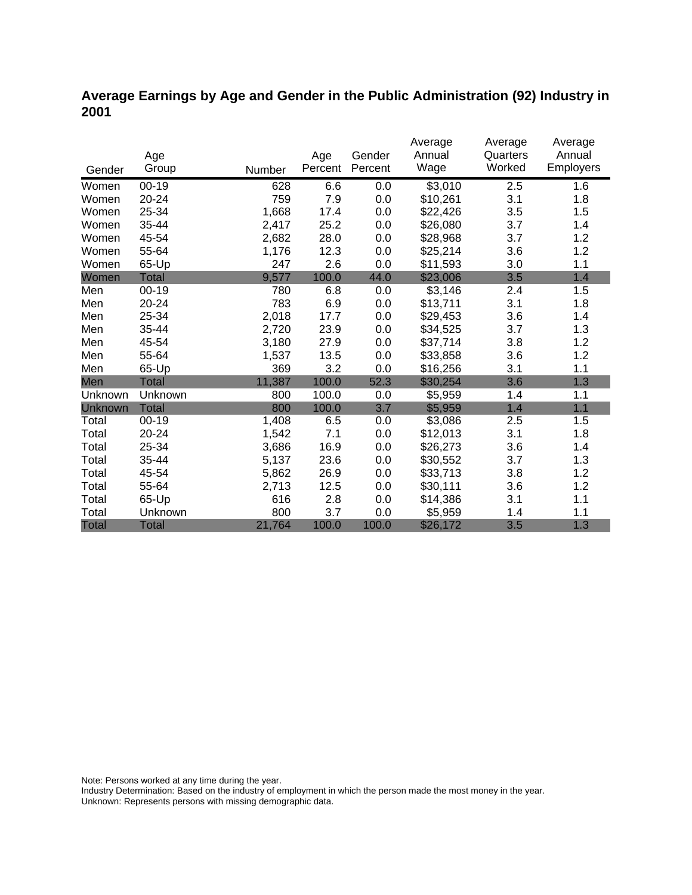# **Average Earnings by Age and Gender in the Public Administration (92) Industry in 2001**

|                |              |        |         |         | Average  | Average  | Average   |
|----------------|--------------|--------|---------|---------|----------|----------|-----------|
|                | Age          |        | Age     | Gender  | Annual   | Quarters | Annual    |
| Gender         | Group        | Number | Percent | Percent | Wage     | Worked   | Employers |
| Women          | $00-19$      | 628    | 6.6     | 0.0     | \$3,010  | 2.5      | 1.6       |
| Women          | 20-24        | 759    | 7.9     | 0.0     | \$10,261 | 3.1      | 1.8       |
| Women          | 25-34        | 1,668  | 17.4    | 0.0     | \$22,426 | 3.5      | 1.5       |
| Women          | 35-44        | 2,417  | 25.2    | 0.0     | \$26,080 | 3.7      | 1.4       |
| Women          | 45-54        | 2,682  | 28.0    | 0.0     | \$28,968 | 3.7      | 1.2       |
| Women          | 55-64        | 1,176  | 12.3    | 0.0     | \$25,214 | 3.6      | 1.2       |
| Women          | 65-Up        | 247    | 2.6     | 0.0     | \$11,593 | 3.0      | 1.1       |
| Women          | Total        | 9,577  | 100.0   | 44.0    | \$23,006 | 3.5      | 1.4       |
| Men            | $00 - 19$    | 780    | 6.8     | 0.0     | \$3,146  | 2.4      | 1.5       |
| Men            | $20 - 24$    | 783    | 6.9     | 0.0     | \$13,711 | 3.1      | 1.8       |
| Men            | 25-34        | 2,018  | 17.7    | 0.0     | \$29,453 | 3.6      | 1.4       |
| Men            | 35-44        | 2,720  | 23.9    | 0.0     | \$34,525 | 3.7      | 1.3       |
| Men            | 45-54        | 3,180  | 27.9    | 0.0     | \$37,714 | 3.8      | 1.2       |
| Men            | 55-64        | 1,537  | 13.5    | 0.0     | \$33,858 | 3.6      | 1.2       |
| Men            | 65-Up        | 369    | 3.2     | 0.0     | \$16,256 | 3.1      | 1.1       |
| Men            | Total        | 11,387 | 100.0   | 52.3    | \$30,254 | 3.6      | 1.3       |
| Unknown        | Unknown      | 800    | 100.0   | 0.0     | \$5,959  | 1.4      | 1.1       |
| <b>Unknown</b> | <b>Total</b> | 800    | 100.0   | 3.7     | \$5,959  | 1.4      | 1.1       |
| Total          | $00 - 19$    | 1,408  | 6.5     | 0.0     | \$3,086  | 2.5      | 1.5       |
| Total          | 20-24        | 1,542  | 7.1     | 0.0     | \$12,013 | 3.1      | 1.8       |
| Total          | 25-34        | 3,686  | 16.9    | 0.0     | \$26,273 | 3.6      | 1.4       |
| Total          | 35-44        | 5,137  | 23.6    | 0.0     | \$30,552 | 3.7      | 1.3       |
| Total          | 45-54        | 5,862  | 26.9    | 0.0     | \$33,713 | 3.8      | 1.2       |
| Total          | 55-64        | 2,713  | 12.5    | 0.0     | \$30,111 | 3.6      | 1.2       |
| Total          | 65-Up        | 616    | 2.8     | 0.0     | \$14,386 | 3.1      | 1.1       |
| Total          | Unknown      | 800    | 3.7     | 0.0     | \$5,959  | 1.4      | 1.1       |
| <b>Total</b>   | <b>Total</b> | 21,764 | 100.0   | 100.0   | \$26,172 | 3.5      | 1.3       |

Note: Persons worked at any time during the year.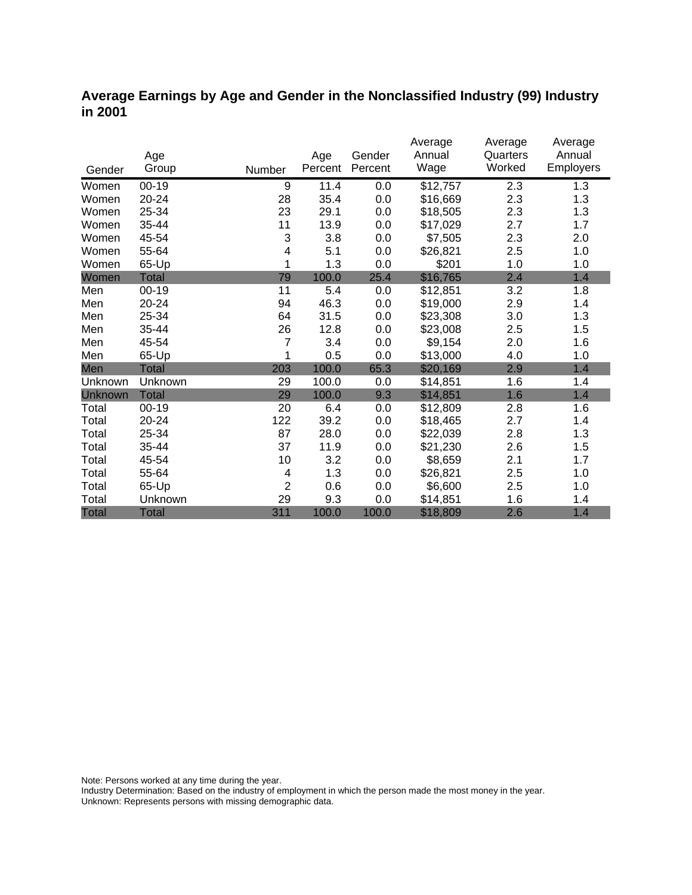### **Average Earnings by Age and Gender in the Nonclassified Industry (99) Industry in 2001**

|              |              |                |         |         | Average  | Average  | Average          |
|--------------|--------------|----------------|---------|---------|----------|----------|------------------|
|              | Age          |                | Age     | Gender  | Annual   | Quarters | Annual           |
| Gender       | Group        | Number         | Percent | Percent | Wage     | Worked   | <b>Employers</b> |
| Women        | $00 - 19$    | 9              | 11.4    | 0.0     | \$12,757 | 2.3      | 1.3              |
| Women        | 20-24        | 28             | 35.4    | 0.0     | \$16,669 | 2.3      | 1.3              |
| Women        | 25-34        | 23             | 29.1    | 0.0     | \$18,505 | 2.3      | 1.3              |
| Women        | 35-44        | 11             | 13.9    | 0.0     | \$17,029 | 2.7      | 1.7              |
| Women        | 45-54        | 3              | 3.8     | 0.0     | \$7,505  | 2.3      | 2.0              |
| Women        | 55-64        | 4              | 5.1     | 0.0     | \$26,821 | 2.5      | 1.0              |
| Women        | 65-Up        | 1              | 1.3     | 0.0     | \$201    | 1.0      | 1.0              |
| Women        | <b>Total</b> | 79             | 100.0   | 25.4    | \$16,765 | 2.4      | 1.4              |
| Men          | $00 - 19$    | 11             | 5.4     | 0.0     | \$12,851 | 3.2      | 1.8              |
| Men          | 20-24        | 94             | 46.3    | 0.0     | \$19,000 | 2.9      | 1.4              |
| Men          | 25-34        | 64             | 31.5    | 0.0     | \$23,308 | 3.0      | 1.3              |
| Men          | 35-44        | 26             | 12.8    | 0.0     | \$23,008 | 2.5      | 1.5              |
| Men          | 45-54        | 7              | 3.4     | 0.0     | \$9,154  | 2.0      | 1.6              |
| Men          | 65-Up        | 1              | 0.5     | 0.0     | \$13,000 | 4.0      | 1.0              |
| Men          | <b>Total</b> | 203            | 100.0   | 65.3    | \$20,169 | 2.9      | 1.4              |
| Unknown      | Unknown      | 29             | 100.0   | 0.0     | \$14,851 | 1.6      | 1.4              |
| Unknown      | <b>Total</b> | 29             | 100.0   | 9.3     | \$14,851 | 1.6      | 1.4              |
| Total        | $00 - 19$    | 20             | 6.4     | 0.0     | \$12,809 | 2.8      | 1.6              |
| Total        | 20-24        | 122            | 39.2    | 0.0     | \$18,465 | 2.7      | 1.4              |
| Total        | 25-34        | 87             | 28.0    | 0.0     | \$22,039 | 2.8      | 1.3              |
| Total        | 35-44        | 37             | 11.9    | 0.0     | \$21,230 | 2.6      | 1.5              |
| Total        | 45-54        | 10             | 3.2     | 0.0     | \$8,659  | 2.1      | 1.7              |
| Total        | 55-64        | 4              | 1.3     | 0.0     | \$26,821 | 2.5      | 1.0              |
| Total        | 65-Up        | $\overline{2}$ | 0.6     | 0.0     | \$6,600  | 2.5      | 1.0              |
| Total        | Unknown      | 29             | 9.3     | 0.0     | \$14,851 | 1.6      | 1.4              |
| <b>Total</b> | <b>Total</b> | 311            | 100.0   | 100.0   | \$18,809 | 2.6      | 1.4              |

Note: Persons worked at any time during the year.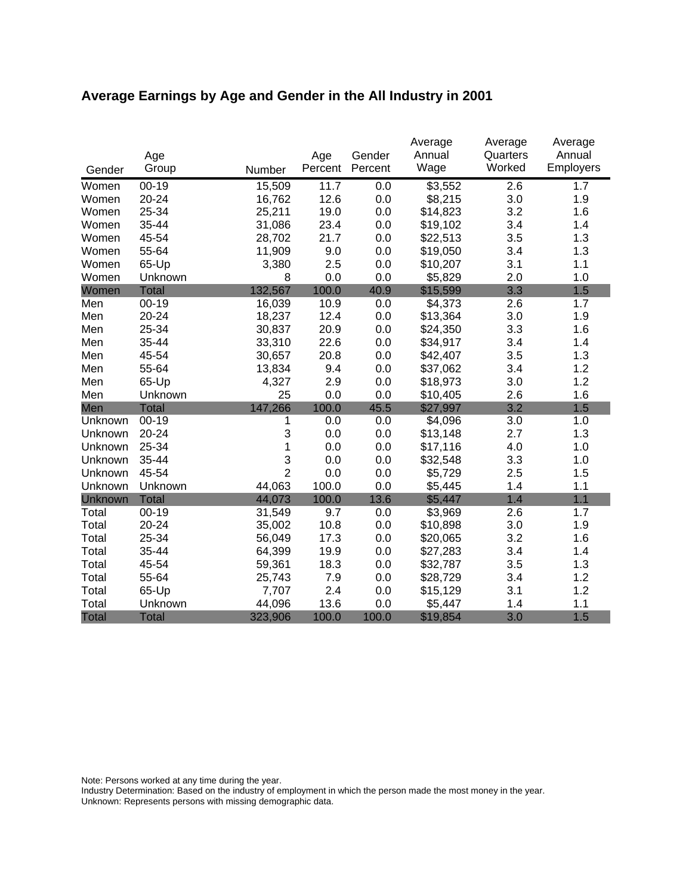# **Average Earnings by Age and Gender in the All Industry in 2001**

|              |              |                |                | Gender  | Average<br>Annual | Average<br>Quarters | Average<br>Annual |
|--------------|--------------|----------------|----------------|---------|-------------------|---------------------|-------------------|
| Gender       | Age<br>Group | Number         | Age<br>Percent | Percent | Wage              | Worked              | Employers         |
| Women        | $00 - 19$    | 15,509         | 11.7           | 0.0     | \$3,552           | 2.6                 | 1.7               |
| Women        | 20-24        | 16,762         | 12.6           | 0.0     | \$8,215           | 3.0                 | 1.9               |
| Women        | 25-34        | 25,211         | 19.0           | 0.0     | \$14,823          | 3.2                 | 1.6               |
| Women        | 35-44        | 31,086         | 23.4           | 0.0     | \$19,102          | 3.4                 | 1.4               |
| Women        | 45-54        | 28,702         | 21.7           | 0.0     | \$22,513          | 3.5                 | 1.3               |
| Women        | 55-64        | 11,909         | 9.0            | 0.0     | \$19,050          | 3.4                 | 1.3               |
| Women        | 65-Up        | 3,380          | 2.5            | 0.0     | \$10,207          | 3.1                 | 1.1               |
| Women        | Unknown      | 8              | 0.0            | 0.0     | \$5,829           | 2.0                 | 1.0               |
| Women        | <b>Total</b> | 132,567        | 100.0          | 40.9    | \$15,599          | 3.3                 | 1.5               |
| Men          | $00 - 19$    | 16,039         | 10.9           | 0.0     | \$4,373           | 2.6                 | 1.7               |
| Men          | $20 - 24$    | 18,237         | 12.4           | 0.0     | \$13,364          | 3.0                 | 1.9               |
| Men          | 25-34        | 30,837         | 20.9           | 0.0     | \$24,350          | 3.3                 | 1.6               |
| Men          | 35-44        | 33,310         | 22.6           | 0.0     | \$34,917          | 3.4                 | 1.4               |
| Men          | 45-54        | 30,657         | 20.8           | 0.0     | \$42,407          | 3.5                 | 1.3               |
| Men          | 55-64        | 13,834         | 9.4            | 0.0     | \$37,062          | 3.4                 | 1.2               |
| Men          | 65-Up        | 4,327          | 2.9            | 0.0     | \$18,973          | 3.0                 | 1.2               |
| Men          | Unknown      | 25             | 0.0            | 0.0     | \$10,405          | 2.6                 | 1.6               |
| Men          | <b>Total</b> | 147,266        | 100.0          | 45.5    | \$27,997          | 3.2                 | 1.5               |
| Unknown      | $00-19$      | 1              | 0.0            | 0.0     | \$4,096           | 3.0                 | 1.0               |
| Unknown      | 20-24        | 3              | 0.0            | 0.0     | \$13,148          | 2.7                 | 1.3               |
| Unknown      | 25-34        | 1              | 0.0            | 0.0     | \$17,116          | 4.0                 | 1.0               |
| Unknown      | 35-44        | 3              | 0.0            | 0.0     | \$32,548          | 3.3                 | 1.0               |
| Unknown      | 45-54        | $\overline{2}$ | 0.0            | 0.0     | \$5,729           | 2.5                 | 1.5               |
| Unknown      | Unknown      | 44,063         | 100.0          | 0.0     | \$5,445           | 1.4                 | 1.1               |
| Unknown      | <b>Total</b> | 44,073         | 100.0          | 13.6    | \$5,447           | 1.4                 | 1.1               |
| Total        | $00 - 19$    | 31,549         | 9.7            | 0.0     | \$3,969           | 2.6                 | 1.7               |
| Total        | 20-24        | 35,002         | 10.8           | 0.0     | \$10,898          | 3.0                 | 1.9               |
| Total        | 25-34        | 56,049         | 17.3           | 0.0     | \$20,065          | 3.2                 | 1.6               |
| Total        | 35-44        | 64,399         | 19.9           | 0.0     | \$27,283          | 3.4                 | 1.4               |
| Total        | 45-54        | 59,361         | 18.3           | 0.0     | \$32,787          | 3.5                 | 1.3               |
| Total        | 55-64        | 25,743         | 7.9            | 0.0     | \$28,729          | 3.4                 | 1.2               |
| Total        | 65-Up        | 7,707          | 2.4            | 0.0     | \$15,129          | 3.1                 | 1.2               |
| Total        | Unknown      | 44,096         | 13.6           | 0.0     | \$5,447           | 1.4                 | 1.1               |
| <b>Total</b> | <b>Total</b> | 323,906        | 100.0          | 100.0   | \$19,854          | 3.0                 | 1.5               |

Note: Persons worked at any time during the year.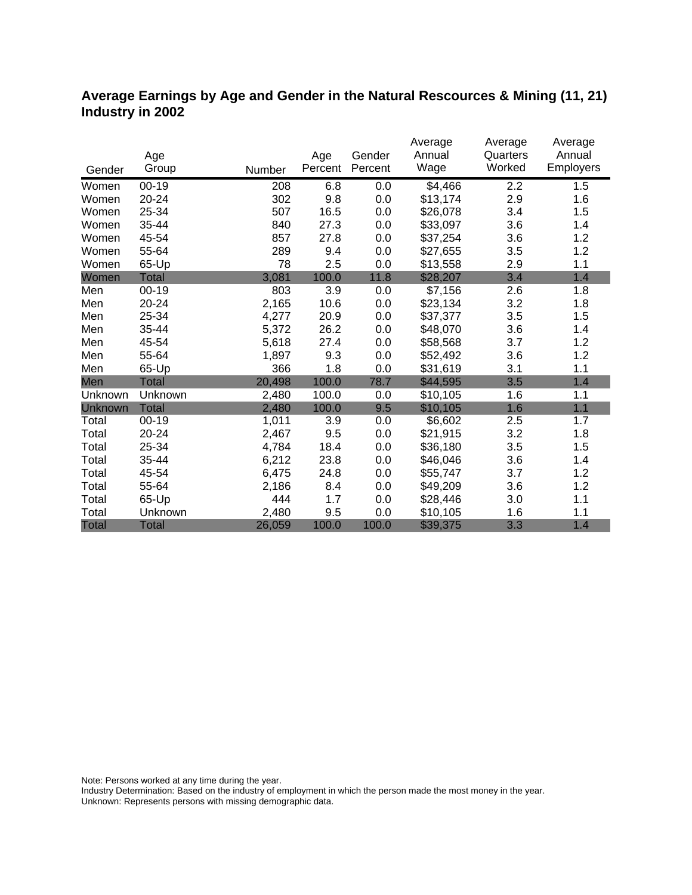# **Average Earnings by Age and Gender in the Natural Rescources & Mining (11, 21) Industry in 2002**

|                |              |        |         |         | Average  | Average  | Average          |
|----------------|--------------|--------|---------|---------|----------|----------|------------------|
|                | Age          |        | Age     | Gender  | Annual   | Quarters | Annual           |
| Gender         | Group        | Number | Percent | Percent | Wage     | Worked   | <b>Employers</b> |
| Women          | $00 - 19$    | 208    | 6.8     | 0.0     | \$4,466  | 2.2      | 1.5              |
| Women          | 20-24        | 302    | 9.8     | 0.0     | \$13,174 | 2.9      | 1.6              |
| Women          | 25-34        | 507    | 16.5    | 0.0     | \$26,078 | 3.4      | 1.5              |
| Women          | 35-44        | 840    | 27.3    | 0.0     | \$33,097 | 3.6      | 1.4              |
| Women          | 45-54        | 857    | 27.8    | 0.0     | \$37,254 | 3.6      | 1.2              |
| Women          | 55-64        | 289    | 9.4     | 0.0     | \$27,655 | 3.5      | 1.2              |
| Women          | 65-Up        | 78     | 2.5     | 0.0     | \$13,558 | 2.9      | 1.1              |
| Women          | Total        | 3,081  | 100.0   | 11.8    | \$28,207 | 3.4      | 1.4              |
| Men            | $00 - 19$    | 803    | 3.9     | 0.0     | \$7,156  | 2.6      | 1.8              |
| Men            | $20 - 24$    | 2,165  | 10.6    | 0.0     | \$23,134 | 3.2      | 1.8              |
| Men            | 25-34        | 4,277  | 20.9    | 0.0     | \$37,377 | 3.5      | 1.5              |
| Men            | 35-44        | 5,372  | 26.2    | 0.0     | \$48,070 | 3.6      | 1.4              |
| Men            | 45-54        | 5,618  | 27.4    | 0.0     | \$58,568 | 3.7      | 1.2              |
| Men            | 55-64        | 1,897  | 9.3     | 0.0     | \$52,492 | 3.6      | 1.2              |
| Men            | 65-Up        | 366    | 1.8     | 0.0     | \$31,619 | 3.1      | 1.1              |
| Men            | <b>Total</b> | 20,498 | 100.0   | 78.7    | \$44,595 | 3.5      | 1.4              |
| Unknown        | Unknown      | 2,480  | 100.0   | 0.0     | \$10,105 | 1.6      | 1.1              |
| <b>Unknown</b> | <b>Total</b> | 2,480  | 100.0   | 9.5     | \$10,105 | 1.6      | 1.1              |
| Total          | $00 - 19$    | 1,011  | 3.9     | 0.0     | \$6,602  | 2.5      | 1.7              |
| Total          | 20-24        | 2,467  | 9.5     | 0.0     | \$21,915 | 3.2      | 1.8              |
| Total          | 25-34        | 4,784  | 18.4    | 0.0     | \$36,180 | 3.5      | 1.5              |
| Total          | 35-44        | 6,212  | 23.8    | 0.0     | \$46,046 | 3.6      | 1.4              |
| Total          | 45-54        | 6,475  | 24.8    | 0.0     | \$55,747 | 3.7      | 1.2              |
| Total          | 55-64        | 2,186  | 8.4     | 0.0     | \$49,209 | 3.6      | 1.2              |
| Total          | 65-Up        | 444    | 1.7     | 0.0     | \$28,446 | 3.0      | 1.1              |
| Total          | Unknown      | 2,480  | 9.5     | 0.0     | \$10,105 | 1.6      | 1.1              |
| <b>Total</b>   | <b>Total</b> | 26,059 | 100.0   | 100.0   | \$39,375 | 3.3      | 1.4              |

Note: Persons worked at any time during the year.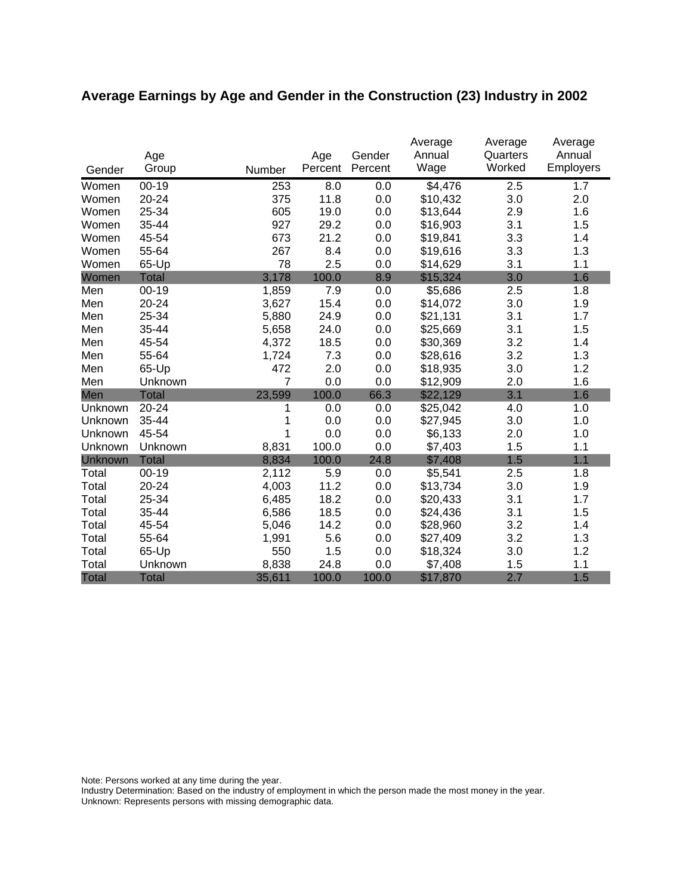# **Average Earnings by Age and Gender in the Construction (23) Industry in 2002**

|              | Age          |                | Age     | Gender  | Average<br>Annual | Average<br>Quarters | Average<br>Annual |
|--------------|--------------|----------------|---------|---------|-------------------|---------------------|-------------------|
| Gender       | Group        | Number         | Percent | Percent | Wage              | Worked              | Employers         |
| Women        | $00 - 19$    | 253            | 8.0     | 0.0     | \$4,476           | 2.5                 | 1.7               |
| Women        | 20-24        | 375            | 11.8    | 0.0     | \$10,432          | 3.0                 | 2.0               |
| Women        | 25-34        | 605            | 19.0    | 0.0     | \$13,644          | 2.9                 | 1.6               |
| Women        | 35-44        | 927            | 29.2    | 0.0     | \$16,903          | 3.1                 | 1.5               |
| Women        | 45-54        | 673            | 21.2    | 0.0     | \$19,841          | 3.3                 | 1.4               |
| Women        | 55-64        | 267            | 8.4     | 0.0     | \$19,616          | 3.3                 | 1.3               |
| Women        | 65-Up        | 78             | 2.5     | 0.0     | \$14,629          | 3.1                 | 1.1               |
| Women        | <b>Total</b> | 3,178          | 100.0   | 8.9     | \$15,324          | 3.0                 | 1.6               |
| Men          | $00 - 19$    | 1,859          | 7.9     | 0.0     | \$5,686           | 2.5                 | 1.8               |
| Men          | 20-24        | 3,627          | 15.4    | 0.0     | \$14,072          | 3.0                 | 1.9               |
| Men          | 25-34        | 5,880          | 24.9    | 0.0     | \$21,131          | 3.1                 | 1.7               |
| Men          | 35-44        | 5,658          | 24.0    | 0.0     | \$25,669          | 3.1                 | 1.5               |
| Men          | 45-54        | 4,372          | 18.5    | 0.0     | \$30,369          | 3.2                 | 1.4               |
| Men          | 55-64        | 1,724          | 7.3     | 0.0     | \$28,616          | 3.2                 | 1.3               |
| Men          | 65-Up        | 472            | 2.0     | 0.0     | \$18,935          | 3.0                 | 1.2               |
| Men          | Unknown      | $\overline{7}$ | 0.0     | 0.0     | \$12,909          | 2.0                 | 1.6               |
| Men          | <b>Total</b> | 23,599         | 100.0   | 66.3    | \$22,129          | 3.1                 | 1.6               |
| Unknown      | 20-24        | 1              | 0.0     | 0.0     | \$25,042          | 4.0                 | 1.0               |
| Unknown      | 35-44        | 1              | 0.0     | 0.0     | \$27,945          | 3.0                 | 1.0               |
| Unknown      | 45-54        | 1              | 0.0     | 0.0     | \$6,133           | 2.0                 | 1.0               |
| Unknown      | Unknown      | 8,831          | 100.0   | 0.0     | \$7,403           | 1.5                 | 1.1               |
| Unknown      | <b>Total</b> | 8,834          | 100.0   | 24.8    | \$7,408           | 1.5                 | 1.1               |
| Total        | $00 - 19$    | 2,112          | 5.9     | 0.0     | \$5,541           | 2.5                 | 1.8               |
| Total        | 20-24        | 4,003          | 11.2    | 0.0     | \$13,734          | 3.0                 | 1.9               |
| Total        | 25-34        | 6,485          | 18.2    | 0.0     | \$20,433          | 3.1                 | 1.7               |
| Total        | 35-44        | 6,586          | 18.5    | 0.0     | \$24,436          | 3.1                 | 1.5               |
| Total        | 45-54        | 5,046          | 14.2    | 0.0     | \$28,960          | 3.2                 | 1.4               |
| Total        | 55-64        | 1,991          | 5.6     | 0.0     | \$27,409          | 3.2                 | 1.3               |
| Total        | 65-Up        | 550            | 1.5     | 0.0     | \$18,324          | 3.0                 | 1.2               |
| Total        | Unknown      | 8,838          | 24.8    | 0.0     | \$7,408           | 1.5                 | 1.1               |
| <b>Total</b> | <b>Total</b> | 35,611         | 100.0   | 100.0   | \$17,870          | 2.7                 | 1.5               |

Note: Persons worked at any time during the year.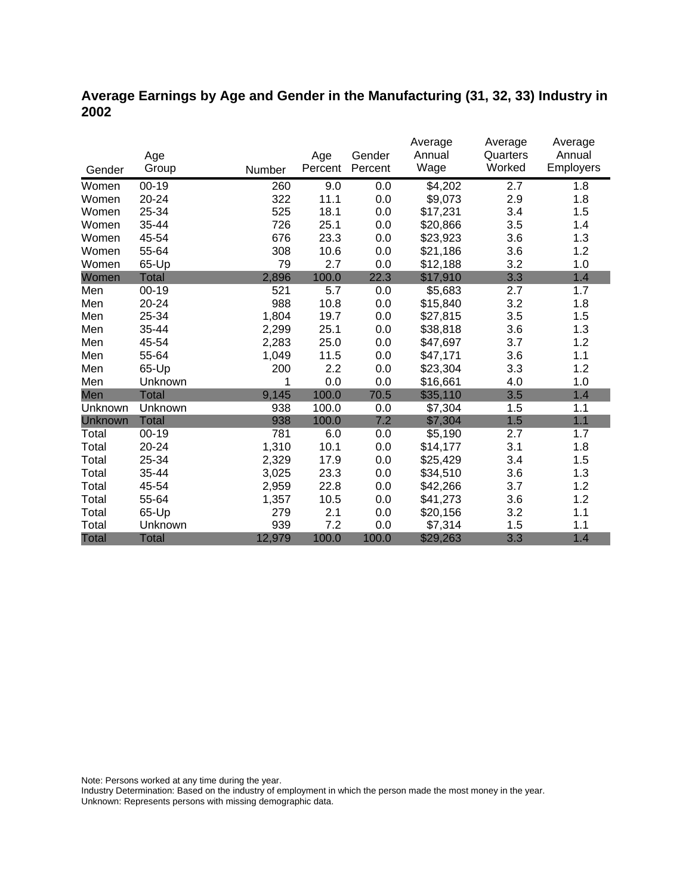# **Average Earnings by Age and Gender in the Manufacturing (31, 32, 33) Industry in 2002**

|              |              |        |         |         | Average  | Average  | Average   |
|--------------|--------------|--------|---------|---------|----------|----------|-----------|
|              | Age          |        | Age     | Gender  | Annual   | Quarters | Annual    |
| Gender       | Group        | Number | Percent | Percent | Wage     | Worked   | Employers |
| Women        | $00 - 19$    | 260    | 9.0     | 0.0     | \$4,202  | 2.7      | 1.8       |
| Women        | 20-24        | 322    | 11.1    | 0.0     | \$9,073  | 2.9      | 1.8       |
| Women        | 25-34        | 525    | 18.1    | 0.0     | \$17,231 | 3.4      | 1.5       |
| Women        | 35-44        | 726    | 25.1    | 0.0     | \$20,866 | 3.5      | 1.4       |
| Women        | 45-54        | 676    | 23.3    | 0.0     | \$23,923 | 3.6      | 1.3       |
| Women        | 55-64        | 308    | 10.6    | 0.0     | \$21,186 | 3.6      | 1.2       |
| Women        | 65-Up        | 79     | 2.7     | 0.0     | \$12,188 | 3.2      | 1.0       |
| Women        | <b>Total</b> | 2,896  | 100.0   | 22.3    | \$17,910 | 3.3      | 1.4       |
| Men          | $00 - 19$    | 521    | 5.7     | 0.0     | \$5,683  | 2.7      | 1.7       |
| Men          | $20 - 24$    | 988    | 10.8    | 0.0     | \$15,840 | 3.2      | 1.8       |
| Men          | 25-34        | 1,804  | 19.7    | 0.0     | \$27,815 | 3.5      | 1.5       |
| Men          | 35-44        | 2,299  | 25.1    | 0.0     | \$38,818 | 3.6      | 1.3       |
| Men          | 45-54        | 2,283  | 25.0    | 0.0     | \$47,697 | 3.7      | 1.2       |
| Men          | 55-64        | 1,049  | 11.5    | 0.0     | \$47,171 | 3.6      | 1.1       |
| Men          | 65-Up        | 200    | 2.2     | 0.0     | \$23,304 | 3.3      | 1.2       |
| Men          | Unknown      | 1      | 0.0     | 0.0     | \$16,661 | 4.0      | 1.0       |
| Men          | <b>Total</b> | 9,145  | 100.0   | 70.5    | \$35,110 | 3.5      | 1.4       |
| Unknown      | Unknown      | 938    | 100.0   | 0.0     | \$7,304  | 1.5      | 1.1       |
| Unknown      | <b>Total</b> | 938    | 100.0   | 7.2     | \$7,304  | 1.5      | 1.1       |
| Total        | $00 - 19$    | 781    | 6.0     | 0.0     | \$5,190  | 2.7      | 1.7       |
| Total        | $20 - 24$    | 1,310  | 10.1    | 0.0     | \$14,177 | 3.1      | 1.8       |
| Total        | 25-34        | 2,329  | 17.9    | 0.0     | \$25,429 | 3.4      | 1.5       |
| Total        | 35-44        | 3,025  | 23.3    | 0.0     | \$34,510 | 3.6      | 1.3       |
| Total        | 45-54        | 2,959  | 22.8    | 0.0     | \$42,266 | 3.7      | 1.2       |
| Total        | 55-64        | 1,357  | 10.5    | 0.0     | \$41,273 | 3.6      | 1.2       |
| Total        | 65-Up        | 279    | 2.1     | 0.0     | \$20,156 | 3.2      | 1.1       |
| Total        | Unknown      | 939    | 7.2     | 0.0     | \$7,314  | 1.5      | 1.1       |
| <b>Total</b> | <b>Total</b> | 12,979 | 100.0   | 100.0   | \$29,263 | 3.3      | 1.4       |

Note: Persons worked at any time during the year.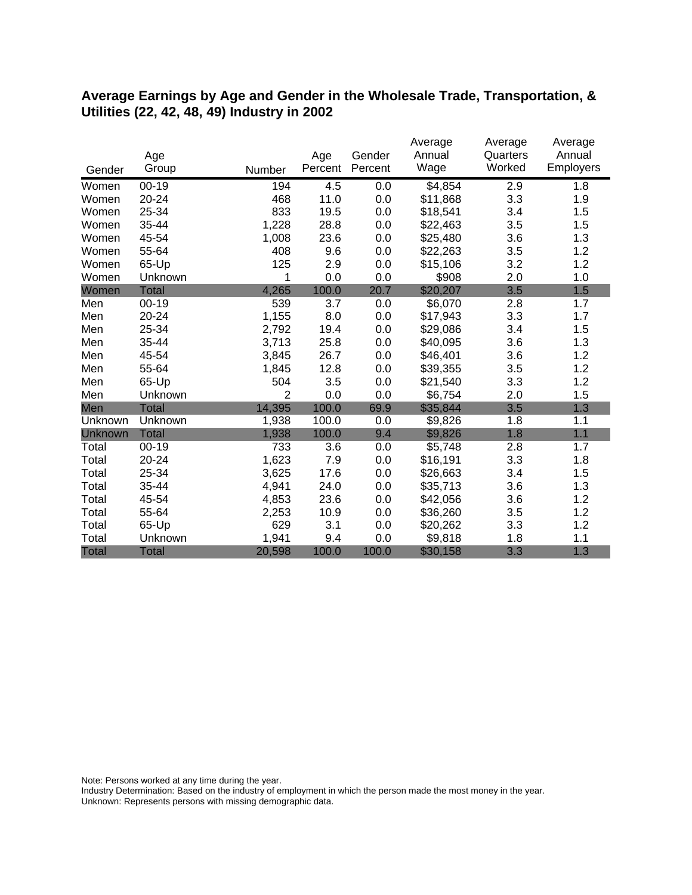#### **Average Earnings by Age and Gender in the Wholesale Trade, Transportation, & Utilities (22, 42, 48, 49) Industry in 2002**

|              |              |                |         |         | Average  | Average  | Average   |
|--------------|--------------|----------------|---------|---------|----------|----------|-----------|
|              | Age          |                | Age     | Gender  | Annual   | Quarters | Annual    |
| Gender       | Group        | Number         | Percent | Percent | Wage     | Worked   | Employers |
| Women        | $00 - 19$    | 194            | 4.5     | 0.0     | \$4,854  | 2.9      | 1.8       |
| Women        | 20-24        | 468            | 11.0    | 0.0     | \$11,868 | 3.3      | 1.9       |
| Women        | 25-34        | 833            | 19.5    | 0.0     | \$18,541 | 3.4      | 1.5       |
| Women        | 35-44        | 1,228          | 28.8    | 0.0     | \$22,463 | 3.5      | 1.5       |
| Women        | 45-54        | 1,008          | 23.6    | 0.0     | \$25,480 | 3.6      | 1.3       |
| Women        | 55-64        | 408            | 9.6     | 0.0     | \$22,263 | 3.5      | 1.2       |
| Women        | 65-Up        | 125            | 2.9     | 0.0     | \$15,106 | 3.2      | 1.2       |
| Women        | Unknown      | 1              | 0.0     | 0.0     | \$908    | 2.0      | 1.0       |
| Women        | <b>Total</b> | 4,265          | 100.0   | 20.7    | \$20,207 | 3.5      | 1.5       |
| Men          | $00 - 19$    | 539            | 3.7     | 0.0     | \$6,070  | 2.8      | 1.7       |
| Men          | 20-24        | 1,155          | 8.0     | 0.0     | \$17,943 | 3.3      | 1.7       |
| Men          | 25-34        | 2,792          | 19.4    | 0.0     | \$29,086 | 3.4      | 1.5       |
| Men          | 35-44        | 3,713          | 25.8    | 0.0     | \$40,095 | 3.6      | 1.3       |
| Men          | 45-54        | 3,845          | 26.7    | 0.0     | \$46,401 | 3.6      | 1.2       |
| Men          | 55-64        | 1,845          | 12.8    | 0.0     | \$39,355 | 3.5      | 1.2       |
| Men          | 65-Up        | 504            | 3.5     | 0.0     | \$21,540 | 3.3      | 1.2       |
| Men          | Unknown      | $\overline{2}$ | 0.0     | 0.0     | \$6,754  | 2.0      | 1.5       |
| Men          | <b>Total</b> | 14,395         | 100.0   | 69.9    | \$35,844 | 3.5      | 1.3       |
| Unknown      | Unknown      | 1,938          | 100.0   | 0.0     | \$9,826  | 1.8      | 1.1       |
| Unknown      | <b>Total</b> | 1,938          | 100.0   | 9.4     | \$9,826  | 1.8      | 1.1       |
| Total        | $00 - 19$    | 733            | 3.6     | 0.0     | \$5,748  | 2.8      | 1.7       |
| Total        | 20-24        | 1,623          | 7.9     | 0.0     | \$16,191 | 3.3      | 1.8       |
| Total        | 25-34        | 3,625          | 17.6    | 0.0     | \$26,663 | 3.4      | 1.5       |
| Total        | 35-44        | 4,941          | 24.0    | 0.0     | \$35,713 | 3.6      | 1.3       |
| Total        | 45-54        | 4,853          | 23.6    | 0.0     | \$42,056 | 3.6      | 1.2       |
| Total        | 55-64        | 2,253          | 10.9    | 0.0     | \$36,260 | 3.5      | 1.2       |
| Total        | 65-Up        | 629            | 3.1     | 0.0     | \$20,262 | 3.3      | 1.2       |
| Total        | Unknown      | 1,941          | 9.4     | 0.0     | \$9,818  | 1.8      | 1.1       |
| <b>Total</b> | <b>Total</b> | 20,598         | 100.0   | 100.0   | \$30,158 | 3.3      | 1.3       |

Note: Persons worked at any time during the year.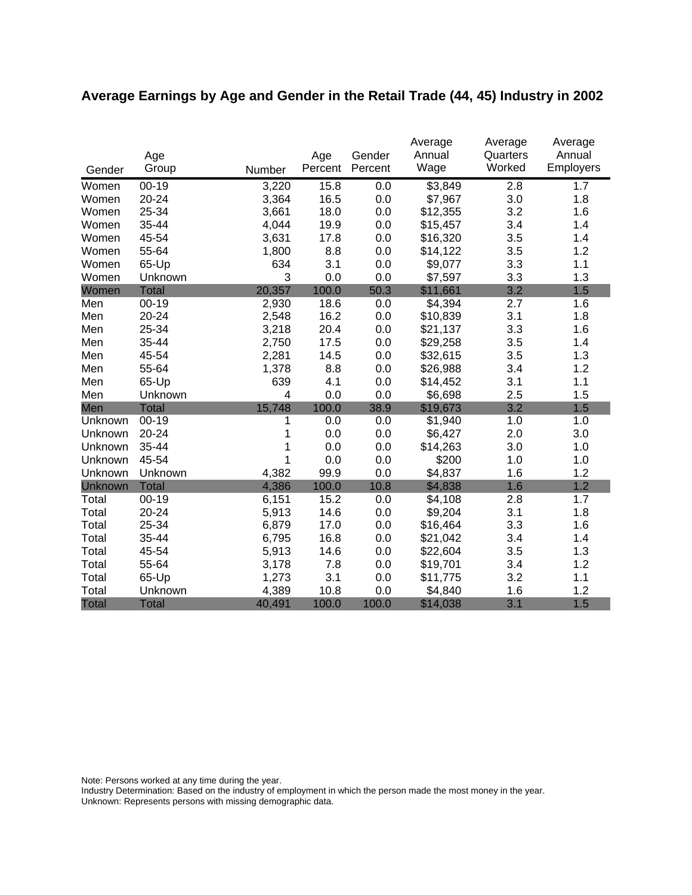# **Average Earnings by Age and Gender in the Retail Trade (44, 45) Industry in 2002**

|              |              |        |         |         | Average             | Average  | Average   |
|--------------|--------------|--------|---------|---------|---------------------|----------|-----------|
|              | Age          |        | Age     | Gender  | Annual              | Quarters | Annual    |
| Gender       | Group        | Number | Percent | Percent | Wage                | Worked   | Employers |
| Women        | $00 - 19$    | 3,220  | 15.8    | 0.0     | $\overline{$}3,849$ | 2.8      | 1.7       |
| Women        | 20-24        | 3,364  | 16.5    | $0.0\,$ | \$7,967             | 3.0      | 1.8       |
| Women        | 25-34        | 3,661  | 18.0    | 0.0     | \$12,355            | 3.2      | 1.6       |
| Women        | 35-44        | 4,044  | 19.9    | 0.0     | \$15,457            | 3.4      | 1.4       |
| Women        | 45-54        | 3,631  | 17.8    | 0.0     | \$16,320            | 3.5      | 1.4       |
| Women        | 55-64        | 1,800  | 8.8     | 0.0     | \$14,122            | 3.5      | 1.2       |
| Women        | 65-Up        | 634    | 3.1     | 0.0     | \$9,077             | 3.3      | 1.1       |
| Women        | Unknown      | 3      | 0.0     | 0.0     | \$7,597             | 3.3      | 1.3       |
| Women        | <b>Total</b> | 20,357 | 100.0   | 50.3    | \$11,661            | 3.2      | 1.5       |
| Men          | $00 - 19$    | 2,930  | 18.6    | 0.0     | \$4,394             | 2.7      | 1.6       |
| Men          | 20-24        | 2,548  | 16.2    | 0.0     | \$10,839            | 3.1      | 1.8       |
| Men          | 25-34        | 3,218  | 20.4    | 0.0     | \$21,137            | 3.3      | 1.6       |
| Men          | 35-44        | 2,750  | 17.5    | 0.0     | \$29,258            | 3.5      | 1.4       |
| Men          | 45-54        | 2,281  | 14.5    | 0.0     | \$32,615            | 3.5      | 1.3       |
| Men          | 55-64        | 1,378  | 8.8     | 0.0     | \$26,988            | 3.4      | 1.2       |
| Men          | 65-Up        | 639    | 4.1     | 0.0     | \$14,452            | 3.1      | 1.1       |
| Men          | Unknown      | 4      | 0.0     | 0.0     | \$6,698             | 2.5      | 1.5       |
| Men          | <b>Total</b> | 15,748 | 100.0   | 38.9    | \$19,673            | 3.2      | 1.5       |
| Unknown      | $00-19$      | 1      | 0.0     | 0.0     | \$1,940             | 1.0      | 1.0       |
| Unknown      | 20-24        | 1      | 0.0     | 0.0     | \$6,427             | 2.0      | 3.0       |
| Unknown      | 35-44        | 1      | 0.0     | 0.0     | \$14,263            | 3.0      | 1.0       |
| Unknown      | 45-54        | 1      | 0.0     | 0.0     | \$200               | 1.0      | 1.0       |
| Unknown      | Unknown      | 4,382  | 99.9    | 0.0     | \$4,837             | 1.6      | 1.2       |
| Unknown      | <b>Total</b> | 4,386  | 100.0   | 10.8    | \$4,838             | 1.6      | 1.2       |
| Total        | $00 - 19$    | 6,151  | 15.2    | 0.0     | \$4,108             | 2.8      | 1.7       |
| Total        | 20-24        | 5,913  | 14.6    | 0.0     | \$9,204             | 3.1      | 1.8       |
| Total        | 25-34        | 6,879  | 17.0    | 0.0     | \$16,464            | 3.3      | 1.6       |
| Total        | 35-44        | 6,795  | 16.8    | 0.0     | \$21,042            | 3.4      | 1.4       |
| Total        | 45-54        | 5,913  | 14.6    | 0.0     | \$22,604            | 3.5      | 1.3       |
| Total        | 55-64        | 3,178  | 7.8     | 0.0     | \$19,701            | 3.4      | 1.2       |
| Total        | 65-Up        | 1,273  | 3.1     | 0.0     | \$11,775            | 3.2      | 1.1       |
| Total        | Unknown      | 4,389  | 10.8    | 0.0     | \$4,840             | 1.6      | 1.2       |
| <b>Total</b> | <b>Total</b> | 40,491 | 100.0   | 100.0   | \$14,038            | 3.1      | 1.5       |

Note: Persons worked at any time during the year.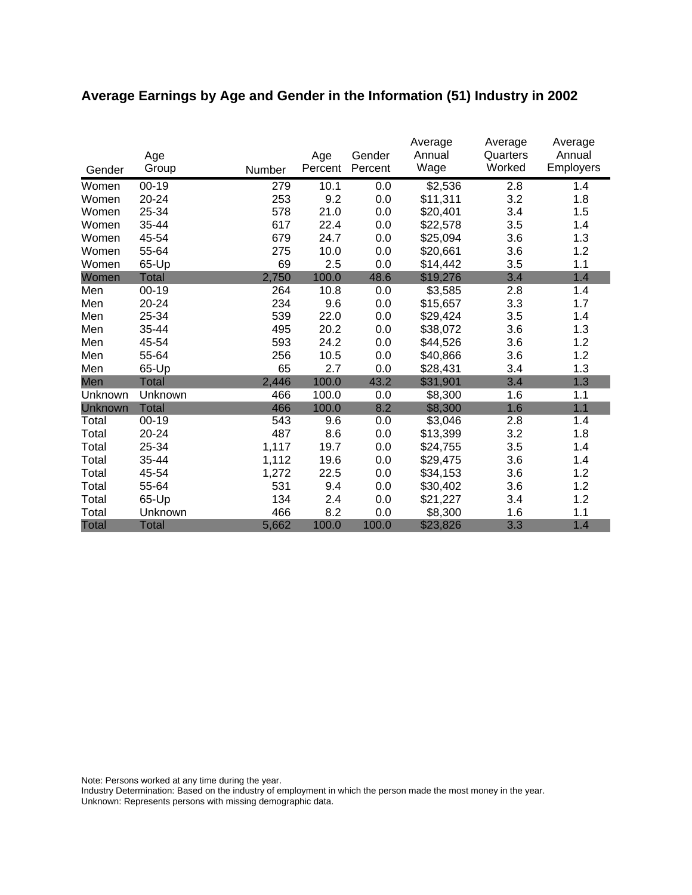# **Average Earnings by Age and Gender in the Information (51) Industry in 2002**

|              | Age          |        | Age     | Gender  | Average<br>Annual | Average<br>Quarters | Average<br>Annual |
|--------------|--------------|--------|---------|---------|-------------------|---------------------|-------------------|
| Gender       | Group        | Number | Percent | Percent | Wage              | Worked              | <b>Employers</b>  |
| Women        | $00 - 19$    | 279    | 10.1    | 0.0     | \$2,536           | 2.8                 | 1.4               |
| Women        | 20-24        | 253    | 9.2     | 0.0     | \$11,311          | 3.2                 | 1.8               |
| Women        | 25-34        | 578    | 21.0    | 0.0     | \$20,401          | 3.4                 | 1.5               |
| Women        | 35-44        | 617    | 22.4    | 0.0     | \$22,578          | 3.5                 | 1.4               |
| Women        | 45-54        | 679    | 24.7    | 0.0     | \$25,094          | 3.6                 | 1.3               |
| Women        | 55-64        | 275    | 10.0    | 0.0     | \$20,661          | 3.6                 | 1.2               |
| Women        | 65-Up        | 69     | 2.5     | 0.0     | \$14,442          | 3.5                 | 1.1               |
| Women        | <b>Total</b> | 2,750  | 100.0   | 48.6    | \$19,276          | 3.4                 | 1.4               |
| Men          | 00-19        | 264    | 10.8    | 0.0     | \$3,585           | 2.8                 | 1.4               |
| Men          | 20-24        | 234    | 9.6     | 0.0     | \$15,657          | 3.3                 | 1.7               |
| Men          | 25-34        | 539    | 22.0    | 0.0     | \$29,424          | 3.5                 | 1.4               |
| Men          | 35-44        | 495    | 20.2    | 0.0     | \$38,072          | 3.6                 | 1.3               |
| Men          | 45-54        | 593    | 24.2    | 0.0     | \$44,526          | 3.6                 | 1.2               |
| Men          | 55-64        | 256    | 10.5    | 0.0     | \$40,866          | 3.6                 | 1.2               |
| Men          | 65-Up        | 65     | 2.7     | 0.0     | \$28,431          | 3.4                 | 1.3               |
| Men          | Total        | 2,446  | 100.0   | 43.2    | \$31,901          | 3.4                 | 1.3               |
| Unknown      | Unknown      | 466    | 100.0   | 0.0     | \$8,300           | 1.6                 | 1.1               |
| Unknown      | <b>Total</b> | 466    | 100.0   | 8.2     | \$8,300           | 1.6                 | 1.1               |
| Total        | $00 - 19$    | 543    | 9.6     | 0.0     | \$3,046           | 2.8                 | 1.4               |
| Total        | 20-24        | 487    | 8.6     | 0.0     | \$13,399          | 3.2                 | 1.8               |
| Total        | 25-34        | 1,117  | 19.7    | 0.0     | \$24,755          | 3.5                 | 1.4               |
| Total        | 35-44        | 1,112  | 19.6    | 0.0     | \$29,475          | 3.6                 | 1.4               |
| Total        | 45-54        | 1,272  | 22.5    | 0.0     | \$34,153          | 3.6                 | 1.2               |
| Total        | 55-64        | 531    | 9.4     | 0.0     | \$30,402          | 3.6                 | 1.2               |
| Total        | 65-Up        | 134    | 2.4     | 0.0     | \$21,227          | 3.4                 | 1.2               |
| Total        | Unknown      | 466    | 8.2     | 0.0     | \$8,300           | 1.6                 | 1.1               |
| <b>Total</b> | <b>Total</b> | 5,662  | 100.0   | 100.0   | \$23,826          | 3.3                 | 1.4               |

Note: Persons worked at any time during the year.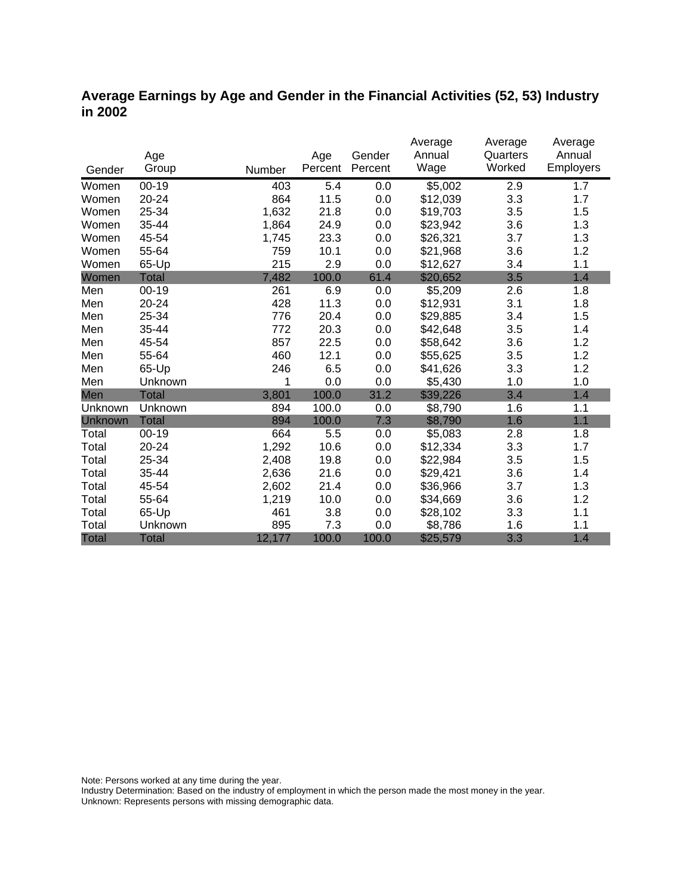# **Average Earnings by Age and Gender in the Financial Activities (52, 53) Industry in 2002**

|              |              |        |         | Gender  | Average<br>Annual | Average<br>Quarters | Average<br>Annual |
|--------------|--------------|--------|---------|---------|-------------------|---------------------|-------------------|
|              | Age          |        | Age     |         | Wage              | Worked              | Employers         |
| Gender       | Group        | Number | Percent | Percent |                   |                     |                   |
| Women        | $00 - 19$    | 403    | 5.4     | 0.0     | \$5,002           | 2.9                 | 1.7               |
| Women        | 20-24        | 864    | 11.5    | 0.0     | \$12,039          | 3.3                 | 1.7               |
| Women        | 25-34        | 1,632  | 21.8    | 0.0     | \$19,703          | 3.5                 | 1.5               |
| Women        | 35-44        | 1,864  | 24.9    | 0.0     | \$23,942          | 3.6                 | 1.3               |
| Women        | 45-54        | 1,745  | 23.3    | 0.0     | \$26,321          | 3.7                 | 1.3               |
| Women        | 55-64        | 759    | 10.1    | 0.0     | \$21,968          | 3.6                 | 1.2               |
| Women        | 65-Up        | 215    | 2.9     | 0.0     | \$12,627          | 3.4                 | 1.1               |
| Women        | <b>Total</b> | 7,482  | 100.0   | 61.4    | \$20,652          | 3.5                 | 1.4               |
| Men          | $00 - 19$    | 261    | 6.9     | 0.0     | \$5,209           | 2.6                 | 1.8               |
| Men          | 20-24        | 428    | 11.3    | 0.0     | \$12,931          | 3.1                 | 1.8               |
| Men          | 25-34        | 776    | 20.4    | 0.0     | \$29,885          | 3.4                 | 1.5               |
| Men          | 35-44        | 772    | 20.3    | 0.0     | \$42,648          | 3.5                 | 1.4               |
| Men          | 45-54        | 857    | 22.5    | 0.0     | \$58,642          | 3.6                 | 1.2               |
| Men          | 55-64        | 460    | 12.1    | 0.0     | \$55,625          | 3.5                 | 1.2               |
| Men          | 65-Up        | 246    | 6.5     | 0.0     | \$41,626          | 3.3                 | 1.2               |
| Men          | Unknown      | 1      | 0.0     | 0.0     | \$5,430           | 1.0                 | 1.0               |
| Men          | <b>Total</b> | 3,801  | 100.0   | 31.2    | \$39,226          | 3.4                 | 1.4               |
| Unknown      | Unknown      | 894    | 100.0   | 0.0     | \$8,790           | 1.6                 | 1.1               |
| Unknown      | <b>Total</b> | 894    | 100.0   | 7.3     | \$8,790           | 1.6                 | 1.1               |
| Total        | $00 - 19$    | 664    | 5.5     | 0.0     | \$5,083           | 2.8                 | 1.8               |
| Total        | $20 - 24$    | 1,292  | 10.6    | 0.0     | \$12,334          | 3.3                 | 1.7               |
| Total        | 25-34        | 2,408  | 19.8    | 0.0     | \$22,984          | 3.5                 | 1.5               |
| Total        | 35-44        | 2,636  | 21.6    | 0.0     | \$29,421          | 3.6                 | 1.4               |
| Total        | 45-54        | 2,602  | 21.4    | 0.0     | \$36,966          | 3.7                 | 1.3               |
| Total        | 55-64        | 1,219  | 10.0    | 0.0     | \$34,669          | 3.6                 | 1.2               |
| Total        | 65-Up        | 461    | 3.8     | 0.0     | \$28,102          | 3.3                 | 1.1               |
| Total        | Unknown      | 895    | 7.3     | 0.0     | \$8,786           | 1.6                 | 1.1               |
| <b>Total</b> | <b>Total</b> | 12,177 | 100.0   | 100.0   | \$25,579          | 3.3                 | 1.4               |

Note: Persons worked at any time during the year.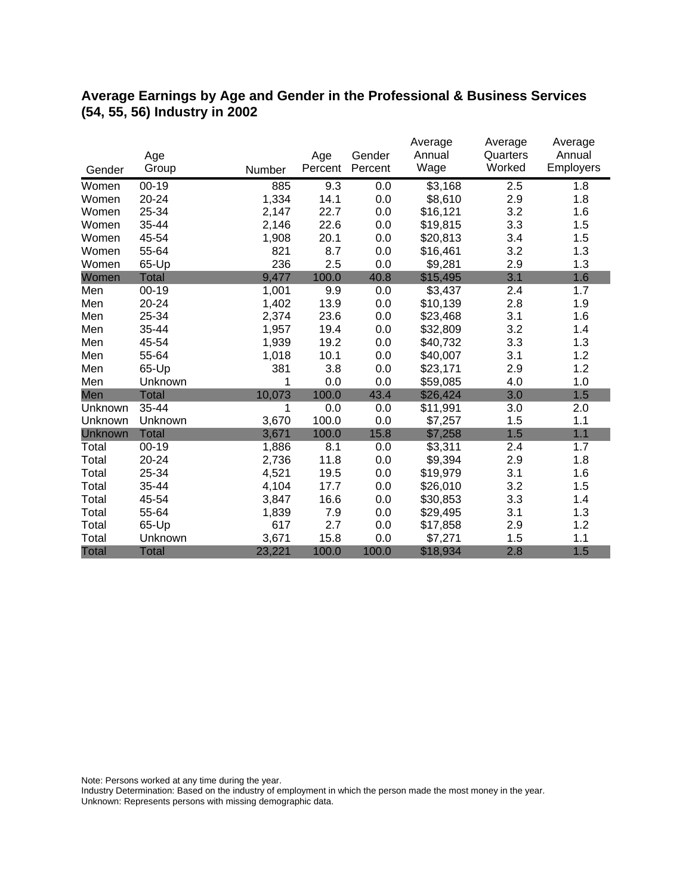# **Average Earnings by Age and Gender in the Professional & Business Services (54, 55, 56) Industry in 2002**

|              |              |        |         |         | Average  | Average  | Average          |
|--------------|--------------|--------|---------|---------|----------|----------|------------------|
|              | Age          |        | Age     | Gender  | Annual   | Quarters | Annual           |
| Gender       | Group        | Number | Percent | Percent | Wage     | Worked   | <b>Employers</b> |
| Women        | $00 - 19$    | 885    | 9.3     | 0.0     | \$3,168  | 2.5      | 1.8              |
| Women        | 20-24        | 1,334  | 14.1    | 0.0     | \$8,610  | 2.9      | 1.8              |
| Women        | 25-34        | 2,147  | 22.7    | 0.0     | \$16,121 | 3.2      | 1.6              |
| Women        | 35-44        | 2,146  | 22.6    | 0.0     | \$19,815 | 3.3      | 1.5              |
| Women        | 45-54        | 1,908  | 20.1    | 0.0     | \$20,813 | 3.4      | 1.5              |
| Women        | 55-64        | 821    | 8.7     | 0.0     | \$16,461 | 3.2      | 1.3              |
| Women        | 65-Up        | 236    | 2.5     | 0.0     | \$9,281  | 2.9      | 1.3              |
| Women        | <b>Total</b> | 9,477  | 100.0   | 40.8    | \$15,495 | 3.1      | 1.6              |
| Men          | $00 - 19$    | 1,001  | 9.9     | 0.0     | \$3,437  | 2.4      | 1.7              |
| Men          | $20 - 24$    | 1,402  | 13.9    | 0.0     | \$10,139 | 2.8      | 1.9              |
| Men          | 25-34        | 2,374  | 23.6    | 0.0     | \$23,468 | 3.1      | 1.6              |
| Men          | 35-44        | 1,957  | 19.4    | 0.0     | \$32,809 | 3.2      | 1.4              |
| Men          | 45-54        | 1,939  | 19.2    | 0.0     | \$40,732 | 3.3      | 1.3              |
| Men          | 55-64        | 1,018  | 10.1    | 0.0     | \$40,007 | 3.1      | 1.2              |
| Men          | 65-Up        | 381    | 3.8     | 0.0     | \$23,171 | 2.9      | 1.2              |
| Men          | Unknown      | 1      | 0.0     | 0.0     | \$59,085 | 4.0      | 1.0              |
| Men          | <b>Total</b> | 10,073 | 100.0   | 43.4    | \$26,424 | 3.0      | 1.5              |
| Unknown      | 35-44        | 1      | 0.0     | 0.0     | \$11,991 | 3.0      | 2.0              |
| Unknown      | Unknown      | 3,670  | 100.0   | 0.0     | \$7,257  | 1.5      | 1.1              |
| Unknown      | <b>Total</b> | 3,671  | 100.0   | 15.8    | \$7,258  | 1.5      | 1.1              |
| Total        | $00 - 19$    | 1,886  | 8.1     | 0.0     | \$3,311  | 2.4      | 1.7              |
| Total        | 20-24        | 2,736  | 11.8    | 0.0     | \$9,394  | 2.9      | 1.8              |
| Total        | 25-34        | 4,521  | 19.5    | 0.0     | \$19,979 | 3.1      | 1.6              |
| Total        | 35-44        | 4,104  | 17.7    | 0.0     | \$26,010 | 3.2      | 1.5              |
| Total        | 45-54        | 3,847  | 16.6    | 0.0     | \$30,853 | 3.3      | 1.4              |
| Total        | 55-64        | 1,839  | 7.9     | 0.0     | \$29,495 | 3.1      | 1.3              |
| Total        | 65-Up        | 617    | 2.7     | 0.0     | \$17,858 | 2.9      | 1.2              |
| Total        | Unknown      | 3,671  | 15.8    | 0.0     | \$7,271  | 1.5      | 1.1              |
| <b>Total</b> | <b>Total</b> | 23,221 | 100.0   | 100.0   | \$18,934 | 2.8      | 1.5              |

Note: Persons worked at any time during the year.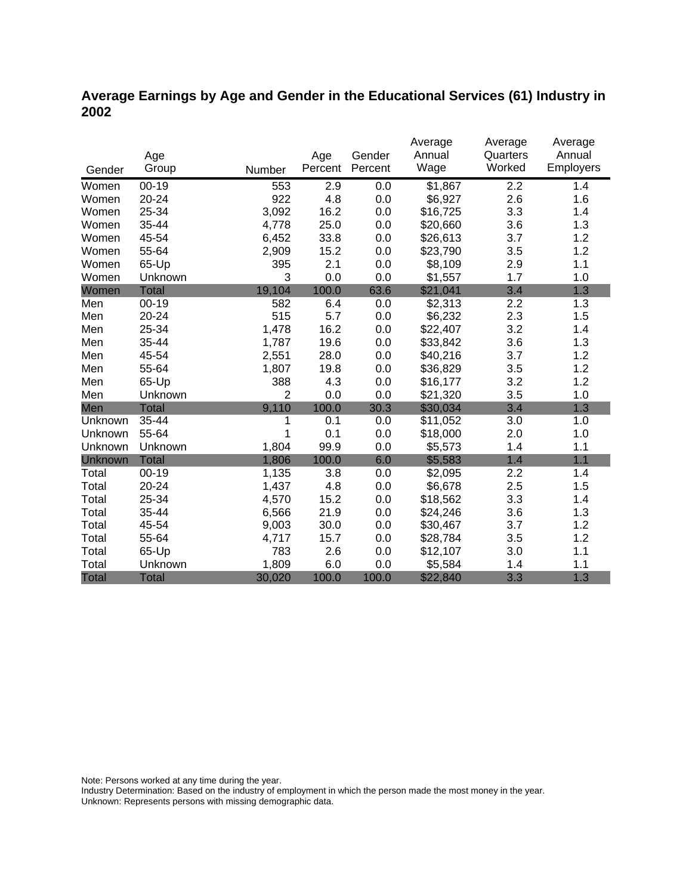# **Average Earnings by Age and Gender in the Educational Services (61) Industry in 2002**

|              |              |                |         |         | Average  | Average  | Average   |
|--------------|--------------|----------------|---------|---------|----------|----------|-----------|
|              | Age          |                | Age     | Gender  | Annual   | Quarters | Annual    |
| Gender       | Group        | Number         | Percent | Percent | Wage     | Worked   | Employers |
| Women        | $00 - 19$    | 553            | 2.9     | 0.0     | \$1,867  | 2.2      | 1.4       |
| Women        | 20-24        | 922            | 4.8     | 0.0     | \$6,927  | 2.6      | 1.6       |
| Women        | 25-34        | 3,092          | 16.2    | 0.0     | \$16,725 | 3.3      | 1.4       |
| Women        | 35-44        | 4,778          | 25.0    | 0.0     | \$20,660 | 3.6      | 1.3       |
| Women        | 45-54        | 6,452          | 33.8    | 0.0     | \$26,613 | 3.7      | 1.2       |
| Women        | 55-64        | 2,909          | 15.2    | 0.0     | \$23,790 | 3.5      | 1.2       |
| Women        | 65-Up        | 395            | 2.1     | 0.0     | \$8,109  | 2.9      | 1.1       |
| Women        | Unknown      | 3              | 0.0     | 0.0     | \$1,557  | 1.7      | 1.0       |
| Women        | <b>Total</b> | 19,104         | 100.0   | 63.6    | \$21,041 | 3.4      | 1.3       |
| Men          | $00 - 19$    | 582            | 6.4     | 0.0     | \$2,313  | 2.2      | 1.3       |
| Men          | 20-24        | 515            | 5.7     | 0.0     | \$6,232  | 2.3      | 1.5       |
| Men          | 25-34        | 1,478          | 16.2    | 0.0     | \$22,407 | 3.2      | 1.4       |
| Men          | 35-44        | 1,787          | 19.6    | 0.0     | \$33,842 | 3.6      | 1.3       |
| Men          | 45-54        | 2,551          | 28.0    | 0.0     | \$40,216 | 3.7      | 1.2       |
| Men          | 55-64        | 1,807          | 19.8    | 0.0     | \$36,829 | 3.5      | 1.2       |
| Men          | 65-Up        | 388            | 4.3     | 0.0     | \$16,177 | 3.2      | 1.2       |
| Men          | Unknown      | $\overline{2}$ | 0.0     | 0.0     | \$21,320 | 3.5      | 1.0       |
| Men          | <b>Total</b> | 9,110          | 100.0   | 30.3    | \$30,034 | 3.4      | 1.3       |
| Unknown      | 35-44        | 1              | 0.1     | 0.0     | \$11,052 | 3.0      | 1.0       |
| Unknown      | 55-64        | 1              | 0.1     | 0.0     | \$18,000 | 2.0      | 1.0       |
| Unknown      | Unknown      | 1,804          | 99.9    | 0.0     | \$5,573  | 1.4      | 1.1       |
| Unknown      | <b>Total</b> | 1,806          | 100.0   | 6.0     | \$5,583  | 1.4      | 1.1       |
| Total        | $00 - 19$    | 1,135          | 3.8     | 0.0     | \$2,095  | 2.2      | 1.4       |
| Total        | 20-24        | 1,437          | 4.8     | 0.0     | \$6,678  | 2.5      | 1.5       |
| Total        | 25-34        | 4,570          | 15.2    | 0.0     | \$18,562 | 3.3      | 1.4       |
| Total        | 35-44        | 6,566          | 21.9    | 0.0     | \$24,246 | 3.6      | 1.3       |
| Total        | 45-54        | 9,003          | 30.0    | 0.0     | \$30,467 | 3.7      | 1.2       |
| Total        | 55-64        | 4,717          | 15.7    | 0.0     | \$28,784 | 3.5      | 1.2       |
| Total        | 65-Up        | 783            | 2.6     | 0.0     | \$12,107 | 3.0      | 1.1       |
| Total        | Unknown      | 1,809          | 6.0     | 0.0     | \$5,584  | 1.4      | 1.1       |
| <b>Total</b> | <b>Total</b> | 30,020         | 100.0   | 100.0   | \$22,840 | 3.3      | 1.3       |

Note: Persons worked at any time during the year.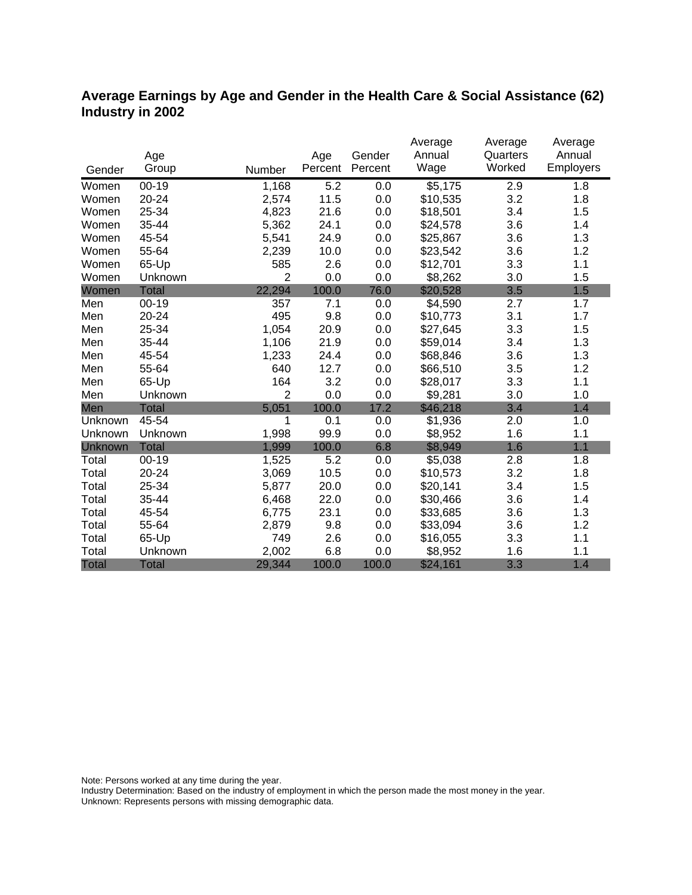# **Average Earnings by Age and Gender in the Health Care & Social Assistance (62) Industry in 2002**

|              |              |                |         |         | Average  | Average  | Average   |
|--------------|--------------|----------------|---------|---------|----------|----------|-----------|
|              | Age          |                | Age     | Gender  | Annual   | Quarters | Annual    |
| Gender       | Group        | Number         | Percent | Percent | Wage     | Worked   | Employers |
| Women        | $00 - 19$    | 1,168          | 5.2     | 0.0     | \$5,175  | 2.9      | 1.8       |
| Women        | $20 - 24$    | 2,574          | 11.5    | 0.0     | \$10,535 | 3.2      | 1.8       |
| Women        | 25-34        | 4,823          | 21.6    | 0.0     | \$18,501 | 3.4      | 1.5       |
| Women        | 35-44        | 5,362          | 24.1    | 0.0     | \$24,578 | 3.6      | 1.4       |
| Women        | 45-54        | 5,541          | 24.9    | 0.0     | \$25,867 | 3.6      | 1.3       |
| Women        | 55-64        | 2,239          | 10.0    | 0.0     | \$23,542 | 3.6      | 1.2       |
| Women        | 65-Up        | 585            | 2.6     | 0.0     | \$12,701 | 3.3      | 1.1       |
| Women        | Unknown      | $\overline{2}$ | 0.0     | 0.0     | \$8,262  | 3.0      | 1.5       |
| Women        | <b>Total</b> | 22,294         | 100.0   | 76.0    | \$20,528 | 3.5      | 1.5       |
| Men          | $00 - 19$    | 357            | 7.1     | 0.0     | \$4,590  | 2.7      | 1.7       |
| Men          | 20-24        | 495            | 9.8     | 0.0     | \$10,773 | 3.1      | 1.7       |
| Men          | 25-34        | 1,054          | 20.9    | 0.0     | \$27,645 | 3.3      | 1.5       |
| Men          | 35-44        | 1,106          | 21.9    | 0.0     | \$59,014 | 3.4      | 1.3       |
| Men          | 45-54        | 1,233          | 24.4    | 0.0     | \$68,846 | 3.6      | 1.3       |
| Men          | 55-64        | 640            | 12.7    | 0.0     | \$66,510 | 3.5      | 1.2       |
| Men          | 65-Up        | 164            | 3.2     | 0.0     | \$28,017 | 3.3      | 1.1       |
| Men          | Unknown      | $\overline{2}$ | 0.0     | 0.0     | \$9,281  | 3.0      | 1.0       |
| Men          | <b>Total</b> | 5,051          | 100.0   | 17.2    | \$46,218 | 3.4      | 1.4       |
| Unknown      | 45-54        | 1              | 0.1     | 0.0     | \$1,936  | 2.0      | 1.0       |
| Unknown      | Unknown      | 1,998          | 99.9    | 0.0     | \$8,952  | 1.6      | 1.1       |
| Unknown      | <b>Total</b> | 1,999          | 100.0   | 6.8     | \$8,949  | 1.6      | 1.1       |
| Total        | $00 - 19$    | 1,525          | 5.2     | 0.0     | \$5,038  | 2.8      | 1.8       |
| Total        | 20-24        | 3,069          | 10.5    | 0.0     | \$10,573 | 3.2      | 1.8       |
| Total        | 25-34        | 5,877          | 20.0    | 0.0     | \$20,141 | 3.4      | 1.5       |
| Total        | 35-44        | 6,468          | 22.0    | 0.0     | \$30,466 | 3.6      | 1.4       |
| Total        | 45-54        | 6,775          | 23.1    | 0.0     | \$33,685 | 3.6      | 1.3       |
| Total        | 55-64        | 2,879          | 9.8     | 0.0     | \$33,094 | 3.6      | 1.2       |
| Total        | 65-Up        | 749            | 2.6     | 0.0     | \$16,055 | 3.3      | 1.1       |
| Total        | Unknown      | 2,002          | 6.8     | 0.0     | \$8,952  | 1.6      | 1.1       |
| <b>Total</b> | <b>Total</b> | 29,344         | 100.0   | 100.0   | \$24,161 | 3.3      | 1.4       |

Note: Persons worked at any time during the year.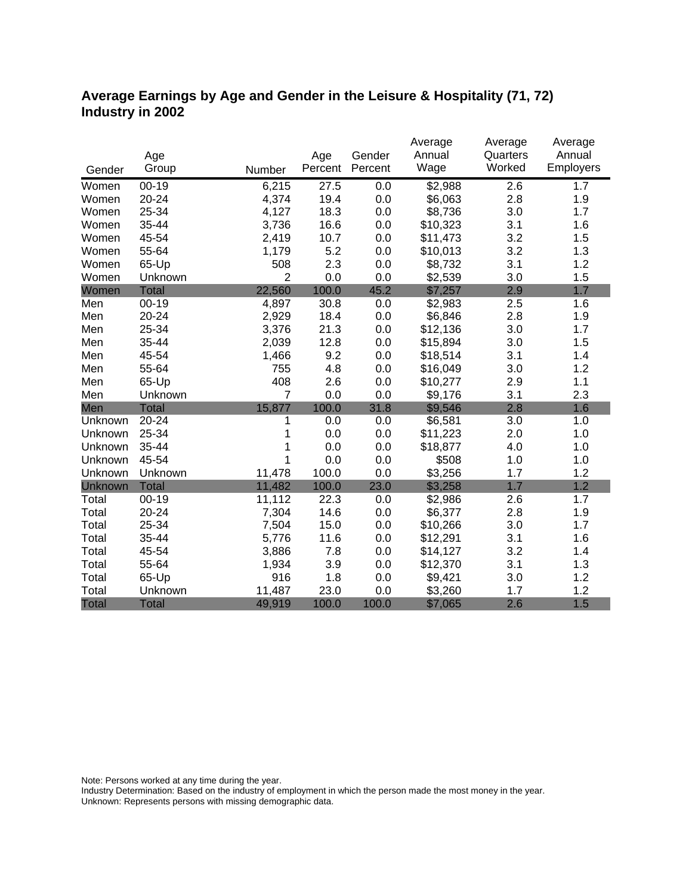# **Average Earnings by Age and Gender in the Leisure & Hospitality (71, 72) Industry in 2002**

|              |              |                |         |         | Average  | Average  | Average   |
|--------------|--------------|----------------|---------|---------|----------|----------|-----------|
|              | Age          |                | Age     | Gender  | Annual   | Quarters | Annual    |
| Gender       | Group        | Number         | Percent | Percent | Wage     | Worked   | Employers |
| Women        | $00 - 19$    | 6,215          | 27.5    | 0.0     | \$2,988  | 2.6      | 1.7       |
| Women        | 20-24        | 4,374          | 19.4    | 0.0     | \$6,063  | 2.8      | 1.9       |
| Women        | 25-34        | 4,127          | 18.3    | 0.0     | \$8,736  | 3.0      | 1.7       |
| Women        | 35-44        | 3,736          | 16.6    | 0.0     | \$10,323 | 3.1      | 1.6       |
| Women        | 45-54        | 2,419          | 10.7    | 0.0     | \$11,473 | 3.2      | 1.5       |
| Women        | 55-64        | 1,179          | 5.2     | 0.0     | \$10,013 | 3.2      | 1.3       |
| Women        | 65-Up        | 508            | 2.3     | 0.0     | \$8,732  | 3.1      | 1.2       |
| Women        | Unknown      | $\overline{2}$ | 0.0     | 0.0     | \$2,539  | 3.0      | 1.5       |
| Women        | <b>Total</b> | 22,560         | 100.0   | 45.2    | \$7,257  | 2.9      | 1.7       |
| Men          | $00 - 19$    | 4,897          | 30.8    | 0.0     | \$2,983  | 2.5      | 1.6       |
| Men          | 20-24        | 2,929          | 18.4    | 0.0     | \$6,846  | 2.8      | 1.9       |
| Men          | 25-34        | 3,376          | 21.3    | 0.0     | \$12,136 | 3.0      | 1.7       |
| Men          | 35-44        | 2,039          | 12.8    | 0.0     | \$15,894 | 3.0      | 1.5       |
| Men          | 45-54        | 1,466          | 9.2     | 0.0     | \$18,514 | 3.1      | 1.4       |
| Men          | 55-64        | 755            | 4.8     | 0.0     | \$16,049 | 3.0      | 1.2       |
| Men          | 65-Up        | 408            | 2.6     | 0.0     | \$10,277 | 2.9      | 1.1       |
| Men          | Unknown      | $\overline{7}$ | 0.0     | 0.0     | \$9,176  | 3.1      | 2.3       |
| Men          | <b>Total</b> | 15,877         | 100.0   | 31.8    | \$9,546  | 2.8      | 1.6       |
| Unknown      | 20-24        | 1              | 0.0     | 0.0     | \$6,581  | 3.0      | 1.0       |
| Unknown      | 25-34        | 1              | 0.0     | 0.0     | \$11,223 | 2.0      | 1.0       |
| Unknown      | 35-44        | 1              | 0.0     | 0.0     | \$18,877 | 4.0      | 1.0       |
| Unknown      | 45-54        | 1              | 0.0     | 0.0     | \$508    | 1.0      | 1.0       |
| Unknown      | Unknown      | 11,478         | 100.0   | 0.0     | \$3,256  | 1.7      | 1.2       |
| Unknown      | <b>Total</b> | 11,482         | 100.0   | 23.0    | \$3,258  | 1.7      | 1.2       |
| Total        | $00 - 19$    | 11,112         | 22.3    | 0.0     | \$2,986  | 2.6      | 1.7       |
| Total        | 20-24        | 7,304          | 14.6    | 0.0     | \$6,377  | 2.8      | 1.9       |
| Total        | 25-34        | 7,504          | 15.0    | 0.0     | \$10,266 | 3.0      | 1.7       |
| Total        | 35-44        | 5,776          | 11.6    | 0.0     | \$12,291 | 3.1      | 1.6       |
| Total        | 45-54        | 3,886          | 7.8     | 0.0     | \$14,127 | 3.2      | 1.4       |
| Total        | 55-64        | 1,934          | 3.9     | 0.0     | \$12,370 | 3.1      | 1.3       |
| Total        | 65-Up        | 916            | 1.8     | 0.0     | \$9,421  | 3.0      | 1.2       |
| Total        | Unknown      | 11,487         | 23.0    | 0.0     | \$3,260  | 1.7      | 1.2       |
| <b>Total</b> | <b>Total</b> | 49,919         | 100.0   | 100.0   | \$7,065  | 2.6      | 1.5       |

Note: Persons worked at any time during the year.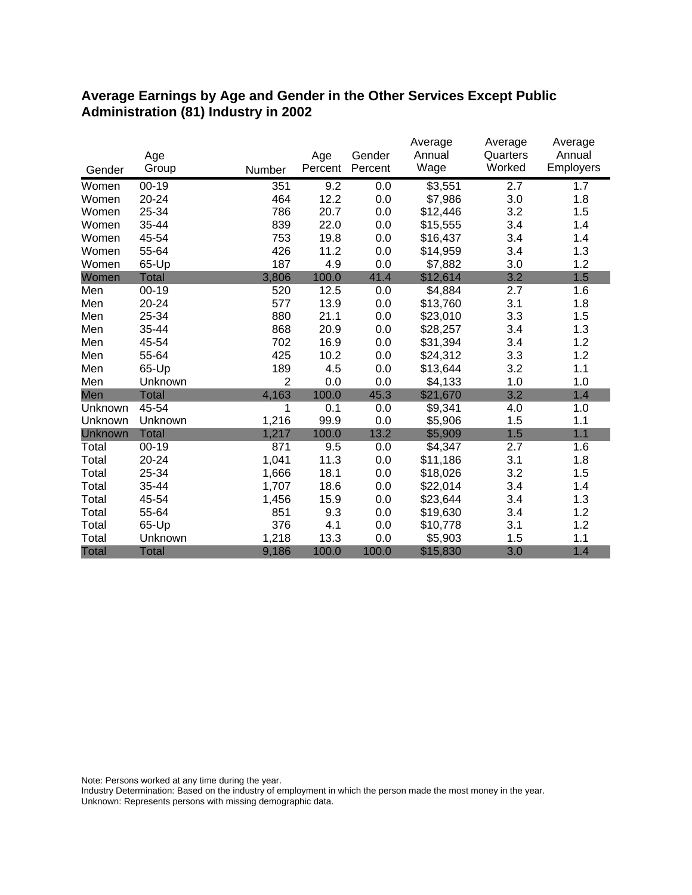### **Average Earnings by Age and Gender in the Other Services Except Public Administration (81) Industry in 2002**

|              |              |                |         |         | Average  | Average  | Average   |
|--------------|--------------|----------------|---------|---------|----------|----------|-----------|
|              | Age          |                | Age     | Gender  | Annual   | Quarters | Annual    |
| Gender       | Group        | Number         | Percent | Percent | Wage     | Worked   | Employers |
| Women        | $00 - 19$    | 351            | 9.2     | 0.0     | \$3,551  | 2.7      | 1.7       |
| Women        | 20-24        | 464            | 12.2    | 0.0     | \$7,986  | 3.0      | 1.8       |
| Women        | 25-34        | 786            | 20.7    | 0.0     | \$12,446 | 3.2      | 1.5       |
| Women        | 35-44        | 839            | 22.0    | 0.0     | \$15,555 | 3.4      | 1.4       |
| Women        | 45-54        | 753            | 19.8    | 0.0     | \$16,437 | 3.4      | 1.4       |
| Women        | 55-64        | 426            | 11.2    | 0.0     | \$14,959 | 3.4      | 1.3       |
| Women        | 65-Up        | 187            | 4.9     | 0.0     | \$7,882  | 3.0      | 1.2       |
| Women        | <b>Total</b> | 3,806          | 100.0   | 41.4    | \$12,614 | 3.2      | 1.5       |
| Men          | $00 - 19$    | 520            | 12.5    | 0.0     | \$4,884  | 2.7      | 1.6       |
| Men          | 20-24        | 577            | 13.9    | 0.0     | \$13,760 | 3.1      | 1.8       |
| Men          | 25-34        | 880            | 21.1    | 0.0     | \$23,010 | 3.3      | 1.5       |
| Men          | 35-44        | 868            | 20.9    | 0.0     | \$28,257 | 3.4      | 1.3       |
| Men          | 45-54        | 702            | 16.9    | 0.0     | \$31,394 | 3.4      | 1.2       |
| Men          | 55-64        | 425            | 10.2    | 0.0     | \$24,312 | 3.3      | 1.2       |
| Men          | 65-Up        | 189            | 4.5     | 0.0     | \$13,644 | 3.2      | 1.1       |
| Men          | Unknown      | $\overline{2}$ | 0.0     | 0.0     | \$4,133  | 1.0      | 1.0       |
| Men          | Total        | 4,163          | 100.0   | 45.3    | \$21,670 | 3.2      | 1.4       |
| Unknown      | 45-54        | 1              | 0.1     | 0.0     | \$9,341  | 4.0      | 1.0       |
| Unknown      | Unknown      | 1,216          | 99.9    | 0.0     | \$5,906  | 1.5      | 1.1       |
| Unknown      | <b>Total</b> | 1,217          | 100.0   | 13.2    | \$5,909  | 1.5      | 1.1       |
| Total        | $00 - 19$    | 871            | 9.5     | 0.0     | \$4,347  | 2.7      | 1.6       |
| Total        | 20-24        | 1,041          | 11.3    | 0.0     | \$11,186 | 3.1      | 1.8       |
| Total        | 25-34        | 1,666          | 18.1    | 0.0     | \$18,026 | 3.2      | 1.5       |
| Total        | 35-44        | 1,707          | 18.6    | 0.0     | \$22,014 | 3.4      | 1.4       |
| Total        | 45-54        | 1,456          | 15.9    | 0.0     | \$23,644 | 3.4      | 1.3       |
| Total        | 55-64        | 851            | 9.3     | 0.0     | \$19,630 | 3.4      | 1.2       |
| Total        | 65-Up        | 376            | 4.1     | 0.0     | \$10,778 | 3.1      | 1.2       |
| Total        | Unknown      | 1,218          | 13.3    | 0.0     | \$5,903  | 1.5      | 1.1       |
| <b>Total</b> | <b>Total</b> | 9,186          | 100.0   | 100.0   | \$15,830 | 3.0      | 1.4       |

Note: Persons worked at any time during the year.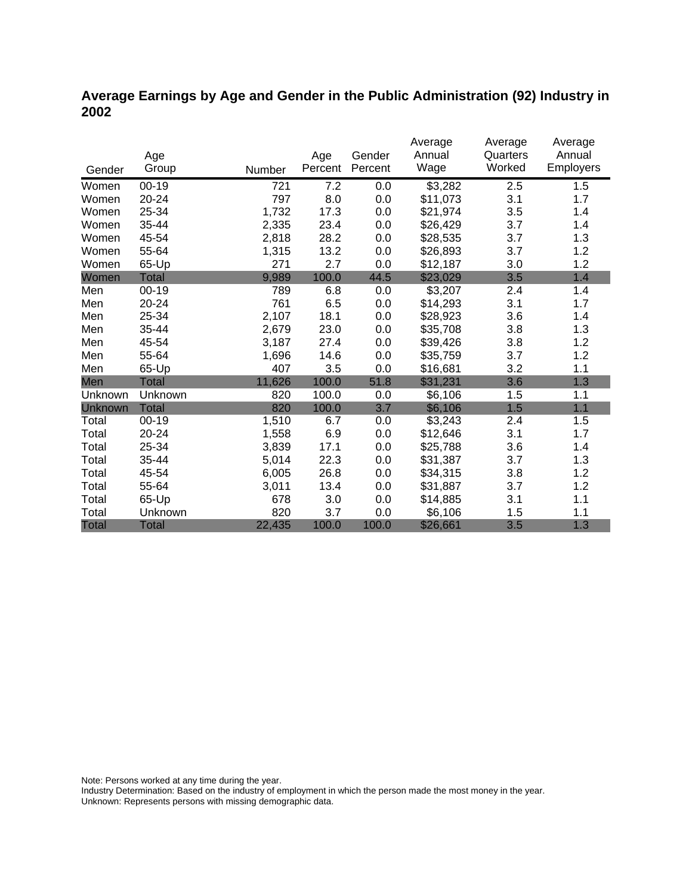# **Average Earnings by Age and Gender in the Public Administration (92) Industry in 2002**

|                |              |        |         |         | Average  | Average  | Average   |
|----------------|--------------|--------|---------|---------|----------|----------|-----------|
|                | Age          |        | Age     | Gender  | Annual   | Quarters | Annual    |
| Gender         | Group        | Number | Percent | Percent | Wage     | Worked   | Employers |
| Women          | $00-19$      | 721    | 7.2     | 0.0     | \$3,282  | 2.5      | 1.5       |
| Women          | 20-24        | 797    | 8.0     | 0.0     | \$11,073 | 3.1      | 1.7       |
| Women          | 25-34        | 1,732  | 17.3    | 0.0     | \$21,974 | 3.5      | 1.4       |
| Women          | 35-44        | 2,335  | 23.4    | 0.0     | \$26,429 | 3.7      | 1.4       |
| Women          | 45-54        | 2,818  | 28.2    | 0.0     | \$28,535 | 3.7      | 1.3       |
| Women          | 55-64        | 1,315  | 13.2    | 0.0     | \$26,893 | 3.7      | 1.2       |
| Women          | 65-Up        | 271    | 2.7     | 0.0     | \$12,187 | 3.0      | 1.2       |
| Women          | Total        | 9,989  | 100.0   | 44.5    | \$23,029 | 3.5      | 1.4       |
| Men            | $00 - 19$    | 789    | 6.8     | 0.0     | \$3,207  | 2.4      | 1.4       |
| Men            | 20-24        | 761    | 6.5     | 0.0     | \$14,293 | 3.1      | 1.7       |
| Men            | 25-34        | 2,107  | 18.1    | 0.0     | \$28,923 | 3.6      | 1.4       |
| Men            | 35-44        | 2,679  | 23.0    | 0.0     | \$35,708 | 3.8      | 1.3       |
| Men            | 45-54        | 3,187  | 27.4    | 0.0     | \$39,426 | 3.8      | 1.2       |
| Men            | 55-64        | 1,696  | 14.6    | 0.0     | \$35,759 | 3.7      | 1.2       |
| Men            | 65-Up        | 407    | 3.5     | 0.0     | \$16,681 | 3.2      | 1.1       |
| Men            | <b>Total</b> | 11,626 | 100.0   | 51.8    | \$31,231 | 3.6      | 1.3       |
| Unknown        | Unknown      | 820    | 100.0   | 0.0     | \$6,106  | 1.5      | 1.1       |
| <b>Unknown</b> | <b>Total</b> | 820    | 100.0   | 3.7     | \$6,106  | 1.5      | 1.1       |
| Total          | $00 - 19$    | 1,510  | 6.7     | 0.0     | \$3,243  | 2.4      | 1.5       |
| Total          | 20-24        | 1,558  | 6.9     | 0.0     | \$12,646 | 3.1      | 1.7       |
| Total          | 25-34        | 3,839  | 17.1    | 0.0     | \$25,788 | 3.6      | 1.4       |
| Total          | 35-44        | 5,014  | 22.3    | 0.0     | \$31,387 | 3.7      | 1.3       |
| Total          | 45-54        | 6,005  | 26.8    | 0.0     | \$34,315 | 3.8      | 1.2       |
| Total          | 55-64        | 3,011  | 13.4    | 0.0     | \$31,887 | 3.7      | 1.2       |
| Total          | 65-Up        | 678    | 3.0     | 0.0     | \$14,885 | 3.1      | 1.1       |
| Total          | Unknown      | 820    | 3.7     | 0.0     | \$6,106  | 1.5      | 1.1       |
| <b>Total</b>   | <b>Total</b> | 22,435 | 100.0   | 100.0   | \$26,661 | 3.5      | 1.3       |

Note: Persons worked at any time during the year.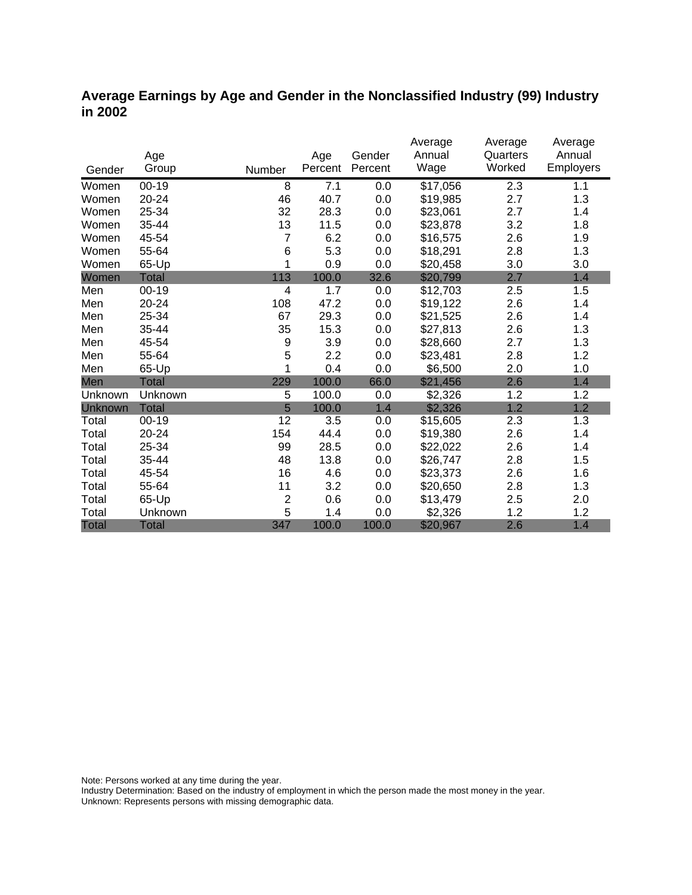### **Average Earnings by Age and Gender in the Nonclassified Industry (99) Industry in 2002**

|              |              |                |         |         | Average<br>Annual | Average<br>Quarters | Average<br>Annual |
|--------------|--------------|----------------|---------|---------|-------------------|---------------------|-------------------|
|              | Age          |                | Age     | Gender  |                   |                     |                   |
| Gender       | Group        | Number         | Percent | Percent | Wage              | Worked              | Employers         |
| Women        | $00-19$      | 8              | 7.1     | 0.0     | \$17,056          | 2.3                 | 1.1               |
| Women        | 20-24        | 46             | 40.7    | 0.0     | \$19,985          | 2.7                 | 1.3               |
| Women        | 25-34        | 32             | 28.3    | 0.0     | \$23,061          | 2.7                 | 1.4               |
| Women        | 35-44        | 13             | 11.5    | 0.0     | \$23,878          | 3.2                 | 1.8               |
| Women        | 45-54        | 7              | 6.2     | 0.0     | \$16,575          | 2.6                 | 1.9               |
| Women        | 55-64        | 6              | 5.3     | 0.0     | \$18,291          | 2.8                 | 1.3               |
| Women        | 65-Up        | 1              | 0.9     | 0.0     | \$20,458          | 3.0                 | 3.0               |
| Women        | <b>Total</b> | 113            | 100.0   | 32.6    | \$20,799          | 2.7                 | 1.4               |
| Men          | $00 - 19$    | 4              | 1.7     | 0.0     | \$12,703          | 2.5                 | 1.5               |
| Men          | 20-24        | 108            | 47.2    | 0.0     | \$19,122          | 2.6                 | 1.4               |
| Men          | 25-34        | 67             | 29.3    | 0.0     | \$21,525          | 2.6                 | 1.4               |
| Men          | 35-44        | 35             | 15.3    | 0.0     | \$27,813          | 2.6                 | 1.3               |
| Men          | 45-54        | 9              | 3.9     | 0.0     | \$28,660          | 2.7                 | 1.3               |
| Men          | 55-64        | 5              | 2.2     | 0.0     | \$23,481          | 2.8                 | 1.2               |
| Men          | 65-Up        | 1              | 0.4     | 0.0     | \$6,500           | 2.0                 | 1.0               |
| Men          | Total        | 229            | 100.0   | 66.0    | \$21,456          | 2.6                 | 1.4               |
| Unknown      | Unknown      | 5              | 100.0   | 0.0     | \$2,326           | 1.2                 | 1.2               |
| Unknown      | <b>Total</b> | 5              | 100.0   | 1.4     | \$2,326           | 1.2                 | 1.2               |
| Total        | $00 - 19$    | 12             | 3.5     | 0.0     | \$15,605          | 2.3                 | 1.3               |
| Total        | 20-24        | 154            | 44.4    | 0.0     | \$19,380          | 2.6                 | 1.4               |
| Total        | 25-34        | 99             | 28.5    | 0.0     | \$22,022          | 2.6                 | 1.4               |
| Total        | 35-44        | 48             | 13.8    | 0.0     | \$26,747          | 2.8                 | 1.5               |
| Total        | 45-54        | 16             | 4.6     | 0.0     | \$23,373          | 2.6                 | 1.6               |
| Total        | 55-64        | 11             | 3.2     | 0.0     | \$20,650          | 2.8                 | 1.3               |
| Total        | 65-Up        | $\overline{2}$ | 0.6     | 0.0     | \$13,479          | 2.5                 | 2.0               |
| Total        | Unknown      | 5              | 1.4     | 0.0     | \$2,326           | 1.2                 | 1.2               |
| <b>Total</b> | <b>Total</b> | 347            | 100.0   | 100.0   | \$20,967          | 2.6                 | 1.4               |

Note: Persons worked at any time during the year.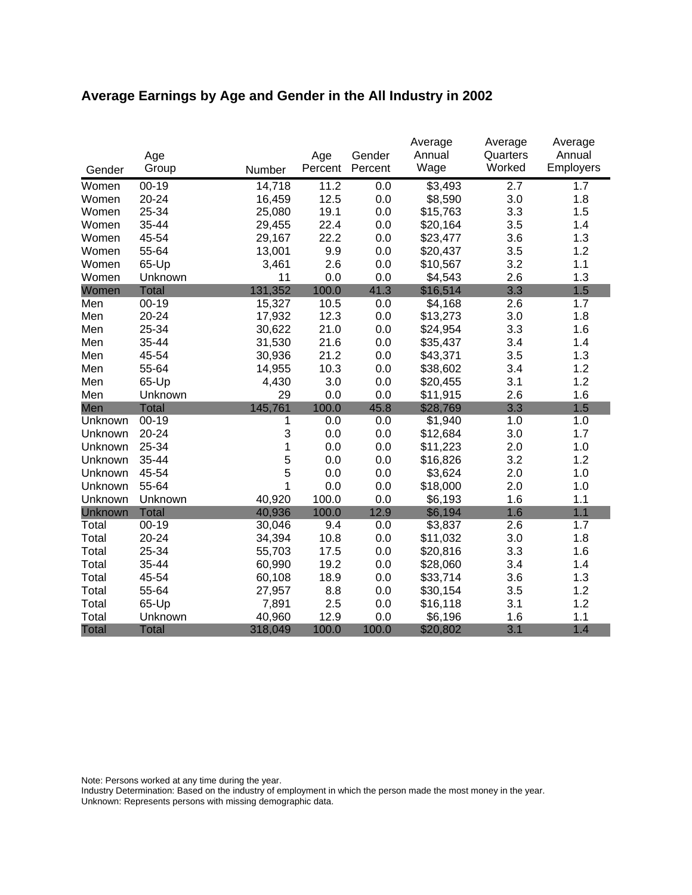# **Average Earnings by Age and Gender in the All Industry in 2002**

|              | Age          |         | Age     | Gender  | Average<br>Annual | Average<br>Quarters | Average<br>Annual |
|--------------|--------------|---------|---------|---------|-------------------|---------------------|-------------------|
| Gender       | Group        | Number  | Percent | Percent | Wage              | Worked              | Employers         |
| Women        | $00 - 19$    | 14,718  | 11.2    | 0.0     | \$3,493           | $\overline{2.7}$    | 1.7               |
| Women        | 20-24        | 16,459  | 12.5    | 0.0     | \$8,590           | 3.0                 | 1.8               |
| Women        | 25-34        | 25,080  | 19.1    | 0.0     | \$15,763          | 3.3                 | 1.5               |
| Women        | 35-44        | 29,455  | 22.4    | 0.0     | \$20,164          | 3.5                 | 1.4               |
| Women        | 45-54        | 29,167  | 22.2    | 0.0     | \$23,477          | 3.6                 | 1.3               |
| Women        | 55-64        | 13,001  | 9.9     | 0.0     | \$20,437          | 3.5                 | 1.2               |
| Women        | 65-Up        | 3,461   | 2.6     | 0.0     | \$10,567          | 3.2                 | 1.1               |
| Women        | Unknown      | 11      | 0.0     | 0.0     | \$4,543           | 2.6                 | 1.3               |
| Women        | <b>Total</b> | 131,352 | 100.0   | 41.3    | \$16,514          | 3.3                 | 1.5               |
| Men          | $00 - 19$    | 15,327  | 10.5    | 0.0     | \$4,168           | 2.6                 | 1.7               |
| Men          | 20-24        | 17,932  | 12.3    | 0.0     | \$13,273          | 3.0                 | 1.8               |
| Men          | 25-34        | 30,622  | 21.0    | 0.0     | \$24,954          | 3.3                 | 1.6               |
| Men          | 35-44        | 31,530  | 21.6    | 0.0     | \$35,437          | 3.4                 | 1.4               |
| Men          | 45-54        | 30,936  | 21.2    | 0.0     | \$43,371          | 3.5                 | 1.3               |
| Men          | 55-64        | 14,955  | 10.3    | 0.0     | \$38,602          | 3.4                 | 1.2               |
| Men          | 65-Up        | 4,430   | 3.0     | 0.0     | \$20,455          | 3.1                 | 1.2               |
| Men          | Unknown      | 29      | 0.0     | 0.0     | \$11,915          | 2.6                 | 1.6               |
| Men          | <b>Total</b> | 145,761 | 100.0   | 45.8    | \$28,769          | 3.3                 | 1.5               |
| Unknown      | $00-19$      | 1       | 0.0     | 0.0     | \$1,940           | 1.0                 | 1.0               |
| Unknown      | 20-24        | 3       | 0.0     | 0.0     | \$12,684          | 3.0                 | 1.7               |
| Unknown      | 25-34        | 1       | 0.0     | 0.0     | \$11,223          | 2.0                 | 1.0               |
| Unknown      | 35-44        | 5       | 0.0     | 0.0     | \$16,826          | 3.2                 | 1.2               |
| Unknown      | 45-54        | 5       | 0.0     | 0.0     | \$3,624           | 2.0                 | 1.0               |
| Unknown      | 55-64        | 1       | 0.0     | 0.0     | \$18,000          | 2.0                 | 1.0               |
| Unknown      | Unknown      | 40,920  | 100.0   | 0.0     | \$6,193           | 1.6                 | 1.1               |
| Unknown      | <b>Total</b> | 40,936  | 100.0   | 12.9    | \$6,194           | 1.6                 | 1.1               |
| Total        | $00 - 19$    | 30,046  | 9.4     | 0.0     | \$3,837           | 2.6                 | 1.7               |
| Total        | 20-24        | 34,394  | 10.8    | 0.0     | \$11,032          | 3.0                 | 1.8               |
| Total        | 25-34        | 55,703  | 17.5    | 0.0     | \$20,816          | 3.3                 | 1.6               |
| Total        | 35-44        | 60,990  | 19.2    | 0.0     | \$28,060          | 3.4                 | 1.4               |
| Total        | 45-54        | 60,108  | 18.9    | 0.0     | \$33,714          | 3.6                 | 1.3               |
| Total        | 55-64        | 27,957  | 8.8     | 0.0     | \$30,154          | 3.5                 | 1.2               |
| Total        | 65-Up        | 7,891   | 2.5     | 0.0     | \$16,118          | 3.1                 | 1.2               |
| Total        | Unknown      | 40,960  | 12.9    | 0.0     | \$6,196           | 1.6                 | 1.1               |
| <b>Total</b> | <b>Total</b> | 318,049 | 100.0   | 100.0   | \$20,802          | 3.1                 | 1.4               |

Note: Persons worked at any time during the year.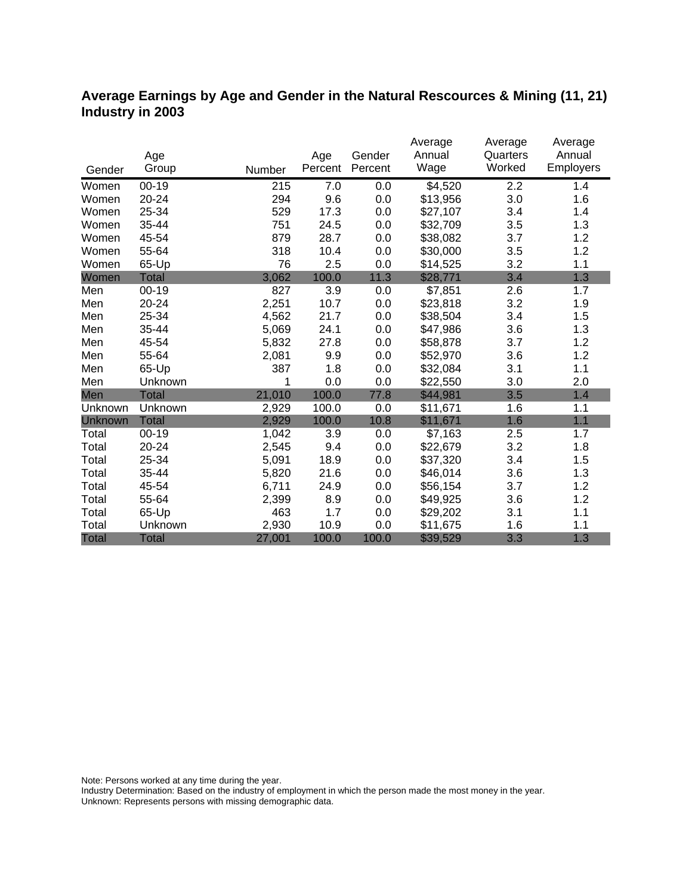### **Average Earnings by Age and Gender in the Natural Rescources & Mining (11, 21) Industry in 2003**

|              |              |        |         |         | Average             | Average  | Average   |
|--------------|--------------|--------|---------|---------|---------------------|----------|-----------|
|              | Age          |        | Age     | Gender  | Annual              | Quarters | Annual    |
| Gender       | Group        | Number | Percent | Percent | Wage                | Worked   | Employers |
| Women        | $00 - 19$    | 215    | 7.0     | 0.0     | $\overline{$}4,520$ | 2.2      | 1.4       |
| Women        | 20-24        | 294    | 9.6     | 0.0     | \$13,956            | 3.0      | 1.6       |
| Women        | 25-34        | 529    | 17.3    | 0.0     | \$27,107            | 3.4      | 1.4       |
| Women        | 35-44        | 751    | 24.5    | 0.0     | \$32,709            | 3.5      | 1.3       |
| Women        | 45-54        | 879    | 28.7    | 0.0     | \$38,082            | 3.7      | 1.2       |
| Women        | 55-64        | 318    | 10.4    | 0.0     | \$30,000            | 3.5      | 1.2       |
| Women        | 65-Up        | 76     | 2.5     | 0.0     | \$14,525            | 3.2      | 1.1       |
| Women        | <b>Total</b> | 3,062  | 100.0   | 11.3    | \$28,771            | 3.4      | 1.3       |
| Men          | $00 - 19$    | 827    | 3.9     | 0.0     | \$7,851             | 2.6      | 1.7       |
| Men          | 20-24        | 2,251  | 10.7    | 0.0     | \$23,818            | 3.2      | 1.9       |
| Men          | 25-34        | 4,562  | 21.7    | 0.0     | \$38,504            | 3.4      | 1.5       |
| Men          | 35-44        | 5,069  | 24.1    | 0.0     | \$47,986            | 3.6      | 1.3       |
| Men          | 45-54        | 5,832  | 27.8    | 0.0     | \$58,878            | 3.7      | 1.2       |
| Men          | 55-64        | 2,081  | 9.9     | 0.0     | \$52,970            | 3.6      | 1.2       |
| Men          | 65-Up        | 387    | 1.8     | 0.0     | \$32,084            | 3.1      | 1.1       |
| Men          | Unknown      | 1      | 0.0     | 0.0     | \$22,550            | 3.0      | 2.0       |
| Men          | <b>Total</b> | 21,010 | 100.0   | 77.8    | \$44,981            | 3.5      | 1.4       |
| Unknown      | Unknown      | 2,929  | 100.0   | 0.0     | \$11,671            | 1.6      | 1.1       |
| Unknown      | <b>Total</b> | 2,929  | 100.0   | 10.8    | \$11,671            | 1.6      | 1.1       |
| Total        | $00 - 19$    | 1,042  | 3.9     | 0.0     | \$7,163             | 2.5      | 1.7       |
| Total        | 20-24        | 2,545  | 9.4     | 0.0     | \$22,679            | 3.2      | 1.8       |
| Total        | 25-34        | 5,091  | 18.9    | 0.0     | \$37,320            | 3.4      | 1.5       |
| Total        | 35-44        | 5,820  | 21.6    | 0.0     | \$46,014            | 3.6      | 1.3       |
| Total        | 45-54        | 6,711  | 24.9    | 0.0     | \$56,154            | 3.7      | 1.2       |
| Total        | 55-64        | 2,399  | 8.9     | 0.0     | \$49,925            | 3.6      | 1.2       |
| Total        | 65-Up        | 463    | 1.7     | 0.0     | \$29,202            | 3.1      | 1.1       |
| Total        | Unknown      | 2,930  | 10.9    | 0.0     | \$11,675            | 1.6      | 1.1       |
| <b>Total</b> | <b>Total</b> | 27,001 | 100.0   | 100.0   | \$39,529            | 3.3      | 1.3       |

Note: Persons worked at any time during the year.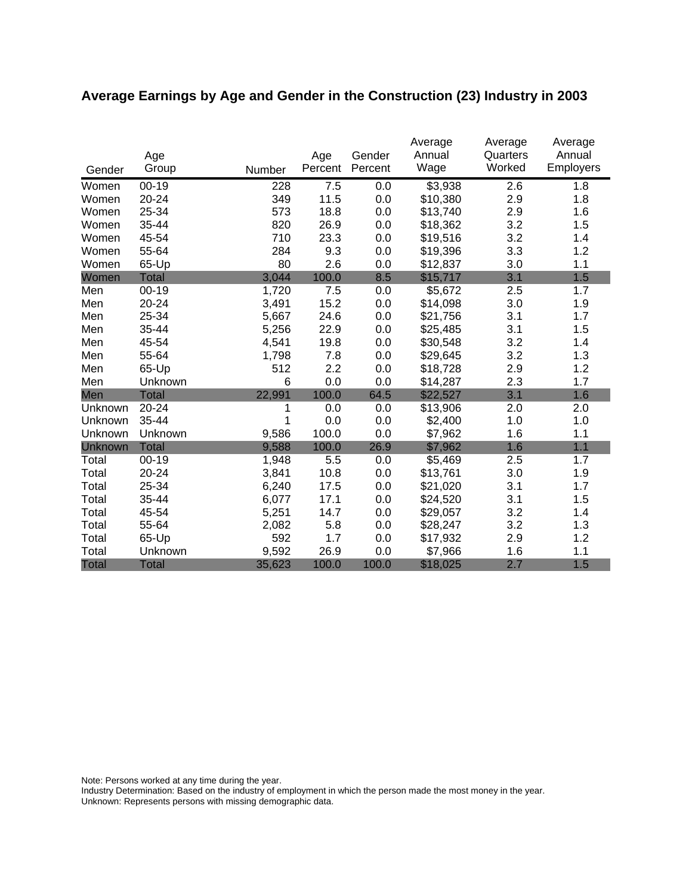# **Average Earnings by Age and Gender in the Construction (23) Industry in 2003**

|                | Age          |        | Age     | Gender  | Average<br>Annual | Average<br>Quarters | Average<br>Annual |
|----------------|--------------|--------|---------|---------|-------------------|---------------------|-------------------|
| Gender         | Group        | Number | Percent | Percent | Wage              | Worked              | Employers         |
| Women          | $00 - 19$    | 228    | 7.5     | 0.0     | \$3,938           | 2.6                 | 1.8               |
| Women          | 20-24        | 349    | 11.5    | 0.0     | \$10,380          | 2.9                 | 1.8               |
| Women          | 25-34        | 573    | 18.8    | 0.0     | \$13,740          | 2.9                 | 1.6               |
| Women          | 35-44        | 820    | 26.9    | 0.0     | \$18,362          | 3.2                 | 1.5               |
| Women          | 45-54        | 710    | 23.3    | 0.0     | \$19,516          | 3.2                 | 1.4               |
| Women          | 55-64        | 284    | 9.3     | 0.0     | \$19,396          | 3.3                 | 1.2               |
| Women          | 65-Up        | 80     | 2.6     | 0.0     | \$12,837          | 3.0                 | 1.1               |
| Women          | <b>Total</b> | 3,044  | 100.0   | 8.5     | \$15,717          | 3.1                 | 1.5               |
| Men            | $00 - 19$    | 1,720  | 7.5     | 0.0     | \$5,672           | 2.5                 | 1.7               |
| Men            | 20-24        | 3,491  | 15.2    | 0.0     | \$14,098          | 3.0                 | 1.9               |
| Men            | 25-34        | 5,667  | 24.6    | 0.0     | \$21,756          | 3.1                 | 1.7               |
| Men            | 35-44        | 5,256  | 22.9    | 0.0     | \$25,485          | 3.1                 | 1.5               |
| Men            | 45-54        | 4,541  | 19.8    | 0.0     | \$30,548          | 3.2                 | 1.4               |
| Men            | 55-64        | 1,798  | 7.8     | 0.0     | \$29,645          | 3.2                 | 1.3               |
| Men            | 65-Up        | 512    | 2.2     | 0.0     | \$18,728          | 2.9                 | 1.2               |
| Men            | Unknown      | 6      | 0.0     | 0.0     | \$14,287          | 2.3                 | 1.7               |
| Men            | <b>Total</b> | 22,991 | 100.0   | 64.5    | \$22,527          | 3.1                 | 1.6               |
| Unknown        | 20-24        | 1      | 0.0     | 0.0     | \$13,906          | 2.0                 | 2.0               |
| Unknown        | 35-44        | 1      | 0.0     | 0.0     | \$2,400           | 1.0                 | 1.0               |
| Unknown        | Unknown      | 9,586  | 100.0   | 0.0     | \$7,962           | 1.6                 | 1.1               |
| <b>Unknown</b> | <b>Total</b> | 9,588  | 100.0   | 26.9    | \$7,962           | 1.6                 | 1.1               |
| Total          | $00 - 19$    | 1,948  | 5.5     | 0.0     | \$5,469           | 2.5                 | 1.7               |
| Total          | 20-24        | 3,841  | 10.8    | 0.0     | \$13,761          | 3.0                 | 1.9               |
| Total          | 25-34        | 6,240  | 17.5    | 0.0     | \$21,020          | 3.1                 | 1.7               |
| Total          | 35-44        | 6,077  | 17.1    | 0.0     | \$24,520          | 3.1                 | 1.5               |
| Total          | 45-54        | 5,251  | 14.7    | 0.0     | \$29,057          | 3.2                 | 1.4               |
| Total          | 55-64        | 2,082  | 5.8     | 0.0     | \$28,247          | 3.2                 | 1.3               |
| Total          | 65-Up        | 592    | 1.7     | 0.0     | \$17,932          | 2.9                 | 1.2               |
| Total          | Unknown      | 9,592  | 26.9    | 0.0     | \$7,966           | 1.6                 | 1.1               |
| <b>Total</b>   | <b>Total</b> | 35,623 | 100.0   | 100.0   | \$18,025          | 2.7                 | 1.5               |

Note: Persons worked at any time during the year.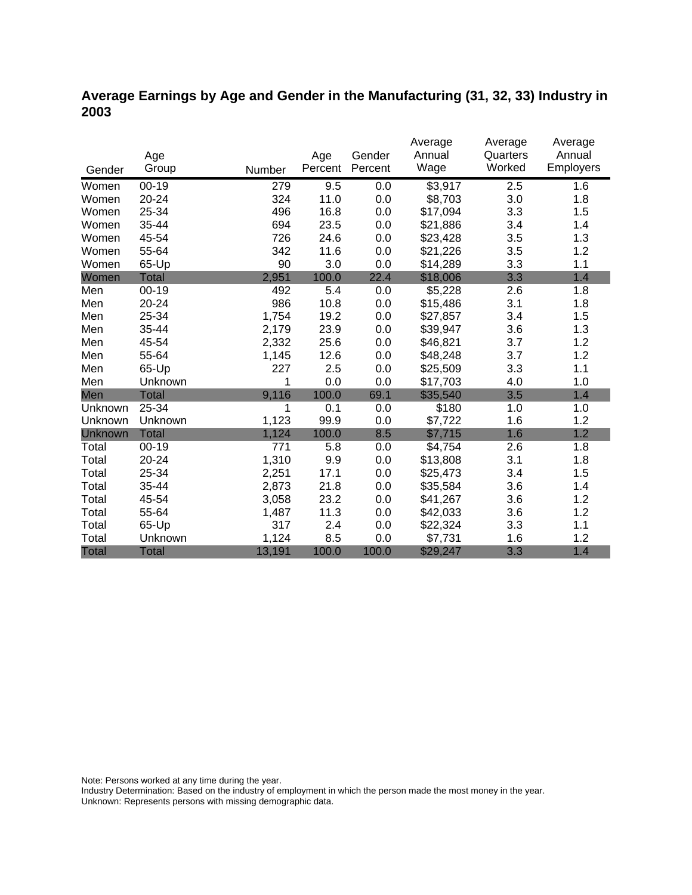# **Average Earnings by Age and Gender in the Manufacturing (31, 32, 33) Industry in 2003**

|              |              |        |         |         | Average  | Average  | Average          |
|--------------|--------------|--------|---------|---------|----------|----------|------------------|
|              | Age          |        | Age     | Gender  | Annual   | Quarters | Annual           |
| Gender       | Group        | Number | Percent | Percent | Wage     | Worked   | <b>Employers</b> |
| Women        | $00 - 19$    | 279    | 9.5     | 0.0     | \$3,917  | 2.5      | 1.6              |
| Women        | 20-24        | 324    | 11.0    | 0.0     | \$8,703  | 3.0      | 1.8              |
| Women        | 25-34        | 496    | 16.8    | 0.0     | \$17,094 | 3.3      | 1.5              |
| Women        | 35-44        | 694    | 23.5    | 0.0     | \$21,886 | 3.4      | 1.4              |
| Women        | 45-54        | 726    | 24.6    | 0.0     | \$23,428 | 3.5      | 1.3              |
| Women        | 55-64        | 342    | 11.6    | 0.0     | \$21,226 | 3.5      | 1.2              |
| Women        | 65-Up        | 90     | 3.0     | 0.0     | \$14,289 | 3.3      | 1.1              |
| Women        | <b>Total</b> | 2,951  | 100.0   | 22.4    | \$18,006 | 3.3      | 1.4              |
| Men          | $00 - 19$    | 492    | 5.4     | 0.0     | \$5,228  | 2.6      | 1.8              |
| Men          | 20-24        | 986    | 10.8    | 0.0     | \$15,486 | 3.1      | 1.8              |
| Men          | 25-34        | 1,754  | 19.2    | 0.0     | \$27,857 | 3.4      | 1.5              |
| Men          | 35-44        | 2,179  | 23.9    | 0.0     | \$39,947 | 3.6      | 1.3              |
| Men          | 45-54        | 2,332  | 25.6    | 0.0     | \$46,821 | 3.7      | 1.2              |
| Men          | 55-64        | 1,145  | 12.6    | 0.0     | \$48,248 | 3.7      | 1.2              |
| Men          | 65-Up        | 227    | 2.5     | 0.0     | \$25,509 | 3.3      | 1.1              |
| Men          | Unknown      | 1      | 0.0     | 0.0     | \$17,703 | 4.0      | 1.0              |
| Men          | <b>Total</b> | 9,116  | 100.0   | 69.1    | \$35,540 | 3.5      | 1.4              |
| Unknown      | 25-34        | 1      | 0.1     | 0.0     | \$180    | 1.0      | 1.0              |
| Unknown      | Unknown      | 1,123  | 99.9    | 0.0     | \$7,722  | 1.6      | 1.2              |
| Unknown      | <b>Total</b> | 1,124  | 100.0   | 8.5     | \$7,715  | 1.6      | 1.2              |
| Total        | $00 - 19$    | 771    | 5.8     | 0.0     | \$4,754  | 2.6      | 1.8              |
| Total        | 20-24        | 1,310  | 9.9     | 0.0     | \$13,808 | 3.1      | 1.8              |
| Total        | 25-34        | 2,251  | 17.1    | 0.0     | \$25,473 | 3.4      | 1.5              |
| Total        | 35-44        | 2,873  | 21.8    | 0.0     | \$35,584 | 3.6      | 1.4              |
| Total        | 45-54        | 3,058  | 23.2    | 0.0     | \$41,267 | 3.6      | 1.2              |
| Total        | 55-64        | 1,487  | 11.3    | 0.0     | \$42,033 | 3.6      | 1.2              |
| Total        | 65-Up        | 317    | 2.4     | 0.0     | \$22,324 | 3.3      | 1.1              |
| Total        | Unknown      | 1,124  | 8.5     | 0.0     | \$7,731  | 1.6      | 1.2              |
| <b>Total</b> | <b>Total</b> | 13,191 | 100.0   | 100.0   | \$29,247 | 3.3      | 1.4              |

Note: Persons worked at any time during the year.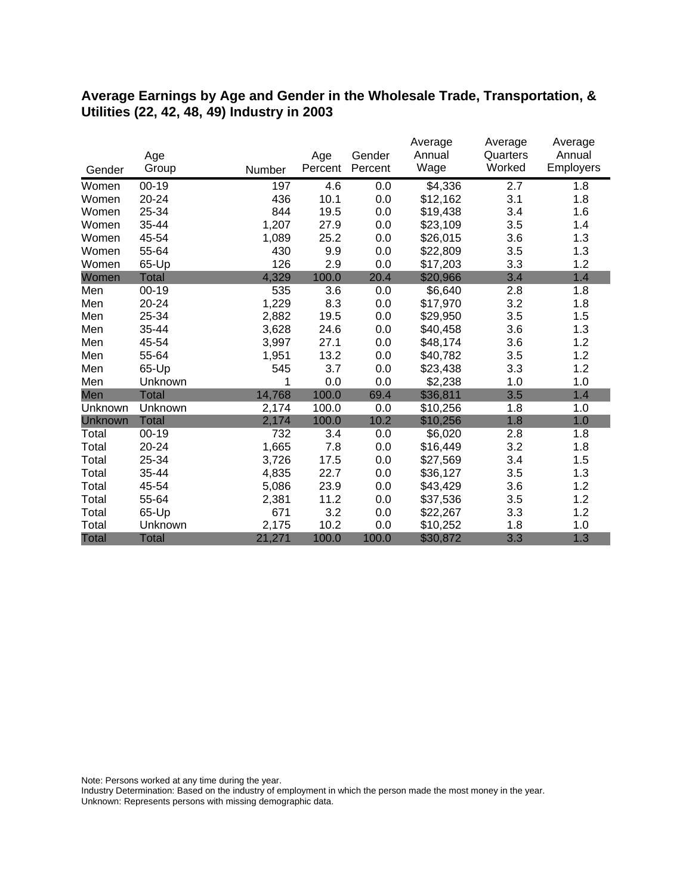#### **Average Earnings by Age and Gender in the Wholesale Trade, Transportation, & Utilities (22, 42, 48, 49) Industry in 2003**

|              |              |        |         |         | Average  | Average  | Average   |
|--------------|--------------|--------|---------|---------|----------|----------|-----------|
|              | Age          |        | Age     | Gender  | Annual   | Quarters | Annual    |
| Gender       | Group        | Number | Percent | Percent | Wage     | Worked   | Employers |
| Women        | $00 - 19$    | 197    | 4.6     | 0.0     | \$4,336  | 2.7      | 1.8       |
| Women        | 20-24        | 436    | 10.1    | 0.0     | \$12,162 | 3.1      | 1.8       |
| Women        | 25-34        | 844    | 19.5    | 0.0     | \$19,438 | 3.4      | 1.6       |
| Women        | 35-44        | 1,207  | 27.9    | 0.0     | \$23,109 | 3.5      | 1.4       |
| Women        | 45-54        | 1,089  | 25.2    | 0.0     | \$26,015 | 3.6      | 1.3       |
| Women        | 55-64        | 430    | 9.9     | 0.0     | \$22,809 | 3.5      | 1.3       |
| Women        | 65-Up        | 126    | 2.9     | 0.0     | \$17,203 | 3.3      | 1.2       |
| Women        | <b>Total</b> | 4,329  | 100.0   | 20.4    | \$20,966 | 3.4      | 1.4       |
| Men          | $00 - 19$    | 535    | 3.6     | 0.0     | \$6,640  | 2.8      | 1.8       |
| Men          | 20-24        | 1,229  | 8.3     | 0.0     | \$17,970 | 3.2      | 1.8       |
| Men          | 25-34        | 2,882  | 19.5    | 0.0     | \$29,950 | 3.5      | 1.5       |
| Men          | 35-44        | 3,628  | 24.6    | 0.0     | \$40,458 | 3.6      | 1.3       |
| Men          | 45-54        | 3,997  | 27.1    | 0.0     | \$48,174 | 3.6      | 1.2       |
| Men          | 55-64        | 1,951  | 13.2    | 0.0     | \$40,782 | 3.5      | 1.2       |
| Men          | 65-Up        | 545    | 3.7     | 0.0     | \$23,438 | 3.3      | 1.2       |
| Men          | Unknown      | 1      | 0.0     | 0.0     | \$2,238  | 1.0      | 1.0       |
| Men          | Total        | 14,768 | 100.0   | 69.4    | \$36,811 | 3.5      | 1.4       |
| Unknown      | Unknown      | 2,174  | 100.0   | 0.0     | \$10,256 | 1.8      | 1.0       |
| Unknown      | <b>Total</b> | 2,174  | 100.0   | 10.2    | \$10,256 | 1.8      | 1.0       |
| Total        | $00 - 19$    | 732    | 3.4     | 0.0     | \$6,020  | 2.8      | 1.8       |
| Total        | 20-24        | 1,665  | 7.8     | 0.0     | \$16,449 | 3.2      | 1.8       |
| Total        | 25-34        | 3,726  | 17.5    | 0.0     | \$27,569 | 3.4      | 1.5       |
| Total        | 35-44        | 4,835  | 22.7    | 0.0     | \$36,127 | 3.5      | 1.3       |
| Total        | 45-54        | 5,086  | 23.9    | 0.0     | \$43,429 | 3.6      | 1.2       |
| Total        | 55-64        | 2,381  | 11.2    | 0.0     | \$37,536 | 3.5      | 1.2       |
| Total        | 65-Up        | 671    | 3.2     | 0.0     | \$22,267 | 3.3      | 1.2       |
| Total        | Unknown      | 2,175  | 10.2    | 0.0     | \$10,252 | 1.8      | 1.0       |
| <b>Total</b> | <b>Total</b> | 21,271 | 100.0   | 100.0   | \$30,872 | 3.3      | 1.3       |

Note: Persons worked at any time during the year.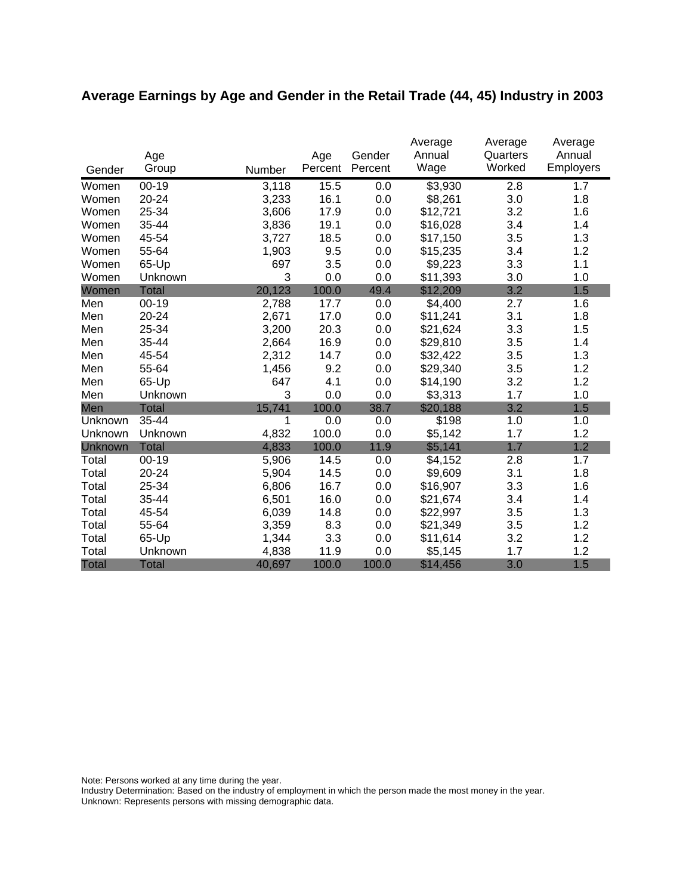# **Average Earnings by Age and Gender in the Retail Trade (44, 45) Industry in 2003**

|              |              |        |         |         | Average        | Average            | Average             |
|--------------|--------------|--------|---------|---------|----------------|--------------------|---------------------|
|              | Age          |        | Age     | Gender  | Annual<br>Wage | Quarters<br>Worked | Annual<br>Employers |
| Gender       | Group        | Number | Percent | Percent |                |                    |                     |
| Women        | $00 - 19$    | 3,118  | 15.5    | 0.0     | \$3,930        | 2.8                | 1.7                 |
| Women        | 20-24        | 3,233  | 16.1    | 0.0     | \$8,261        | 3.0                | 1.8                 |
| Women        | 25-34        | 3,606  | 17.9    | 0.0     | \$12,721       | 3.2                | 1.6                 |
| Women        | 35-44        | 3,836  | 19.1    | 0.0     | \$16,028       | 3.4                | 1.4                 |
| Women        | 45-54        | 3,727  | 18.5    | 0.0     | \$17,150       | 3.5                | 1.3                 |
| Women        | 55-64        | 1,903  | 9.5     | 0.0     | \$15,235       | 3.4                | 1.2                 |
| Women        | 65-Up        | 697    | 3.5     | 0.0     | \$9,223        | 3.3                | 1.1                 |
| Women        | Unknown      | 3      | 0.0     | 0.0     | \$11,393       | 3.0                | 1.0                 |
| Women        | <b>Total</b> | 20,123 | 100.0   | 49.4    | \$12,209       | 3.2                | 1.5                 |
| Men          | $00 - 19$    | 2,788  | 17.7    | 0.0     | \$4,400        | 2.7                | 1.6                 |
| Men          | 20-24        | 2,671  | 17.0    | 0.0     | \$11,241       | 3.1                | 1.8                 |
| Men          | 25-34        | 3,200  | 20.3    | 0.0     | \$21,624       | 3.3                | 1.5                 |
| Men          | 35-44        | 2,664  | 16.9    | 0.0     | \$29,810       | 3.5                | 1.4                 |
| Men          | 45-54        | 2,312  | 14.7    | 0.0     | \$32,422       | 3.5                | 1.3                 |
| Men          | 55-64        | 1,456  | 9.2     | 0.0     | \$29,340       | 3.5                | 1.2                 |
| Men          | 65-Up        | 647    | 4.1     | 0.0     | \$14,190       | 3.2                | 1.2                 |
| Men          | Unknown      | 3      | 0.0     | 0.0     | \$3,313        | 1.7                | 1.0                 |
| Men          | <b>Total</b> | 15,741 | 100.0   | 38.7    | \$20,188       | 3.2                | 1.5                 |
| Unknown      | 35-44        | 1      | 0.0     | 0.0     | \$198          | 1.0                | 1.0                 |
| Unknown      | Unknown      | 4,832  | 100.0   | 0.0     | \$5,142        | 1.7                | 1.2                 |
| Unknown      | <b>Total</b> | 4,833  | 100.0   | 11.9    | \$5,141        | 1.7                | 1.2                 |
| Total        | $00 - 19$    | 5,906  | 14.5    | 0.0     | \$4,152        | 2.8                | 1.7                 |
| Total        | 20-24        | 5,904  | 14.5    | 0.0     | \$9,609        | 3.1                | 1.8                 |
| Total        | 25-34        | 6,806  | 16.7    | 0.0     | \$16,907       | 3.3                | 1.6                 |
| Total        | 35-44        | 6,501  | 16.0    | 0.0     | \$21,674       | 3.4                | 1.4                 |
| Total        | 45-54        | 6,039  | 14.8    | 0.0     | \$22,997       | 3.5                | 1.3                 |
| Total        | 55-64        | 3,359  | 8.3     | 0.0     | \$21,349       | 3.5                | 1.2                 |
| Total        | 65-Up        | 1,344  | 3.3     | 0.0     | \$11,614       | 3.2                | 1.2                 |
| Total        | Unknown      | 4,838  | 11.9    | 0.0     | \$5,145        | 1.7                | 1.2                 |
| <b>Total</b> | <b>Total</b> | 40,697 | 100.0   | 100.0   | \$14,456       | 3.0                | 1.5                 |

Note: Persons worked at any time during the year.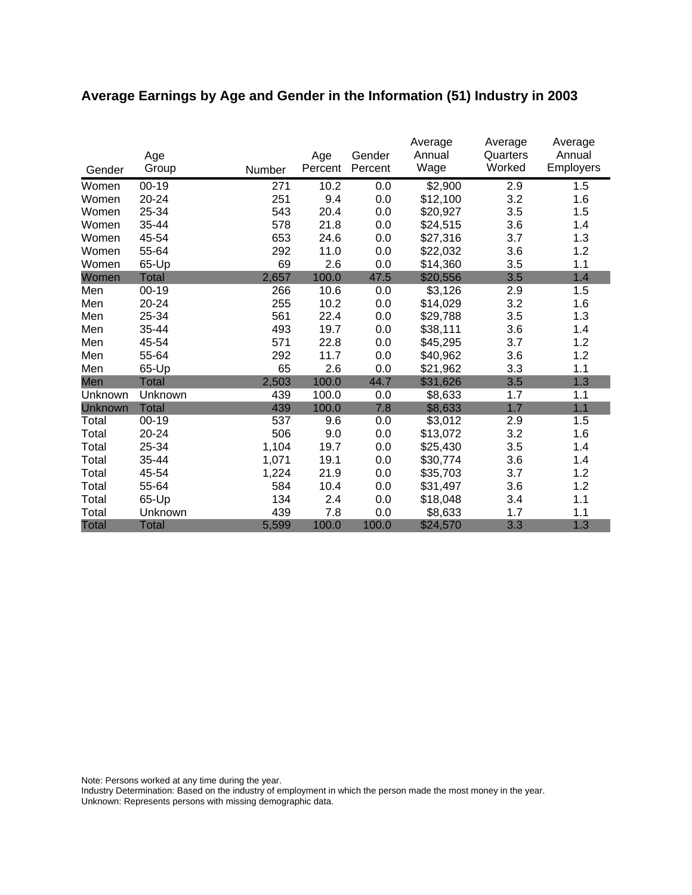# **Average Earnings by Age and Gender in the Information (51) Industry in 2003**

|              | Age          |        | Age     | Gender  | Average<br>Annual | Average<br>Quarters | Average<br>Annual |
|--------------|--------------|--------|---------|---------|-------------------|---------------------|-------------------|
| Gender       | Group        | Number | Percent | Percent | Wage              | Worked              | <b>Employers</b>  |
| Women        | $00 - 19$    | 271    | 10.2    | 0.0     | \$2,900           | 2.9                 | 1.5               |
| Women        | 20-24        | 251    | 9.4     | 0.0     | \$12,100          | 3.2                 | 1.6               |
| Women        | 25-34        | 543    | 20.4    | 0.0     | \$20,927          | 3.5                 | 1.5               |
| Women        | 35-44        | 578    | 21.8    | 0.0     | \$24,515          | 3.6                 | 1.4               |
| Women        | 45-54        | 653    | 24.6    | 0.0     | \$27,316          | 3.7                 | 1.3               |
| Women        | 55-64        | 292    | 11.0    | 0.0     | \$22,032          | 3.6                 | 1.2               |
| Women        | 65-Up        | 69     | 2.6     | 0.0     | \$14,360          | 3.5                 | 1.1               |
| Women        | <b>Total</b> | 2,657  | 100.0   | 47.5    | \$20,556          | 3.5                 | 1.4               |
| Men          | 00-19        | 266    | 10.6    | 0.0     | \$3,126           | 2.9                 | 1.5               |
| Men          | 20-24        | 255    | 10.2    | 0.0     | \$14,029          | 3.2                 | 1.6               |
| Men          | 25-34        | 561    | 22.4    | 0.0     | \$29,788          | 3.5                 | 1.3               |
| Men          | 35-44        | 493    | 19.7    | 0.0     | \$38,111          | 3.6                 | 1.4               |
| Men          | 45-54        | 571    | 22.8    | 0.0     | \$45,295          | 3.7                 | 1.2               |
| Men          | 55-64        | 292    | 11.7    | 0.0     | \$40,962          | 3.6                 | 1.2               |
| Men          | 65-Up        | 65     | 2.6     | 0.0     | \$21,962          | 3.3                 | 1.1               |
| Men          | Total        | 2,503  | 100.0   | 44.7    | \$31,626          | 3.5                 | 1.3               |
| Unknown      | Unknown      | 439    | 100.0   | 0.0     | \$8,633           | 1.7                 | 1.1               |
| Unknown      | <b>Total</b> | 439    | 100.0   | 7.8     | \$8,633           | 1.7                 | 1.1               |
| Total        | $00 - 19$    | 537    | 9.6     | 0.0     | \$3,012           | 2.9                 | 1.5               |
| Total        | 20-24        | 506    | 9.0     | 0.0     | \$13,072          | 3.2                 | 1.6               |
| Total        | 25-34        | 1,104  | 19.7    | 0.0     | \$25,430          | 3.5                 | 1.4               |
| Total        | 35-44        | 1,071  | 19.1    | 0.0     | \$30,774          | 3.6                 | 1.4               |
| Total        | 45-54        | 1,224  | 21.9    | 0.0     | \$35,703          | 3.7                 | 1.2               |
| Total        | 55-64        | 584    | 10.4    | 0.0     | \$31,497          | 3.6                 | 1.2               |
| Total        | 65-Up        | 134    | 2.4     | 0.0     | \$18,048          | 3.4                 | 1.1               |
| Total        | Unknown      | 439    | 7.8     | 0.0     | \$8,633           | 1.7                 | 1.1               |
| <b>Total</b> | <b>Total</b> | 5,599  | 100.0   | 100.0   | \$24,570          | 3.3                 | 1.3               |

Note: Persons worked at any time during the year.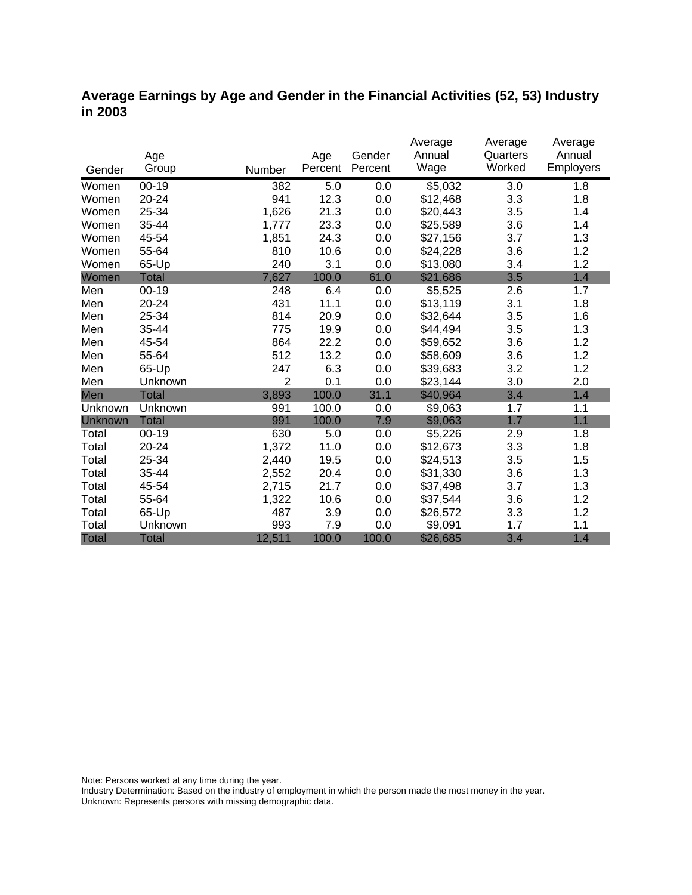# **Average Earnings by Age and Gender in the Financial Activities (52, 53) Industry in 2003**

|              |              |                |         |         | Average             | Average  | Average   |
|--------------|--------------|----------------|---------|---------|---------------------|----------|-----------|
|              | Age          |                | Age     | Gender  | Annual              | Quarters | Annual    |
| Gender       | Group        | Number         | Percent | Percent | Wage                | Worked   | Employers |
| Women        | $00 - 19$    | 382            | 5.0     | 0.0     | $\overline{$}5,032$ | 3.0      | 1.8       |
| Women        | 20-24        | 941            | 12.3    | 0.0     | \$12,468            | 3.3      | 1.8       |
| Women        | 25-34        | 1,626          | 21.3    | 0.0     | \$20,443            | 3.5      | 1.4       |
| Women        | 35-44        | 1,777          | 23.3    | 0.0     | \$25,589            | 3.6      | 1.4       |
| Women        | 45-54        | 1,851          | 24.3    | 0.0     | \$27,156            | 3.7      | 1.3       |
| Women        | 55-64        | 810            | 10.6    | 0.0     | \$24,228            | 3.6      | 1.2       |
| Women        | 65-Up        | 240            | 3.1     | 0.0     | \$13,080            | 3.4      | 1.2       |
| Women        | <b>Total</b> | 7,627          | 100.0   | 61.0    | \$21,686            | 3.5      | 1.4       |
| Men          | $00 - 19$    | 248            | 6.4     | 0.0     | \$5,525             | 2.6      | 1.7       |
| Men          | 20-24        | 431            | 11.1    | 0.0     | \$13,119            | 3.1      | 1.8       |
| Men          | 25-34        | 814            | 20.9    | 0.0     | \$32,644            | 3.5      | 1.6       |
| Men          | 35-44        | 775            | 19.9    | 0.0     | \$44,494            | 3.5      | 1.3       |
| Men          | 45-54        | 864            | 22.2    | 0.0     | \$59,652            | 3.6      | 1.2       |
| Men          | 55-64        | 512            | 13.2    | 0.0     | \$58,609            | 3.6      | 1.2       |
| Men          | 65-Up        | 247            | 6.3     | 0.0     | \$39,683            | 3.2      | 1.2       |
| Men          | Unknown      | $\overline{2}$ | 0.1     | 0.0     | \$23,144            | 3.0      | 2.0       |
| Men          | Total        | 3,893          | 100.0   | 31.1    | \$40,964            | 3.4      | 1.4       |
| Unknown      | Unknown      | 991            | 100.0   | 0.0     | \$9,063             | 1.7      | 1.1       |
| Unknown      | <b>Total</b> | 991            | 100.0   | 7.9     | \$9,063             | 1.7      | 1.1       |
| Total        | $00 - 19$    | 630            | 5.0     | 0.0     | \$5,226             | 2.9      | 1.8       |
| Total        | $20 - 24$    | 1,372          | 11.0    | 0.0     | \$12,673            | 3.3      | 1.8       |
| Total        | 25-34        | 2,440          | 19.5    | 0.0     | \$24,513            | 3.5      | 1.5       |
| Total        | 35-44        | 2,552          | 20.4    | 0.0     | \$31,330            | 3.6      | 1.3       |
| Total        | 45-54        | 2,715          | 21.7    | 0.0     | \$37,498            | 3.7      | 1.3       |
| Total        | 55-64        | 1,322          | 10.6    | 0.0     | \$37,544            | 3.6      | 1.2       |
| Total        | 65-Up        | 487            | 3.9     | 0.0     | \$26,572            | 3.3      | 1.2       |
| Total        | Unknown      | 993            | 7.9     | 0.0     | \$9,091             | 1.7      | 1.1       |
| <b>Total</b> | <b>Total</b> | 12,511         | 100.0   | 100.0   | \$26,685            | 3.4      | 1.4       |

Note: Persons worked at any time during the year.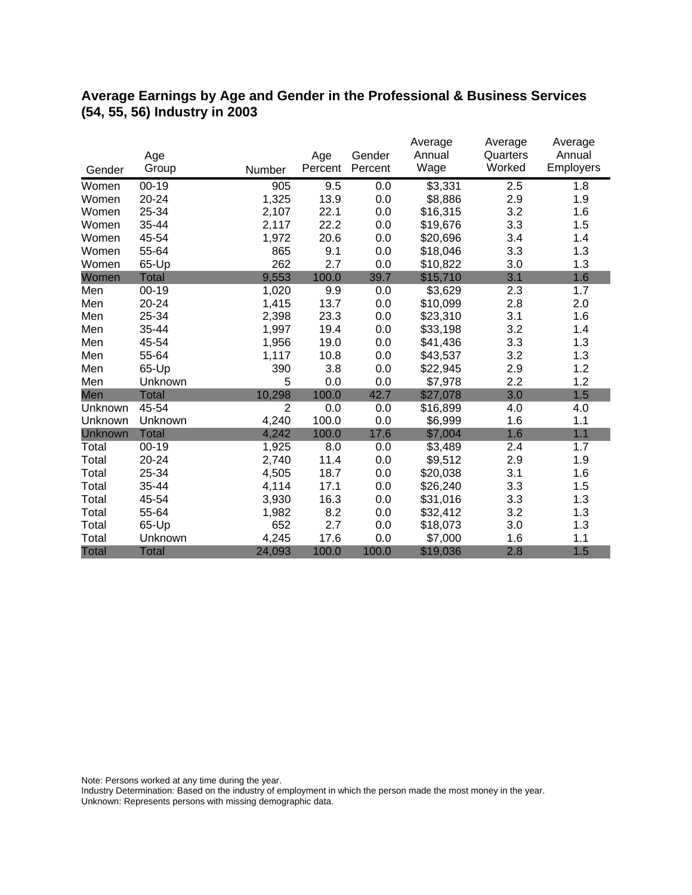# **Average Earnings by Age and Gender in the Professional & Business Services (54, 55, 56) Industry in 2003**

|              |              |                |         |         | Average  | Average  | Average   |
|--------------|--------------|----------------|---------|---------|----------|----------|-----------|
|              | Age          |                | Age     | Gender  | Annual   | Quarters | Annual    |
| Gender       | Group        | Number         | Percent | Percent | Wage     | Worked   | Employers |
| Women        | $00 - 19$    | 905            | 9.5     | 0.0     | \$3,331  | 2.5      | 1.8       |
| Women        | 20-24        | 1,325          | 13.9    | 0.0     | \$8,886  | 2.9      | 1.9       |
| Women        | 25-34        | 2,107          | 22.1    | 0.0     | \$16,315 | 3.2      | 1.6       |
| Women        | 35-44        | 2,117          | 22.2    | 0.0     | \$19,676 | 3.3      | 1.5       |
| Women        | 45-54        | 1,972          | 20.6    | 0.0     | \$20,696 | 3.4      | 1.4       |
| Women        | 55-64        | 865            | 9.1     | 0.0     | \$18,046 | 3.3      | 1.3       |
| Women        | 65-Up        | 262            | 2.7     | 0.0     | \$10,822 | 3.0      | 1.3       |
| Women        | <b>Total</b> | 9,553          | 100.0   | 39.7    | \$15,710 | 3.1      | 1.6       |
| Men          | $00 - 19$    | 1,020          | 9.9     | 0.0     | \$3,629  | 2.3      | 1.7       |
| Men          | 20-24        | 1,415          | 13.7    | 0.0     | \$10,099 | 2.8      | 2.0       |
| Men          | 25-34        | 2,398          | 23.3    | 0.0     | \$23,310 | 3.1      | 1.6       |
| Men          | 35-44        | 1,997          | 19.4    | 0.0     | \$33,198 | 3.2      | 1.4       |
| Men          | 45-54        | 1,956          | 19.0    | 0.0     | \$41,436 | 3.3      | 1.3       |
| Men          | 55-64        | 1,117          | 10.8    | 0.0     | \$43,537 | 3.2      | 1.3       |
| Men          | 65-Up        | 390            | 3.8     | 0.0     | \$22,945 | 2.9      | 1.2       |
| Men          | Unknown      | 5              | 0.0     | 0.0     | \$7,978  | 2.2      | 1.2       |
| Men          | <b>Total</b> | 10,298         | 100.0   | 42.7    | \$27,078 | 3.0      | 1.5       |
| Unknown      | 45-54        | $\overline{2}$ | 0.0     | 0.0     | \$16,899 | 4.0      | 4.0       |
| Unknown      | Unknown      | 4,240          | 100.0   | 0.0     | \$6,999  | 1.6      | 1.1       |
| Unknown      | <b>Total</b> | 4,242          | 100.0   | 17.6    | \$7,004  | 1.6      | 1.1       |
| Total        | $00 - 19$    | 1,925          | 8.0     | 0.0     | \$3,489  | 2.4      | 1.7       |
| Total        | $20 - 24$    | 2,740          | 11.4    | 0.0     | \$9,512  | 2.9      | 1.9       |
| Total        | 25-34        | 4,505          | 18.7    | 0.0     | \$20,038 | 3.1      | 1.6       |
| Total        | 35-44        | 4,114          | 17.1    | 0.0     | \$26,240 | 3.3      | 1.5       |
| Total        | 45-54        | 3,930          | 16.3    | 0.0     | \$31,016 | 3.3      | 1.3       |
| Total        | 55-64        | 1,982          | 8.2     | 0.0     | \$32,412 | 3.2      | 1.3       |
| Total        | 65-Up        | 652            | 2.7     | 0.0     | \$18,073 | 3.0      | 1.3       |
| Total        | Unknown      | 4,245          | 17.6    | 0.0     | \$7,000  | 1.6      | 1.1       |
| <b>Total</b> | <b>Total</b> | 24,093         | 100.0   | 100.0   | \$19,036 | 2.8      | 1.5       |

Note: Persons worked at any time during the year.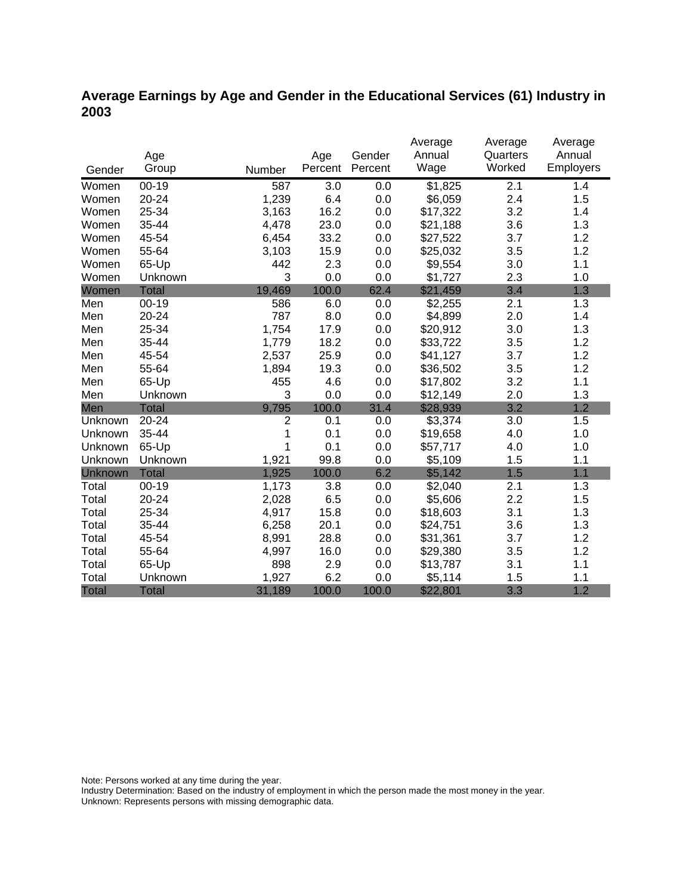# **Average Earnings by Age and Gender in the Educational Services (61) Industry in 2003**

|                |              |                |         |         | Average             | Average  | Average   |
|----------------|--------------|----------------|---------|---------|---------------------|----------|-----------|
|                | Age          |                | Age     | Gender  | Annual              | Quarters | Annual    |
| Gender         | Group        | Number         | Percent | Percent | Wage                | Worked   | Employers |
| Women          | $00 - 19$    | 587            | 3.0     | 0.0     | $\overline{$1,825}$ | 2.1      | 1.4       |
| Women          | 20-24        | 1,239          | 6.4     | 0.0     | \$6,059             | 2.4      | 1.5       |
| Women          | 25-34        | 3,163          | 16.2    | 0.0     | \$17,322            | 3.2      | 1.4       |
| Women          | 35-44        | 4,478          | 23.0    | 0.0     | \$21,188            | 3.6      | 1.3       |
| Women          | 45-54        | 6,454          | 33.2    | 0.0     | \$27,522            | 3.7      | 1.2       |
| Women          | 55-64        | 3,103          | 15.9    | 0.0     | \$25,032            | 3.5      | 1.2       |
| Women          | 65-Up        | 442            | 2.3     | 0.0     | \$9,554             | 3.0      | 1.1       |
| Women          | Unknown      | 3              | 0.0     | 0.0     | \$1,727             | 2.3      | 1.0       |
| Women          | <b>Total</b> | 19,469         | 100.0   | 62.4    | \$21,459            | 3.4      | 1.3       |
| Men            | $00 - 19$    | 586            | 6.0     | 0.0     | \$2,255             | 2.1      | 1.3       |
| Men            | 20-24        | 787            | 8.0     | 0.0     | \$4,899             | 2.0      | 1.4       |
| Men            | 25-34        | 1,754          | 17.9    | 0.0     | \$20,912            | 3.0      | 1.3       |
| Men            | 35-44        | 1,779          | 18.2    | 0.0     | \$33,722            | 3.5      | 1.2       |
| Men            | 45-54        | 2,537          | 25.9    | 0.0     | \$41,127            | 3.7      | 1.2       |
| Men            | 55-64        | 1,894          | 19.3    | 0.0     | \$36,502            | 3.5      | 1.2       |
| Men            | 65-Up        | 455            | 4.6     | 0.0     | \$17,802            | 3.2      | 1.1       |
| Men            | Unknown      | 3              | 0.0     | 0.0     | \$12,149            | 2.0      | 1.3       |
| Men            | <b>Total</b> | 9,795          | 100.0   | 31.4    | \$28,939            | 3.2      | 1.2       |
| Unknown        | 20-24        | $\overline{2}$ | 0.1     | 0.0     | \$3,374             | 3.0      | 1.5       |
| Unknown        | 35-44        | 1              | 0.1     | 0.0     | \$19,658            | 4.0      | 1.0       |
| Unknown        | 65-Up        | 1              | 0.1     | 0.0     | \$57,717            | 4.0      | 1.0       |
| Unknown        | Unknown      | 1,921          | 99.8    | 0.0     | \$5,109             | 1.5      | 1.1       |
| <b>Unknown</b> | <b>Total</b> | 1,925          | 100.0   | 6.2     | \$5,142             | 1.5      | 1.1       |
| Total          | $00 - 19$    | 1,173          | 3.8     | 0.0     | \$2,040             | 2.1      | 1.3       |
| Total          | 20-24        | 2,028          | 6.5     | 0.0     | \$5,606             | 2.2      | 1.5       |
| Total          | 25-34        | 4,917          | 15.8    | 0.0     | \$18,603            | 3.1      | 1.3       |
| Total          | 35-44        | 6,258          | 20.1    | 0.0     | \$24,751            | 3.6      | 1.3       |
| Total          | 45-54        | 8,991          | 28.8    | 0.0     | \$31,361            | 3.7      | 1.2       |
| Total          | 55-64        | 4,997          | 16.0    | 0.0     | \$29,380            | 3.5      | 1.2       |
| Total          | 65-Up        | 898            | 2.9     | 0.0     | \$13,787            | 3.1      | 1.1       |
| Total          | Unknown      | 1,927          | 6.2     | 0.0     | \$5,114             | 1.5      | 1.1       |
| <b>Total</b>   | <b>Total</b> | 31,189         | 100.0   | 100.0   | \$22,801            | 3.3      | 1.2       |

Note: Persons worked at any time during the year.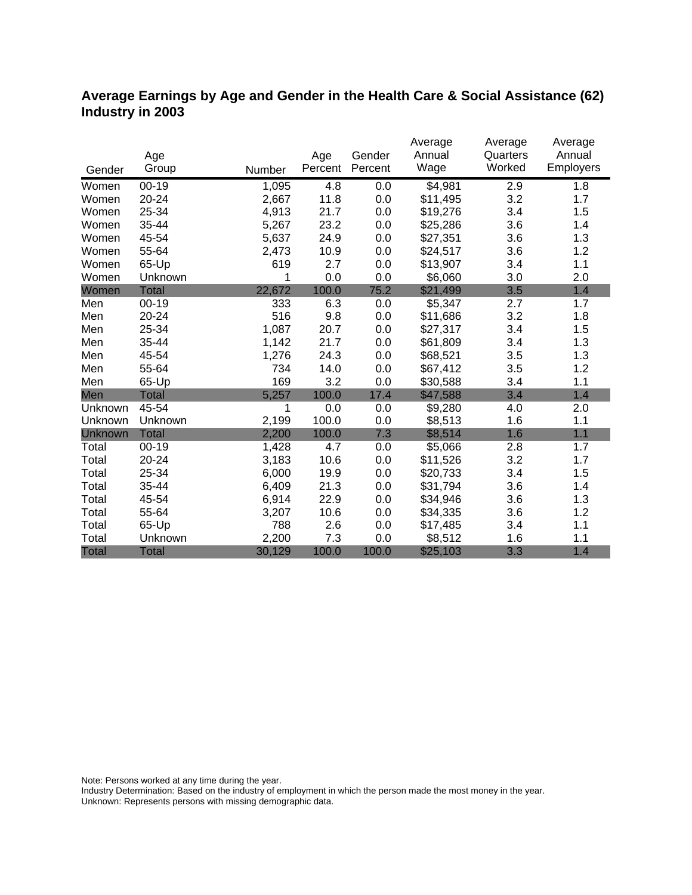# **Average Earnings by Age and Gender in the Health Care & Social Assistance (62) Industry in 2003**

|              |              |        |         |         | Average  | Average  | Average   |
|--------------|--------------|--------|---------|---------|----------|----------|-----------|
|              | Age          |        | Age     | Gender  | Annual   | Quarters | Annual    |
| Gender       | Group        | Number | Percent | Percent | Wage     | Worked   | Employers |
| Women        | $00 - 19$    | 1,095  | 4.8     | 0.0     | \$4,981  | 2.9      | 1.8       |
| Women        | 20-24        | 2,667  | 11.8    | 0.0     | \$11,495 | 3.2      | 1.7       |
| Women        | 25-34        | 4,913  | 21.7    | 0.0     | \$19,276 | 3.4      | 1.5       |
| Women        | 35-44        | 5,267  | 23.2    | 0.0     | \$25,286 | 3.6      | 1.4       |
| Women        | 45-54        | 5,637  | 24.9    | 0.0     | \$27,351 | 3.6      | 1.3       |
| Women        | 55-64        | 2,473  | 10.9    | 0.0     | \$24,517 | 3.6      | 1.2       |
| Women        | 65-Up        | 619    | 2.7     | 0.0     | \$13,907 | 3.4      | 1.1       |
| Women        | Unknown      | 1      | 0.0     | 0.0     | \$6,060  | 3.0      | 2.0       |
| Women        | <b>Total</b> | 22,672 | 100.0   | 75.2    | \$21,499 | 3.5      | 1.4       |
| Men          | $00 - 19$    | 333    | 6.3     | 0.0     | \$5,347  | 2.7      | 1.7       |
| Men          | 20-24        | 516    | 9.8     | 0.0     | \$11,686 | 3.2      | 1.8       |
| Men          | 25-34        | 1,087  | 20.7    | 0.0     | \$27,317 | 3.4      | 1.5       |
| Men          | 35-44        | 1,142  | 21.7    | 0.0     | \$61,809 | 3.4      | 1.3       |
| Men          | 45-54        | 1,276  | 24.3    | 0.0     | \$68,521 | 3.5      | 1.3       |
| Men          | 55-64        | 734    | 14.0    | 0.0     | \$67,412 | 3.5      | 1.2       |
| Men          | 65-Up        | 169    | 3.2     | 0.0     | \$30,588 | 3.4      | 1.1       |
| Men          | <b>Total</b> | 5,257  | 100.0   | 17.4    | \$47,588 | 3.4      | 1.4       |
| Unknown      | 45-54        | 1      | 0.0     | 0.0     | \$9,280  | 4.0      | 2.0       |
| Unknown      | Unknown      | 2,199  | 100.0   | 0.0     | \$8,513  | 1.6      | 1.1       |
| Unknown      | <b>Total</b> | 2,200  | 100.0   | 7.3     | \$8,514  | 1.6      | 1.1       |
| Total        | $00 - 19$    | 1,428  | 4.7     | 0.0     | \$5,066  | 2.8      | 1.7       |
| Total        | 20-24        | 3,183  | 10.6    | 0.0     | \$11,526 | 3.2      | 1.7       |
| Total        | 25-34        | 6,000  | 19.9    | 0.0     | \$20,733 | 3.4      | 1.5       |
| Total        | 35-44        | 6,409  | 21.3    | 0.0     | \$31,794 | 3.6      | 1.4       |
| Total        | 45-54        | 6,914  | 22.9    | 0.0     | \$34,946 | 3.6      | 1.3       |
| Total        | 55-64        | 3,207  | 10.6    | 0.0     | \$34,335 | 3.6      | 1.2       |
| Total        | 65-Up        | 788    | 2.6     | 0.0     | \$17,485 | 3.4      | 1.1       |
| Total        | Unknown      | 2,200  | 7.3     | 0.0     | \$8,512  | 1.6      | 1.1       |
| <b>Total</b> | <b>Total</b> | 30,129 | 100.0   | 100.0   | \$25,103 | 3.3      | 1.4       |

Note: Persons worked at any time during the year.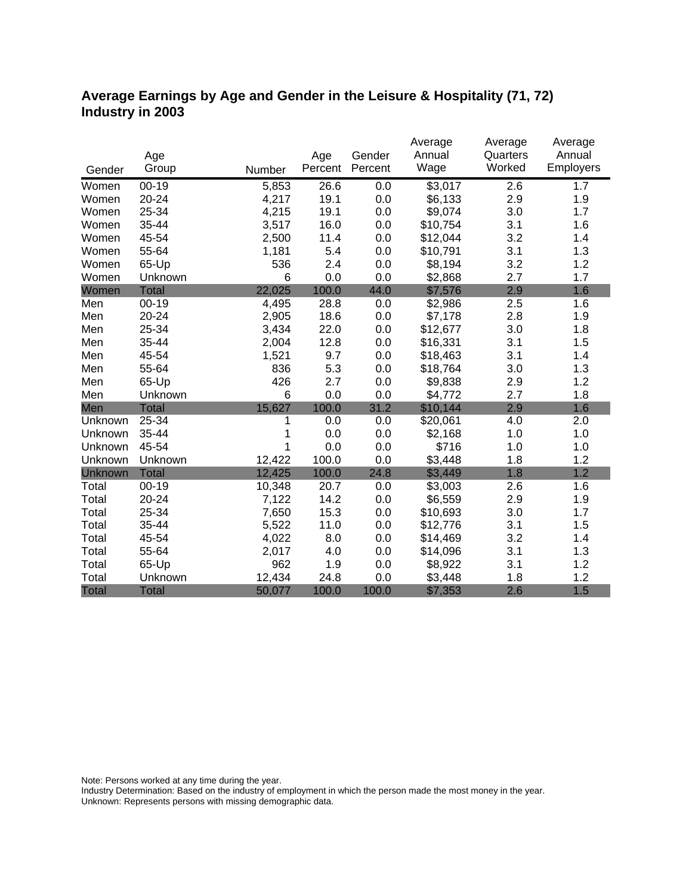# **Average Earnings by Age and Gender in the Leisure & Hospitality (71, 72) Industry in 2003**

|              |              |        |         |         | Average  | Average  | Average   |
|--------------|--------------|--------|---------|---------|----------|----------|-----------|
|              | Age          |        | Age     | Gender  | Annual   | Quarters | Annual    |
| Gender       | Group        | Number | Percent | Percent | Wage     | Worked   | Employers |
| Women        | $00 - 19$    | 5,853  | 26.6    | 0.0     | \$3,017  | 2.6      | 1.7       |
| Women        | 20-24        | 4,217  | 19.1    | 0.0     | \$6,133  | 2.9      | 1.9       |
| Women        | 25-34        | 4,215  | 19.1    | 0.0     | \$9,074  | 3.0      | 1.7       |
| Women        | 35-44        | 3,517  | 16.0    | 0.0     | \$10,754 | 3.1      | 1.6       |
| Women        | 45-54        | 2,500  | 11.4    | 0.0     | \$12,044 | 3.2      | 1.4       |
| Women        | 55-64        | 1,181  | 5.4     | 0.0     | \$10,791 | 3.1      | 1.3       |
| Women        | 65-Up        | 536    | 2.4     | 0.0     | \$8,194  | 3.2      | 1.2       |
| Women        | Unknown      | 6      | 0.0     | 0.0     | \$2,868  | 2.7      | 1.7       |
| Women        | <b>Total</b> | 22,025 | 100.0   | 44.0    | \$7,576  | 2.9      | 1.6       |
| Men          | $00 - 19$    | 4,495  | 28.8    | 0.0     | \$2,986  | 2.5      | 1.6       |
| Men          | 20-24        | 2,905  | 18.6    | 0.0     | \$7,178  | 2.8      | 1.9       |
| Men          | 25-34        | 3,434  | 22.0    | 0.0     | \$12,677 | 3.0      | 1.8       |
| Men          | 35-44        | 2,004  | 12.8    | 0.0     | \$16,331 | 3.1      | 1.5       |
| Men          | 45-54        | 1,521  | 9.7     | 0.0     | \$18,463 | 3.1      | 1.4       |
| Men          | 55-64        | 836    | 5.3     | 0.0     | \$18,764 | 3.0      | 1.3       |
| Men          | 65-Up        | 426    | 2.7     | 0.0     | \$9,838  | 2.9      | 1.2       |
| Men          | Unknown      | 6      | 0.0     | 0.0     | \$4,772  | 2.7      | 1.8       |
| Men          | <b>Total</b> | 15,627 | 100.0   | 31.2    | \$10,144 | 2.9      | 1.6       |
| Unknown      | 25-34        | 1      | 0.0     | 0.0     | \$20,061 | 4.0      | 2.0       |
| Unknown      | 35-44        | 1      | 0.0     | 0.0     | \$2,168  | 1.0      | 1.0       |
| Unknown      | 45-54        | 1      | 0.0     | 0.0     | \$716    | 1.0      | 1.0       |
| Unknown      | Unknown      | 12,422 | 100.0   | 0.0     | \$3,448  | 1.8      | 1.2       |
| Unknown      | <b>Total</b> | 12,425 | 100.0   | 24.8    | \$3,449  | 1.8      | 1.2       |
| Total        | $00 - 19$    | 10,348 | 20.7    | 0.0     | \$3,003  | 2.6      | 1.6       |
| Total        | 20-24        | 7,122  | 14.2    | 0.0     | \$6,559  | 2.9      | 1.9       |
| Total        | 25-34        | 7,650  | 15.3    | 0.0     | \$10,693 | 3.0      | 1.7       |
| Total        | 35-44        | 5,522  | 11.0    | 0.0     | \$12,776 | 3.1      | 1.5       |
| Total        | 45-54        | 4,022  | 8.0     | 0.0     | \$14,469 | 3.2      | 1.4       |
| Total        | 55-64        | 2,017  | 4.0     | 0.0     | \$14,096 | 3.1      | 1.3       |
| Total        | 65-Up        | 962    | 1.9     | 0.0     | \$8,922  | 3.1      | 1.2       |
| Total        | Unknown      | 12,434 | 24.8    | 0.0     | \$3,448  | 1.8      | 1.2       |
| <b>Total</b> | <b>Total</b> | 50,077 | 100.0   | 100.0   | \$7,353  | 2.6      | 1.5       |

Note: Persons worked at any time during the year.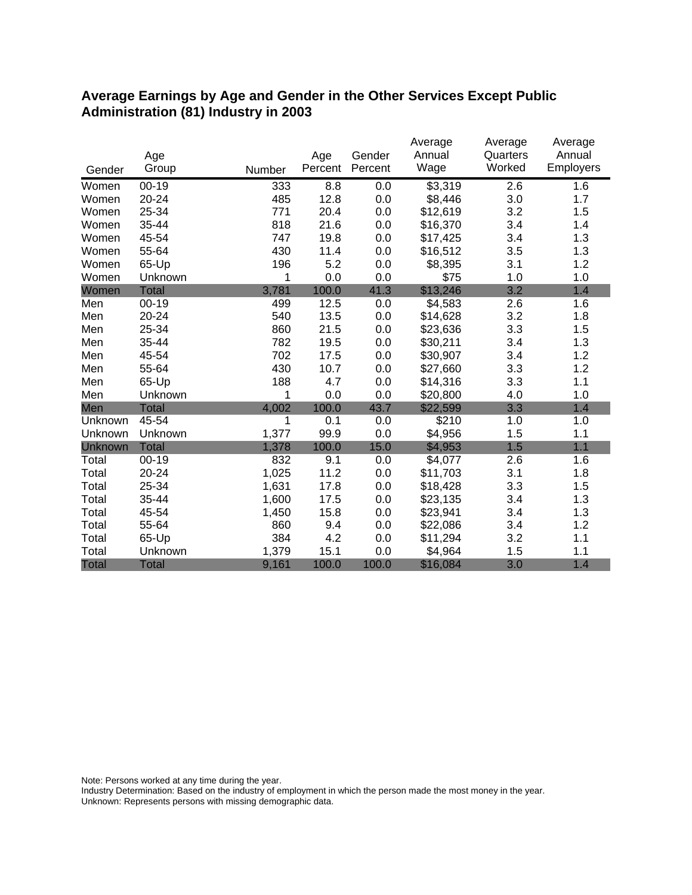### **Average Earnings by Age and Gender in the Other Services Except Public Administration (81) Industry in 2003**

|              |              |        |         |         | Average  | Average  | Average   |
|--------------|--------------|--------|---------|---------|----------|----------|-----------|
|              | Age          |        | Age     | Gender  | Annual   | Quarters | Annual    |
| Gender       | Group        | Number | Percent | Percent | Wage     | Worked   | Employers |
| Women        | $00 - 19$    | 333    | 8.8     | 0.0     | \$3,319  | 2.6      | 1.6       |
| Women        | 20-24        | 485    | 12.8    | 0.0     | \$8,446  | 3.0      | 1.7       |
| Women        | 25-34        | 771    | 20.4    | 0.0     | \$12,619 | 3.2      | 1.5       |
| Women        | 35-44        | 818    | 21.6    | 0.0     | \$16,370 | 3.4      | 1.4       |
| Women        | 45-54        | 747    | 19.8    | 0.0     | \$17,425 | 3.4      | 1.3       |
| Women        | 55-64        | 430    | 11.4    | 0.0     | \$16,512 | 3.5      | 1.3       |
| Women        | 65-Up        | 196    | 5.2     | 0.0     | \$8,395  | 3.1      | 1.2       |
| Women        | Unknown      | 1      | 0.0     | 0.0     | \$75     | 1.0      | 1.0       |
| Women        | <b>Total</b> | 3,781  | 100.0   | 41.3    | \$13,246 | 3.2      | 1.4       |
| Men          | $00 - 19$    | 499    | 12.5    | 0.0     | \$4,583  | 2.6      | 1.6       |
| Men          | 20-24        | 540    | 13.5    | 0.0     | \$14,628 | 3.2      | 1.8       |
| Men          | 25-34        | 860    | 21.5    | 0.0     | \$23,636 | 3.3      | 1.5       |
| Men          | 35-44        | 782    | 19.5    | 0.0     | \$30,211 | 3.4      | 1.3       |
| Men          | 45-54        | 702    | 17.5    | 0.0     | \$30,907 | 3.4      | 1.2       |
| Men          | 55-64        | 430    | 10.7    | 0.0     | \$27,660 | 3.3      | 1.2       |
| Men          | 65-Up        | 188    | 4.7     | 0.0     | \$14,316 | 3.3      | 1.1       |
| Men          | Unknown      | 1      | 0.0     | 0.0     | \$20,800 | 4.0      | 1.0       |
| Men          | <b>Total</b> | 4,002  | 100.0   | 43.7    | \$22,599 | 3.3      | 1.4       |
| Unknown      | 45-54        | 1      | 0.1     | 0.0     | \$210    | 1.0      | 1.0       |
| Unknown      | Unknown      | 1,377  | 99.9    | 0.0     | \$4,956  | 1.5      | 1.1       |
| Unknown      | <b>Total</b> | 1,378  | 100.0   | 15.0    | \$4,953  | 1.5      | 1.1       |
| Total        | $00 - 19$    | 832    | 9.1     | 0.0     | \$4,077  | 2.6      | 1.6       |
| Total        | 20-24        | 1,025  | 11.2    | 0.0     | \$11,703 | 3.1      | 1.8       |
| Total        | 25-34        | 1,631  | 17.8    | 0.0     | \$18,428 | 3.3      | 1.5       |
| Total        | 35-44        | 1,600  | 17.5    | 0.0     | \$23,135 | 3.4      | 1.3       |
| Total        | 45-54        | 1,450  | 15.8    | 0.0     | \$23,941 | 3.4      | 1.3       |
| Total        | 55-64        | 860    | 9.4     | 0.0     | \$22,086 | 3.4      | 1.2       |
| Total        | 65-Up        | 384    | 4.2     | 0.0     | \$11,294 | 3.2      | 1.1       |
| Total        | Unknown      | 1,379  | 15.1    | 0.0     | \$4,964  | 1.5      | 1.1       |
| <b>Total</b> | <b>Total</b> | 9,161  | 100.0   | 100.0   | \$16,084 | 3.0      | 1.4       |

Note: Persons worked at any time during the year.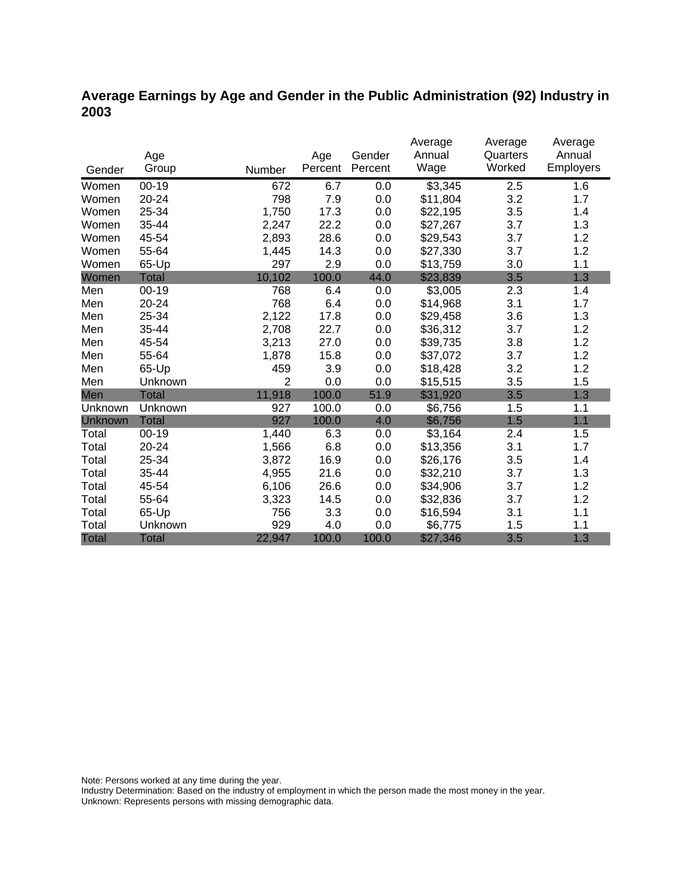# **Average Earnings by Age and Gender in the Public Administration (92) Industry in 2003**

|              |              |                |         |         | Average  | Average  | Average   |
|--------------|--------------|----------------|---------|---------|----------|----------|-----------|
|              | Age          |                | Age     | Gender  | Annual   | Quarters | Annual    |
| Gender       | Group        | Number         | Percent | Percent | Wage     | Worked   | Employers |
| Women        | $00 - 19$    | 672            | 6.7     | 0.0     | \$3,345  | 2.5      | 1.6       |
| Women        | 20-24        | 798            | 7.9     | 0.0     | \$11,804 | 3.2      | 1.7       |
| Women        | 25-34        | 1,750          | 17.3    | 0.0     | \$22,195 | 3.5      | 1.4       |
| Women        | 35-44        | 2,247          | 22.2    | 0.0     | \$27,267 | 3.7      | 1.3       |
| Women        | 45-54        | 2,893          | 28.6    | 0.0     | \$29,543 | 3.7      | 1.2       |
| Women        | 55-64        | 1,445          | 14.3    | 0.0     | \$27,330 | 3.7      | 1.2       |
| Women        | 65-Up        | 297            | 2.9     | 0.0     | \$13,759 | 3.0      | 1.1       |
| Women        | <b>Total</b> | 10,102         | 100.0   | 44.0    | \$23,839 | 3.5      | 1.3       |
| Men          | $00 - 19$    | 768            | 6.4     | 0.0     | \$3,005  | 2.3      | 1.4       |
| Men          | 20-24        | 768            | 6.4     | 0.0     | \$14,968 | 3.1      | 1.7       |
| Men          | 25-34        | 2,122          | 17.8    | 0.0     | \$29,458 | 3.6      | 1.3       |
| Men          | 35-44        | 2,708          | 22.7    | 0.0     | \$36,312 | 3.7      | 1.2       |
| Men          | 45-54        | 3,213          | 27.0    | 0.0     | \$39,735 | 3.8      | 1.2       |
| Men          | 55-64        | 1,878          | 15.8    | 0.0     | \$37,072 | 3.7      | 1.2       |
| Men          | 65-Up        | 459            | 3.9     | 0.0     | \$18,428 | 3.2      | 1.2       |
| Men          | Unknown      | $\overline{2}$ | 0.0     | 0.0     | \$15,515 | 3.5      | 1.5       |
| Men          | <b>Total</b> | 11,918         | 100.0   | 51.9    | \$31,920 | 3.5      | 1.3       |
| Unknown      | Unknown      | 927            | 100.0   | 0.0     | \$6,756  | 1.5      | 1.1       |
| Unknown      | <b>Total</b> | 927            | 100.0   | 4.0     | \$6,756  | 1.5      | 1.1       |
| Total        | $00 - 19$    | 1,440          | 6.3     | 0.0     | \$3,164  | 2.4      | 1.5       |
| Total        | 20-24        | 1,566          | 6.8     | 0.0     | \$13,356 | 3.1      | 1.7       |
| Total        | 25-34        | 3,872          | 16.9    | 0.0     | \$26,176 | 3.5      | 1.4       |
| Total        | 35-44        | 4,955          | 21.6    | 0.0     | \$32,210 | 3.7      | 1.3       |
| Total        | 45-54        | 6,106          | 26.6    | 0.0     | \$34,906 | 3.7      | 1.2       |
| Total        | 55-64        | 3,323          | 14.5    | 0.0     | \$32,836 | 3.7      | 1.2       |
| Total        | 65-Up        | 756            | 3.3     | 0.0     | \$16,594 | 3.1      | 1.1       |
| Total        | Unknown      | 929            | 4.0     | 0.0     | \$6,775  | 1.5      | 1.1       |
| <b>Total</b> | <b>Total</b> | 22,947         | 100.0   | 100.0   | \$27,346 | 3.5      | 1.3       |

Note: Persons worked at any time during the year.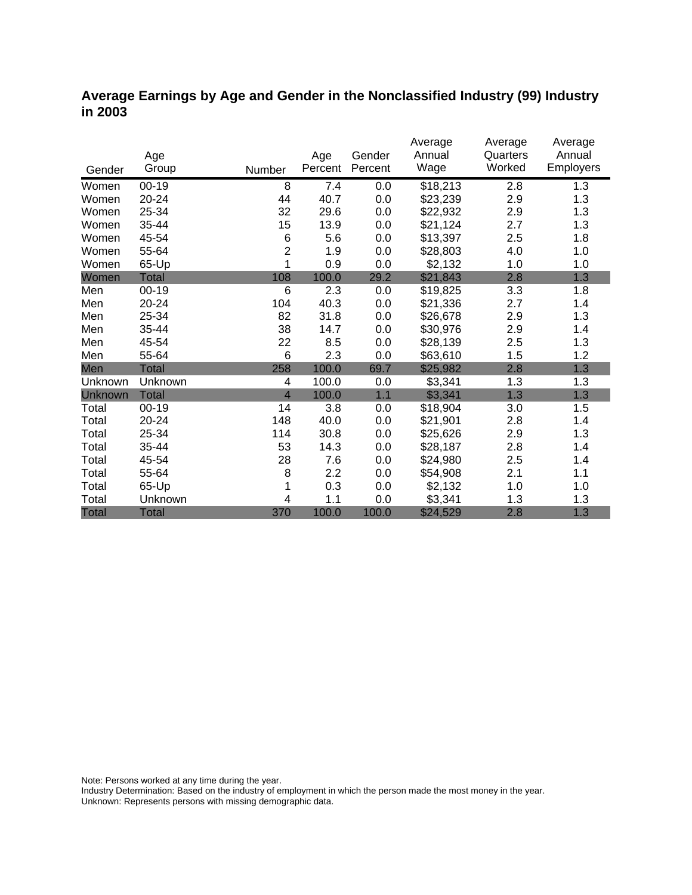### **Average Earnings by Age and Gender in the Nonclassified Industry (99) Industry in 2003**

|              |              |                |         |         | Average  | Average  | Average          |
|--------------|--------------|----------------|---------|---------|----------|----------|------------------|
|              | Age          |                | Age     | Gender  | Annual   | Quarters | Annual           |
| Gender       | Group        | Number         | Percent | Percent | Wage     | Worked   | <b>Employers</b> |
| Women        | $00 - 19$    | 8              | 7.4     | 0.0     | \$18,213 | 2.8      | 1.3              |
| Women        | 20-24        | 44             | 40.7    | 0.0     | \$23,239 | 2.9      | 1.3              |
| Women        | 25-34        | 32             | 29.6    | 0.0     | \$22,932 | 2.9      | 1.3              |
| Women        | 35-44        | 15             | 13.9    | 0.0     | \$21,124 | 2.7      | 1.3              |
| Women        | 45-54        | 6              | 5.6     | 0.0     | \$13,397 | 2.5      | 1.8              |
| Women        | 55-64        | $\overline{2}$ | 1.9     | 0.0     | \$28,803 | 4.0      | 1.0              |
| Women        | 65-Up        | 1              | 0.9     | 0.0     | \$2,132  | 1.0      | 1.0              |
| Women        | <b>Total</b> | 108            | 100.0   | 29.2    | \$21,843 | 2.8      | 1.3              |
| Men          | $00 - 19$    | 6              | 2.3     | 0.0     | \$19,825 | 3.3      | 1.8              |
| Men          | 20-24        | 104            | 40.3    | 0.0     | \$21,336 | 2.7      | 1.4              |
| Men          | 25-34        | 82             | 31.8    | 0.0     | \$26,678 | 2.9      | 1.3              |
| Men          | 35-44        | 38             | 14.7    | 0.0     | \$30,976 | 2.9      | 1.4              |
| Men          | 45-54        | 22             | 8.5     | 0.0     | \$28,139 | 2.5      | 1.3              |
| Men          | 55-64        | 6              | 2.3     | 0.0     | \$63,610 | 1.5      | 1.2              |
| Men          | Total        | 258            | 100.0   | 69.7    | \$25,982 | 2.8      | 1.3              |
| Unknown      | Unknown      | 4              | 100.0   | 0.0     | \$3,341  | 1.3      | 1.3              |
| Unknown      | <b>Total</b> | $\overline{4}$ | 100.0   | 1.1     | \$3,341  | 1.3      | 1.3              |
| Total        | $00 - 19$    | 14             | 3.8     | 0.0     | \$18,904 | 3.0      | 1.5              |
| Total        | 20-24        | 148            | 40.0    | 0.0     | \$21,901 | 2.8      | 1.4              |
| Total        | 25-34        | 114            | 30.8    | 0.0     | \$25,626 | 2.9      | 1.3              |
| Total        | 35-44        | 53             | 14.3    | 0.0     | \$28,187 | 2.8      | 1.4              |
| Total        | 45-54        | 28             | 7.6     | 0.0     | \$24,980 | 2.5      | 1.4              |
| Total        | 55-64        | 8              | 2.2     | 0.0     | \$54,908 | 2.1      | 1.1              |
| Total        | 65-Up        |                | 0.3     | 0.0     | \$2,132  | 1.0      | 1.0              |
| Total        | Unknown      | 4              | 1.1     | 0.0     | \$3,341  | 1.3      | 1.3              |
| <b>Total</b> | <b>Total</b> | 370            | 100.0   | 100.0   | \$24,529 | 2.8      | 1.3              |

Note: Persons worked at any time during the year.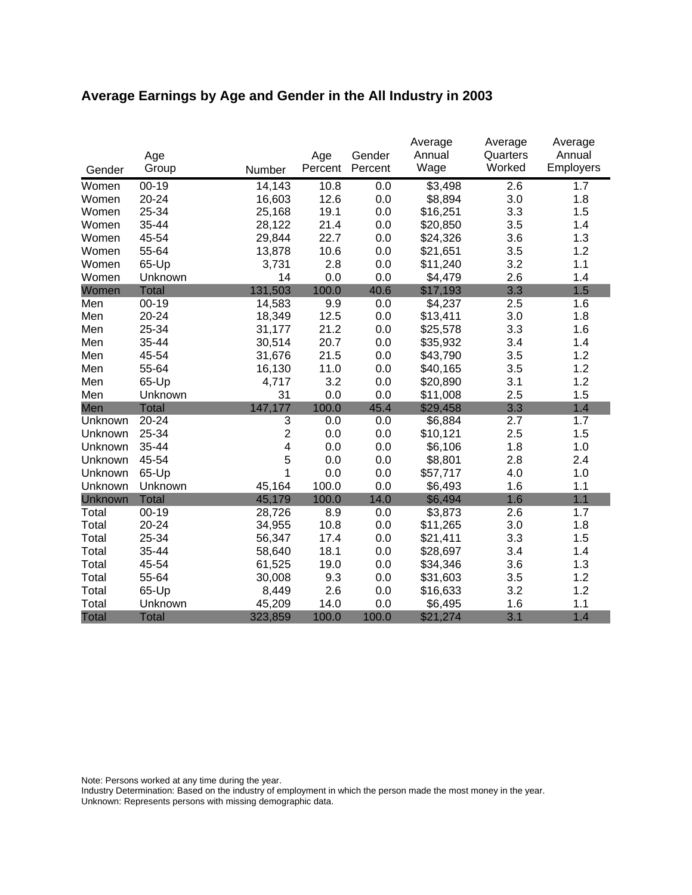# **Average Earnings by Age and Gender in the All Industry in 2003**

|              |              |                |         |         | Average  | Average  | Average   |
|--------------|--------------|----------------|---------|---------|----------|----------|-----------|
|              | Age          |                | Age     | Gender  | Annual   | Quarters | Annual    |
| Gender       | Group        | Number         | Percent | Percent | Wage     | Worked   | Employers |
| Women        | $00 - 19$    | 14,143         | 10.8    | 0.0     | \$3,498  | 2.6      | 1.7       |
| Women        | 20-24        | 16,603         | 12.6    | 0.0     | \$8,894  | 3.0      | 1.8       |
| Women        | 25-34        | 25,168         | 19.1    | 0.0     | \$16,251 | 3.3      | 1.5       |
| Women        | 35-44        | 28,122         | 21.4    | 0.0     | \$20,850 | 3.5      | 1.4       |
| Women        | 45-54        | 29,844         | 22.7    | 0.0     | \$24,326 | 3.6      | 1.3       |
| Women        | 55-64        | 13,878         | 10.6    | 0.0     | \$21,651 | 3.5      | 1.2       |
| Women        | 65-Up        | 3,731          | 2.8     | 0.0     | \$11,240 | 3.2      | 1.1       |
| Women        | Unknown      | 14             | 0.0     | 0.0     | \$4,479  | 2.6      | 1.4       |
| Women        | <b>Total</b> | 131,503        | 100.0   | 40.6    | \$17,193 | 3.3      | 1.5       |
| Men          | $00 - 19$    | 14,583         | 9.9     | 0.0     | \$4,237  | 2.5      | 1.6       |
| Men          | 20-24        | 18,349         | 12.5    | 0.0     | \$13,411 | 3.0      | 1.8       |
| Men          | 25-34        | 31,177         | 21.2    | 0.0     | \$25,578 | 3.3      | 1.6       |
| Men          | 35-44        | 30,514         | 20.7    | 0.0     | \$35,932 | 3.4      | 1.4       |
| Men          | 45-54        | 31,676         | 21.5    | 0.0     | \$43,790 | 3.5      | 1.2       |
| Men          | 55-64        | 16,130         | 11.0    | 0.0     | \$40,165 | 3.5      | 1.2       |
| Men          | 65-Up        | 4,717          | 3.2     | 0.0     | \$20,890 | 3.1      | 1.2       |
| Men          | Unknown      | 31             | 0.0     | 0.0     | \$11,008 | 2.5      | 1.5       |
| Men          | <b>Total</b> | 147,177        | 100.0   | 45.4    | \$29,458 | 3.3      | 1.4       |
| Unknown      | 20-24        | 3              | 0.0     | 0.0     | \$6,884  | 2.7      | 1.7       |
| Unknown      | 25-34        | $\overline{c}$ | 0.0     | 0.0     | \$10,121 | 2.5      | 1.5       |
| Unknown      | 35-44        | 4              | 0.0     | 0.0     | \$6,106  | 1.8      | 1.0       |
| Unknown      | 45-54        | 5              | 0.0     | 0.0     | \$8,801  | 2.8      | 2.4       |
| Unknown      | 65-Up        | 1              | 0.0     | 0.0     | \$57,717 | 4.0      | 1.0       |
| Unknown      | Unknown      | 45,164         | 100.0   | 0.0     | \$6,493  | 1.6      | 1.1       |
| Unknown      | <b>Total</b> | 45,179         | 100.0   | 14.0    | \$6,494  | 1.6      | 1.1       |
| Total        | $00 - 19$    | 28,726         | 8.9     | 0.0     | \$3,873  | 2.6      | 1.7       |
| Total        | 20-24        | 34,955         | 10.8    | 0.0     | \$11,265 | 3.0      | 1.8       |
| Total        | 25-34        | 56,347         | 17.4    | 0.0     | \$21,411 | 3.3      | 1.5       |
| Total        | 35-44        | 58,640         | 18.1    | 0.0     | \$28,697 | 3.4      | 1.4       |
| Total        | 45-54        | 61,525         | 19.0    | 0.0     | \$34,346 | 3.6      | 1.3       |
| Total        | 55-64        | 30,008         | 9.3     | 0.0     | \$31,603 | 3.5      | 1.2       |
| Total        | 65-Up        | 8,449          | 2.6     | 0.0     | \$16,633 | 3.2      | 1.2       |
| Total        | Unknown      | 45,209         | 14.0    | 0.0     | \$6,495  | 1.6      | 1.1       |
| <b>Total</b> | <b>Total</b> | 323,859        | 100.0   | 100.0   | \$21,274 | 3.1      | 1.4       |

Note: Persons worked at any time during the year.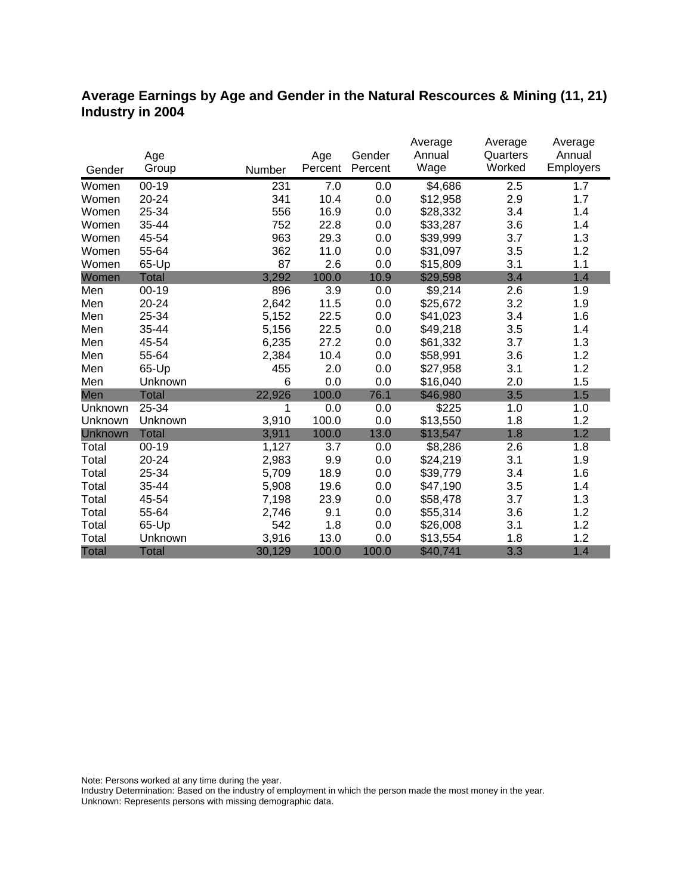#### **Average Earnings by Age and Gender in the Natural Rescources & Mining (11, 21) Industry in 2004**

|              |              |        |         |         | Average  | Average  | Average   |
|--------------|--------------|--------|---------|---------|----------|----------|-----------|
|              | Age          |        | Age     | Gender  | Annual   | Quarters | Annual    |
| Gender       | Group        | Number | Percent | Percent | Wage     | Worked   | Employers |
| Women        | $00 - 19$    | 231    | 7.0     | 0.0     | \$4,686  | 2.5      | 1.7       |
| Women        | 20-24        | 341    | 10.4    | 0.0     | \$12,958 | 2.9      | 1.7       |
| Women        | 25-34        | 556    | 16.9    | 0.0     | \$28,332 | 3.4      | 1.4       |
| Women        | 35-44        | 752    | 22.8    | 0.0     | \$33,287 | 3.6      | 1.4       |
| Women        | 45-54        | 963    | 29.3    | 0.0     | \$39,999 | 3.7      | 1.3       |
| Women        | 55-64        | 362    | 11.0    | 0.0     | \$31,097 | 3.5      | 1.2       |
| Women        | 65-Up        | 87     | 2.6     | 0.0     | \$15,809 | 3.1      | 1.1       |
| Women        | <b>Total</b> | 3,292  | 100.0   | 10.9    | \$29,598 | 3.4      | 1.4       |
| Men          | $00 - 19$    | 896    | 3.9     | 0.0     | \$9,214  | 2.6      | 1.9       |
| Men          | 20-24        | 2,642  | 11.5    | 0.0     | \$25,672 | 3.2      | 1.9       |
| Men          | 25-34        | 5,152  | 22.5    | 0.0     | \$41,023 | 3.4      | 1.6       |
| Men          | 35-44        | 5,156  | 22.5    | 0.0     | \$49,218 | 3.5      | 1.4       |
| Men          | 45-54        | 6,235  | 27.2    | 0.0     | \$61,332 | 3.7      | 1.3       |
| Men          | 55-64        | 2,384  | 10.4    | 0.0     | \$58,991 | 3.6      | 1.2       |
| Men          | 65-Up        | 455    | 2.0     | 0.0     | \$27,958 | 3.1      | 1.2       |
| Men          | Unknown      | 6      | 0.0     | 0.0     | \$16,040 | 2.0      | 1.5       |
| Men          | <b>Total</b> | 22,926 | 100.0   | 76.1    | \$46,980 | 3.5      | 1.5       |
| Unknown      | 25-34        | 1      | 0.0     | 0.0     | \$225    | 1.0      | 1.0       |
| Unknown      | Unknown      | 3,910  | 100.0   | 0.0     | \$13,550 | 1.8      | 1.2       |
| Unknown      | <b>Total</b> | 3,911  | 100.0   | 13.0    | \$13,547 | 1.8      | 1.2       |
| Total        | $00 - 19$    | 1,127  | 3.7     | 0.0     | \$8,286  | 2.6      | 1.8       |
| Total        | 20-24        | 2,983  | 9.9     | 0.0     | \$24,219 | 3.1      | 1.9       |
| Total        | 25-34        | 5,709  | 18.9    | 0.0     | \$39,779 | 3.4      | 1.6       |
| Total        | 35-44        | 5,908  | 19.6    | 0.0     | \$47,190 | 3.5      | 1.4       |
| Total        | 45-54        | 7,198  | 23.9    | 0.0     | \$58,478 | 3.7      | 1.3       |
| Total        | 55-64        | 2,746  | 9.1     | 0.0     | \$55,314 | 3.6      | 1.2       |
| Total        | 65-Up        | 542    | 1.8     | 0.0     | \$26,008 | 3.1      | 1.2       |
| Total        | Unknown      | 3,916  | 13.0    | 0.0     | \$13,554 | 1.8      | 1.2       |
| <b>Total</b> | <b>Total</b> | 30,129 | 100.0   | 100.0   | \$40,741 | 3.3      | 1.4       |

Note: Persons worked at any time during the year.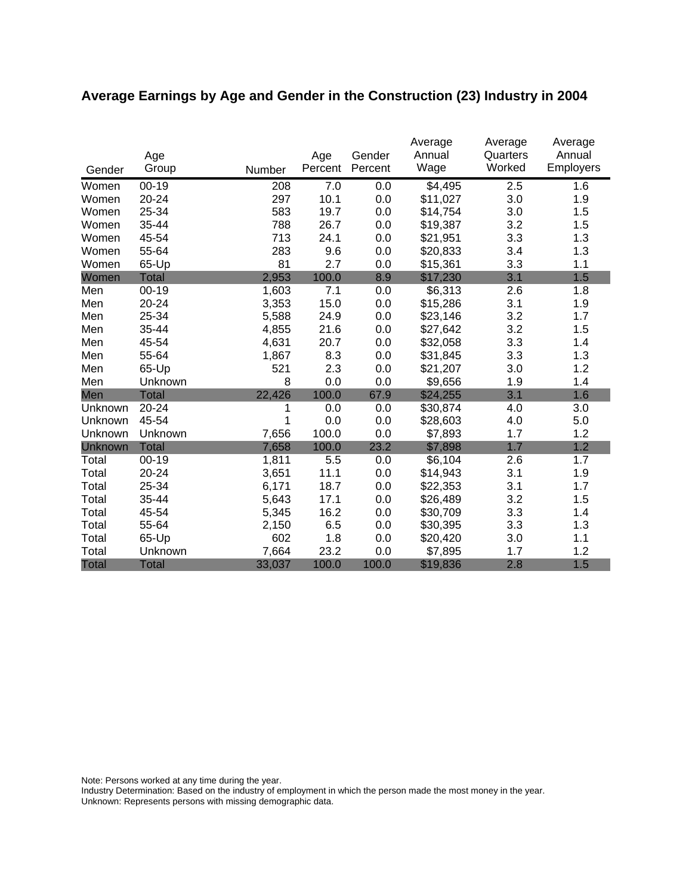# **Average Earnings by Age and Gender in the Construction (23) Industry in 2004**

|                | Age          |        | Age     | Gender  | Average<br>Annual | Average<br>Quarters | Average<br>Annual |
|----------------|--------------|--------|---------|---------|-------------------|---------------------|-------------------|
| Gender         | Group        | Number | Percent | Percent | Wage              | Worked              | Employers         |
| Women          | $00 - 19$    | 208    | 7.0     | 0.0     | \$4,495           | 2.5                 | 1.6               |
| Women          | 20-24        | 297    | 10.1    | 0.0     | \$11,027          | 3.0                 | 1.9               |
| Women          | 25-34        | 583    | 19.7    | 0.0     | \$14,754          | 3.0                 | 1.5               |
| Women          | 35-44        | 788    | 26.7    | 0.0     | \$19,387          | 3.2                 | 1.5               |
| Women          | 45-54        | 713    | 24.1    | 0.0     | \$21,951          | 3.3                 | 1.3               |
| Women          | 55-64        | 283    | 9.6     | 0.0     | \$20,833          | 3.4                 | 1.3               |
| Women          | 65-Up        | 81     | 2.7     | 0.0     | \$15,361          | 3.3                 | 1.1               |
| Women          | <b>Total</b> | 2,953  | 100.0   | 8.9     | \$17,230          | 3.1                 | 1.5               |
| Men            | $00 - 19$    | 1,603  | 7.1     | 0.0     | \$6,313           | 2.6                 | 1.8               |
| Men            | 20-24        | 3,353  | 15.0    | 0.0     | \$15,286          | 3.1                 | 1.9               |
| Men            | 25-34        | 5,588  | 24.9    | 0.0     | \$23,146          | 3.2                 | 1.7               |
| Men            | 35-44        | 4,855  | 21.6    | 0.0     | \$27,642          | 3.2                 | 1.5               |
| Men            | 45-54        | 4,631  | 20.7    | 0.0     | \$32,058          | 3.3                 | 1.4               |
| Men            | 55-64        | 1,867  | 8.3     | 0.0     | \$31,845          | 3.3                 | 1.3               |
| Men            | 65-Up        | 521    | 2.3     | 0.0     | \$21,207          | 3.0                 | 1.2               |
| Men            | Unknown      | 8      | 0.0     | 0.0     | \$9,656           | 1.9                 | 1.4               |
| Men            | <b>Total</b> | 22,426 | 100.0   | 67.9    | \$24,255          | 3.1                 | 1.6               |
| Unknown        | 20-24        | 1      | 0.0     | 0.0     | \$30,874          | 4.0                 | 3.0               |
| Unknown        | 45-54        | 1      | 0.0     | 0.0     | \$28,603          | 4.0                 | 5.0               |
| Unknown        | Unknown      | 7,656  | 100.0   | 0.0     | \$7,893           | 1.7                 | 1.2               |
| <b>Unknown</b> | <b>Total</b> | 7,658  | 100.0   | 23.2    | \$7,898           | 1.7                 | 1.2               |
| Total          | $00 - 19$    | 1,811  | 5.5     | 0.0     | \$6,104           | 2.6                 | 1.7               |
| Total          | 20-24        | 3,651  | 11.1    | 0.0     | \$14,943          | 3.1                 | 1.9               |
| Total          | 25-34        | 6,171  | 18.7    | 0.0     | \$22,353          | 3.1                 | 1.7               |
| Total          | 35-44        | 5,643  | 17.1    | 0.0     | \$26,489          | 3.2                 | 1.5               |
| Total          | 45-54        | 5,345  | 16.2    | 0.0     | \$30,709          | 3.3                 | 1.4               |
| Total          | 55-64        | 2,150  | 6.5     | 0.0     | \$30,395          | 3.3                 | 1.3               |
| Total          | 65-Up        | 602    | 1.8     | 0.0     | \$20,420          | 3.0                 | 1.1               |
| Total          | Unknown      | 7,664  | 23.2    | 0.0     | \$7,895           | 1.7                 | 1.2               |
| <b>Total</b>   | <b>Total</b> | 33,037 | 100.0   | 100.0   | \$19,836          | 2.8                 | 1.5               |

Note: Persons worked at any time during the year.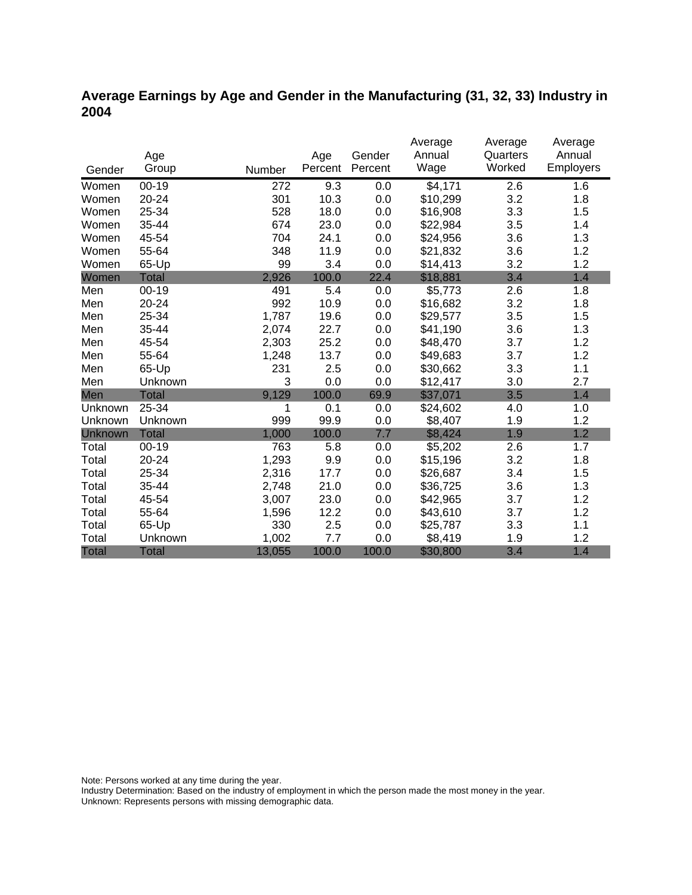### **Average Earnings by Age and Gender in the Manufacturing (31, 32, 33) Industry in 2004**

|              |              |        |         |         | Average  | Average  | Average   |
|--------------|--------------|--------|---------|---------|----------|----------|-----------|
|              | Age          |        | Age     | Gender  | Annual   | Quarters | Annual    |
| Gender       | Group        | Number | Percent | Percent | Wage     | Worked   | Employers |
| Women        | $00 - 19$    | 272    | 9.3     | 0.0     | \$4,171  | 2.6      | 1.6       |
| Women        | 20-24        | 301    | 10.3    | 0.0     | \$10,299 | 3.2      | 1.8       |
| Women        | 25-34        | 528    | 18.0    | 0.0     | \$16,908 | 3.3      | 1.5       |
| Women        | 35-44        | 674    | 23.0    | 0.0     | \$22,984 | 3.5      | 1.4       |
| Women        | 45-54        | 704    | 24.1    | 0.0     | \$24,956 | 3.6      | 1.3       |
| Women        | 55-64        | 348    | 11.9    | 0.0     | \$21,832 | 3.6      | 1.2       |
| Women        | 65-Up        | 99     | 3.4     | 0.0     | \$14,413 | 3.2      | 1.2       |
| Women        | <b>Total</b> | 2,926  | 100.0   | 22.4    | \$18,881 | 3.4      | 1.4       |
| Men          | $00 - 19$    | 491    | 5.4     | 0.0     | \$5,773  | 2.6      | 1.8       |
| Men          | 20-24        | 992    | 10.9    | 0.0     | \$16,682 | 3.2      | 1.8       |
| Men          | 25-34        | 1,787  | 19.6    | 0.0     | \$29,577 | 3.5      | 1.5       |
| Men          | 35-44        | 2,074  | 22.7    | 0.0     | \$41,190 | 3.6      | 1.3       |
| Men          | 45-54        | 2,303  | 25.2    | 0.0     | \$48,470 | 3.7      | 1.2       |
| Men          | 55-64        | 1,248  | 13.7    | 0.0     | \$49,683 | 3.7      | 1.2       |
| Men          | 65-Up        | 231    | 2.5     | 0.0     | \$30,662 | 3.3      | 1.1       |
| Men          | Unknown      | 3      | 0.0     | 0.0     | \$12,417 | 3.0      | 2.7       |
| Men          | <b>Total</b> | 9,129  | 100.0   | 69.9    | \$37,071 | 3.5      | 1.4       |
| Unknown      | 25-34        | 1      | 0.1     | 0.0     | \$24,602 | 4.0      | 1.0       |
| Unknown      | Unknown      | 999    | 99.9    | 0.0     | \$8,407  | 1.9      | 1.2       |
| Unknown      | Total        | 1,000  | 100.0   | 7.7     | \$8,424  | 1.9      | 1.2       |
| Total        | $00 - 19$    | 763    | 5.8     | 0.0     | \$5,202  | 2.6      | 1.7       |
| Total        | 20-24        | 1,293  | 9.9     | 0.0     | \$15,196 | 3.2      | 1.8       |
| Total        | 25-34        | 2,316  | 17.7    | 0.0     | \$26,687 | 3.4      | 1.5       |
| Total        | 35-44        | 2,748  | 21.0    | 0.0     | \$36,725 | 3.6      | 1.3       |
| Total        | 45-54        | 3,007  | 23.0    | 0.0     | \$42,965 | 3.7      | 1.2       |
| Total        | 55-64        | 1,596  | 12.2    | 0.0     | \$43,610 | 3.7      | 1.2       |
| Total        | 65-Up        | 330    | 2.5     | 0.0     | \$25,787 | 3.3      | 1.1       |
| Total        | Unknown      | 1,002  | 7.7     | 0.0     | \$8,419  | 1.9      | 1.2       |
| <b>Total</b> | <b>Total</b> | 13,055 | 100.0   | 100.0   | \$30,800 | 3.4      | 1.4       |

Note: Persons worked at any time during the year.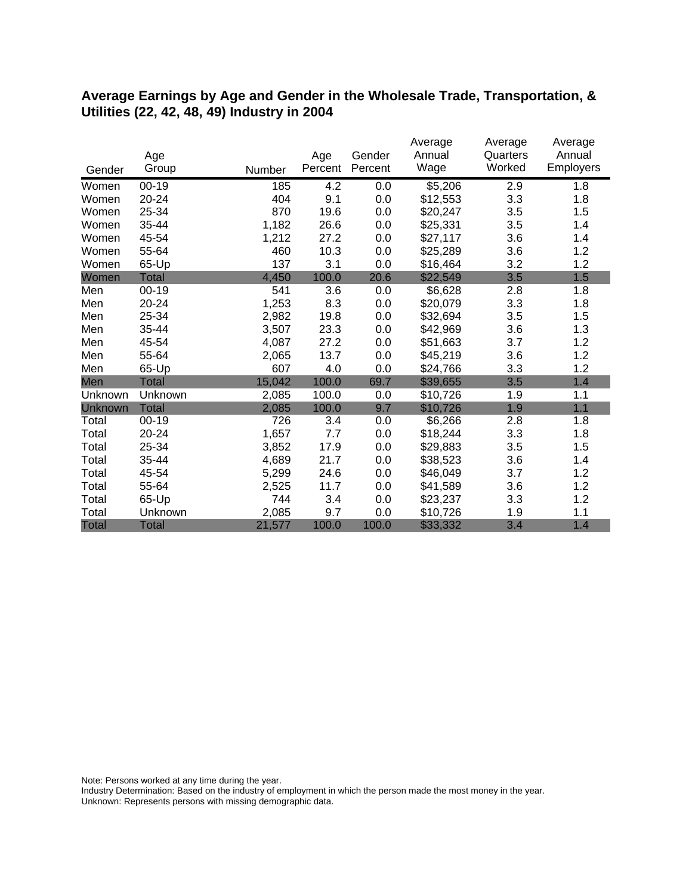#### **Average Earnings by Age and Gender in the Wholesale Trade, Transportation, & Utilities (22, 42, 48, 49) Industry in 2004**

|              |              |        |         |         | Average  | Average  | Average          |
|--------------|--------------|--------|---------|---------|----------|----------|------------------|
|              | Age          |        | Age     | Gender  | Annual   | Quarters | Annual           |
| Gender       | Group        | Number | Percent | Percent | Wage     | Worked   | <b>Employers</b> |
| Women        | $00 - 19$    | 185    | 4.2     | 0.0     | \$5,206  | 2.9      | 1.8              |
| Women        | 20-24        | 404    | 9.1     | 0.0     | \$12,553 | 3.3      | 1.8              |
| Women        | 25-34        | 870    | 19.6    | 0.0     | \$20,247 | 3.5      | 1.5              |
| Women        | 35-44        | 1,182  | 26.6    | 0.0     | \$25,331 | 3.5      | 1.4              |
| Women        | 45-54        | 1,212  | 27.2    | 0.0     | \$27,117 | 3.6      | 1.4              |
| Women        | 55-64        | 460    | 10.3    | 0.0     | \$25,289 | 3.6      | 1.2              |
| Women        | 65-Up        | 137    | 3.1     | 0.0     | \$16,464 | 3.2      | 1.2              |
| Women        | Total        | 4,450  | 100.0   | 20.6    | \$22,549 | 3.5      | 1.5              |
| Men          | $00 - 19$    | 541    | 3.6     | 0.0     | \$6,628  | 2.8      | 1.8              |
| Men          | 20-24        | 1,253  | 8.3     | 0.0     | \$20,079 | 3.3      | 1.8              |
| Men          | 25-34        | 2,982  | 19.8    | 0.0     | \$32,694 | 3.5      | 1.5              |
| Men          | 35-44        | 3,507  | 23.3    | 0.0     | \$42,969 | 3.6      | 1.3              |
| Men          | 45-54        | 4,087  | 27.2    | 0.0     | \$51,663 | 3.7      | 1.2              |
| Men          | 55-64        | 2,065  | 13.7    | 0.0     | \$45,219 | 3.6      | 1.2              |
| Men          | 65-Up        | 607    | 4.0     | 0.0     | \$24,766 | 3.3      | 1.2              |
| Men          | <b>Total</b> | 15,042 | 100.0   | 69.7    | \$39,655 | 3.5      | 1.4              |
| Unknown      | Unknown      | 2,085  | 100.0   | 0.0     | \$10,726 | 1.9      | 1.1              |
| Unknown      | <b>Total</b> | 2,085  | 100.0   | 9.7     | \$10,726 | 1.9      | 1.1              |
| Total        | $00 - 19$    | 726    | 3.4     | 0.0     | \$6,266  | 2.8      | 1.8              |
| Total        | 20-24        | 1,657  | 7.7     | 0.0     | \$18,244 | 3.3      | 1.8              |
| Total        | 25-34        | 3,852  | 17.9    | 0.0     | \$29,883 | 3.5      | 1.5              |
| Total        | 35-44        | 4,689  | 21.7    | 0.0     | \$38,523 | 3.6      | 1.4              |
| Total        | 45-54        | 5,299  | 24.6    | 0.0     | \$46,049 | 3.7      | 1.2              |
| Total        | 55-64        | 2,525  | 11.7    | 0.0     | \$41,589 | 3.6      | 1.2              |
| Total        | 65-Up        | 744    | 3.4     | 0.0     | \$23,237 | 3.3      | 1.2              |
| Total        | Unknown      | 2,085  | 9.7     | 0.0     | \$10,726 | 1.9      | 1.1              |
| <b>Total</b> | <b>Total</b> | 21,577 | 100.0   | 100.0   | \$33,332 | 3.4      | 1.4              |

Note: Persons worked at any time during the year.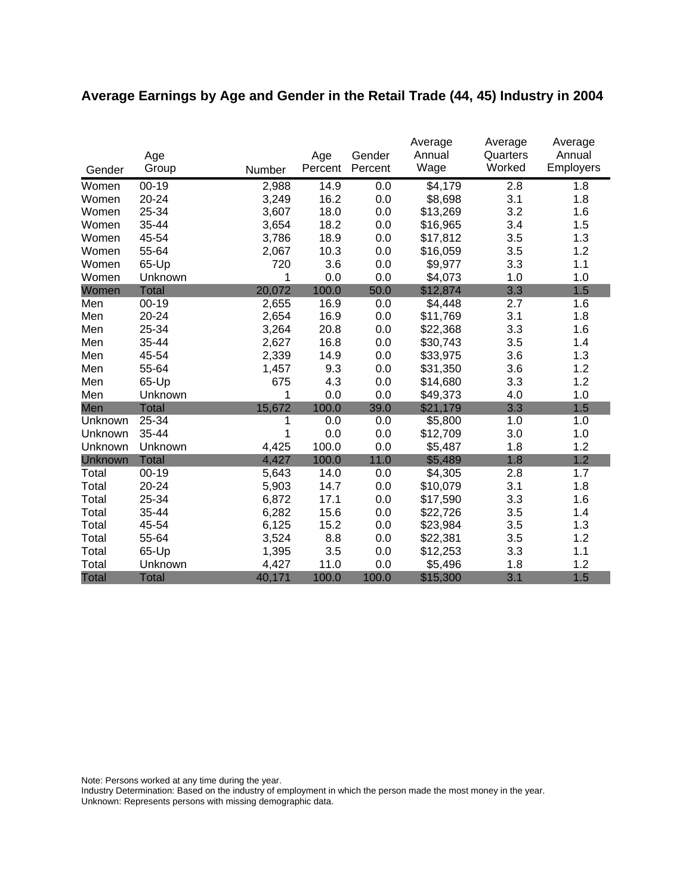# **Average Earnings by Age and Gender in the Retail Trade (44, 45) Industry in 2004**

|              |              |        |         |         | Average  | Average  | Average   |
|--------------|--------------|--------|---------|---------|----------|----------|-----------|
|              | Age          |        | Age     | Gender  | Annual   | Quarters | Annual    |
| Gender       | Group        | Number | Percent | Percent | Wage     | Worked   | Employers |
| Women        | $00 - 19$    | 2,988  | 14.9    | 0.0     | \$4,179  | 2.8      | 1.8       |
| Women        | 20-24        | 3,249  | 16.2    | 0.0     | \$8,698  | 3.1      | 1.8       |
| Women        | 25-34        | 3,607  | 18.0    | 0.0     | \$13,269 | 3.2      | 1.6       |
| Women        | 35-44        | 3,654  | 18.2    | 0.0     | \$16,965 | 3.4      | 1.5       |
| Women        | 45-54        | 3,786  | 18.9    | 0.0     | \$17,812 | 3.5      | 1.3       |
| Women        | 55-64        | 2,067  | 10.3    | 0.0     | \$16,059 | 3.5      | 1.2       |
| Women        | 65-Up        | 720    | 3.6     | 0.0     | \$9,977  | 3.3      | 1.1       |
| Women        | Unknown      | 1      | 0.0     | 0.0     | \$4,073  | 1.0      | 1.0       |
| Women        | <b>Total</b> | 20,072 | 100.0   | 50.0    | \$12,874 | 3.3      | 1.5       |
| Men          | $00 - 19$    | 2,655  | 16.9    | 0.0     | \$4,448  | 2.7      | 1.6       |
| Men          | 20-24        | 2,654  | 16.9    | 0.0     | \$11,769 | 3.1      | 1.8       |
| Men          | 25-34        | 3,264  | 20.8    | 0.0     | \$22,368 | 3.3      | 1.6       |
| Men          | 35-44        | 2,627  | 16.8    | 0.0     | \$30,743 | 3.5      | 1.4       |
| Men          | 45-54        | 2,339  | 14.9    | 0.0     | \$33,975 | 3.6      | 1.3       |
| Men          | 55-64        | 1,457  | 9.3     | 0.0     | \$31,350 | 3.6      | 1.2       |
| Men          | 65-Up        | 675    | 4.3     | 0.0     | \$14,680 | 3.3      | 1.2       |
| Men          | Unknown      | 1      | 0.0     | 0.0     | \$49,373 | 4.0      | 1.0       |
| Men          | <b>Total</b> | 15,672 | 100.0   | 39.0    | \$21,179 | 3.3      | 1.5       |
| Unknown      | 25-34        | 1      | 0.0     | 0.0     | \$5,800  | 1.0      | 1.0       |
| Unknown      | 35-44        | 1      | 0.0     | 0.0     | \$12,709 | 3.0      | 1.0       |
| Unknown      | Unknown      | 4,425  | 100.0   | 0.0     | \$5,487  | 1.8      | 1.2       |
| Unknown      | <b>Total</b> | 4,427  | 100.0   | 11.0    | \$5,489  | 1.8      | 1.2       |
| Total        | $00 - 19$    | 5,643  | 14.0    | 0.0     | \$4,305  | 2.8      | 1.7       |
| Total        | 20-24        | 5,903  | 14.7    | 0.0     | \$10,079 | 3.1      | 1.8       |
| Total        | 25-34        | 6,872  | 17.1    | 0.0     | \$17,590 | 3.3      | 1.6       |
| Total        | 35-44        | 6,282  | 15.6    | 0.0     | \$22,726 | 3.5      | 1.4       |
| Total        | 45-54        | 6,125  | 15.2    | 0.0     | \$23,984 | 3.5      | 1.3       |
| Total        | 55-64        | 3,524  | 8.8     | 0.0     | \$22,381 | 3.5      | 1.2       |
| Total        | 65-Up        | 1,395  | 3.5     | 0.0     | \$12,253 | 3.3      | 1.1       |
| Total        | Unknown      | 4,427  | 11.0    | 0.0     | \$5,496  | 1.8      | 1.2       |
| <b>Total</b> | <b>Total</b> | 40,171 | 100.0   | 100.0   | \$15,300 | 3.1      | 1.5       |

Note: Persons worked at any time during the year.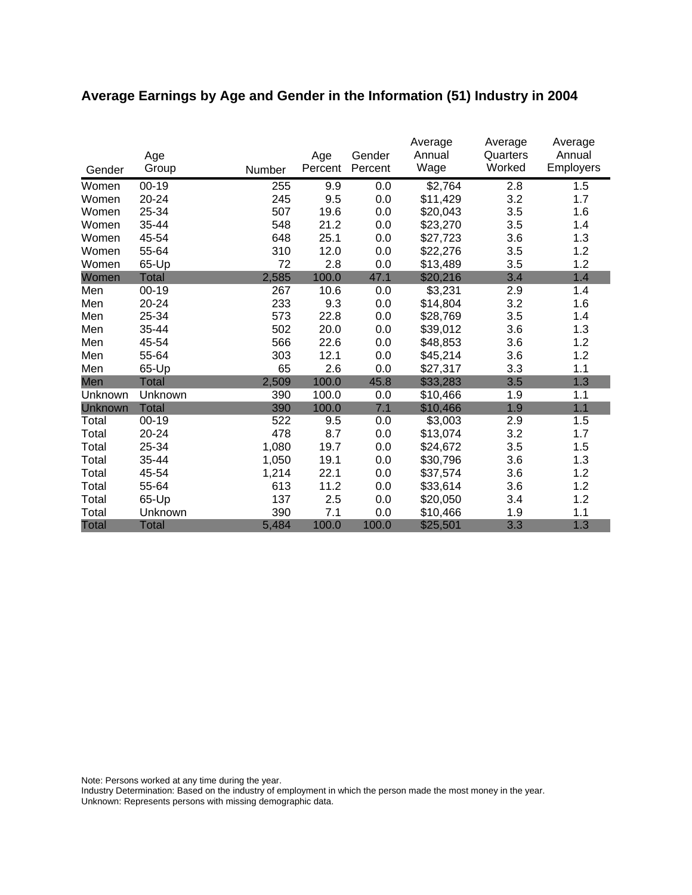# **Average Earnings by Age and Gender in the Information (51) Industry in 2004**

| Gender       | Age<br>Group | Number | Age<br>Percent | Gender<br>Percent | Average<br>Annual<br>Wage | Average<br>Quarters<br>Worked | Average<br>Annual<br><b>Employers</b> |
|--------------|--------------|--------|----------------|-------------------|---------------------------|-------------------------------|---------------------------------------|
| Women        | $00 - 19$    | 255    | 9.9            | 0.0               | \$2,764                   | 2.8                           | 1.5                                   |
| Women        | 20-24        | 245    | 9.5            | 0.0               | \$11,429                  | 3.2                           | 1.7                                   |
| Women        | 25-34        | 507    | 19.6           | 0.0               | \$20,043                  | 3.5                           | 1.6                                   |
| Women        | 35-44        | 548    | 21.2           | 0.0               | \$23,270                  | 3.5                           | 1.4                                   |
| Women        | 45-54        | 648    | 25.1           | 0.0               | \$27,723                  | 3.6                           | 1.3                                   |
| Women        | 55-64        | 310    | 12.0           | 0.0               | \$22,276                  | 3.5                           | 1.2                                   |
| Women        | 65-Up        | 72     | 2.8            | 0.0               | \$13,489                  | 3.5                           | 1.2                                   |
| Women        | <b>Total</b> | 2,585  | 100.0          | 47.1              | \$20,216                  | 3.4                           | 1.4                                   |
| Men          | $00 - 19$    | 267    | 10.6           | 0.0               | \$3,231                   | 2.9                           | 1.4                                   |
| Men          | 20-24        | 233    | 9.3            | 0.0               | \$14,804                  | 3.2                           | 1.6                                   |
| Men          | 25-34        | 573    | 22.8           | 0.0               | \$28,769                  | 3.5                           | 1.4                                   |
| Men          | 35-44        | 502    | 20.0           | 0.0               | \$39,012                  | 3.6                           | 1.3                                   |
| Men          | 45-54        | 566    | 22.6           | 0.0               | \$48,853                  | 3.6                           | 1.2                                   |
| Men          | 55-64        | 303    | 12.1           | 0.0               | \$45,214                  | 3.6                           | 1.2                                   |
| Men          | 65-Up        | 65     | 2.6            | 0.0               | \$27,317                  | 3.3                           | 1.1                                   |
| Men          | <b>Total</b> | 2,509  | 100.0          | 45.8              | \$33,283                  | 3.5                           | 1.3                                   |
| Unknown      | Unknown      | 390    | 100.0          | 0.0               | \$10,466                  | 1.9                           | 1.1                                   |
| Unknown      | <b>Total</b> | 390    | 100.0          | 7.1               | \$10,466                  | 1.9                           | 1.1                                   |
| Total        | $00 - 19$    | 522    | 9.5            | 0.0               | \$3,003                   | 2.9                           | 1.5                                   |
| Total        | 20-24        | 478    | 8.7            | 0.0               | \$13,074                  | 3.2                           | 1.7                                   |
| Total        | 25-34        | 1,080  | 19.7           | 0.0               | \$24,672                  | 3.5                           | 1.5                                   |
| Total        | 35-44        | 1,050  | 19.1           | 0.0               | \$30,796                  | 3.6                           | 1.3                                   |
| Total        | 45-54        | 1,214  | 22.1           | 0.0               | \$37,574                  | 3.6                           | 1.2                                   |
| Total        | 55-64        | 613    | 11.2           | 0.0               | \$33,614                  | 3.6                           | 1.2                                   |
| Total        | 65-Up        | 137    | 2.5            | 0.0               | \$20,050                  | 3.4                           | 1.2                                   |
| Total        | Unknown      | 390    | 7.1            | 0.0               | \$10,466                  | 1.9                           | 1.1                                   |
| <b>Total</b> | <b>Total</b> | 5,484  | 100.0          | 100.0             | \$25,501                  | 3.3                           | 1.3                                   |

Note: Persons worked at any time during the year.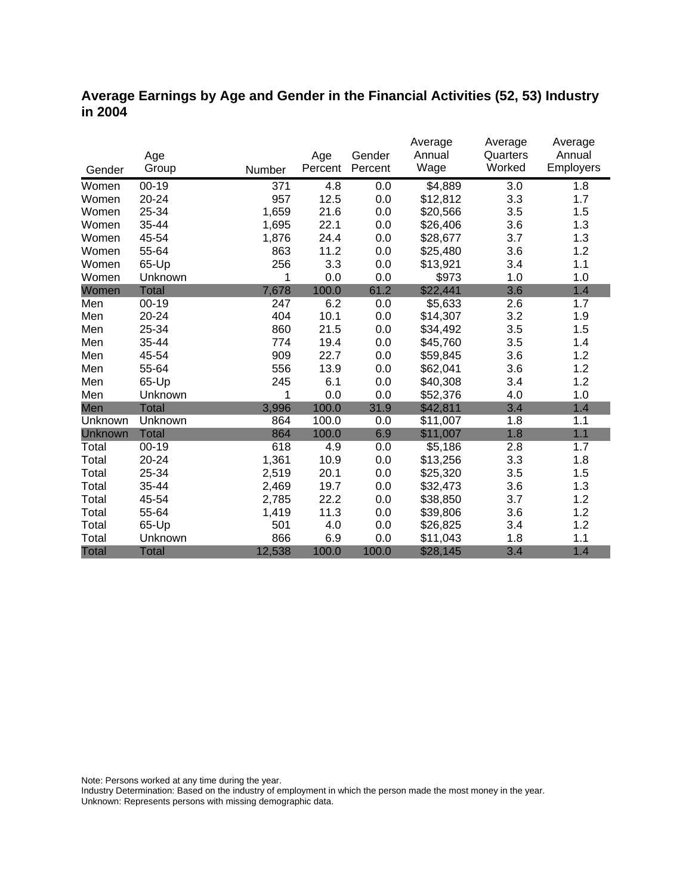#### **Average Earnings by Age and Gender in the Financial Activities (52, 53) Industry in 2004**

|              |              |        |         |         | Average  | Average  | Average   |
|--------------|--------------|--------|---------|---------|----------|----------|-----------|
|              | Age          |        | Age     | Gender  | Annual   | Quarters | Annual    |
| Gender       | Group        | Number | Percent | Percent | Wage     | Worked   | Employers |
| Women        | $00 - 19$    | 371    | 4.8     | 0.0     | \$4,889  | 3.0      | 1.8       |
| Women        | 20-24        | 957    | 12.5    | 0.0     | \$12,812 | 3.3      | 1.7       |
| Women        | 25-34        | 1,659  | 21.6    | 0.0     | \$20,566 | 3.5      | 1.5       |
| Women        | 35-44        | 1,695  | 22.1    | 0.0     | \$26,406 | 3.6      | 1.3       |
| Women        | 45-54        | 1,876  | 24.4    | 0.0     | \$28,677 | 3.7      | 1.3       |
| Women        | 55-64        | 863    | 11.2    | 0.0     | \$25,480 | 3.6      | 1.2       |
| Women        | 65-Up        | 256    | 3.3     | 0.0     | \$13,921 | 3.4      | 1.1       |
| Women        | Unknown      | 1      | 0.0     | 0.0     | \$973    | 1.0      | 1.0       |
| Women        | <b>Total</b> | 7,678  | 100.0   | 61.2    | \$22,441 | 3.6      | 1.4       |
| Men          | $00 - 19$    | 247    | 6.2     | 0.0     | \$5,633  | 2.6      | 1.7       |
| Men          | 20-24        | 404    | 10.1    | 0.0     | \$14,307 | 3.2      | 1.9       |
| Men          | 25-34        | 860    | 21.5    | 0.0     | \$34,492 | 3.5      | 1.5       |
| Men          | 35-44        | 774    | 19.4    | 0.0     | \$45,760 | 3.5      | 1.4       |
| Men          | 45-54        | 909    | 22.7    | 0.0     | \$59,845 | 3.6      | 1.2       |
| Men          | 55-64        | 556    | 13.9    | 0.0     | \$62,041 | 3.6      | 1.2       |
| Men          | 65-Up        | 245    | 6.1     | 0.0     | \$40,308 | 3.4      | 1.2       |
| Men          | Unknown      | 1      | 0.0     | 0.0     | \$52,376 | 4.0      | 1.0       |
| Men          | <b>Total</b> | 3,996  | 100.0   | 31.9    | \$42,811 | 3.4      | 1.4       |
| Unknown      | Unknown      | 864    | 100.0   | 0.0     | \$11,007 | 1.8      | 1.1       |
| Unknown      | <b>Total</b> | 864    | 100.0   | 6.9     | \$11,007 | 1.8      | 1.1       |
| Total        | $00 - 19$    | 618    | 4.9     | 0.0     | \$5,186  | 2.8      | 1.7       |
| Total        | 20-24        | 1,361  | 10.9    | 0.0     | \$13,256 | 3.3      | 1.8       |
| Total        | 25-34        | 2,519  | 20.1    | 0.0     | \$25,320 | 3.5      | 1.5       |
| Total        | 35-44        | 2,469  | 19.7    | 0.0     | \$32,473 | 3.6      | 1.3       |
| Total        | 45-54        | 2,785  | 22.2    | 0.0     | \$38,850 | 3.7      | 1.2       |
| Total        | 55-64        | 1,419  | 11.3    | 0.0     | \$39,806 | 3.6      | 1.2       |
| Total        | 65-Up        | 501    | 4.0     | 0.0     | \$26,825 | 3.4      | 1.2       |
| Total        | Unknown      | 866    | 6.9     | 0.0     | \$11,043 | 1.8      | 1.1       |
| <b>Total</b> | <b>Total</b> | 12,538 | 100.0   | 100.0   | \$28,145 | 3.4      | 1.4       |

Note: Persons worked at any time during the year.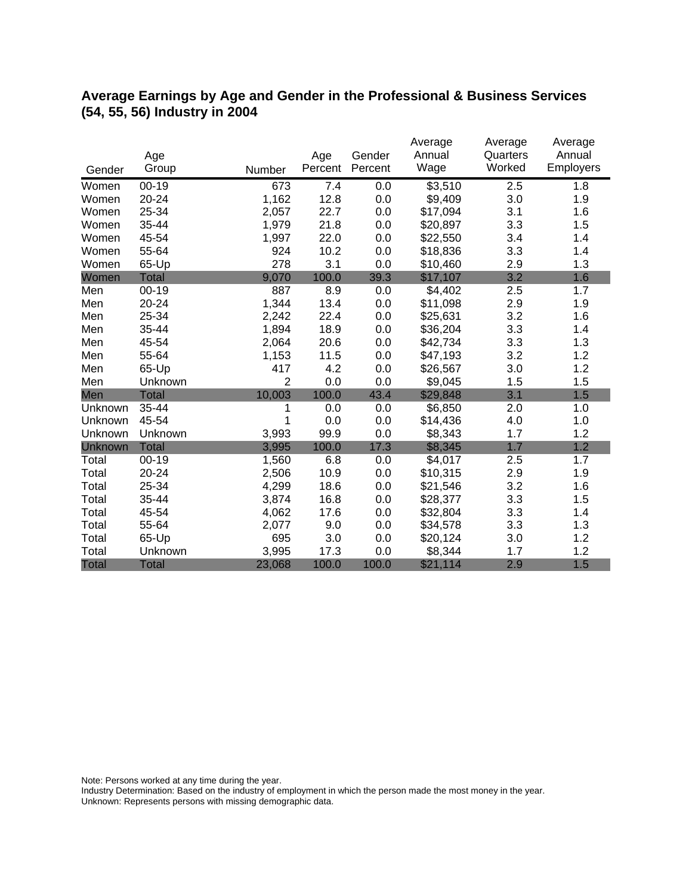### **Average Earnings by Age and Gender in the Professional & Business Services (54, 55, 56) Industry in 2004**

|              |              |                |         |         | Average  | Average  | Average   |
|--------------|--------------|----------------|---------|---------|----------|----------|-----------|
|              | Age          |                | Age     | Gender  | Annual   | Quarters | Annual    |
| Gender       | Group        | Number         | Percent | Percent | Wage     | Worked   | Employers |
| Women        | $00 - 19$    | 673            | 7.4     | 0.0     | \$3,510  | 2.5      | 1.8       |
| Women        | 20-24        | 1,162          | 12.8    | 0.0     | \$9,409  | 3.0      | 1.9       |
| Women        | 25-34        | 2,057          | 22.7    | 0.0     | \$17,094 | 3.1      | 1.6       |
| Women        | 35-44        | 1,979          | 21.8    | 0.0     | \$20,897 | 3.3      | 1.5       |
| Women        | 45-54        | 1,997          | 22.0    | 0.0     | \$22,550 | 3.4      | 1.4       |
| Women        | 55-64        | 924            | 10.2    | 0.0     | \$18,836 | 3.3      | 1.4       |
| Women        | 65-Up        | 278            | 3.1     | 0.0     | \$10,460 | 2.9      | 1.3       |
| Women        | <b>Total</b> | 9,070          | 100.0   | 39.3    | \$17,107 | 3.2      | 1.6       |
| Men          | $00 - 19$    | 887            | 8.9     | 0.0     | \$4,402  | 2.5      | 1.7       |
| Men          | 20-24        | 1,344          | 13.4    | 0.0     | \$11,098 | 2.9      | 1.9       |
| Men          | 25-34        | 2,242          | 22.4    | 0.0     | \$25,631 | 3.2      | 1.6       |
| Men          | 35-44        | 1,894          | 18.9    | 0.0     | \$36,204 | 3.3      | 1.4       |
| Men          | 45-54        | 2,064          | 20.6    | 0.0     | \$42,734 | 3.3      | 1.3       |
| Men          | 55-64        | 1,153          | 11.5    | 0.0     | \$47,193 | 3.2      | 1.2       |
| Men          | 65-Up        | 417            | 4.2     | 0.0     | \$26,567 | 3.0      | 1.2       |
| Men          | Unknown      | $\overline{2}$ | 0.0     | 0.0     | \$9,045  | 1.5      | 1.5       |
| Men          | <b>Total</b> | 10,003         | 100.0   | 43.4    | \$29,848 | 3.1      | 1.5       |
| Unknown      | 35-44        | 1              | 0.0     | 0.0     | \$6,850  | 2.0      | 1.0       |
| Unknown      | 45-54        | 1              | 0.0     | 0.0     | \$14,436 | 4.0      | 1.0       |
| Unknown      | Unknown      | 3,993          | 99.9    | 0.0     | \$8,343  | 1.7      | 1.2       |
| Unknown      | <b>Total</b> | 3,995          | 100.0   | 17.3    | \$8,345  | 1.7      | 1.2       |
| Total        | $00 - 19$    | 1,560          | 6.8     | 0.0     | \$4,017  | 2.5      | 1.7       |
| Total        | 20-24        | 2,506          | 10.9    | 0.0     | \$10,315 | 2.9      | 1.9       |
| Total        | 25-34        | 4,299          | 18.6    | 0.0     | \$21,546 | 3.2      | 1.6       |
| Total        | 35-44        | 3,874          | 16.8    | 0.0     | \$28,377 | 3.3      | 1.5       |
| Total        | 45-54        | 4,062          | 17.6    | 0.0     | \$32,804 | 3.3      | 1.4       |
| Total        | 55-64        | 2,077          | 9.0     | 0.0     | \$34,578 | 3.3      | 1.3       |
| Total        | 65-Up        | 695            | 3.0     | 0.0     | \$20,124 | 3.0      | 1.2       |
| Total        | Unknown      | 3,995          | 17.3    | 0.0     | \$8,344  | 1.7      | 1.2       |
| <b>Total</b> | <b>Total</b> | 23,068         | 100.0   | 100.0   | \$21,114 | 2.9      | 1.5       |

Note: Persons worked at any time during the year.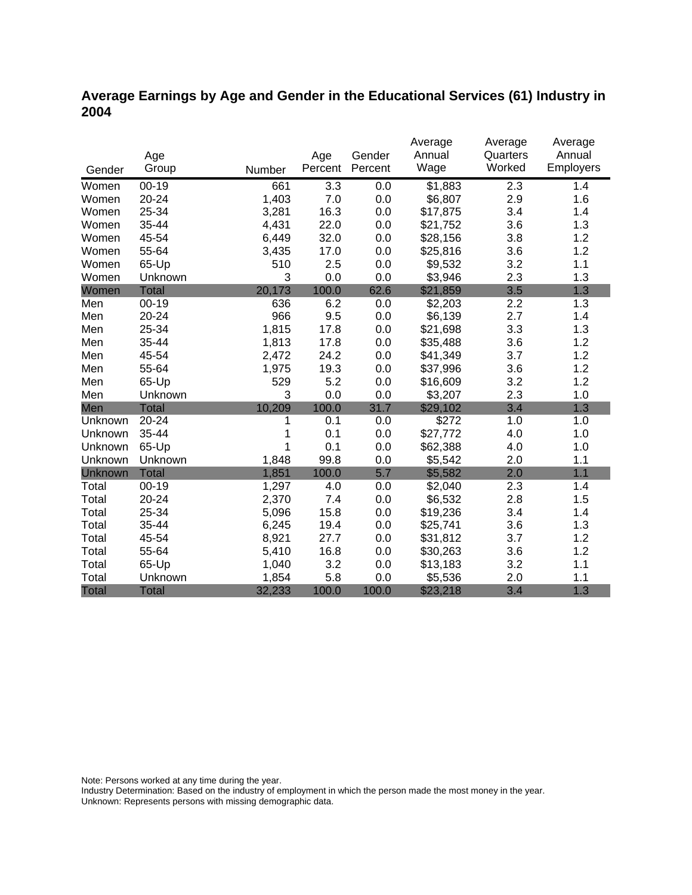### **Average Earnings by Age and Gender in the Educational Services (61) Industry in 2004**

|              |              |        |         |         | Average  | Average          | Average   |
|--------------|--------------|--------|---------|---------|----------|------------------|-----------|
|              | Age          |        | Age     | Gender  | Annual   | Quarters         | Annual    |
| Gender       | Group        | Number | Percent | Percent | Wage     | Worked           | Employers |
| Women        | $00 - 19$    | 661    | 3.3     | 0.0     | \$1,883  | 2.3              | 1.4       |
| Women        | 20-24        | 1,403  | 7.0     | 0.0     | \$6,807  | 2.9              | 1.6       |
| Women        | 25-34        | 3,281  | 16.3    | 0.0     | \$17,875 | 3.4              | 1.4       |
| Women        | 35-44        | 4,431  | 22.0    | 0.0     | \$21,752 | 3.6              | 1.3       |
| Women        | 45-54        | 6,449  | 32.0    | 0.0     | \$28,156 | 3.8              | 1.2       |
| Women        | 55-64        | 3,435  | 17.0    | 0.0     | \$25,816 | 3.6              | 1.2       |
| Women        | 65-Up        | 510    | 2.5     | 0.0     | \$9,532  | 3.2              | 1.1       |
| Women        | Unknown      | 3      | 0.0     | 0.0     | \$3,946  | 2.3              | 1.3       |
| Women        | <b>Total</b> | 20,173 | 100.0   | 62.6    | \$21,859 | 3.5              | 1.3       |
| Men          | $00 - 19$    | 636    | 6.2     | 0.0     | \$2,203  | $2.\overline{2}$ | 1.3       |
| Men          | 20-24        | 966    | 9.5     | 0.0     | \$6,139  | 2.7              | 1.4       |
| Men          | 25-34        | 1,815  | 17.8    | 0.0     | \$21,698 | 3.3              | 1.3       |
| Men          | 35-44        | 1,813  | 17.8    | 0.0     | \$35,488 | 3.6              | 1.2       |
| Men          | 45-54        | 2,472  | 24.2    | 0.0     | \$41,349 | 3.7              | 1.2       |
| Men          | 55-64        | 1,975  | 19.3    | 0.0     | \$37,996 | 3.6              | 1.2       |
| Men          | 65-Up        | 529    | 5.2     | 0.0     | \$16,609 | 3.2              | 1.2       |
| Men          | Unknown      | 3      | 0.0     | 0.0     | \$3,207  | 2.3              | 1.0       |
| Men          | <b>Total</b> | 10,209 | 100.0   | 31.7    | \$29,102 | 3.4              | 1.3       |
| Unknown      | 20-24        | 1      | 0.1     | 0.0     | \$272    | 1.0              | 1.0       |
| Unknown      | 35-44        | 1      | 0.1     | 0.0     | \$27,772 | 4.0              | 1.0       |
| Unknown      | 65-Up        | 1      | 0.1     | 0.0     | \$62,388 | 4.0              | 1.0       |
| Unknown      | Unknown      | 1,848  | 99.8    | 0.0     | \$5,542  | 2.0              | 1.1       |
| Unknown      | Total        | 1,851  | 100.0   | 5.7     | \$5,582  | 2.0              | 1.1       |
| Total        | $00-19$      | 1,297  | 4.0     | 0.0     | \$2,040  | 2.3              | 1.4       |
| Total        | 20-24        | 2,370  | 7.4     | 0.0     | \$6,532  | 2.8              | 1.5       |
| Total        | 25-34        | 5,096  | 15.8    | 0.0     | \$19,236 | 3.4              | 1.4       |
| Total        | 35-44        | 6,245  | 19.4    | 0.0     | \$25,741 | 3.6              | 1.3       |
| Total        | 45-54        | 8,921  | 27.7    | 0.0     | \$31,812 | 3.7              | 1.2       |
| Total        | 55-64        | 5,410  | 16.8    | 0.0     | \$30,263 | 3.6              | 1.2       |
| Total        | 65-Up        | 1,040  | 3.2     | 0.0     | \$13,183 | 3.2              | 1.1       |
| Total        | Unknown      | 1,854  | 5.8     | 0.0     | \$5,536  | 2.0              | 1.1       |
| <b>Total</b> | <b>Total</b> | 32,233 | 100.0   | 100.0   | \$23,218 | 3.4              | 1.3       |

Note: Persons worked at any time during the year.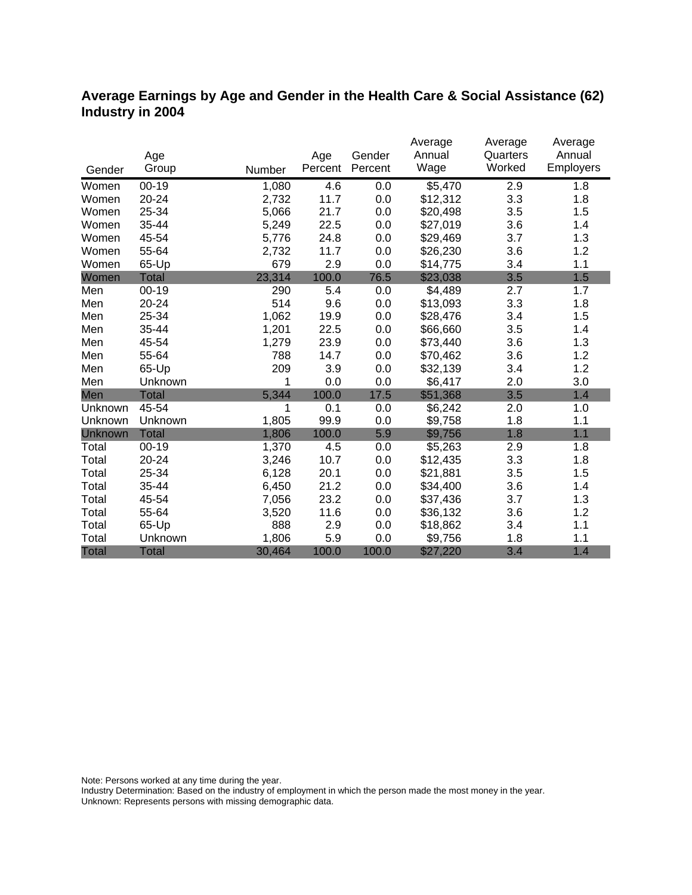### **Average Earnings by Age and Gender in the Health Care & Social Assistance (62) Industry in 2004**

|              |              |        |         |         | Average  | Average  | Average          |
|--------------|--------------|--------|---------|---------|----------|----------|------------------|
|              | Age          |        | Age     | Gender  | Annual   | Quarters | Annual           |
| Gender       | Group        | Number | Percent | Percent | Wage     | Worked   | <b>Employers</b> |
| Women        | $00 - 19$    | 1,080  | 4.6     | 0.0     | \$5,470  | 2.9      | 1.8              |
| Women        | $20 - 24$    | 2,732  | 11.7    | 0.0     | \$12,312 | 3.3      | 1.8              |
| Women        | 25-34        | 5,066  | 21.7    | 0.0     | \$20,498 | 3.5      | 1.5              |
| Women        | 35-44        | 5,249  | 22.5    | 0.0     | \$27,019 | 3.6      | 1.4              |
| Women        | 45-54        | 5,776  | 24.8    | 0.0     | \$29,469 | 3.7      | 1.3              |
| Women        | 55-64        | 2,732  | 11.7    | 0.0     | \$26,230 | 3.6      | 1.2              |
| Women        | 65-Up        | 679    | 2.9     | 0.0     | \$14,775 | 3.4      | 1.1              |
| Women        | <b>Total</b> | 23,314 | 100.0   | 76.5    | \$23,038 | 3.5      | 1.5              |
| Men          | $00 - 19$    | 290    | 5.4     | 0.0     | \$4,489  | 2.7      | 1.7              |
| Men          | 20-24        | 514    | 9.6     | 0.0     | \$13,093 | 3.3      | 1.8              |
| Men          | 25-34        | 1,062  | 19.9    | 0.0     | \$28,476 | 3.4      | 1.5              |
| Men          | 35-44        | 1,201  | 22.5    | 0.0     | \$66,660 | 3.5      | 1.4              |
| Men          | 45-54        | 1,279  | 23.9    | 0.0     | \$73,440 | 3.6      | 1.3              |
| Men          | 55-64        | 788    | 14.7    | 0.0     | \$70,462 | 3.6      | 1.2              |
| Men          | 65-Up        | 209    | 3.9     | 0.0     | \$32,139 | 3.4      | 1.2              |
| Men          | Unknown      | 1      | 0.0     | 0.0     | \$6,417  | 2.0      | 3.0              |
| Men          | <b>Total</b> | 5,344  | 100.0   | 17.5    | \$51,368 | 3.5      | 1.4              |
| Unknown      | 45-54        | 1      | 0.1     | 0.0     | \$6,242  | 2.0      | 1.0              |
| Unknown      | Unknown      | 1,805  | 99.9    | 0.0     | \$9,758  | 1.8      | 1.1              |
| Unknown      | <b>Total</b> | 1,806  | 100.0   | 5.9     | \$9,756  | 1.8      | 1.1              |
| Total        | $00 - 19$    | 1,370  | 4.5     | 0.0     | \$5,263  | 2.9      | 1.8              |
| Total        | 20-24        | 3,246  | 10.7    | 0.0     | \$12,435 | 3.3      | 1.8              |
| Total        | 25-34        | 6,128  | 20.1    | 0.0     | \$21,881 | 3.5      | 1.5              |
| Total        | 35-44        | 6,450  | 21.2    | 0.0     | \$34,400 | 3.6      | 1.4              |
| Total        | 45-54        | 7,056  | 23.2    | 0.0     | \$37,436 | 3.7      | 1.3              |
| Total        | 55-64        | 3,520  | 11.6    | 0.0     | \$36,132 | 3.6      | 1.2              |
| Total        | 65-Up        | 888    | 2.9     | 0.0     | \$18,862 | 3.4      | 1.1              |
| Total        | Unknown      | 1,806  | 5.9     | 0.0     | \$9,756  | 1.8      | 1.1              |
| <b>Total</b> | <b>Total</b> | 30,464 | 100.0   | 100.0   | \$27,220 | 3.4      | 1.4              |

Note: Persons worked at any time during the year.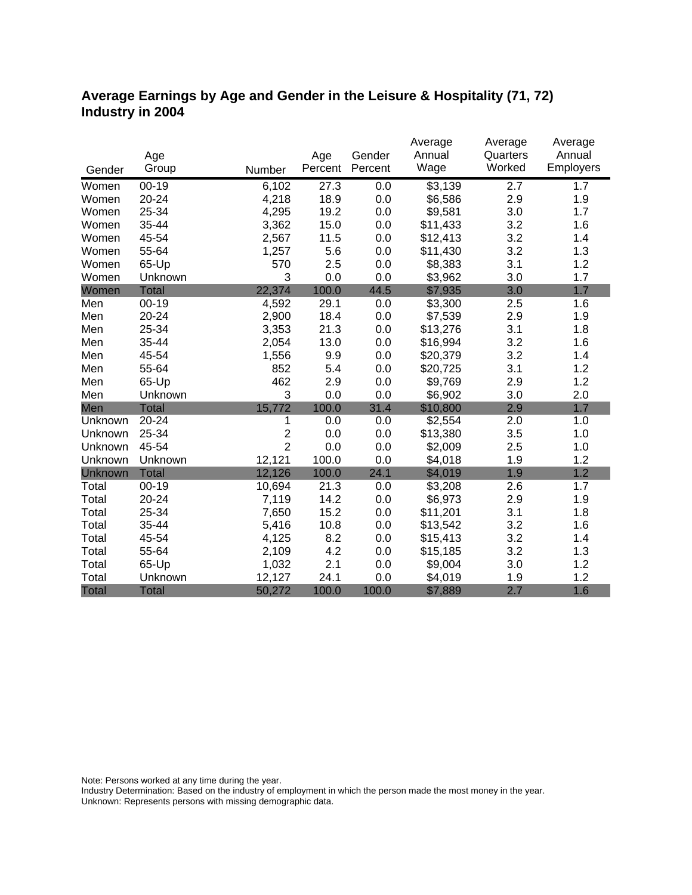### **Average Earnings by Age and Gender in the Leisure & Hospitality (71, 72) Industry in 2004**

|                |              |                         |         |         | Average              | Average  | Average   |
|----------------|--------------|-------------------------|---------|---------|----------------------|----------|-----------|
|                | Age          |                         | Age     | Gender  | Annual               | Quarters | Annual    |
| Gender         | Group        | Number                  | Percent | Percent | Wage                 | Worked   | Employers |
| Women          | $00 - 19$    | 6,102                   | 27.3    | 0.0     | $\overline{\$}3,139$ | 2.7      | 1.7       |
| Women          | 20-24        | 4,218                   | 18.9    | 0.0     | \$6,586              | 2.9      | 1.9       |
| Women          | 25-34        | 4,295                   | 19.2    | 0.0     | \$9,581              | 3.0      | 1.7       |
| Women          | 35-44        | 3,362                   | 15.0    | 0.0     | \$11,433             | 3.2      | 1.6       |
| Women          | 45-54        | 2,567                   | 11.5    | 0.0     | \$12,413             | 3.2      | 1.4       |
| Women          | 55-64        | 1,257                   | 5.6     | 0.0     | \$11,430             | 3.2      | 1.3       |
| Women          | 65-Up        | 570                     | 2.5     | 0.0     | \$8,383              | 3.1      | 1.2       |
| Women          | Unknown      | 3                       | 0.0     | 0.0     | \$3,962              | 3.0      | 1.7       |
| Women          | <b>Total</b> | 22,374                  | 100.0   | 44.5    | \$7,935              | 3.0      | 1.7       |
| Men            | $00 - 19$    | 4,592                   | 29.1    | 0.0     | \$3,300              | 2.5      | 1.6       |
| Men            | 20-24        | 2,900                   | 18.4    | 0.0     | \$7,539              | 2.9      | 1.9       |
| Men            | 25-34        | 3,353                   | 21.3    | 0.0     | \$13,276             | 3.1      | 1.8       |
| Men            | 35-44        | 2,054                   | 13.0    | 0.0     | \$16,994             | 3.2      | 1.6       |
| Men            | 45-54        | 1,556                   | 9.9     | 0.0     | \$20,379             | 3.2      | 1.4       |
| Men            | 55-64        | 852                     | 5.4     | 0.0     | \$20,725             | 3.1      | 1.2       |
| Men            | 65-Up        | 462                     | 2.9     | 0.0     | \$9,769              | 2.9      | 1.2       |
| Men            | Unknown      | 3                       | 0.0     | 0.0     | \$6,902              | 3.0      | 2.0       |
| Men            | <b>Total</b> | 15,772                  | 100.0   | 31.4    | \$10,800             | 2.9      | 1.7       |
| Unknown        | 20-24        | 1                       | 0.0     | 0.0     | \$2,554              | 2.0      | 1.0       |
| Unknown        | 25-34        | $\overline{\mathbf{c}}$ | 0.0     | 0.0     | \$13,380             | 3.5      | 1.0       |
| Unknown        | 45-54        | $\overline{2}$          | 0.0     | 0.0     | \$2,009              | 2.5      | 1.0       |
| Unknown        | Unknown      | 12,121                  | 100.0   | 0.0     | \$4,018              | 1.9      | 1.2       |
| <b>Unknown</b> | <b>Total</b> | 12,126                  | 100.0   | 24.1    | \$4,019              | 1.9      | 1.2       |
| Total          | $00 - 19$    | 10,694                  | 21.3    | 0.0     | \$3,208              | 2.6      | 1.7       |
| Total          | 20-24        | 7,119                   | 14.2    | 0.0     | \$6,973              | 2.9      | 1.9       |
| Total          | 25-34        | 7,650                   | 15.2    | 0.0     | \$11,201             | 3.1      | 1.8       |
| Total          | 35-44        | 5,416                   | 10.8    | 0.0     | \$13,542             | 3.2      | 1.6       |
| Total          | 45-54        | 4,125                   | 8.2     | 0.0     | \$15,413             | 3.2      | 1.4       |
| Total          | 55-64        | 2,109                   | 4.2     | 0.0     | \$15,185             | 3.2      | 1.3       |
| Total          | 65-Up        | 1,032                   | 2.1     | 0.0     | \$9,004              | 3.0      | 1.2       |
| Total          | Unknown      | 12,127                  | 24.1    | 0.0     | \$4,019              | 1.9      | 1.2       |
| <b>Total</b>   | <b>Total</b> | 50,272                  | 100.0   | 100.0   | \$7,889              | 2.7      | 1.6       |

Note: Persons worked at any time during the year.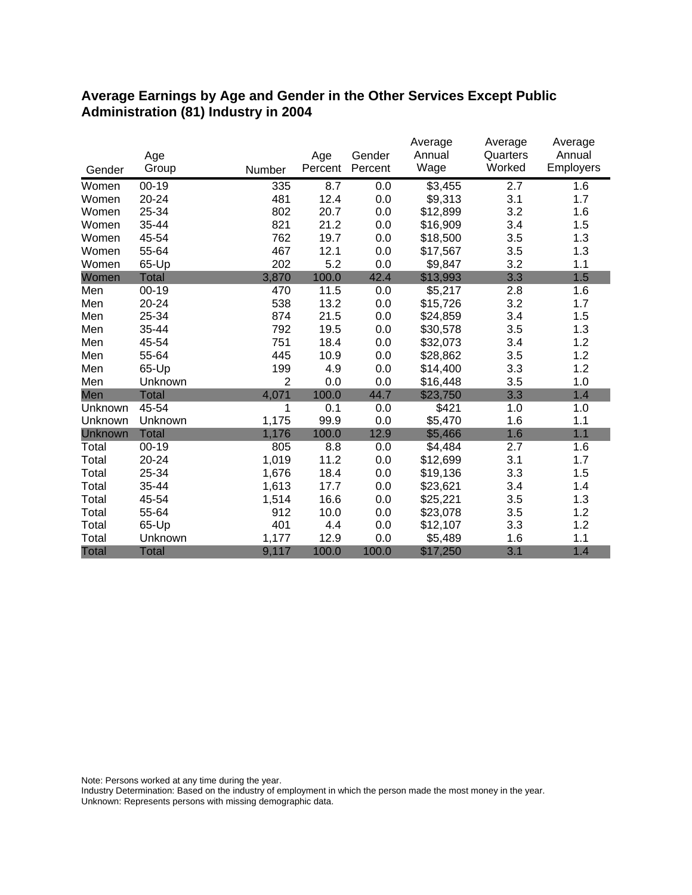#### **Average Earnings by Age and Gender in the Other Services Except Public Administration (81) Industry in 2004**

|              |              |                |         |         | Average  | Average            | Average          |
|--------------|--------------|----------------|---------|---------|----------|--------------------|------------------|
|              | Age          |                | Age     | Gender  | Annual   | Quarters<br>Worked | Annual           |
| Gender       | Group        | Number         | Percent | Percent | Wage     |                    | <b>Employers</b> |
| Women        | $00 - 19$    | 335            | 8.7     | 0.0     | \$3,455  | 2.7                | 1.6              |
| Women        | 20-24        | 481            | 12.4    | 0.0     | \$9,313  | 3.1                | 1.7              |
| Women        | 25-34        | 802            | 20.7    | 0.0     | \$12,899 | 3.2                | 1.6              |
| Women        | 35-44        | 821            | 21.2    | 0.0     | \$16,909 | 3.4                | 1.5              |
| Women        | 45-54        | 762            | 19.7    | 0.0     | \$18,500 | 3.5                | 1.3              |
| Women        | 55-64        | 467            | 12.1    | 0.0     | \$17,567 | 3.5                | 1.3              |
| Women        | 65-Up        | 202            | 5.2     | 0.0     | \$9,847  | 3.2                | 1.1              |
| Women        | <b>Total</b> | 3,870          | 100.0   | 42.4    | \$13,993 | 3.3                | 1.5              |
| Men          | $00 - 19$    | 470            | 11.5    | 0.0     | \$5,217  | 2.8                | 1.6              |
| Men          | 20-24        | 538            | 13.2    | 0.0     | \$15,726 | 3.2                | 1.7              |
| Men          | 25-34        | 874            | 21.5    | 0.0     | \$24,859 | 3.4                | 1.5              |
| Men          | 35-44        | 792            | 19.5    | 0.0     | \$30,578 | 3.5                | 1.3              |
| Men          | 45-54        | 751            | 18.4    | 0.0     | \$32,073 | 3.4                | 1.2              |
| Men          | 55-64        | 445            | 10.9    | 0.0     | \$28,862 | 3.5                | 1.2              |
| Men          | 65-Up        | 199            | 4.9     | 0.0     | \$14,400 | 3.3                | 1.2              |
| Men          | Unknown      | $\overline{2}$ | 0.0     | 0.0     | \$16,448 | 3.5                | 1.0              |
| Men          | <b>Total</b> | 4,071          | 100.0   | 44.7    | \$23,750 | 3.3                | 1.4              |
| Unknown      | 45-54        | 1              | 0.1     | 0.0     | \$421    | 1.0                | 1.0              |
| Unknown      | Unknown      | 1,175          | 99.9    | 0.0     | \$5,470  | 1.6                | 1.1              |
| Unknown      | <b>Total</b> | 1,176          | 100.0   | 12.9    | \$5,466  | 1.6                | 1.1              |
| Total        | $00 - 19$    | 805            | 8.8     | 0.0     | \$4,484  | 2.7                | 1.6              |
| Total        | 20-24        | 1,019          | 11.2    | 0.0     | \$12,699 | 3.1                | 1.7              |
| Total        | 25-34        | 1,676          | 18.4    | 0.0     | \$19,136 | 3.3                | 1.5              |
| Total        | 35-44        | 1,613          | 17.7    | 0.0     | \$23,621 | 3.4                | 1.4              |
| Total        | 45-54        | 1,514          | 16.6    | 0.0     | \$25,221 | 3.5                | 1.3              |
| Total        | 55-64        | 912            | 10.0    | 0.0     | \$23,078 | 3.5                | 1.2              |
| Total        | 65-Up        | 401            | 4.4     | 0.0     | \$12,107 | 3.3                | 1.2              |
| Total        | Unknown      | 1,177          | 12.9    | 0.0     | \$5,489  | 1.6                | 1.1              |
| <b>Total</b> | <b>Total</b> | 9,117          | 100.0   | 100.0   | \$17,250 | 3.1                | 1.4              |

Note: Persons worked at any time during the year.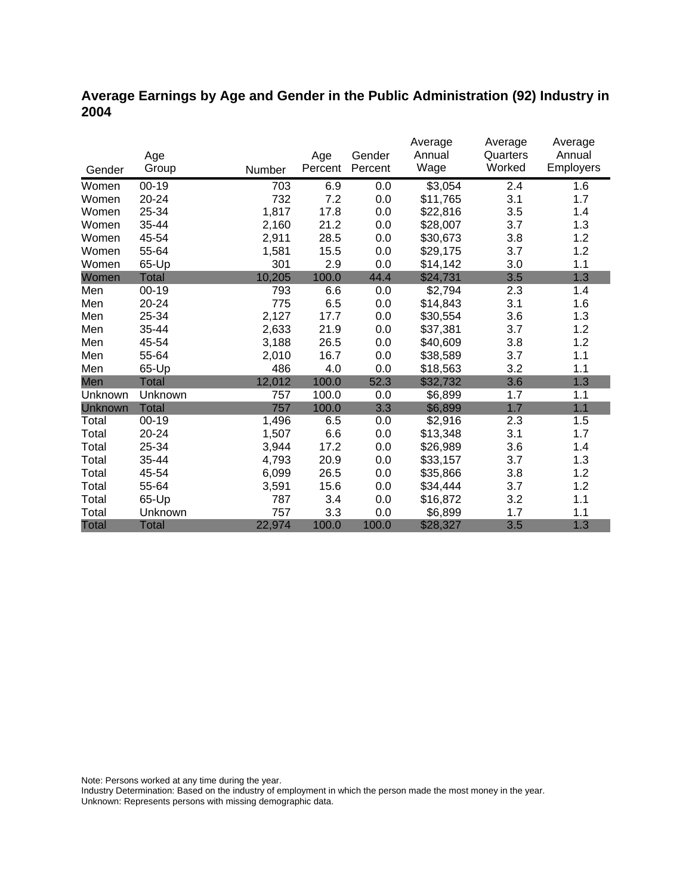### **Average Earnings by Age and Gender in the Public Administration (92) Industry in 2004**

|              |              |        |         |         | Average  | Average  | Average          |
|--------------|--------------|--------|---------|---------|----------|----------|------------------|
|              | Age          |        | Age     | Gender  | Annual   | Quarters | Annual           |
| Gender       | Group        | Number | Percent | Percent | Wage     | Worked   | <b>Employers</b> |
| Women        | $00-19$      | 703    | 6.9     | 0.0     | \$3,054  | 2.4      | 1.6              |
| Women        | 20-24        | 732    | 7.2     | 0.0     | \$11,765 | 3.1      | 1.7              |
| Women        | 25-34        | 1,817  | 17.8    | 0.0     | \$22,816 | 3.5      | 1.4              |
| Women        | 35-44        | 2,160  | 21.2    | 0.0     | \$28,007 | 3.7      | 1.3              |
| Women        | 45-54        | 2,911  | 28.5    | 0.0     | \$30,673 | 3.8      | 1.2              |
| Women        | 55-64        | 1,581  | 15.5    | 0.0     | \$29,175 | 3.7      | 1.2              |
| Women        | 65-Up        | 301    | 2.9     | 0.0     | \$14,142 | 3.0      | 1.1              |
| Women        | Total        | 10,205 | 100.0   | 44.4    | \$24,731 | 3.5      | 1.3              |
| Men          | $00 - 19$    | 793    | 6.6     | 0.0     | \$2,794  | 2.3      | 1.4              |
| Men          | 20-24        | 775    | 6.5     | 0.0     | \$14,843 | 3.1      | 1.6              |
| Men          | 25-34        | 2,127  | 17.7    | 0.0     | \$30,554 | 3.6      | 1.3              |
| Men          | 35-44        | 2,633  | 21.9    | 0.0     | \$37,381 | 3.7      | 1.2              |
| Men          | 45-54        | 3,188  | 26.5    | 0.0     | \$40,609 | 3.8      | 1.2              |
| Men          | 55-64        | 2,010  | 16.7    | 0.0     | \$38,589 | 3.7      | 1.1              |
| Men          | 65-Up        | 486    | 4.0     | 0.0     | \$18,563 | 3.2      | 1.1              |
| Men          | <b>Total</b> | 12,012 | 100.0   | 52.3    | \$32,732 | 3.6      | 1.3              |
| Unknown      | Unknown      | 757    | 100.0   | 0.0     | \$6,899  | 1.7      | 1.1              |
| Unknown      | <b>Total</b> | 757    | 100.0   | 3.3     | \$6,899  | 1.7      | 1.1              |
| Total        | $00 - 19$    | 1,496  | 6.5     | 0.0     | \$2,916  | 2.3      | 1.5              |
| Total        | 20-24        | 1,507  | 6.6     | 0.0     | \$13,348 | 3.1      | 1.7              |
| Total        | 25-34        | 3,944  | 17.2    | 0.0     | \$26,989 | 3.6      | 1.4              |
| Total        | 35-44        | 4,793  | 20.9    | 0.0     | \$33,157 | 3.7      | 1.3              |
| Total        | 45-54        | 6,099  | 26.5    | 0.0     | \$35,866 | 3.8      | 1.2              |
| Total        | 55-64        | 3,591  | 15.6    | 0.0     | \$34,444 | 3.7      | 1.2              |
| Total        | 65-Up        | 787    | 3.4     | 0.0     | \$16,872 | 3.2      | 1.1              |
| Total        | Unknown      | 757    | 3.3     | 0.0     | \$6,899  | 1.7      | 1.1              |
| <b>Total</b> | <b>Total</b> | 22,974 | 100.0   | 100.0   | \$28,327 | 3.5      | 1.3              |

Note: Persons worked at any time during the year.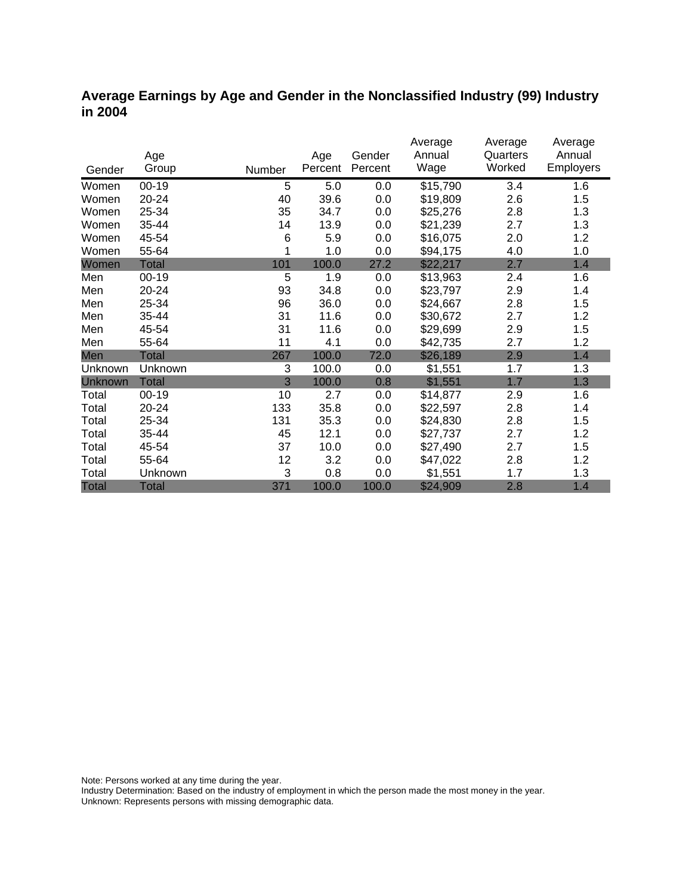#### **Average Earnings by Age and Gender in the Nonclassified Industry (99) Industry in 2004**

|                |              |        |         |         | Average  | Average  | Average          |
|----------------|--------------|--------|---------|---------|----------|----------|------------------|
|                | Age          |        | Age     | Gender  | Annual   | Quarters | Annual           |
| Gender         | Group        | Number | Percent | Percent | Wage     | Worked   | <b>Employers</b> |
| Women          | $00 - 19$    | 5      | 5.0     | 0.0     | \$15,790 | 3.4      | 1.6              |
| Women          | 20-24        | 40     | 39.6    | 0.0     | \$19,809 | 2.6      | 1.5              |
| Women          | 25-34        | 35     | 34.7    | 0.0     | \$25,276 | 2.8      | 1.3              |
| Women          | 35-44        | 14     | 13.9    | 0.0     | \$21,239 | 2.7      | 1.3              |
| Women          | 45-54        | 6      | 5.9     | 0.0     | \$16,075 | 2.0      | 1.2              |
| Women          | 55-64        |        | 1.0     | 0.0     | \$94,175 | 4.0      | 1.0              |
| Women          | Total        | 101    | 100.0   | 27.2    | \$22,217 | 2.7      | 1.4              |
| Men            | $00 - 19$    | 5      | 1.9     | 0.0     | \$13,963 | 2.4      | 1.6              |
| Men            | 20-24        | 93     | 34.8    | 0.0     | \$23,797 | 2.9      | 1.4              |
| Men            | 25-34        | 96     | 36.0    | 0.0     | \$24,667 | 2.8      | 1.5              |
| Men            | 35-44        | 31     | 11.6    | 0.0     | \$30,672 | 2.7      | 1.2              |
| Men            | 45-54        | 31     | 11.6    | 0.0     | \$29,699 | 2.9      | 1.5              |
| Men            | 55-64        | 11     | 4.1     | 0.0     | \$42,735 | 2.7      | 1.2              |
| Men            | <b>Total</b> | 267    | 100.0   | 72.0    | \$26,189 | 2.9      | 1.4              |
| Unknown        | Unknown      | 3      | 100.0   | 0.0     | \$1,551  | 1.7      | 1.3              |
| <b>Unknown</b> | <b>Total</b> | 3      | 100.0   | 0.8     | \$1,551  | 1.7      | 1.3              |
| Total          | $00 - 19$    | 10     | 2.7     | 0.0     | \$14,877 | 2.9      | 1.6              |
| Total          | $20 - 24$    | 133    | 35.8    | 0.0     | \$22,597 | 2.8      | 1.4              |
| Total          | 25-34        | 131    | 35.3    | 0.0     | \$24,830 | 2.8      | 1.5              |
| Total          | 35-44        | 45     | 12.1    | 0.0     | \$27,737 | 2.7      | 1.2              |
| Total          | 45-54        | 37     | 10.0    | 0.0     | \$27,490 | 2.7      | 1.5              |
| Total          | 55-64        | 12     | 3.2     | 0.0     | \$47,022 | 2.8      | 1.2              |
| Total          | Unknown      | 3      | 0.8     | 0.0     | \$1,551  | 1.7      | 1.3              |
| <b>Total</b>   | <b>Total</b> | 371    | 100.0   | 100.0   | \$24,909 | 2.8      | 1.4              |

Note: Persons worked at any time during the year.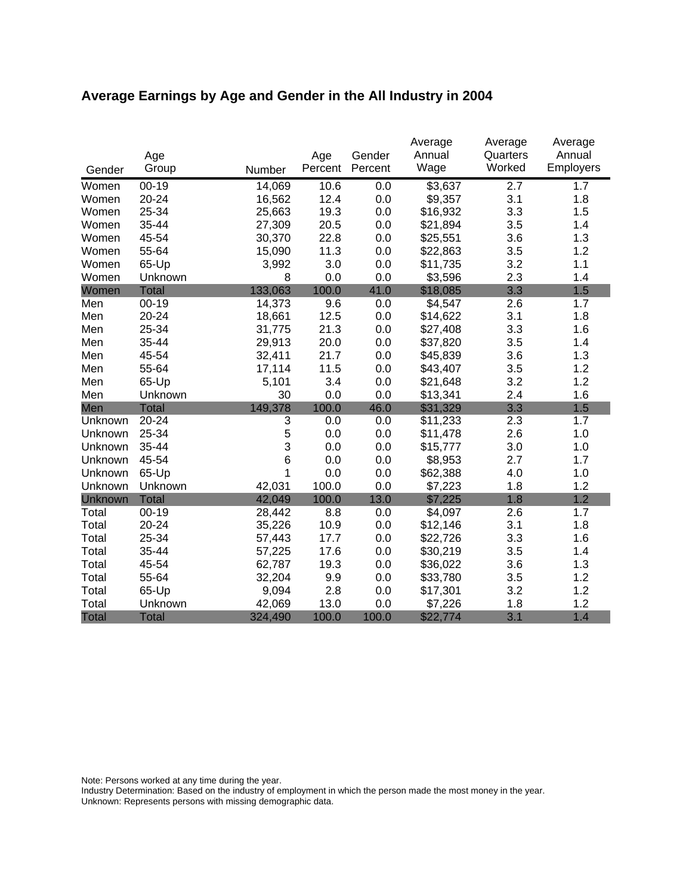# **Average Earnings by Age and Gender in the All Industry in 2004**

|              |              |         |         |         | Average  | Average  | Average   |
|--------------|--------------|---------|---------|---------|----------|----------|-----------|
|              | Age          |         | Age     | Gender  | Annual   | Quarters | Annual    |
| Gender       | Group        | Number  | Percent | Percent | Wage     | Worked   | Employers |
| Women        | $00 - 19$    | 14,069  | 10.6    | 0.0     | \$3,637  | 2.7      | 1.7       |
| Women        | 20-24        | 16,562  | 12.4    | 0.0     | \$9,357  | 3.1      | 1.8       |
| Women        | 25-34        | 25,663  | 19.3    | 0.0     | \$16,932 | 3.3      | 1.5       |
| Women        | 35-44        | 27,309  | 20.5    | 0.0     | \$21,894 | 3.5      | 1.4       |
| Women        | 45-54        | 30,370  | 22.8    | 0.0     | \$25,551 | 3.6      | 1.3       |
| Women        | 55-64        | 15,090  | 11.3    | 0.0     | \$22,863 | 3.5      | 1.2       |
| Women        | 65-Up        | 3,992   | 3.0     | 0.0     | \$11,735 | 3.2      | 1.1       |
| Women        | Unknown      | 8       | 0.0     | 0.0     | \$3,596  | 2.3      | 1.4       |
| Women        | <b>Total</b> | 133,063 | 100.0   | 41.0    | \$18,085 | 3.3      | 1.5       |
| Men          | $00-19$      | 14,373  | 9.6     | 0.0     | \$4,547  | 2.6      | 1.7       |
| Men          | 20-24        | 18,661  | 12.5    | 0.0     | \$14,622 | 3.1      | 1.8       |
| Men          | 25-34        | 31,775  | 21.3    | 0.0     | \$27,408 | 3.3      | 1.6       |
| Men          | 35-44        | 29,913  | 20.0    | 0.0     | \$37,820 | 3.5      | 1.4       |
| Men          | 45-54        | 32,411  | 21.7    | 0.0     | \$45,839 | 3.6      | 1.3       |
| Men          | 55-64        | 17,114  | 11.5    | 0.0     | \$43,407 | 3.5      | 1.2       |
| Men          | 65-Up        | 5,101   | 3.4     | 0.0     | \$21,648 | 3.2      | 1.2       |
| Men          | Unknown      | 30      | 0.0     | 0.0     | \$13,341 | 2.4      | 1.6       |
| Men          | <b>Total</b> | 149,378 | 100.0   | 46.0    | \$31,329 | 3.3      | 1.5       |
| Unknown      | 20-24        | 3       | 0.0     | 0.0     | \$11,233 | 2.3      | 1.7       |
| Unknown      | 25-34        | 5       | 0.0     | 0.0     | \$11,478 | 2.6      | 1.0       |
| Unknown      | 35-44        | 3       | 0.0     | 0.0     | \$15,777 | 3.0      | 1.0       |
| Unknown      | 45-54        | 6       | 0.0     | 0.0     | \$8,953  | 2.7      | 1.7       |
| Unknown      | 65-Up        | 1       | 0.0     | 0.0     | \$62,388 | 4.0      | 1.0       |
| Unknown      | Unknown      | 42,031  | 100.0   | 0.0     | \$7,223  | 1.8      | 1.2       |
| Unknown      | <b>Total</b> | 42,049  | 100.0   | 13.0    | \$7,225  | 1.8      | 1.2       |
| Total        | $00 - 19$    | 28,442  | 8.8     | 0.0     | \$4,097  | 2.6      | 1.7       |
| Total        | 20-24        | 35,226  | 10.9    | 0.0     | \$12,146 | 3.1      | 1.8       |
| Total        | 25-34        | 57,443  | 17.7    | 0.0     | \$22,726 | 3.3      | 1.6       |
| Total        | 35-44        | 57,225  | 17.6    | 0.0     | \$30,219 | 3.5      | 1.4       |
| Total        | 45-54        | 62,787  | 19.3    | 0.0     | \$36,022 | 3.6      | 1.3       |
| Total        | 55-64        | 32,204  | 9.9     | 0.0     | \$33,780 | 3.5      | 1.2       |
| Total        | 65-Up        | 9,094   | 2.8     | 0.0     | \$17,301 | 3.2      | 1.2       |
| Total        | Unknown      | 42,069  | 13.0    | 0.0     | \$7,226  | 1.8      | 1.2       |
| <b>Total</b> | <b>Total</b> | 324,490 | 100.0   | 100.0   | \$22,774 | 3.1      | 1.4       |

Note: Persons worked at any time during the year.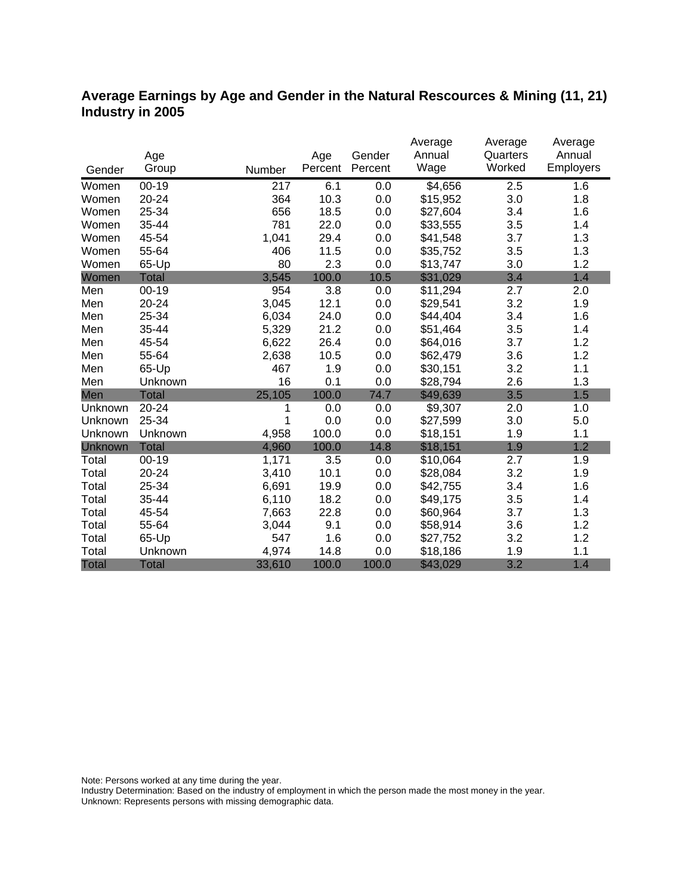#### **Average Earnings by Age and Gender in the Natural Rescources & Mining (11, 21) Industry in 2005**

|              |              |        |         |         | Average  | Average  | Average   |
|--------------|--------------|--------|---------|---------|----------|----------|-----------|
|              | Age          |        | Age     | Gender  | Annual   | Quarters | Annual    |
| Gender       | Group        | Number | Percent | Percent | Wage     | Worked   | Employers |
| Women        | $00 - 19$    | 217    | 6.1     | 0.0     | \$4,656  | 2.5      | 1.6       |
| Women        | 20-24        | 364    | 10.3    | 0.0     | \$15,952 | 3.0      | 1.8       |
| Women        | 25-34        | 656    | 18.5    | 0.0     | \$27,604 | 3.4      | 1.6       |
| Women        | 35-44        | 781    | 22.0    | 0.0     | \$33,555 | 3.5      | 1.4       |
| Women        | 45-54        | 1,041  | 29.4    | 0.0     | \$41,548 | 3.7      | 1.3       |
| Women        | 55-64        | 406    | 11.5    | 0.0     | \$35,752 | 3.5      | 1.3       |
| Women        | 65-Up        | 80     | 2.3     | 0.0     | \$13,747 | 3.0      | 1.2       |
| Women        | <b>Total</b> | 3,545  | 100.0   | 10.5    | \$31,029 | 3.4      | 1.4       |
| Men          | $00-19$      | 954    | 3.8     | 0.0     | \$11,294 | 2.7      | 2.0       |
| Men          | 20-24        | 3,045  | 12.1    | 0.0     | \$29,541 | 3.2      | 1.9       |
| Men          | 25-34        | 6,034  | 24.0    | 0.0     | \$44,404 | 3.4      | 1.6       |
| Men          | 35-44        | 5,329  | 21.2    | 0.0     | \$51,464 | 3.5      | 1.4       |
| Men          | 45-54        | 6,622  | 26.4    | 0.0     | \$64,016 | 3.7      | 1.2       |
| Men          | 55-64        | 2,638  | 10.5    | 0.0     | \$62,479 | 3.6      | 1.2       |
| Men          | 65-Up        | 467    | 1.9     | 0.0     | \$30,151 | 3.2      | 1.1       |
| Men          | Unknown      | 16     | 0.1     | 0.0     | \$28,794 | 2.6      | 1.3       |
| Men          | <b>Total</b> | 25,105 | 100.0   | 74.7    | \$49,639 | 3.5      | 1.5       |
| Unknown      | 20-24        | 1      | 0.0     | 0.0     | \$9,307  | 2.0      | 1.0       |
| Unknown      | 25-34        | 1      | 0.0     | 0.0     | \$27,599 | 3.0      | 5.0       |
| Unknown      | Unknown      | 4,958  | 100.0   | 0.0     | \$18,151 | 1.9      | 1.1       |
| Unknown      | <b>Total</b> | 4,960  | 100.0   | 14.8    | \$18,151 | 1.9      | 1.2       |
| Total        | $00 - 19$    | 1,171  | 3.5     | 0.0     | \$10,064 | 2.7      | 1.9       |
| Total        | 20-24        | 3,410  | 10.1    | 0.0     | \$28,084 | 3.2      | 1.9       |
| Total        | 25-34        | 6,691  | 19.9    | 0.0     | \$42,755 | 3.4      | 1.6       |
| Total        | 35-44        | 6,110  | 18.2    | 0.0     | \$49,175 | 3.5      | 1.4       |
| Total        | 45-54        | 7,663  | 22.8    | 0.0     | \$60,964 | 3.7      | 1.3       |
| Total        | 55-64        | 3,044  | 9.1     | 0.0     | \$58,914 | 3.6      | 1.2       |
| Total        | 65-Up        | 547    | 1.6     | 0.0     | \$27,752 | 3.2      | 1.2       |
| Total        | Unknown      | 4,974  | 14.8    | 0.0     | \$18,186 | 1.9      | 1.1       |
| <b>Total</b> | <b>Total</b> | 33,610 | 100.0   | 100.0   | \$43,029 | 3.2      | 1.4       |

Note: Persons worked at any time during the year.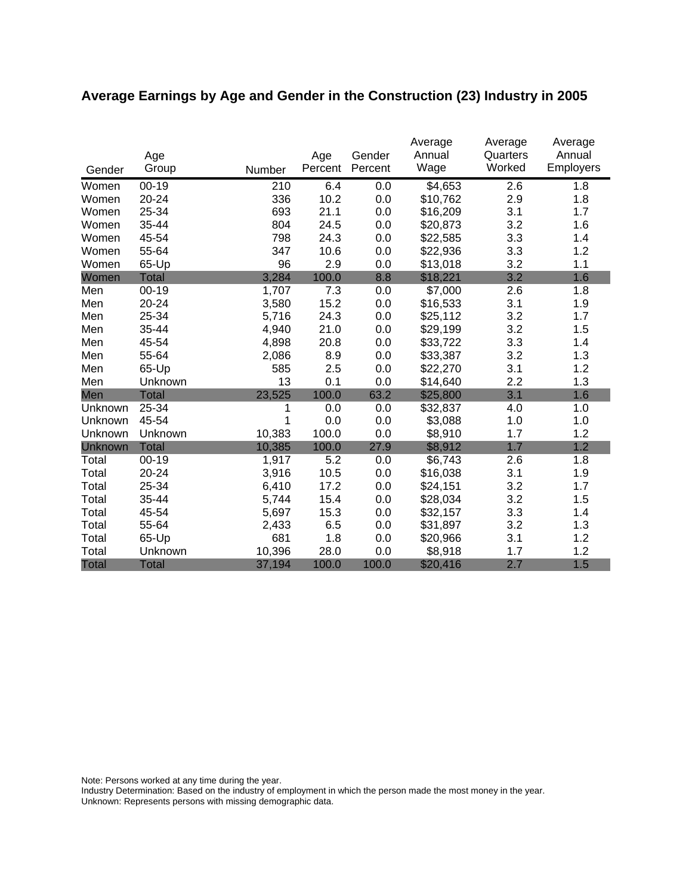# **Average Earnings by Age and Gender in the Construction (23) Industry in 2005**

|                | Age          |        | Age     | Gender  | Average<br>Annual | Average<br>Quarters | Average<br>Annual |
|----------------|--------------|--------|---------|---------|-------------------|---------------------|-------------------|
| Gender         | Group        | Number | Percent | Percent | Wage              | Worked              | Employers         |
| Women          | $00 - 19$    | 210    | 6.4     | 0.0     | \$4,653           | 2.6                 | 1.8               |
| Women          | 20-24        | 336    | 10.2    | 0.0     | \$10,762          | 2.9                 | 1.8               |
| Women          | 25-34        | 693    | 21.1    | 0.0     | \$16,209          | 3.1                 | 1.7               |
| Women          | 35-44        | 804    | 24.5    | 0.0     | \$20,873          | 3.2                 | 1.6               |
| Women          | 45-54        | 798    | 24.3    | 0.0     | \$22,585          | 3.3                 | 1.4               |
| Women          | 55-64        | 347    | 10.6    | 0.0     | \$22,936          | 3.3                 | 1.2               |
| Women          | 65-Up        | 96     | 2.9     | 0.0     | \$13,018          | 3.2                 | 1.1               |
| Women          | <b>Total</b> | 3,284  | 100.0   | 8.8     | \$18,221          | 3.2                 | 1.6               |
| Men            | $00 - 19$    | 1,707  | 7.3     | 0.0     | \$7,000           | 2.6                 | 1.8               |
| Men            | 20-24        | 3,580  | 15.2    | 0.0     | \$16,533          | 3.1                 | 1.9               |
| Men            | 25-34        | 5,716  | 24.3    | 0.0     | \$25,112          | 3.2                 | 1.7               |
| Men            | 35-44        | 4,940  | 21.0    | 0.0     | \$29,199          | 3.2                 | 1.5               |
| Men            | 45-54        | 4,898  | 20.8    | 0.0     | \$33,722          | 3.3                 | 1.4               |
| Men            | 55-64        | 2,086  | 8.9     | 0.0     | \$33,387          | 3.2                 | 1.3               |
| Men            | 65-Up        | 585    | 2.5     | 0.0     | \$22,270          | 3.1                 | 1.2               |
| Men            | Unknown      | 13     | 0.1     | 0.0     | \$14,640          | 2.2                 | 1.3               |
| Men            | <b>Total</b> | 23,525 | 100.0   | 63.2    | \$25,800          | 3.1                 | 1.6               |
| Unknown        | 25-34        | 1      | 0.0     | 0.0     | \$32,837          | 4.0                 | 1.0               |
| Unknown        | 45-54        | 1      | 0.0     | 0.0     | \$3,088           | 1.0                 | 1.0               |
| Unknown        | Unknown      | 10,383 | 100.0   | 0.0     | \$8,910           | 1.7                 | 1.2               |
| <b>Unknown</b> | <b>Total</b> | 10,385 | 100.0   | 27.9    | \$8,912           | 1.7                 | 1.2               |
| Total          | $00 - 19$    | 1,917  | 5.2     | 0.0     | \$6,743           | 2.6                 | 1.8               |
| Total          | 20-24        | 3,916  | 10.5    | 0.0     | \$16,038          | 3.1                 | 1.9               |
| Total          | 25-34        | 6,410  | 17.2    | 0.0     | \$24,151          | 3.2                 | 1.7               |
| Total          | 35-44        | 5,744  | 15.4    | 0.0     | \$28,034          | 3.2                 | 1.5               |
| Total          | 45-54        | 5,697  | 15.3    | 0.0     | \$32,157          | 3.3                 | 1.4               |
| Total          | 55-64        | 2,433  | 6.5     | 0.0     | \$31,897          | 3.2                 | 1.3               |
| Total          | 65-Up        | 681    | 1.8     | 0.0     | \$20,966          | 3.1                 | 1.2               |
| Total          | Unknown      | 10,396 | 28.0    | 0.0     | \$8,918           | 1.7                 | 1.2               |
| <b>Total</b>   | <b>Total</b> | 37,194 | 100.0   | 100.0   | \$20,416          | 2.7                 | 1.5               |

Note: Persons worked at any time during the year.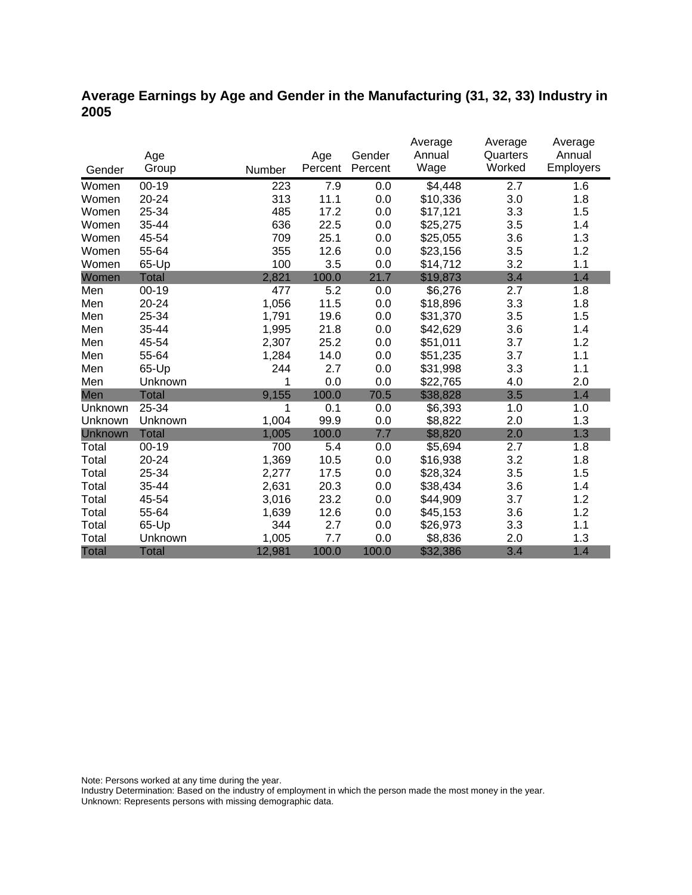### **Average Earnings by Age and Gender in the Manufacturing (31, 32, 33) Industry in 2005**

|              |              |        |         |         | Average  | Average  | Average          |
|--------------|--------------|--------|---------|---------|----------|----------|------------------|
|              | Age          |        | Age     | Gender  | Annual   | Quarters | Annual           |
| Gender       | Group        | Number | Percent | Percent | Wage     | Worked   | <b>Employers</b> |
| Women        | $00 - 19$    | 223    | 7.9     | 0.0     | \$4,448  | 2.7      | 1.6              |
| Women        | 20-24        | 313    | 11.1    | 0.0     | \$10,336 | 3.0      | 1.8              |
| Women        | 25-34        | 485    | 17.2    | 0.0     | \$17,121 | 3.3      | 1.5              |
| Women        | 35-44        | 636    | 22.5    | 0.0     | \$25,275 | 3.5      | 1.4              |
| Women        | 45-54        | 709    | 25.1    | 0.0     | \$25,055 | 3.6      | 1.3              |
| Women        | 55-64        | 355    | 12.6    | 0.0     | \$23,156 | 3.5      | 1.2              |
| Women        | 65-Up        | 100    | 3.5     | 0.0     | \$14,712 | 3.2      | 1.1              |
| Women        | <b>Total</b> | 2,821  | 100.0   | 21.7    | \$19,873 | 3.4      | 1.4              |
| Men          | $00 - 19$    | 477    | 5.2     | 0.0     | \$6,276  | 2.7      | 1.8              |
| Men          | 20-24        | 1,056  | 11.5    | 0.0     | \$18,896 | 3.3      | 1.8              |
| Men          | 25-34        | 1,791  | 19.6    | 0.0     | \$31,370 | 3.5      | 1.5              |
| Men          | 35-44        | 1,995  | 21.8    | 0.0     | \$42,629 | 3.6      | 1.4              |
| Men          | 45-54        | 2,307  | 25.2    | 0.0     | \$51,011 | 3.7      | 1.2              |
| Men          | 55-64        | 1,284  | 14.0    | 0.0     | \$51,235 | 3.7      | 1.1              |
| Men          | 65-Up        | 244    | 2.7     | 0.0     | \$31,998 | 3.3      | 1.1              |
| Men          | Unknown      | 1      | 0.0     | 0.0     | \$22,765 | 4.0      | 2.0              |
| Men          | <b>Total</b> | 9,155  | 100.0   | 70.5    | \$38,828 | 3.5      | 1.4              |
| Unknown      | 25-34        | 1      | 0.1     | 0.0     | \$6,393  | 1.0      | 1.0              |
| Unknown      | Unknown      | 1,004  | 99.9    | 0.0     | \$8,822  | 2.0      | 1.3              |
| Unknown      | <b>Total</b> | 1,005  | 100.0   | 7.7     | \$8,820  | 2.0      | 1.3              |
| Total        | $00 - 19$    | 700    | 5.4     | 0.0     | \$5,694  | 2.7      | 1.8              |
| Total        | 20-24        | 1,369  | 10.5    | 0.0     | \$16,938 | 3.2      | 1.8              |
| Total        | 25-34        | 2,277  | 17.5    | 0.0     | \$28,324 | 3.5      | 1.5              |
| Total        | 35-44        | 2,631  | 20.3    | 0.0     | \$38,434 | 3.6      | 1.4              |
| Total        | 45-54        | 3,016  | 23.2    | 0.0     | \$44,909 | 3.7      | 1.2              |
| Total        | 55-64        | 1,639  | 12.6    | 0.0     | \$45,153 | 3.6      | 1.2              |
| Total        | 65-Up        | 344    | 2.7     | 0.0     | \$26,973 | 3.3      | 1.1              |
| Total        | Unknown      | 1,005  | 7.7     | 0.0     | \$8,836  | 2.0      | 1.3              |
| <b>Total</b> | <b>Total</b> | 12,981 | 100.0   | 100.0   | \$32,386 | 3.4      | 1.4              |

Note: Persons worked at any time during the year.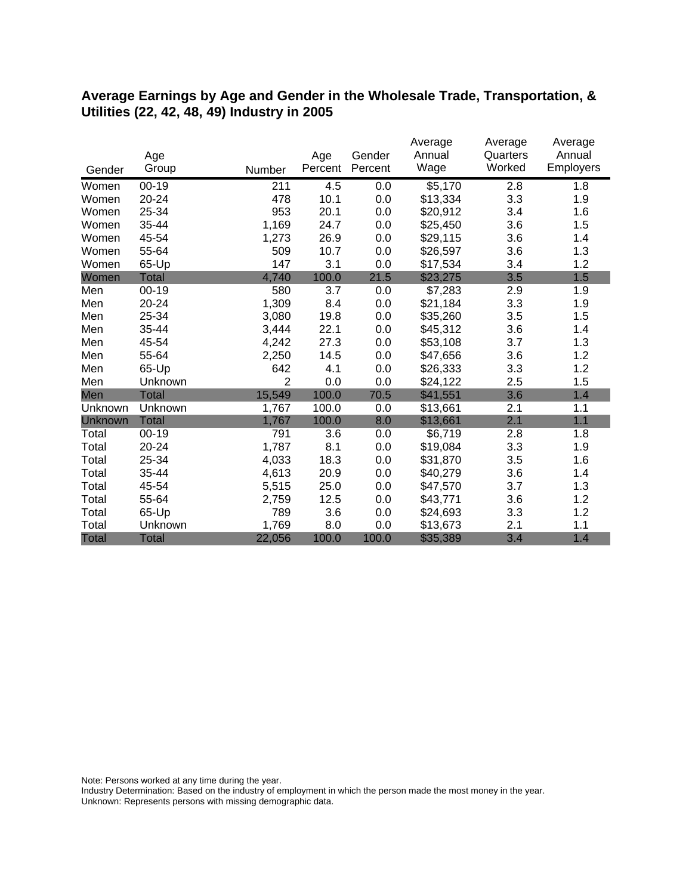#### **Average Earnings by Age and Gender in the Wholesale Trade, Transportation, & Utilities (22, 42, 48, 49) Industry in 2005**

|              |              |                |         |         | Average  | Average  | Average   |
|--------------|--------------|----------------|---------|---------|----------|----------|-----------|
|              | Age          |                | Age     | Gender  | Annual   | Quarters | Annual    |
| Gender       | Group        | Number         | Percent | Percent | Wage     | Worked   | Employers |
| Women        | $00 - 19$    | 211            | 4.5     | 0.0     | \$5,170  | 2.8      | 1.8       |
| Women        | 20-24        | 478            | 10.1    | 0.0     | \$13,334 | 3.3      | 1.9       |
| Women        | 25-34        | 953            | 20.1    | 0.0     | \$20,912 | 3.4      | 1.6       |
| Women        | 35-44        | 1,169          | 24.7    | 0.0     | \$25,450 | 3.6      | 1.5       |
| Women        | 45-54        | 1,273          | 26.9    | 0.0     | \$29,115 | 3.6      | 1.4       |
| Women        | 55-64        | 509            | 10.7    | 0.0     | \$26,597 | 3.6      | 1.3       |
| Women        | 65-Up        | 147            | 3.1     | 0.0     | \$17,534 | 3.4      | 1.2       |
| Women        | <b>Total</b> | 4,740          | 100.0   | 21.5    | \$23,275 | 3.5      | 1.5       |
| Men          | $00 - 19$    | 580            | 3.7     | 0.0     | \$7,283  | 2.9      | 1.9       |
| Men          | 20-24        | 1,309          | 8.4     | 0.0     | \$21,184 | 3.3      | 1.9       |
| Men          | 25-34        | 3,080          | 19.8    | 0.0     | \$35,260 | 3.5      | 1.5       |
| Men          | 35-44        | 3,444          | 22.1    | 0.0     | \$45,312 | 3.6      | 1.4       |
| Men          | 45-54        | 4,242          | 27.3    | 0.0     | \$53,108 | 3.7      | 1.3       |
| Men          | 55-64        | 2,250          | 14.5    | 0.0     | \$47,656 | 3.6      | 1.2       |
| Men          | 65-Up        | 642            | 4.1     | 0.0     | \$26,333 | 3.3      | 1.2       |
| Men          | Unknown      | $\overline{2}$ | 0.0     | 0.0     | \$24,122 | 2.5      | 1.5       |
| Men          | Total        | 15,549         | 100.0   | 70.5    | \$41,551 | 3.6      | 1.4       |
| Unknown      | Unknown      | 1,767          | 100.0   | 0.0     | \$13,661 | 2.1      | 1.1       |
| Unknown      | <b>Total</b> | 1,767          | 100.0   | 8.0     | \$13,661 | 2.1      | 1.1       |
| Total        | $00 - 19$    | 791            | 3.6     | 0.0     | \$6,719  | 2.8      | 1.8       |
| Total        | 20-24        | 1,787          | 8.1     | 0.0     | \$19,084 | 3.3      | 1.9       |
| Total        | 25-34        | 4,033          | 18.3    | 0.0     | \$31,870 | 3.5      | 1.6       |
| Total        | 35-44        | 4,613          | 20.9    | 0.0     | \$40,279 | 3.6      | 1.4       |
| Total        | 45-54        | 5,515          | 25.0    | 0.0     | \$47,570 | 3.7      | 1.3       |
| Total        | 55-64        | 2,759          | 12.5    | 0.0     | \$43,771 | 3.6      | 1.2       |
| Total        | 65-Up        | 789            | 3.6     | 0.0     | \$24,693 | 3.3      | 1.2       |
| Total        | Unknown      | 1,769          | 8.0     | 0.0     | \$13,673 | 2.1      | 1.1       |
| <b>Total</b> | <b>Total</b> | 22,056         | 100.0   | 100.0   | \$35,389 | 3.4      | 1.4       |

Note: Persons worked at any time during the year.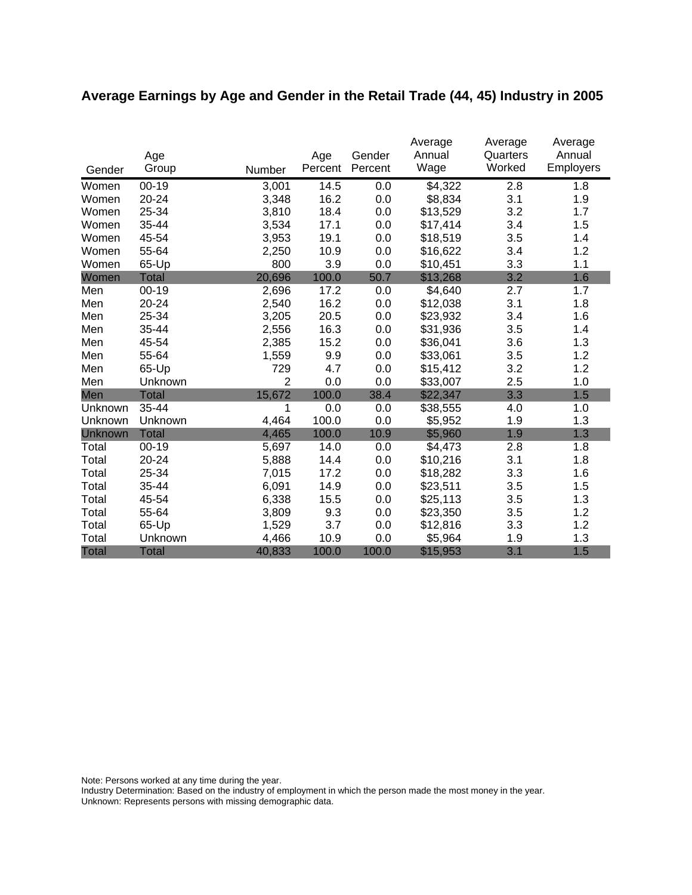# **Average Earnings by Age and Gender in the Retail Trade (44, 45) Industry in 2005**

|              | Age          |                | Age     | Gender  | Average<br>Annual | Average<br>Quarters | Average<br>Annual |
|--------------|--------------|----------------|---------|---------|-------------------|---------------------|-------------------|
| Gender       | Group        | Number         | Percent | Percent | Wage              | Worked              | Employers         |
| Women        | $00 - 19$    | 3,001          | 14.5    | 0.0     | \$4,322           | 2.8                 | 1.8               |
| Women        | 20-24        | 3,348          | 16.2    | 0.0     | \$8,834           | 3.1                 | 1.9               |
| Women        | 25-34        | 3,810          | 18.4    | 0.0     | \$13,529          | 3.2                 | 1.7               |
| Women        | 35-44        | 3,534          | 17.1    | 0.0     | \$17,414          | 3.4                 | 1.5               |
| Women        | 45-54        | 3,953          | 19.1    | 0.0     | \$18,519          | 3.5                 | 1.4               |
| Women        | 55-64        | 2,250          | 10.9    | 0.0     | \$16,622          | 3.4                 | 1.2               |
| Women        | 65-Up        | 800            | 3.9     | 0.0     | \$10,451          | 3.3                 | 1.1               |
| Women        | <b>Total</b> | 20,696         | 100.0   | 50.7    | \$13,268          | 3.2                 | 1.6               |
| Men          | $00 - 19$    | 2,696          | 17.2    | 0.0     | \$4,640           | 2.7                 | 1.7               |
| Men          | 20-24        | 2,540          | 16.2    | 0.0     | \$12,038          | 3.1                 | 1.8               |
| Men          | 25-34        | 3,205          | 20.5    | 0.0     | \$23,932          | 3.4                 | 1.6               |
| Men          | 35-44        | 2,556          | 16.3    | 0.0     | \$31,936          | 3.5                 | 1.4               |
| Men          | 45-54        | 2,385          | 15.2    | 0.0     | \$36,041          | 3.6                 | 1.3               |
| Men          | 55-64        | 1,559          | 9.9     | 0.0     | \$33,061          | 3.5                 | 1.2               |
| Men          | 65-Up        | 729            | 4.7     | 0.0     | \$15,412          | 3.2                 | 1.2               |
| Men          | Unknown      | $\overline{2}$ | 0.0     | 0.0     | \$33,007          | 2.5                 | 1.0               |
| Men          | <b>Total</b> | 15,672         | 100.0   | 38.4    | \$22,347          | 3.3                 | 1.5               |
| Unknown      | 35-44        | 1              | 0.0     | 0.0     | \$38,555          | 4.0                 | 1.0               |
| Unknown      | Unknown      | 4,464          | 100.0   | 0.0     | \$5,952           | 1.9                 | 1.3               |
| Unknown      | <b>Total</b> | 4,465          | 100.0   | 10.9    | \$5,960           | 1.9                 | 1.3               |
| Total        | $00 - 19$    | 5,697          | 14.0    | 0.0     | \$4,473           | 2.8                 | 1.8               |
| Total        | 20-24        | 5,888          | 14.4    | 0.0     | \$10,216          | 3.1                 | 1.8               |
| Total        | 25-34        | 7,015          | 17.2    | 0.0     | \$18,282          | 3.3                 | 1.6               |
| Total        | 35-44        | 6,091          | 14.9    | 0.0     | \$23,511          | 3.5                 | 1.5               |
| Total        | 45-54        | 6,338          | 15.5    | 0.0     | \$25,113          | 3.5                 | 1.3               |
| Total        | 55-64        | 3,809          | 9.3     | 0.0     | \$23,350          | 3.5                 | 1.2               |
| Total        | 65-Up        | 1,529          | 3.7     | 0.0     | \$12,816          | 3.3                 | 1.2               |
| Total        | Unknown      | 4,466          | 10.9    | 0.0     | \$5,964           | 1.9                 | 1.3               |
| <b>Total</b> | <b>Total</b> | 40,833         | 100.0   | 100.0   | \$15,953          | 3.1                 | 1.5               |

Note: Persons worked at any time during the year.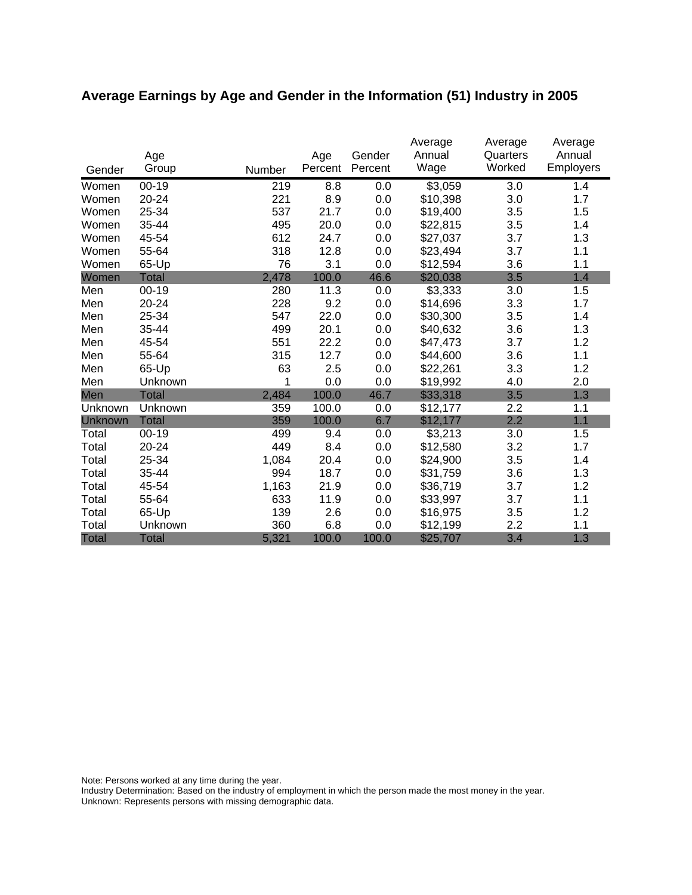# **Average Earnings by Age and Gender in the Information (51) Industry in 2005**

|              | Age          |        | Age<br>Percent | Gender<br>Percent | Average<br>Annual<br>Wage | Average<br>Quarters<br>Worked | Average<br>Annual<br><b>Employers</b> |
|--------------|--------------|--------|----------------|-------------------|---------------------------|-------------------------------|---------------------------------------|
| Gender       | Group        | Number |                |                   |                           |                               |                                       |
| Women        | $00 - 19$    | 219    | 8.8            | 0.0               | \$3,059                   | 3.0                           | 1.4                                   |
| Women        | 20-24        | 221    | 8.9            | 0.0               | \$10,398                  | 3.0                           | 1.7                                   |
| Women        | 25-34        | 537    | 21.7           | 0.0               | \$19,400                  | 3.5                           | 1.5                                   |
| Women        | 35-44        | 495    | 20.0           | 0.0               | \$22,815                  | 3.5                           | 1.4                                   |
| Women        | 45-54        | 612    | 24.7           | 0.0               | \$27,037                  | 3.7                           | 1.3                                   |
| Women        | 55-64        | 318    | 12.8           | 0.0               | \$23,494                  | 3.7                           | 1.1                                   |
| Women        | 65-Up        | 76     | 3.1            | 0.0               | \$12,594                  | 3.6                           | 1.1                                   |
| Women        | <b>Total</b> | 2,478  | 100.0          | 46.6              | \$20,038                  | 3.5                           | 1.4                                   |
| Men          | $00 - 19$    | 280    | 11.3           | 0.0               | \$3,333                   | 3.0                           | 1.5                                   |
| Men          | 20-24        | 228    | 9.2            | 0.0               | \$14,696                  | 3.3                           | 1.7                                   |
| Men          | 25-34        | 547    | 22.0           | 0.0               | \$30,300                  | 3.5                           | 1.4                                   |
| Men          | 35-44        | 499    | 20.1           | 0.0               | \$40,632                  | 3.6                           | 1.3                                   |
| Men          | 45-54        | 551    | 22.2           | 0.0               | \$47,473                  | 3.7                           | 1.2                                   |
| Men          | 55-64        | 315    | 12.7           | 0.0               | \$44,600                  | 3.6                           | 1.1                                   |
| Men          | 65-Up        | 63     | 2.5            | 0.0               | \$22,261                  | 3.3                           | 1.2                                   |
| Men          | Unknown      | 1      | 0.0            | 0.0               | \$19,992                  | 4.0                           | 2.0                                   |
| Men          | <b>Total</b> | 2,484  | 100.0          | 46.7              | \$33,318                  | 3.5                           | 1.3                                   |
| Unknown      | Unknown      | 359    | 100.0          | 0.0               | \$12,177                  | 2.2                           | 1.1                                   |
| Unknown      | <b>Total</b> | 359    | 100.0          | 6.7               | \$12,177                  | 2.2                           | 1.1                                   |
| Total        | $00 - 19$    | 499    | 9.4            | 0.0               | \$3,213                   | 3.0                           | 1.5                                   |
| Total        | 20-24        | 449    | 8.4            | 0.0               | \$12,580                  | 3.2                           | 1.7                                   |
| Total        | 25-34        | 1,084  | 20.4           | 0.0               | \$24,900                  | 3.5                           | 1.4                                   |
| Total        | 35-44        | 994    | 18.7           | 0.0               | \$31,759                  | 3.6                           | 1.3                                   |
| Total        | 45-54        | 1,163  | 21.9           | 0.0               | \$36,719                  | 3.7                           | 1.2                                   |
| Total        | 55-64        | 633    | 11.9           | 0.0               | \$33,997                  | 3.7                           | 1.1                                   |
| Total        | 65-Up        | 139    | 2.6            | 0.0               | \$16,975                  | 3.5                           | 1.2                                   |
| Total        | Unknown      | 360    | 6.8            | 0.0               | \$12,199                  | 2.2                           | 1.1                                   |
| <b>Total</b> | <b>Total</b> | 5,321  | 100.0          | 100.0             | \$25,707                  | 3.4                           | 1.3                                   |

Note: Persons worked at any time during the year.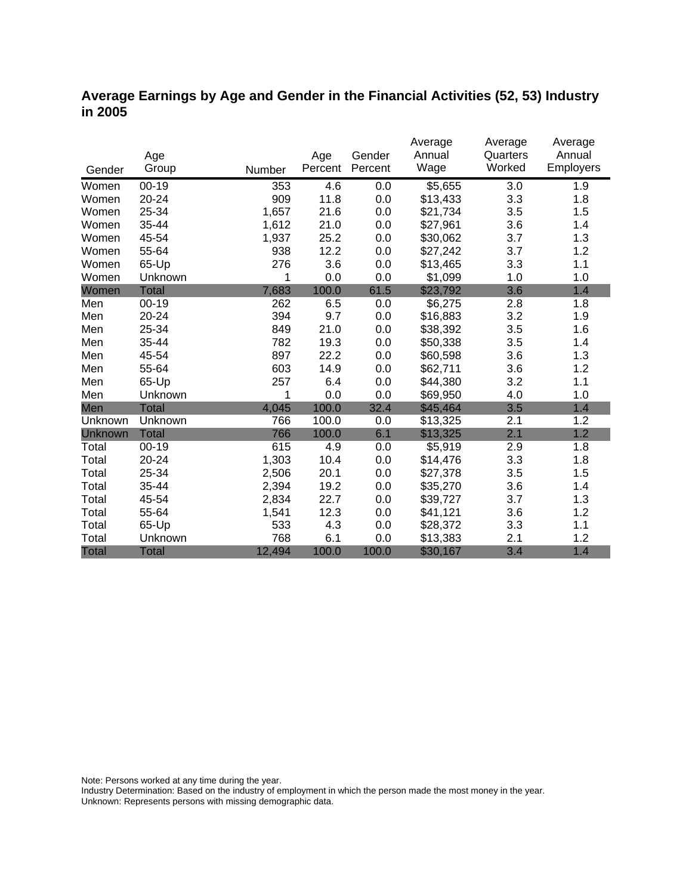### **Average Earnings by Age and Gender in the Financial Activities (52, 53) Industry in 2005**

|              |              |        |         |         | Average             | Average  | Average   |
|--------------|--------------|--------|---------|---------|---------------------|----------|-----------|
|              | Age          |        | Age     | Gender  | Annual              | Quarters | Annual    |
| Gender       | Group        | Number | Percent | Percent | Wage                | Worked   | Employers |
| Women        | $00 - 19$    | 353    | 4.6     | 0.0     | $\overline{$}5,655$ | 3.0      | 1.9       |
| Women        | 20-24        | 909    | 11.8    | 0.0     | \$13,433            | 3.3      | 1.8       |
| Women        | 25-34        | 1,657  | 21.6    | 0.0     | \$21,734            | 3.5      | 1.5       |
| Women        | 35-44        | 1,612  | 21.0    | 0.0     | \$27,961            | 3.6      | 1.4       |
| Women        | 45-54        | 1,937  | 25.2    | 0.0     | \$30,062            | 3.7      | 1.3       |
| Women        | 55-64        | 938    | 12.2    | 0.0     | \$27,242            | 3.7      | 1.2       |
| Women        | 65-Up        | 276    | 3.6     | 0.0     | \$13,465            | 3.3      | 1.1       |
| Women        | Unknown      | 1      | 0.0     | 0.0     | \$1,099             | 1.0      | 1.0       |
| Women        | <b>Total</b> | 7,683  | 100.0   | 61.5    | \$23,792            | 3.6      | 1.4       |
| Men          | $00 - 19$    | 262    | 6.5     | 0.0     | \$6,275             | 2.8      | 1.8       |
| Men          | 20-24        | 394    | 9.7     | 0.0     | \$16,883            | 3.2      | 1.9       |
| Men          | 25-34        | 849    | 21.0    | 0.0     | \$38,392            | 3.5      | 1.6       |
| Men          | 35-44        | 782    | 19.3    | 0.0     | \$50,338            | 3.5      | 1.4       |
| Men          | 45-54        | 897    | 22.2    | 0.0     | \$60,598            | 3.6      | 1.3       |
| Men          | 55-64        | 603    | 14.9    | 0.0     | \$62,711            | 3.6      | 1.2       |
| Men          | 65-Up        | 257    | 6.4     | 0.0     | \$44,380            | 3.2      | 1.1       |
| Men          | Unknown      | 1      | 0.0     | 0.0     | \$69,950            | 4.0      | 1.0       |
| Men          | <b>Total</b> | 4,045  | 100.0   | 32.4    | \$45,464            | 3.5      | 1.4       |
| Unknown      | Unknown      | 766    | 100.0   | 0.0     | \$13,325            | 2.1      | 1.2       |
| Unknown      | <b>Total</b> | 766    | 100.0   | 6.1     | \$13,325            | 2.1      | 1.2       |
| Total        | $00 - 19$    | 615    | 4.9     | 0.0     | \$5,919             | 2.9      | 1.8       |
| Total        | $20 - 24$    | 1,303  | 10.4    | 0.0     | \$14,476            | 3.3      | 1.8       |
| Total        | 25-34        | 2,506  | 20.1    | 0.0     | \$27,378            | 3.5      | 1.5       |
| Total        | 35-44        | 2,394  | 19.2    | 0.0     | \$35,270            | 3.6      | 1.4       |
| Total        | 45-54        | 2,834  | 22.7    | 0.0     | \$39,727            | 3.7      | 1.3       |
| Total        | 55-64        | 1,541  | 12.3    | 0.0     | \$41,121            | 3.6      | 1.2       |
| Total        | 65-Up        | 533    | 4.3     | 0.0     | \$28,372            | 3.3      | 1.1       |
| Total        | Unknown      | 768    | 6.1     | 0.0     | \$13,383            | 2.1      | 1.2       |
| <b>Total</b> | <b>Total</b> | 12,494 | 100.0   | 100.0   | \$30,167            | 3.4      | 1.4       |

Note: Persons worked at any time during the year.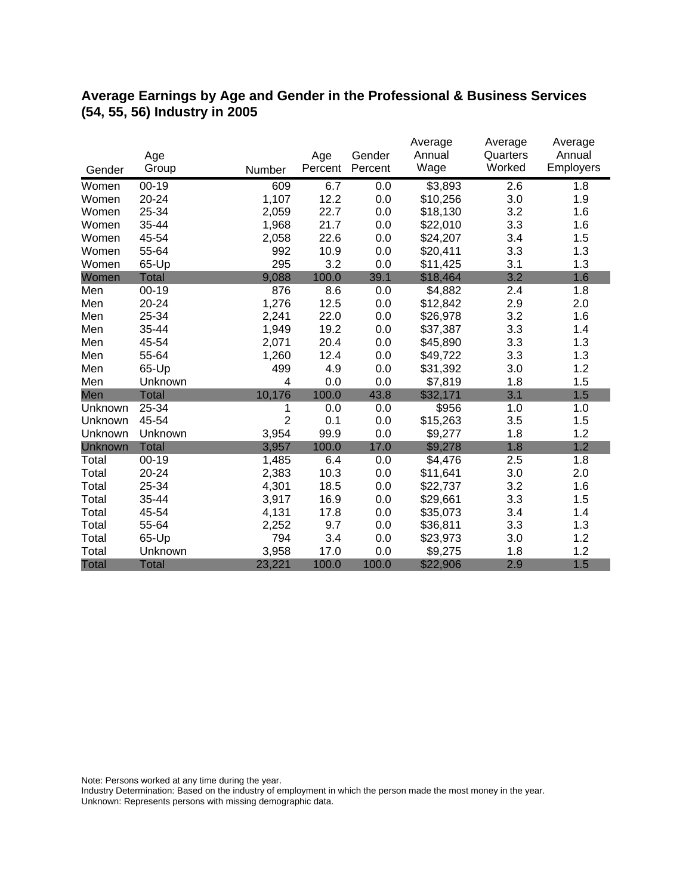### **Average Earnings by Age and Gender in the Professional & Business Services (54, 55, 56) Industry in 2005**

|              |              |                |         |         | Average  | Average  | Average   |
|--------------|--------------|----------------|---------|---------|----------|----------|-----------|
|              | Age          |                | Age     | Gender  | Annual   | Quarters | Annual    |
| Gender       | Group        | Number         | Percent | Percent | Wage     | Worked   | Employers |
| Women        | $00 - 19$    | 609            | 6.7     | 0.0     | \$3,893  | 2.6      | 1.8       |
| Women        | 20-24        | 1,107          | 12.2    | 0.0     | \$10,256 | 3.0      | 1.9       |
| Women        | 25-34        | 2,059          | 22.7    | 0.0     | \$18,130 | 3.2      | 1.6       |
| Women        | 35-44        | 1,968          | 21.7    | 0.0     | \$22,010 | 3.3      | 1.6       |
| Women        | 45-54        | 2,058          | 22.6    | 0.0     | \$24,207 | 3.4      | 1.5       |
| Women        | 55-64        | 992            | 10.9    | 0.0     | \$20,411 | 3.3      | 1.3       |
| Women        | 65-Up        | 295            | 3.2     | 0.0     | \$11,425 | 3.1      | 1.3       |
| Women        | <b>Total</b> | 9,088          | 100.0   | 39.1    | \$18,464 | 3.2      | 1.6       |
| Men          | $00 - 19$    | 876            | 8.6     | 0.0     | \$4,882  | 2.4      | 1.8       |
| Men          | 20-24        | 1,276          | 12.5    | 0.0     | \$12,842 | 2.9      | 2.0       |
| Men          | 25-34        | 2,241          | 22.0    | 0.0     | \$26,978 | 3.2      | 1.6       |
| Men          | 35-44        | 1,949          | 19.2    | 0.0     | \$37,387 | 3.3      | 1.4       |
| Men          | 45-54        | 2,071          | 20.4    | 0.0     | \$45,890 | 3.3      | 1.3       |
| Men          | 55-64        | 1,260          | 12.4    | 0.0     | \$49,722 | 3.3      | 1.3       |
| Men          | 65-Up        | 499            | 4.9     | 0.0     | \$31,392 | 3.0      | 1.2       |
| Men          | Unknown      | 4              | 0.0     | 0.0     | \$7,819  | 1.8      | 1.5       |
| Men          | <b>Total</b> | 10,176         | 100.0   | 43.8    | \$32,171 | 3.1      | 1.5       |
| Unknown      | 25-34        | 1              | 0.0     | 0.0     | \$956    | 1.0      | 1.0       |
| Unknown      | 45-54        | $\overline{2}$ | 0.1     | 0.0     | \$15,263 | 3.5      | 1.5       |
| Unknown      | Unknown      | 3,954          | 99.9    | 0.0     | \$9,277  | 1.8      | 1.2       |
| Unknown      | <b>Total</b> | 3,957          | 100.0   | 17.0    | \$9,278  | 1.8      | 1.2       |
| Total        | $00 - 19$    | 1,485          | 6.4     | 0.0     | \$4,476  | 2.5      | 1.8       |
| Total        | 20-24        | 2,383          | 10.3    | 0.0     | \$11,641 | 3.0      | 2.0       |
| Total        | 25-34        | 4,301          | 18.5    | 0.0     | \$22,737 | 3.2      | 1.6       |
| Total        | 35-44        | 3,917          | 16.9    | 0.0     | \$29,661 | 3.3      | 1.5       |
| Total        | 45-54        | 4,131          | 17.8    | 0.0     | \$35,073 | 3.4      | 1.4       |
| Total        | 55-64        | 2,252          | 9.7     | 0.0     | \$36,811 | 3.3      | 1.3       |
| Total        | 65-Up        | 794            | 3.4     | 0.0     | \$23,973 | 3.0      | 1.2       |
| Total        | Unknown      | 3,958          | 17.0    | 0.0     | \$9,275  | 1.8      | 1.2       |
| <b>Total</b> | <b>Total</b> | 23,221         | 100.0   | 100.0   | \$22,906 | 2.9      | 1.5       |

Note: Persons worked at any time during the year.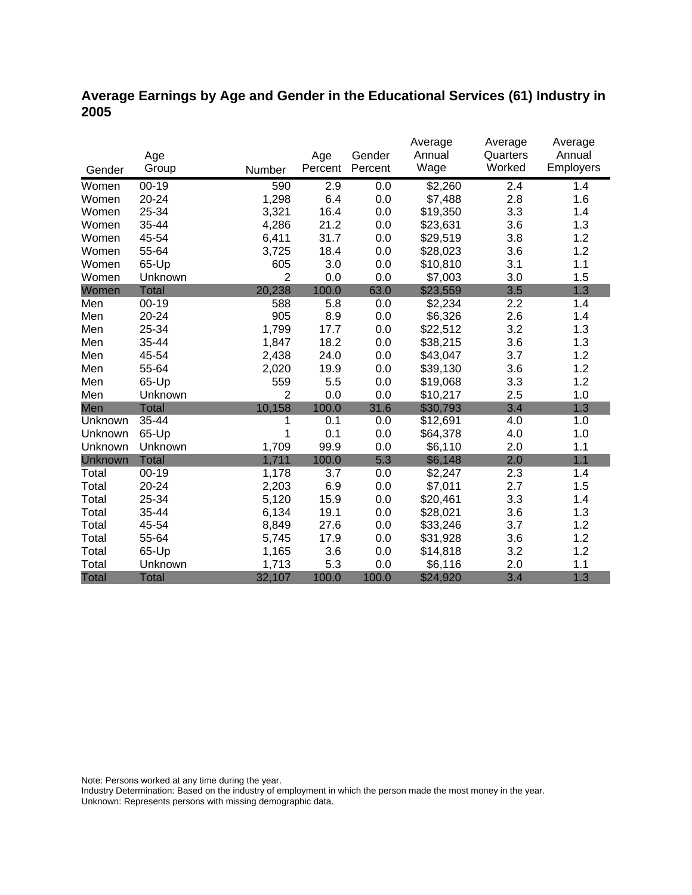### **Average Earnings by Age and Gender in the Educational Services (61) Industry in 2005**

|              |              |                |         |         | Average  | Average  | Average   |
|--------------|--------------|----------------|---------|---------|----------|----------|-----------|
|              | Age          |                | Age     | Gender  | Annual   | Quarters | Annual    |
| Gender       | Group        | Number         | Percent | Percent | Wage     | Worked   | Employers |
| Women        | $00 - 19$    | 590            | 2.9     | 0.0     | \$2,260  | 2.4      | 1.4       |
| Women        | $20 - 24$    | 1,298          | 6.4     | 0.0     | \$7,488  | 2.8      | 1.6       |
| Women        | 25-34        | 3,321          | 16.4    | 0.0     | \$19,350 | 3.3      | 1.4       |
| Women        | 35-44        | 4,286          | 21.2    | 0.0     | \$23,631 | 3.6      | 1.3       |
| Women        | 45-54        | 6,411          | 31.7    | 0.0     | \$29,519 | 3.8      | 1.2       |
| Women        | 55-64        | 3,725          | 18.4    | 0.0     | \$28,023 | 3.6      | 1.2       |
| Women        | 65-Up        | 605            | 3.0     | 0.0     | \$10,810 | 3.1      | 1.1       |
| Women        | Unknown      | $\overline{2}$ | 0.0     | 0.0     | \$7,003  | 3.0      | 1.5       |
| Women        | <b>Total</b> | 20,238         | 100.0   | 63.0    | \$23,559 | 3.5      | 1.3       |
| Men          | $00 - 19$    | 588            | 5.8     | 0.0     | \$2,234  | 2.2      | 1.4       |
| Men          | 20-24        | 905            | 8.9     | 0.0     | \$6,326  | 2.6      | 1.4       |
| Men          | 25-34        | 1,799          | 17.7    | 0.0     | \$22,512 | 3.2      | 1.3       |
| Men          | 35-44        | 1,847          | 18.2    | 0.0     | \$38,215 | 3.6      | 1.3       |
| Men          | 45-54        | 2,438          | 24.0    | 0.0     | \$43,047 | 3.7      | 1.2       |
| Men          | 55-64        | 2,020          | 19.9    | 0.0     | \$39,130 | 3.6      | 1.2       |
| Men          | 65-Up        | 559            | 5.5     | 0.0     | \$19,068 | 3.3      | 1.2       |
| Men          | Unknown      | $\overline{2}$ | 0.0     | 0.0     | \$10,217 | 2.5      | 1.0       |
| Men          | <b>Total</b> | 10,158         | 100.0   | 31.6    | \$30,793 | 3.4      | 1.3       |
| Unknown      | 35-44        | 1              | 0.1     | 0.0     | \$12,691 | 4.0      | 1.0       |
| Unknown      | 65-Up        | 1              | 0.1     | 0.0     | \$64,378 | 4.0      | 1.0       |
| Unknown      | Unknown      | 1,709          | 99.9    | 0.0     | \$6,110  | 2.0      | 1.1       |
| Unknown      | <b>Total</b> | 1,711          | 100.0   | 5.3     | \$6,148  | 2.0      | 1.1       |
| Total        | $00 - 19$    | 1,178          | 3.7     | 0.0     | \$2,247  | 2.3      | 1.4       |
| Total        | 20-24        | 2,203          | 6.9     | 0.0     | \$7,011  | 2.7      | 1.5       |
| Total        | 25-34        | 5,120          | 15.9    | 0.0     | \$20,461 | 3.3      | 1.4       |
| Total        | 35-44        | 6,134          | 19.1    | 0.0     | \$28,021 | 3.6      | 1.3       |
| Total        | 45-54        | 8,849          | 27.6    | 0.0     | \$33,246 | 3.7      | 1.2       |
| Total        | 55-64        | 5,745          | 17.9    | 0.0     | \$31,928 | 3.6      | 1.2       |
| Total        | 65-Up        | 1,165          | 3.6     | 0.0     | \$14,818 | 3.2      | 1.2       |
| Total        | Unknown      | 1,713          | 5.3     | 0.0     | \$6,116  | 2.0      | 1.1       |
| <b>Total</b> | <b>Total</b> | 32,107         | 100.0   | 100.0   | \$24,920 | 3.4      | 1.3       |

Note: Persons worked at any time during the year.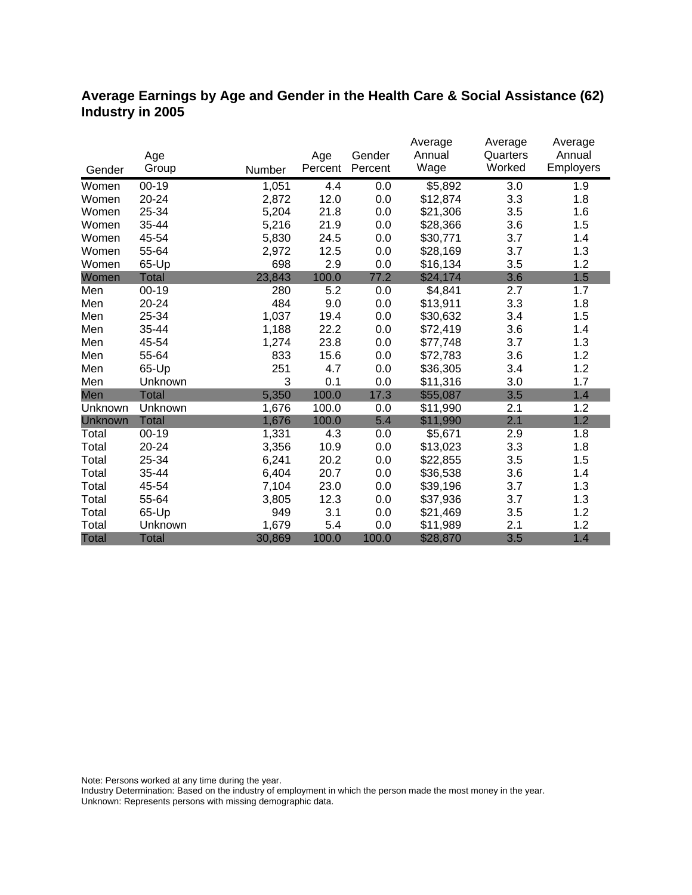### **Average Earnings by Age and Gender in the Health Care & Social Assistance (62) Industry in 2005**

|              |              |        |         |         | Average             | Average  | Average   |
|--------------|--------------|--------|---------|---------|---------------------|----------|-----------|
|              | Age          |        | Age     | Gender  | Annual              | Quarters | Annual    |
| Gender       | Group        | Number | Percent | Percent | Wage                | Worked   | Employers |
| Women        | $00 - 19$    | 1,051  | 4.4     | 0.0     | $\overline{$}5,892$ | 3.0      | 1.9       |
| Women        | 20-24        | 2,872  | 12.0    | 0.0     | \$12,874            | 3.3      | 1.8       |
| Women        | 25-34        | 5,204  | 21.8    | 0.0     | \$21,306            | 3.5      | 1.6       |
| Women        | 35-44        | 5,216  | 21.9    | 0.0     | \$28,366            | 3.6      | 1.5       |
| Women        | 45-54        | 5,830  | 24.5    | 0.0     | \$30,771            | 3.7      | 1.4       |
| Women        | 55-64        | 2,972  | 12.5    | 0.0     | \$28,169            | 3.7      | 1.3       |
| Women        | 65-Up        | 698    | 2.9     | 0.0     | \$16,134            | 3.5      | 1.2       |
| Women        | <b>Total</b> | 23,843 | 100.0   | 77.2    | \$24,174            | 3.6      | 1.5       |
| Men          | $00 - 19$    | 280    | 5.2     | 0.0     | \$4,841             | 2.7      | 1.7       |
| Men          | 20-24        | 484    | 9.0     | 0.0     | \$13,911            | 3.3      | 1.8       |
| Men          | 25-34        | 1,037  | 19.4    | 0.0     | \$30,632            | 3.4      | 1.5       |
| Men          | 35-44        | 1,188  | 22.2    | 0.0     | \$72,419            | 3.6      | 1.4       |
| Men          | 45-54        | 1,274  | 23.8    | 0.0     | \$77,748            | 3.7      | 1.3       |
| Men          | 55-64        | 833    | 15.6    | 0.0     | \$72,783            | 3.6      | 1.2       |
| Men          | 65-Up        | 251    | 4.7     | 0.0     | \$36,305            | 3.4      | 1.2       |
| Men          | Unknown      | 3      | 0.1     | 0.0     | \$11,316            | 3.0      | 1.7       |
| Men          | <b>Total</b> | 5,350  | 100.0   | 17.3    | \$55,087            | 3.5      | 1.4       |
| Unknown      | Unknown      | 1,676  | 100.0   | 0.0     | \$11,990            | 2.1      | 1.2       |
| Unknown      | <b>Total</b> | 1,676  | 100.0   | 5.4     | \$11,990            | 2.1      | 1.2       |
| Total        | $00 - 19$    | 1,331  | 4.3     | 0.0     | \$5,671             | 2.9      | 1.8       |
| Total        | 20-24        | 3,356  | 10.9    | 0.0     | \$13,023            | 3.3      | 1.8       |
| Total        | 25-34        | 6,241  | 20.2    | 0.0     | \$22,855            | 3.5      | 1.5       |
| Total        | 35-44        | 6,404  | 20.7    | 0.0     | \$36,538            | 3.6      | 1.4       |
| Total        | 45-54        | 7,104  | 23.0    | 0.0     | \$39,196            | 3.7      | 1.3       |
| Total        | 55-64        | 3,805  | 12.3    | 0.0     | \$37,936            | 3.7      | 1.3       |
| Total        | 65-Up        | 949    | 3.1     | 0.0     | \$21,469            | 3.5      | 1.2       |
| Total        | Unknown      | 1,679  | 5.4     | 0.0     | \$11,989            | 2.1      | 1.2       |
| <b>Total</b> | <b>Total</b> | 30,869 | 100.0   | 100.0   | \$28,870            | 3.5      | 1.4       |

Note: Persons worked at any time during the year.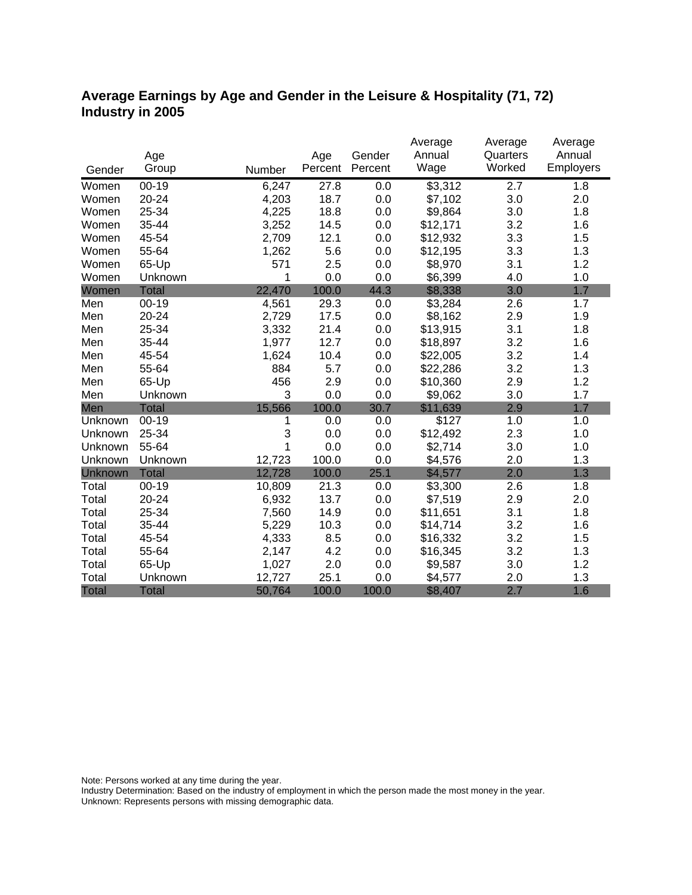### **Average Earnings by Age and Gender in the Leisure & Hospitality (71, 72) Industry in 2005**

|                |              |        |         |         | Average  | Average  | Average   |
|----------------|--------------|--------|---------|---------|----------|----------|-----------|
|                | Age          |        | Age     | Gender  | Annual   | Quarters | Annual    |
| Gender         | Group        | Number | Percent | Percent | Wage     | Worked   | Employers |
| Women          | $00 - 19$    | 6,247  | 27.8    | 0.0     | \$3,312  | 2.7      | 1.8       |
| Women          | 20-24        | 4,203  | 18.7    | 0.0     | \$7,102  | 3.0      | 2.0       |
| Women          | 25-34        | 4,225  | 18.8    | 0.0     | \$9,864  | 3.0      | 1.8       |
| Women          | 35-44        | 3,252  | 14.5    | 0.0     | \$12,171 | 3.2      | 1.6       |
| Women          | 45-54        | 2,709  | 12.1    | 0.0     | \$12,932 | 3.3      | 1.5       |
| Women          | 55-64        | 1,262  | 5.6     | 0.0     | \$12,195 | 3.3      | 1.3       |
| Women          | 65-Up        | 571    | 2.5     | 0.0     | \$8,970  | 3.1      | 1.2       |
| Women          | Unknown      | 1      | 0.0     | 0.0     | \$6,399  | 4.0      | 1.0       |
| Women          | <b>Total</b> | 22,470 | 100.0   | 44.3    | \$8,338  | 3.0      | 1.7       |
| Men            | $00 - 19$    | 4,561  | 29.3    | 0.0     | \$3,284  | 2.6      | 1.7       |
| Men            | 20-24        | 2,729  | 17.5    | 0.0     | \$8,162  | 2.9      | 1.9       |
| Men            | 25-34        | 3,332  | 21.4    | 0.0     | \$13,915 | 3.1      | 1.8       |
| Men            | 35-44        | 1,977  | 12.7    | 0.0     | \$18,897 | 3.2      | 1.6       |
| Men            | 45-54        | 1,624  | 10.4    | 0.0     | \$22,005 | 3.2      | 1.4       |
| Men            | 55-64        | 884    | 5.7     | 0.0     | \$22,286 | 3.2      | 1.3       |
| Men            | 65-Up        | 456    | 2.9     | 0.0     | \$10,360 | 2.9      | 1.2       |
| Men            | Unknown      | 3      | 0.0     | 0.0     | \$9,062  | 3.0      | 1.7       |
| Men            | <b>Total</b> | 15,566 | 100.0   | 30.7    | \$11,639 | 2.9      | 1.7       |
| Unknown        | $00-19$      | 1      | 0.0     | 0.0     | \$127    | 1.0      | 1.0       |
| Unknown        | 25-34        | 3      | 0.0     | 0.0     | \$12,492 | 2.3      | 1.0       |
| Unknown        | 55-64        | 1      | 0.0     | 0.0     | \$2,714  | 3.0      | 1.0       |
| Unknown        | Unknown      | 12,723 | 100.0   | 0.0     | \$4,576  | 2.0      | 1.3       |
| <b>Unknown</b> | <b>Total</b> | 12,728 | 100.0   | 25.1    | \$4,577  | 2.0      | 1.3       |
| Total          | $00 - 19$    | 10,809 | 21.3    | 0.0     | \$3,300  | 2.6      | 1.8       |
| Total          | 20-24        | 6,932  | 13.7    | 0.0     | \$7,519  | 2.9      | 2.0       |
| Total          | 25-34        | 7,560  | 14.9    | 0.0     | \$11,651 | 3.1      | 1.8       |
| Total          | 35-44        | 5,229  | 10.3    | 0.0     | \$14,714 | 3.2      | 1.6       |
| Total          | 45-54        | 4,333  | 8.5     | 0.0     | \$16,332 | 3.2      | 1.5       |
| Total          | 55-64        | 2,147  | 4.2     | 0.0     | \$16,345 | 3.2      | 1.3       |
| Total          | 65-Up        | 1,027  | 2.0     | 0.0     | \$9,587  | 3.0      | 1.2       |
| Total          | Unknown      | 12,727 | 25.1    | 0.0     | \$4,577  | 2.0      | 1.3       |
| <b>Total</b>   | <b>Total</b> | 50,764 | 100.0   | 100.0   | \$8,407  | 2.7      | 1.6       |

Note: Persons worked at any time during the year.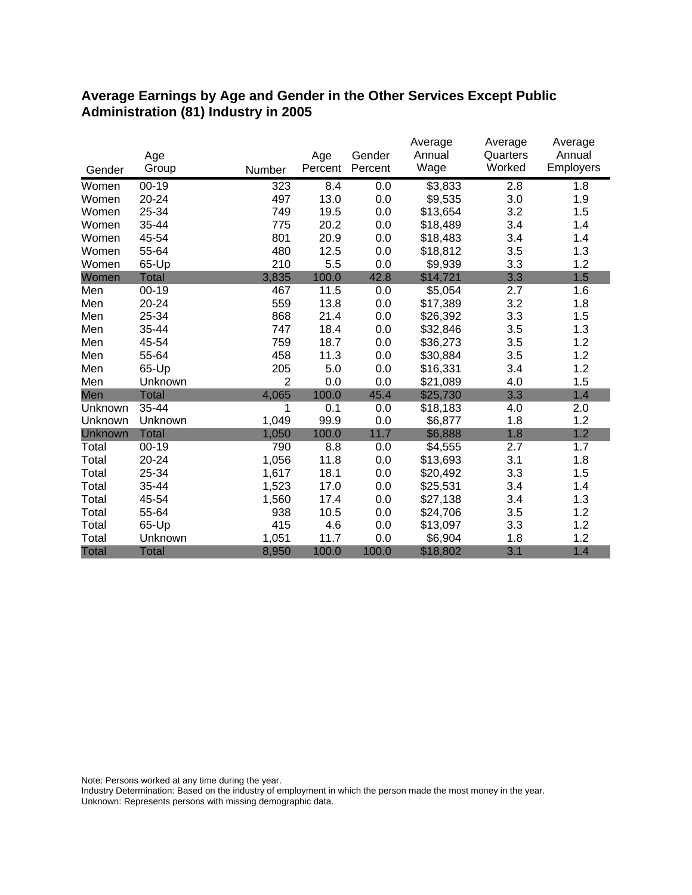#### **Average Earnings by Age and Gender in the Other Services Except Public Administration (81) Industry in 2005**

|              |              |                |         |         | Average  | Average  | Average          |
|--------------|--------------|----------------|---------|---------|----------|----------|------------------|
|              | Age          |                | Age     | Gender  | Annual   | Quarters | Annual           |
| Gender       | Group        | Number         | Percent | Percent | Wage     | Worked   | <b>Employers</b> |
| Women        | $00 - 19$    | 323            | 8.4     | 0.0     | \$3,833  | 2.8      | 1.8              |
| Women        | 20-24        | 497            | 13.0    | 0.0     | \$9,535  | 3.0      | 1.9              |
| Women        | 25-34        | 749            | 19.5    | 0.0     | \$13,654 | 3.2      | 1.5              |
| Women        | 35-44        | 775            | 20.2    | 0.0     | \$18,489 | 3.4      | 1.4              |
| Women        | 45-54        | 801            | 20.9    | 0.0     | \$18,483 | 3.4      | 1.4              |
| Women        | 55-64        | 480            | 12.5    | 0.0     | \$18,812 | 3.5      | 1.3              |
| Women        | 65-Up        | 210            | 5.5     | 0.0     | \$9,939  | 3.3      | 1.2              |
| Women        | <b>Total</b> | 3,835          | 100.0   | 42.8    | \$14,721 | 3.3      | 1.5              |
| Men          | $00 - 19$    | 467            | 11.5    | 0.0     | \$5,054  | 2.7      | 1.6              |
| Men          | 20-24        | 559            | 13.8    | 0.0     | \$17,389 | 3.2      | 1.8              |
| Men          | 25-34        | 868            | 21.4    | 0.0     | \$26,392 | 3.3      | 1.5              |
| Men          | 35-44        | 747            | 18.4    | 0.0     | \$32,846 | 3.5      | 1.3              |
| Men          | 45-54        | 759            | 18.7    | 0.0     | \$36,273 | 3.5      | 1.2              |
| Men          | 55-64        | 458            | 11.3    | 0.0     | \$30,884 | 3.5      | 1.2              |
| Men          | 65-Up        | 205            | 5.0     | 0.0     | \$16,331 | 3.4      | 1.2              |
| Men          | Unknown      | $\overline{2}$ | 0.0     | 0.0     | \$21,089 | 4.0      | 1.5              |
| Men          | <b>Total</b> | 4,065          | 100.0   | 45.4    | \$25,730 | 3.3      | 1.4              |
| Unknown      | 35-44        | 1              | 0.1     | 0.0     | \$18,183 | 4.0      | 2.0              |
| Unknown      | Unknown      | 1,049          | 99.9    | 0.0     | \$6,877  | 1.8      | 1.2              |
| Unknown      | <b>Total</b> | 1,050          | 100.0   | 11.7    | \$6,888  | 1.8      | 1.2              |
| Total        | $00 - 19$    | 790            | 8.8     | 0.0     | \$4,555  | 2.7      | 1.7              |
| Total        | 20-24        | 1,056          | 11.8    | 0.0     | \$13,693 | 3.1      | 1.8              |
| Total        | 25-34        | 1,617          | 18.1    | 0.0     | \$20,492 | 3.3      | 1.5              |
| Total        | 35-44        | 1,523          | 17.0    | 0.0     | \$25,531 | 3.4      | 1.4              |
| Total        | 45-54        | 1,560          | 17.4    | 0.0     | \$27,138 | 3.4      | 1.3              |
| Total        | 55-64        | 938            | 10.5    | 0.0     | \$24,706 | 3.5      | 1.2              |
| Total        | 65-Up        | 415            | 4.6     | 0.0     | \$13,097 | 3.3      | 1.2              |
| Total        | Unknown      | 1,051          | 11.7    | 0.0     | \$6,904  | 1.8      | 1.2              |
| <b>Total</b> | <b>Total</b> | 8,950          | 100.0   | 100.0   | \$18,802 | 3.1      | 1.4              |

Note: Persons worked at any time during the year.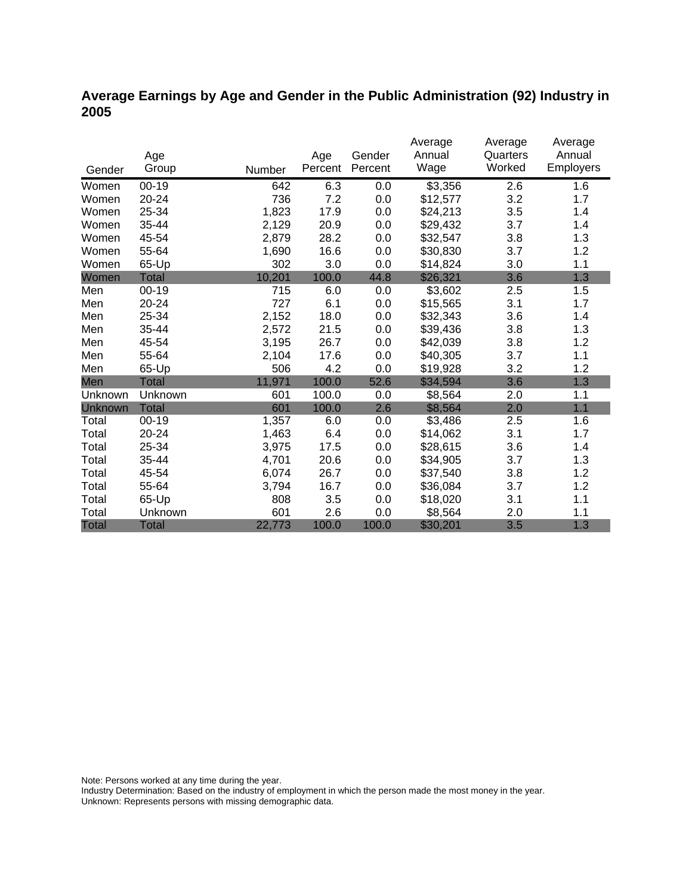### **Average Earnings by Age and Gender in the Public Administration (92) Industry in 2005**

|                |              |        |         |         | Average  | Average  | Average          |
|----------------|--------------|--------|---------|---------|----------|----------|------------------|
|                | Age          |        | Age     | Gender  | Annual   | Quarters | Annual           |
| Gender         | Group        | Number | Percent | Percent | Wage     | Worked   | <b>Employers</b> |
| Women          | $00-19$      | 642    | 6.3     | 0.0     | \$3,356  | 2.6      | 1.6              |
| Women          | 20-24        | 736    | 7.2     | 0.0     | \$12,577 | 3.2      | 1.7              |
| Women          | 25-34        | 1,823  | 17.9    | 0.0     | \$24,213 | 3.5      | 1.4              |
| Women          | 35-44        | 2,129  | 20.9    | 0.0     | \$29,432 | 3.7      | 1.4              |
| Women          | 45-54        | 2,879  | 28.2    | 0.0     | \$32,547 | 3.8      | 1.3              |
| Women          | 55-64        | 1,690  | 16.6    | 0.0     | \$30,830 | 3.7      | 1.2              |
| Women          | 65-Up        | 302    | 3.0     | 0.0     | \$14,824 | 3.0      | 1.1              |
| Women          | Total        | 10,201 | 100.0   | 44.8    | \$26,321 | 3.6      | 1.3              |
| Men            | $00 - 19$    | 715    | 6.0     | 0.0     | \$3,602  | 2.5      | 1.5              |
| Men            | 20-24        | 727    | 6.1     | 0.0     | \$15,565 | 3.1      | 1.7              |
| Men            | 25-34        | 2,152  | 18.0    | 0.0     | \$32,343 | 3.6      | 1.4              |
| Men            | 35-44        | 2,572  | 21.5    | 0.0     | \$39,436 | 3.8      | 1.3              |
| Men            | 45-54        | 3,195  | 26.7    | 0.0     | \$42,039 | 3.8      | 1.2              |
| Men            | 55-64        | 2,104  | 17.6    | 0.0     | \$40,305 | 3.7      | 1.1              |
| Men            | 65-Up        | 506    | 4.2     | 0.0     | \$19,928 | 3.2      | 1.2              |
| Men            | <b>Total</b> | 11,971 | 100.0   | 52.6    | \$34,594 | 3.6      | 1.3              |
| Unknown        | Unknown      | 601    | 100.0   | 0.0     | \$8,564  | 2.0      | 1.1              |
| <b>Unknown</b> | <b>Total</b> | 601    | 100.0   | 2.6     | \$8,564  | 2.0      | 1.1              |
| Total          | $00 - 19$    | 1,357  | 6.0     | 0.0     | \$3,486  | 2.5      | 1.6              |
| Total          | 20-24        | 1,463  | 6.4     | 0.0     | \$14,062 | 3.1      | 1.7              |
| Total          | 25-34        | 3,975  | 17.5    | 0.0     | \$28,615 | 3.6      | 1.4              |
| Total          | 35-44        | 4,701  | 20.6    | 0.0     | \$34,905 | 3.7      | 1.3              |
| Total          | 45-54        | 6,074  | 26.7    | 0.0     | \$37,540 | 3.8      | 1.2              |
| Total          | 55-64        | 3,794  | 16.7    | 0.0     | \$36,084 | 3.7      | 1.2              |
| Total          | 65-Up        | 808    | 3.5     | 0.0     | \$18,020 | 3.1      | 1.1              |
| Total          | Unknown      | 601    | 2.6     | 0.0     | \$8,564  | 2.0      | 1.1              |
| <b>Total</b>   | <b>Total</b> | 22,773 | 100.0   | 100.0   | \$30,201 | 3.5      | 1.3              |

Note: Persons worked at any time during the year.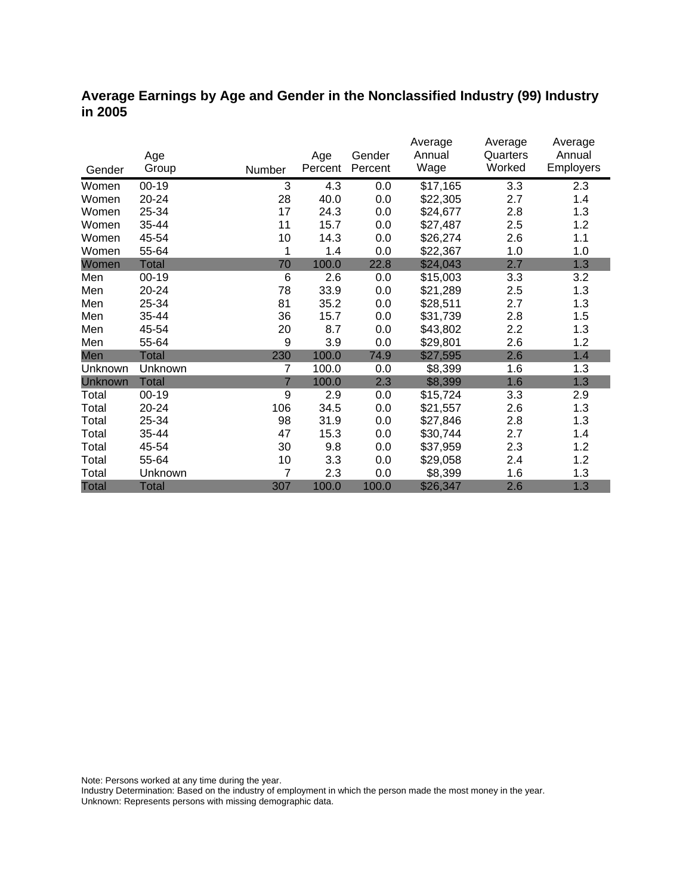#### **Average Earnings by Age and Gender in the Nonclassified Industry (99) Industry in 2005**

|                |              |                |         |         | Average  | Average  | Average   |
|----------------|--------------|----------------|---------|---------|----------|----------|-----------|
|                | Age          |                | Age     | Gender  | Annual   | Quarters | Annual    |
| Gender         | Group        | Number         | Percent | Percent | Wage     | Worked   | Employers |
| Women          | $00-19$      | 3              | 4.3     | 0.0     | \$17,165 | 3.3      | 2.3       |
| Women          | 20-24        | 28             | 40.0    | 0.0     | \$22,305 | 2.7      | 1.4       |
| Women          | 25-34        | 17             | 24.3    | 0.0     | \$24,677 | 2.8      | 1.3       |
| Women          | 35-44        | 11             | 15.7    | 0.0     | \$27,487 | 2.5      | 1.2       |
| Women          | 45-54        | 10             | 14.3    | 0.0     | \$26,274 | 2.6      | 1.1       |
| Women          | 55-64        | 1              | 1.4     | 0.0     | \$22,367 | 1.0      | 1.0       |
| Women          | <b>Total</b> | 70             | 100.0   | 22.8    | \$24,043 | 2.7      | 1.3       |
| Men            | $00 - 19$    | 6              | 2.6     | 0.0     | \$15,003 | 3.3      | 3.2       |
| Men            | 20-24        | 78             | 33.9    | 0.0     | \$21,289 | 2.5      | 1.3       |
| Men            | 25-34        | 81             | 35.2    | 0.0     | \$28,511 | 2.7      | 1.3       |
| Men            | 35-44        | 36             | 15.7    | 0.0     | \$31,739 | 2.8      | 1.5       |
| Men            | 45-54        | 20             | 8.7     | 0.0     | \$43,802 | 2.2      | 1.3       |
| Men            | 55-64        | 9              | 3.9     | 0.0     | \$29,801 | 2.6      | 1.2       |
| Men            | <b>Total</b> | 230            | 100.0   | 74.9    | \$27,595 | 2.6      | 1.4       |
| Unknown        | Unknown      | 7              | 100.0   | 0.0     | \$8,399  | 1.6      | 1.3       |
| <b>Unknown</b> | <b>Total</b> | $\overline{7}$ | 100.0   | 2.3     | \$8,399  | 1.6      | 1.3       |
| Total          | $00 - 19$    | 9              | 2.9     | 0.0     | \$15,724 | 3.3      | 2.9       |
| Total          | 20-24        | 106            | 34.5    | 0.0     | \$21,557 | 2.6      | 1.3       |
| Total          | 25-34        | 98             | 31.9    | 0.0     | \$27,846 | 2.8      | 1.3       |
| Total          | 35-44        | 47             | 15.3    | 0.0     | \$30,744 | 2.7      | 1.4       |
| Total          | 45-54        | 30             | 9.8     | 0.0     | \$37,959 | 2.3      | 1.2       |
| Total          | 55-64        | 10             | 3.3     | 0.0     | \$29,058 | 2.4      | 1.2       |
| Total          | Unknown      | 7              | 2.3     | 0.0     | \$8,399  | 1.6      | 1.3       |
| <b>Total</b>   | <b>Total</b> | 307            | 100.0   | 100.0   | \$26,347 | 2.6      | 1.3       |

Note: Persons worked at any time during the year.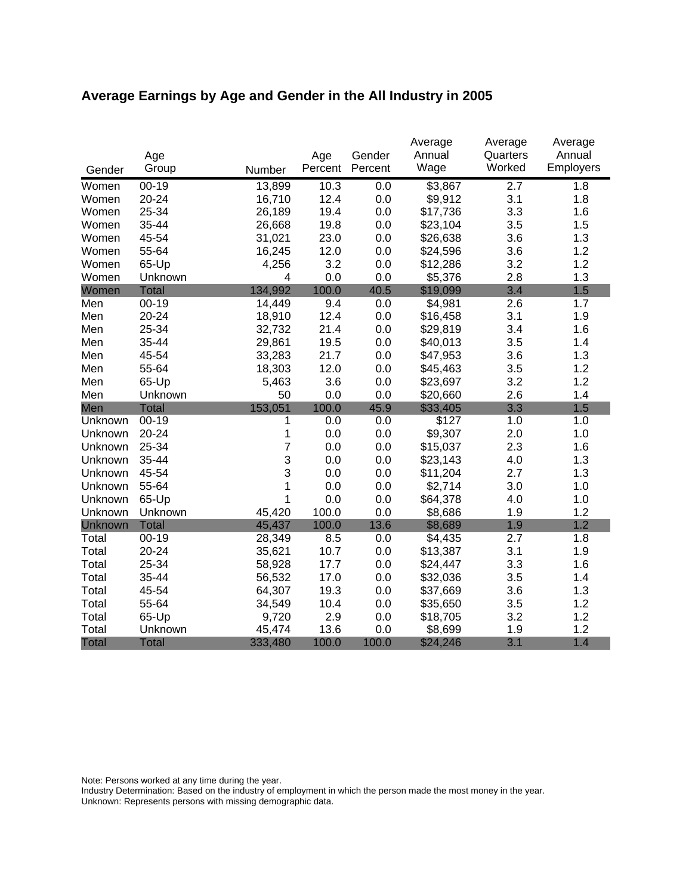# **Average Earnings by Age and Gender in the All Industry in 2005**

|              |              |                |         |         | Average  | Average            | Average   |
|--------------|--------------|----------------|---------|---------|----------|--------------------|-----------|
|              | Age          |                | Age     | Gender  | Annual   | Quarters<br>Worked | Annual    |
| Gender       | Group        | Number         | Percent | Percent | Wage     |                    | Employers |
| Women        | $00 - 19$    | 13,899         | 10.3    | 0.0     | \$3,867  | 2.7                | 1.8       |
| Women        | $20 - 24$    | 16,710         | 12.4    | 0.0     | \$9,912  | 3.1                | 1.8       |
| Women        | 25-34        | 26,189         | 19.4    | 0.0     | \$17,736 | 3.3                | 1.6       |
| Women        | 35-44        | 26,668         | 19.8    | 0.0     | \$23,104 | 3.5                | 1.5       |
| Women        | 45-54        | 31,021         | 23.0    | 0.0     | \$26,638 | 3.6                | 1.3       |
| Women        | 55-64        | 16,245         | 12.0    | 0.0     | \$24,596 | 3.6                | 1.2       |
| Women        | 65-Up        | 4,256          | 3.2     | 0.0     | \$12,286 | 3.2                | 1.2       |
| Women        | Unknown      | 4              | 0.0     | 0.0     | \$5,376  | 2.8                | 1.3       |
| Women        | <b>Total</b> | 134,992        | 100.0   | 40.5    | \$19,099 | 3.4                | 1.5       |
| Men          | $00 - 19$    | 14,449         | 9.4     | 0.0     | \$4,981  | 2.6                | 1.7       |
| Men          | 20-24        | 18,910         | 12.4    | 0.0     | \$16,458 | 3.1                | 1.9       |
| Men          | 25-34        | 32,732         | 21.4    | 0.0     | \$29,819 | 3.4                | 1.6       |
| Men          | 35-44        | 29,861         | 19.5    | 0.0     | \$40,013 | 3.5                | 1.4       |
| Men          | 45-54        | 33,283         | 21.7    | 0.0     | \$47,953 | 3.6                | 1.3       |
| Men          | 55-64        | 18,303         | 12.0    | 0.0     | \$45,463 | 3.5                | 1.2       |
| Men          | 65-Up        | 5,463          | 3.6     | 0.0     | \$23,697 | 3.2                | 1.2       |
| Men          | Unknown      | 50             | 0.0     | 0.0     | \$20,660 | 2.6                | 1.4       |
| Men          | <b>Total</b> | 153,051        | 100.0   | 45.9    | \$33,405 | 3.3                | 1.5       |
| Unknown      | $00-19$      | 1              | 0.0     | 0.0     | \$127    | 1.0                | 1.0       |
| Unknown      | 20-24        | 1              | 0.0     | 0.0     | \$9,307  | 2.0                | 1.0       |
| Unknown      | 25-34        | $\overline{7}$ | 0.0     | 0.0     | \$15,037 | 2.3                | 1.6       |
| Unknown      | 35-44        | 3              | 0.0     | 0.0     | \$23,143 | 4.0                | 1.3       |
| Unknown      | 45-54        | 3              | 0.0     | 0.0     | \$11,204 | 2.7                | 1.3       |
| Unknown      | 55-64        | 1              | 0.0     | 0.0     | \$2,714  | 3.0                | 1.0       |
| Unknown      | 65-Up        | 1              | 0.0     | 0.0     | \$64,378 | 4.0                | 1.0       |
| Unknown      | Unknown      | 45,420         | 100.0   | 0.0     | \$8,686  | 1.9                | 1.2       |
| Unknown      | <b>Total</b> | 45,437         | 100.0   | 13.6    | \$8,689  | 1.9                | 1.2       |
| Total        | $00 - 19$    | 28,349         | 8.5     | 0.0     | \$4,435  | 2.7                | 1.8       |
| Total        | 20-24        | 35,621         | 10.7    | 0.0     | \$13,387 | 3.1                | 1.9       |
| Total        | 25-34        | 58,928         | 17.7    | 0.0     | \$24,447 | 3.3                | 1.6       |
| Total        | 35-44        | 56,532         | 17.0    | 0.0     | \$32,036 | 3.5                | 1.4       |
| Total        | 45-54        | 64,307         | 19.3    | 0.0     | \$37,669 | 3.6                | 1.3       |
| Total        | 55-64        | 34,549         | 10.4    | 0.0     | \$35,650 | 3.5                | 1.2       |
| Total        | 65-Up        | 9,720          | 2.9     | 0.0     | \$18,705 | 3.2                | 1.2       |
| Total        | Unknown      | 45,474         | 13.6    | 0.0     | \$8,699  | 1.9                | 1.2       |
| <b>Total</b> | <b>Total</b> | 333,480        | 100.0   | 100.0   | \$24,246 | 3.1                | 1.4       |

Note: Persons worked at any time during the year.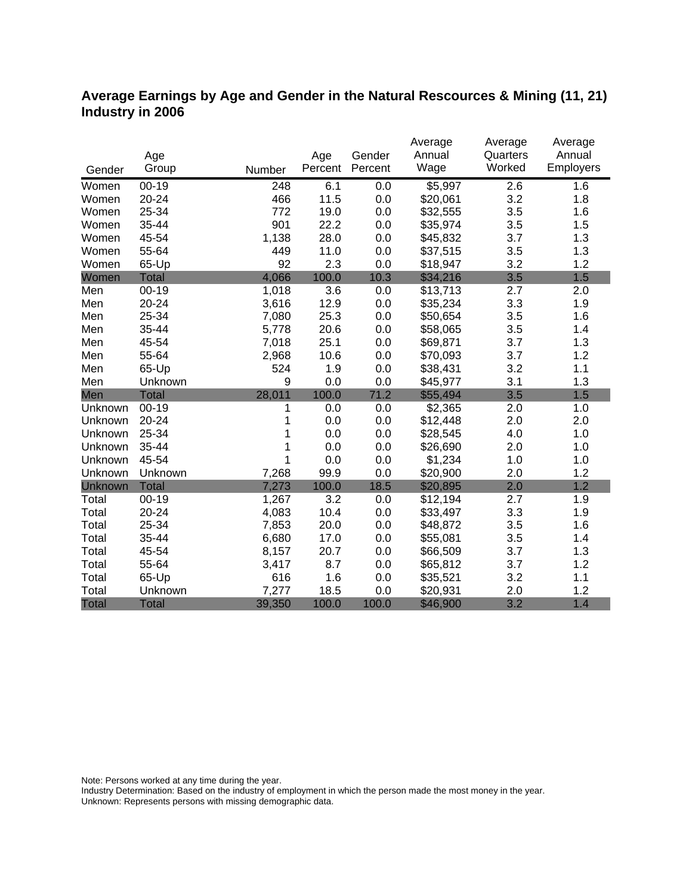### **Average Earnings by Age and Gender in the Natural Rescources & Mining (11, 21) Industry in 2006**

|              |              |        |         |         | Average  | Average  | Average          |
|--------------|--------------|--------|---------|---------|----------|----------|------------------|
|              | Age          |        | Age     | Gender  | Annual   | Quarters | Annual           |
| Gender       | Group        | Number | Percent | Percent | Wage     | Worked   | <b>Employers</b> |
| Women        | $00 - 19$    | 248    | 6.1     | 0.0     | \$5,997  | 2.6      | 1.6              |
| Women        | $20 - 24$    | 466    | 11.5    | 0.0     | \$20,061 | 3.2      | 1.8              |
| Women        | 25-34        | 772    | 19.0    | 0.0     | \$32,555 | 3.5      | 1.6              |
| Women        | 35-44        | 901    | 22.2    | 0.0     | \$35,974 | 3.5      | 1.5              |
| Women        | 45-54        | 1,138  | 28.0    | 0.0     | \$45,832 | 3.7      | 1.3              |
| Women        | 55-64        | 449    | 11.0    | 0.0     | \$37,515 | 3.5      | 1.3              |
| Women        | 65-Up        | 92     | 2.3     | 0.0     | \$18,947 | 3.2      | 1.2              |
| Women        | <b>Total</b> | 4,066  | 100.0   | 10.3    | \$34,216 | 3.5      | 1.5              |
| Men          | $00 - 19$    | 1,018  | 3.6     | 0.0     | \$13,713 | 2.7      | 2.0              |
| Men          | 20-24        | 3,616  | 12.9    | 0.0     | \$35,234 | 3.3      | 1.9              |
| Men          | 25-34        | 7,080  | 25.3    | 0.0     | \$50,654 | 3.5      | 1.6              |
| Men          | 35-44        | 5,778  | 20.6    | 0.0     | \$58,065 | 3.5      | 1.4              |
| Men          | 45-54        | 7,018  | 25.1    | 0.0     | \$69,871 | 3.7      | 1.3              |
| Men          | 55-64        | 2,968  | 10.6    | 0.0     | \$70,093 | 3.7      | 1.2              |
| Men          | 65-Up        | 524    | 1.9     | 0.0     | \$38,431 | 3.2      | 1.1              |
| Men          | Unknown      | 9      | 0.0     | 0.0     | \$45,977 | 3.1      | 1.3              |
| Men          | <b>Total</b> | 28,011 | 100.0   | 71.2    | \$55,494 | 3.5      | 1.5              |
| Unknown      | $00-19$      | 1      | 0.0     | 0.0     | \$2,365  | 2.0      | 1.0              |
| Unknown      | 20-24        |        | 0.0     | 0.0     | \$12,448 | 2.0      | 2.0              |
| Unknown      | 25-34        |        | 0.0     | 0.0     | \$28,545 | 4.0      | 1.0              |
| Unknown      | 35-44        |        | 0.0     | 0.0     | \$26,690 | 2.0      | 1.0              |
| Unknown      | 45-54        | 1      | 0.0     | 0.0     | \$1,234  | 1.0      | 1.0              |
| Unknown      | Unknown      | 7,268  | 99.9    | 0.0     | \$20,900 | 2.0      | 1.2              |
| Unknown      | <b>Total</b> | 7,273  | 100.0   | 18.5    | \$20,895 | 2.0      | 1.2              |
| Total        | $00 - 19$    | 1,267  | 3.2     | 0.0     | \$12,194 | 2.7      | 1.9              |
| Total        | 20-24        | 4,083  | 10.4    | 0.0     | \$33,497 | 3.3      | 1.9              |
| Total        | 25-34        | 7,853  | 20.0    | 0.0     | \$48,872 | 3.5      | 1.6              |
| Total        | 35-44        | 6,680  | 17.0    | 0.0     | \$55,081 | 3.5      | 1.4              |
| Total        | 45-54        | 8,157  | 20.7    | 0.0     | \$66,509 | 3.7      | 1.3              |
| Total        | 55-64        | 3,417  | 8.7     | 0.0     | \$65,812 | 3.7      | 1.2              |
| Total        | 65-Up        | 616    | 1.6     | 0.0     | \$35,521 | 3.2      | 1.1              |
| Total        | Unknown      | 7,277  | 18.5    | 0.0     | \$20,931 | 2.0      | 1.2              |
| <b>Total</b> | <b>Total</b> | 39,350 | 100.0   | 100.0   | \$46,900 | 3.2      | 1.4              |

Note: Persons worked at any time during the year.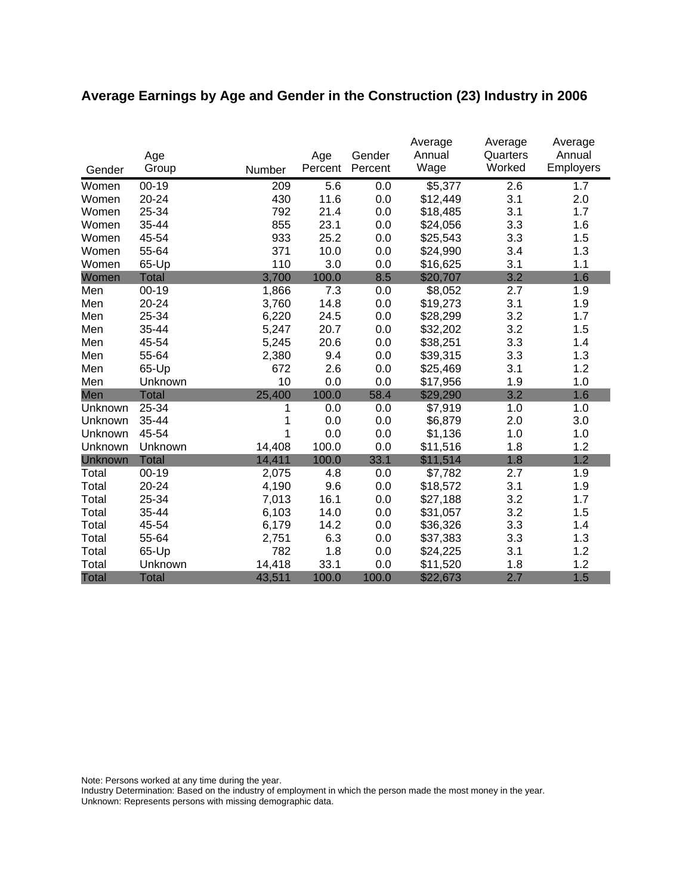# **Average Earnings by Age and Gender in the Construction (23) Industry in 2006**

|              | Age          |        | Age     | Gender  | Average<br>Annual | Average<br>Quarters | Average<br>Annual |
|--------------|--------------|--------|---------|---------|-------------------|---------------------|-------------------|
| Gender       | Group        | Number | Percent | Percent | Wage              | Worked              | Employers         |
| Women        | $00 - 19$    | 209    | 5.6     | 0.0     | \$5,377           | 2.6                 | 1.7               |
| Women        | 20-24        | 430    | 11.6    | 0.0     | \$12,449          | 3.1                 | 2.0               |
| Women        | 25-34        | 792    | 21.4    | 0.0     | \$18,485          | 3.1                 | 1.7               |
| Women        | 35-44        | 855    | 23.1    | 0.0     | \$24,056          | 3.3                 | 1.6               |
| Women        | 45-54        | 933    | 25.2    | 0.0     | \$25,543          | 3.3                 | 1.5               |
| Women        | 55-64        | 371    | 10.0    | 0.0     | \$24,990          | 3.4                 | 1.3               |
| Women        | 65-Up        | 110    | 3.0     | 0.0     | \$16,625          | 3.1                 | 1.1               |
| Women        | <b>Total</b> | 3,700  | 100.0   | 8.5     | \$20,707          | 3.2                 | 1.6               |
| Men          | $00 - 19$    | 1,866  | 7.3     | 0.0     | \$8,052           | 2.7                 | 1.9               |
| Men          | 20-24        | 3,760  | 14.8    | 0.0     | \$19,273          | 3.1                 | 1.9               |
| Men          | 25-34        | 6,220  | 24.5    | 0.0     | \$28,299          | 3.2                 | 1.7               |
| Men          | 35-44        | 5,247  | 20.7    | 0.0     | \$32,202          | 3.2                 | 1.5               |
| Men          | 45-54        | 5,245  | 20.6    | 0.0     | \$38,251          | 3.3                 | 1.4               |
| Men          | 55-64        | 2,380  | 9.4     | 0.0     | \$39,315          | 3.3                 | 1.3               |
| Men          | 65-Up        | 672    | 2.6     | 0.0     | \$25,469          | 3.1                 | 1.2               |
| Men          | Unknown      | 10     | 0.0     | 0.0     | \$17,956          | 1.9                 | 1.0               |
| Men          | <b>Total</b> | 25,400 | 100.0   | 58.4    | \$29,290          | 3.2                 | 1.6               |
| Unknown      | 25-34        | 1      | 0.0     | 0.0     | \$7,919           | 1.0                 | 1.0               |
| Unknown      | 35-44        | 1      | 0.0     | 0.0     | \$6,879           | 2.0                 | 3.0               |
| Unknown      | 45-54        | 1      | 0.0     | 0.0     | \$1,136           | 1.0                 | 1.0               |
| Unknown      | Unknown      | 14,408 | 100.0   | 0.0     | \$11,516          | 1.8                 | 1.2               |
| Unknown      | <b>Total</b> | 14,411 | 100.0   | 33.1    | \$11,514          | 1.8                 | 1.2               |
| Total        | $00 - 19$    | 2,075  | 4.8     | 0.0     | \$7,782           | 2.7                 | 1.9               |
| Total        | 20-24        | 4,190  | 9.6     | 0.0     | \$18,572          | 3.1                 | 1.9               |
| Total        | 25-34        | 7,013  | 16.1    | 0.0     | \$27,188          | 3.2                 | 1.7               |
| Total        | 35-44        | 6,103  | 14.0    | 0.0     | \$31,057          | 3.2                 | 1.5               |
| Total        | 45-54        | 6,179  | 14.2    | 0.0     | \$36,326          | 3.3                 | 1.4               |
| Total        | 55-64        | 2,751  | 6.3     | 0.0     | \$37,383          | 3.3                 | 1.3               |
| Total        | 65-Up        | 782    | 1.8     | 0.0     | \$24,225          | 3.1                 | 1.2               |
| Total        | Unknown      | 14,418 | 33.1    | 0.0     | \$11,520          | 1.8                 | 1.2               |
| <b>Total</b> | <b>Total</b> | 43,511 | 100.0   | 100.0   | \$22,673          | 2.7                 | 1.5               |

Note: Persons worked at any time during the year.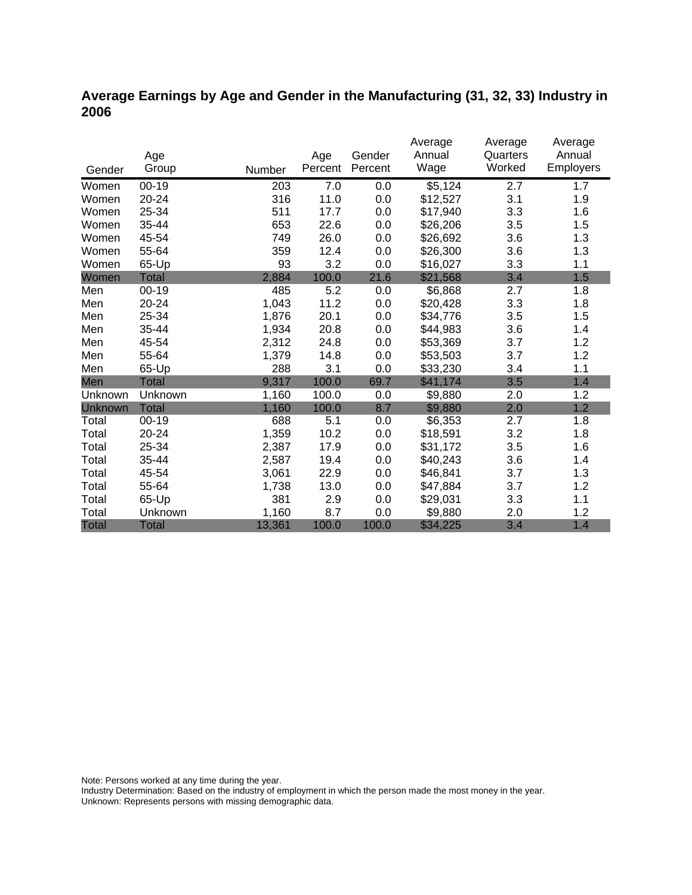### **Average Earnings by Age and Gender in the Manufacturing (31, 32, 33) Industry in 2006**

|              |              |        |         |         | Average  | Average  | Average   |
|--------------|--------------|--------|---------|---------|----------|----------|-----------|
|              | Age          |        | Age     | Gender  | Annual   | Quarters | Annual    |
| Gender       | Group        | Number | Percent | Percent | Wage     | Worked   | Employers |
| Women        | 00-19        | 203    | 7.0     | 0.0     | \$5,124  | 2.7      | 1.7       |
| Women        | 20-24        | 316    | 11.0    | 0.0     | \$12,527 | 3.1      | 1.9       |
| Women        | 25-34        | 511    | 17.7    | 0.0     | \$17,940 | 3.3      | 1.6       |
| Women        | 35-44        | 653    | 22.6    | 0.0     | \$26,206 | 3.5      | 1.5       |
| Women        | 45-54        | 749    | 26.0    | 0.0     | \$26,692 | 3.6      | 1.3       |
| Women        | 55-64        | 359    | 12.4    | 0.0     | \$26,300 | 3.6      | 1.3       |
| Women        | 65-Up        | 93     | 3.2     | 0.0     | \$16,027 | 3.3      | 1.1       |
| Women        | Total        | 2,884  | 100.0   | 21.6    | \$21,568 | 3.4      | 1.5       |
| Men          | $00 - 19$    | 485    | 5.2     | 0.0     | \$6,868  | 2.7      | 1.8       |
| Men          | 20-24        | 1,043  | 11.2    | 0.0     | \$20,428 | 3.3      | 1.8       |
| Men          | 25-34        | 1,876  | 20.1    | 0.0     | \$34,776 | 3.5      | 1.5       |
| Men          | 35-44        | 1,934  | 20.8    | 0.0     | \$44,983 | 3.6      | 1.4       |
| Men          | 45-54        | 2,312  | 24.8    | 0.0     | \$53,369 | 3.7      | 1.2       |
| Men          | 55-64        | 1,379  | 14.8    | 0.0     | \$53,503 | 3.7      | 1.2       |
| Men          | 65-Up        | 288    | 3.1     | 0.0     | \$33,230 | 3.4      | 1.1       |
| Men          | <b>Total</b> | 9,317  | 100.0   | 69.7    | \$41,174 | 3.5      | 1.4       |
| Unknown      | Unknown      | 1,160  | 100.0   | 0.0     | \$9,880  | 2.0      | 1.2       |
| Unknown      | <b>Total</b> | 1,160  | 100.0   | 8.7     | \$9,880  | 2.0      | 1.2       |
| Total        | $00 - 19$    | 688    | 5.1     | 0.0     | \$6,353  | 2.7      | 1.8       |
| Total        | 20-24        | 1,359  | 10.2    | 0.0     | \$18,591 | 3.2      | 1.8       |
| Total        | 25-34        | 2,387  | 17.9    | 0.0     | \$31,172 | 3.5      | 1.6       |
| Total        | 35-44        | 2,587  | 19.4    | 0.0     | \$40,243 | 3.6      | 1.4       |
| Total        | 45-54        | 3,061  | 22.9    | 0.0     | \$46,841 | 3.7      | 1.3       |
| Total        | 55-64        | 1,738  | 13.0    | 0.0     | \$47,884 | 3.7      | 1.2       |
| Total        | 65-Up        | 381    | 2.9     | 0.0     | \$29,031 | 3.3      | 1.1       |
| Total        | Unknown      | 1,160  | 8.7     | 0.0     | \$9,880  | 2.0      | 1.2       |
| <b>Total</b> | <b>Total</b> | 13,361 | 100.0   | 100.0   | \$34,225 | 3.4      | 1.4       |

Note: Persons worked at any time during the year.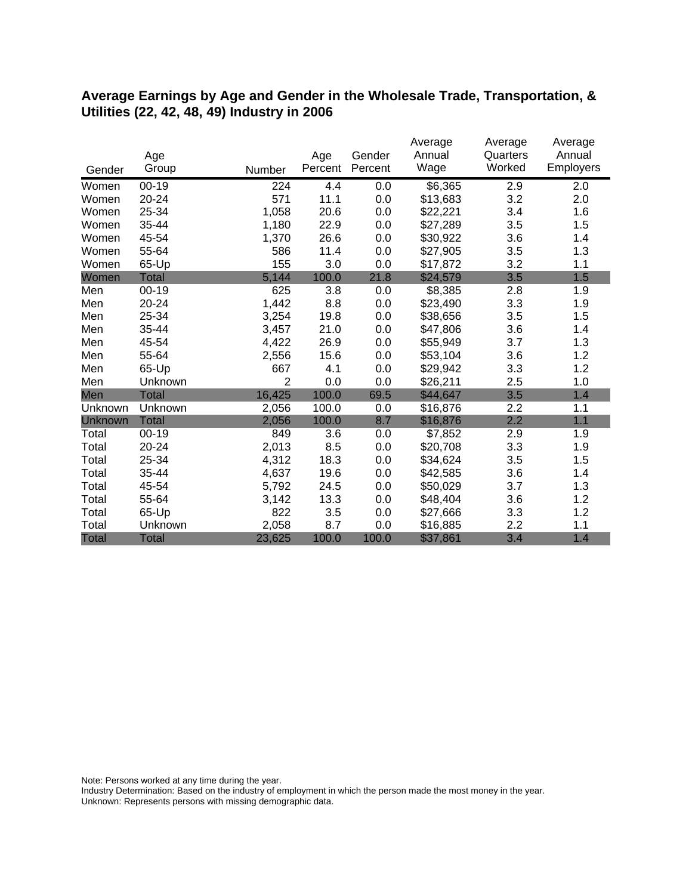#### **Average Earnings by Age and Gender in the Wholesale Trade, Transportation, & Utilities (22, 42, 48, 49) Industry in 2006**

|              |              |                |         |         | Average  | Average  | Average   |
|--------------|--------------|----------------|---------|---------|----------|----------|-----------|
|              | Age          |                | Age     | Gender  | Annual   | Quarters | Annual    |
| Gender       | Group        | Number         | Percent | Percent | Wage     | Worked   | Employers |
| Women        | $00 - 19$    | 224            | 4.4     | 0.0     | \$6,365  | 2.9      | 2.0       |
| Women        | 20-24        | 571            | 11.1    | 0.0     | \$13,683 | 3.2      | 2.0       |
| Women        | 25-34        | 1,058          | 20.6    | 0.0     | \$22,221 | 3.4      | 1.6       |
| Women        | 35-44        | 1,180          | 22.9    | 0.0     | \$27,289 | 3.5      | 1.5       |
| Women        | 45-54        | 1,370          | 26.6    | 0.0     | \$30,922 | 3.6      | 1.4       |
| Women        | 55-64        | 586            | 11.4    | 0.0     | \$27,905 | 3.5      | 1.3       |
| Women        | 65-Up        | 155            | 3.0     | 0.0     | \$17,872 | 3.2      | 1.1       |
| Women        | <b>Total</b> | 5,144          | 100.0   | 21.8    | \$24,579 | 3.5      | 1.5       |
| Men          | $00 - 19$    | 625            | 3.8     | 0.0     | \$8,385  | 2.8      | 1.9       |
| Men          | 20-24        | 1,442          | 8.8     | 0.0     | \$23,490 | 3.3      | 1.9       |
| Men          | 25-34        | 3,254          | 19.8    | 0.0     | \$38,656 | 3.5      | 1.5       |
| Men          | 35-44        | 3,457          | 21.0    | 0.0     | \$47,806 | 3.6      | 1.4       |
| Men          | 45-54        | 4,422          | 26.9    | 0.0     | \$55,949 | 3.7      | 1.3       |
| Men          | 55-64        | 2,556          | 15.6    | 0.0     | \$53,104 | 3.6      | 1.2       |
| Men          | 65-Up        | 667            | 4.1     | 0.0     | \$29,942 | 3.3      | 1.2       |
| Men          | Unknown      | $\overline{2}$ | 0.0     | 0.0     | \$26,211 | 2.5      | 1.0       |
| Men          | <b>Total</b> | 16,425         | 100.0   | 69.5    | \$44,647 | 3.5      | 1.4       |
| Unknown      | Unknown      | 2,056          | 100.0   | 0.0     | \$16,876 | 2.2      | 1.1       |
| Unknown      | <b>Total</b> | 2,056          | 100.0   | 8.7     | \$16,876 | 2.2      | 1.1       |
| Total        | $00 - 19$    | 849            | 3.6     | 0.0     | \$7,852  | 2.9      | 1.9       |
| Total        | 20-24        | 2,013          | 8.5     | 0.0     | \$20,708 | 3.3      | 1.9       |
| Total        | 25-34        | 4,312          | 18.3    | 0.0     | \$34,624 | 3.5      | 1.5       |
| Total        | 35-44        | 4,637          | 19.6    | 0.0     | \$42,585 | 3.6      | 1.4       |
| Total        | 45-54        | 5,792          | 24.5    | 0.0     | \$50,029 | 3.7      | 1.3       |
| Total        | 55-64        | 3,142          | 13.3    | 0.0     | \$48,404 | 3.6      | 1.2       |
| Total        | 65-Up        | 822            | 3.5     | 0.0     | \$27,666 | 3.3      | 1.2       |
| Total        | Unknown      | 2,058          | 8.7     | 0.0     | \$16,885 | 2.2      | 1.1       |
| <b>Total</b> | <b>Total</b> | 23,625         | 100.0   | 100.0   | \$37,861 | 3.4      | 1.4       |

Note: Persons worked at any time during the year.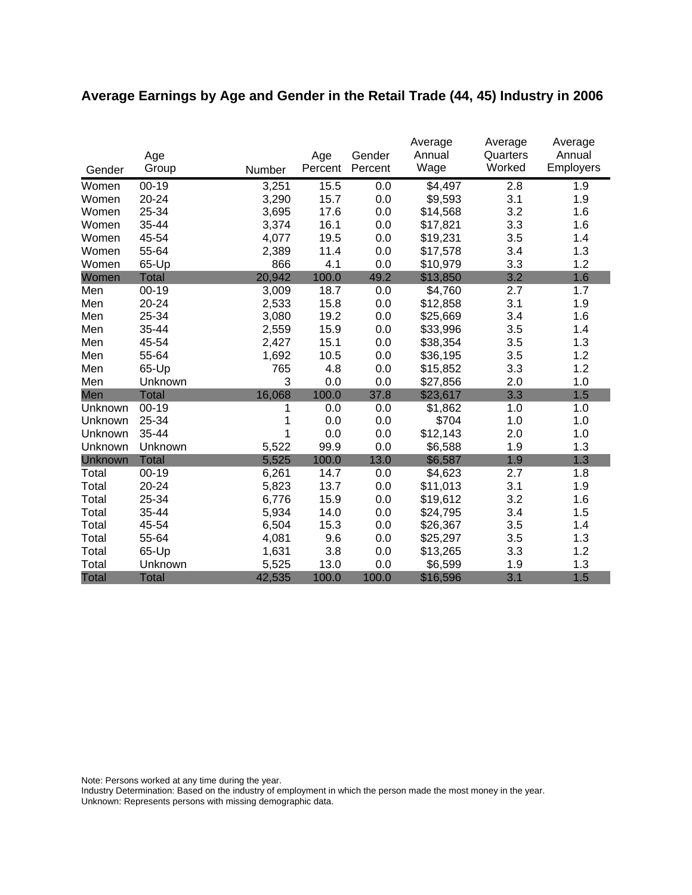# **Average Earnings by Age and Gender in the Retail Trade (44, 45) Industry in 2006**

|              |              |        |         |         | Average  | Average  | Average   |
|--------------|--------------|--------|---------|---------|----------|----------|-----------|
|              | Age          |        | Age     | Gender  | Annual   | Quarters | Annual    |
| Gender       | Group        | Number | Percent | Percent | Wage     | Worked   | Employers |
| Women        | $00 - 19$    | 3,251  | 15.5    | 0.0     | \$4,497  | 2.8      | 1.9       |
| Women        | 20-24        | 3,290  | 15.7    | 0.0     | \$9,593  | 3.1      | 1.9       |
| Women        | 25-34        | 3,695  | 17.6    | 0.0     | \$14,568 | 3.2      | 1.6       |
| Women        | 35-44        | 3,374  | 16.1    | 0.0     | \$17,821 | 3.3      | 1.6       |
| Women        | 45-54        | 4,077  | 19.5    | 0.0     | \$19,231 | 3.5      | 1.4       |
| Women        | 55-64        | 2,389  | 11.4    | 0.0     | \$17,578 | 3.4      | 1.3       |
| Women        | 65-Up        | 866    | 4.1     | 0.0     | \$10,979 | 3.3      | 1.2       |
| Women        | <b>Total</b> | 20,942 | 100.0   | 49.2    | \$13,850 | 3.2      | 1.6       |
| Men          | $00 - 19$    | 3,009  | 18.7    | 0.0     | \$4,760  | 2.7      | 1.7       |
| Men          | 20-24        | 2,533  | 15.8    | 0.0     | \$12,858 | 3.1      | 1.9       |
| Men          | 25-34        | 3,080  | 19.2    | 0.0     | \$25,669 | 3.4      | 1.6       |
| Men          | 35-44        | 2,559  | 15.9    | 0.0     | \$33,996 | 3.5      | 1.4       |
| Men          | 45-54        | 2,427  | 15.1    | 0.0     | \$38,354 | 3.5      | 1.3       |
| Men          | 55-64        | 1,692  | 10.5    | 0.0     | \$36,195 | 3.5      | 1.2       |
| Men          | 65-Up        | 765    | 4.8     | 0.0     | \$15,852 | 3.3      | 1.2       |
| Men          | Unknown      | 3      | 0.0     | 0.0     | \$27,856 | 2.0      | 1.0       |
| Men          | <b>Total</b> | 16,068 | 100.0   | 37.8    | \$23,617 | 3.3      | 1.5       |
| Unknown      | $00-19$      | 1      | 0.0     | 0.0     | \$1,862  | 1.0      | 1.0       |
| Unknown      | 25-34        | 1      | 0.0     | 0.0     | \$704    | 1.0      | 1.0       |
| Unknown      | 35-44        | 1      | 0.0     | 0.0     | \$12,143 | 2.0      | 1.0       |
| Unknown      | Unknown      | 5,522  | 99.9    | 0.0     | \$6,588  | 1.9      | 1.3       |
| Unknown      | <b>Total</b> | 5,525  | 100.0   | 13.0    | \$6,587  | 1.9      | 1.3       |
| Total        | $00 - 19$    | 6,261  | 14.7    | 0.0     | \$4,623  | 2.7      | 1.8       |
| Total        | 20-24        | 5,823  | 13.7    | 0.0     | \$11,013 | 3.1      | 1.9       |
| Total        | 25-34        | 6,776  | 15.9    | 0.0     | \$19,612 | 3.2      | 1.6       |
| Total        | 35-44        | 5,934  | 14.0    | 0.0     | \$24,795 | 3.4      | 1.5       |
| Total        | 45-54        | 6,504  | 15.3    | 0.0     | \$26,367 | 3.5      | 1.4       |
| Total        | 55-64        | 4,081  | 9.6     | 0.0     | \$25,297 | 3.5      | 1.3       |
| Total        | 65-Up        | 1,631  | 3.8     | 0.0     | \$13,265 | 3.3      | 1.2       |
| Total        | Unknown      | 5,525  | 13.0    | 0.0     | \$6,599  | 1.9      | 1.3       |
| <b>Total</b> | <b>Total</b> | 42,535 | 100.0   | 100.0   | \$16,596 | 3.1      | 1.5       |

Note: Persons worked at any time during the year.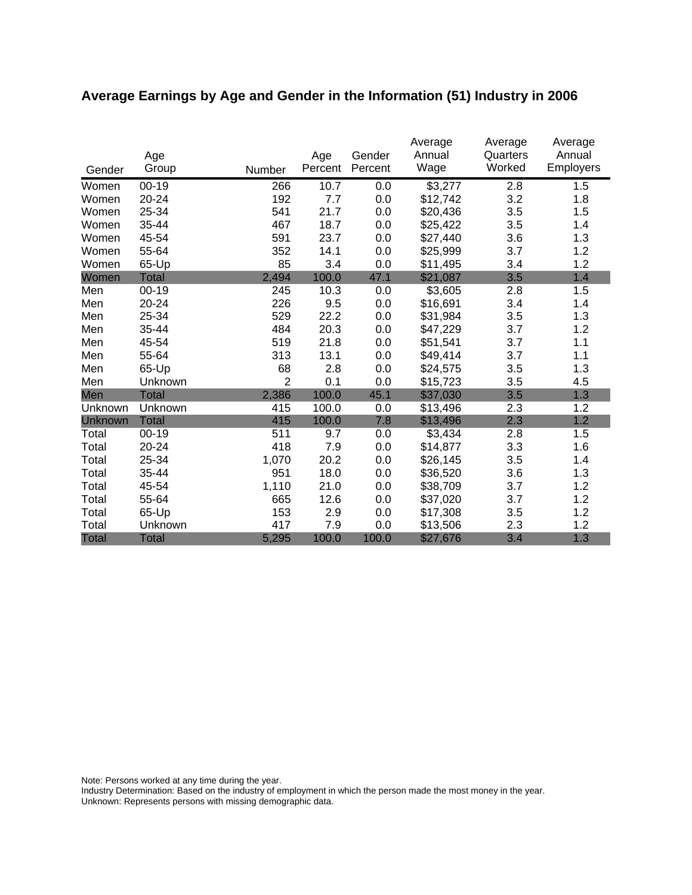# **Average Earnings by Age and Gender in the Information (51) Industry in 2006**

| Gender       | Age<br>Group | Number         | Age<br>Percent | Gender<br>Percent | Average<br>Annual<br>Wage | Average<br>Quarters<br>Worked | Average<br>Annual<br><b>Employers</b> |
|--------------|--------------|----------------|----------------|-------------------|---------------------------|-------------------------------|---------------------------------------|
| Women        | $00 - 19$    | 266            | 10.7           | 0.0               | \$3,277                   | 2.8                           | 1.5                                   |
| Women        | 20-24        | 192            | 7.7            | 0.0               | \$12,742                  | 3.2                           | 1.8                                   |
| Women        | 25-34        | 541            | 21.7           | 0.0               | \$20,436                  | 3.5                           | 1.5                                   |
| Women        | 35-44        | 467            | 18.7           | 0.0               | \$25,422                  | 3.5                           | 1.4                                   |
| Women        | 45-54        | 591            | 23.7           | 0.0               | \$27,440                  | 3.6                           | 1.3                                   |
| Women        | 55-64        | 352            | 14.1           | 0.0               | \$25,999                  | 3.7                           | 1.2                                   |
| Women        | 65-Up        | 85             | 3.4            | 0.0               | \$11,495                  | 3.4                           | 1.2                                   |
| Women        | <b>Total</b> | 2,494          | 100.0          | 47.1              | \$21,087                  | 3.5                           | 1.4                                   |
| Men          | $00 - 19$    | 245            | 10.3           | 0.0               | \$3,605                   | 2.8                           | 1.5                                   |
| Men          | 20-24        | 226            | 9.5            | 0.0               | \$16,691                  | 3.4                           | 1.4                                   |
| Men          | 25-34        | 529            | 22.2           | 0.0               | \$31,984                  | 3.5                           | 1.3                                   |
| Men          | 35-44        | 484            | 20.3           | 0.0               | \$47,229                  | 3.7                           | 1.2                                   |
| Men          | 45-54        | 519            | 21.8           | 0.0               | \$51,541                  | 3.7                           | 1.1                                   |
| Men          | 55-64        | 313            | 13.1           | 0.0               | \$49,414                  | 3.7                           | 1.1                                   |
| Men          | 65-Up        | 68             | 2.8            | 0.0               | \$24,575                  | 3.5                           | 1.3                                   |
| Men          | Unknown      | $\overline{2}$ | 0.1            | 0.0               | \$15,723                  | 3.5                           | 4.5                                   |
| Men          | <b>Total</b> | 2,386          | 100.0          | 45.1              | \$37,030                  | 3.5                           | 1.3                                   |
| Unknown      | Unknown      | 415            | 100.0          | 0.0               | \$13,496                  | 2.3                           | 1.2                                   |
| Unknown      | <b>Total</b> | 415            | 100.0          | 7.8               | \$13,496                  | 2.3                           | 1.2                                   |
| Total        | $00 - 19$    | 511            | 9.7            | 0.0               | \$3,434                   | 2.8                           | 1.5                                   |
| Total        | 20-24        | 418            | 7.9            | 0.0               | \$14,877                  | 3.3                           | 1.6                                   |
| Total        | 25-34        | 1,070          | 20.2           | 0.0               | \$26,145                  | 3.5                           | 1.4                                   |
| Total        | 35-44        | 951            | 18.0           | 0.0               | \$36,520                  | 3.6                           | 1.3                                   |
| Total        | 45-54        | 1,110          | 21.0           | 0.0               | \$38,709                  | 3.7                           | 1.2                                   |
| Total        | 55-64        | 665            | 12.6           | 0.0               | \$37,020                  | 3.7                           | 1.2                                   |
| Total        | 65-Up        | 153            | 2.9            | 0.0               | \$17,308                  | 3.5                           | 1.2                                   |
| Total        | Unknown      | 417            | 7.9            | 0.0               | \$13,506                  | 2.3                           | 1.2                                   |
| <b>Total</b> | <b>Total</b> | 5,295          | 100.0          | 100.0             | \$27,676                  | 3.4                           | 1.3                                   |

Note: Persons worked at any time during the year.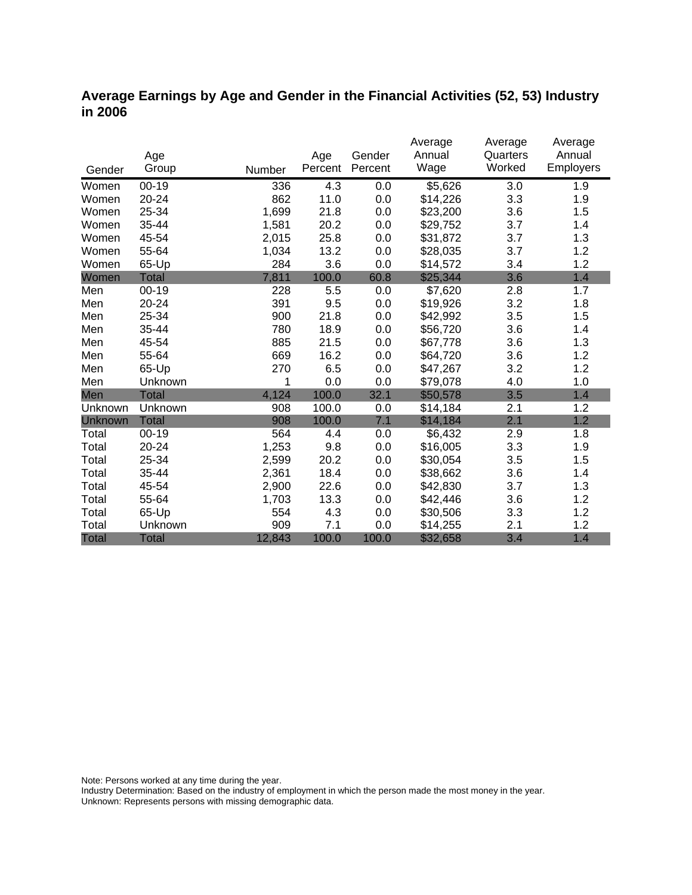### **Average Earnings by Age and Gender in the Financial Activities (52, 53) Industry in 2006**

|              |              |        |         |         | Average  | Average  | Average   |
|--------------|--------------|--------|---------|---------|----------|----------|-----------|
|              | Age          |        | Age     | Gender  | Annual   | Quarters | Annual    |
| Gender       | Group        | Number | Percent | Percent | Wage     | Worked   | Employers |
| Women        | $00 - 19$    | 336    | 4.3     | 0.0     | \$5,626  | 3.0      | 1.9       |
| Women        | 20-24        | 862    | 11.0    | 0.0     | \$14,226 | 3.3      | 1.9       |
| Women        | 25-34        | 1,699  | 21.8    | 0.0     | \$23,200 | 3.6      | 1.5       |
| Women        | 35-44        | 1,581  | 20.2    | 0.0     | \$29,752 | 3.7      | 1.4       |
| Women        | 45-54        | 2,015  | 25.8    | 0.0     | \$31,872 | 3.7      | 1.3       |
| Women        | 55-64        | 1,034  | 13.2    | 0.0     | \$28,035 | 3.7      | 1.2       |
| Women        | 65-Up        | 284    | 3.6     | 0.0     | \$14,572 | 3.4      | 1.2       |
| Women        | <b>Total</b> | 7,811  | 100.0   | 60.8    | \$25,344 | 3.6      | 1.4       |
| Men          | $00 - 19$    | 228    | 5.5     | 0.0     | \$7,620  | 2.8      | 1.7       |
| Men          | 20-24        | 391    | 9.5     | 0.0     | \$19,926 | 3.2      | 1.8       |
| Men          | 25-34        | 900    | 21.8    | 0.0     | \$42,992 | 3.5      | 1.5       |
| Men          | 35-44        | 780    | 18.9    | 0.0     | \$56,720 | 3.6      | 1.4       |
| Men          | 45-54        | 885    | 21.5    | 0.0     | \$67,778 | 3.6      | 1.3       |
| Men          | 55-64        | 669    | 16.2    | 0.0     | \$64,720 | 3.6      | 1.2       |
| Men          | 65-Up        | 270    | 6.5     | 0.0     | \$47,267 | 3.2      | 1.2       |
| Men          | Unknown      | 1      | 0.0     | 0.0     | \$79,078 | 4.0      | 1.0       |
| Men          | Total        | 4,124  | 100.0   | 32.1    | \$50,578 | 3.5      | 1.4       |
| Unknown      | Unknown      | 908    | 100.0   | 0.0     | \$14,184 | 2.1      | 1.2       |
| Unknown      | <b>Total</b> | 908    | 100.0   | 7.1     | \$14,184 | 2.1      | 1.2       |
| Total        | $00 - 19$    | 564    | 4.4     | 0.0     | \$6,432  | 2.9      | 1.8       |
| Total        | 20-24        | 1,253  | 9.8     | 0.0     | \$16,005 | 3.3      | 1.9       |
| Total        | 25-34        | 2,599  | 20.2    | 0.0     | \$30,054 | 3.5      | 1.5       |
| Total        | 35-44        | 2,361  | 18.4    | 0.0     | \$38,662 | 3.6      | 1.4       |
| Total        | 45-54        | 2,900  | 22.6    | 0.0     | \$42,830 | 3.7      | 1.3       |
| Total        | 55-64        | 1,703  | 13.3    | 0.0     | \$42,446 | 3.6      | 1.2       |
| Total        | 65-Up        | 554    | 4.3     | 0.0     | \$30,506 | 3.3      | 1.2       |
| Total        | Unknown      | 909    | 7.1     | 0.0     | \$14,255 | 2.1      | 1.2       |
| <b>Total</b> | <b>Total</b> | 12,843 | 100.0   | 100.0   | \$32,658 | 3.4      | 1.4       |

Note: Persons worked at any time during the year.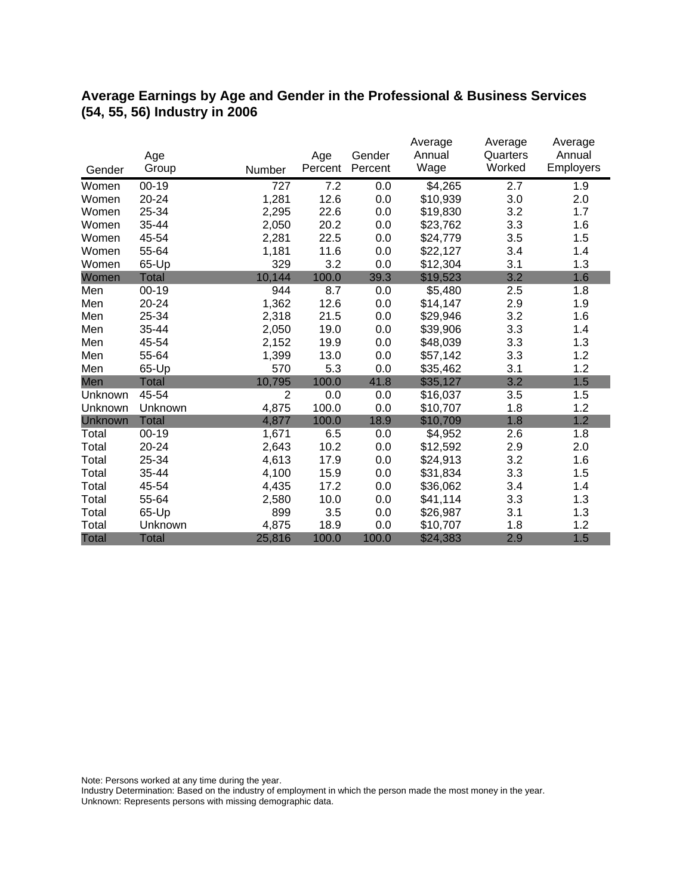## **Average Earnings by Age and Gender in the Professional & Business Services (54, 55, 56) Industry in 2006**

|                | Age          |                | Age     | Gender  | Average<br>Annual | Average<br>Quarters | Average<br>Annual |
|----------------|--------------|----------------|---------|---------|-------------------|---------------------|-------------------|
| Gender         | Group        | Number         | Percent | Percent | Wage              | Worked              | <b>Employers</b>  |
| Women          | $00 - 19$    | 727            | 7.2     | 0.0     | \$4,265           | 2.7                 | 1.9               |
| Women          | 20-24        | 1,281          | 12.6    | 0.0     | \$10,939          | 3.0                 | 2.0               |
| Women          | 25-34        | 2,295          | 22.6    | 0.0     | \$19,830          | 3.2                 | 1.7               |
| Women          | 35-44        | 2,050          | 20.2    | 0.0     | \$23,762          | 3.3                 | 1.6               |
| Women          | 45-54        | 2,281          | 22.5    | 0.0     | \$24,779          | 3.5                 | 1.5               |
| Women          | 55-64        | 1,181          | 11.6    | 0.0     | \$22,127          | 3.4                 | 1.4               |
| Women          | 65-Up        | 329            | 3.2     | 0.0     | \$12,304          | 3.1                 | 1.3               |
| Women          | <b>Total</b> | 10,144         | 100.0   | 39.3    | \$19,523          | 3.2                 | 1.6               |
| Men            | $00 - 19$    | 944            | 8.7     | 0.0     | \$5,480           | 2.5                 | 1.8               |
| Men            | 20-24        | 1,362          | 12.6    | 0.0     | \$14,147          | 2.9                 | 1.9               |
| Men            | 25-34        | 2,318          | 21.5    | 0.0     | \$29,946          | 3.2                 | 1.6               |
| Men            | 35-44        | 2,050          | 19.0    | 0.0     | \$39,906          | 3.3                 | 1.4               |
| Men            | 45-54        | 2,152          | 19.9    | 0.0     | \$48,039          | 3.3                 | 1.3               |
| Men            | 55-64        | 1,399          | 13.0    | 0.0     | \$57,142          | 3.3                 | 1.2               |
| Men            | 65-Up        | 570            | 5.3     | 0.0     | \$35,462          | 3.1                 | 1.2               |
| Men            | <b>Total</b> | 10,795         | 100.0   | 41.8    | \$35,127          | 3.2                 | 1.5               |
| Unknown        | 45-54        | $\overline{2}$ | 0.0     | 0.0     | \$16,037          | 3.5                 | 1.5               |
| Unknown        | Unknown      | 4,875          | 100.0   | 0.0     | \$10,707          | 1.8                 | 1.2               |
| <b>Unknown</b> | <b>Total</b> | 4,877          | 100.0   | 18.9    | \$10,709          | 1.8                 | 1.2               |
| Total          | $00 - 19$    | 1,671          | 6.5     | 0.0     | \$4,952           | 2.6                 | 1.8               |
| Total          | 20-24        | 2,643          | 10.2    | 0.0     | \$12,592          | 2.9                 | 2.0               |
| Total          | 25-34        | 4,613          | 17.9    | 0.0     | \$24,913          | 3.2                 | 1.6               |
| Total          | 35-44        | 4,100          | 15.9    | 0.0     | \$31,834          | 3.3                 | 1.5               |
| Total          | 45-54        | 4,435          | 17.2    | 0.0     | \$36,062          | 3.4                 | 1.4               |
| Total          | 55-64        | 2,580          | 10.0    | 0.0     | \$41,114          | 3.3                 | 1.3               |
| Total          | 65-Up        | 899            | 3.5     | 0.0     | \$26,987          | 3.1                 | 1.3               |
| Total          | Unknown      | 4,875          | 18.9    | 0.0     | \$10,707          | 1.8                 | 1.2               |
| <b>Total</b>   | <b>Total</b> | 25,816         | 100.0   | 100.0   | \$24,383          | 2.9                 | 1.5               |

Note: Persons worked at any time during the year.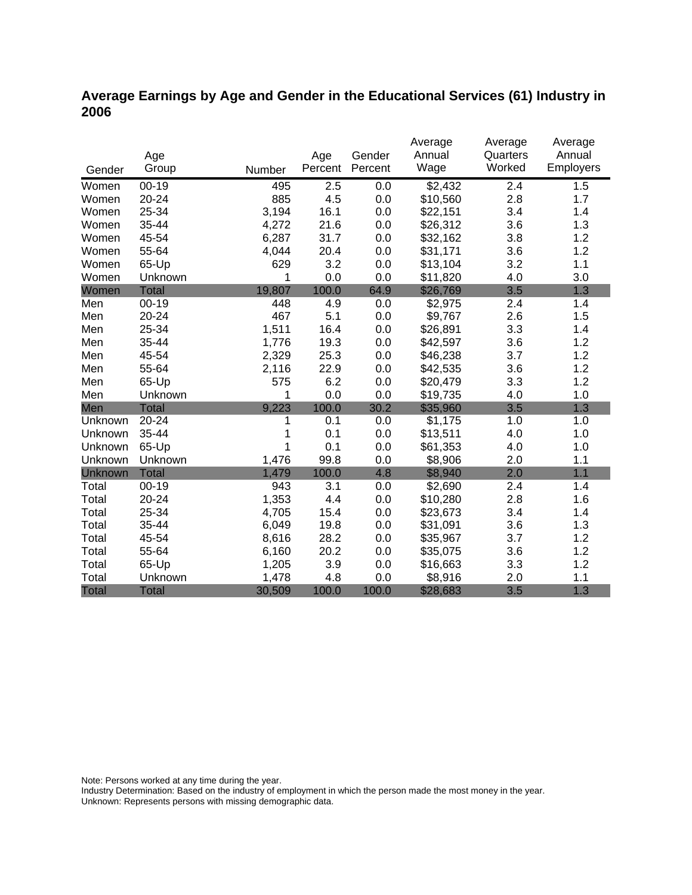## **Average Earnings by Age and Gender in the Educational Services (61) Industry in 2006**

|              |              |        |         |         | Average  | Average  | Average   |
|--------------|--------------|--------|---------|---------|----------|----------|-----------|
|              | Age          |        | Age     | Gender  | Annual   | Quarters | Annual    |
| Gender       | Group        | Number | Percent | Percent | Wage     | Worked   | Employers |
| Women        | $00 - 19$    | 495    | 2.5     | 0.0     | \$2,432  | 2.4      | 1.5       |
| Women        | 20-24        | 885    | 4.5     | 0.0     | \$10,560 | 2.8      | 1.7       |
| Women        | 25-34        | 3,194  | 16.1    | 0.0     | \$22,151 | 3.4      | 1.4       |
| Women        | 35-44        | 4,272  | 21.6    | 0.0     | \$26,312 | 3.6      | 1.3       |
| Women        | 45-54        | 6,287  | 31.7    | 0.0     | \$32,162 | 3.8      | 1.2       |
| Women        | 55-64        | 4,044  | 20.4    | 0.0     | \$31,171 | 3.6      | 1.2       |
| Women        | 65-Up        | 629    | 3.2     | 0.0     | \$13,104 | 3.2      | 1.1       |
| Women        | Unknown      | 1      | 0.0     | 0.0     | \$11,820 | 4.0      | 3.0       |
| Women        | <b>Total</b> | 19,807 | 100.0   | 64.9    | \$26,769 | 3.5      | 1.3       |
| Men          | $00 - 19$    | 448    | 4.9     | 0.0     | \$2,975  | 2.4      | 1.4       |
| Men          | 20-24        | 467    | 5.1     | 0.0     | \$9,767  | 2.6      | 1.5       |
| Men          | 25-34        | 1,511  | 16.4    | 0.0     | \$26,891 | 3.3      | 1.4       |
| Men          | 35-44        | 1,776  | 19.3    | 0.0     | \$42,597 | 3.6      | 1.2       |
| Men          | 45-54        | 2,329  | 25.3    | 0.0     | \$46,238 | 3.7      | 1.2       |
| Men          | 55-64        | 2,116  | 22.9    | 0.0     | \$42,535 | 3.6      | 1.2       |
| Men          | 65-Up        | 575    | 6.2     | 0.0     | \$20,479 | 3.3      | 1.2       |
| Men          | Unknown      | 1      | 0.0     | 0.0     | \$19,735 | 4.0      | 1.0       |
| Men          | <b>Total</b> | 9,223  | 100.0   | 30.2    | \$35,960 | 3.5      | 1.3       |
| Unknown      | 20-24        | 1      | 0.1     | 0.0     | \$1,175  | 1.0      | 1.0       |
| Unknown      | 35-44        | 1      | 0.1     | 0.0     | \$13,511 | 4.0      | 1.0       |
| Unknown      | 65-Up        | 1      | 0.1     | 0.0     | \$61,353 | 4.0      | 1.0       |
| Unknown      | Unknown      | 1,476  | 99.8    | 0.0     | \$8,906  | 2.0      | 1.1       |
| Unknown      | Total        | 1,479  | 100.0   | 4.8     | \$8,940  | 2.0      | 1.1       |
| Total        | $00 - 19$    | 943    | 3.1     | 0.0     | \$2,690  | 2.4      | 1.4       |
| Total        | 20-24        | 1,353  | 4.4     | 0.0     | \$10,280 | 2.8      | 1.6       |
| Total        | 25-34        | 4,705  | 15.4    | 0.0     | \$23,673 | 3.4      | 1.4       |
| Total        | 35-44        | 6,049  | 19.8    | 0.0     | \$31,091 | 3.6      | 1.3       |
| Total        | 45-54        | 8,616  | 28.2    | 0.0     | \$35,967 | 3.7      | 1.2       |
| Total        | 55-64        | 6,160  | 20.2    | 0.0     | \$35,075 | 3.6      | 1.2       |
| Total        | 65-Up        | 1,205  | 3.9     | 0.0     | \$16,663 | 3.3      | 1.2       |
| Total        | Unknown      | 1,478  | 4.8     | 0.0     | \$8,916  | 2.0      | 1.1       |
| <b>Total</b> | <b>Total</b> | 30,509 | 100.0   | 100.0   | \$28,683 | 3.5      | 1.3       |

Note: Persons worked at any time during the year.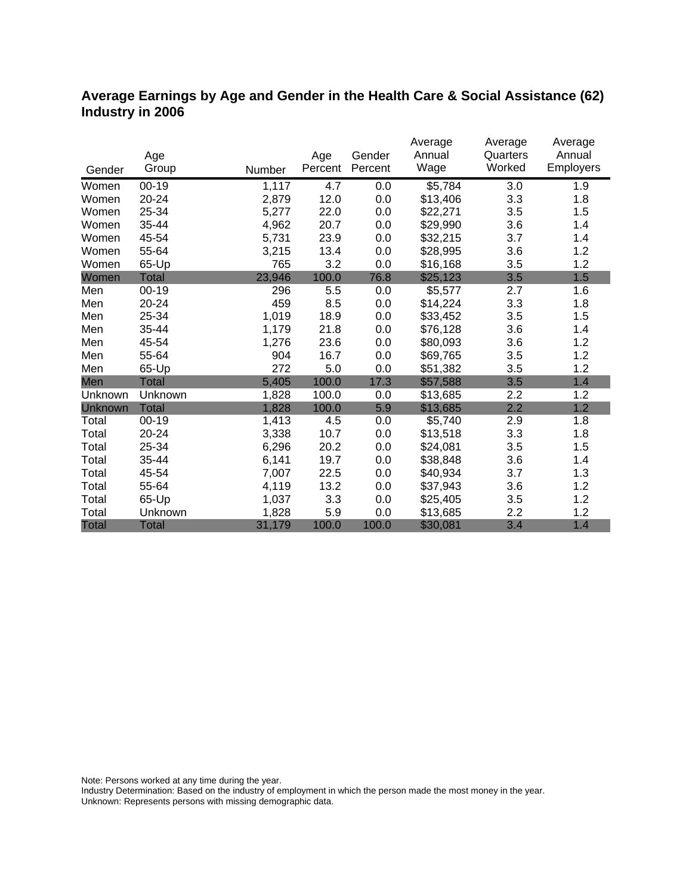## **Average Earnings by Age and Gender in the Health Care & Social Assistance (62) Industry in 2006**

|              |              |        |         |         | Average  | Average  | Average          |
|--------------|--------------|--------|---------|---------|----------|----------|------------------|
|              | Age          |        | Age     | Gender  | Annual   | Quarters | Annual           |
| Gender       | Group        | Number | Percent | Percent | Wage     | Worked   | <b>Employers</b> |
| Women        | $00-19$      | 1,117  | 4.7     | 0.0     | \$5,784  | 3.0      | 1.9              |
| Women        | 20-24        | 2,879  | 12.0    | 0.0     | \$13,406 | 3.3      | 1.8              |
| Women        | 25-34        | 5,277  | 22.0    | 0.0     | \$22,271 | 3.5      | 1.5              |
| Women        | 35-44        | 4,962  | 20.7    | 0.0     | \$29,990 | 3.6      | 1.4              |
| Women        | 45-54        | 5,731  | 23.9    | 0.0     | \$32,215 | 3.7      | 1.4              |
| Women        | 55-64        | 3,215  | 13.4    | 0.0     | \$28,995 | 3.6      | 1.2              |
| Women        | 65-Up        | 765    | 3.2     | 0.0     | \$16,168 | 3.5      | 1.2              |
| Women        | Total        | 23,946 | 100.0   | 76.8    | \$25,123 | 3.5      | 1.5              |
| Men          | $00 - 19$    | 296    | 5.5     | 0.0     | \$5,577  | 2.7      | 1.6              |
| Men          | 20-24        | 459    | 8.5     | 0.0     | \$14,224 | 3.3      | 1.8              |
| Men          | 25-34        | 1,019  | 18.9    | 0.0     | \$33,452 | 3.5      | 1.5              |
| Men          | 35-44        | 1,179  | 21.8    | 0.0     | \$76,128 | 3.6      | 1.4              |
| Men          | 45-54        | 1,276  | 23.6    | 0.0     | \$80,093 | 3.6      | 1.2              |
| Men          | 55-64        | 904    | 16.7    | 0.0     | \$69,765 | 3.5      | 1.2              |
| Men          | 65-Up        | 272    | 5.0     | 0.0     | \$51,382 | 3.5      | 1.2              |
| Men          | <b>Total</b> | 5,405  | 100.0   | 17.3    | \$57,588 | 3.5      | 1.4              |
| Unknown      | Unknown      | 1,828  | 100.0   | 0.0     | \$13,685 | 2.2      | 1.2              |
| Unknown      | <b>Total</b> | 1,828  | 100.0   | 5.9     | \$13,685 | 2.2      | 1.2              |
| Total        | $00 - 19$    | 1,413  | 4.5     | 0.0     | \$5,740  | 2.9      | 1.8              |
| Total        | 20-24        | 3,338  | 10.7    | 0.0     | \$13,518 | 3.3      | 1.8              |
| Total        | 25-34        | 6,296  | 20.2    | 0.0     | \$24,081 | 3.5      | 1.5              |
| Total        | 35-44        | 6,141  | 19.7    | 0.0     | \$38,848 | 3.6      | 1.4              |
| Total        | 45-54        | 7,007  | 22.5    | 0.0     | \$40,934 | 3.7      | 1.3              |
| Total        | 55-64        | 4,119  | 13.2    | 0.0     | \$37,943 | 3.6      | 1.2              |
| Total        | 65-Up        | 1,037  | 3.3     | 0.0     | \$25,405 | 3.5      | 1.2              |
| Total        | Unknown      | 1,828  | 5.9     | 0.0     | \$13,685 | 2.2      | 1.2              |
| <b>Total</b> | <b>Total</b> | 31,179 | 100.0   | 100.0   | \$30,081 | 3.4      | 1.4              |

Note: Persons worked at any time during the year.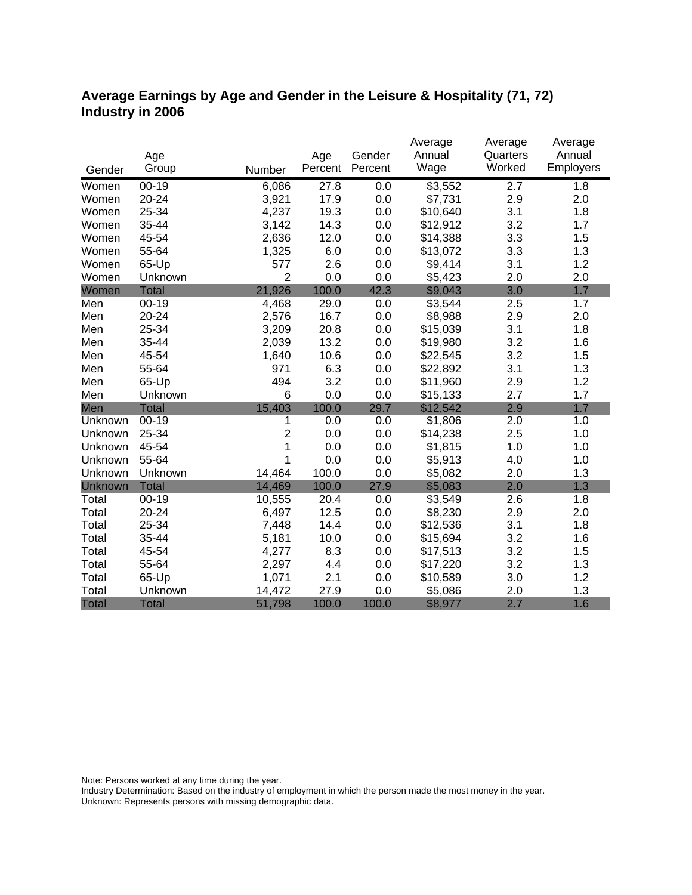## **Average Earnings by Age and Gender in the Leisure & Hospitality (71, 72) Industry in 2006**

|              |              |                |         |         | Average  | Average          | Average   |
|--------------|--------------|----------------|---------|---------|----------|------------------|-----------|
|              | Age          |                | Age     | Gender  | Annual   | Quarters         | Annual    |
| Gender       | Group        | Number         | Percent | Percent | Wage     | Worked           | Employers |
| Women        | $00 - 19$    | 6,086          | 27.8    | 0.0     | 3,552    | $\overline{2.7}$ | 1.8       |
| Women        | 20-24        | 3,921          | 17.9    | 0.0     | \$7,731  | 2.9              | 2.0       |
| Women        | 25-34        | 4,237          | 19.3    | 0.0     | \$10,640 | 3.1              | 1.8       |
| Women        | 35-44        | 3,142          | 14.3    | 0.0     | \$12,912 | 3.2              | 1.7       |
| Women        | 45-54        | 2,636          | 12.0    | 0.0     | \$14,388 | 3.3              | 1.5       |
| Women        | 55-64        | 1,325          | 6.0     | 0.0     | \$13,072 | 3.3              | 1.3       |
| Women        | 65-Up        | 577            | 2.6     | 0.0     | \$9,414  | 3.1              | 1.2       |
| Women        | Unknown      | $\overline{2}$ | 0.0     | 0.0     | \$5,423  | 2.0              | 2.0       |
| Women        | <b>Total</b> | 21,926         | 100.0   | 42.3    | \$9,043  | 3.0              | 1.7       |
| Men          | $00-19$      | 4,468          | 29.0    | 0.0     | \$3,544  | 2.5              | 1.7       |
| Men          | 20-24        | 2,576          | 16.7    | 0.0     | \$8,988  | 2.9              | 2.0       |
| Men          | 25-34        | 3,209          | 20.8    | 0.0     | \$15,039 | 3.1              | 1.8       |
| Men          | 35-44        | 2,039          | 13.2    | 0.0     | \$19,980 | 3.2              | 1.6       |
| Men          | 45-54        | 1,640          | 10.6    | 0.0     | \$22,545 | 3.2              | 1.5       |
| Men          | 55-64        | 971            | 6.3     | 0.0     | \$22,892 | 3.1              | 1.3       |
| Men          | 65-Up        | 494            | 3.2     | 0.0     | \$11,960 | 2.9              | 1.2       |
| Men          | Unknown      | 6              | 0.0     | 0.0     | \$15,133 | 2.7              | 1.7       |
| Men          | <b>Total</b> | 15,403         | 100.0   | 29.7    | \$12,542 | 2.9              | 1.7       |
| Unknown      | $00 - 19$    | 1              | 0.0     | 0.0     | \$1,806  | 2.0              | 1.0       |
| Unknown      | 25-34        | $\overline{2}$ | 0.0     | 0.0     | \$14,238 | 2.5              | 1.0       |
| Unknown      | 45-54        | 1              | 0.0     | 0.0     | \$1,815  | 1.0              | 1.0       |
| Unknown      | 55-64        | 1              | 0.0     | 0.0     | \$5,913  | 4.0              | 1.0       |
| Unknown      | Unknown      | 14,464         | 100.0   | 0.0     | \$5,082  | 2.0              | 1.3       |
| Unknown      | <b>Total</b> | 14,469         | 100.0   | 27.9    | \$5,083  | 2.0              | 1.3       |
| Total        | $00 - 19$    | 10,555         | 20.4    | 0.0     | \$3,549  | 2.6              | 1.8       |
| Total        | 20-24        | 6,497          | 12.5    | 0.0     | \$8,230  | 2.9              | 2.0       |
| Total        | 25-34        | 7,448          | 14.4    | 0.0     | \$12,536 | 3.1              | 1.8       |
| Total        | 35-44        | 5,181          | 10.0    | 0.0     | \$15,694 | 3.2              | 1.6       |
| Total        | 45-54        | 4,277          | 8.3     | 0.0     | \$17,513 | 3.2              | 1.5       |
| Total        | 55-64        | 2,297          | 4.4     | 0.0     | \$17,220 | 3.2              | 1.3       |
| Total        | 65-Up        | 1,071          | 2.1     | 0.0     | \$10,589 | 3.0              | 1.2       |
| Total        | Unknown      | 14,472         | 27.9    | 0.0     | \$5,086  | 2.0              | 1.3       |
| <b>Total</b> | <b>Total</b> | 51,798         | 100.0   | 100.0   | \$8,977  | 2.7              | 1.6       |

Note: Persons worked at any time during the year.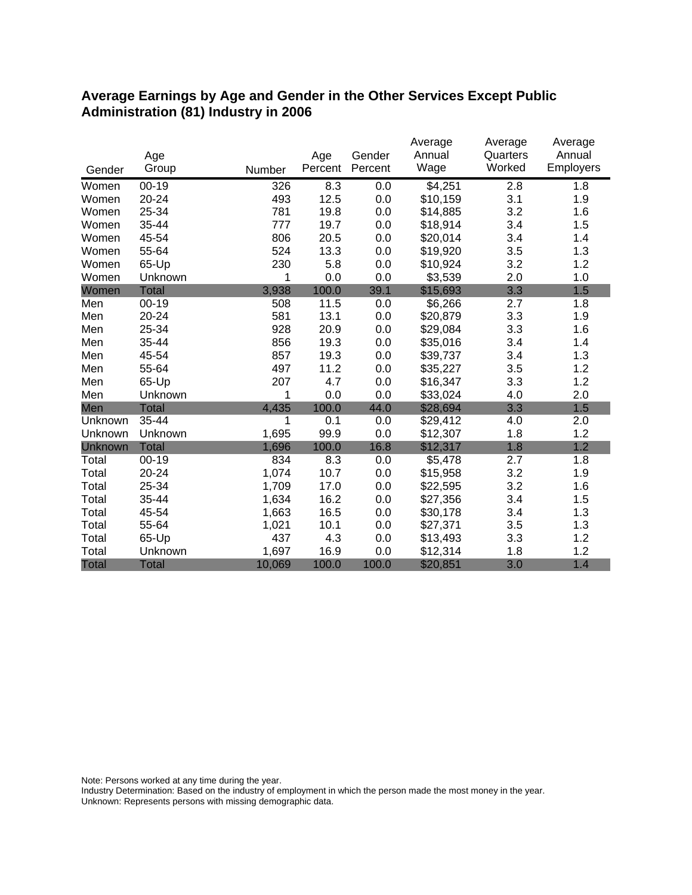#### **Average Earnings by Age and Gender in the Other Services Except Public Administration (81) Industry in 2006**

|              |              |        |         |         | Average  | Average  | Average   |
|--------------|--------------|--------|---------|---------|----------|----------|-----------|
|              | Age          |        | Age     | Gender  | Annual   | Quarters | Annual    |
| Gender       | Group        | Number | Percent | Percent | Wage     | Worked   | Employers |
| Women        | $00 - 19$    | 326    | 8.3     | 0.0     | \$4,251  | 2.8      | 1.8       |
| Women        | 20-24        | 493    | 12.5    | 0.0     | \$10,159 | 3.1      | 1.9       |
| Women        | 25-34        | 781    | 19.8    | 0.0     | \$14,885 | 3.2      | 1.6       |
| Women        | 35-44        | 777    | 19.7    | 0.0     | \$18,914 | 3.4      | 1.5       |
| Women        | 45-54        | 806    | 20.5    | 0.0     | \$20,014 | 3.4      | 1.4       |
| Women        | 55-64        | 524    | 13.3    | 0.0     | \$19,920 | 3.5      | 1.3       |
| Women        | 65-Up        | 230    | 5.8     | 0.0     | \$10,924 | 3.2      | 1.2       |
| Women        | Unknown      | 1      | 0.0     | 0.0     | \$3,539  | 2.0      | 1.0       |
| Women        | <b>Total</b> | 3,938  | 100.0   | 39.1    | \$15,693 | 3.3      | 1.5       |
| Men          | $00 - 19$    | 508    | 11.5    | 0.0     | \$6,266  | 2.7      | 1.8       |
| Men          | 20-24        | 581    | 13.1    | 0.0     | \$20,879 | 3.3      | 1.9       |
| Men          | 25-34        | 928    | 20.9    | 0.0     | \$29,084 | 3.3      | 1.6       |
| Men          | 35-44        | 856    | 19.3    | 0.0     | \$35,016 | 3.4      | 1.4       |
| Men          | 45-54        | 857    | 19.3    | 0.0     | \$39,737 | 3.4      | 1.3       |
| Men          | 55-64        | 497    | 11.2    | 0.0     | \$35,227 | 3.5      | 1.2       |
| Men          | 65-Up        | 207    | 4.7     | 0.0     | \$16,347 | 3.3      | 1.2       |
| Men          | Unknown      | 1      | 0.0     | 0.0     | \$33,024 | 4.0      | 2.0       |
| Men          | <b>Total</b> | 4,435  | 100.0   | 44.0    | \$28,694 | 3.3      | 1.5       |
| Unknown      | 35-44        | 1      | 0.1     | 0.0     | \$29,412 | 4.0      | 2.0       |
| Unknown      | Unknown      | 1,695  | 99.9    | 0.0     | \$12,307 | 1.8      | 1.2       |
| Unknown      | <b>Total</b> | 1,696  | 100.0   | 16.8    | \$12,317 | 1.8      | 1.2       |
| Total        | $00 - 19$    | 834    | 8.3     | 0.0     | \$5,478  | 2.7      | 1.8       |
| Total        | 20-24        | 1,074  | 10.7    | 0.0     | \$15,958 | 3.2      | 1.9       |
| Total        | 25-34        | 1,709  | 17.0    | 0.0     | \$22,595 | 3.2      | 1.6       |
| Total        | 35-44        | 1,634  | 16.2    | 0.0     | \$27,356 | 3.4      | 1.5       |
| Total        | 45-54        | 1,663  | 16.5    | 0.0     | \$30,178 | 3.4      | 1.3       |
| Total        | 55-64        | 1,021  | 10.1    | 0.0     | \$27,371 | 3.5      | 1.3       |
| Total        | 65-Up        | 437    | 4.3     | 0.0     | \$13,493 | 3.3      | 1.2       |
| Total        | Unknown      | 1,697  | 16.9    | 0.0     | \$12,314 | 1.8      | 1.2       |
| <b>Total</b> | <b>Total</b> | 10,069 | 100.0   | 100.0   | \$20,851 | 3.0      | 1.4       |

Note: Persons worked at any time during the year.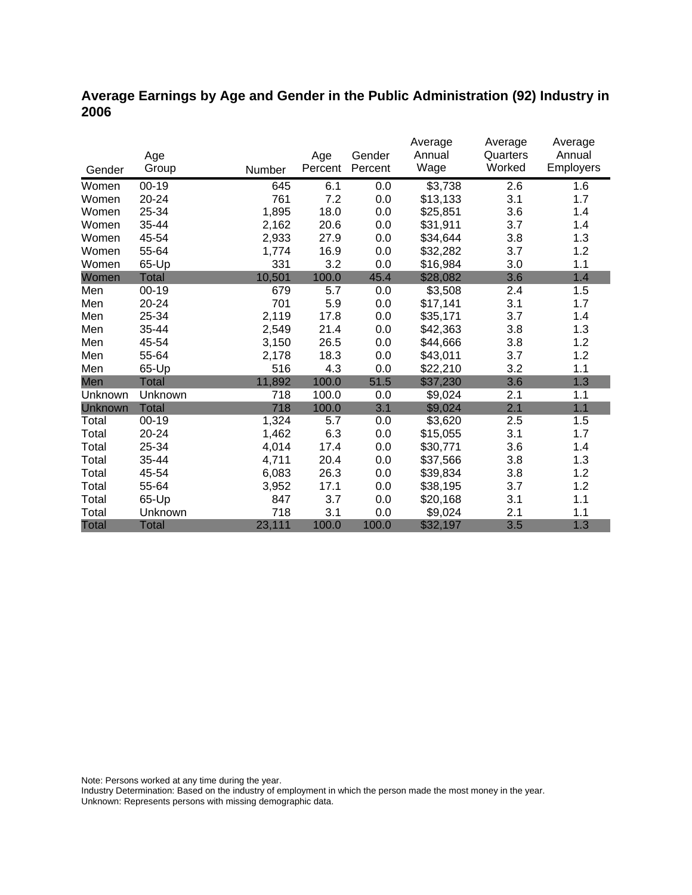## **Average Earnings by Age and Gender in the Public Administration (92) Industry in 2006**

|                |              |        |         |         | Average  | Average  | Average   |
|----------------|--------------|--------|---------|---------|----------|----------|-----------|
|                | Age          |        | Age     | Gender  | Annual   | Quarters | Annual    |
| Gender         | Group        | Number | Percent | Percent | Wage     | Worked   | Employers |
| Women          | $00 - 19$    | 645    | 6.1     | 0.0     | \$3,738  | 2.6      | 1.6       |
| Women          | 20-24        | 761    | 7.2     | 0.0     | \$13,133 | 3.1      | 1.7       |
| Women          | 25-34        | 1,895  | 18.0    | 0.0     | \$25,851 | 3.6      | 1.4       |
| Women          | 35-44        | 2,162  | 20.6    | 0.0     | \$31,911 | 3.7      | 1.4       |
| Women          | 45-54        | 2,933  | 27.9    | 0.0     | \$34,644 | 3.8      | 1.3       |
| Women          | 55-64        | 1,774  | 16.9    | 0.0     | \$32,282 | 3.7      | 1.2       |
| Women          | 65-Up        | 331    | 3.2     | 0.0     | \$16,984 | 3.0      | 1.1       |
| Women          | Total        | 10,501 | 100.0   | 45.4    | \$28,082 | 3.6      | 1.4       |
| Men            | $00 - 19$    | 679    | 5.7     | 0.0     | \$3,508  | 2.4      | 1.5       |
| Men            | $20 - 24$    | 701    | 5.9     | 0.0     | \$17,141 | 3.1      | 1.7       |
| Men            | 25-34        | 2,119  | 17.8    | 0.0     | \$35,171 | 3.7      | 1.4       |
| Men            | 35-44        | 2,549  | 21.4    | 0.0     | \$42,363 | 3.8      | 1.3       |
| Men            | 45-54        | 3,150  | 26.5    | 0.0     | \$44,666 | 3.8      | 1.2       |
| Men            | 55-64        | 2,178  | 18.3    | 0.0     | \$43,011 | 3.7      | 1.2       |
| Men            | 65-Up        | 516    | 4.3     | 0.0     | \$22,210 | 3.2      | 1.1       |
| Men            | <b>Total</b> | 11,892 | 100.0   | 51.5    | \$37,230 | 3.6      | 1.3       |
| Unknown        | Unknown      | 718    | 100.0   | 0.0     | \$9,024  | 2.1      | 1.1       |
| <b>Unknown</b> | <b>Total</b> | 718    | 100.0   | 3.1     | \$9,024  | 2.1      | 1.1       |
| Total          | $00 - 19$    | 1,324  | 5.7     | 0.0     | \$3,620  | 2.5      | 1.5       |
| Total          | 20-24        | 1,462  | 6.3     | 0.0     | \$15,055 | 3.1      | 1.7       |
| Total          | 25-34        | 4,014  | 17.4    | 0.0     | \$30,771 | 3.6      | 1.4       |
| Total          | 35-44        | 4,711  | 20.4    | 0.0     | \$37,566 | 3.8      | 1.3       |
| Total          | 45-54        | 6,083  | 26.3    | 0.0     | \$39,834 | 3.8      | 1.2       |
| Total          | 55-64        | 3,952  | 17.1    | 0.0     | \$38,195 | 3.7      | 1.2       |
| Total          | 65-Up        | 847    | 3.7     | 0.0     | \$20,168 | 3.1      | 1.1       |
| Total          | Unknown      | 718    | 3.1     | 0.0     | \$9,024  | 2.1      | 1.1       |
| <b>Total</b>   | <b>Total</b> | 23,111 | 100.0   | 100.0   | \$32,197 | 3.5      | 1.3       |

Note: Persons worked at any time during the year.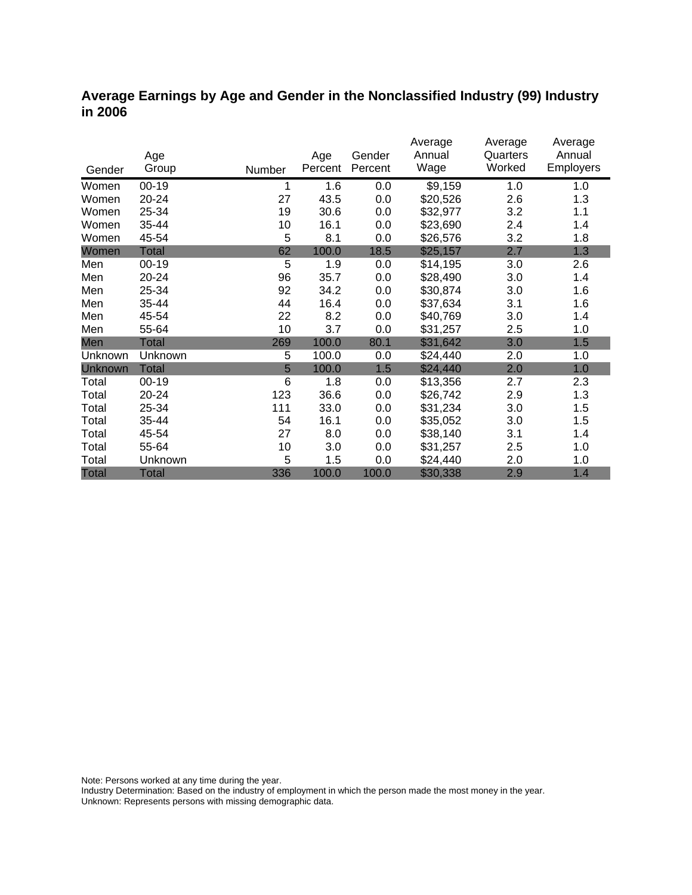#### **Average Earnings by Age and Gender in the Nonclassified Industry (99) Industry in 2006**

|                |              |        |         |         | Average  | Average  | Average          |
|----------------|--------------|--------|---------|---------|----------|----------|------------------|
|                | Age          |        | Age     | Gender  | Annual   | Quarters | Annual           |
| Gender         | Group        | Number | Percent | Percent | Wage     | Worked   | <b>Employers</b> |
| Women          | $00-19$      | 1      | 1.6     | 0.0     | \$9,159  | 1.0      | 1.0              |
| Women          | 20-24        | 27     | 43.5    | 0.0     | \$20,526 | 2.6      | 1.3              |
| Women          | 25-34        | 19     | 30.6    | 0.0     | \$32,977 | 3.2      | 1.1              |
| Women          | 35-44        | 10     | 16.1    | 0.0     | \$23,690 | 2.4      | 1.4              |
| Women          | 45-54        | 5      | 8.1     | 0.0     | \$26,576 | 3.2      | 1.8              |
| Women          | <b>Total</b> | 62     | 100.0   | 18.5    | \$25,157 | 2.7      | 1.3              |
| Men            | $00 - 19$    | 5      | 1.9     | 0.0     | \$14,195 | 3.0      | 2.6              |
| Men            | 20-24        | 96     | 35.7    | 0.0     | \$28,490 | 3.0      | 1.4              |
| Men            | 25-34        | 92     | 34.2    | 0.0     | \$30,874 | 3.0      | 1.6              |
| Men            | 35-44        | 44     | 16.4    | 0.0     | \$37,634 | 3.1      | 1.6              |
| Men            | 45-54        | 22     | 8.2     | 0.0     | \$40,769 | 3.0      | 1.4              |
| Men            | 55-64        | 10     | 3.7     | 0.0     | \$31,257 | 2.5      | 1.0              |
| Men            | <b>Total</b> | 269    | 100.0   | 80.1    | \$31,642 | 3.0      | 1.5              |
| Unknown        | Unknown      | 5      | 100.0   | 0.0     | \$24,440 | 2.0      | 1.0              |
| <b>Unknown</b> | <b>Total</b> | 5      | 100.0   | 1.5     | \$24,440 | 2.0      | 1.0              |
| Total          | $00 - 19$    | 6      | 1.8     | 0.0     | \$13,356 | 2.7      | 2.3              |
| Total          | 20-24        | 123    | 36.6    | 0.0     | \$26,742 | 2.9      | 1.3              |
| Total          | 25-34        | 111    | 33.0    | 0.0     | \$31,234 | 3.0      | 1.5              |
| Total          | 35-44        | 54     | 16.1    | 0.0     | \$35,052 | 3.0      | 1.5              |
| Total          | 45-54        | 27     | 8.0     | 0.0     | \$38,140 | 3.1      | 1.4              |
| Total          | 55-64        | 10     | 3.0     | 0.0     | \$31,257 | 2.5      | 1.0              |
| Total          | Unknown      | 5      | 1.5     | 0.0     | \$24,440 | 2.0      | 1.0              |
| <b>Total</b>   | <b>Total</b> | 336    | 100.0   | 100.0   | \$30,338 | 2.9      | 1.4              |

Note: Persons worked at any time during the year.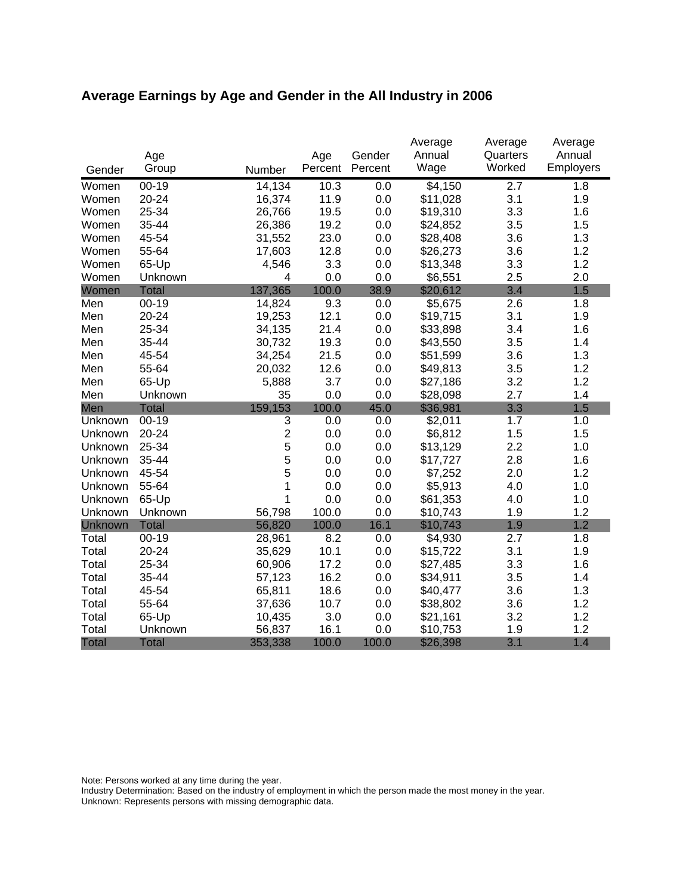# **Average Earnings by Age and Gender in the All Industry in 2006**

|              |              |                |         |         | Average  | Average  | Average   |
|--------------|--------------|----------------|---------|---------|----------|----------|-----------|
|              | Age          |                | Age     | Gender  | Annual   | Quarters | Annual    |
| Gender       | Group        | Number         | Percent | Percent | Wage     | Worked   | Employers |
| Women        | $00 - 19$    | 14,134         | 10.3    | 0.0     | \$4,150  | 2.7      | 1.8       |
| Women        | $20 - 24$    | 16,374         | 11.9    | 0.0     | \$11,028 | 3.1      | 1.9       |
| Women        | 25-34        | 26,766         | 19.5    | 0.0     | \$19,310 | 3.3      | 1.6       |
| Women        | 35-44        | 26,386         | 19.2    | 0.0     | \$24,852 | 3.5      | 1.5       |
| Women        | 45-54        | 31,552         | 23.0    | 0.0     | \$28,408 | 3.6      | 1.3       |
| Women        | 55-64        | 17,603         | 12.8    | 0.0     | \$26,273 | 3.6      | 1.2       |
| Women        | 65-Up        | 4,546          | 3.3     | 0.0     | \$13,348 | 3.3      | 1.2       |
| Women        | Unknown      | 4              | 0.0     | 0.0     | \$6,551  | 2.5      | 2.0       |
| Women        | <b>Total</b> | 137,365        | 100.0   | 38.9    | \$20,612 | 3.4      | 1.5       |
| Men          | $00-19$      | 14,824         | 9.3     | 0.0     | \$5,675  | 2.6      | 1.8       |
| Men          | 20-24        | 19,253         | 12.1    | 0.0     | \$19,715 | 3.1      | 1.9       |
| Men          | 25-34        | 34,135         | 21.4    | 0.0     | \$33,898 | 3.4      | 1.6       |
| Men          | 35-44        | 30,732         | 19.3    | 0.0     | \$43,550 | 3.5      | 1.4       |
| Men          | 45-54        | 34,254         | 21.5    | 0.0     | \$51,599 | 3.6      | 1.3       |
| Men          | 55-64        | 20,032         | 12.6    | 0.0     | \$49,813 | 3.5      | 1.2       |
| Men          | 65-Up        | 5,888          | 3.7     | 0.0     | \$27,186 | 3.2      | 1.2       |
| Men          | Unknown      | 35             | 0.0     | 0.0     | \$28,098 | 2.7      | 1.4       |
| Men          | <b>Total</b> | 159,153        | 100.0   | 45.0    | \$36,981 | 3.3      | 1.5       |
| Unknown      | $00 - 19$    | 3              | 0.0     | 0.0     | \$2,011  | 1.7      | 1.0       |
| Unknown      | 20-24        | $\overline{c}$ | 0.0     | 0.0     | \$6,812  | 1.5      | 1.5       |
| Unknown      | 25-34        | 5              | 0.0     | 0.0     | \$13,129 | 2.2      | 1.0       |
| Unknown      | 35-44        | 5              | 0.0     | 0.0     | \$17,727 | 2.8      | 1.6       |
| Unknown      | 45-54        | 5              | 0.0     | 0.0     | \$7,252  | 2.0      | 1.2       |
| Unknown      | 55-64        | 1              | 0.0     | 0.0     | \$5,913  | 4.0      | 1.0       |
| Unknown      | 65-Up        | 1              | 0.0     | 0.0     | \$61,353 | 4.0      | 1.0       |
| Unknown      | Unknown      | 56,798         | 100.0   | 0.0     | \$10,743 | 1.9      | 1.2       |
| Unknown      | <b>Total</b> | 56,820         | 100.0   | 16.1    | \$10,743 | 1.9      | 1.2       |
| Total        | $00 - 19$    | 28,961         | 8.2     | 0.0     | \$4,930  | 2.7      | 1.8       |
| Total        | 20-24        | 35,629         | 10.1    | 0.0     | \$15,722 | 3.1      | 1.9       |
| Total        | 25-34        | 60,906         | 17.2    | 0.0     | \$27,485 | 3.3      | 1.6       |
| Total        | 35-44        | 57,123         | 16.2    | 0.0     | \$34,911 | 3.5      | 1.4       |
| Total        | 45-54        | 65,811         | 18.6    | 0.0     | \$40,477 | 3.6      | 1.3       |
| Total        | 55-64        | 37,636         | 10.7    | 0.0     | \$38,802 | 3.6      | 1.2       |
| Total        | 65-Up        | 10,435         | 3.0     | 0.0     | \$21,161 | 3.2      | 1.2       |
| Total        | Unknown      | 56,837         | 16.1    | 0.0     | \$10,753 | 1.9      | 1.2       |
| <b>Total</b> | <b>Total</b> | 353,338        | 100.0   | 100.0   | \$26,398 | 3.1      | 1.4       |

Note: Persons worked at any time during the year.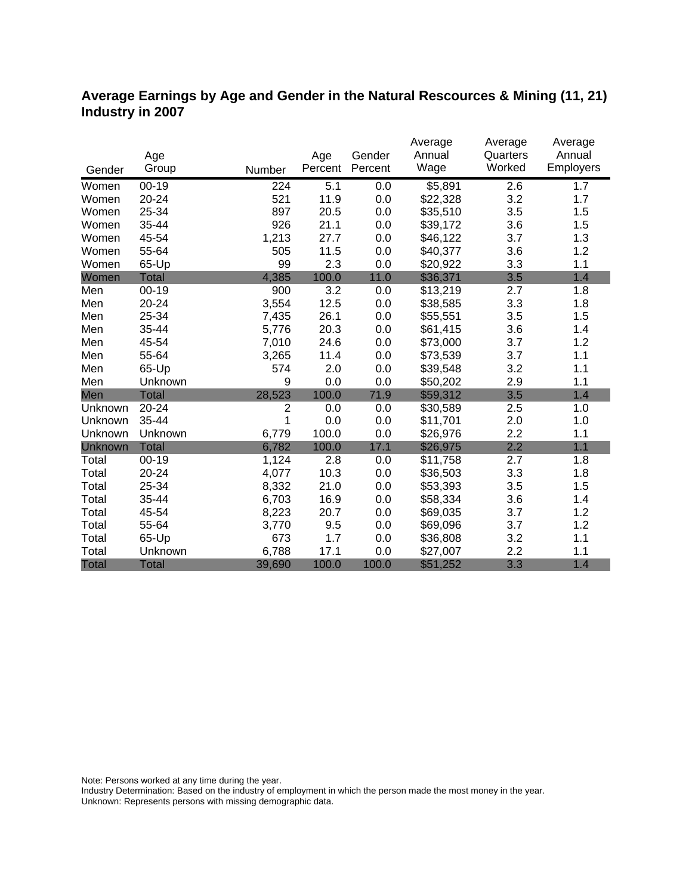#### **Average Earnings by Age and Gender in the Natural Rescources & Mining (11, 21) Industry in 2007**

|                |              |                |         |         | Average  | Average  | Average   |
|----------------|--------------|----------------|---------|---------|----------|----------|-----------|
|                | Age          |                | Age     | Gender  | Annual   | Quarters | Annual    |
| Gender         | Group        | Number         | Percent | Percent | Wage     | Worked   | Employers |
| Women          | $00 - 19$    | 224            | 5.1     | 0.0     | \$5,891  | 2.6      | 1.7       |
| Women          | 20-24        | 521            | 11.9    | 0.0     | \$22,328 | 3.2      | 1.7       |
| Women          | 25-34        | 897            | 20.5    | 0.0     | \$35,510 | 3.5      | 1.5       |
| Women          | 35-44        | 926            | 21.1    | 0.0     | \$39,172 | 3.6      | 1.5       |
| Women          | 45-54        | 1,213          | 27.7    | 0.0     | \$46,122 | 3.7      | 1.3       |
| Women          | 55-64        | 505            | 11.5    | 0.0     | \$40,377 | 3.6      | 1.2       |
| Women          | 65-Up        | 99             | 2.3     | 0.0     | \$20,922 | 3.3      | 1.1       |
| Women          | <b>Total</b> | 4,385          | 100.0   | 11.0    | \$36,371 | 3.5      | 1.4       |
| Men            | $00-19$      | 900            | 3.2     | 0.0     | \$13,219 | 2.7      | 1.8       |
| Men            | 20-24        | 3,554          | 12.5    | 0.0     | \$38,585 | 3.3      | 1.8       |
| Men            | 25-34        | 7,435          | 26.1    | 0.0     | \$55,551 | 3.5      | 1.5       |
| Men            | 35-44        | 5,776          | 20.3    | 0.0     | \$61,415 | 3.6      | 1.4       |
| Men            | 45-54        | 7,010          | 24.6    | 0.0     | \$73,000 | 3.7      | 1.2       |
| Men            | 55-64        | 3,265          | 11.4    | 0.0     | \$73,539 | 3.7      | 1.1       |
| Men            | 65-Up        | 574            | 2.0     | 0.0     | \$39,548 | 3.2      | 1.1       |
| Men            | Unknown      | 9              | 0.0     | 0.0     | \$50,202 | 2.9      | 1.1       |
| Men            | <b>Total</b> | 28,523         | 100.0   | 71.9    | \$59,312 | 3.5      | 1.4       |
| Unknown        | 20-24        | $\overline{2}$ | 0.0     | 0.0     | \$30,589 | 2.5      | 1.0       |
| Unknown        | 35-44        | 1              | 0.0     | 0.0     | \$11,701 | 2.0      | 1.0       |
| Unknown        | Unknown      | 6,779          | 100.0   | 0.0     | \$26,976 | 2.2      | 1.1       |
| <b>Unknown</b> | <b>Total</b> | 6,782          | 100.0   | 17.1    | \$26,975 | 2.2      | 1.1       |
| Total          | $00 - 19$    | 1,124          | 2.8     | 0.0     | \$11,758 | 2.7      | 1.8       |
| Total          | 20-24        | 4,077          | 10.3    | 0.0     | \$36,503 | 3.3      | 1.8       |
| Total          | 25-34        | 8,332          | 21.0    | 0.0     | \$53,393 | 3.5      | 1.5       |
| Total          | 35-44        | 6,703          | 16.9    | 0.0     | \$58,334 | 3.6      | 1.4       |
| Total          | 45-54        | 8,223          | 20.7    | 0.0     | \$69,035 | 3.7      | 1.2       |
| Total          | 55-64        | 3,770          | 9.5     | 0.0     | \$69,096 | 3.7      | 1.2       |
| Total          | 65-Up        | 673            | 1.7     | 0.0     | \$36,808 | 3.2      | 1.1       |
| Total          | Unknown      | 6,788          | 17.1    | 0.0     | \$27,007 | 2.2      | 1.1       |
| <b>Total</b>   | <b>Total</b> | 39,690         | 100.0   | 100.0   | \$51,252 | 3.3      | 1.4       |

Note: Persons worked at any time during the year.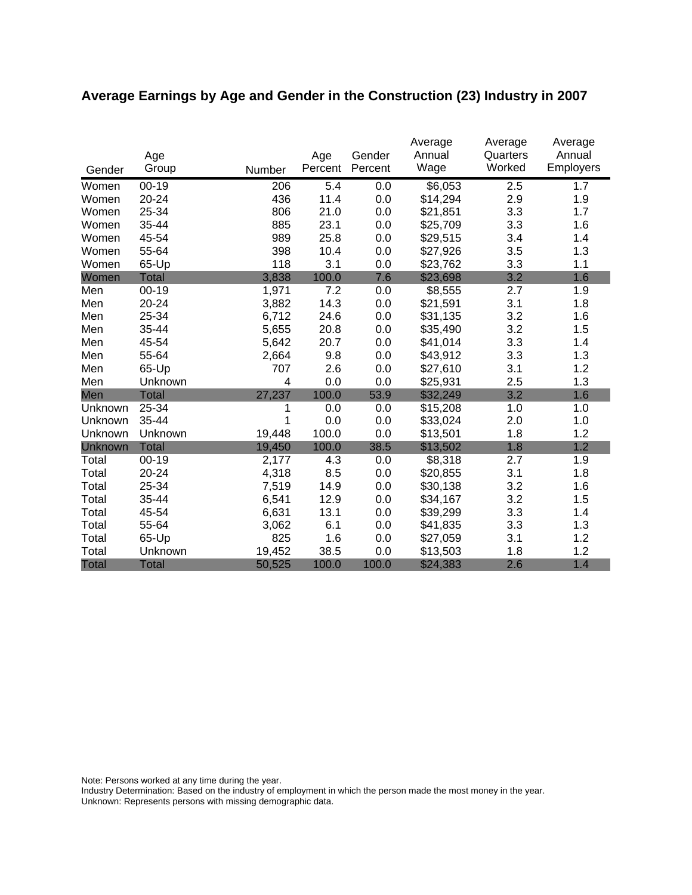# **Average Earnings by Age and Gender in the Construction (23) Industry in 2007**

|              | Age          |        | Age     | Gender  | Average<br>Annual | Average<br>Quarters | Average<br>Annual |
|--------------|--------------|--------|---------|---------|-------------------|---------------------|-------------------|
| Gender       | Group        | Number | Percent | Percent | Wage              | Worked              | Employers         |
| Women        | $00 - 19$    | 206    | 5.4     | 0.0     | \$6,053           | 2.5                 | 1.7               |
| Women        | 20-24        | 436    | 11.4    | 0.0     | \$14,294          | 2.9                 | 1.9               |
| Women        | 25-34        | 806    | 21.0    | 0.0     | \$21,851          | 3.3                 | 1.7               |
| Women        | 35-44        | 885    | 23.1    | 0.0     | \$25,709          | 3.3                 | 1.6               |
| Women        | 45-54        | 989    | 25.8    | 0.0     | \$29,515          | 3.4                 | 1.4               |
| Women        | 55-64        | 398    | 10.4    | 0.0     | \$27,926          | 3.5                 | 1.3               |
| Women        | 65-Up        | 118    | 3.1     | 0.0     | \$23,762          | 3.3                 | 1.1               |
| Women        | <b>Total</b> | 3,838  | 100.0   | 7.6     | \$23,698          | 3.2                 | 1.6               |
| Men          | $00 - 19$    | 1,971  | 7.2     | 0.0     | \$8,555           | 2.7                 | 1.9               |
| Men          | 20-24        | 3,882  | 14.3    | 0.0     | \$21,591          | 3.1                 | 1.8               |
| Men          | 25-34        | 6,712  | 24.6    | 0.0     | \$31,135          | 3.2                 | 1.6               |
| Men          | 35-44        | 5,655  | 20.8    | 0.0     | \$35,490          | 3.2                 | 1.5               |
| Men          | 45-54        | 5,642  | 20.7    | 0.0     | \$41,014          | 3.3                 | 1.4               |
| Men          | 55-64        | 2,664  | 9.8     | 0.0     | \$43,912          | 3.3                 | 1.3               |
| Men          | 65-Up        | 707    | 2.6     | 0.0     | \$27,610          | 3.1                 | 1.2               |
| Men          | Unknown      | 4      | 0.0     | 0.0     | \$25,931          | 2.5                 | 1.3               |
| Men          | <b>Total</b> | 27,237 | 100.0   | 53.9    | \$32,249          | 3.2                 | 1.6               |
| Unknown      | 25-34        |        | 0.0     | 0.0     | \$15,208          | 1.0                 | 1.0               |
| Unknown      | 35-44        | 1      | 0.0     | 0.0     | \$33,024          | 2.0                 | 1.0               |
| Unknown      | Unknown      | 19,448 | 100.0   | 0.0     | \$13,501          | 1.8                 | 1.2               |
| Unknown      | <b>Total</b> | 19,450 | 100.0   | 38.5    | \$13,502          | 1.8                 | 1.2               |
| Total        | $00 - 19$    | 2,177  | 4.3     | 0.0     | \$8,318           | 2.7                 | 1.9               |
| Total        | 20-24        | 4,318  | 8.5     | 0.0     | \$20,855          | 3.1                 | 1.8               |
| Total        | 25-34        | 7,519  | 14.9    | 0.0     | \$30,138          | 3.2                 | 1.6               |
| Total        | 35-44        | 6,541  | 12.9    | 0.0     | \$34,167          | 3.2                 | 1.5               |
| Total        | 45-54        | 6,631  | 13.1    | 0.0     | \$39,299          | 3.3                 | 1.4               |
| Total        | 55-64        | 3,062  | 6.1     | 0.0     | \$41,835          | 3.3                 | 1.3               |
| Total        | 65-Up        | 825    | 1.6     | 0.0     | \$27,059          | 3.1                 | 1.2               |
| Total        | Unknown      | 19,452 | 38.5    | 0.0     | \$13,503          | 1.8                 | 1.2               |
| <b>Total</b> | <b>Total</b> | 50,525 | 100.0   | 100.0   | \$24,383          | 2.6                 | 1.4               |

Note: Persons worked at any time during the year.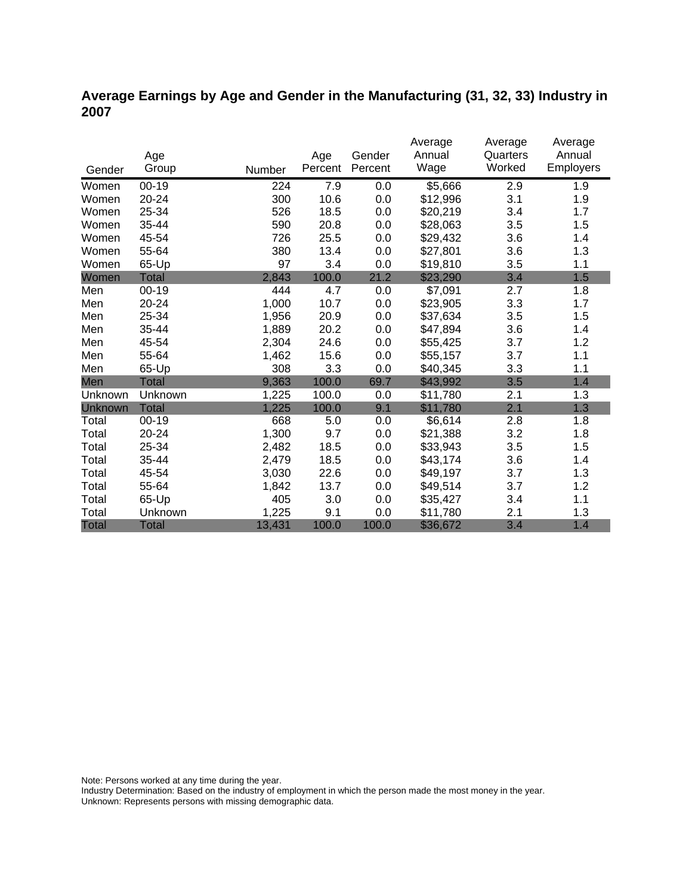## **Average Earnings by Age and Gender in the Manufacturing (31, 32, 33) Industry in 2007**

|                |              |        |         |         | Average  | Average  | Average          |
|----------------|--------------|--------|---------|---------|----------|----------|------------------|
|                | Age          |        | Age     | Gender  | Annual   | Quarters | Annual           |
| Gender         | Group        | Number | Percent | Percent | Wage     | Worked   | <b>Employers</b> |
| Women          | 00-19        | 224    | 7.9     | 0.0     | \$5,666  | 2.9      | 1.9              |
| Women          | 20-24        | 300    | 10.6    | 0.0     | \$12,996 | 3.1      | 1.9              |
| Women          | 25-34        | 526    | 18.5    | 0.0     | \$20,219 | 3.4      | 1.7              |
| Women          | 35-44        | 590    | 20.8    | 0.0     | \$28,063 | 3.5      | 1.5              |
| Women          | 45-54        | 726    | 25.5    | 0.0     | \$29,432 | 3.6      | 1.4              |
| Women          | 55-64        | 380    | 13.4    | 0.0     | \$27,801 | 3.6      | 1.3              |
| Women          | 65-Up        | 97     | 3.4     | 0.0     | \$19,810 | 3.5      | 1.1              |
| Women          | Total        | 2,843  | 100.0   | 21.2    | \$23,290 | 3.4      | 1.5              |
| Men            | $00 - 19$    | 444    | 4.7     | 0.0     | \$7,091  | 2.7      | 1.8              |
| Men            | $20 - 24$    | 1,000  | 10.7    | 0.0     | \$23,905 | 3.3      | 1.7              |
| Men            | 25-34        | 1,956  | 20.9    | 0.0     | \$37,634 | 3.5      | 1.5              |
| Men            | 35-44        | 1,889  | 20.2    | 0.0     | \$47,894 | 3.6      | 1.4              |
| Men            | 45-54        | 2,304  | 24.6    | 0.0     | \$55,425 | 3.7      | 1.2              |
| Men            | 55-64        | 1,462  | 15.6    | 0.0     | \$55,157 | 3.7      | 1.1              |
| Men            | 65-Up        | 308    | 3.3     | 0.0     | \$40,345 | 3.3      | 1.1              |
| Men            | <b>Total</b> | 9,363  | 100.0   | 69.7    | \$43,992 | 3.5      | 1.4              |
| Unknown        | Unknown      | 1,225  | 100.0   | 0.0     | \$11,780 | 2.1      | 1.3              |
| <b>Unknown</b> | <b>Total</b> | 1,225  | 100.0   | 9.1     | \$11,780 | 2.1      | 1.3              |
| Total          | $00 - 19$    | 668    | 5.0     | 0.0     | \$6,614  | 2.8      | 1.8              |
| Total          | 20-24        | 1,300  | 9.7     | 0.0     | \$21,388 | 3.2      | 1.8              |
| Total          | 25-34        | 2,482  | 18.5    | 0.0     | \$33,943 | 3.5      | 1.5              |
| Total          | 35-44        | 2,479  | 18.5    | 0.0     | \$43,174 | 3.6      | 1.4              |
| Total          | 45-54        | 3,030  | 22.6    | 0.0     | \$49,197 | 3.7      | 1.3              |
| Total          | 55-64        | 1,842  | 13.7    | 0.0     | \$49,514 | 3.7      | 1.2              |
| Total          | 65-Up        | 405    | 3.0     | 0.0     | \$35,427 | 3.4      | 1.1              |
| Total          | Unknown      | 1,225  | 9.1     | 0.0     | \$11,780 | 2.1      | 1.3              |
| <b>Total</b>   | <b>Total</b> | 13,431 | 100.0   | 100.0   | \$36,672 | 3.4      | 1.4              |

Note: Persons worked at any time during the year.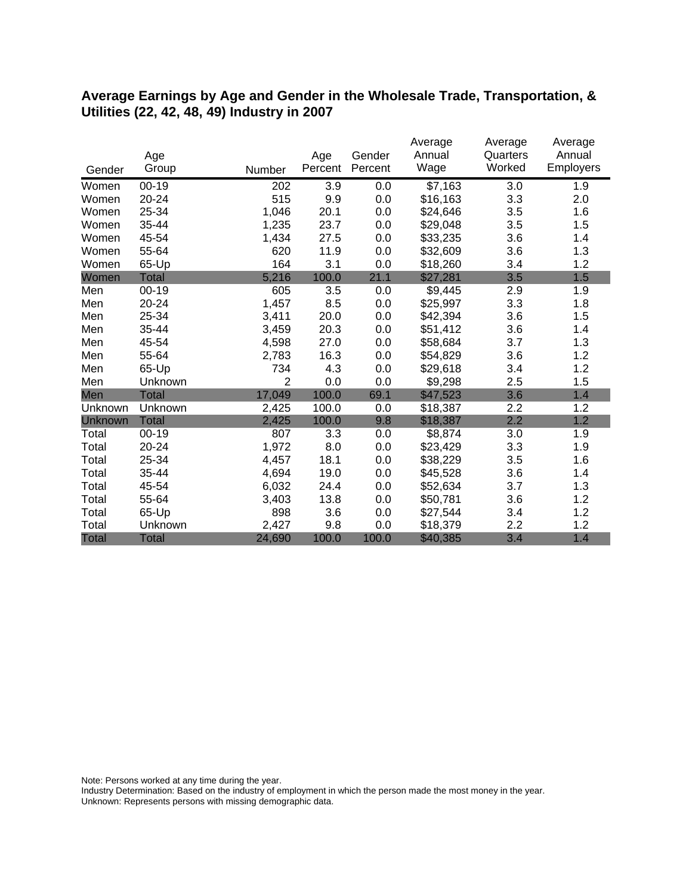#### **Average Earnings by Age and Gender in the Wholesale Trade, Transportation, & Utilities (22, 42, 48, 49) Industry in 2007**

|              |              |                |         |         | Average  | Average  | Average   |
|--------------|--------------|----------------|---------|---------|----------|----------|-----------|
|              | Age          |                | Age     | Gender  | Annual   | Quarters | Annual    |
| Gender       | Group        | Number         | Percent | Percent | Wage     | Worked   | Employers |
| Women        | $00 - 19$    | 202            | 3.9     | 0.0     | \$7,163  | 3.0      | 1.9       |
| Women        | 20-24        | 515            | 9.9     | 0.0     | \$16,163 | 3.3      | 2.0       |
| Women        | 25-34        | 1,046          | 20.1    | 0.0     | \$24,646 | 3.5      | 1.6       |
| Women        | 35-44        | 1,235          | 23.7    | 0.0     | \$29,048 | 3.5      | 1.5       |
| Women        | 45-54        | 1,434          | 27.5    | 0.0     | \$33,235 | 3.6      | 1.4       |
| Women        | 55-64        | 620            | 11.9    | 0.0     | \$32,609 | 3.6      | 1.3       |
| Women        | 65-Up        | 164            | 3.1     | 0.0     | \$18,260 | 3.4      | 1.2       |
| Women        | Total        | 5,216          | 100.0   | 21.1    | \$27,281 | 3.5      | 1.5       |
| Men          | $00 - 19$    | 605            | 3.5     | 0.0     | \$9,445  | 2.9      | 1.9       |
| Men          | 20-24        | 1,457          | 8.5     | 0.0     | \$25,997 | 3.3      | 1.8       |
| Men          | 25-34        | 3,411          | 20.0    | 0.0     | \$42,394 | 3.6      | 1.5       |
| Men          | 35-44        | 3,459          | 20.3    | 0.0     | \$51,412 | 3.6      | 1.4       |
| Men          | 45-54        | 4,598          | 27.0    | 0.0     | \$58,684 | 3.7      | 1.3       |
| Men          | 55-64        | 2,783          | 16.3    | 0.0     | \$54,829 | 3.6      | 1.2       |
| Men          | 65-Up        | 734            | 4.3     | 0.0     | \$29,618 | 3.4      | 1.2       |
| Men          | Unknown      | $\overline{2}$ | 0.0     | 0.0     | \$9,298  | 2.5      | 1.5       |
| Men          | <b>Total</b> | 17,049         | 100.0   | 69.1    | \$47,523 | 3.6      | 1.4       |
| Unknown      | Unknown      | 2,425          | 100.0   | 0.0     | \$18,387 | 2.2      | 1.2       |
| Unknown      | <b>Total</b> | 2,425          | 100.0   | 9.8     | \$18,387 | 2.2      | 1.2       |
| Total        | $00 - 19$    | 807            | 3.3     | 0.0     | \$8,874  | 3.0      | 1.9       |
| Total        | 20-24        | 1,972          | 8.0     | 0.0     | \$23,429 | 3.3      | 1.9       |
| Total        | 25-34        | 4,457          | 18.1    | 0.0     | \$38,229 | 3.5      | 1.6       |
| Total        | 35-44        | 4,694          | 19.0    | 0.0     | \$45,528 | 3.6      | 1.4       |
| Total        | 45-54        | 6,032          | 24.4    | 0.0     | \$52,634 | 3.7      | 1.3       |
| Total        | 55-64        | 3,403          | 13.8    | 0.0     | \$50,781 | 3.6      | 1.2       |
| Total        | 65-Up        | 898            | 3.6     | 0.0     | \$27,544 | 3.4      | 1.2       |
| Total        | Unknown      | 2,427          | 9.8     | 0.0     | \$18,379 | 2.2      | 1.2       |
| <b>Total</b> | <b>Total</b> | 24,690         | 100.0   | 100.0   | \$40,385 | 3.4      | 1.4       |

Note: Persons worked at any time during the year.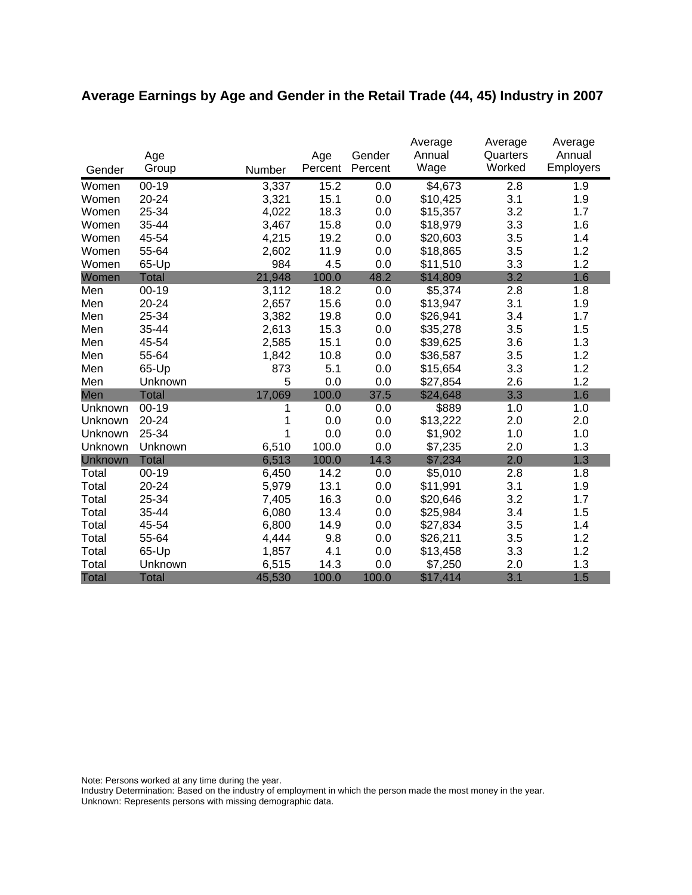# **Average Earnings by Age and Gender in the Retail Trade (44, 45) Industry in 2007**

|              |              |        |         |         | Average  | Average  | Average   |
|--------------|--------------|--------|---------|---------|----------|----------|-----------|
|              | Age          |        | Age     | Gender  | Annual   | Quarters | Annual    |
| Gender       | Group        | Number | Percent | Percent | Wage     | Worked   | Employers |
| Women        | $00 - 19$    | 3,337  | 15.2    | 0.0     | \$4,673  | 2.8      | 1.9       |
| Women        | 20-24        | 3,321  | 15.1    | 0.0     | \$10,425 | 3.1      | 1.9       |
| Women        | 25-34        | 4,022  | 18.3    | 0.0     | \$15,357 | 3.2      | 1.7       |
| Women        | 35-44        | 3,467  | 15.8    | 0.0     | \$18,979 | 3.3      | 1.6       |
| Women        | 45-54        | 4,215  | 19.2    | 0.0     | \$20,603 | 3.5      | 1.4       |
| Women        | 55-64        | 2,602  | 11.9    | 0.0     | \$18,865 | 3.5      | 1.2       |
| Women        | 65-Up        | 984    | 4.5     | 0.0     | \$11,510 | 3.3      | 1.2       |
| Women        | <b>Total</b> | 21,948 | 100.0   | 48.2    | \$14,809 | 3.2      | 1.6       |
| Men          | $00 - 19$    | 3,112  | 18.2    | 0.0     | \$5,374  | 2.8      | 1.8       |
| Men          | 20-24        | 2,657  | 15.6    | 0.0     | \$13,947 | 3.1      | 1.9       |
| Men          | 25-34        | 3,382  | 19.8    | 0.0     | \$26,941 | 3.4      | 1.7       |
| Men          | 35-44        | 2,613  | 15.3    | 0.0     | \$35,278 | 3.5      | 1.5       |
| Men          | 45-54        | 2,585  | 15.1    | 0.0     | \$39,625 | 3.6      | 1.3       |
| Men          | 55-64        | 1,842  | 10.8    | 0.0     | \$36,587 | 3.5      | 1.2       |
| Men          | 65-Up        | 873    | 5.1     | 0.0     | \$15,654 | 3.3      | 1.2       |
| Men          | Unknown      | 5      | 0.0     | 0.0     | \$27,854 | 2.6      | 1.2       |
| Men          | <b>Total</b> | 17,069 | 100.0   | 37.5    | \$24,648 | 3.3      | 1.6       |
| Unknown      | $00 - 19$    | 1      | 0.0     | 0.0     | \$889    | 1.0      | 1.0       |
| Unknown      | 20-24        | 1      | 0.0     | 0.0     | \$13,222 | 2.0      | 2.0       |
| Unknown      | 25-34        | 1      | 0.0     | 0.0     | \$1,902  | 1.0      | 1.0       |
| Unknown      | Unknown      | 6,510  | 100.0   | 0.0     | \$7,235  | 2.0      | 1.3       |
| Unknown      | <b>Total</b> | 6,513  | 100.0   | 14.3    | \$7,234  | 2.0      | 1.3       |
| Total        | $00 - 19$    | 6,450  | 14.2    | 0.0     | \$5,010  | 2.8      | 1.8       |
| Total        | 20-24        | 5,979  | 13.1    | 0.0     | \$11,991 | 3.1      | 1.9       |
| Total        | 25-34        | 7,405  | 16.3    | 0.0     | \$20,646 | 3.2      | 1.7       |
| Total        | 35-44        | 6,080  | 13.4    | 0.0     | \$25,984 | 3.4      | 1.5       |
| Total        | 45-54        | 6,800  | 14.9    | 0.0     | \$27,834 | 3.5      | 1.4       |
| Total        | 55-64        | 4,444  | 9.8     | 0.0     | \$26,211 | 3.5      | 1.2       |
| Total        | 65-Up        | 1,857  | 4.1     | 0.0     | \$13,458 | 3.3      | 1.2       |
| Total        | Unknown      | 6,515  | 14.3    | 0.0     | \$7,250  | 2.0      | 1.3       |
| <b>Total</b> | <b>Total</b> | 45,530 | 100.0   | 100.0   | \$17,414 | 3.1      | 1.5       |

Note: Persons worked at any time during the year.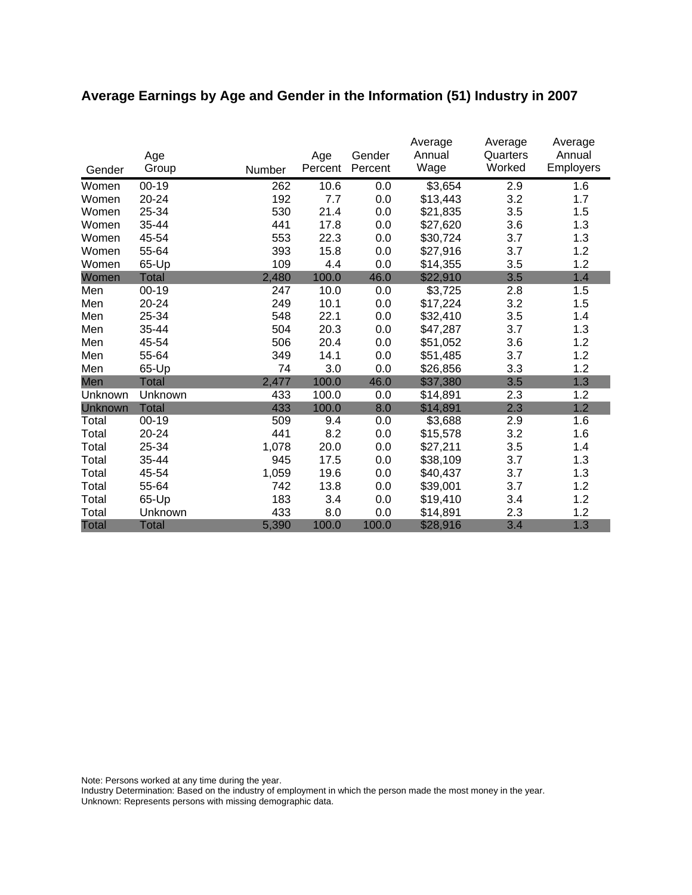# **Average Earnings by Age and Gender in the Information (51) Industry in 2007**

|              | Age          |        | Age     | Gender  | Average<br>Annual | Average<br>Quarters | Average<br>Annual |
|--------------|--------------|--------|---------|---------|-------------------|---------------------|-------------------|
| Gender       | Group        | Number | Percent | Percent | Wage              | Worked              | <b>Employers</b>  |
| Women        | $00 - 19$    | 262    | 10.6    | 0.0     | \$3,654           | 2.9                 | 1.6               |
| Women        | 20-24        | 192    | 7.7     | 0.0     | \$13,443          | 3.2                 | 1.7               |
| Women        | 25-34        | 530    | 21.4    | 0.0     | \$21,835          | 3.5                 | 1.5               |
| Women        | 35-44        | 441    | 17.8    | 0.0     | \$27,620          | 3.6                 | 1.3               |
| Women        | 45-54        | 553    | 22.3    | 0.0     | \$30,724          | 3.7                 | 1.3               |
| Women        | 55-64        | 393    | 15.8    | 0.0     | \$27,916          | 3.7                 | 1.2               |
| Women        | 65-Up        | 109    | 4.4     | 0.0     | \$14,355          | 3.5                 | 1.2               |
| Women        | <b>Total</b> | 2,480  | 100.0   | 46.0    | \$22,910          | 3.5                 | 1.4               |
| Men          | $00 - 19$    | 247    | 10.0    | 0.0     | \$3,725           | 2.8                 | 1.5               |
| Men          | 20-24        | 249    | 10.1    | 0.0     | \$17,224          | 3.2                 | 1.5               |
| Men          | 25-34        | 548    | 22.1    | 0.0     | \$32,410          | 3.5                 | 1.4               |
| Men          | 35-44        | 504    | 20.3    | 0.0     | \$47,287          | 3.7                 | 1.3               |
| Men          | 45-54        | 506    | 20.4    | 0.0     | \$51,052          | 3.6                 | 1.2               |
| Men          | 55-64        | 349    | 14.1    | 0.0     | \$51,485          | 3.7                 | 1.2               |
| Men          | 65-Up        | 74     | 3.0     | 0.0     | \$26,856          | 3.3                 | 1.2               |
| Men          | <b>Total</b> | 2,477  | 100.0   | 46.0    | \$37,380          | 3.5                 | 1.3               |
| Unknown      | Unknown      | 433    | 100.0   | 0.0     | \$14,891          | 2.3                 | 1.2               |
| Unknown      | <b>Total</b> | 433    | 100.0   | 8.0     | \$14,891          | 2.3                 | 1.2               |
| Total        | $00 - 19$    | 509    | 9.4     | 0.0     | \$3,688           | 2.9                 | 1.6               |
| Total        | 20-24        | 441    | 8.2     | 0.0     | \$15,578          | 3.2                 | 1.6               |
| Total        | 25-34        | 1,078  | 20.0    | 0.0     | \$27,211          | 3.5                 | 1.4               |
| Total        | 35-44        | 945    | 17.5    | 0.0     | \$38,109          | 3.7                 | 1.3               |
| Total        | 45-54        | 1,059  | 19.6    | 0.0     | \$40,437          | 3.7                 | 1.3               |
| Total        | 55-64        | 742    | 13.8    | 0.0     | \$39,001          | 3.7                 | 1.2               |
| Total        | 65-Up        | 183    | 3.4     | 0.0     | \$19,410          | 3.4                 | 1.2               |
| Total        | Unknown      | 433    | 8.0     | 0.0     | \$14,891          | 2.3                 | 1.2               |
| <b>Total</b> | <b>Total</b> | 5,390  | 100.0   | 100.0   | \$28,916          | 3.4                 | 1.3               |

Note: Persons worked at any time during the year.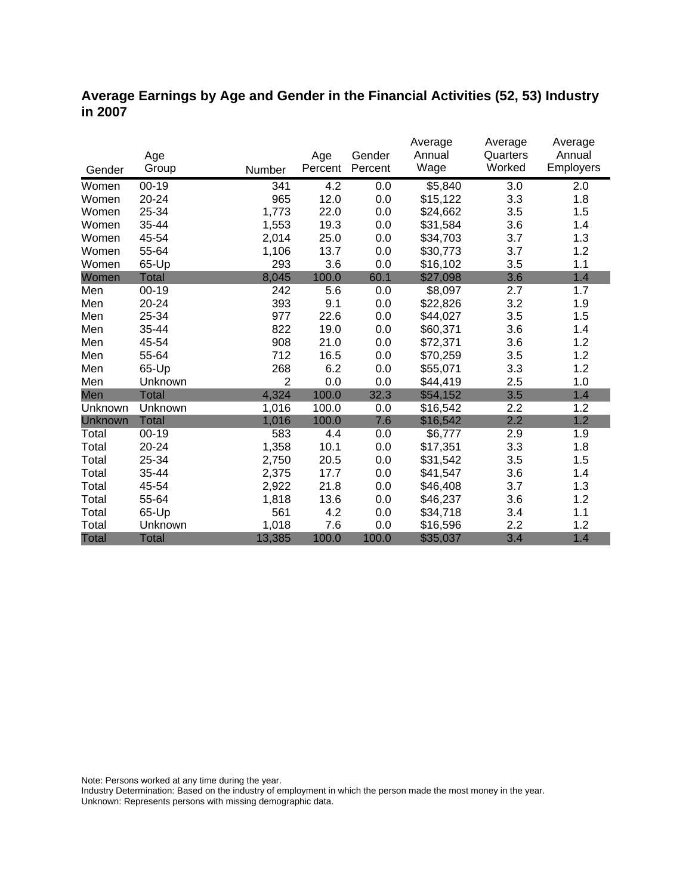### **Average Earnings by Age and Gender in the Financial Activities (52, 53) Industry in 2007**

|              |              |                |         |         | Average             | Average  | Average          |
|--------------|--------------|----------------|---------|---------|---------------------|----------|------------------|
|              | Age          |                | Age     | Gender  | Annual              | Quarters | Annual           |
| Gender       | Group        | Number         | Percent | Percent | Wage                | Worked   | <b>Employers</b> |
| Women        | $00 - 19$    | 341            | 4.2     | 0.0     | $\overline{$}5,840$ | 3.0      | 2.0              |
| Women        | 20-24        | 965            | 12.0    | 0.0     | \$15,122            | 3.3      | 1.8              |
| Women        | 25-34        | 1,773          | 22.0    | 0.0     | \$24,662            | 3.5      | 1.5              |
| Women        | 35-44        | 1,553          | 19.3    | 0.0     | \$31,584            | 3.6      | 1.4              |
| Women        | 45-54        | 2,014          | 25.0    | 0.0     | \$34,703            | 3.7      | 1.3              |
| Women        | 55-64        | 1,106          | 13.7    | 0.0     | \$30,773            | 3.7      | 1.2              |
| Women        | 65-Up        | 293            | 3.6     | 0.0     | \$16,102            | 3.5      | 1.1              |
| Women        | <b>Total</b> | 8,045          | 100.0   | 60.1    | \$27,098            | 3.6      | 1.4              |
| Men          | $00 - 19$    | 242            | 5.6     | 0.0     | \$8,097             | 2.7      | 1.7              |
| Men          | 20-24        | 393            | 9.1     | 0.0     | \$22,826            | 3.2      | 1.9              |
| Men          | 25-34        | 977            | 22.6    | 0.0     | \$44,027            | 3.5      | 1.5              |
| Men          | 35-44        | 822            | 19.0    | 0.0     | \$60,371            | 3.6      | 1.4              |
| Men          | 45-54        | 908            | 21.0    | 0.0     | \$72,371            | 3.6      | 1.2              |
| Men          | 55-64        | 712            | 16.5    | 0.0     | \$70,259            | 3.5      | 1.2              |
| Men          | 65-Up        | 268            | 6.2     | 0.0     | \$55,071            | 3.3      | 1.2              |
| Men          | Unknown      | $\overline{2}$ | 0.0     | 0.0     | \$44,419            | 2.5      | 1.0              |
| Men          | <b>Total</b> | 4,324          | 100.0   | 32.3    | \$54,152            | 3.5      | 1.4              |
| Unknown      | Unknown      | 1,016          | 100.0   | 0.0     | \$16,542            | 2.2      | 1.2              |
| Unknown      | <b>Total</b> | 1,016          | 100.0   | 7.6     | \$16,542            | 2.2      | 1.2              |
| Total        | $00 - 19$    | 583            | 4.4     | 0.0     | \$6,777             | 2.9      | 1.9              |
| Total        | 20-24        | 1,358          | 10.1    | 0.0     | \$17,351            | 3.3      | 1.8              |
| Total        | 25-34        | 2,750          | 20.5    | 0.0     | \$31,542            | 3.5      | 1.5              |
| Total        | 35-44        | 2,375          | 17.7    | 0.0     | \$41,547            | 3.6      | 1.4              |
| Total        | 45-54        | 2,922          | 21.8    | 0.0     | \$46,408            | 3.7      | 1.3              |
| Total        | 55-64        | 1,818          | 13.6    | 0.0     | \$46,237            | 3.6      | 1.2              |
| Total        | 65-Up        | 561            | 4.2     | 0.0     | \$34,718            | 3.4      | 1.1              |
| Total        | Unknown      | 1,018          | 7.6     | 0.0     | \$16,596            | 2.2      | 1.2              |
| <b>Total</b> | <b>Total</b> | 13,385         | 100.0   | 100.0   | \$35,037            | 3.4      | 1.4              |

Note: Persons worked at any time during the year.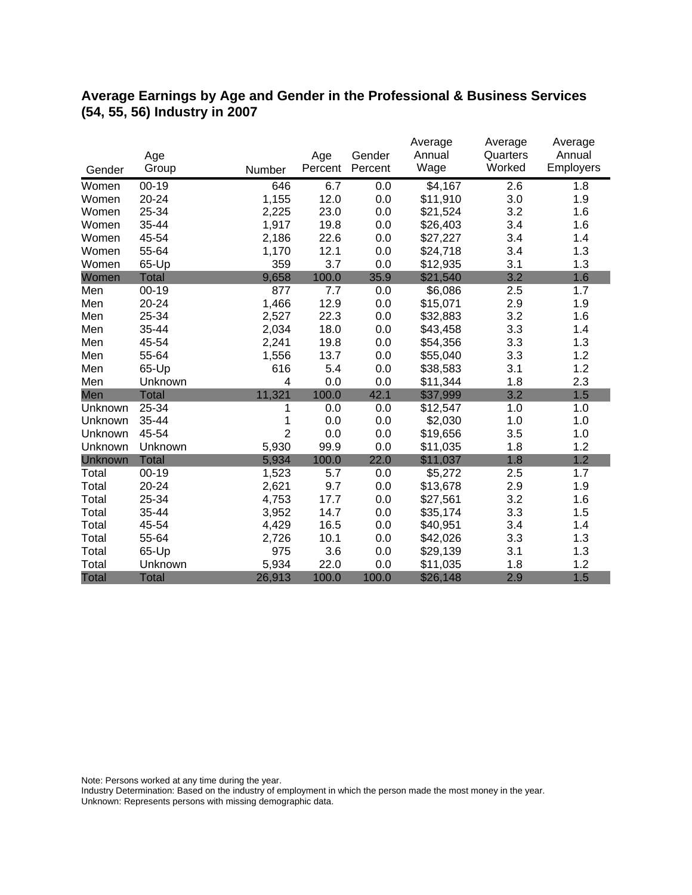## **Average Earnings by Age and Gender in the Professional & Business Services (54, 55, 56) Industry in 2007**

|              |              |                |         |         | Average  | Average  | Average   |
|--------------|--------------|----------------|---------|---------|----------|----------|-----------|
|              | Age          |                | Age     | Gender  | Annual   | Quarters | Annual    |
| Gender       | Group        | Number         | Percent | Percent | Wage     | Worked   | Employers |
| Women        | $00 - 19$    | 646            | 6.7     | 0.0     | \$4,167  | 2.6      | 1.8       |
| Women        | 20-24        | 1,155          | 12.0    | 0.0     | \$11,910 | 3.0      | 1.9       |
| Women        | 25-34        | 2,225          | 23.0    | 0.0     | \$21,524 | 3.2      | 1.6       |
| Women        | 35-44        | 1,917          | 19.8    | 0.0     | \$26,403 | 3.4      | 1.6       |
| Women        | 45-54        | 2,186          | 22.6    | 0.0     | \$27,227 | 3.4      | 1.4       |
| Women        | 55-64        | 1,170          | 12.1    | 0.0     | \$24,718 | 3.4      | 1.3       |
| Women        | 65-Up        | 359            | 3.7     | 0.0     | \$12,935 | 3.1      | 1.3       |
| Women        | <b>Total</b> | 9,658          | 100.0   | 35.9    | \$21,540 | 3.2      | 1.6       |
| Men          | $00 - 19$    | 877            | 7.7     | 0.0     | \$6,086  | 2.5      | 1.7       |
| Men          | 20-24        | 1,466          | 12.9    | 0.0     | \$15,071 | 2.9      | 1.9       |
| Men          | 25-34        | 2,527          | 22.3    | 0.0     | \$32,883 | 3.2      | 1.6       |
| Men          | 35-44        | 2,034          | 18.0    | 0.0     | \$43,458 | 3.3      | 1.4       |
| Men          | 45-54        | 2,241          | 19.8    | 0.0     | \$54,356 | 3.3      | 1.3       |
| Men          | 55-64        | 1,556          | 13.7    | 0.0     | \$55,040 | 3.3      | 1.2       |
| Men          | 65-Up        | 616            | 5.4     | 0.0     | \$38,583 | 3.1      | 1.2       |
| Men          | Unknown      | 4              | 0.0     | 0.0     | \$11,344 | 1.8      | 2.3       |
| Men          | <b>Total</b> | 11,321         | 100.0   | 42.1    | \$37,999 | 3.2      | 1.5       |
| Unknown      | 25-34        | 1              | 0.0     | 0.0     | \$12,547 | 1.0      | 1.0       |
| Unknown      | 35-44        | 1              | 0.0     | 0.0     | \$2,030  | 1.0      | 1.0       |
| Unknown      | 45-54        | $\overline{2}$ | 0.0     | 0.0     | \$19,656 | 3.5      | 1.0       |
| Unknown      | Unknown      | 5,930          | 99.9    | 0.0     | \$11,035 | 1.8      | 1.2       |
| Unknown      | <b>Total</b> | 5,934          | 100.0   | 22.0    | \$11,037 | 1.8      | 1.2       |
| Total        | $00 - 19$    | 1,523          | 5.7     | 0.0     | \$5,272  | 2.5      | 1.7       |
| Total        | 20-24        | 2,621          | 9.7     | 0.0     | \$13,678 | 2.9      | 1.9       |
| Total        | 25-34        | 4,753          | 17.7    | 0.0     | \$27,561 | 3.2      | 1.6       |
| Total        | 35-44        | 3,952          | 14.7    | 0.0     | \$35,174 | 3.3      | 1.5       |
| Total        | 45-54        | 4,429          | 16.5    | 0.0     | \$40,951 | 3.4      | 1.4       |
| Total        | 55-64        | 2,726          | 10.1    | 0.0     | \$42,026 | 3.3      | 1.3       |
| Total        | 65-Up        | 975            | 3.6     | 0.0     | \$29,139 | 3.1      | 1.3       |
| Total        | Unknown      | 5,934          | 22.0    | 0.0     | \$11,035 | 1.8      | 1.2       |
| <b>Total</b> | <b>Total</b> | 26,913         | 100.0   | 100.0   | \$26,148 | 2.9      | 1.5       |

Note: Persons worked at any time during the year.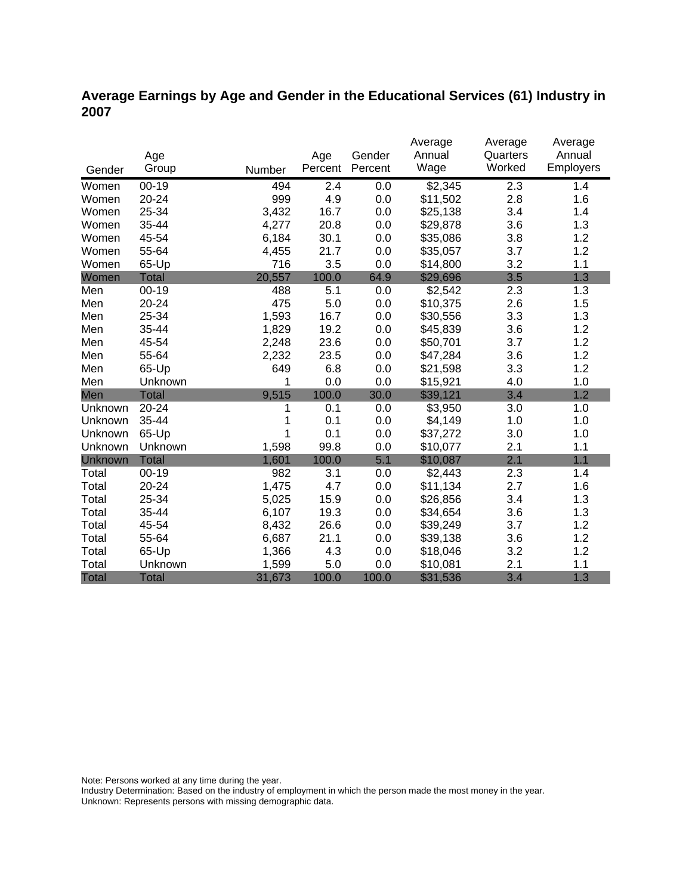## **Average Earnings by Age and Gender in the Educational Services (61) Industry in 2007**

|              |              |        |         |         | Average  | Average  | Average   |
|--------------|--------------|--------|---------|---------|----------|----------|-----------|
|              | Age          |        | Age     | Gender  | Annual   | Quarters | Annual    |
| Gender       | Group        | Number | Percent | Percent | Wage     | Worked   | Employers |
| Women        | $00 - 19$    | 494    | 2.4     | 0.0     | \$2,345  | 2.3      | 1.4       |
| Women        | 20-24        | 999    | 4.9     | 0.0     | \$11,502 | 2.8      | 1.6       |
| Women        | 25-34        | 3,432  | 16.7    | 0.0     | \$25,138 | 3.4      | 1.4       |
| Women        | 35-44        | 4,277  | 20.8    | 0.0     | \$29,878 | 3.6      | 1.3       |
| Women        | 45-54        | 6,184  | 30.1    | 0.0     | \$35,086 | 3.8      | 1.2       |
| Women        | 55-64        | 4,455  | 21.7    | 0.0     | \$35,057 | 3.7      | 1.2       |
| Women        | 65-Up        | 716    | 3.5     | 0.0     | \$14,800 | 3.2      | 1.1       |
| Women        | <b>Total</b> | 20,557 | 100.0   | 64.9    | \$29,696 | 3.5      | 1.3       |
| Men          | $00 - 19$    | 488    | 5.1     | 0.0     | \$2,542  | 2.3      | 1.3       |
| Men          | 20-24        | 475    | 5.0     | 0.0     | \$10,375 | 2.6      | 1.5       |
| Men          | 25-34        | 1,593  | 16.7    | 0.0     | \$30,556 | 3.3      | 1.3       |
| Men          | 35-44        | 1,829  | 19.2    | 0.0     | \$45,839 | 3.6      | 1.2       |
| Men          | 45-54        | 2,248  | 23.6    | 0.0     | \$50,701 | 3.7      | 1.2       |
| Men          | 55-64        | 2,232  | 23.5    | 0.0     | \$47,284 | 3.6      | 1.2       |
| Men          | 65-Up        | 649    | 6.8     | 0.0     | \$21,598 | 3.3      | 1.2       |
| Men          | Unknown      | 1      | 0.0     | 0.0     | \$15,921 | 4.0      | 1.0       |
| Men          | <b>Total</b> | 9,515  | 100.0   | 30.0    | \$39,121 | 3.4      | 1.2       |
| Unknown      | 20-24        | 1      | 0.1     | 0.0     | \$3,950  | 3.0      | 1.0       |
| Unknown      | 35-44        |        | 0.1     | 0.0     | \$4,149  | 1.0      | 1.0       |
| Unknown      | 65-Up        |        | 0.1     | 0.0     | \$37,272 | 3.0      | 1.0       |
| Unknown      | Unknown      | 1,598  | 99.8    | 0.0     | \$10,077 | 2.1      | 1.1       |
| Unknown      | <b>Total</b> | 1,601  | 100.0   | 5.1     | \$10,087 | 2.1      | 1.1       |
| Total        | $00 - 19$    | 982    | 3.1     | 0.0     | \$2,443  | 2.3      | 1.4       |
| Total        | 20-24        | 1,475  | 4.7     | 0.0     | \$11,134 | 2.7      | 1.6       |
| Total        | 25-34        | 5,025  | 15.9    | 0.0     | \$26,856 | 3.4      | 1.3       |
| Total        | 35-44        | 6,107  | 19.3    | 0.0     | \$34,654 | 3.6      | 1.3       |
| Total        | 45-54        | 8,432  | 26.6    | 0.0     | \$39,249 | 3.7      | 1.2       |
| Total        | 55-64        | 6,687  | 21.1    | 0.0     | \$39,138 | 3.6      | 1.2       |
| Total        | 65-Up        | 1,366  | 4.3     | 0.0     | \$18,046 | 3.2      | 1.2       |
| Total        | Unknown      | 1,599  | 5.0     | 0.0     | \$10,081 | 2.1      | 1.1       |
| <b>Total</b> | <b>Total</b> | 31,673 | 100.0   | 100.0   | \$31,536 | 3.4      | 1.3       |

Note: Persons worked at any time during the year.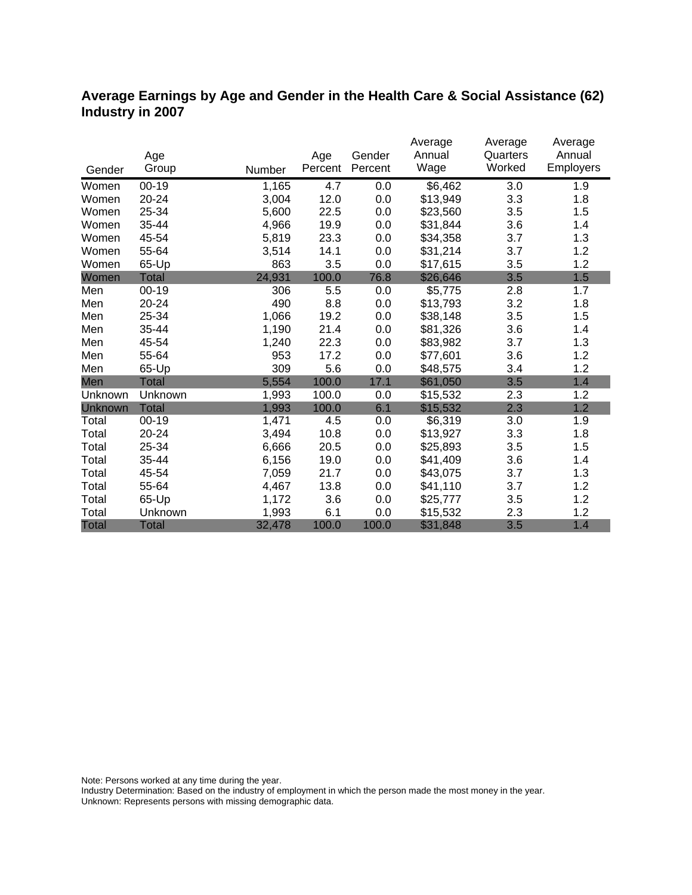## **Average Earnings by Age and Gender in the Health Care & Social Assistance (62) Industry in 2007**

|              |              |        |         |         | Average  | Average  | Average          |
|--------------|--------------|--------|---------|---------|----------|----------|------------------|
|              | Age          |        | Age     | Gender  | Annual   | Quarters | Annual           |
| Gender       | Group        | Number | Percent | Percent | Wage     | Worked   | <b>Employers</b> |
| Women        | $00-19$      | 1,165  | 4.7     | 0.0     | \$6,462  | 3.0      | 1.9              |
| Women        | 20-24        | 3,004  | 12.0    | 0.0     | \$13,949 | 3.3      | 1.8              |
| Women        | 25-34        | 5,600  | 22.5    | 0.0     | \$23,560 | 3.5      | 1.5              |
| Women        | 35-44        | 4,966  | 19.9    | 0.0     | \$31,844 | 3.6      | 1.4              |
| Women        | 45-54        | 5,819  | 23.3    | 0.0     | \$34,358 | 3.7      | 1.3              |
| Women        | 55-64        | 3,514  | 14.1    | 0.0     | \$31,214 | 3.7      | 1.2              |
| Women        | 65-Up        | 863    | 3.5     | 0.0     | \$17,615 | 3.5      | 1.2              |
| Women        | Total        | 24,931 | 100.0   | 76.8    | \$26,646 | 3.5      | 1.5              |
| Men          | $00 - 19$    | 306    | 5.5     | 0.0     | \$5,775  | 2.8      | 1.7              |
| Men          | 20-24        | 490    | 8.8     | 0.0     | \$13,793 | 3.2      | 1.8              |
| Men          | 25-34        | 1,066  | 19.2    | 0.0     | \$38,148 | 3.5      | 1.5              |
| Men          | 35-44        | 1,190  | 21.4    | 0.0     | \$81,326 | 3.6      | 1.4              |
| Men          | 45-54        | 1,240  | 22.3    | 0.0     | \$83,982 | 3.7      | 1.3              |
| Men          | 55-64        | 953    | 17.2    | 0.0     | \$77,601 | 3.6      | 1.2              |
| Men          | 65-Up        | 309    | 5.6     | 0.0     | \$48,575 | 3.4      | 1.2              |
| Men          | <b>Total</b> | 5,554  | 100.0   | 17.1    | \$61,050 | 3.5      | 1.4              |
| Unknown      | Unknown      | 1,993  | 100.0   | 0.0     | \$15,532 | 2.3      | 1.2              |
| Unknown      | <b>Total</b> | 1,993  | 100.0   | 6.1     | \$15,532 | 2.3      | 1.2              |
| Total        | $00 - 19$    | 1,471  | 4.5     | 0.0     | \$6,319  | 3.0      | 1.9              |
| Total        | 20-24        | 3,494  | 10.8    | 0.0     | \$13,927 | 3.3      | 1.8              |
| Total        | 25-34        | 6,666  | 20.5    | 0.0     | \$25,893 | 3.5      | 1.5              |
| Total        | 35-44        | 6,156  | 19.0    | 0.0     | \$41,409 | 3.6      | 1.4              |
| Total        | 45-54        | 7,059  | 21.7    | 0.0     | \$43,075 | 3.7      | 1.3              |
| Total        | 55-64        | 4,467  | 13.8    | 0.0     | \$41,110 | 3.7      | 1.2              |
| Total        | 65-Up        | 1,172  | 3.6     | 0.0     | \$25,777 | 3.5      | 1.2              |
| Total        | Unknown      | 1,993  | 6.1     | 0.0     | \$15,532 | 2.3      | 1.2              |
| <b>Total</b> | <b>Total</b> | 32,478 | 100.0   | 100.0   | \$31,848 | 3.5      | 1.4              |

Note: Persons worked at any time during the year.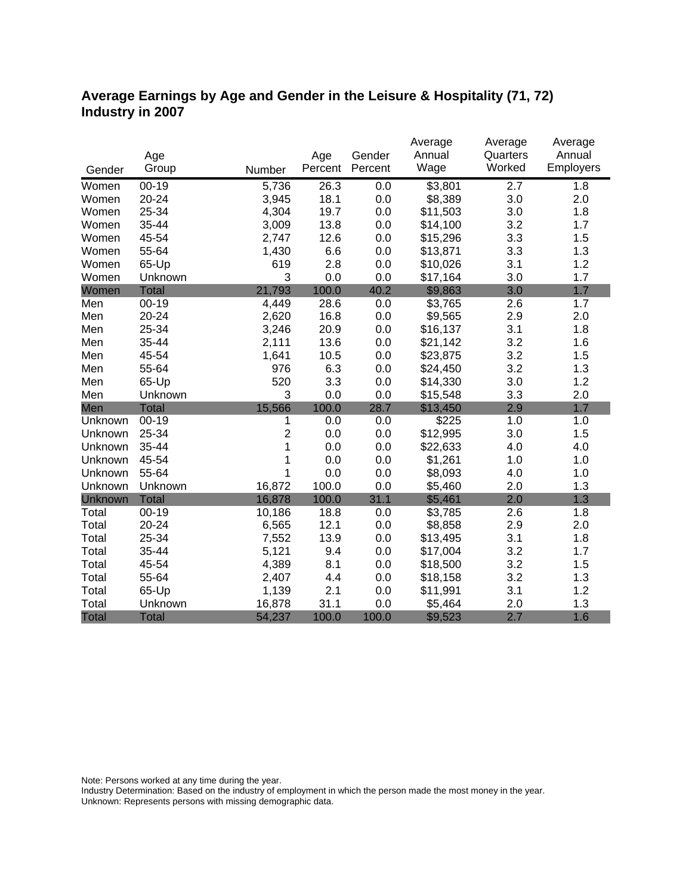## **Average Earnings by Age and Gender in the Leisure & Hospitality (71, 72) Industry in 2007**

|              |              |                |         |         | Average  | Average          | Average   |
|--------------|--------------|----------------|---------|---------|----------|------------------|-----------|
|              | Age          |                | Age     | Gender  | Annual   | Quarters         | Annual    |
| Gender       | Group        | Number         | Percent | Percent | Wage     | Worked           | Employers |
| Women        | $00 - 19$    | 5,736          | 26.3    | 0.0     | \$3,801  | $\overline{2.7}$ | 1.8       |
| Women        | 20-24        | 3,945          | 18.1    | 0.0     | \$8,389  | 3.0              | 2.0       |
| Women        | 25-34        | 4,304          | 19.7    | 0.0     | \$11,503 | 3.0              | 1.8       |
| Women        | 35-44        | 3,009          | 13.8    | 0.0     | \$14,100 | 3.2              | 1.7       |
| Women        | 45-54        | 2,747          | 12.6    | 0.0     | \$15,296 | 3.3              | 1.5       |
| Women        | 55-64        | 1,430          | 6.6     | 0.0     | \$13,871 | 3.3              | 1.3       |
| Women        | 65-Up        | 619            | 2.8     | 0.0     | \$10,026 | 3.1              | 1.2       |
| Women        | Unknown      | 3              | 0.0     | 0.0     | \$17,164 | 3.0              | 1.7       |
| Women        | <b>Total</b> | 21,793         | 100.0   | 40.2    | \$9,863  | 3.0              | 1.7       |
| Men          | $00 - 19$    | 4,449          | 28.6    | 0.0     | \$3,765  | 2.6              | 1.7       |
| Men          | 20-24        | 2,620          | 16.8    | 0.0     | \$9,565  | 2.9              | 2.0       |
| Men          | 25-34        | 3,246          | 20.9    | 0.0     | \$16,137 | 3.1              | 1.8       |
| Men          | 35-44        | 2,111          | 13.6    | 0.0     | \$21,142 | 3.2              | 1.6       |
| Men          | 45-54        | 1,641          | 10.5    | 0.0     | \$23,875 | 3.2              | 1.5       |
| Men          | 55-64        | 976            | 6.3     | 0.0     | \$24,450 | 3.2              | 1.3       |
| Men          | 65-Up        | 520            | 3.3     | 0.0     | \$14,330 | 3.0              | 1.2       |
| Men          | Unknown      | 3              | 0.0     | 0.0     | \$15,548 | 3.3              | 2.0       |
| Men          | <b>Total</b> | 15,566         | 100.0   | 28.7    | \$13,450 | 2.9              | 1.7       |
| Unknown      | $00-19$      | 1              | 0.0     | 0.0     | \$225    | 1.0              | 1.0       |
| Unknown      | 25-34        | $\overline{2}$ | 0.0     | 0.0     | \$12,995 | 3.0              | 1.5       |
| Unknown      | 35-44        | 1              | 0.0     | 0.0     | \$22,633 | 4.0              | 4.0       |
| Unknown      | 45-54        | 1              | 0.0     | 0.0     | \$1,261  | 1.0              | 1.0       |
| Unknown      | 55-64        | 1              | 0.0     | 0.0     | \$8,093  | 4.0              | 1.0       |
| Unknown      | Unknown      | 16,872         | 100.0   | 0.0     | \$5,460  | 2.0              | 1.3       |
| Unknown      | <b>Total</b> | 16,878         | 100.0   | 31.1    | \$5,461  | 2.0              | 1.3       |
| Total        | $00 - 19$    | 10,186         | 18.8    | 0.0     | \$3,785  | 2.6              | 1.8       |
| Total        | 20-24        | 6,565          | 12.1    | 0.0     | \$8,858  | 2.9              | 2.0       |
| Total        | 25-34        | 7,552          | 13.9    | 0.0     | \$13,495 | 3.1              | 1.8       |
| Total        | 35-44        | 5,121          | 9.4     | 0.0     | \$17,004 | 3.2              | 1.7       |
| Total        | 45-54        | 4,389          | 8.1     | 0.0     | \$18,500 | 3.2              | 1.5       |
| Total        | 55-64        | 2,407          | 4.4     | 0.0     | \$18,158 | 3.2              | 1.3       |
| Total        | 65-Up        | 1,139          | 2.1     | 0.0     | \$11,991 | 3.1              | 1.2       |
| Total        | Unknown      | 16,878         | 31.1    | 0.0     | \$5,464  | 2.0              | 1.3       |
| <b>Total</b> | <b>Total</b> | 54,237         | 100.0   | 100.0   | \$9,523  | 2.7              | 1.6       |

Note: Persons worked at any time during the year.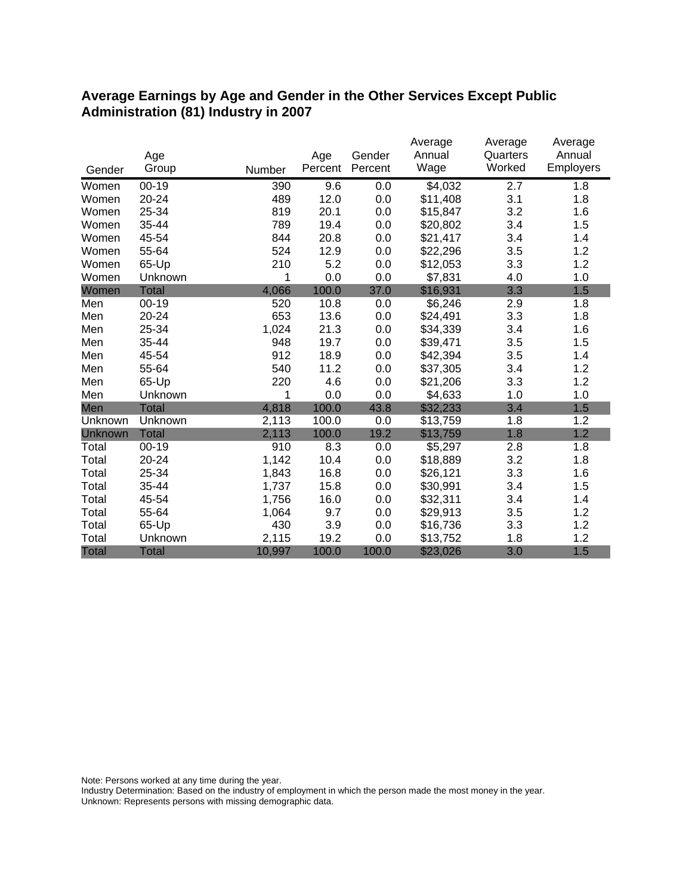#### **Average Earnings by Age and Gender in the Other Services Except Public Administration (81) Industry in 2007**

|              |              |        |         |         | Average  | Average  | Average   |
|--------------|--------------|--------|---------|---------|----------|----------|-----------|
|              | Age          |        | Age     | Gender  | Annual   | Quarters | Annual    |
| Gender       | Group        | Number | Percent | Percent | Wage     | Worked   | Employers |
| Women        | $00 - 19$    | 390    | 9.6     | 0.0     | \$4,032  | 2.7      | 1.8       |
| Women        | 20-24        | 489    | 12.0    | 0.0     | \$11,408 | 3.1      | 1.8       |
| Women        | 25-34        | 819    | 20.1    | 0.0     | \$15,847 | 3.2      | 1.6       |
| Women        | 35-44        | 789    | 19.4    | 0.0     | \$20,802 | 3.4      | 1.5       |
| Women        | 45-54        | 844    | 20.8    | 0.0     | \$21,417 | 3.4      | 1.4       |
| Women        | 55-64        | 524    | 12.9    | 0.0     | \$22,296 | 3.5      | 1.2       |
| Women        | 65-Up        | 210    | 5.2     | 0.0     | \$12,053 | 3.3      | 1.2       |
| Women        | Unknown      | 1      | 0.0     | 0.0     | \$7,831  | 4.0      | 1.0       |
| Women        | <b>Total</b> | 4,066  | 100.0   | 37.0    | \$16,931 | 3.3      | 1.5       |
| Men          | $00 - 19$    | 520    | 10.8    | 0.0     | \$6,246  | 2.9      | 1.8       |
| Men          | 20-24        | 653    | 13.6    | 0.0     | \$24,491 | 3.3      | 1.8       |
| Men          | 25-34        | 1,024  | 21.3    | 0.0     | \$34,339 | 3.4      | 1.6       |
| Men          | 35-44        | 948    | 19.7    | 0.0     | \$39,471 | 3.5      | 1.5       |
| Men          | 45-54        | 912    | 18.9    | 0.0     | \$42,394 | 3.5      | 1.4       |
| Men          | 55-64        | 540    | 11.2    | 0.0     | \$37,305 | 3.4      | 1.2       |
| Men          | 65-Up        | 220    | 4.6     | 0.0     | \$21,206 | 3.3      | 1.2       |
| Men          | Unknown      | 1      | 0.0     | 0.0     | \$4,633  | 1.0      | 1.0       |
| Men          | <b>Total</b> | 4,818  | 100.0   | 43.8    | \$32,233 | 3.4      | 1.5       |
| Unknown      | Unknown      | 2,113  | 100.0   | 0.0     | \$13,759 | 1.8      | 1.2       |
| Unknown      | <b>Total</b> | 2,113  | 100.0   | 19.2    | \$13,759 | 1.8      | 1.2       |
| Total        | $00 - 19$    | 910    | 8.3     | 0.0     | \$5,297  | 2.8      | 1.8       |
| Total        | 20-24        | 1,142  | 10.4    | 0.0     | \$18,889 | 3.2      | 1.8       |
| Total        | 25-34        | 1,843  | 16.8    | 0.0     | \$26,121 | 3.3      | 1.6       |
| Total        | 35-44        | 1,737  | 15.8    | 0.0     | \$30,991 | 3.4      | 1.5       |
| Total        | 45-54        | 1,756  | 16.0    | 0.0     | \$32,311 | 3.4      | 1.4       |
| Total        | 55-64        | 1,064  | 9.7     | 0.0     | \$29,913 | 3.5      | 1.2       |
| Total        | 65-Up        | 430    | 3.9     | 0.0     | \$16,736 | 3.3      | 1.2       |
| Total        | Unknown      | 2,115  | 19.2    | 0.0     | \$13,752 | 1.8      | 1.2       |
| <b>Total</b> | <b>Total</b> | 10,997 | 100.0   | 100.0   | \$23,026 | 3.0      | 1.5       |

Note: Persons worked at any time during the year.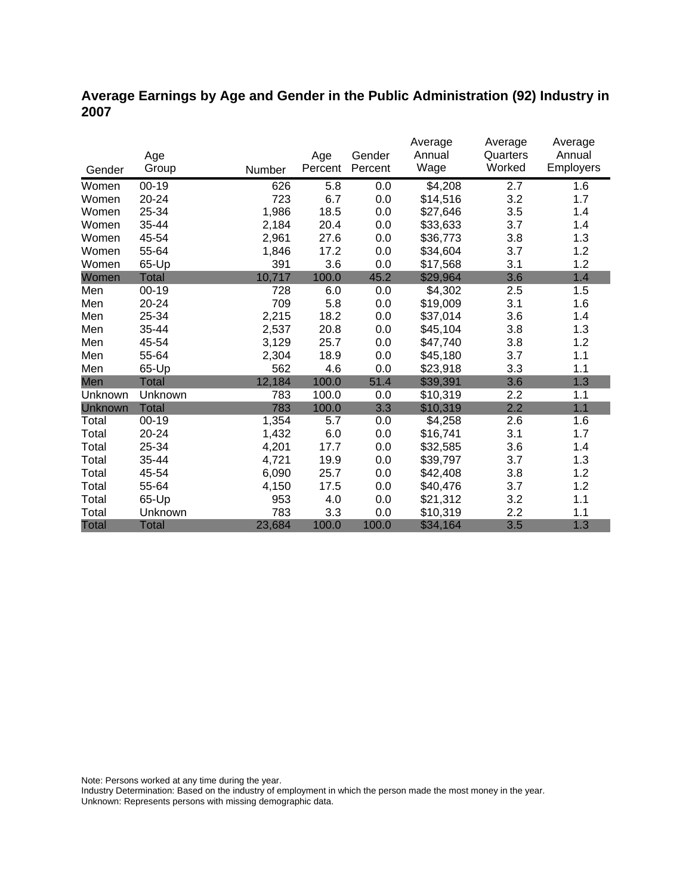## **Average Earnings by Age and Gender in the Public Administration (92) Industry in 2007**

|                |              |        |         |         | Average  | Average  | Average   |
|----------------|--------------|--------|---------|---------|----------|----------|-----------|
|                | Age          |        | Age     | Gender  | Annual   | Quarters | Annual    |
| Gender         | Group        | Number | Percent | Percent | Wage     | Worked   | Employers |
| Women          | 00-19        | 626    | 5.8     | 0.0     | \$4,208  | 2.7      | 1.6       |
| Women          | 20-24        | 723    | 6.7     | 0.0     | \$14,516 | 3.2      | 1.7       |
| Women          | 25-34        | 1,986  | 18.5    | 0.0     | \$27,646 | 3.5      | 1.4       |
| Women          | 35-44        | 2,184  | 20.4    | 0.0     | \$33,633 | 3.7      | 1.4       |
| Women          | 45-54        | 2,961  | 27.6    | 0.0     | \$36,773 | 3.8      | 1.3       |
| Women          | 55-64        | 1,846  | 17.2    | 0.0     | \$34,604 | 3.7      | 1.2       |
| Women          | 65-Up        | 391    | 3.6     | 0.0     | \$17,568 | 3.1      | 1.2       |
| Women          | Total        | 10,717 | 100.0   | 45.2    | \$29,964 | 3.6      | 1.4       |
| Men            | $00 - 19$    | 728    | 6.0     | 0.0     | \$4,302  | 2.5      | 1.5       |
| Men            | 20-24        | 709    | 5.8     | 0.0     | \$19,009 | 3.1      | 1.6       |
| Men            | 25-34        | 2,215  | 18.2    | 0.0     | \$37,014 | 3.6      | 1.4       |
| Men            | 35-44        | 2,537  | 20.8    | 0.0     | \$45,104 | 3.8      | 1.3       |
| Men            | 45-54        | 3,129  | 25.7    | 0.0     | \$47,740 | 3.8      | 1.2       |
| Men            | 55-64        | 2,304  | 18.9    | 0.0     | \$45,180 | 3.7      | 1.1       |
| Men            | 65-Up        | 562    | 4.6     | 0.0     | \$23,918 | 3.3      | 1.1       |
| Men            | <b>Total</b> | 12,184 | 100.0   | 51.4    | \$39,391 | 3.6      | 1.3       |
| Unknown        | Unknown      | 783    | 100.0   | 0.0     | \$10,319 | 2.2      | 1.1       |
| <b>Unknown</b> | <b>Total</b> | 783    | 100.0   | 3.3     | \$10,319 | 2.2      | 1.1       |
| Total          | $00 - 19$    | 1,354  | 5.7     | 0.0     | \$4,258  | 2.6      | 1.6       |
| Total          | 20-24        | 1,432  | 6.0     | 0.0     | \$16,741 | 3.1      | 1.7       |
| Total          | 25-34        | 4,201  | 17.7    | 0.0     | \$32,585 | 3.6      | 1.4       |
| Total          | 35-44        | 4,721  | 19.9    | 0.0     | \$39,797 | 3.7      | 1.3       |
| Total          | 45-54        | 6,090  | 25.7    | 0.0     | \$42,408 | 3.8      | 1.2       |
| Total          | 55-64        | 4,150  | 17.5    | 0.0     | \$40,476 | 3.7      | 1.2       |
| Total          | 65-Up        | 953    | 4.0     | 0.0     | \$21,312 | 3.2      | 1.1       |
| Total          | Unknown      | 783    | 3.3     | 0.0     | \$10,319 | 2.2      | 1.1       |
| <b>Total</b>   | <b>Total</b> | 23,684 | 100.0   | 100.0   | \$34,164 | 3.5      | 1.3       |

Note: Persons worked at any time during the year.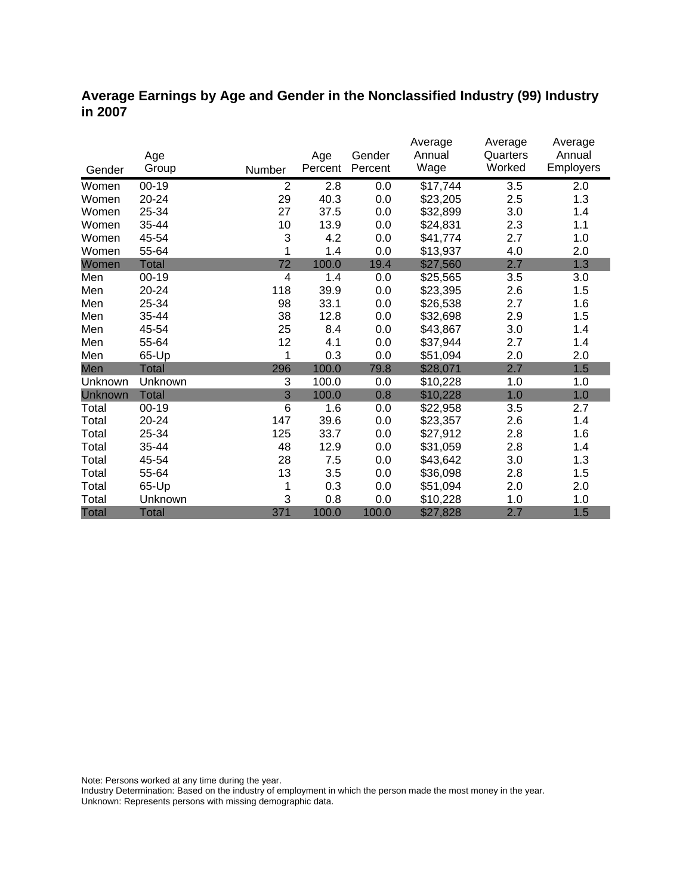#### **Average Earnings by Age and Gender in the Nonclassified Industry (99) Industry in 2007**

|              |              |                |         |         | Average  | Average  | Average          |
|--------------|--------------|----------------|---------|---------|----------|----------|------------------|
|              | Age          |                | Age     | Gender  | Annual   | Quarters | Annual           |
| Gender       | Group        | Number         | Percent | Percent | Wage     | Worked   | <b>Employers</b> |
| Women        | $00 - 19$    | $\overline{2}$ | 2.8     | 0.0     | \$17,744 | 3.5      | 2.0              |
| Women        | 20-24        | 29             | 40.3    | 0.0     | \$23,205 | 2.5      | 1.3              |
| Women        | 25-34        | 27             | 37.5    | 0.0     | \$32,899 | 3.0      | 1.4              |
| Women        | 35-44        | 10             | 13.9    | 0.0     | \$24,831 | 2.3      | 1.1              |
| Women        | 45-54        | 3              | 4.2     | 0.0     | \$41,774 | 2.7      | 1.0              |
| Women        | 55-64        | 1              | 1.4     | 0.0     | \$13,937 | 4.0      | 2.0              |
| Women        | <b>Total</b> | 72             | 100.0   | 19.4    | \$27,560 | 2.7      | 1.3              |
| Men          | $00 - 19$    | 4              | 1.4     | 0.0     | \$25,565 | 3.5      | 3.0              |
| Men          | 20-24        | 118            | 39.9    | 0.0     | \$23,395 | 2.6      | 1.5              |
| Men          | 25-34        | 98             | 33.1    | 0.0     | \$26,538 | 2.7      | 1.6              |
| Men          | 35-44        | 38             | 12.8    | 0.0     | \$32,698 | 2.9      | 1.5              |
| Men          | 45-54        | 25             | 8.4     | 0.0     | \$43,867 | 3.0      | 1.4              |
| Men          | 55-64        | 12             | 4.1     | 0.0     | \$37,944 | 2.7      | 1.4              |
| Men          | 65-Up        | 1              | 0.3     | 0.0     | \$51,094 | 2.0      | 2.0              |
| Men          | <b>Total</b> | 296            | 100.0   | 79.8    | \$28,071 | 2.7      | 1.5              |
| Unknown      | Unknown      | 3              | 100.0   | 0.0     | \$10,228 | 1.0      | 1.0              |
| Unknown      | <b>Total</b> | $\overline{3}$ | 100.0   | 0.8     | \$10,228 | 1.0      | 1.0              |
| Total        | $00 - 19$    | 6              | 1.6     | 0.0     | \$22,958 | 3.5      | 2.7              |
| Total        | 20-24        | 147            | 39.6    | 0.0     | \$23,357 | 2.6      | 1.4              |
| Total        | 25-34        | 125            | 33.7    | 0.0     | \$27,912 | 2.8      | 1.6              |
| Total        | 35-44        | 48             | 12.9    | 0.0     | \$31,059 | 2.8      | 1.4              |
| Total        | 45-54        | 28             | 7.5     | 0.0     | \$43,642 | 3.0      | 1.3              |
| Total        | 55-64        | 13             | 3.5     | 0.0     | \$36,098 | 2.8      | 1.5              |
| Total        | 65-Up        | 1              | 0.3     | 0.0     | \$51,094 | 2.0      | 2.0              |
| Total        | Unknown      | 3              | 0.8     | 0.0     | \$10,228 | 1.0      | 1.0              |
| <b>Total</b> | <b>Total</b> | 371            | 100.0   | 100.0   | \$27,828 | 2.7      | 1.5              |

Note: Persons worked at any time during the year.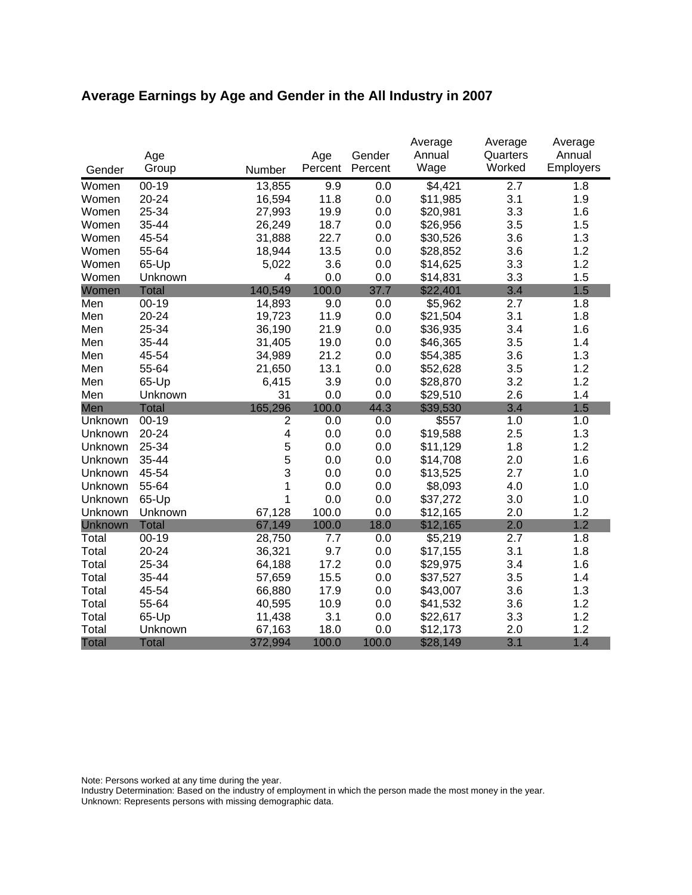# **Average Earnings by Age and Gender in the All Industry in 2007**

|              |              |                |         |         | Average        | Average            | Average             |
|--------------|--------------|----------------|---------|---------|----------------|--------------------|---------------------|
|              | Age          |                | Age     | Gender  | Annual<br>Wage | Quarters<br>Worked | Annual<br>Employers |
| Gender       | Group        | Number         | Percent | Percent |                |                    |                     |
| Women        | $00 - 19$    | 13,855         | 9.9     | 0.0     | \$4,421        | 2.7                | 1.8                 |
| Women        | 20-24        | 16,594         | 11.8    | 0.0     | \$11,985       | 3.1                | 1.9                 |
| Women        | 25-34        | 27,993         | 19.9    | 0.0     | \$20,981       | 3.3                | 1.6                 |
| Women        | 35-44        | 26,249         | 18.7    | 0.0     | \$26,956       | 3.5                | 1.5                 |
| Women        | 45-54        | 31,888         | 22.7    | 0.0     | \$30,526       | 3.6                | 1.3                 |
| Women        | 55-64        | 18,944         | 13.5    | 0.0     | \$28,852       | 3.6                | 1.2                 |
| Women        | 65-Up        | 5,022          | 3.6     | 0.0     | \$14,625       | 3.3                | 1.2                 |
| Women        | Unknown      | 4              | 0.0     | 0.0     | \$14,831       | 3.3                | 1.5                 |
| Women        | <b>Total</b> | 140,549        | 100.0   | 37.7    | \$22,401       | 3.4                | 1.5                 |
| Men          | $00 - 19$    | 14,893         | 9.0     | 0.0     | \$5,962        | 2.7                | 1.8                 |
| Men          | 20-24        | 19,723         | 11.9    | 0.0     | \$21,504       | 3.1                | 1.8                 |
| Men          | 25-34        | 36,190         | 21.9    | 0.0     | \$36,935       | 3.4                | 1.6                 |
| Men          | 35-44        | 31,405         | 19.0    | 0.0     | \$46,365       | 3.5                | 1.4                 |
| Men          | 45-54        | 34,989         | 21.2    | 0.0     | \$54,385       | 3.6                | 1.3                 |
| Men          | 55-64        | 21,650         | 13.1    | 0.0     | \$52,628       | 3.5                | 1.2                 |
| Men          | 65-Up        | 6,415          | 3.9     | 0.0     | \$28,870       | 3.2                | 1.2                 |
| Men          | Unknown      | 31             | 0.0     | 0.0     | \$29,510       | 2.6                | 1.4                 |
| Men          | <b>Total</b> | 165,296        | 100.0   | 44.3    | \$39,530       | 3.4                | 1.5                 |
| Unknown      | $00-19$      | $\overline{2}$ | 0.0     | 0.0     | \$557          | 1.0                | 1.0                 |
| Unknown      | 20-24        | 4              | 0.0     | 0.0     | \$19,588       | 2.5                | 1.3                 |
| Unknown      | 25-34        | 5              | 0.0     | 0.0     | \$11,129       | 1.8                | 1.2                 |
| Unknown      | 35-44        | 5              | 0.0     | 0.0     | \$14,708       | 2.0                | 1.6                 |
| Unknown      | 45-54        | 3              | 0.0     | 0.0     | \$13,525       | 2.7                | 1.0                 |
| Unknown      | 55-64        | 1              | 0.0     | 0.0     | \$8,093        | 4.0                | 1.0                 |
| Unknown      | 65-Up        | 1              | 0.0     | 0.0     | \$37,272       | 3.0                | 1.0                 |
| Unknown      | Unknown      | 67,128         | 100.0   | 0.0     | \$12,165       | 2.0                | 1.2                 |
| Unknown      | <b>Total</b> | 67,149         | 100.0   | 18.0    | \$12,165       | 2.0                | 1.2                 |
| Total        | $00-19$      | 28,750         | 7.7     | 0.0     | \$5,219        | 2.7                | 1.8                 |
| Total        | 20-24        | 36,321         | 9.7     | 0.0     | \$17,155       | 3.1                | 1.8                 |
| Total        | 25-34        | 64,188         | 17.2    | 0.0     | \$29,975       | 3.4                | 1.6                 |
| Total        | 35-44        | 57,659         | 15.5    | 0.0     | \$37,527       | 3.5                | 1.4                 |
| Total        | 45-54        | 66,880         | 17.9    | 0.0     | \$43,007       | 3.6                | 1.3                 |
| Total        | 55-64        | 40,595         | 10.9    | 0.0     | \$41,532       | 3.6                | 1.2                 |
| Total        | 65-Up        | 11,438         | 3.1     | 0.0     | \$22,617       | 3.3                | 1.2                 |
| Total        | Unknown      | 67,163         | 18.0    | 0.0     | \$12,173       | 2.0                | 1.2                 |
| <b>Total</b> | <b>Total</b> | 372,994        | 100.0   | 100.0   | \$28,149       | 3.1                | 1.4                 |

Note: Persons worked at any time during the year.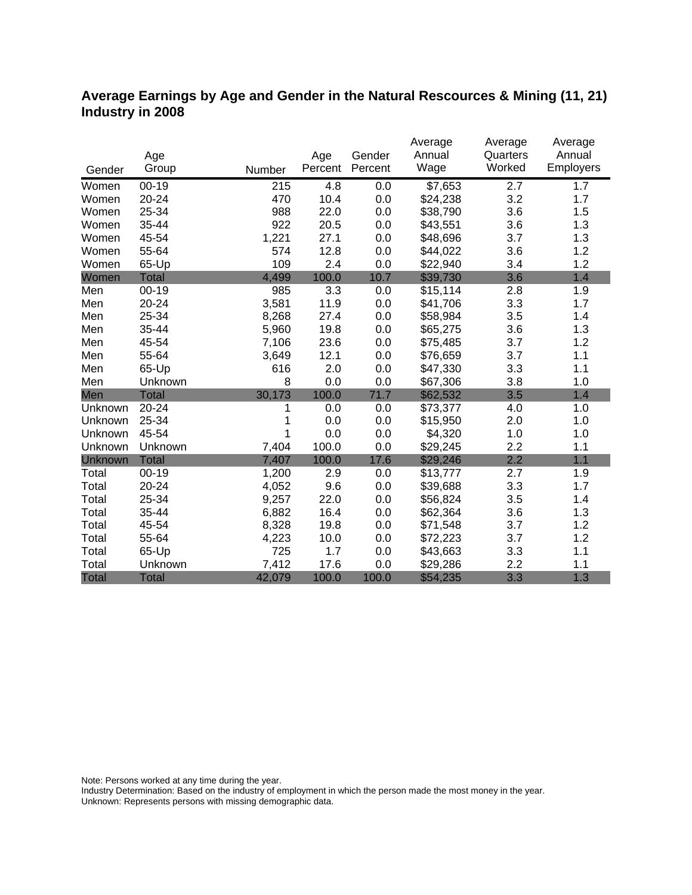#### **Average Earnings by Age and Gender in the Natural Rescources & Mining (11, 21) Industry in 2008**

|              |              |        |         |         | Average  | Average  | Average          |
|--------------|--------------|--------|---------|---------|----------|----------|------------------|
|              | Age          |        | Age     | Gender  | Annual   | Quarters | Annual           |
| Gender       | Group        | Number | Percent | Percent | Wage     | Worked   | <b>Employers</b> |
| Women        | $00 - 19$    | 215    | 4.8     | 0.0     | \$7,653  | 2.7      | 1.7              |
| Women        | 20-24        | 470    | 10.4    | 0.0     | \$24,238 | 3.2      | 1.7              |
| Women        | 25-34        | 988    | 22.0    | 0.0     | \$38,790 | 3.6      | 1.5              |
| Women        | 35-44        | 922    | 20.5    | 0.0     | \$43,551 | 3.6      | 1.3              |
| Women        | 45-54        | 1,221  | 27.1    | 0.0     | \$48,696 | 3.7      | 1.3              |
| Women        | 55-64        | 574    | 12.8    | 0.0     | \$44,022 | 3.6      | 1.2              |
| Women        | 65-Up        | 109    | 2.4     | 0.0     | \$22,940 | 3.4      | 1.2              |
| Women        | <b>Total</b> | 4,499  | 100.0   | 10.7    | \$39,730 | 3.6      | 1.4              |
| Men          | $00 - 19$    | 985    | 3.3     | 0.0     | \$15,114 | 2.8      | 1.9              |
| Men          | 20-24        | 3,581  | 11.9    | 0.0     | \$41,706 | 3.3      | 1.7              |
| Men          | 25-34        | 8,268  | 27.4    | 0.0     | \$58,984 | 3.5      | 1.4              |
| Men          | 35-44        | 5,960  | 19.8    | 0.0     | \$65,275 | 3.6      | 1.3              |
| Men          | 45-54        | 7,106  | 23.6    | 0.0     | \$75,485 | 3.7      | 1.2              |
| Men          | 55-64        | 3,649  | 12.1    | 0.0     | \$76,659 | 3.7      | 1.1              |
| Men          | 65-Up        | 616    | 2.0     | 0.0     | \$47,330 | 3.3      | 1.1              |
| Men          | Unknown      | 8      | 0.0     | 0.0     | \$67,306 | 3.8      | 1.0              |
| Men          | <b>Total</b> | 30,173 | 100.0   | 71.7    | \$62,532 | 3.5      | 1.4              |
| Unknown      | 20-24        | 1      | 0.0     | 0.0     | \$73,377 | 4.0      | 1.0              |
| Unknown      | 25-34        |        | 0.0     | 0.0     | \$15,950 | 2.0      | 1.0              |
| Unknown      | 45-54        | 1      | 0.0     | 0.0     | \$4,320  | 1.0      | 1.0              |
| Unknown      | Unknown      | 7,404  | 100.0   | 0.0     | \$29,245 | 2.2      | 1.1              |
| Unknown      | <b>Total</b> | 7,407  | 100.0   | 17.6    | \$29,246 | 2.2      | 1.1              |
| Total        | $00 - 19$    | 1,200  | 2.9     | 0.0     | \$13,777 | 2.7      | 1.9              |
| Total        | 20-24        | 4,052  | 9.6     | 0.0     | \$39,688 | 3.3      | 1.7              |
| Total        | 25-34        | 9,257  | 22.0    | 0.0     | \$56,824 | 3.5      | 1.4              |
| Total        | 35-44        | 6,882  | 16.4    | 0.0     | \$62,364 | 3.6      | 1.3              |
| Total        | 45-54        | 8,328  | 19.8    | 0.0     | \$71,548 | 3.7      | 1.2              |
| Total        | 55-64        | 4,223  | 10.0    | 0.0     | \$72,223 | 3.7      | 1.2              |
| Total        | 65-Up        | 725    | 1.7     | 0.0     | \$43,663 | 3.3      | 1.1              |
| Total        | Unknown      | 7,412  | 17.6    | 0.0     | \$29,286 | 2.2      | 1.1              |
| <b>Total</b> | <b>Total</b> | 42,079 | 100.0   | 100.0   | \$54,235 | 3.3      | 1.3              |

Note: Persons worked at any time during the year.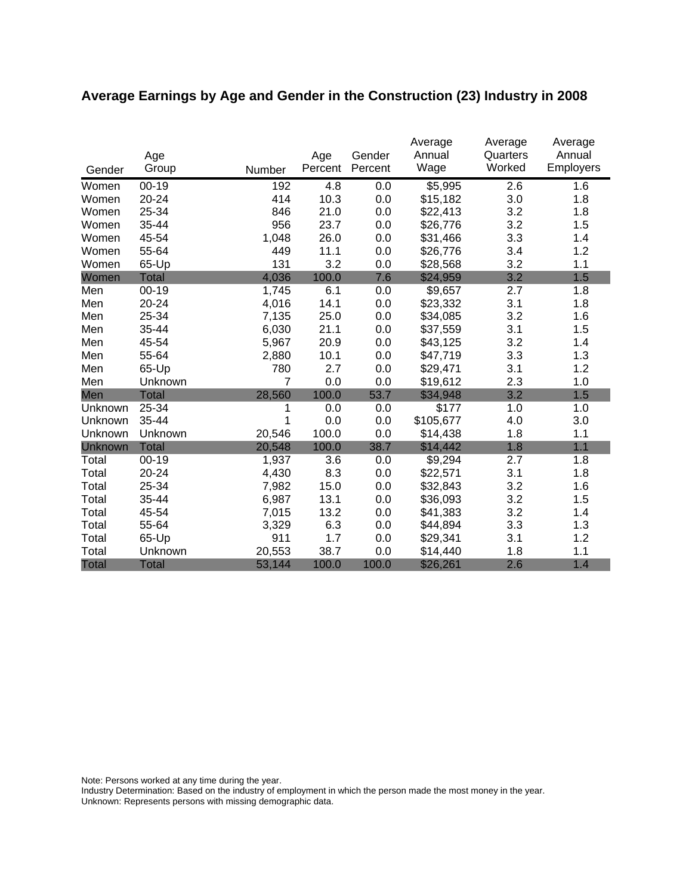# **Average Earnings by Age and Gender in the Construction (23) Industry in 2008**

|                | Age          |        | Age     | Gender  | Average<br>Annual | Average<br>Quarters | Average<br>Annual |
|----------------|--------------|--------|---------|---------|-------------------|---------------------|-------------------|
| Gender         | Group        | Number | Percent | Percent | Wage              | Worked              | Employers         |
| Women          | $00 - 19$    | 192    | 4.8     | 0.0     | \$5,995           | 2.6                 | 1.6               |
| Women          | 20-24        | 414    | 10.3    | 0.0     | \$15,182          | 3.0                 | 1.8               |
| Women          | 25-34        | 846    | 21.0    | 0.0     | \$22,413          | 3.2                 | 1.8               |
| Women          | 35-44        | 956    | 23.7    | 0.0     | \$26,776          | 3.2                 | 1.5               |
| Women          | 45-54        | 1,048  | 26.0    | 0.0     | \$31,466          | 3.3                 | 1.4               |
| Women          | 55-64        | 449    | 11.1    | 0.0     | \$26,776          | 3.4                 | 1.2               |
| Women          | 65-Up        | 131    | 3.2     | 0.0     | \$28,568          | 3.2                 | 1.1               |
| Women          | <b>Total</b> | 4,036  | 100.0   | 7.6     | \$24,959          | 3.2                 | 1.5               |
| Men            | $00 - 19$    | 1,745  | 6.1     | 0.0     | \$9,657           | 2.7                 | 1.8               |
| Men            | 20-24        | 4,016  | 14.1    | 0.0     | \$23,332          | 3.1                 | 1.8               |
| Men            | 25-34        | 7,135  | 25.0    | 0.0     | \$34,085          | 3.2                 | 1.6               |
| Men            | 35-44        | 6,030  | 21.1    | 0.0     | \$37,559          | 3.1                 | 1.5               |
| Men            | 45-54        | 5,967  | 20.9    | 0.0     | \$43,125          | 3.2                 | 1.4               |
| Men            | 55-64        | 2,880  | 10.1    | 0.0     | \$47,719          | 3.3                 | 1.3               |
| Men            | 65-Up        | 780    | 2.7     | 0.0     | \$29,471          | 3.1                 | 1.2               |
| Men            | Unknown      | 7      | 0.0     | 0.0     | \$19,612          | 2.3                 | 1.0               |
| Men            | <b>Total</b> | 28,560 | 100.0   | 53.7    | \$34,948          | 3.2                 | 1.5               |
| Unknown        | 25-34        |        | 0.0     | 0.0     | \$177             | 1.0                 | 1.0               |
| Unknown        | 35-44        | 1      | 0.0     | 0.0     | \$105,677         | 4.0                 | 3.0               |
| Unknown        | Unknown      | 20,546 | 100.0   | 0.0     | \$14,438          | 1.8                 | 1.1               |
| <b>Unknown</b> | <b>Total</b> | 20,548 | 100.0   | 38.7    | \$14,442          | 1.8                 | 1.1               |
| Total          | $00 - 19$    | 1,937  | 3.6     | 0.0     | \$9,294           | 2.7                 | 1.8               |
| Total          | 20-24        | 4,430  | 8.3     | 0.0     | \$22,571          | 3.1                 | 1.8               |
| Total          | 25-34        | 7,982  | 15.0    | 0.0     | \$32,843          | 3.2                 | 1.6               |
| Total          | 35-44        | 6,987  | 13.1    | 0.0     | \$36,093          | 3.2                 | 1.5               |
| Total          | 45-54        | 7,015  | 13.2    | 0.0     | \$41,383          | 3.2                 | 1.4               |
| Total          | 55-64        | 3,329  | 6.3     | 0.0     | \$44,894          | 3.3                 | 1.3               |
| Total          | 65-Up        | 911    | 1.7     | 0.0     | \$29,341          | 3.1                 | 1.2               |
| Total          | Unknown      | 20,553 | 38.7    | 0.0     | \$14,440          | 1.8                 | 1.1               |
| <b>Total</b>   | <b>Total</b> | 53,144 | 100.0   | 100.0   | \$26,261          | 2.6                 | 1.4               |

Note: Persons worked at any time during the year.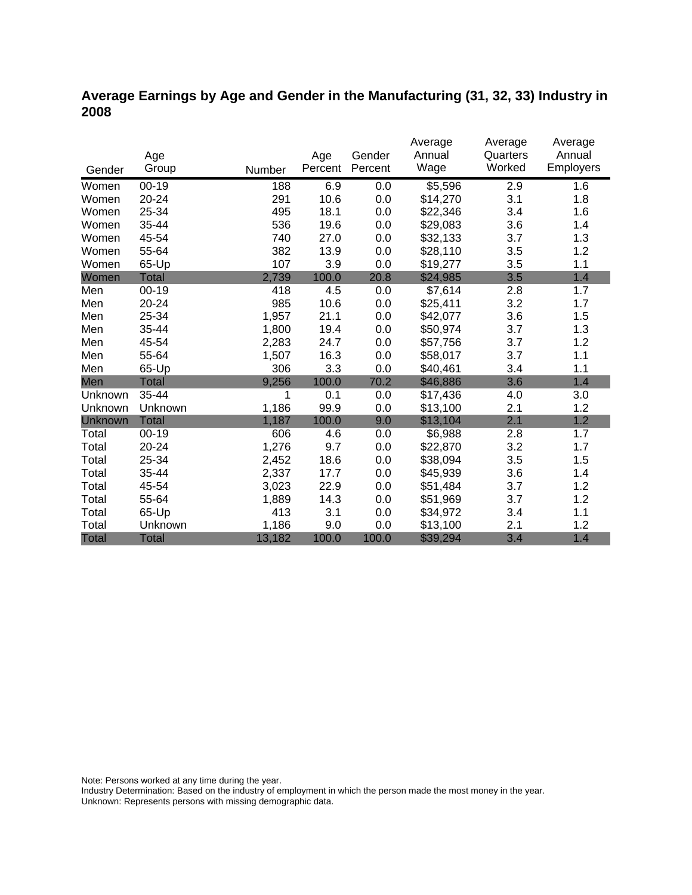## **Average Earnings by Age and Gender in the Manufacturing (31, 32, 33) Industry in 2008**

|              |              |        |                | Gender  | Average<br>Annual | Average<br>Quarters | Average<br>Annual |
|--------------|--------------|--------|----------------|---------|-------------------|---------------------|-------------------|
|              | Age<br>Group | Number | Age<br>Percent | Percent | Wage              | Worked              | <b>Employers</b>  |
| Gender       |              |        |                |         |                   |                     |                   |
| Women        | $00 - 19$    | 188    | 6.9            | 0.0     | \$5,596           | 2.9                 | 1.6               |
| Women        | 20-24        | 291    | 10.6           | 0.0     | \$14,270          | 3.1                 | 1.8               |
| Women        | 25-34        | 495    | 18.1           | 0.0     | \$22,346          | 3.4                 | 1.6               |
| Women        | 35-44        | 536    | 19.6           | 0.0     | \$29,083          | 3.6                 | 1.4               |
| Women        | 45-54        | 740    | 27.0           | 0.0     | \$32,133          | 3.7                 | 1.3               |
| Women        | 55-64        | 382    | 13.9           | 0.0     | \$28,110          | 3.5                 | 1.2               |
| Women        | 65-Up        | 107    | 3.9            | 0.0     | \$19,277          | 3.5                 | 1.1               |
| Women        | <b>Total</b> | 2,739  | 100.0          | 20.8    | \$24,985          | 3.5                 | 1.4               |
| Men          | $00 - 19$    | 418    | 4.5            | 0.0     | \$7,614           | 2.8                 | 1.7               |
| Men          | $20 - 24$    | 985    | 10.6           | 0.0     | \$25,411          | 3.2                 | 1.7               |
| Men          | 25-34        | 1,957  | 21.1           | 0.0     | \$42,077          | 3.6                 | 1.5               |
| Men          | 35-44        | 1,800  | 19.4           | 0.0     | \$50,974          | 3.7                 | 1.3               |
| Men          | 45-54        | 2,283  | 24.7           | 0.0     | \$57,756          | 3.7                 | 1.2               |
| Men          | 55-64        | 1,507  | 16.3           | 0.0     | \$58,017          | 3.7                 | 1.1               |
| Men          | 65-Up        | 306    | 3.3            | 0.0     | \$40,461          | 3.4                 | 1.1               |
| Men          | <b>Total</b> | 9,256  | 100.0          | 70.2    | \$46,886          | 3.6                 | 1.4               |
| Unknown      | 35-44        | 1      | 0.1            | 0.0     | \$17,436          | 4.0                 | 3.0               |
| Unknown      | Unknown      | 1,186  | 99.9           | 0.0     | \$13,100          | 2.1                 | 1.2               |
| Unknown      | <b>Total</b> | 1,187  | 100.0          | 9.0     | \$13,104          | 2.1                 | 1.2               |
| Total        | $00 - 19$    | 606    | 4.6            | 0.0     | \$6,988           | 2.8                 | 1.7               |
| Total        | 20-24        | 1,276  | 9.7            | 0.0     | \$22,870          | 3.2                 | 1.7               |
| Total        | 25-34        | 2,452  | 18.6           | 0.0     | \$38,094          | 3.5                 | 1.5               |
| Total        | 35-44        | 2,337  | 17.7           | 0.0     | \$45,939          | 3.6                 | 1.4               |
| Total        | 45-54        | 3,023  | 22.9           | 0.0     | \$51,484          | 3.7                 | 1.2               |
| Total        | 55-64        | 1,889  | 14.3           | 0.0     | \$51,969          | 3.7                 | 1.2               |
| Total        | 65-Up        | 413    | 3.1            | 0.0     | \$34,972          | 3.4                 | 1.1               |
| Total        | Unknown      | 1,186  | 9.0            | 0.0     | \$13,100          | 2.1                 | 1.2               |
| <b>Total</b> | <b>Total</b> | 13,182 | 100.0          | 100.0   | \$39,294          | 3.4                 | 1.4               |

Note: Persons worked at any time during the year.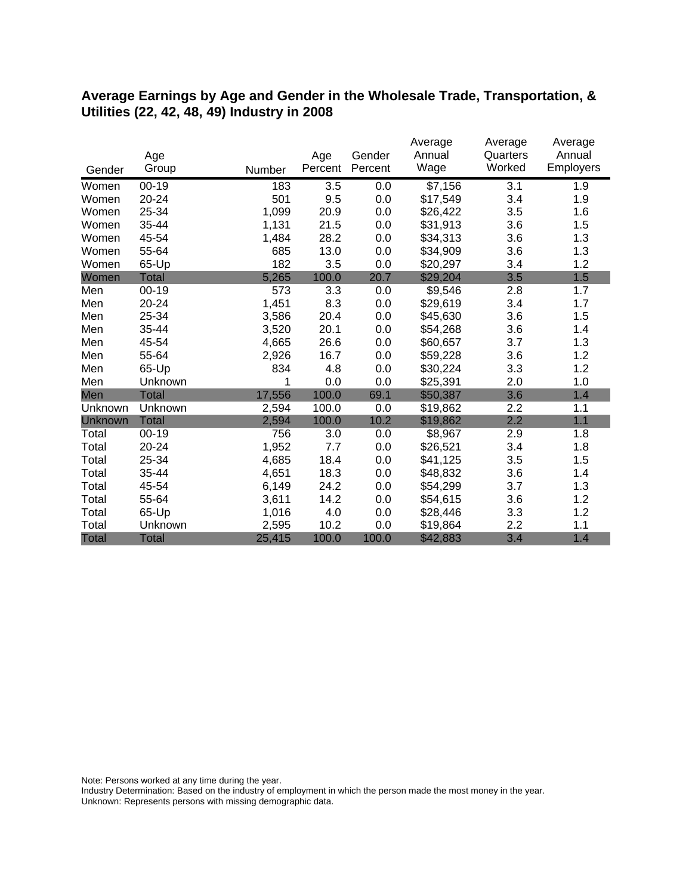#### **Average Earnings by Age and Gender in the Wholesale Trade, Transportation, & Utilities (22, 42, 48, 49) Industry in 2008**

|                |              |        |         |         | Average  | Average  | Average   |
|----------------|--------------|--------|---------|---------|----------|----------|-----------|
|                | Age          |        | Age     | Gender  | Annual   | Quarters | Annual    |
| Gender         | Group        | Number | Percent | Percent | Wage     | Worked   | Employers |
| Women          | $00 - 19$    | 183    | 3.5     | 0.0     | \$7,156  | 3.1      | 1.9       |
| Women          | 20-24        | 501    | 9.5     | 0.0     | \$17,549 | 3.4      | 1.9       |
| Women          | 25-34        | 1,099  | 20.9    | 0.0     | \$26,422 | 3.5      | 1.6       |
| Women          | 35-44        | 1,131  | 21.5    | 0.0     | \$31,913 | 3.6      | 1.5       |
| Women          | 45-54        | 1,484  | 28.2    | 0.0     | \$34,313 | 3.6      | 1.3       |
| Women          | 55-64        | 685    | 13.0    | 0.0     | \$34,909 | 3.6      | 1.3       |
| Women          | 65-Up        | 182    | 3.5     | 0.0     | \$20,297 | 3.4      | 1.2       |
| Women          | Total        | 5,265  | 100.0   | 20.7    | \$29,204 | 3.5      | 1.5       |
| Men            | $00 - 19$    | 573    | 3.3     | 0.0     | \$9,546  | 2.8      | 1.7       |
| Men            | 20-24        | 1,451  | 8.3     | 0.0     | \$29,619 | 3.4      | 1.7       |
| Men            | 25-34        | 3,586  | 20.4    | 0.0     | \$45,630 | 3.6      | 1.5       |
| Men            | 35-44        | 3,520  | 20.1    | 0.0     | \$54,268 | 3.6      | 1.4       |
| Men            | 45-54        | 4,665  | 26.6    | 0.0     | \$60,657 | 3.7      | 1.3       |
| Men            | 55-64        | 2,926  | 16.7    | 0.0     | \$59,228 | 3.6      | 1.2       |
| Men            | 65-Up        | 834    | 4.8     | 0.0     | \$30,224 | 3.3      | 1.2       |
| Men            | Unknown      | 1      | 0.0     | 0.0     | \$25,391 | 2.0      | 1.0       |
| Men            | <b>Total</b> | 17,556 | 100.0   | 69.1    | \$50,387 | 3.6      | 1.4       |
| Unknown        | Unknown      | 2,594  | 100.0   | 0.0     | \$19,862 | 2.2      | 1.1       |
| <b>Unknown</b> | <b>Total</b> | 2,594  | 100.0   | 10.2    | \$19,862 | 2.2      | 1.1       |
| Total          | $00 - 19$    | 756    | 3.0     | 0.0     | \$8,967  | 2.9      | 1.8       |
| Total          | 20-24        | 1,952  | 7.7     | 0.0     | \$26,521 | 3.4      | 1.8       |
| Total          | 25-34        | 4,685  | 18.4    | 0.0     | \$41,125 | 3.5      | 1.5       |
| Total          | 35-44        | 4,651  | 18.3    | 0.0     | \$48,832 | 3.6      | 1.4       |
| Total          | 45-54        | 6,149  | 24.2    | 0.0     | \$54,299 | 3.7      | 1.3       |
| Total          | 55-64        | 3,611  | 14.2    | 0.0     | \$54,615 | 3.6      | 1.2       |
| Total          | 65-Up        | 1,016  | 4.0     | 0.0     | \$28,446 | 3.3      | 1.2       |
| Total          | Unknown      | 2,595  | 10.2    | 0.0     | \$19,864 | 2.2      | 1.1       |
| <b>Total</b>   | <b>Total</b> | 25,415 | 100.0   | 100.0   | \$42,883 | 3.4      | 1.4       |

Note: Persons worked at any time during the year.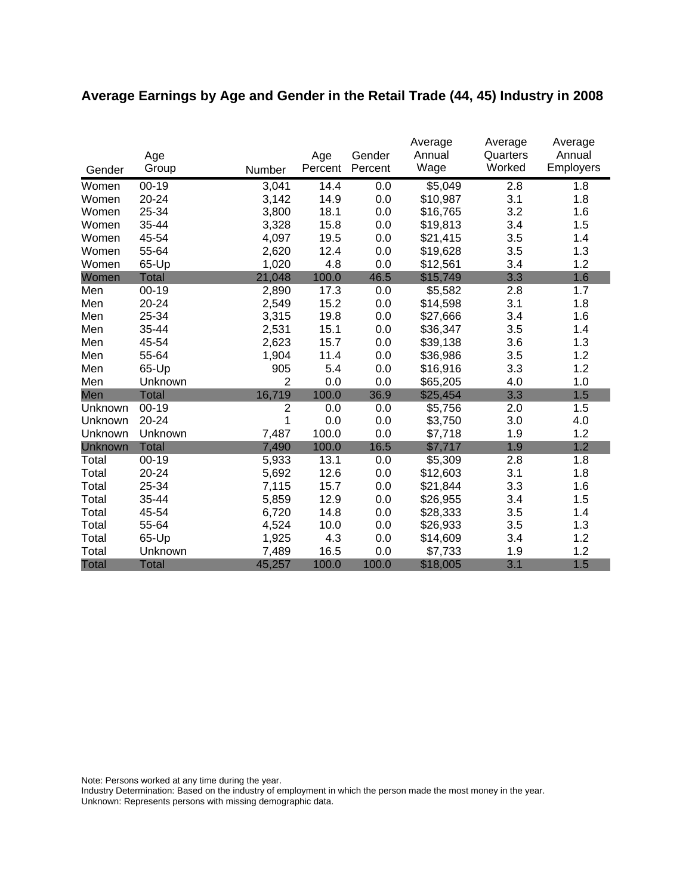# **Average Earnings by Age and Gender in the Retail Trade (44, 45) Industry in 2008**

|              |              |                |         |         | Average  | Average  | Average   |
|--------------|--------------|----------------|---------|---------|----------|----------|-----------|
|              | Age          |                | Age     | Gender  | Annual   | Quarters | Annual    |
| Gender       | Group        | Number         | Percent | Percent | Wage     | Worked   | Employers |
| Women        | $00 - 19$    | 3,041          | 14.4    | 0.0     | \$5,049  | 2.8      | 1.8       |
| Women        | 20-24        | 3,142          | 14.9    | 0.0     | \$10,987 | 3.1      | 1.8       |
| Women        | 25-34        | 3,800          | 18.1    | 0.0     | \$16,765 | 3.2      | 1.6       |
| Women        | 35-44        | 3,328          | 15.8    | 0.0     | \$19,813 | 3.4      | 1.5       |
| Women        | 45-54        | 4,097          | 19.5    | 0.0     | \$21,415 | 3.5      | 1.4       |
| Women        | 55-64        | 2,620          | 12.4    | 0.0     | \$19,628 | 3.5      | 1.3       |
| Women        | 65-Up        | 1,020          | 4.8     | 0.0     | \$12,561 | 3.4      | 1.2       |
| Women        | <b>Total</b> | 21,048         | 100.0   | 46.5    | \$15,749 | 3.3      | 1.6       |
| Men          | $00 - 19$    | 2,890          | 17.3    | 0.0     | \$5,582  | 2.8      | 1.7       |
| Men          | 20-24        | 2,549          | 15.2    | 0.0     | \$14,598 | 3.1      | 1.8       |
| Men          | 25-34        | 3,315          | 19.8    | 0.0     | \$27,666 | 3.4      | 1.6       |
| Men          | 35-44        | 2,531          | 15.1    | 0.0     | \$36,347 | 3.5      | 1.4       |
| Men          | 45-54        | 2,623          | 15.7    | 0.0     | \$39,138 | 3.6      | 1.3       |
| Men          | 55-64        | 1,904          | 11.4    | 0.0     | \$36,986 | 3.5      | 1.2       |
| Men          | 65-Up        | 905            | 5.4     | 0.0     | \$16,916 | 3.3      | 1.2       |
| Men          | Unknown      | $\overline{2}$ | 0.0     | 0.0     | \$65,205 | 4.0      | 1.0       |
| Men          | <b>Total</b> | 16,719         | 100.0   | 36.9    | \$25,454 | 3.3      | 1.5       |
| Unknown      | $00-19$      | $\overline{2}$ | 0.0     | 0.0     | \$5,756  | 2.0      | 1.5       |
| Unknown      | 20-24        | 1              | 0.0     | 0.0     | \$3,750  | 3.0      | 4.0       |
| Unknown      | Unknown      | 7,487          | 100.0   | 0.0     | \$7,718  | 1.9      | 1.2       |
| Unknown      | <b>Total</b> | 7,490          | 100.0   | 16.5    | \$7,717  | 1.9      | 1.2       |
| Total        | $00 - 19$    | 5,933          | 13.1    | 0.0     | \$5,309  | 2.8      | 1.8       |
| Total        | 20-24        | 5,692          | 12.6    | 0.0     | \$12,603 | 3.1      | 1.8       |
| Total        | 25-34        | 7,115          | 15.7    | 0.0     | \$21,844 | 3.3      | 1.6       |
| Total        | 35-44        | 5,859          | 12.9    | 0.0     | \$26,955 | 3.4      | 1.5       |
| Total        | 45-54        | 6,720          | 14.8    | 0.0     | \$28,333 | 3.5      | 1.4       |
| Total        | 55-64        | 4,524          | 10.0    | 0.0     | \$26,933 | 3.5      | 1.3       |
| Total        | 65-Up        | 1,925          | 4.3     | 0.0     | \$14,609 | 3.4      | 1.2       |
| Total        | Unknown      | 7,489          | 16.5    | 0.0     | \$7,733  | 1.9      | 1.2       |
| <b>Total</b> | <b>Total</b> | 45,257         | 100.0   | 100.0   | \$18,005 | 3.1      | 1.5       |

Note: Persons worked at any time during the year.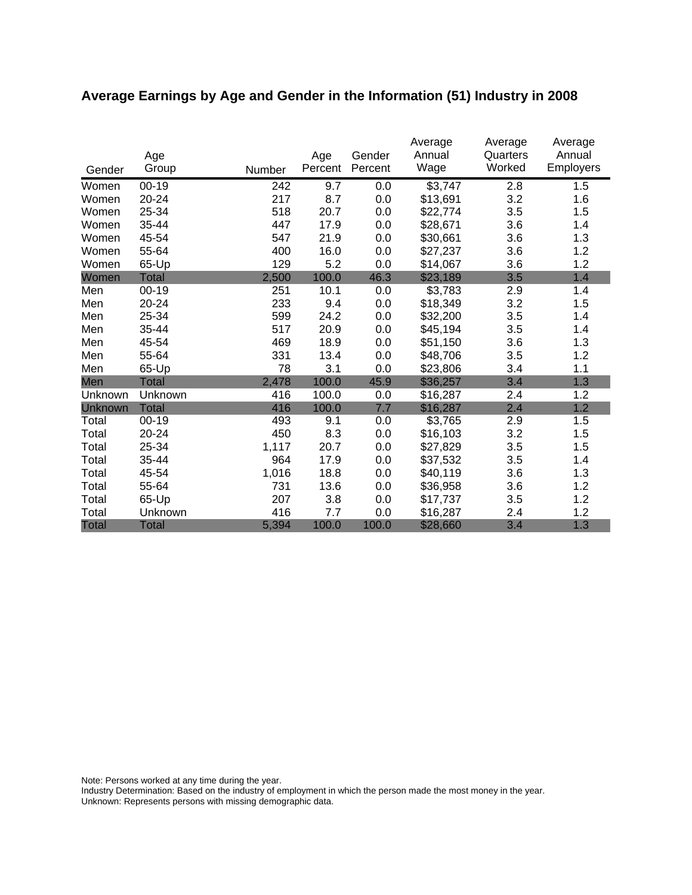# **Average Earnings by Age and Gender in the Information (51) Industry in 2008**

|              | Age          |        | Age     | Gender  | Average<br>Annual | Average<br>Quarters | Average<br>Annual |
|--------------|--------------|--------|---------|---------|-------------------|---------------------|-------------------|
| Gender       | Group        | Number | Percent | Percent | Wage              | Worked              | Employers         |
| Women        | $00 - 19$    | 242    | 9.7     | 0.0     | \$3,747           | 2.8                 | 1.5               |
| Women        | 20-24        | 217    | 8.7     | 0.0     | \$13,691          | 3.2                 | 1.6               |
| Women        | 25-34        | 518    | 20.7    | 0.0     | \$22,774          | 3.5                 | 1.5               |
| Women        | 35-44        | 447    | 17.9    | 0.0     | \$28,671          | 3.6                 | 1.4               |
| Women        | 45-54        | 547    | 21.9    | 0.0     | \$30,661          | 3.6                 | 1.3               |
| Women        | 55-64        | 400    | 16.0    | 0.0     | \$27,237          | 3.6                 | 1.2               |
| Women        | 65-Up        | 129    | 5.2     | 0.0     | \$14,067          | 3.6                 | 1.2               |
| Women        | <b>Total</b> | 2,500  | 100.0   | 46.3    | \$23,189          | 3.5                 | 1.4               |
| Men          | $00 - 19$    | 251    | 10.1    | 0.0     | \$3,783           | 2.9                 | 1.4               |
| Men          | 20-24        | 233    | 9.4     | 0.0     | \$18,349          | 3.2                 | 1.5               |
| Men          | 25-34        | 599    | 24.2    | 0.0     | \$32,200          | 3.5                 | 1.4               |
| Men          | 35-44        | 517    | 20.9    | 0.0     | \$45,194          | 3.5                 | 1.4               |
| Men          | 45-54        | 469    | 18.9    | 0.0     | \$51,150          | 3.6                 | 1.3               |
| Men          | 55-64        | 331    | 13.4    | 0.0     | \$48,706          | 3.5                 | 1.2               |
| Men          | 65-Up        | 78     | 3.1     | 0.0     | \$23,806          | 3.4                 | 1.1               |
| Men          | <b>Total</b> | 2,478  | 100.0   | 45.9    | \$36,257          | 3.4                 | 1.3               |
| Unknown      | Unknown      | 416    | 100.0   | 0.0     | \$16,287          | 2.4                 | 1.2               |
| Unknown      | <b>Total</b> | 416    | 100.0   | 7.7     | \$16,287          | 2.4                 | 1.2               |
| Total        | $00 - 19$    | 493    | 9.1     | 0.0     | \$3,765           | 2.9                 | 1.5               |
| Total        | 20-24        | 450    | 8.3     | 0.0     | \$16,103          | 3.2                 | 1.5               |
| Total        | 25-34        | 1,117  | 20.7    | 0.0     | \$27,829          | 3.5                 | 1.5               |
| Total        | 35-44        | 964    | 17.9    | 0.0     | \$37,532          | 3.5                 | 1.4               |
| Total        | 45-54        | 1,016  | 18.8    | 0.0     | \$40,119          | 3.6                 | 1.3               |
| Total        | 55-64        | 731    | 13.6    | 0.0     | \$36,958          | 3.6                 | 1.2               |
| Total        | 65-Up        | 207    | 3.8     | 0.0     | \$17,737          | 3.5                 | 1.2               |
| Total        | Unknown      | 416    | 7.7     | 0.0     | \$16,287          | 2.4                 | 1.2               |
| <b>Total</b> | <b>Total</b> | 5,394  | 100.0   | 100.0   | \$28,660          | 3.4                 | 1.3               |

Note: Persons worked at any time during the year.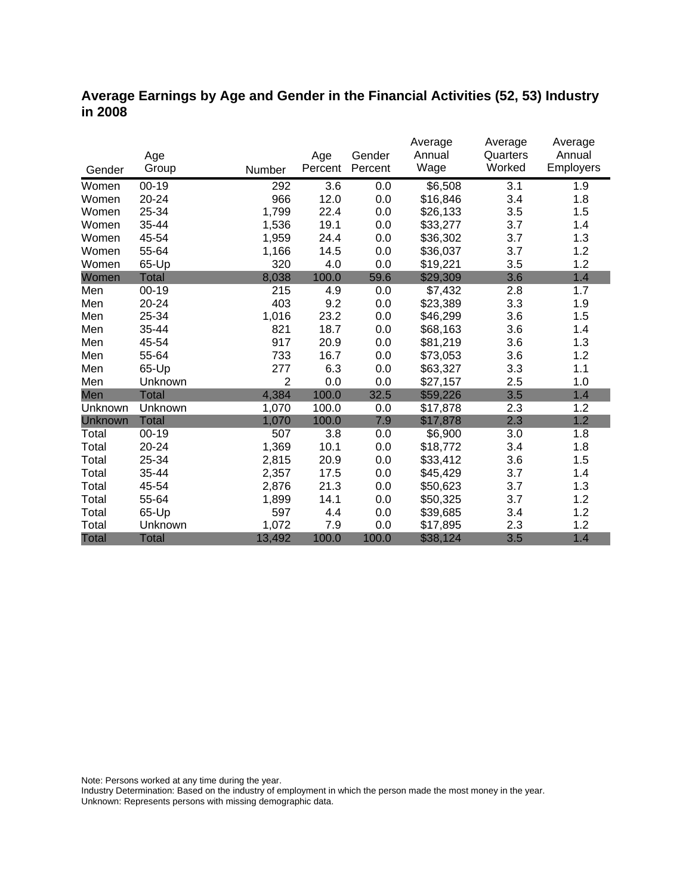### **Average Earnings by Age and Gender in the Financial Activities (52, 53) Industry in 2008**

|                |              |                |         |         | Average  | Average  | Average          |
|----------------|--------------|----------------|---------|---------|----------|----------|------------------|
|                | Age          |                | Age     | Gender  | Annual   | Quarters | Annual           |
| Gender         | Group        | Number         | Percent | Percent | Wage     | Worked   | <b>Employers</b> |
| Women          | $00 - 19$    | 292            | 3.6     | 0.0     | \$6,508  | 3.1      | 1.9              |
| Women          | 20-24        | 966            | 12.0    | 0.0     | \$16,846 | 3.4      | 1.8              |
| Women          | 25-34        | 1,799          | 22.4    | 0.0     | \$26,133 | 3.5      | 1.5              |
| Women          | 35-44        | 1,536          | 19.1    | 0.0     | \$33,277 | 3.7      | 1.4              |
| Women          | 45-54        | 1,959          | 24.4    | 0.0     | \$36,302 | 3.7      | 1.3              |
| Women          | 55-64        | 1,166          | 14.5    | 0.0     | \$36,037 | 3.7      | 1.2              |
| Women          | 65-Up        | 320            | 4.0     | 0.0     | \$19,221 | 3.5      | 1.2              |
| Women          | <b>Total</b> | 8,038          | 100.0   | 59.6    | \$29,309 | 3.6      | 1.4              |
| Men            | $00 - 19$    | 215            | 4.9     | 0.0     | \$7,432  | 2.8      | 1.7              |
| Men            | 20-24        | 403            | 9.2     | 0.0     | \$23,389 | 3.3      | 1.9              |
| Men            | 25-34        | 1,016          | 23.2    | 0.0     | \$46,299 | 3.6      | 1.5              |
| Men            | 35-44        | 821            | 18.7    | 0.0     | \$68,163 | 3.6      | 1.4              |
| Men            | 45-54        | 917            | 20.9    | 0.0     | \$81,219 | 3.6      | 1.3              |
| Men            | 55-64        | 733            | 16.7    | 0.0     | \$73,053 | 3.6      | 1.2              |
| Men            | 65-Up        | 277            | 6.3     | 0.0     | \$63,327 | 3.3      | 1.1              |
| Men            | Unknown      | $\overline{2}$ | 0.0     | 0.0     | \$27,157 | 2.5      | 1.0              |
| Men            | <b>Total</b> | 4,384          | 100.0   | 32.5    | \$59,226 | 3.5      | 1.4              |
| Unknown        | Unknown      | 1,070          | 100.0   | 0.0     | \$17,878 | 2.3      | 1.2              |
| <b>Unknown</b> | <b>Total</b> | 1,070          | 100.0   | 7.9     | \$17,878 | 2.3      | 1.2              |
| Total          | $00 - 19$    | 507            | 3.8     | 0.0     | \$6,900  | 3.0      | 1.8              |
| Total          | 20-24        | 1,369          | 10.1    | 0.0     | \$18,772 | 3.4      | 1.8              |
| Total          | 25-34        | 2,815          | 20.9    | 0.0     | \$33,412 | 3.6      | 1.5              |
| Total          | 35-44        | 2,357          | 17.5    | 0.0     | \$45,429 | 3.7      | 1.4              |
| Total          | 45-54        | 2,876          | 21.3    | 0.0     | \$50,623 | 3.7      | 1.3              |
| Total          | 55-64        | 1,899          | 14.1    | 0.0     | \$50,325 | 3.7      | 1.2              |
| Total          | 65-Up        | 597            | 4.4     | 0.0     | \$39,685 | 3.4      | 1.2              |
| Total          | Unknown      | 1,072          | 7.9     | 0.0     | \$17,895 | 2.3      | 1.2              |
| <b>Total</b>   | <b>Total</b> | 13,492         | 100.0   | 100.0   | \$38,124 | 3.5      | 1.4              |

Note: Persons worked at any time during the year.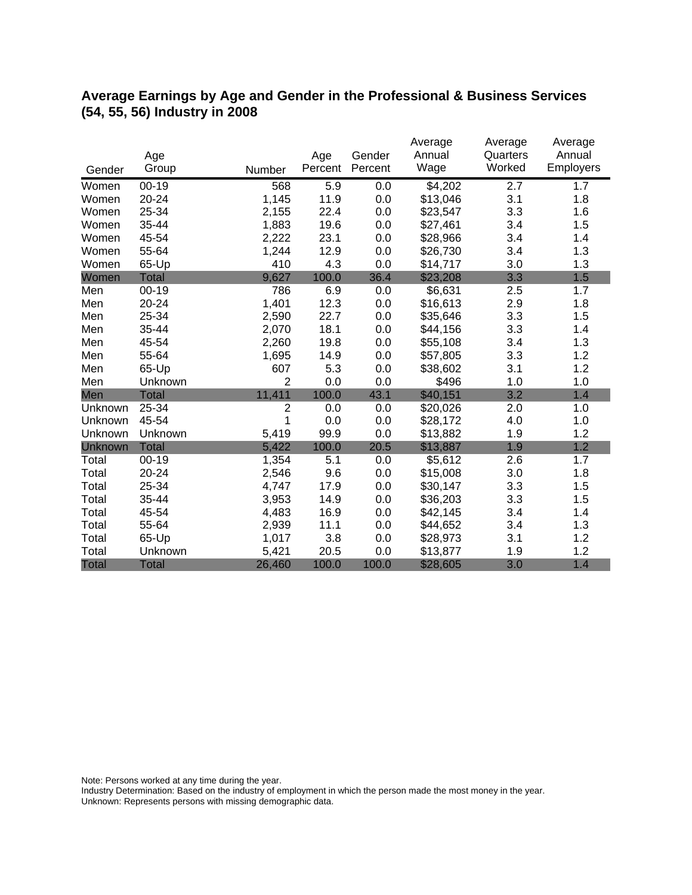## **Average Earnings by Age and Gender in the Professional & Business Services (54, 55, 56) Industry in 2008**

|              |              |                |                | Gender  | Average<br>Annual | Average<br>Quarters | Average<br>Annual |
|--------------|--------------|----------------|----------------|---------|-------------------|---------------------|-------------------|
| Gender       | Age<br>Group | Number         | Age<br>Percent | Percent | Wage              | Worked              | Employers         |
| Women        | $00 - 19$    | 568            | 5.9            | 0.0     | \$4,202           | 2.7                 | 1.7               |
| Women        | 20-24        | 1,145          | 11.9           | 0.0     | \$13,046          | 3.1                 | 1.8               |
| Women        | 25-34        | 2,155          | 22.4           | 0.0     | \$23,547          | 3.3                 | 1.6               |
| Women        | 35-44        | 1,883          | 19.6           | 0.0     | \$27,461          | 3.4                 | 1.5               |
| Women        | 45-54        | 2,222          | 23.1           | 0.0     | \$28,966          | 3.4                 | 1.4               |
| Women        | 55-64        | 1,244          | 12.9           | 0.0     | \$26,730          | 3.4                 | 1.3               |
| Women        | 65-Up        | 410            | 4.3            | 0.0     | \$14,717          | 3.0                 | 1.3               |
| Women        | <b>Total</b> | 9,627          | 100.0          | 36.4    | \$23,208          | 3.3                 | 1.5               |
| Men          | $00 - 19$    | 786            | 6.9            | 0.0     | \$6,631           | 2.5                 | 1.7               |
| Men          | 20-24        | 1,401          | 12.3           | 0.0     | \$16,613          | 2.9                 | 1.8               |
| Men          | 25-34        | 2,590          | 22.7           | 0.0     | \$35,646          | 3.3                 | 1.5               |
| Men          | 35-44        | 2,070          | 18.1           | 0.0     | \$44,156          | 3.3                 | 1.4               |
| Men          | 45-54        | 2,260          | 19.8           | 0.0     | \$55,108          | 3.4                 | 1.3               |
| Men          | 55-64        | 1,695          | 14.9           | 0.0     | \$57,805          | 3.3                 | 1.2               |
| Men          | 65-Up        | 607            | 5.3            | 0.0     | \$38,602          | 3.1                 | 1.2               |
| Men          | Unknown      | $\overline{2}$ | 0.0            | 0.0     | \$496             | 1.0                 | 1.0               |
| Men          | <b>Total</b> | 11,411         | 100.0          | 43.1    | \$40,151          | 3.2                 | 1.4               |
| Unknown      | 25-34        | $\overline{2}$ | 0.0            | 0.0     | \$20,026          | 2.0                 | 1.0               |
| Unknown      | 45-54        | 1              | 0.0            | 0.0     | \$28,172          | 4.0                 | 1.0               |
| Unknown      | Unknown      | 5,419          | 99.9           | 0.0     | \$13,882          | 1.9                 | 1.2               |
| Unknown      | <b>Total</b> | 5,422          | 100.0          | 20.5    | \$13,887          | 1.9                 | 1.2               |
| Total        | $00 - 19$    | 1,354          | 5.1            | 0.0     | \$5,612           | 2.6                 | 1.7               |
| Total        | 20-24        | 2,546          | 9.6            | 0.0     | \$15,008          | 3.0                 | 1.8               |
| Total        | 25-34        | 4,747          | 17.9           | 0.0     | \$30,147          | 3.3                 | 1.5               |
| Total        | 35-44        | 3,953          | 14.9           | 0.0     | \$36,203          | 3.3                 | 1.5               |
| Total        | 45-54        | 4,483          | 16.9           | 0.0     | \$42,145          | 3.4                 | 1.4               |
| Total        | 55-64        | 2,939          | 11.1           | 0.0     | \$44,652          | 3.4                 | 1.3               |
| Total        | 65-Up        | 1,017          | 3.8            | 0.0     | \$28,973          | 3.1                 | 1.2               |
| Total        | Unknown      | 5,421          | 20.5           | 0.0     | \$13,877          | 1.9                 | 1.2               |
| <b>Total</b> | <b>Total</b> | 26,460         | 100.0          | 100.0   | \$28,605          | 3.0                 | 1.4               |

Note: Persons worked at any time during the year.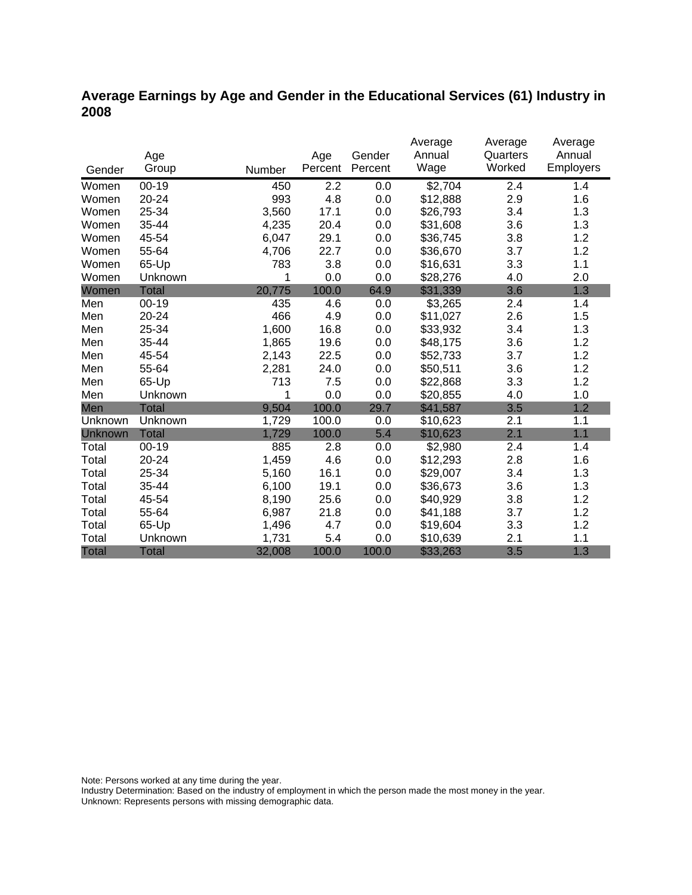## **Average Earnings by Age and Gender in the Educational Services (61) Industry in 2008**

|              |              |        |         |         | Average  | Average  | Average   |
|--------------|--------------|--------|---------|---------|----------|----------|-----------|
|              | Age          |        | Age     | Gender  | Annual   | Quarters | Annual    |
| Gender       | Group        | Number | Percent | Percent | Wage     | Worked   | Employers |
| Women        | $00 - 19$    | 450    | 2.2     | 0.0     | \$2,704  | 2.4      | 1.4       |
| Women        | 20-24        | 993    | 4.8     | 0.0     | \$12,888 | 2.9      | 1.6       |
| Women        | 25-34        | 3,560  | 17.1    | 0.0     | \$26,793 | 3.4      | 1.3       |
| Women        | 35-44        | 4,235  | 20.4    | 0.0     | \$31,608 | 3.6      | 1.3       |
| Women        | 45-54        | 6,047  | 29.1    | 0.0     | \$36,745 | 3.8      | 1.2       |
| Women        | 55-64        | 4,706  | 22.7    | 0.0     | \$36,670 | 3.7      | 1.2       |
| Women        | 65-Up        | 783    | 3.8     | 0.0     | \$16,631 | 3.3      | 1.1       |
| Women        | Unknown      | 1      | 0.0     | 0.0     | \$28,276 | 4.0      | 2.0       |
| Women        | <b>Total</b> | 20,775 | 100.0   | 64.9    | \$31,339 | 3.6      | 1.3       |
| Men          | $00 - 19$    | 435    | 4.6     | 0.0     | \$3,265  | 2.4      | 1.4       |
| Men          | 20-24        | 466    | 4.9     | 0.0     | \$11,027 | 2.6      | 1.5       |
| Men          | 25-34        | 1,600  | 16.8    | 0.0     | \$33,932 | 3.4      | 1.3       |
| Men          | 35-44        | 1,865  | 19.6    | 0.0     | \$48,175 | 3.6      | 1.2       |
| Men          | 45-54        | 2,143  | 22.5    | 0.0     | \$52,733 | 3.7      | 1.2       |
| Men          | 55-64        | 2,281  | 24.0    | 0.0     | \$50,511 | 3.6      | 1.2       |
| Men          | 65-Up        | 713    | 7.5     | 0.0     | \$22,868 | 3.3      | 1.2       |
| Men          | Unknown      | 1      | 0.0     | 0.0     | \$20,855 | 4.0      | 1.0       |
| Men          | <b>Total</b> | 9,504  | 100.0   | 29.7    | \$41,587 | 3.5      | 1.2       |
| Unknown      | Unknown      | 1,729  | 100.0   | 0.0     | \$10,623 | 2.1      | 1.1       |
| Unknown      | <b>Total</b> | 1,729  | 100.0   | 5.4     | \$10,623 | 2.1      | 1.1       |
| Total        | $00 - 19$    | 885    | 2.8     | 0.0     | \$2,980  | 2.4      | 1.4       |
| Total        | $20 - 24$    | 1,459  | 4.6     | 0.0     | \$12,293 | 2.8      | 1.6       |
| Total        | 25-34        | 5,160  | 16.1    | 0.0     | \$29,007 | 3.4      | 1.3       |
| Total        | 35-44        | 6,100  | 19.1    | 0.0     | \$36,673 | 3.6      | 1.3       |
| Total        | 45-54        | 8,190  | 25.6    | 0.0     | \$40,929 | 3.8      | 1.2       |
| Total        | 55-64        | 6,987  | 21.8    | 0.0     | \$41,188 | 3.7      | 1.2       |
| Total        | 65-Up        | 1,496  | 4.7     | 0.0     | \$19,604 | 3.3      | 1.2       |
| Total        | Unknown      | 1,731  | 5.4     | 0.0     | \$10,639 | 2.1      | 1.1       |
| <b>Total</b> | <b>Total</b> | 32,008 | 100.0   | 100.0   | \$33,263 | 3.5      | 1.3       |

Note: Persons worked at any time during the year.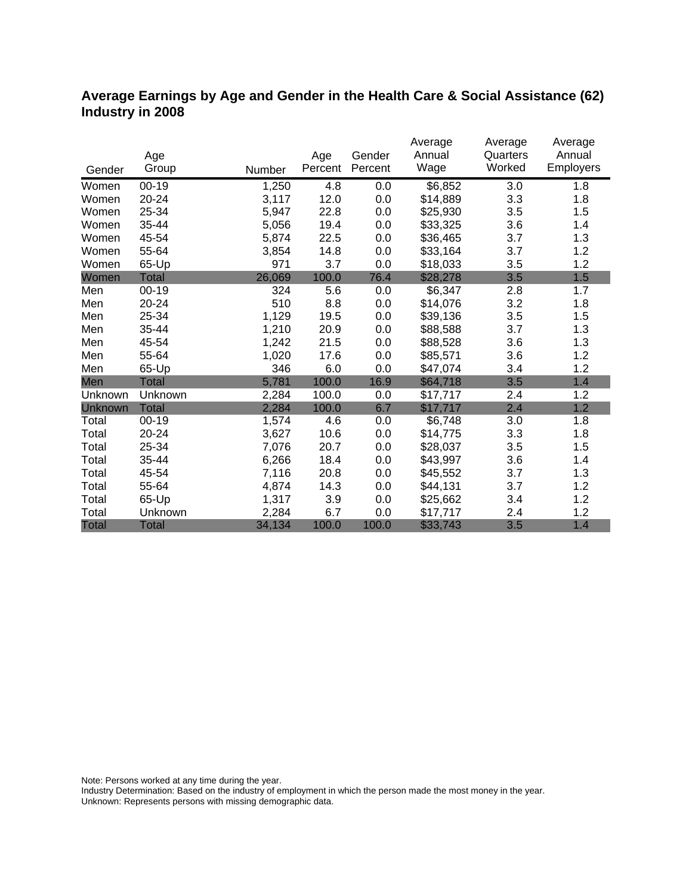## **Average Earnings by Age and Gender in the Health Care & Social Assistance (62) Industry in 2008**

|                |              |        |         |         | Average  | Average  | Average          |
|----------------|--------------|--------|---------|---------|----------|----------|------------------|
|                | Age          |        | Age     | Gender  | Annual   | Quarters | Annual           |
| Gender         | Group        | Number | Percent | Percent | Wage     | Worked   | <b>Employers</b> |
| Women          | $00-19$      | 1,250  | 4.8     | 0.0     | \$6,852  | 3.0      | 1.8              |
| Women          | 20-24        | 3,117  | 12.0    | 0.0     | \$14,889 | 3.3      | 1.8              |
| Women          | 25-34        | 5,947  | 22.8    | 0.0     | \$25,930 | 3.5      | 1.5              |
| Women          | 35-44        | 5,056  | 19.4    | 0.0     | \$33,325 | 3.6      | 1.4              |
| Women          | 45-54        | 5,874  | 22.5    | 0.0     | \$36,465 | 3.7      | 1.3              |
| Women          | 55-64        | 3,854  | 14.8    | 0.0     | \$33,164 | 3.7      | 1.2              |
| Women          | 65-Up        | 971    | 3.7     | 0.0     | \$18,033 | 3.5      | 1.2              |
| Women          | Total        | 26,069 | 100.0   | 76.4    | \$28,278 | 3.5      | 1.5              |
| Men            | $00 - 19$    | 324    | 5.6     | 0.0     | \$6,347  | 2.8      | 1.7              |
| Men            | 20-24        | 510    | 8.8     | 0.0     | \$14,076 | 3.2      | 1.8              |
| Men            | 25-34        | 1,129  | 19.5    | 0.0     | \$39,136 | 3.5      | 1.5              |
| Men            | 35-44        | 1,210  | 20.9    | 0.0     | \$88,588 | 3.7      | 1.3              |
| Men            | 45-54        | 1,242  | 21.5    | 0.0     | \$88,528 | 3.6      | 1.3              |
| Men            | 55-64        | 1,020  | 17.6    | 0.0     | \$85,571 | 3.6      | 1.2              |
| Men            | 65-Up        | 346    | 6.0     | 0.0     | \$47,074 | 3.4      | 1.2              |
| Men            | <b>Total</b> | 5,781  | 100.0   | 16.9    | \$64,718 | 3.5      | 1.4              |
| Unknown        | Unknown      | 2,284  | 100.0   | 0.0     | \$17,717 | 2.4      | 1.2              |
| <b>Unknown</b> | <b>Total</b> | 2,284  | 100.0   | 6.7     | \$17,717 | 2.4      | 1.2              |
| Total          | $00 - 19$    | 1,574  | 4.6     | 0.0     | \$6,748  | 3.0      | 1.8              |
| Total          | 20-24        | 3,627  | 10.6    | 0.0     | \$14,775 | 3.3      | 1.8              |
| Total          | 25-34        | 7,076  | 20.7    | 0.0     | \$28,037 | 3.5      | 1.5              |
| Total          | 35-44        | 6,266  | 18.4    | 0.0     | \$43,997 | 3.6      | 1.4              |
| Total          | 45-54        | 7,116  | 20.8    | 0.0     | \$45,552 | 3.7      | 1.3              |
| Total          | 55-64        | 4,874  | 14.3    | 0.0     | \$44,131 | 3.7      | 1.2              |
| Total          | 65-Up        | 1,317  | 3.9     | 0.0     | \$25,662 | 3.4      | 1.2              |
| Total          | Unknown      | 2,284  | 6.7     | 0.0     | \$17,717 | 2.4      | 1.2              |
| <b>Total</b>   | <b>Total</b> | 34,134 | 100.0   | 100.0   | \$33,743 | 3.5      | 1.4              |

Note: Persons worked at any time during the year.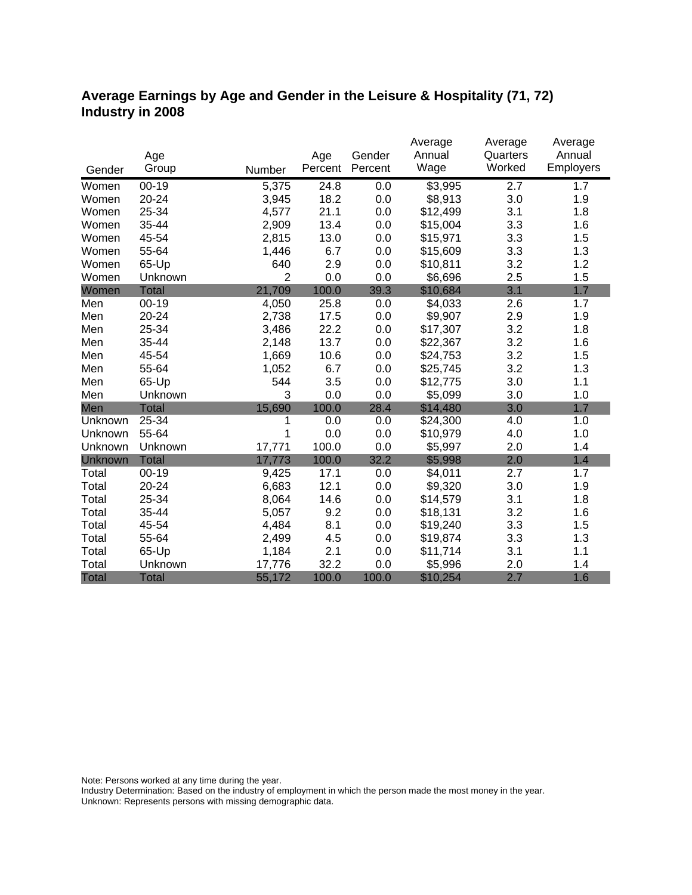## **Average Earnings by Age and Gender in the Leisure & Hospitality (71, 72) Industry in 2008**

|              |              |                |         |         | Average  | Average  | Average   |
|--------------|--------------|----------------|---------|---------|----------|----------|-----------|
|              | Age          |                | Age     | Gender  | Annual   | Quarters | Annual    |
| Gender       | Group        | Number         | Percent | Percent | Wage     | Worked   | Employers |
| Women        | $00 - 19$    | 5,375          | 24.8    | 0.0     | \$3,995  | 2.7      | 1.7       |
| Women        | 20-24        | 3,945          | 18.2    | 0.0     | \$8,913  | 3.0      | 1.9       |
| Women        | 25-34        | 4,577          | 21.1    | 0.0     | \$12,499 | 3.1      | 1.8       |
| Women        | 35-44        | 2,909          | 13.4    | 0.0     | \$15,004 | 3.3      | 1.6       |
| Women        | 45-54        | 2,815          | 13.0    | 0.0     | \$15,971 | 3.3      | 1.5       |
| Women        | 55-64        | 1,446          | 6.7     | 0.0     | \$15,609 | 3.3      | 1.3       |
| Women        | 65-Up        | 640            | 2.9     | 0.0     | \$10,811 | 3.2      | 1.2       |
| Women        | Unknown      | $\overline{2}$ | 0.0     | 0.0     | \$6,696  | 2.5      | 1.5       |
| Women        | <b>Total</b> | 21,709         | 100.0   | 39.3    | \$10,684 | 3.1      | 1.7       |
| Men          | $00 - 19$    | 4,050          | 25.8    | 0.0     | \$4,033  | 2.6      | 1.7       |
| Men          | 20-24        | 2,738          | 17.5    | 0.0     | \$9,907  | 2.9      | 1.9       |
| Men          | 25-34        | 3,486          | 22.2    | 0.0     | \$17,307 | 3.2      | 1.8       |
| Men          | 35-44        | 2,148          | 13.7    | 0.0     | \$22,367 | 3.2      | 1.6       |
| Men          | 45-54        | 1,669          | 10.6    | 0.0     | \$24,753 | 3.2      | 1.5       |
| Men          | 55-64        | 1,052          | 6.7     | 0.0     | \$25,745 | 3.2      | 1.3       |
| Men          | 65-Up        | 544            | 3.5     | 0.0     | \$12,775 | 3.0      | 1.1       |
| Men          | Unknown      | 3              | 0.0     | 0.0     | \$5,099  | 3.0      | 1.0       |
| Men          | <b>Total</b> | 15,690         | 100.0   | 28.4    | \$14,480 | 3.0      | 1.7       |
| Unknown      | 25-34        | 1              | 0.0     | 0.0     | \$24,300 | 4.0      | 1.0       |
| Unknown      | 55-64        | 1              | 0.0     | 0.0     | \$10,979 | 4.0      | 1.0       |
| Unknown      | Unknown      | 17,771         | 100.0   | 0.0     | \$5,997  | 2.0      | 1.4       |
| Unknown      | <b>Total</b> | 17,773         | 100.0   | 32.2    | \$5,998  | 2.0      | 1.4       |
| Total        | $00 - 19$    | 9,425          | 17.1    | 0.0     | \$4,011  | 2.7      | 1.7       |
| Total        | 20-24        | 6,683          | 12.1    | 0.0     | \$9,320  | 3.0      | 1.9       |
| Total        | 25-34        | 8,064          | 14.6    | 0.0     | \$14,579 | 3.1      | 1.8       |
| Total        | 35-44        | 5,057          | 9.2     | 0.0     | \$18,131 | 3.2      | 1.6       |
| Total        | 45-54        | 4,484          | 8.1     | 0.0     | \$19,240 | 3.3      | 1.5       |
| Total        | 55-64        | 2,499          | 4.5     | 0.0     | \$19,874 | 3.3      | 1.3       |
| Total        | 65-Up        | 1,184          | 2.1     | 0.0     | \$11,714 | 3.1      | 1.1       |
| Total        | Unknown      | 17,776         | 32.2    | 0.0     | \$5,996  | 2.0      | 1.4       |
| <b>Total</b> | <b>Total</b> | 55,172         | 100.0   | 100.0   | \$10,254 | 2.7      | 1.6       |

Note: Persons worked at any time during the year.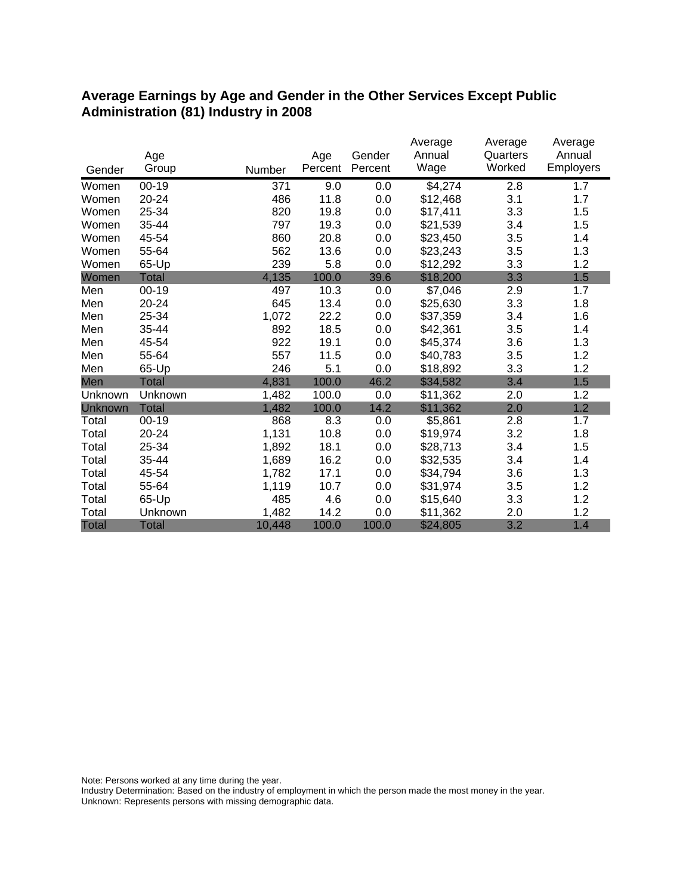#### **Average Earnings by Age and Gender in the Other Services Except Public Administration (81) Industry in 2008**

|                |              |        |         |         | Average  | Average  | Average          |
|----------------|--------------|--------|---------|---------|----------|----------|------------------|
|                | Age          |        | Age     | Gender  | Annual   | Quarters | Annual           |
| Gender         | Group        | Number | Percent | Percent | Wage     | Worked   | <b>Employers</b> |
| Women          | $00 - 19$    | 371    | 9.0     | 0.0     | \$4,274  | 2.8      | 1.7              |
| Women          | $20 - 24$    | 486    | 11.8    | 0.0     | \$12,468 | 3.1      | 1.7              |
| Women          | 25-34        | 820    | 19.8    | 0.0     | \$17,411 | 3.3      | 1.5              |
| Women          | 35-44        | 797    | 19.3    | 0.0     | \$21,539 | 3.4      | 1.5              |
| Women          | 45-54        | 860    | 20.8    | 0.0     | \$23,450 | 3.5      | 1.4              |
| Women          | 55-64        | 562    | 13.6    | 0.0     | \$23,243 | 3.5      | 1.3              |
| Women          | 65-Up        | 239    | 5.8     | 0.0     | \$12,292 | 3.3      | 1.2              |
| Women          | <b>Total</b> | 4,135  | 100.0   | 39.6    | \$18,200 | 3.3      | 1.5              |
| Men            | $00 - 19$    | 497    | 10.3    | 0.0     | \$7,046  | 2.9      | 1.7              |
| Men            | $20 - 24$    | 645    | 13.4    | 0.0     | \$25,630 | 3.3      | 1.8              |
| Men            | 25-34        | 1,072  | 22.2    | 0.0     | \$37,359 | 3.4      | 1.6              |
| Men            | 35-44        | 892    | 18.5    | 0.0     | \$42,361 | 3.5      | 1.4              |
| Men            | 45-54        | 922    | 19.1    | 0.0     | \$45,374 | 3.6      | 1.3              |
| Men            | 55-64        | 557    | 11.5    | 0.0     | \$40,783 | 3.5      | 1.2              |
| Men            | 65-Up        | 246    | 5.1     | 0.0     | \$18,892 | 3.3      | 1.2              |
| Men            | <b>Total</b> | 4,831  | 100.0   | 46.2    | \$34,582 | 3.4      | 1.5              |
| Unknown        | Unknown      | 1,482  | 100.0   | 0.0     | \$11,362 | 2.0      | 1.2              |
| <b>Unknown</b> | <b>Total</b> | 1,482  | 100.0   | 14.2    | \$11,362 | 2.0      | 1.2              |
| Total          | $00 - 19$    | 868    | 8.3     | 0.0     | \$5,861  | 2.8      | 1.7              |
| Total          | 20-24        | 1,131  | 10.8    | 0.0     | \$19,974 | 3.2      | 1.8              |
| Total          | 25-34        | 1,892  | 18.1    | 0.0     | \$28,713 | 3.4      | 1.5              |
| Total          | 35-44        | 1,689  | 16.2    | 0.0     | \$32,535 | 3.4      | 1.4              |
| Total          | 45-54        | 1,782  | 17.1    | 0.0     | \$34,794 | 3.6      | 1.3              |
| Total          | 55-64        | 1,119  | 10.7    | 0.0     | \$31,974 | 3.5      | 1.2              |
| Total          | 65-Up        | 485    | 4.6     | 0.0     | \$15,640 | 3.3      | 1.2              |
| Total          | Unknown      | 1,482  | 14.2    | 0.0     | \$11,362 | 2.0      | 1.2              |
| <b>Total</b>   | <b>Total</b> | 10,448 | 100.0   | 100.0   | \$24,805 | 3.2      | 1.4              |

Note: Persons worked at any time during the year.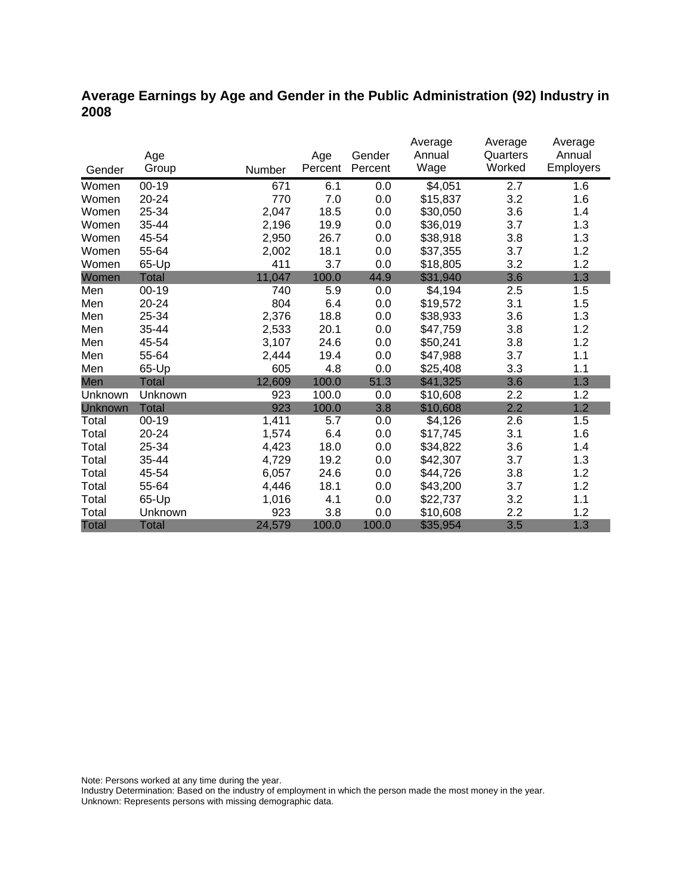### **Average Earnings by Age and Gender in the Public Administration (92) Industry in 2008**

|                |              |        |         |         | Average  | Average  | Average   |
|----------------|--------------|--------|---------|---------|----------|----------|-----------|
|                | Age          |        | Age     | Gender  | Annual   | Quarters | Annual    |
| Gender         | Group        | Number | Percent | Percent | Wage     | Worked   | Employers |
| Women          | $00-19$      | 671    | 6.1     | 0.0     | \$4,051  | 2.7      | 1.6       |
| Women          | 20-24        | 770    | 7.0     | 0.0     | \$15,837 | 3.2      | 1.6       |
| Women          | 25-34        | 2,047  | 18.5    | 0.0     | \$30,050 | 3.6      | 1.4       |
| Women          | 35-44        | 2,196  | 19.9    | 0.0     | \$36,019 | 3.7      | 1.3       |
| Women          | 45-54        | 2,950  | 26.7    | 0.0     | \$38,918 | 3.8      | 1.3       |
| Women          | 55-64        | 2,002  | 18.1    | 0.0     | \$37,355 | 3.7      | 1.2       |
| Women          | 65-Up        | 411    | 3.7     | 0.0     | \$18,805 | 3.2      | 1.2       |
| Women          | Total        | 11,047 | 100.0   | 44.9    | \$31,940 | 3.6      | 1.3       |
| Men            | $00 - 19$    | 740    | 5.9     | 0.0     | \$4,194  | 2.5      | 1.5       |
| Men            | 20-24        | 804    | 6.4     | 0.0     | \$19,572 | 3.1      | 1.5       |
| Men            | 25-34        | 2,376  | 18.8    | 0.0     | \$38,933 | 3.6      | 1.3       |
| Men            | 35-44        | 2,533  | 20.1    | 0.0     | \$47,759 | 3.8      | 1.2       |
| Men            | 45-54        | 3,107  | 24.6    | 0.0     | \$50,241 | 3.8      | 1.2       |
| Men            | 55-64        | 2,444  | 19.4    | 0.0     | \$47,988 | 3.7      | 1.1       |
| Men            | 65-Up        | 605    | 4.8     | 0.0     | \$25,408 | 3.3      | 1.1       |
| Men            | <b>Total</b> | 12,609 | 100.0   | 51.3    | \$41,325 | 3.6      | 1.3       |
| Unknown        | Unknown      | 923    | 100.0   | 0.0     | \$10,608 | 2.2      | 1.2       |
| <b>Unknown</b> | <b>Total</b> | 923    | 100.0   | 3.8     | \$10,608 | 2.2      | 1.2       |
| Total          | $00 - 19$    | 1,411  | 5.7     | 0.0     | \$4,126  | 2.6      | 1.5       |
| Total          | 20-24        | 1,574  | 6.4     | 0.0     | \$17,745 | 3.1      | 1.6       |
| Total          | 25-34        | 4,423  | 18.0    | 0.0     | \$34,822 | 3.6      | 1.4       |
| Total          | 35-44        | 4,729  | 19.2    | 0.0     | \$42,307 | 3.7      | 1.3       |
| Total          | 45-54        | 6,057  | 24.6    | 0.0     | \$44,726 | 3.8      | 1.2       |
| Total          | 55-64        | 4,446  | 18.1    | 0.0     | \$43,200 | 3.7      | 1.2       |
| Total          | 65-Up        | 1,016  | 4.1     | 0.0     | \$22,737 | 3.2      | 1.1       |
| Total          | Unknown      | 923    | 3.8     | 0.0     | \$10,608 | 2.2      | 1.2       |
| <b>Total</b>   | <b>Total</b> | 24,579 | 100.0   | 100.0   | \$35,954 | 3.5      | 1.3       |

Note: Persons worked at any time during the year.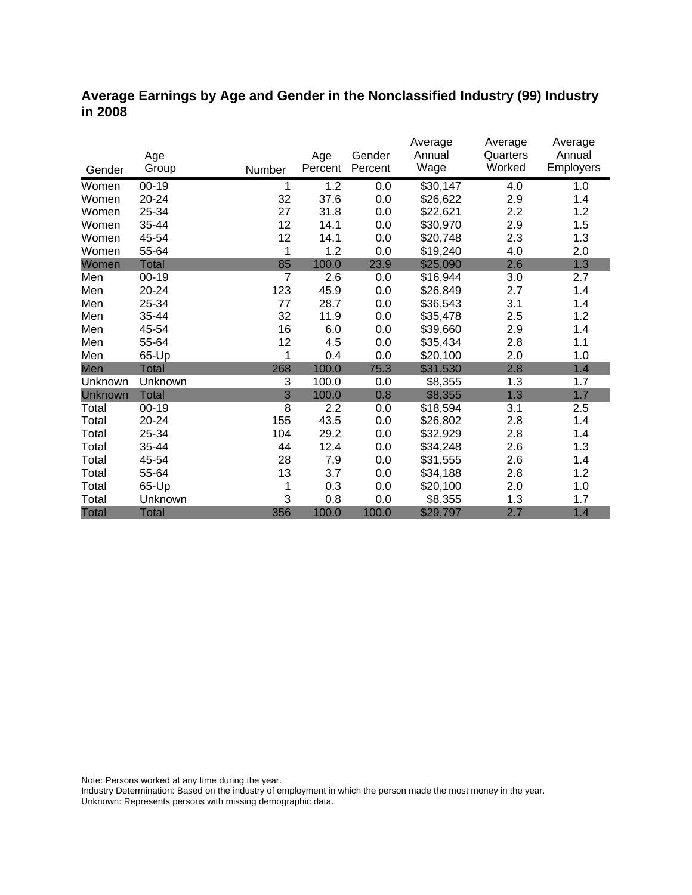#### **Average Earnings by Age and Gender in the Nonclassified Industry (99) Industry in 2008**

|                |              |                |         |         | Average  | Average  | Average          |
|----------------|--------------|----------------|---------|---------|----------|----------|------------------|
|                | Age          |                | Age     | Gender  | Annual   | Quarters | Annual           |
| Gender         | Group        | Number         | Percent | Percent | Wage     | Worked   | <b>Employers</b> |
| Women          | $00 - 19$    | 1              | 1.2     | 0.0     | \$30,147 | 4.0      | 1.0              |
| Women          | 20-24        | 32             | 37.6    | 0.0     | \$26,622 | 2.9      | 1.4              |
| Women          | 25-34        | 27             | 31.8    | 0.0     | \$22,621 | 2.2      | 1.2              |
| Women          | 35-44        | 12             | 14.1    | 0.0     | \$30,970 | 2.9      | 1.5              |
| Women          | 45-54        | 12             | 14.1    | 0.0     | \$20,748 | 2.3      | 1.3              |
| Women          | 55-64        | 1              | 1.2     | 0.0     | \$19,240 | 4.0      | 2.0              |
| Women          | <b>Total</b> | 85             | 100.0   | 23.9    | \$25,090 | 2.6      | 1.3              |
| Men            | $00 - 19$    | $\overline{7}$ | 2.6     | 0.0     | \$16,944 | 3.0      | 2.7              |
| Men            | 20-24        | 123            | 45.9    | 0.0     | \$26,849 | 2.7      | 1.4              |
| Men            | 25-34        | 77             | 28.7    | 0.0     | \$36,543 | 3.1      | 1.4              |
| Men            | 35-44        | 32             | 11.9    | 0.0     | \$35,478 | 2.5      | 1.2              |
| Men            | 45-54        | 16             | 6.0     | 0.0     | \$39,660 | 2.9      | 1.4              |
| Men            | 55-64        | 12             | 4.5     | 0.0     | \$35,434 | 2.8      | 1.1              |
| Men            | 65-Up        | 1              | 0.4     | 0.0     | \$20,100 | 2.0      | 1.0              |
| Men            | <b>Total</b> | 268            | 100.0   | 75.3    | \$31,530 | 2.8      | 1.4              |
| Unknown        | Unknown      | 3              | 100.0   | 0.0     | \$8,355  | 1.3      | 1.7              |
| <b>Unknown</b> | <b>Total</b> | 3              | 100.0   | 0.8     | \$8,355  | 1.3      | 1.7              |
| Total          | $00 - 19$    | 8              | 2.2     | 0.0     | \$18,594 | 3.1      | 2.5              |
| Total          | 20-24        | 155            | 43.5    | 0.0     | \$26,802 | 2.8      | 1.4              |
| Total          | 25-34        | 104            | 29.2    | 0.0     | \$32,929 | 2.8      | 1.4              |
| Total          | 35-44        | 44             | 12.4    | 0.0     | \$34,248 | 2.6      | 1.3              |
| Total          | 45-54        | 28             | 7.9     | 0.0     | \$31,555 | 2.6      | 1.4              |
| Total          | 55-64        | 13             | 3.7     | 0.0     | \$34,188 | 2.8      | 1.2              |
| Total          | 65-Up        | 1              | 0.3     | 0.0     | \$20,100 | 2.0      | 1.0              |
| Total          | Unknown      | 3              | 0.8     | 0.0     | \$8,355  | 1.3      | 1.7              |
| <b>Total</b>   | <b>Total</b> | 356            | 100.0   | 100.0   | \$29,797 | 2.7      | 1.4              |

Note: Persons worked at any time during the year.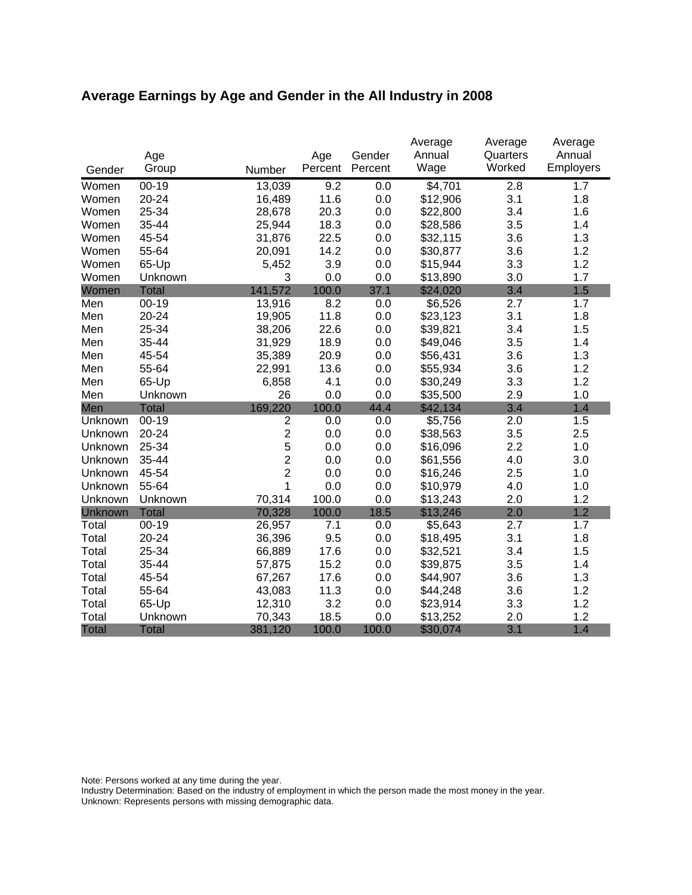# **Average Earnings by Age and Gender in the All Industry in 2008**

|              | Age          |                | Age     | Gender  | Average<br>Annual | Average<br>Quarters | Average<br>Annual |
|--------------|--------------|----------------|---------|---------|-------------------|---------------------|-------------------|
| Gender       | Group        | Number         | Percent | Percent | Wage              | Worked              | Employers         |
| Women        | $00 - 19$    | 13,039         | 9.2     | 0.0     | \$4,701           | 2.8                 | 1.7               |
| Women        | 20-24        | 16,489         | 11.6    | 0.0     | \$12,906          | 3.1                 | 1.8               |
| Women        | 25-34        | 28,678         | 20.3    | 0.0     | \$22,800          | 3.4                 | 1.6               |
| Women        | 35-44        | 25,944         | 18.3    | 0.0     | \$28,586          | 3.5                 | 1.4               |
| Women        | 45-54        | 31,876         | 22.5    | 0.0     | \$32,115          | 3.6                 | 1.3               |
| Women        | 55-64        | 20,091         | 14.2    | 0.0     | \$30,877          | 3.6                 | 1.2               |
| Women        | 65-Up        | 5,452          | 3.9     | 0.0     | \$15,944          | 3.3                 | 1.2               |
| Women        | Unknown      | 3              | 0.0     | 0.0     | \$13,890          | 3.0                 | 1.7               |
| Women        | <b>Total</b> | 141,572        | 100.0   | 37.1    | \$24,020          | 3.4                 | 1.5               |
| Men          | $00 - 19$    | 13,916         | 8.2     | 0.0     | \$6,526           | 2.7                 | 1.7               |
| Men          | 20-24        | 19,905         | 11.8    | 0.0     | \$23,123          | 3.1                 | 1.8               |
| Men          | 25-34        | 38,206         | 22.6    | 0.0     | \$39,821          | 3.4                 | 1.5               |
| Men          | 35-44        | 31,929         | 18.9    | 0.0     | \$49,046          | 3.5                 | 1.4               |
| Men          | 45-54        | 35,389         | 20.9    | 0.0     | \$56,431          | 3.6                 | 1.3               |
| Men          | 55-64        | 22,991         | 13.6    | 0.0     | \$55,934          | 3.6                 | 1.2               |
| Men          | 65-Up        | 6,858          | 4.1     | 0.0     | \$30,249          | 3.3                 | 1.2               |
| Men          | Unknown      | 26             | 0.0     | 0.0     | \$35,500          | 2.9                 | 1.0               |
| Men          | <b>Total</b> | 169,220        | 100.0   | 44.4    | \$42,134          | 3.4                 | 1.4               |
| Unknown      | $00-19$      | $\overline{2}$ | 0.0     | 0.0     | \$5,756           | 2.0                 | 1.5               |
| Unknown      | 20-24        | $\overline{2}$ | 0.0     | 0.0     | \$38,563          | 3.5                 | 2.5               |
| Unknown      | 25-34        | 5              | 0.0     | 0.0     | \$16,096          | 2.2                 | 1.0               |
| Unknown      | 35-44        | $\overline{2}$ | 0.0     | 0.0     | \$61,556          | 4.0                 | 3.0               |
| Unknown      | 45-54        | $\overline{2}$ | 0.0     | 0.0     | \$16,246          | 2.5                 | 1.0               |
| Unknown      | 55-64        | 1              | 0.0     | 0.0     | \$10,979          | 4.0                 | 1.0               |
| Unknown      | Unknown      | 70,314         | 100.0   | 0.0     | \$13,243          | 2.0                 | 1.2               |
| Unknown      | <b>Total</b> | 70,328         | 100.0   | 18.5    | \$13,246          | 2.0                 | 1.2               |
| Total        | $00 - 19$    | 26,957         | 7.1     | 0.0     | \$5,643           | 2.7                 | 1.7               |
| Total        | 20-24        | 36,396         | 9.5     | 0.0     | \$18,495          | 3.1                 | 1.8               |
| Total        | 25-34        | 66,889         | 17.6    | 0.0     | \$32,521          | 3.4                 | 1.5               |
| Total        | 35-44        | 57,875         | 15.2    | 0.0     | \$39,875          | 3.5                 | 1.4               |
| Total        | 45-54        | 67,267         | 17.6    | 0.0     | \$44,907          | 3.6                 | 1.3               |
| Total        | 55-64        | 43,083         | 11.3    | 0.0     | \$44,248          | 3.6                 | 1.2               |
| Total        | 65-Up        | 12,310         | 3.2     | 0.0     | \$23,914          | 3.3                 | 1.2               |
| Total        | Unknown      | 70,343         | 18.5    | 0.0     | \$13,252          | 2.0                 | 1.2               |
| <b>Total</b> | <b>Total</b> | 381,120        | 100.0   | 100.0   | \$30,074          | 3.1                 | 1.4               |

Note: Persons worked at any time during the year.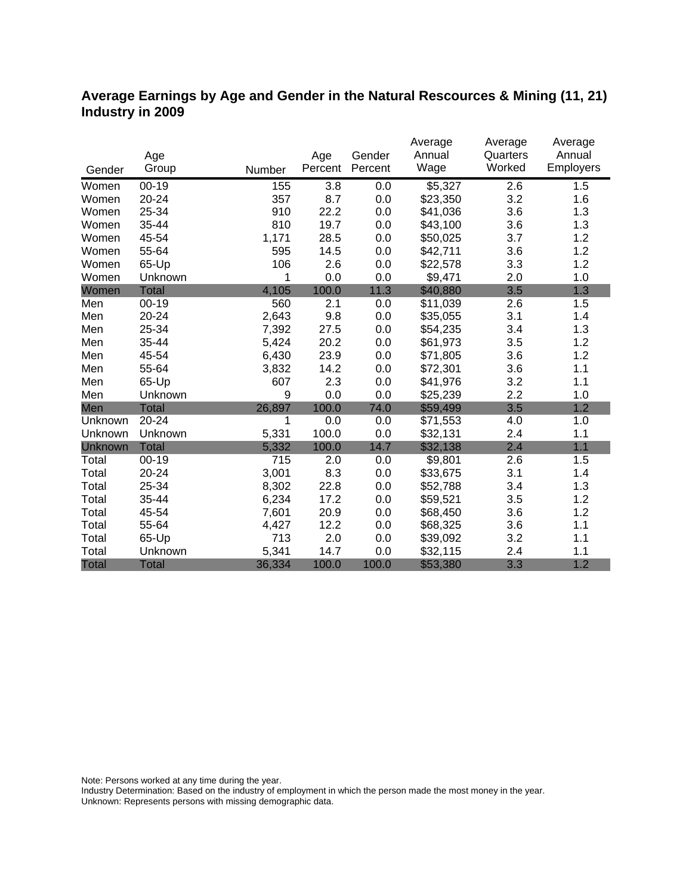#### **Average Earnings by Age and Gender in the Natural Rescources & Mining (11, 21) Industry in 2009**

|              |              |        |         |         | Average  | Average  | Average   |
|--------------|--------------|--------|---------|---------|----------|----------|-----------|
|              | Age          |        | Age     | Gender  | Annual   | Quarters | Annual    |
| Gender       | Group        | Number | Percent | Percent | Wage     | Worked   | Employers |
| Women        | $00 - 19$    | 155    | 3.8     | 0.0     | \$5,327  | 2.6      | 1.5       |
| Women        | $20 - 24$    | 357    | 8.7     | 0.0     | \$23,350 | 3.2      | 1.6       |
| Women        | 25-34        | 910    | 22.2    | 0.0     | \$41,036 | 3.6      | 1.3       |
| Women        | 35-44        | 810    | 19.7    | 0.0     | \$43,100 | 3.6      | 1.3       |
| Women        | 45-54        | 1,171  | 28.5    | 0.0     | \$50,025 | 3.7      | 1.2       |
| Women        | 55-64        | 595    | 14.5    | 0.0     | \$42,711 | 3.6      | 1.2       |
| Women        | 65-Up        | 106    | 2.6     | 0.0     | \$22,578 | 3.3      | 1.2       |
| Women        | Unknown      | 1      | 0.0     | 0.0     | \$9,471  | 2.0      | 1.0       |
| Women        | <b>Total</b> | 4,105  | 100.0   | 11.3    | \$40,880 | 3.5      | 1.3       |
| Men          | $00 - 19$    | 560    | 2.1     | 0.0     | \$11,039 | 2.6      | 1.5       |
| Men          | 20-24        | 2,643  | 9.8     | 0.0     | \$35,055 | 3.1      | 1.4       |
| Men          | 25-34        | 7,392  | 27.5    | 0.0     | \$54,235 | 3.4      | 1.3       |
| Men          | 35-44        | 5,424  | 20.2    | 0.0     | \$61,973 | 3.5      | 1.2       |
| Men          | 45-54        | 6,430  | 23.9    | 0.0     | \$71,805 | 3.6      | 1.2       |
| Men          | 55-64        | 3,832  | 14.2    | 0.0     | \$72,301 | 3.6      | 1.1       |
| Men          | 65-Up        | 607    | 2.3     | 0.0     | \$41,976 | 3.2      | 1.1       |
| Men          | Unknown      | 9      | 0.0     | 0.0     | \$25,239 | 2.2      | 1.0       |
| Men          | <b>Total</b> | 26,897 | 100.0   | 74.0    | \$59,499 | 3.5      | 1.2       |
| Unknown      | 20-24        | 1      | 0.0     | 0.0     | \$71,553 | 4.0      | 1.0       |
| Unknown      | Unknown      | 5,331  | 100.0   | 0.0     | \$32,131 | 2.4      | 1.1       |
| Unknown      | <b>Total</b> | 5,332  | 100.0   | 14.7    | \$32,138 | 2.4      | 1.1       |
| Total        | $00 - 19$    | 715    | 2.0     | 0.0     | \$9,801  | 2.6      | 1.5       |
| Total        | 20-24        | 3,001  | 8.3     | 0.0     | \$33,675 | 3.1      | 1.4       |
| Total        | 25-34        | 8,302  | 22.8    | 0.0     | \$52,788 | 3.4      | 1.3       |
| Total        | 35-44        | 6,234  | 17.2    | 0.0     | \$59,521 | 3.5      | 1.2       |
| Total        | 45-54        | 7,601  | 20.9    | 0.0     | \$68,450 | 3.6      | 1.2       |
| Total        | 55-64        | 4,427  | 12.2    | 0.0     | \$68,325 | 3.6      | 1.1       |
| Total        | 65-Up        | 713    | 2.0     | 0.0     | \$39,092 | 3.2      | 1.1       |
| Total        | Unknown      | 5,341  | 14.7    | 0.0     | \$32,115 | 2.4      | 1.1       |
| <b>Total</b> | <b>Total</b> | 36,334 | 100.0   | 100.0   | \$53,380 | 3.3      | 1.2       |

Note: Persons worked at any time during the year.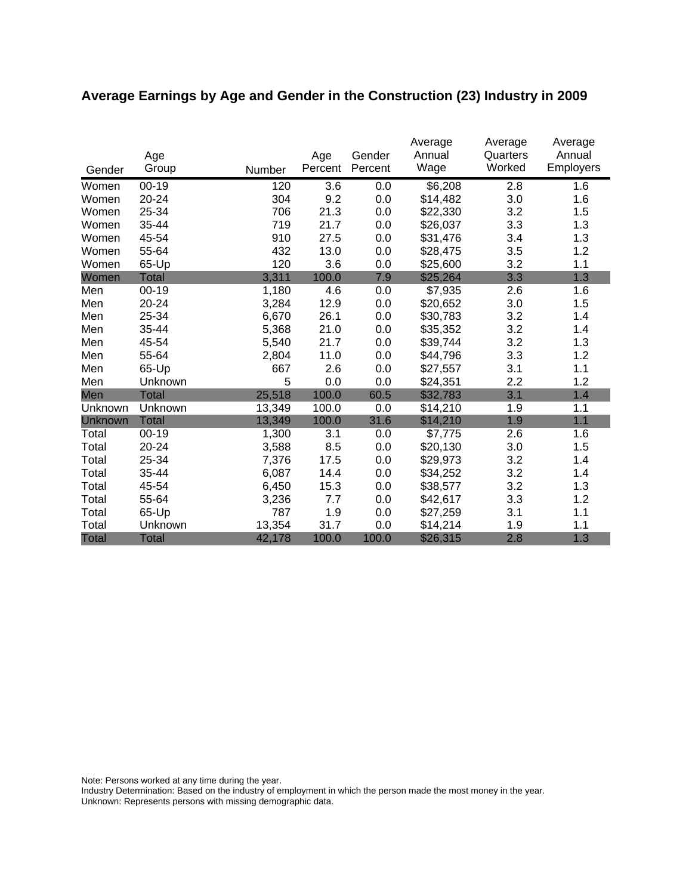# **Average Earnings by Age and Gender in the Construction (23) Industry in 2009**

|              | Age          |        | Age     | Gender  | Average<br>Annual | Average<br>Quarters | Average<br>Annual |
|--------------|--------------|--------|---------|---------|-------------------|---------------------|-------------------|
| Gender       | Group        | Number | Percent | Percent | Wage              | Worked              | <b>Employers</b>  |
| Women        | $00 - 19$    | 120    | 3.6     | 0.0     | \$6,208           | 2.8                 | 1.6               |
| Women        | 20-24        | 304    | 9.2     | 0.0     | \$14,482          | 3.0                 | 1.6               |
| Women        | 25-34        | 706    | 21.3    | 0.0     | \$22,330          | 3.2                 | 1.5               |
| Women        | 35-44        | 719    | 21.7    | 0.0     | \$26,037          | 3.3                 | 1.3               |
| Women        | 45-54        | 910    | 27.5    | 0.0     | \$31,476          | 3.4                 | 1.3               |
| Women        | 55-64        | 432    | 13.0    | 0.0     | \$28,475          | 3.5                 | 1.2               |
| Women        | 65-Up        | 120    | 3.6     | 0.0     | \$25,600          | 3.2                 | 1.1               |
| Women        | <b>Total</b> | 3,311  | 100.0   | 7.9     | \$25,264          | 3.3                 | 1.3               |
| Men          | $00 - 19$    | 1,180  | 4.6     | 0.0     | \$7,935           | 2.6                 | 1.6               |
| Men          | 20-24        | 3,284  | 12.9    | 0.0     | \$20,652          | 3.0                 | 1.5               |
| Men          | 25-34        | 6,670  | 26.1    | 0.0     | \$30,783          | 3.2                 | 1.4               |
| Men          | 35-44        | 5,368  | 21.0    | 0.0     | \$35,352          | 3.2                 | 1.4               |
| Men          | 45-54        | 5,540  | 21.7    | 0.0     | \$39,744          | 3.2                 | 1.3               |
| Men          | 55-64        | 2,804  | 11.0    | 0.0     | \$44,796          | 3.3                 | 1.2               |
| Men          | 65-Up        | 667    | 2.6     | 0.0     | \$27,557          | 3.1                 | 1.1               |
| Men          | Unknown      | 5      | 0.0     | 0.0     | \$24,351          | 2.2                 | 1.2               |
| Men          | <b>Total</b> | 25,518 | 100.0   | 60.5    | \$32,783          | 3.1                 | 1.4               |
| Unknown      | Unknown      | 13,349 | 100.0   | 0.0     | \$14,210          | 1.9                 | 1.1               |
| Unknown      | <b>Total</b> | 13,349 | 100.0   | 31.6    | \$14,210          | 1.9                 | 1.1               |
| Total        | $00 - 19$    | 1,300  | 3.1     | 0.0     | \$7,775           | 2.6                 | 1.6               |
| Total        | 20-24        | 3,588  | 8.5     | 0.0     | \$20,130          | 3.0                 | 1.5               |
| Total        | 25-34        | 7,376  | 17.5    | 0.0     | \$29,973          | 3.2                 | 1.4               |
| Total        | 35-44        | 6,087  | 14.4    | 0.0     | \$34,252          | 3.2                 | 1.4               |
| Total        | 45-54        | 6,450  | 15.3    | 0.0     | \$38,577          | 3.2                 | 1.3               |
| Total        | 55-64        | 3,236  | 7.7     | 0.0     | \$42,617          | 3.3                 | 1.2               |
| Total        | 65-Up        | 787    | 1.9     | 0.0     | \$27,259          | 3.1                 | 1.1               |
| Total        | Unknown      | 13,354 | 31.7    | 0.0     | \$14,214          | 1.9                 | 1.1               |
| <b>Total</b> | <b>Total</b> | 42,178 | 100.0   | 100.0   | \$26,315          | 2.8                 | 1.3               |

Note: Persons worked at any time during the year.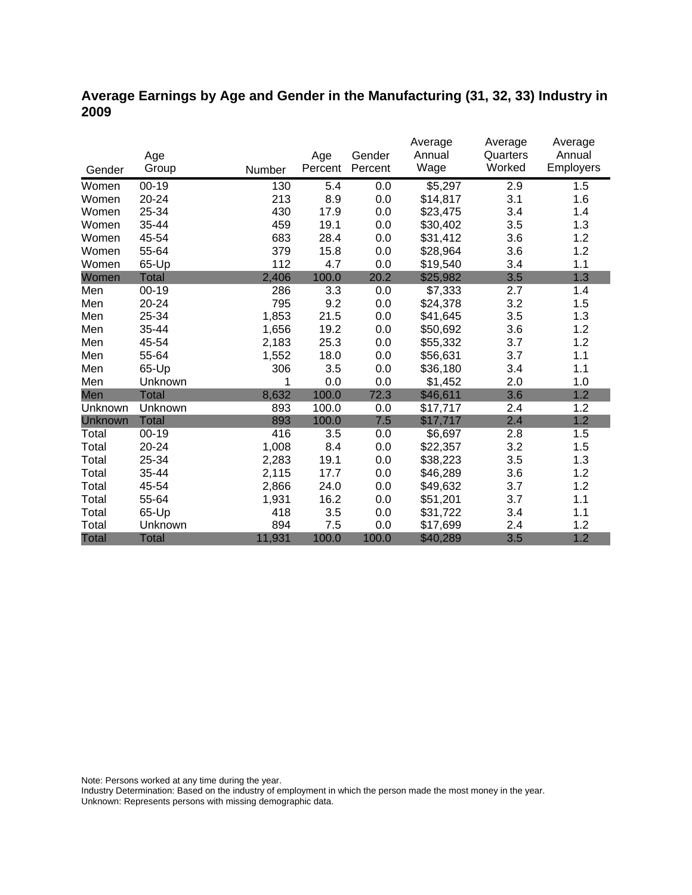### **Average Earnings by Age and Gender in the Manufacturing (31, 32, 33) Industry in 2009**

|              |              |        |         |         | Average  | Average  | Average          |
|--------------|--------------|--------|---------|---------|----------|----------|------------------|
|              | Age          |        | Age     | Gender  | Annual   | Quarters | Annual           |
| Gender       | Group        | Number | Percent | Percent | Wage     | Worked   | <b>Employers</b> |
| Women        | $00 - 19$    | 130    | 5.4     | 0.0     | \$5,297  | 2.9      | 1.5              |
| Women        | 20-24        | 213    | 8.9     | 0.0     | \$14,817 | 3.1      | 1.6              |
| Women        | 25-34        | 430    | 17.9    | 0.0     | \$23,475 | 3.4      | 1.4              |
| Women        | 35-44        | 459    | 19.1    | 0.0     | \$30,402 | 3.5      | 1.3              |
| Women        | 45-54        | 683    | 28.4    | 0.0     | \$31,412 | 3.6      | 1.2              |
| Women        | 55-64        | 379    | 15.8    | 0.0     | \$28,964 | 3.6      | 1.2              |
| Women        | 65-Up        | 112    | 4.7     | 0.0     | \$19,540 | 3.4      | 1.1              |
| Women        | <b>Total</b> | 2,406  | 100.0   | 20.2    | \$25,982 | 3.5      | 1.3              |
| Men          | $00 - 19$    | 286    | 3.3     | 0.0     | \$7,333  | 2.7      | 1.4              |
| Men          | 20-24        | 795    | 9.2     | 0.0     | \$24,378 | 3.2      | 1.5              |
| Men          | 25-34        | 1,853  | 21.5    | 0.0     | \$41,645 | 3.5      | 1.3              |
| Men          | 35-44        | 1,656  | 19.2    | 0.0     | \$50,692 | 3.6      | 1.2              |
| Men          | 45-54        | 2,183  | 25.3    | 0.0     | \$55,332 | 3.7      | 1.2              |
| Men          | 55-64        | 1,552  | 18.0    | 0.0     | \$56,631 | 3.7      | 1.1              |
| Men          | 65-Up        | 306    | 3.5     | 0.0     | \$36,180 | 3.4      | 1.1              |
| Men          | Unknown      |        | 0.0     | 0.0     | \$1,452  | 2.0      | 1.0              |
| Men          | <b>Total</b> | 8,632  | 100.0   | 72.3    | \$46,611 | 3.6      | 1.2              |
| Unknown      | Unknown      | 893    | 100.0   | 0.0     | \$17,717 | 2.4      | 1.2              |
| Unknown      | <b>Total</b> | 893    | 100.0   | 7.5     | \$17,717 | 2.4      | 1.2              |
| Total        | $00-19$      | 416    | 3.5     | 0.0     | \$6,697  | 2.8      | 1.5              |
| Total        | 20-24        | 1,008  | 8.4     | 0.0     | \$22,357 | 3.2      | 1.5              |
| Total        | 25-34        | 2,283  | 19.1    | 0.0     | \$38,223 | 3.5      | 1.3              |
| Total        | 35-44        | 2,115  | 17.7    | 0.0     | \$46,289 | 3.6      | 1.2              |
| Total        | 45-54        | 2,866  | 24.0    | 0.0     | \$49,632 | 3.7      | 1.2              |
| Total        | 55-64        | 1,931  | 16.2    | 0.0     | \$51,201 | 3.7      | 1.1              |
| Total        | 65-Up        | 418    | 3.5     | 0.0     | \$31,722 | 3.4      | 1.1              |
| Total        | Unknown      | 894    | 7.5     | 0.0     | \$17,699 | 2.4      | 1.2              |
| <b>Total</b> | <b>Total</b> | 11,931 | 100.0   | 100.0   | \$40,289 | 3.5      | 1.2              |

Note: Persons worked at any time during the year.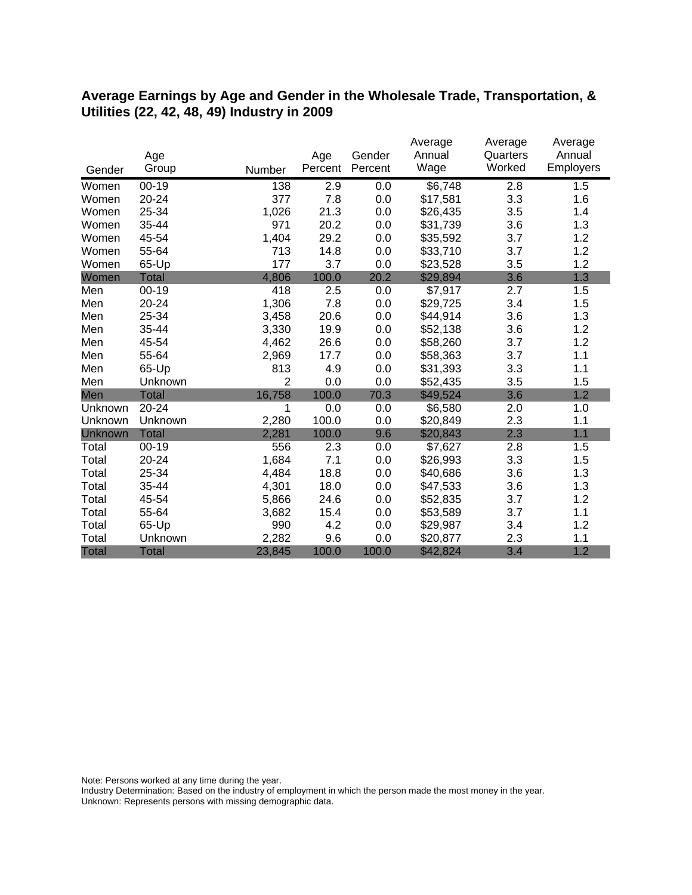#### **Average Earnings by Age and Gender in the Wholesale Trade, Transportation, & Utilities (22, 42, 48, 49) Industry in 2009**

|              |              |        |         |         | Average  | Average  | Average   |
|--------------|--------------|--------|---------|---------|----------|----------|-----------|
|              | Age          |        | Age     | Gender  | Annual   | Quarters | Annual    |
| Gender       | Group        | Number | Percent | Percent | Wage     | Worked   | Employers |
| Women        | $00 - 19$    | 138    | 2.9     | 0.0     | \$6,748  | 2.8      | 1.5       |
| Women        | 20-24        | 377    | 7.8     | 0.0     | \$17,581 | 3.3      | 1.6       |
| Women        | 25-34        | 1,026  | 21.3    | 0.0     | \$26,435 | 3.5      | 1.4       |
| Women        | 35-44        | 971    | 20.2    | 0.0     | \$31,739 | 3.6      | 1.3       |
| Women        | 45-54        | 1,404  | 29.2    | 0.0     | \$35,592 | 3.7      | 1.2       |
| Women        | 55-64        | 713    | 14.8    | 0.0     | \$33,710 | 3.7      | 1.2       |
| Women        | 65-Up        | 177    | 3.7     | 0.0     | \$23,528 | 3.5      | 1.2       |
| Women        | <b>Total</b> | 4,806  | 100.0   | 20.2    | \$29,894 | 3.6      | 1.3       |
| Men          | $00 - 19$    | 418    | 2.5     | 0.0     | \$7,917  | 2.7      | 1.5       |
| Men          | 20-24        | 1,306  | 7.8     | 0.0     | \$29,725 | 3.4      | 1.5       |
| Men          | 25-34        | 3,458  | 20.6    | 0.0     | \$44,914 | 3.6      | 1.3       |
| Men          | 35-44        | 3,330  | 19.9    | 0.0     | \$52,138 | 3.6      | 1.2       |
| Men          | 45-54        | 4,462  | 26.6    | 0.0     | \$58,260 | 3.7      | 1.2       |
| Men          | 55-64        | 2,969  | 17.7    | 0.0     | \$58,363 | 3.7      | 1.1       |
| Men          | 65-Up        | 813    | 4.9     | 0.0     | \$31,393 | 3.3      | 1.1       |
| Men          | Unknown      | 2      | 0.0     | 0.0     | \$52,435 | 3.5      | 1.5       |
| Men          | <b>Total</b> | 16,758 | 100.0   | 70.3    | \$49,524 | 3.6      | 1.2       |
| Unknown      | 20-24        | 1      | 0.0     | 0.0     | \$6,580  | 2.0      | 1.0       |
| Unknown      | Unknown      | 2,280  | 100.0   | 0.0     | \$20,849 | 2.3      | 1.1       |
| Unknown      | <b>Total</b> | 2,281  | 100.0   | 9.6     | \$20,843 | 2.3      | 1.1       |
| Total        | $00 - 19$    | 556    | 2.3     | 0.0     | \$7,627  | 2.8      | 1.5       |
| Total        | 20-24        | 1,684  | 7.1     | 0.0     | \$26,993 | 3.3      | 1.5       |
| Total        | 25-34        | 4,484  | 18.8    | 0.0     | \$40,686 | 3.6      | 1.3       |
| Total        | 35-44        | 4,301  | 18.0    | 0.0     | \$47,533 | 3.6      | 1.3       |
| Total        | 45-54        | 5,866  | 24.6    | 0.0     | \$52,835 | 3.7      | 1.2       |
| Total        | 55-64        | 3,682  | 15.4    | 0.0     | \$53,589 | 3.7      | 1.1       |
| Total        | 65-Up        | 990    | 4.2     | 0.0     | \$29,987 | 3.4      | 1.2       |
| Total        | Unknown      | 2,282  | 9.6     | 0.0     | \$20,877 | 2.3      | 1.1       |
| <b>Total</b> | <b>Total</b> | 23,845 | 100.0   | 100.0   | \$42,824 | 3.4      | 1.2       |

Note: Persons worked at any time during the year.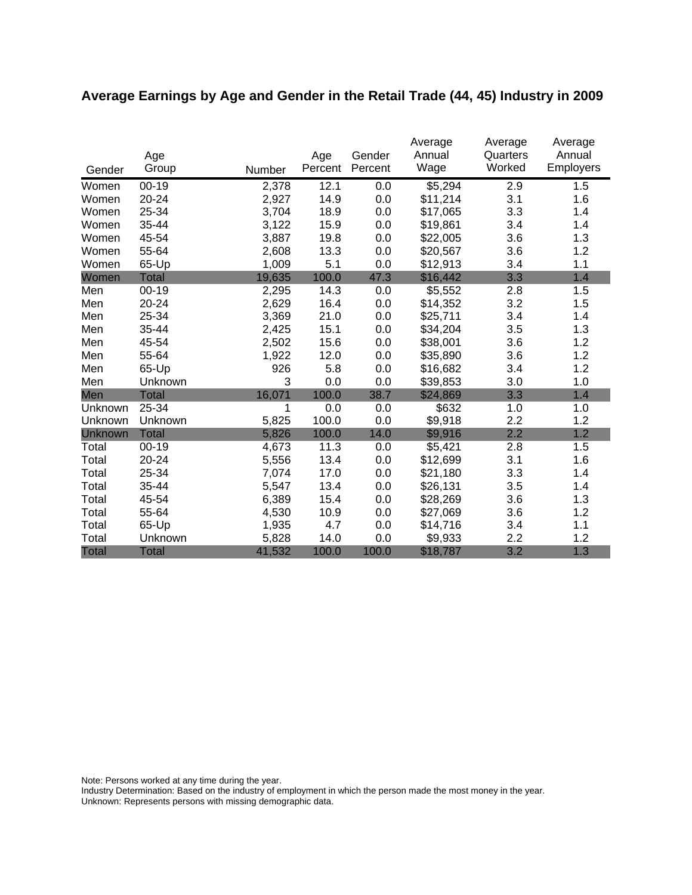# **Average Earnings by Age and Gender in the Retail Trade (44, 45) Industry in 2009**

|              |              |        |         |         | Average  | Average  | Average          |
|--------------|--------------|--------|---------|---------|----------|----------|------------------|
|              | Age          |        | Age     | Gender  | Annual   | Quarters | Annual           |
| Gender       | Group        | Number | Percent | Percent | Wage     | Worked   | <b>Employers</b> |
| Women        | $00 - 19$    | 2,378  | 12.1    | 0.0     | \$5,294  | 2.9      | 1.5              |
| Women        | 20-24        | 2,927  | 14.9    | 0.0     | \$11,214 | 3.1      | 1.6              |
| Women        | 25-34        | 3,704  | 18.9    | 0.0     | \$17,065 | 3.3      | 1.4              |
| Women        | 35-44        | 3,122  | 15.9    | 0.0     | \$19,861 | 3.4      | 1.4              |
| Women        | 45-54        | 3,887  | 19.8    | 0.0     | \$22,005 | 3.6      | 1.3              |
| Women        | 55-64        | 2,608  | 13.3    | 0.0     | \$20,567 | 3.6      | 1.2              |
| Women        | 65-Up        | 1,009  | 5.1     | 0.0     | \$12,913 | 3.4      | 1.1              |
| Women        | <b>Total</b> | 19,635 | 100.0   | 47.3    | \$16,442 | 3.3      | 1.4              |
| Men          | $00 - 19$    | 2,295  | 14.3    | 0.0     | \$5,552  | 2.8      | 1.5              |
| Men          | 20-24        | 2,629  | 16.4    | 0.0     | \$14,352 | 3.2      | 1.5              |
| Men          | 25-34        | 3,369  | 21.0    | 0.0     | \$25,711 | 3.4      | 1.4              |
| Men          | 35-44        | 2,425  | 15.1    | 0.0     | \$34,204 | 3.5      | 1.3              |
| Men          | 45-54        | 2,502  | 15.6    | 0.0     | \$38,001 | 3.6      | 1.2              |
| Men          | 55-64        | 1,922  | 12.0    | 0.0     | \$35,890 | 3.6      | 1.2              |
| Men          | 65-Up        | 926    | 5.8     | 0.0     | \$16,682 | 3.4      | 1.2              |
| Men          | Unknown      | 3      | 0.0     | 0.0     | \$39,853 | 3.0      | 1.0              |
| Men          | <b>Total</b> | 16,071 | 100.0   | 38.7    | \$24,869 | 3.3      | 1.4              |
| Unknown      | 25-34        | 1      | 0.0     | 0.0     | \$632    | 1.0      | 1.0              |
| Unknown      | Unknown      | 5,825  | 100.0   | 0.0     | \$9,918  | 2.2      | 1.2              |
| Unknown      | <b>Total</b> | 5,826  | 100.0   | 14.0    | \$9,916  | 2.2      | 1.2              |
| Total        | $00 - 19$    | 4,673  | 11.3    | 0.0     | \$5,421  | 2.8      | 1.5              |
| Total        | 20-24        | 5,556  | 13.4    | 0.0     | \$12,699 | 3.1      | 1.6              |
| Total        | 25-34        | 7,074  | 17.0    | 0.0     | \$21,180 | 3.3      | 1.4              |
| Total        | 35-44        | 5,547  | 13.4    | 0.0     | \$26,131 | 3.5      | 1.4              |
| Total        | 45-54        | 6,389  | 15.4    | 0.0     | \$28,269 | 3.6      | 1.3              |
| Total        | 55-64        | 4,530  | 10.9    | 0.0     | \$27,069 | 3.6      | 1.2              |
| Total        | 65-Up        | 1,935  | 4.7     | 0.0     | \$14,716 | 3.4      | 1.1              |
| Total        | Unknown      | 5,828  | 14.0    | 0.0     | \$9,933  | 2.2      | 1.2              |
| <b>Total</b> | <b>Total</b> | 41,532 | 100.0   | 100.0   | \$18,787 | 3.2      | 1.3              |

Note: Persons worked at any time during the year.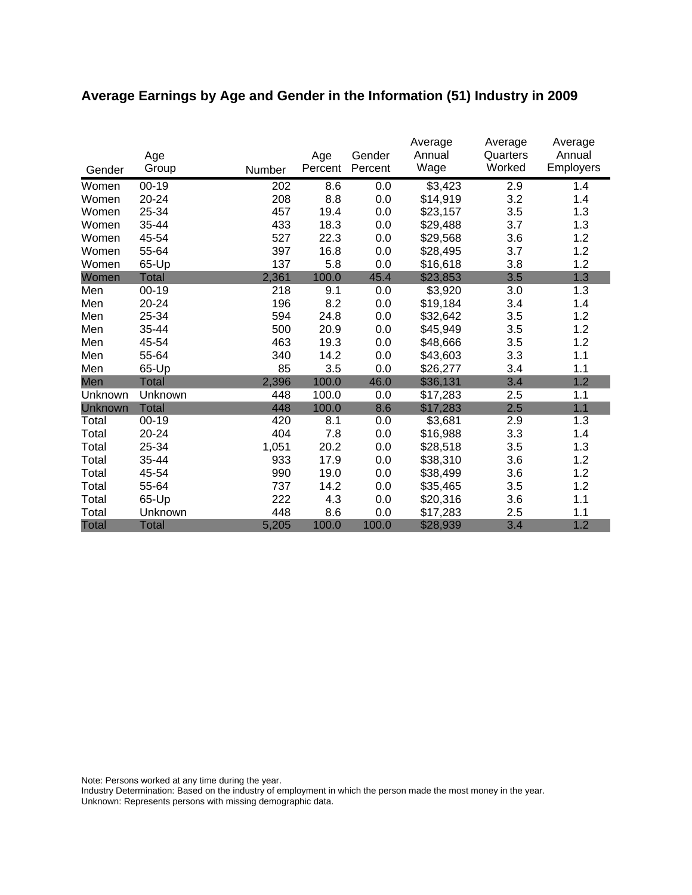# **Average Earnings by Age and Gender in the Information (51) Industry in 2009**

|              | Age          |        | Age     | Gender  | Average<br>Annual | Average<br>Quarters | Average<br>Annual |
|--------------|--------------|--------|---------|---------|-------------------|---------------------|-------------------|
| Gender       | Group        | Number | Percent | Percent | Wage              | Worked              | <b>Employers</b>  |
| Women        | $00 - 19$    | 202    | 8.6     | 0.0     | \$3,423           | 2.9                 | 1.4               |
| Women        | 20-24        | 208    | 8.8     | 0.0     | \$14,919          | 3.2                 | 1.4               |
| Women        | 25-34        | 457    | 19.4    | 0.0     | \$23,157          | 3.5                 | 1.3               |
| Women        | 35-44        | 433    | 18.3    | 0.0     | \$29,488          | 3.7                 | 1.3               |
| Women        | 45-54        | 527    | 22.3    | 0.0     | \$29,568          | 3.6                 | 1.2               |
| Women        | 55-64        | 397    | 16.8    | 0.0     | \$28,495          | 3.7                 | 1.2               |
| Women        | 65-Up        | 137    | 5.8     | 0.0     | \$16,618          | 3.8                 | 1.2               |
| Women        | <b>Total</b> | 2,361  | 100.0   | 45.4    | \$23,853          | 3.5                 | 1.3               |
| Men          | $00 - 19$    | 218    | 9.1     | 0.0     | \$3,920           | 3.0                 | 1.3               |
| Men          | 20-24        | 196    | 8.2     | 0.0     | \$19,184          | 3.4                 | 1.4               |
| Men          | 25-34        | 594    | 24.8    | 0.0     | \$32,642          | 3.5                 | 1.2               |
| Men          | 35-44        | 500    | 20.9    | 0.0     | \$45,949          | 3.5                 | 1.2               |
| Men          | 45-54        | 463    | 19.3    | 0.0     | \$48,666          | 3.5                 | 1.2               |
| Men          | 55-64        | 340    | 14.2    | 0.0     | \$43,603          | 3.3                 | 1.1               |
| Men          | 65-Up        | 85     | 3.5     | 0.0     | \$26,277          | 3.4                 | 1.1               |
| Men          | <b>Total</b> | 2,396  | 100.0   | 46.0    | \$36,131          | 3.4                 | 1.2               |
| Unknown      | Unknown      | 448    | 100.0   | 0.0     | \$17,283          | 2.5                 | 1.1               |
| Unknown      | <b>Total</b> | 448    | 100.0   | 8.6     | \$17,283          | 2.5                 | 1.1               |
| Total        | $00 - 19$    | 420    | 8.1     | 0.0     | \$3,681           | 2.9                 | 1.3               |
| Total        | 20-24        | 404    | 7.8     | 0.0     | \$16,988          | 3.3                 | 1.4               |
| Total        | 25-34        | 1,051  | 20.2    | 0.0     | \$28,518          | 3.5                 | 1.3               |
| Total        | 35-44        | 933    | 17.9    | 0.0     | \$38,310          | 3.6                 | 1.2               |
| Total        | 45-54        | 990    | 19.0    | 0.0     | \$38,499          | 3.6                 | 1.2               |
| Total        | 55-64        | 737    | 14.2    | 0.0     | \$35,465          | 3.5                 | 1.2               |
| Total        | 65-Up        | 222    | 4.3     | 0.0     | \$20,316          | 3.6                 | 1.1               |
| Total        | Unknown      | 448    | 8.6     | 0.0     | \$17,283          | 2.5                 | 1.1               |
| <b>Total</b> | <b>Total</b> | 5,205  | 100.0   | 100.0   | \$28,939          | 3.4                 | 1.2               |

Note: Persons worked at any time during the year.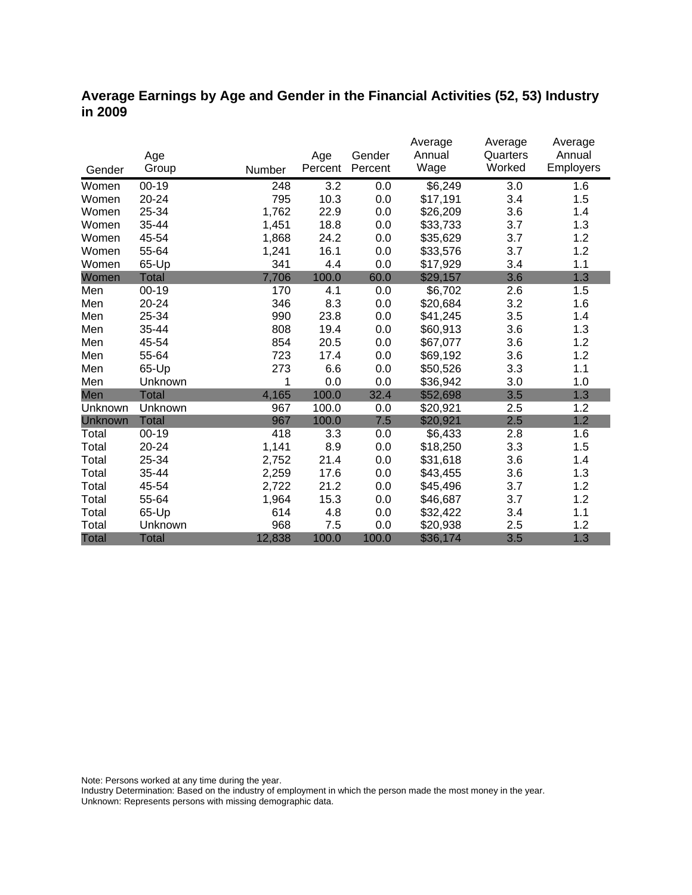### **Average Earnings by Age and Gender in the Financial Activities (52, 53) Industry in 2009**

|                |              |        |         |         | Average  | Average  | Average   |
|----------------|--------------|--------|---------|---------|----------|----------|-----------|
|                | Age          |        | Age     | Gender  | Annual   | Quarters | Annual    |
| Gender         | Group        | Number | Percent | Percent | Wage     | Worked   | Employers |
| Women          | $00 - 19$    | 248    | 3.2     | 0.0     | \$6,249  | 3.0      | 1.6       |
| Women          | 20-24        | 795    | 10.3    | 0.0     | \$17,191 | 3.4      | 1.5       |
| Women          | 25-34        | 1,762  | 22.9    | 0.0     | \$26,209 | 3.6      | 1.4       |
| Women          | 35-44        | 1,451  | 18.8    | 0.0     | \$33,733 | 3.7      | 1.3       |
| Women          | 45-54        | 1,868  | 24.2    | 0.0     | \$35,629 | 3.7      | 1.2       |
| Women          | 55-64        | 1,241  | 16.1    | 0.0     | \$33,576 | 3.7      | 1.2       |
| Women          | 65-Up        | 341    | 4.4     | 0.0     | \$17,929 | 3.4      | 1.1       |
| Women          | <b>Total</b> | 7,706  | 100.0   | 60.0    | \$29,157 | 3.6      | 1.3       |
| Men            | $00 - 19$    | 170    | 4.1     | 0.0     | \$6,702  | 2.6      | 1.5       |
| Men            | 20-24        | 346    | 8.3     | 0.0     | \$20,684 | 3.2      | 1.6       |
| Men            | 25-34        | 990    | 23.8    | 0.0     | \$41,245 | 3.5      | 1.4       |
| Men            | 35-44        | 808    | 19.4    | 0.0     | \$60,913 | 3.6      | 1.3       |
| Men            | 45-54        | 854    | 20.5    | 0.0     | \$67,077 | 3.6      | 1.2       |
| Men            | 55-64        | 723    | 17.4    | 0.0     | \$69,192 | 3.6      | 1.2       |
| Men            | 65-Up        | 273    | 6.6     | 0.0     | \$50,526 | 3.3      | 1.1       |
| Men            | Unknown      | 1      | 0.0     | 0.0     | \$36,942 | 3.0      | 1.0       |
| Men            | <b>Total</b> | 4,165  | 100.0   | 32.4    | \$52,698 | 3.5      | 1.3       |
| Unknown        | Unknown      | 967    | 100.0   | 0.0     | \$20,921 | 2.5      | 1.2       |
| <b>Unknown</b> | <b>Total</b> | 967    | 100.0   | 7.5     | \$20,921 | 2.5      | 1.2       |
| Total          | $00 - 19$    | 418    | 3.3     | 0.0     | \$6,433  | 2.8      | 1.6       |
| Total          | 20-24        | 1,141  | 8.9     | 0.0     | \$18,250 | 3.3      | 1.5       |
| Total          | 25-34        | 2,752  | 21.4    | 0.0     | \$31,618 | 3.6      | 1.4       |
| Total          | 35-44        | 2,259  | 17.6    | 0.0     | \$43,455 | 3.6      | 1.3       |
| Total          | 45-54        | 2,722  | 21.2    | 0.0     | \$45,496 | 3.7      | 1.2       |
| Total          | 55-64        | 1,964  | 15.3    | 0.0     | \$46,687 | 3.7      | 1.2       |
| Total          | 65-Up        | 614    | 4.8     | 0.0     | \$32,422 | 3.4      | 1.1       |
| Total          | Unknown      | 968    | 7.5     | 0.0     | \$20,938 | 2.5      | 1.2       |
| <b>Total</b>   | <b>Total</b> | 12,838 | 100.0   | 100.0   | \$36,174 | 3.5      | 1.3       |

Note: Persons worked at any time during the year.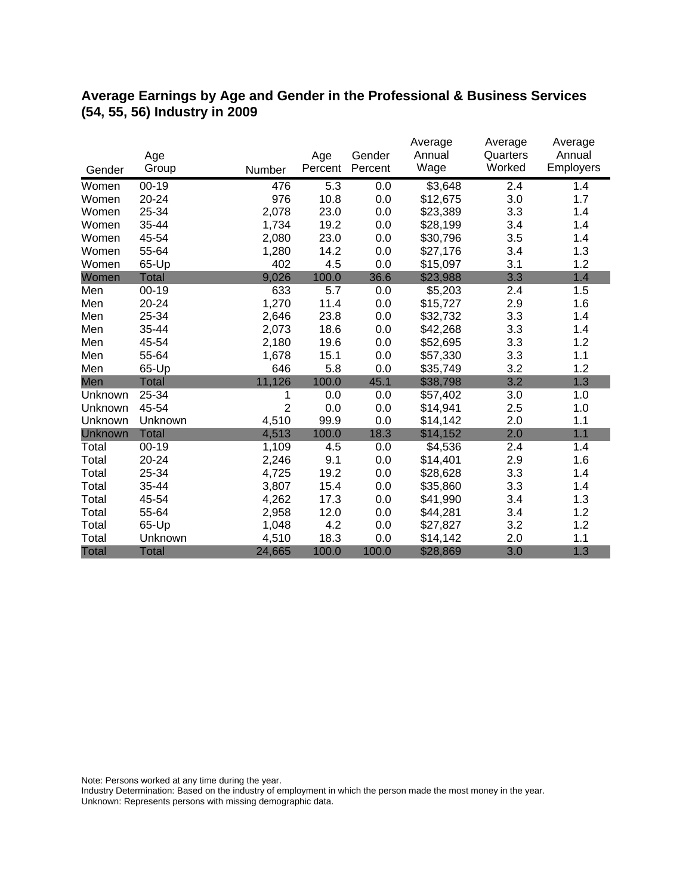### **Average Earnings by Age and Gender in the Professional & Business Services (54, 55, 56) Industry in 2009**

|              |              |                |         |         | Average             | Average            | Average   |
|--------------|--------------|----------------|---------|---------|---------------------|--------------------|-----------|
|              | Age          |                | Age     | Gender  | Annual              | Quarters<br>Worked | Annual    |
| Gender       | Group        | Number         | Percent | Percent | Wage                |                    | Employers |
| Women        | $00 - 19$    | 476            | 5.3     | 0.0     | $\overline{$3,648}$ | 2.4                | 1.4       |
| Women        | 20-24        | 976            | 10.8    | 0.0     | \$12,675            | 3.0                | 1.7       |
| Women        | 25-34        | 2,078          | 23.0    | 0.0     | \$23,389            | 3.3                | 1.4       |
| Women        | 35-44        | 1,734          | 19.2    | 0.0     | \$28,199            | 3.4                | 1.4       |
| Women        | 45-54        | 2,080          | 23.0    | 0.0     | \$30,796            | 3.5                | 1.4       |
| Women        | 55-64        | 1,280          | 14.2    | 0.0     | \$27,176            | 3.4                | 1.3       |
| Women        | 65-Up        | 402            | 4.5     | 0.0     | \$15,097            | 3.1                | 1.2       |
| Women        | <b>Total</b> | 9,026          | 100.0   | 36.6    | \$23,988            | 3.3                | 1.4       |
| Men          | $00 - 19$    | 633            | 5.7     | 0.0     | \$5,203             | 2.4                | 1.5       |
| Men          | 20-24        | 1,270          | 11.4    | 0.0     | \$15,727            | 2.9                | 1.6       |
| Men          | 25-34        | 2,646          | 23.8    | 0.0     | \$32,732            | 3.3                | 1.4       |
| Men          | 35-44        | 2,073          | 18.6    | 0.0     | \$42,268            | 3.3                | 1.4       |
| Men          | 45-54        | 2,180          | 19.6    | 0.0     | \$52,695            | 3.3                | 1.2       |
| Men          | 55-64        | 1,678          | 15.1    | 0.0     | \$57,330            | 3.3                | 1.1       |
| Men          | 65-Up        | 646            | 5.8     | 0.0     | \$35,749            | 3.2                | 1.2       |
| Men          | <b>Total</b> | 11,126         | 100.0   | 45.1    | \$38,798            | 3.2                | 1.3       |
| Unknown      | 25-34        | 1              | 0.0     | 0.0     | \$57,402            | 3.0                | 1.0       |
| Unknown      | 45-54        | $\overline{2}$ | 0.0     | 0.0     | \$14,941            | 2.5                | 1.0       |
| Unknown      | Unknown      | 4,510          | 99.9    | 0.0     | \$14,142            | 2.0                | 1.1       |
| Unknown      | <b>Total</b> | 4,513          | 100.0   | 18.3    | \$14,152            | 2.0                | 1.1       |
| Total        | $00 - 19$    | 1,109          | 4.5     | 0.0     | \$4,536             | 2.4                | 1.4       |
| Total        | $20 - 24$    | 2,246          | 9.1     | 0.0     | \$14,401            | 2.9                | 1.6       |
| Total        | 25-34        | 4,725          | 19.2    | 0.0     | \$28,628            | 3.3                | 1.4       |
| Total        | 35-44        | 3,807          | 15.4    | 0.0     | \$35,860            | 3.3                | 1.4       |
| Total        | 45-54        | 4,262          | 17.3    | 0.0     | \$41,990            | 3.4                | 1.3       |
| Total        | 55-64        | 2,958          | 12.0    | 0.0     | \$44,281            | 3.4                | 1.2       |
| Total        | 65-Up        | 1,048          | 4.2     | 0.0     | \$27,827            | 3.2                | 1.2       |
| Total        | Unknown      | 4,510          | 18.3    | 0.0     | \$14,142            | 2.0                | 1.1       |
| <b>Total</b> | <b>Total</b> | 24,665         | 100.0   | 100.0   | \$28,869            | 3.0                | 1.3       |

Note: Persons worked at any time during the year.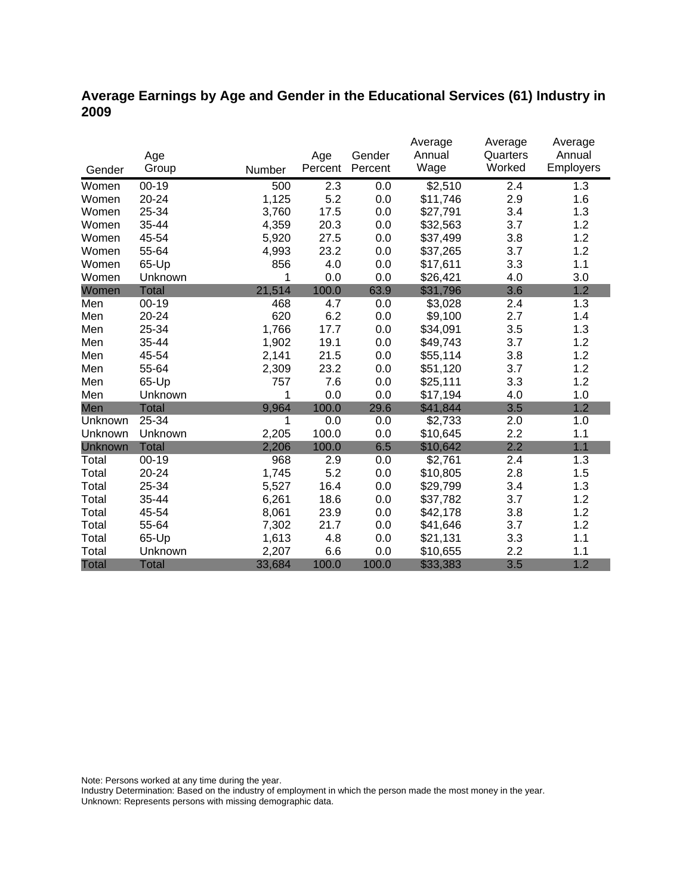### **Average Earnings by Age and Gender in the Educational Services (61) Industry in 2009**

|              |              |        |         |         | Average  | Average  | Average   |
|--------------|--------------|--------|---------|---------|----------|----------|-----------|
|              | Age          |        | Age     | Gender  | Annual   | Quarters | Annual    |
| Gender       | Group        | Number | Percent | Percent | Wage     | Worked   | Employers |
| Women        | $00 - 19$    | 500    | 2.3     | 0.0     | \$2,510  | 2.4      | 1.3       |
| Women        | 20-24        | 1,125  | 5.2     | 0.0     | \$11,746 | 2.9      | 1.6       |
| Women        | 25-34        | 3,760  | 17.5    | 0.0     | \$27,791 | 3.4      | 1.3       |
| Women        | 35-44        | 4,359  | 20.3    | 0.0     | \$32,563 | 3.7      | 1.2       |
| Women        | 45-54        | 5,920  | 27.5    | 0.0     | \$37,499 | 3.8      | 1.2       |
| Women        | 55-64        | 4,993  | 23.2    | 0.0     | \$37,265 | 3.7      | 1.2       |
| Women        | 65-Up        | 856    | 4.0     | 0.0     | \$17,611 | 3.3      | 1.1       |
| Women        | Unknown      | 1      | 0.0     | 0.0     | \$26,421 | 4.0      | 3.0       |
| Women        | <b>Total</b> | 21,514 | 100.0   | 63.9    | \$31,796 | 3.6      | 1.2       |
| Men          | $00 - 19$    | 468    | 4.7     | 0.0     | \$3,028  | 2.4      | 1.3       |
| Men          | 20-24        | 620    | 6.2     | 0.0     | \$9,100  | 2.7      | 1.4       |
| Men          | 25-34        | 1,766  | 17.7    | 0.0     | \$34,091 | 3.5      | 1.3       |
| Men          | 35-44        | 1,902  | 19.1    | 0.0     | \$49,743 | 3.7      | 1.2       |
| Men          | 45-54        | 2,141  | 21.5    | 0.0     | \$55,114 | 3.8      | 1.2       |
| Men          | 55-64        | 2,309  | 23.2    | 0.0     | \$51,120 | 3.7      | 1.2       |
| Men          | 65-Up        | 757    | 7.6     | 0.0     | \$25,111 | 3.3      | 1.2       |
| Men          | Unknown      | 1      | 0.0     | 0.0     | \$17,194 | 4.0      | 1.0       |
| Men          | <b>Total</b> | 9,964  | 100.0   | 29.6    | \$41,844 | 3.5      | 1.2       |
| Unknown      | 25-34        | 1      | 0.0     | 0.0     | \$2,733  | 2.0      | 1.0       |
| Unknown      | Unknown      | 2,205  | 100.0   | 0.0     | \$10,645 | 2.2      | 1.1       |
| Unknown      | <b>Total</b> | 2,206  | 100.0   | 6.5     | \$10,642 | 2.2      | 1.1       |
| Total        | $00 - 19$    | 968    | 2.9     | 0.0     | \$2,761  | 2.4      | 1.3       |
| Total        | 20-24        | 1,745  | 5.2     | 0.0     | \$10,805 | 2.8      | 1.5       |
| Total        | 25-34        | 5,527  | 16.4    | 0.0     | \$29,799 | 3.4      | 1.3       |
| Total        | 35-44        | 6,261  | 18.6    | 0.0     | \$37,782 | 3.7      | 1.2       |
| Total        | 45-54        | 8,061  | 23.9    | 0.0     | \$42,178 | 3.8      | 1.2       |
| Total        | 55-64        | 7,302  | 21.7    | 0.0     | \$41,646 | 3.7      | 1.2       |
| Total        | 65-Up        | 1,613  | 4.8     | 0.0     | \$21,131 | 3.3      | 1.1       |
| Total        | Unknown      | 2,207  | 6.6     | 0.0     | \$10,655 | 2.2      | 1.1       |
| <b>Total</b> | <b>Total</b> | 33,684 | 100.0   | 100.0   | \$33,383 | 3.5      | 1.2       |

Note: Persons worked at any time during the year.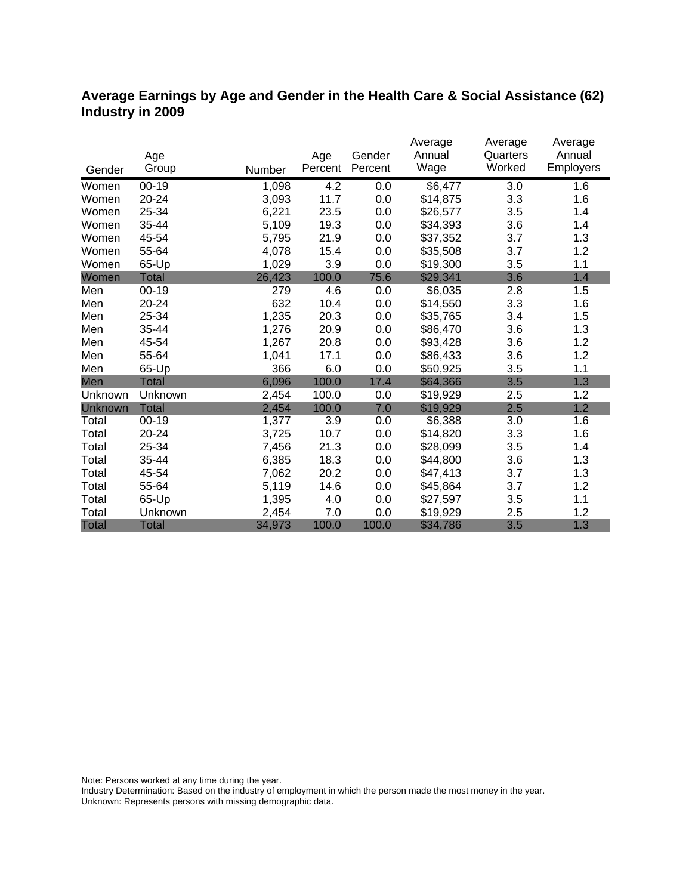### **Average Earnings by Age and Gender in the Health Care & Social Assistance (62) Industry in 2009**

|                |              |        |         | Gender  | Average<br>Annual | Average<br>Quarters | Average<br>Annual |
|----------------|--------------|--------|---------|---------|-------------------|---------------------|-------------------|
|                | Age          |        | Age     |         |                   |                     |                   |
| Gender         | Group        | Number | Percent | Percent | Wage              | Worked              | <b>Employers</b>  |
| Women          | $00 - 19$    | 1,098  | 4.2     | 0.0     | \$6,477           | 3.0                 | 1.6               |
| Women          | 20-24        | 3,093  | 11.7    | 0.0     | \$14,875          | 3.3                 | 1.6               |
| Women          | 25-34        | 6,221  | 23.5    | 0.0     | \$26,577          | 3.5                 | 1.4               |
| Women          | 35-44        | 5,109  | 19.3    | 0.0     | \$34,393          | 3.6                 | 1.4               |
| Women          | 45-54        | 5,795  | 21.9    | 0.0     | \$37,352          | 3.7                 | 1.3               |
| Women          | 55-64        | 4,078  | 15.4    | 0.0     | \$35,508          | 3.7                 | 1.2               |
| Women          | 65-Up        | 1,029  | 3.9     | 0.0     | \$19,300          | 3.5                 | 1.1               |
| Women          | <b>Total</b> | 26,423 | 100.0   | 75.6    | \$29,341          | 3.6                 | 1.4               |
| Men            | $00 - 19$    | 279    | 4.6     | 0.0     | \$6,035           | 2.8                 | 1.5               |
| Men            | $20 - 24$    | 632    | 10.4    | 0.0     | \$14,550          | 3.3                 | 1.6               |
| Men            | 25-34        | 1,235  | 20.3    | 0.0     | \$35,765          | 3.4                 | 1.5               |
| Men            | 35-44        | 1,276  | 20.9    | 0.0     | \$86,470          | 3.6                 | 1.3               |
| Men            | 45-54        | 1,267  | 20.8    | 0.0     | \$93,428          | 3.6                 | 1.2               |
| Men            | 55-64        | 1,041  | 17.1    | 0.0     | \$86,433          | 3.6                 | 1.2               |
| Men            | 65-Up        | 366    | 6.0     | 0.0     | \$50,925          | 3.5                 | 1.1               |
| Men            | <b>Total</b> | 6,096  | 100.0   | 17.4    | \$64,366          | 3.5                 | 1.3               |
| Unknown        | Unknown      | 2,454  | 100.0   | 0.0     | \$19,929          | 2.5                 | 1.2               |
| <b>Unknown</b> | <b>Total</b> | 2,454  | 100.0   | 7.0     | \$19,929          | 2.5                 | 1.2               |
| Total          | $00 - 19$    | 1,377  | 3.9     | 0.0     | \$6,388           | 3.0                 | 1.6               |
| Total          | 20-24        | 3,725  | 10.7    | 0.0     | \$14,820          | 3.3                 | 1.6               |
| Total          | 25-34        | 7,456  | 21.3    | 0.0     | \$28,099          | 3.5                 | 1.4               |
| Total          | 35-44        | 6,385  | 18.3    | 0.0     | \$44,800          | 3.6                 | 1.3               |
| Total          | 45-54        | 7,062  | 20.2    | 0.0     | \$47,413          | 3.7                 | 1.3               |
| Total          | 55-64        | 5,119  | 14.6    | 0.0     | \$45,864          | 3.7                 | 1.2               |
| Total          | 65-Up        | 1,395  | 4.0     | 0.0     | \$27,597          | 3.5                 | 1.1               |
| Total          | Unknown      | 2,454  | 7.0     | 0.0     | \$19,929          | 2.5                 | 1.2               |
| <b>Total</b>   | <b>Total</b> | 34,973 | 100.0   | 100.0   | \$34,786          | 3.5                 | 1.3               |

Note: Persons worked at any time during the year.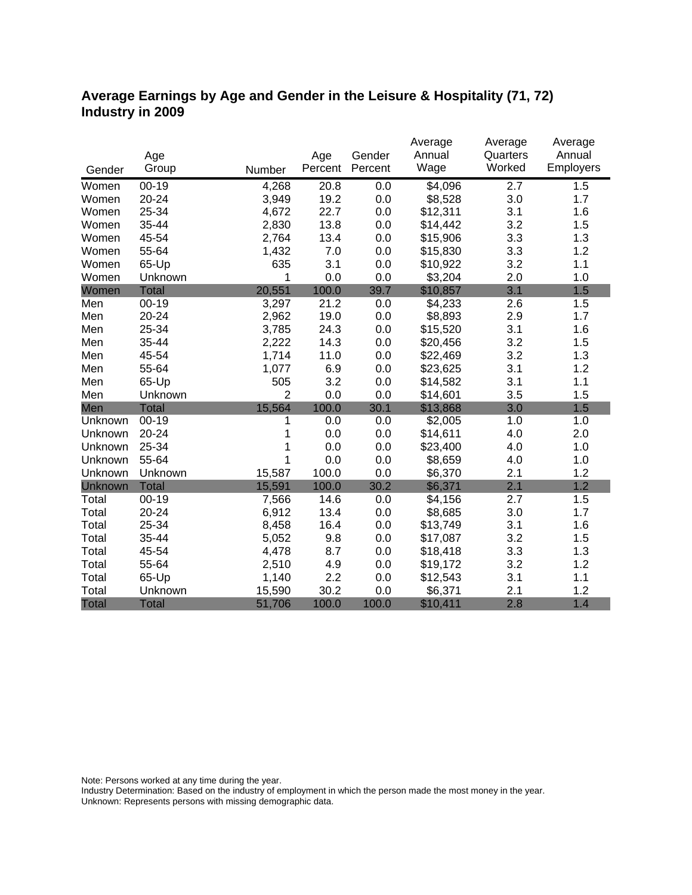### **Average Earnings by Age and Gender in the Leisure & Hospitality (71, 72) Industry in 2009**

|              |              |                |         |         | Average            | Average          | Average   |
|--------------|--------------|----------------|---------|---------|--------------------|------------------|-----------|
|              | Age          |                | Age     | Gender  | Annual             | Quarters         | Annual    |
| Gender       | Group        | Number         | Percent | Percent | Wage               | Worked           | Employers |
| Women        | $00 - 19$    | 4,268          | 20.8    | 0.0     | $\overline{4,096}$ | $\overline{2.7}$ | 1.5       |
| Women        | 20-24        | 3,949          | 19.2    | $0.0\,$ | \$8,528            | 3.0              | 1.7       |
| Women        | 25-34        | 4,672          | 22.7    | 0.0     | \$12,311           | 3.1              | 1.6       |
| Women        | 35-44        | 2,830          | 13.8    | 0.0     | \$14,442           | 3.2              | 1.5       |
| Women        | 45-54        | 2,764          | 13.4    | 0.0     | \$15,906           | 3.3              | 1.3       |
| Women        | 55-64        | 1,432          | 7.0     | 0.0     | \$15,830           | 3.3              | 1.2       |
| Women        | 65-Up        | 635            | 3.1     | 0.0     | \$10,922           | 3.2              | 1.1       |
| Women        | Unknown      | 1              | 0.0     | 0.0     | \$3,204            | 2.0              | 1.0       |
| Women        | <b>Total</b> | 20,551         | 100.0   | 39.7    | \$10,857           | 3.1              | 1.5       |
| Men          | $00-19$      | 3,297          | 21.2    | 0.0     | \$4,233            | 2.6              | 1.5       |
| Men          | 20-24        | 2,962          | 19.0    | 0.0     | \$8,893            | 2.9              | 1.7       |
| Men          | 25-34        | 3,785          | 24.3    | 0.0     | \$15,520           | 3.1              | 1.6       |
| Men          | 35-44        | 2,222          | 14.3    | 0.0     | \$20,456           | 3.2              | 1.5       |
| Men          | 45-54        | 1,714          | 11.0    | 0.0     | \$22,469           | 3.2              | 1.3       |
| Men          | 55-64        | 1,077          | 6.9     | 0.0     | \$23,625           | 3.1              | 1.2       |
| Men          | 65-Up        | 505            | 3.2     | 0.0     | \$14,582           | 3.1              | 1.1       |
| Men          | Unknown      | $\overline{2}$ | 0.0     | 0.0     | \$14,601           | 3.5              | 1.5       |
| Men          | <b>Total</b> | 15,564         | 100.0   | 30.1    | \$13,868           | 3.0              | 1.5       |
| Unknown      | $00-19$      | 1              | 0.0     | 0.0     | \$2,005            | 1.0              | 1.0       |
| Unknown      | 20-24        |                | 0.0     | 0.0     | \$14,611           | 4.0              | 2.0       |
| Unknown      | 25-34        | 1              | 0.0     | 0.0     | \$23,400           | 4.0              | 1.0       |
| Unknown      | 55-64        | 1              | 0.0     | 0.0     | \$8,659            | 4.0              | 1.0       |
| Unknown      | Unknown      | 15,587         | 100.0   | 0.0     | \$6,370            | 2.1              | 1.2       |
| Unknown      | <b>Total</b> | 15,591         | 100.0   | 30.2    | \$6,371            | 2.1              | 1.2       |
| Total        | $00 - 19$    | 7,566          | 14.6    | 0.0     | \$4,156            | 2.7              | 1.5       |
| Total        | 20-24        | 6,912          | 13.4    | 0.0     | \$8,685            | 3.0              | 1.7       |
| Total        | 25-34        | 8,458          | 16.4    | 0.0     | \$13,749           | 3.1              | 1.6       |
| Total        | 35-44        | 5,052          | 9.8     | 0.0     | \$17,087           | 3.2              | 1.5       |
| Total        | 45-54        | 4,478          | 8.7     | 0.0     | \$18,418           | 3.3              | 1.3       |
| Total        | 55-64        | 2,510          | 4.9     | 0.0     | \$19,172           | 3.2              | 1.2       |
| Total        | 65-Up        | 1,140          | 2.2     | 0.0     | \$12,543           | 3.1              | 1.1       |
| Total        | Unknown      | 15,590         | 30.2    | 0.0     | \$6,371            | 2.1              | 1.2       |
| <b>Total</b> | <b>Total</b> | 51,706         | 100.0   | 100.0   | \$10,411           | 2.8              | 1.4       |

Note: Persons worked at any time during the year.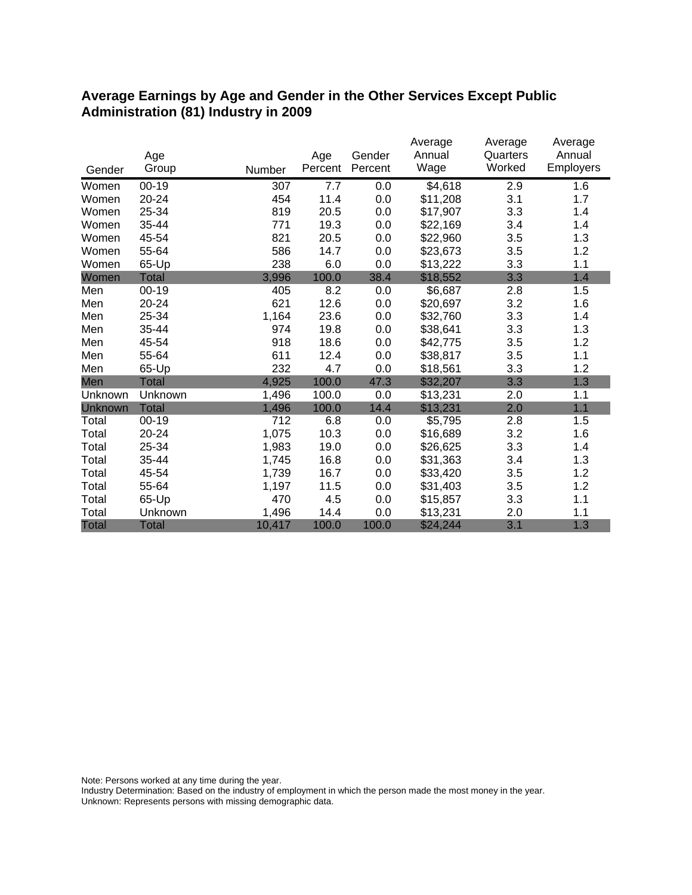#### **Average Earnings by Age and Gender in the Other Services Except Public Administration (81) Industry in 2009**

|                |              |        |         |         | Average  | Average  | Average   |
|----------------|--------------|--------|---------|---------|----------|----------|-----------|
|                | Age          |        | Age     | Gender  | Annual   | Quarters | Annual    |
| Gender         | Group        | Number | Percent | Percent | Wage     | Worked   | Employers |
| Women          | $00-19$      | 307    | 7.7     | 0.0     | \$4,618  | 2.9      | 1.6       |
| Women          | 20-24        | 454    | 11.4    | 0.0     | \$11,208 | 3.1      | 1.7       |
| Women          | 25-34        | 819    | 20.5    | 0.0     | \$17,907 | 3.3      | 1.4       |
| Women          | 35-44        | 771    | 19.3    | 0.0     | \$22,169 | 3.4      | 1.4       |
| Women          | 45-54        | 821    | 20.5    | 0.0     | \$22,960 | 3.5      | 1.3       |
| Women          | 55-64        | 586    | 14.7    | 0.0     | \$23,673 | 3.5      | 1.2       |
| Women          | 65-Up        | 238    | 6.0     | 0.0     | \$13,222 | 3.3      | 1.1       |
| Women          | Total        | 3,996  | 100.0   | 38.4    | \$18,552 | 3.3      | 1.4       |
| Men            | $00 - 19$    | 405    | 8.2     | 0.0     | \$6,687  | 2.8      | 1.5       |
| Men            | $20 - 24$    | 621    | 12.6    | 0.0     | \$20,697 | 3.2      | 1.6       |
| Men            | 25-34        | 1,164  | 23.6    | 0.0     | \$32,760 | 3.3      | 1.4       |
| Men            | 35-44        | 974    | 19.8    | 0.0     | \$38,641 | 3.3      | 1.3       |
| Men            | 45-54        | 918    | 18.6    | 0.0     | \$42,775 | 3.5      | 1.2       |
| Men            | 55-64        | 611    | 12.4    | 0.0     | \$38,817 | 3.5      | 1.1       |
| Men            | 65-Up        | 232    | 4.7     | 0.0     | \$18,561 | 3.3      | 1.2       |
| Men            | Total        | 4,925  | 100.0   | 47.3    | \$32,207 | 3.3      | 1.3       |
| Unknown        | Unknown      | 1,496  | 100.0   | 0.0     | \$13,231 | 2.0      | 1.1       |
| <b>Unknown</b> | <b>Total</b> | 1,496  | 100.0   | 14.4    | \$13,231 | 2.0      | 1.1       |
| Total          | $00 - 19$    | 712    | 6.8     | 0.0     | \$5,795  | 2.8      | 1.5       |
| Total          | 20-24        | 1,075  | 10.3    | 0.0     | \$16,689 | 3.2      | 1.6       |
| Total          | 25-34        | 1,983  | 19.0    | 0.0     | \$26,625 | 3.3      | 1.4       |
| Total          | 35-44        | 1,745  | 16.8    | 0.0     | \$31,363 | 3.4      | 1.3       |
| Total          | 45-54        | 1,739  | 16.7    | 0.0     | \$33,420 | 3.5      | 1.2       |
| Total          | 55-64        | 1,197  | 11.5    | 0.0     | \$31,403 | 3.5      | 1.2       |
| Total          | 65-Up        | 470    | 4.5     | 0.0     | \$15,857 | 3.3      | 1.1       |
| Total          | Unknown      | 1,496  | 14.4    | 0.0     | \$13,231 | 2.0      | 1.1       |
| <b>Total</b>   | <b>Total</b> | 10,417 | 100.0   | 100.0   | \$24,244 | 3.1      | 1.3       |

Note: Persons worked at any time during the year.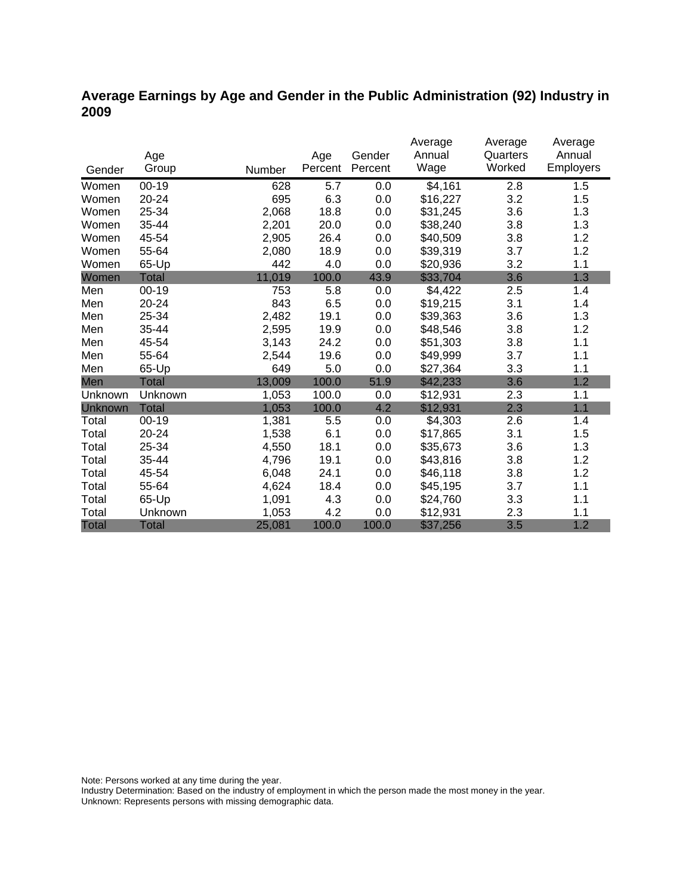### **Average Earnings by Age and Gender in the Public Administration (92) Industry in 2009**

|                |              |        |         |         | Average<br>Annual | Average  | Average<br>Annual |
|----------------|--------------|--------|---------|---------|-------------------|----------|-------------------|
|                | Age          |        | Age     | Gender  |                   | Quarters |                   |
| Gender         | Group        | Number | Percent | Percent | Wage              | Worked   | Employers         |
| Women          | $00-19$      | 628    | 5.7     | 0.0     | \$4,161           | 2.8      | 1.5               |
| Women          | 20-24        | 695    | 6.3     | 0.0     | \$16,227          | 3.2      | 1.5               |
| Women          | 25-34        | 2,068  | 18.8    | 0.0     | \$31,245          | 3.6      | 1.3               |
| Women          | 35-44        | 2,201  | 20.0    | 0.0     | \$38,240          | 3.8      | 1.3               |
| Women          | 45-54        | 2,905  | 26.4    | 0.0     | \$40,509          | 3.8      | 1.2               |
| Women          | 55-64        | 2,080  | 18.9    | 0.0     | \$39,319          | 3.7      | 1.2               |
| Women          | 65-Up        | 442    | 4.0     | 0.0     | \$20,936          | 3.2      | 1.1               |
| Women          | Total        | 11,019 | 100.0   | 43.9    | \$33,704          | 3.6      | 1.3               |
| Men            | $00 - 19$    | 753    | 5.8     | 0.0     | \$4,422           | 2.5      | 1.4               |
| Men            | $20 - 24$    | 843    | 6.5     | 0.0     | \$19,215          | 3.1      | 1.4               |
| Men            | 25-34        | 2,482  | 19.1    | 0.0     | \$39,363          | 3.6      | 1.3               |
| Men            | 35-44        | 2,595  | 19.9    | 0.0     | \$48,546          | 3.8      | 1.2               |
| Men            | 45-54        | 3,143  | 24.2    | 0.0     | \$51,303          | 3.8      | 1.1               |
| Men            | 55-64        | 2,544  | 19.6    | 0.0     | \$49,999          | 3.7      | 1.1               |
| Men            | 65-Up        | 649    | 5.0     | 0.0     | \$27,364          | 3.3      | 1.1               |
| Men            | Total        | 13,009 | 100.0   | 51.9    | \$42,233          | 3.6      | 1.2               |
| Unknown        | Unknown      | 1,053  | 100.0   | 0.0     | \$12,931          | 2.3      | 1.1               |
| <b>Unknown</b> | <b>Total</b> | 1,053  | 100.0   | 4.2     | \$12,931          | 2.3      | 1.1               |
| Total          | $00 - 19$    | 1,381  | 5.5     | 0.0     | \$4,303           | 2.6      | 1.4               |
| Total          | 20-24        | 1,538  | 6.1     | 0.0     | \$17,865          | 3.1      | 1.5               |
| Total          | 25-34        | 4,550  | 18.1    | 0.0     | \$35,673          | 3.6      | 1.3               |
| Total          | 35-44        | 4,796  | 19.1    | 0.0     | \$43,816          | 3.8      | 1.2               |
| Total          | 45-54        | 6,048  | 24.1    | 0.0     | \$46,118          | 3.8      | 1.2               |
| Total          | 55-64        | 4,624  | 18.4    | 0.0     | \$45,195          | 3.7      | 1.1               |
| Total          | 65-Up        | 1,091  | 4.3     | 0.0     | \$24,760          | 3.3      | 1.1               |
| Total          | Unknown      | 1,053  | 4.2     | 0.0     | \$12,931          | 2.3      | 1.1               |
| <b>Total</b>   | <b>Total</b> | 25,081 | 100.0   | 100.0   | \$37,256          | 3.5      | 1.2               |

Note: Persons worked at any time during the year.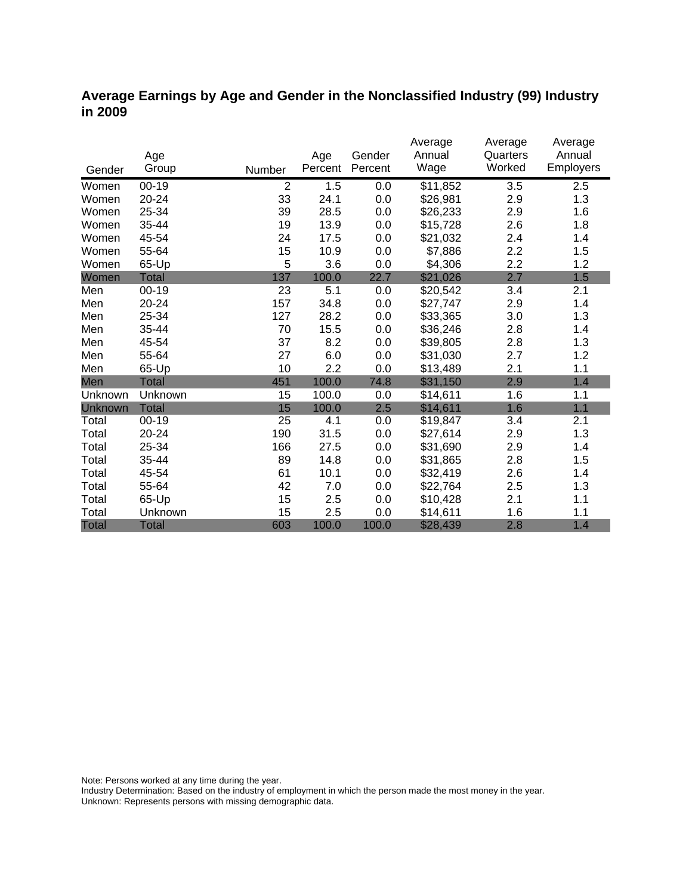#### **Average Earnings by Age and Gender in the Nonclassified Industry (99) Industry in 2009**

|              | Age          |        | Age     | Gender  | Average<br>Annual | Average<br>Quarters | Average<br>Annual |
|--------------|--------------|--------|---------|---------|-------------------|---------------------|-------------------|
| Gender       | Group        | Number | Percent | Percent | Wage              | Worked              | Employers         |
| Women        | $00 - 19$    | 2      | 1.5     | 0.0     | \$11,852          | 3.5                 | 2.5               |
| Women        | $20 - 24$    | 33     | 24.1    | 0.0     | \$26,981          | 2.9                 | 1.3               |
| Women        | 25-34        | 39     | 28.5    | 0.0     | \$26,233          | 2.9                 | 1.6               |
| Women        | 35-44        | 19     | 13.9    | 0.0     | \$15,728          | 2.6                 | 1.8               |
| Women        | 45-54        | 24     | 17.5    | 0.0     | \$21,032          | 2.4                 | 1.4               |
| Women        | 55-64        | 15     | 10.9    | 0.0     | \$7,886           | 2.2                 | 1.5               |
| Women        | 65-Up        | 5      | 3.6     | 0.0     | \$4,306           | 2.2                 | 1.2               |
| Women        | Total        | 137    | 100.0   | 22.7    | \$21,026          | 2.7                 | 1.5               |
| Men          | $00 - 19$    | 23     | 5.1     | 0.0     | \$20,542          | 3.4                 | 2.1               |
| Men          | 20-24        | 157    | 34.8    | 0.0     | \$27,747          | 2.9                 | 1.4               |
| Men          | 25-34        | 127    | 28.2    | 0.0     | \$33,365          | 3.0                 | 1.3               |
| Men          | 35-44        | 70     | 15.5    | 0.0     | \$36,246          | 2.8                 | 1.4               |
| Men          | 45-54        | 37     | 8.2     | 0.0     | \$39,805          | 2.8                 | 1.3               |
| Men          | 55-64        | 27     | 6.0     | 0.0     | \$31,030          | 2.7                 | 1.2               |
| Men          | 65-Up        | 10     | 2.2     | 0.0     | \$13,489          | 2.1                 | 1.1               |
| Men          | Total        | 451    | 100.0   | 74.8    | \$31,150          | 2.9                 | 1.4               |
| Unknown      | Unknown      | 15     | 100.0   | 0.0     | \$14,611          | 1.6                 | 1.1               |
| Unknown      | <b>Total</b> | 15     | 100.0   | 2.5     | \$14,611          | 1.6                 | 1.1               |
| Total        | $00 - 19$    | 25     | 4.1     | 0.0     | \$19,847          | 3.4                 | 2.1               |
| Total        | 20-24        | 190    | 31.5    | 0.0     | \$27,614          | 2.9                 | 1.3               |
| Total        | 25-34        | 166    | 27.5    | 0.0     | \$31,690          | 2.9                 | 1.4               |
| Total        | 35-44        | 89     | 14.8    | 0.0     | \$31,865          | 2.8                 | 1.5               |
| Total        | 45-54        | 61     | 10.1    | 0.0     | \$32,419          | 2.6                 | 1.4               |
| Total        | 55-64        | 42     | 7.0     | 0.0     | \$22,764          | 2.5                 | 1.3               |
| Total        | 65-Up        | 15     | 2.5     | 0.0     | \$10,428          | 2.1                 | 1.1               |
| Total        | Unknown      | 15     | 2.5     | 0.0     | \$14,611          | 1.6                 | 1.1               |
| <b>Total</b> | <b>Total</b> | 603    | 100.0   | 100.0   | \$28,439          | 2.8                 | 1.4               |

Note: Persons worked at any time during the year.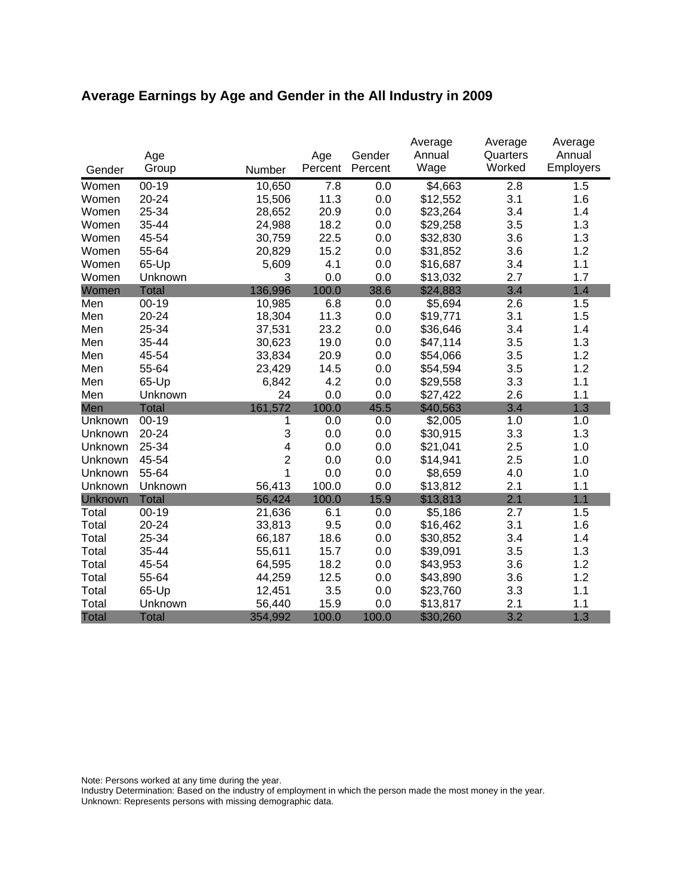# **Average Earnings by Age and Gender in the All Industry in 2009**

|              |              |                |         |         | Average  | Average          | Average   |
|--------------|--------------|----------------|---------|---------|----------|------------------|-----------|
|              | Age          |                | Age     | Gender  | Annual   | Quarters         | Annual    |
| Gender       | Group        | Number         | Percent | Percent | Wage     | Worked           | Employers |
| Women        | $00 - 19$    | 10,650         | 7.8     | 0.0     | \$4,663  | $\overline{2.8}$ | 1.5       |
| Women        | 20-24        | 15,506         | 11.3    | 0.0     | \$12,552 | 3.1              | 1.6       |
| Women        | 25-34        | 28,652         | 20.9    | 0.0     | \$23,264 | 3.4              | 1.4       |
| Women        | 35-44        | 24,988         | 18.2    | 0.0     | \$29,258 | 3.5              | 1.3       |
| Women        | 45-54        | 30,759         | 22.5    | 0.0     | \$32,830 | 3.6              | 1.3       |
| Women        | 55-64        | 20,829         | 15.2    | 0.0     | \$31,852 | 3.6              | 1.2       |
| Women        | 65-Up        | 5,609          | 4.1     | 0.0     | \$16,687 | 3.4              | 1.1       |
| Women        | Unknown      | 3              | 0.0     | 0.0     | \$13,032 | 2.7              | 1.7       |
| Women        | <b>Total</b> | 136,996        | 100.0   | 38.6    | \$24,883 | 3.4              | 1.4       |
| Men          | $00 - 19$    | 10,985         | 6.8     | 0.0     | \$5,694  | 2.6              | 1.5       |
| Men          | $20 - 24$    | 18,304         | 11.3    | 0.0     | \$19,771 | 3.1              | 1.5       |
| Men          | 25-34        | 37,531         | 23.2    | 0.0     | \$36,646 | 3.4              | 1.4       |
| Men          | 35-44        | 30,623         | 19.0    | 0.0     | \$47,114 | 3.5              | 1.3       |
| Men          | 45-54        | 33,834         | 20.9    | 0.0     | \$54,066 | 3.5              | 1.2       |
| Men          | 55-64        | 23,429         | 14.5    | 0.0     | \$54,594 | 3.5              | 1.2       |
| Men          | 65-Up        | 6,842          | 4.2     | 0.0     | \$29,558 | 3.3              | 1.1       |
| Men          | Unknown      | 24             | 0.0     | 0.0     | \$27,422 | 2.6              | 1.1       |
| Men          | <b>Total</b> | 161,572        | 100.0   | 45.5    | \$40,563 | 3.4              | 1.3       |
| Unknown      | $00-19$      | 1              | 0.0     | 0.0     | \$2,005  | 1.0              | 1.0       |
| Unknown      | 20-24        | 3              | 0.0     | 0.0     | \$30,915 | 3.3              | 1.3       |
| Unknown      | 25-34        | 4              | 0.0     | 0.0     | \$21,041 | 2.5              | 1.0       |
| Unknown      | 45-54        | $\overline{2}$ | 0.0     | 0.0     | \$14,941 | 2.5              | 1.0       |
| Unknown      | 55-64        | 1              | 0.0     | 0.0     | \$8,659  | 4.0              | 1.0       |
| Unknown      | Unknown      | 56,413         | 100.0   | 0.0     | \$13,812 | 2.1              | 1.1       |
| Unknown      | <b>Total</b> | 56,424         | 100.0   | 15.9    | \$13,813 | 2.1              | 1.1       |
| Total        | $00 - 19$    | 21,636         | 6.1     | 0.0     | \$5,186  | 2.7              | 1.5       |
| Total        | 20-24        | 33,813         | 9.5     | 0.0     | \$16,462 | 3.1              | 1.6       |
| Total        | 25-34        | 66,187         | 18.6    | 0.0     | \$30,852 | 3.4              | 1.4       |
| Total        | 35-44        | 55,611         | 15.7    | 0.0     | \$39,091 | 3.5              | 1.3       |
| Total        | 45-54        | 64,595         | 18.2    | 0.0     | \$43,953 | 3.6              | 1.2       |
| Total        | 55-64        | 44,259         | 12.5    | 0.0     | \$43,890 | 3.6              | 1.2       |
| Total        | 65-Up        | 12,451         | 3.5     | 0.0     | \$23,760 | 3.3              | 1.1       |
| Total        | Unknown      | 56,440         | 15.9    | 0.0     | \$13,817 | 2.1              | 1.1       |
| <b>Total</b> | <b>Total</b> | 354,992        | 100.0   | 100.0   | \$30,260 | 3.2              | 1.3       |

Note: Persons worked at any time during the year.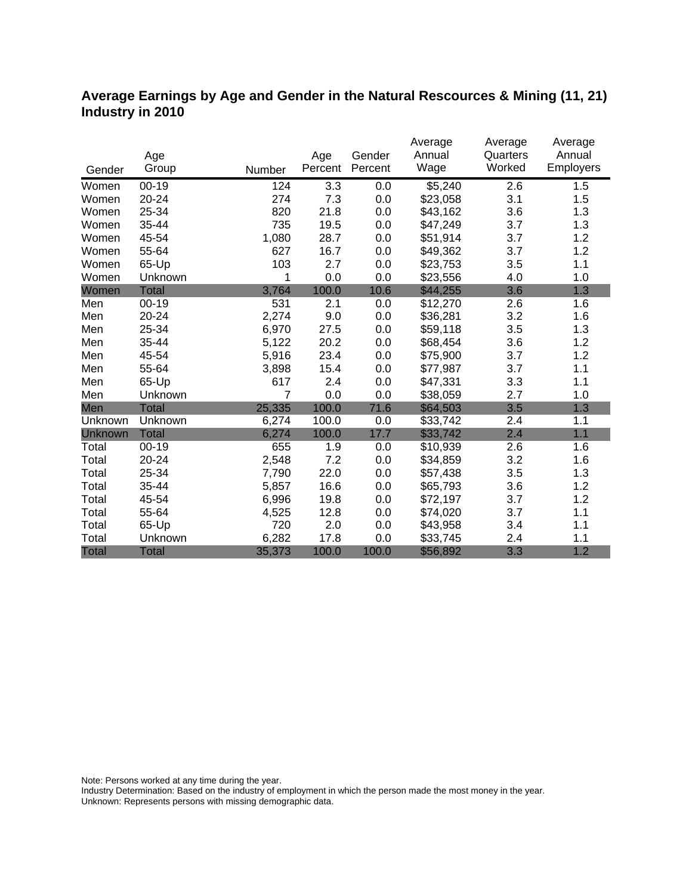### **Average Earnings by Age and Gender in the Natural Rescources & Mining (11, 21) Industry in 2010**

|              |              |                |         |         | Average  | Average  | Average          |
|--------------|--------------|----------------|---------|---------|----------|----------|------------------|
|              | Age          |                | Age     | Gender  | Annual   | Quarters | Annual           |
| Gender       | Group        | Number         | Percent | Percent | Wage     | Worked   | <b>Employers</b> |
| Women        | $00 - 19$    | 124            | 3.3     | 0.0     | \$5,240  | 2.6      | 1.5              |
| Women        | 20-24        | 274            | 7.3     | 0.0     | \$23,058 | 3.1      | 1.5              |
| Women        | 25-34        | 820            | 21.8    | 0.0     | \$43,162 | 3.6      | 1.3              |
| Women        | 35-44        | 735            | 19.5    | 0.0     | \$47,249 | 3.7      | 1.3              |
| Women        | 45-54        | 1,080          | 28.7    | 0.0     | \$51,914 | 3.7      | 1.2              |
| Women        | 55-64        | 627            | 16.7    | 0.0     | \$49,362 | 3.7      | 1.2              |
| Women        | 65-Up        | 103            | 2.7     | 0.0     | \$23,753 | 3.5      | 1.1              |
| Women        | Unknown      | 1              | 0.0     | 0.0     | \$23,556 | 4.0      | 1.0              |
| Women        | <b>Total</b> | 3,764          | 100.0   | 10.6    | \$44,255 | 3.6      | 1.3              |
| Men          | $00 - 19$    | 531            | 2.1     | 0.0     | \$12,270 | 2.6      | 1.6              |
| Men          | 20-24        | 2,274          | 9.0     | 0.0     | \$36,281 | 3.2      | 1.6              |
| Men          | 25-34        | 6,970          | 27.5    | 0.0     | \$59,118 | 3.5      | 1.3              |
| Men          | 35-44        | 5,122          | 20.2    | 0.0     | \$68,454 | 3.6      | 1.2              |
| Men          | 45-54        | 5,916          | 23.4    | 0.0     | \$75,900 | 3.7      | 1.2              |
| Men          | 55-64        | 3,898          | 15.4    | 0.0     | \$77,987 | 3.7      | 1.1              |
| Men          | 65-Up        | 617            | 2.4     | 0.0     | \$47,331 | 3.3      | 1.1              |
| Men          | Unknown      | $\overline{7}$ | 0.0     | 0.0     | \$38,059 | 2.7      | 1.0              |
| Men          | <b>Total</b> | 25,335         | 100.0   | 71.6    | \$64,503 | 3.5      | 1.3              |
| Unknown      | Unknown      | 6,274          | 100.0   | 0.0     | \$33,742 | 2.4      | 1.1              |
| Unknown      | <b>Total</b> | 6,274          | 100.0   | 17.7    | \$33,742 | 2.4      | 1.1              |
| Total        | $00 - 19$    | 655            | 1.9     | 0.0     | \$10,939 | 2.6      | 1.6              |
| Total        | 20-24        | 2,548          | 7.2     | 0.0     | \$34,859 | 3.2      | 1.6              |
| Total        | 25-34        | 7,790          | 22.0    | 0.0     | \$57,438 | 3.5      | 1.3              |
| Total        | 35-44        | 5,857          | 16.6    | 0.0     | \$65,793 | 3.6      | 1.2              |
| Total        | 45-54        | 6,996          | 19.8    | 0.0     | \$72,197 | 3.7      | 1.2              |
| Total        | 55-64        | 4,525          | 12.8    | 0.0     | \$74,020 | 3.7      | 1.1              |
| Total        | 65-Up        | 720            | 2.0     | 0.0     | \$43,958 | 3.4      | 1.1              |
| Total        | Unknown      | 6,282          | 17.8    | 0.0     | \$33,745 | 2.4      | 1.1              |
| <b>Total</b> | <b>Total</b> | 35,373         | 100.0   | 100.0   | \$56,892 | 3.3      | 1.2              |

Note: Persons worked at any time during the year.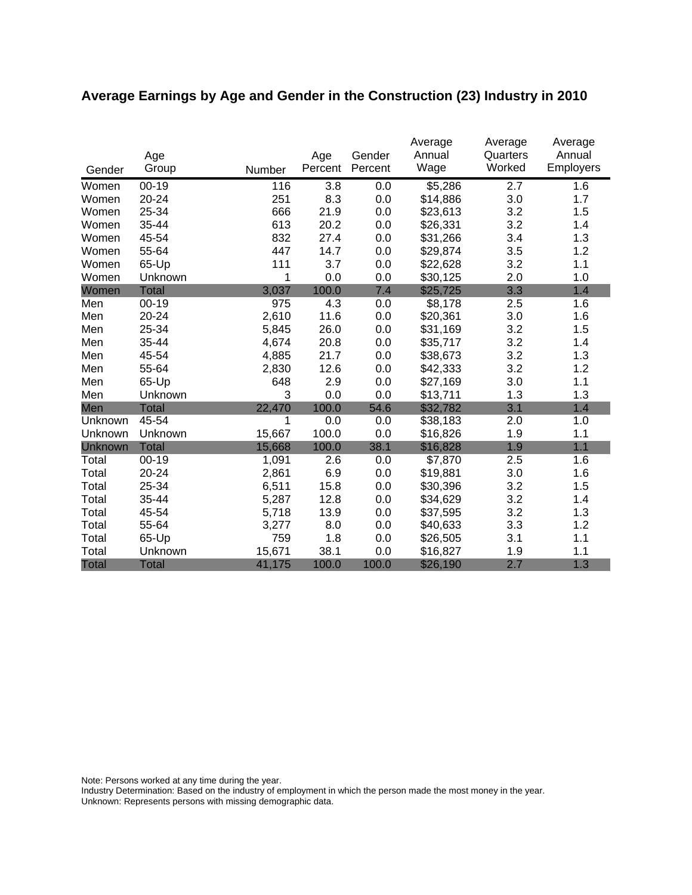# **Average Earnings by Age and Gender in the Construction (23) Industry in 2010**

|                |              |        |         |         | Average  | Average  | Average   |
|----------------|--------------|--------|---------|---------|----------|----------|-----------|
|                | Age          |        | Age     | Gender  | Annual   | Quarters | Annual    |
| Gender         | Group        | Number | Percent | Percent | Wage     | Worked   | Employers |
| Women          | $00 - 19$    | 116    | 3.8     | 0.0     | \$5,286  | 2.7      | 1.6       |
| Women          | 20-24        | 251    | 8.3     | 0.0     | \$14,886 | 3.0      | 1.7       |
| Women          | 25-34        | 666    | 21.9    | 0.0     | \$23,613 | 3.2      | 1.5       |
| Women          | 35-44        | 613    | 20.2    | 0.0     | \$26,331 | 3.2      | 1.4       |
| Women          | 45-54        | 832    | 27.4    | 0.0     | \$31,266 | 3.4      | 1.3       |
| Women          | 55-64        | 447    | 14.7    | 0.0     | \$29,874 | 3.5      | 1.2       |
| Women          | 65-Up        | 111    | 3.7     | 0.0     | \$22,628 | 3.2      | 1.1       |
| Women          | Unknown      | 1      | 0.0     | 0.0     | \$30,125 | 2.0      | 1.0       |
| Women          | <b>Total</b> | 3,037  | 100.0   | 7.4     | \$25,725 | 3.3      | 1.4       |
| Men            | $00 - 19$    | 975    | 4.3     | 0.0     | \$8,178  | 2.5      | 1.6       |
| Men            | 20-24        | 2,610  | 11.6    | 0.0     | \$20,361 | 3.0      | 1.6       |
| Men            | 25-34        | 5,845  | 26.0    | 0.0     | \$31,169 | 3.2      | 1.5       |
| Men            | 35-44        | 4,674  | 20.8    | 0.0     | \$35,717 | 3.2      | 1.4       |
| Men            | 45-54        | 4,885  | 21.7    | 0.0     | \$38,673 | 3.2      | 1.3       |
| Men            | 55-64        | 2,830  | 12.6    | 0.0     | \$42,333 | 3.2      | 1.2       |
| Men            | 65-Up        | 648    | 2.9     | 0.0     | \$27,169 | 3.0      | 1.1       |
| Men            | Unknown      | 3      | 0.0     | 0.0     | \$13,711 | 1.3      | 1.3       |
| Men            | <b>Total</b> | 22,470 | 100.0   | 54.6    | \$32,782 | 3.1      | 1.4       |
| Unknown        | 45-54        | 1      | 0.0     | 0.0     | \$38,183 | 2.0      | 1.0       |
| Unknown        | Unknown      | 15,667 | 100.0   | 0.0     | \$16,826 | 1.9      | 1.1       |
| <b>Unknown</b> | <b>Total</b> | 15,668 | 100.0   | 38.1    | \$16,828 | 1.9      | 1.1       |
| Total          | $00 - 19$    | 1,091  | 2.6     | 0.0     | \$7,870  | 2.5      | 1.6       |
| Total          | 20-24        | 2,861  | 6.9     | 0.0     | \$19,881 | 3.0      | 1.6       |
| Total          | 25-34        | 6,511  | 15.8    | 0.0     | \$30,396 | 3.2      | 1.5       |
| Total          | 35-44        | 5,287  | 12.8    | 0.0     | \$34,629 | 3.2      | 1.4       |
| Total          | 45-54        | 5,718  | 13.9    | 0.0     | \$37,595 | 3.2      | 1.3       |
| Total          | 55-64        | 3,277  | 8.0     | 0.0     | \$40,633 | 3.3      | 1.2       |
| Total          | 65-Up        | 759    | 1.8     | 0.0     | \$26,505 | 3.1      | 1.1       |
| Total          | Unknown      | 15,671 | 38.1    | 0.0     | \$16,827 | 1.9      | 1.1       |
| <b>Total</b>   | <b>Total</b> | 41,175 | 100.0   | 100.0   | \$26,190 | 2.7      | 1.3       |

Note: Persons worked at any time during the year.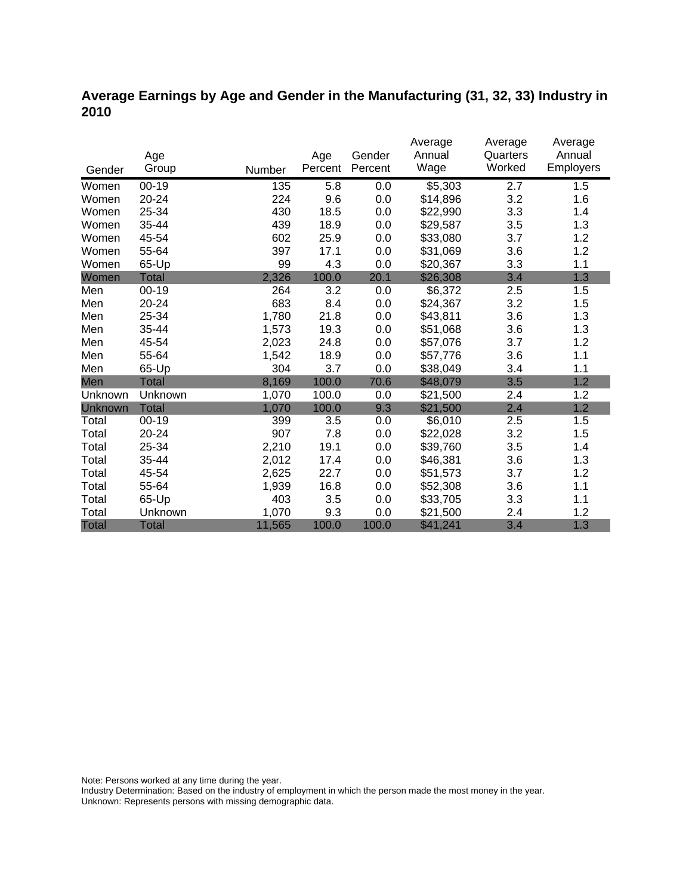### **Average Earnings by Age and Gender in the Manufacturing (31, 32, 33) Industry in 2010**

|              |              |        |         |         | Average  | Average  | Average   |
|--------------|--------------|--------|---------|---------|----------|----------|-----------|
|              | Age          |        | Age     | Gender  | Annual   | Quarters | Annual    |
| Gender       | Group        | Number | Percent | Percent | Wage     | Worked   | Employers |
| Women        | 00-19        | 135    | 5.8     | 0.0     | \$5,303  | 2.7      | 1.5       |
| Women        | 20-24        | 224    | 9.6     | 0.0     | \$14,896 | 3.2      | 1.6       |
| Women        | 25-34        | 430    | 18.5    | 0.0     | \$22,990 | 3.3      | 1.4       |
| Women        | 35-44        | 439    | 18.9    | 0.0     | \$29,587 | 3.5      | 1.3       |
| Women        | 45-54        | 602    | 25.9    | 0.0     | \$33,080 | 3.7      | 1.2       |
| Women        | 55-64        | 397    | 17.1    | 0.0     | \$31,069 | 3.6      | 1.2       |
| Women        | 65-Up        | 99     | 4.3     | 0.0     | \$20,367 | 3.3      | 1.1       |
| Women        | Total        | 2,326  | 100.0   | 20.1    | \$26,308 | 3.4      | 1.3       |
| Men          | $00 - 19$    | 264    | 3.2     | 0.0     | \$6,372  | 2.5      | 1.5       |
| Men          | $20 - 24$    | 683    | 8.4     | 0.0     | \$24,367 | 3.2      | 1.5       |
| Men          | 25-34        | 1,780  | 21.8    | 0.0     | \$43,811 | 3.6      | 1.3       |
| Men          | 35-44        | 1,573  | 19.3    | 0.0     | \$51,068 | 3.6      | 1.3       |
| Men          | 45-54        | 2,023  | 24.8    | 0.0     | \$57,076 | 3.7      | 1.2       |
| Men          | 55-64        | 1,542  | 18.9    | 0.0     | \$57,776 | 3.6      | 1.1       |
| Men          | 65-Up        | 304    | 3.7     | 0.0     | \$38,049 | 3.4      | 1.1       |
| Men          | <b>Total</b> | 8,169  | 100.0   | 70.6    | \$48,079 | 3.5      | 1.2       |
| Unknown      | Unknown      | 1,070  | 100.0   | 0.0     | \$21,500 | 2.4      | 1.2       |
| Unknown      | <b>Total</b> | 1,070  | 100.0   | 9.3     | \$21,500 | 2.4      | 1.2       |
| Total        | $00 - 19$    | 399    | 3.5     | 0.0     | \$6,010  | 2.5      | 1.5       |
| Total        | 20-24        | 907    | 7.8     | 0.0     | \$22,028 | 3.2      | 1.5       |
| Total        | 25-34        | 2,210  | 19.1    | 0.0     | \$39,760 | 3.5      | 1.4       |
| Total        | 35-44        | 2,012  | 17.4    | 0.0     | \$46,381 | 3.6      | 1.3       |
| Total        | 45-54        | 2,625  | 22.7    | 0.0     | \$51,573 | 3.7      | 1.2       |
| Total        | 55-64        | 1,939  | 16.8    | 0.0     | \$52,308 | 3.6      | 1.1       |
| Total        | 65-Up        | 403    | 3.5     | 0.0     | \$33,705 | 3.3      | 1.1       |
| Total        | Unknown      | 1,070  | 9.3     | 0.0     | \$21,500 | 2.4      | 1.2       |
| <b>Total</b> | <b>Total</b> | 11,565 | 100.0   | 100.0   | \$41,241 | 3.4      | 1.3       |

Note: Persons worked at any time during the year.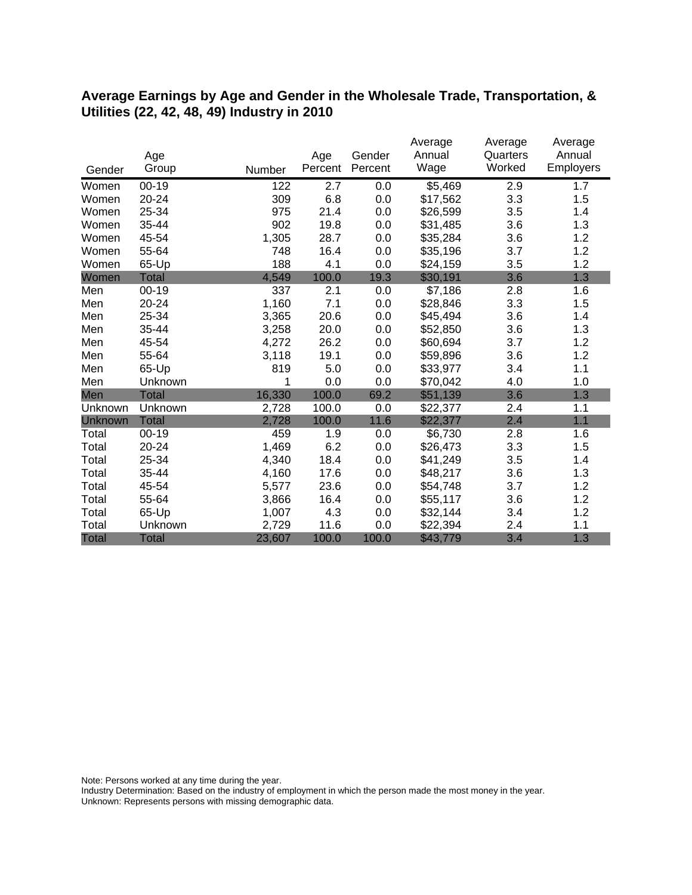#### **Average Earnings by Age and Gender in the Wholesale Trade, Transportation, & Utilities (22, 42, 48, 49) Industry in 2010**

|              |              |        |         |         | Average  | Average  | Average   |
|--------------|--------------|--------|---------|---------|----------|----------|-----------|
|              | Age          |        | Age     | Gender  | Annual   | Quarters | Annual    |
| Gender       | Group        | Number | Percent | Percent | Wage     | Worked   | Employers |
| Women        | $00 - 19$    | 122    | 2.7     | 0.0     | \$5,469  | 2.9      | 1.7       |
| Women        | 20-24        | 309    | 6.8     | 0.0     | \$17,562 | 3.3      | 1.5       |
| Women        | 25-34        | 975    | 21.4    | 0.0     | \$26,599 | 3.5      | 1.4       |
| Women        | 35-44        | 902    | 19.8    | 0.0     | \$31,485 | 3.6      | 1.3       |
| Women        | 45-54        | 1,305  | 28.7    | 0.0     | \$35,284 | 3.6      | 1.2       |
| Women        | 55-64        | 748    | 16.4    | 0.0     | \$35,196 | 3.7      | 1.2       |
| Women        | 65-Up        | 188    | 4.1     | 0.0     | \$24,159 | 3.5      | 1.2       |
| Women        | Total        | 4,549  | 100.0   | 19.3    | \$30,191 | 3.6      | 1.3       |
| Men          | $00 - 19$    | 337    | 2.1     | 0.0     | \$7,186  | 2.8      | 1.6       |
| Men          | 20-24        | 1,160  | 7.1     | 0.0     | \$28,846 | 3.3      | 1.5       |
| Men          | 25-34        | 3,365  | 20.6    | 0.0     | \$45,494 | 3.6      | 1.4       |
| Men          | 35-44        | 3,258  | 20.0    | 0.0     | \$52,850 | 3.6      | 1.3       |
| Men          | 45-54        | 4,272  | 26.2    | 0.0     | \$60,694 | 3.7      | 1.2       |
| Men          | 55-64        | 3,118  | 19.1    | 0.0     | \$59,896 | 3.6      | 1.2       |
| Men          | 65-Up        | 819    | 5.0     | 0.0     | \$33,977 | 3.4      | 1.1       |
| Men          | Unknown      | 1      | 0.0     | 0.0     | \$70,042 | 4.0      | 1.0       |
| Men          | <b>Total</b> | 16,330 | 100.0   | 69.2    | \$51,139 | 3.6      | 1.3       |
| Unknown      | Unknown      | 2,728  | 100.0   | 0.0     | \$22,377 | 2.4      | 1.1       |
| Unknown      | <b>Total</b> | 2,728  | 100.0   | 11.6    | \$22,377 | 2.4      | 1.1       |
| Total        | $00 - 19$    | 459    | 1.9     | 0.0     | \$6,730  | 2.8      | 1.6       |
| Total        | 20-24        | 1,469  | 6.2     | 0.0     | \$26,473 | 3.3      | 1.5       |
| Total        | 25-34        | 4,340  | 18.4    | 0.0     | \$41,249 | 3.5      | 1.4       |
| Total        | 35-44        | 4,160  | 17.6    | 0.0     | \$48,217 | 3.6      | 1.3       |
| Total        | 45-54        | 5,577  | 23.6    | 0.0     | \$54,748 | 3.7      | 1.2       |
| Total        | 55-64        | 3,866  | 16.4    | 0.0     | \$55,117 | 3.6      | 1.2       |
| Total        | 65-Up        | 1,007  | 4.3     | 0.0     | \$32,144 | 3.4      | 1.2       |
| Total        | Unknown      | 2,729  | 11.6    | 0.0     | \$22,394 | 2.4      | 1.1       |
| <b>Total</b> | <b>Total</b> | 23,607 | 100.0   | 100.0   | \$43,779 | 3.4      | 1.3       |

Note: Persons worked at any time during the year.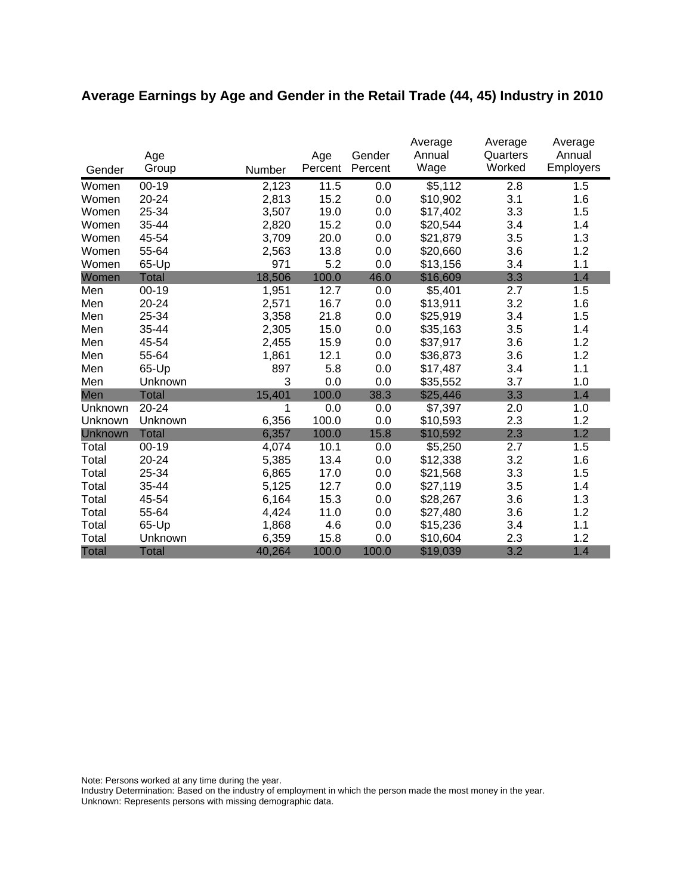# **Average Earnings by Age and Gender in the Retail Trade (44, 45) Industry in 2010**

|         | Age          |        | Age     | Gender  | Average<br>Annual | Average<br>Quarters | Average<br>Annual |
|---------|--------------|--------|---------|---------|-------------------|---------------------|-------------------|
| Gender  | Group        | Number | Percent | Percent | Wage              | Worked              | <b>Employers</b>  |
| Women   | $00 - 19$    | 2,123  | 11.5    | 0.0     | \$5,112           | 2.8                 | 1.5               |
| Women   | $20 - 24$    | 2,813  | 15.2    | 0.0     | \$10,902          | 3.1                 | 1.6               |
| Women   | 25-34        | 3,507  | 19.0    | 0.0     | \$17,402          | 3.3                 | 1.5               |
| Women   | 35-44        | 2,820  | 15.2    | 0.0     | \$20,544          | 3.4                 | 1.4               |
| Women   | 45-54        | 3,709  | 20.0    | 0.0     | \$21,879          | 3.5                 | 1.3               |
| Women   | 55-64        | 2,563  | 13.8    | 0.0     | \$20,660          | 3.6                 | 1.2               |
| Women   | 65-Up        | 971    | 5.2     | 0.0     | \$13,156          | 3.4                 | 1.1               |
| Women   | <b>Total</b> | 18,506 | 100.0   | 46.0    | \$16,609          | 3.3                 | 1.4               |
| Men     | $00 - 19$    | 1,951  | 12.7    | 0.0     | \$5,401           | 2.7                 | 1.5               |
| Men     | 20-24        | 2,571  | 16.7    | 0.0     | \$13,911          | 3.2                 | 1.6               |
| Men     | 25-34        | 3,358  | 21.8    | 0.0     | \$25,919          | 3.4                 | 1.5               |
| Men     | 35-44        | 2,305  | 15.0    | 0.0     | \$35,163          | 3.5                 | 1.4               |
| Men     | 45-54        | 2,455  | 15.9    | 0.0     | \$37,917          | 3.6                 | 1.2               |
| Men     | 55-64        | 1,861  | 12.1    | 0.0     | \$36,873          | 3.6                 | 1.2               |
| Men     | 65-Up        | 897    | 5.8     | 0.0     | \$17,487          | 3.4                 | 1.1               |
| Men     | Unknown      | 3      | 0.0     | 0.0     | \$35,552          | 3.7                 | 1.0               |
| Men     | <b>Total</b> | 15,401 | 100.0   | 38.3    | \$25,446          | 3.3                 | 1.4               |
| Unknown | 20-24        | 1      | 0.0     | 0.0     | \$7,397           | 2.0                 | 1.0               |
| Unknown | Unknown      | 6,356  | 100.0   | 0.0     | \$10,593          | 2.3                 | 1.2               |
| Unknown | <b>Total</b> | 6,357  | 100.0   | 15.8    | \$10,592          | 2.3                 | 1.2               |
| Total   | $00 - 19$    | 4,074  | 10.1    | 0.0     | \$5,250           | 2.7                 | 1.5               |
| Total   | 20-24        | 5,385  | 13.4    | 0.0     | \$12,338          | 3.2                 | 1.6               |
| Total   | 25-34        | 6,865  | 17.0    | 0.0     | \$21,568          | 3.3                 | 1.5               |
| Total   | 35-44        | 5,125  | 12.7    | 0.0     | \$27,119          | 3.5                 | 1.4               |
| Total   | 45-54        | 6,164  | 15.3    | 0.0     | \$28,267          | 3.6                 | 1.3               |
| Total   | 55-64        | 4,424  | 11.0    | 0.0     | \$27,480          | 3.6                 | 1.2               |
| Total   | 65-Up        | 1,868  | 4.6     | 0.0     | \$15,236          | 3.4                 | 1.1               |
| Total   | Unknown      | 6,359  | 15.8    | 0.0     | \$10,604          | 2.3                 | 1.2               |
| Total   | Total        | 40,264 | 100.0   | 100.0   | \$19,039          | 3.2                 | 1.4               |

Note: Persons worked at any time during the year.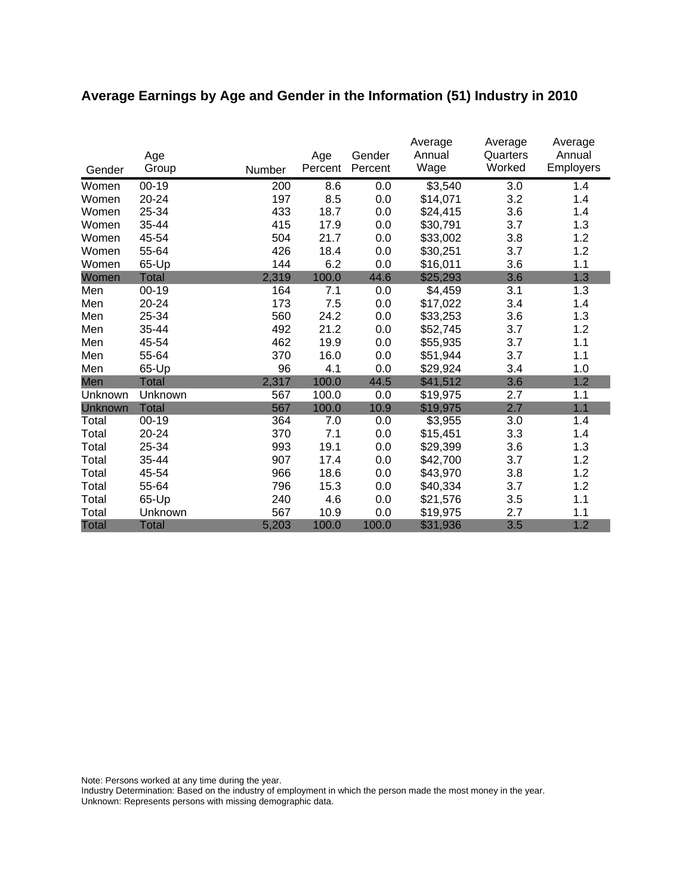# **Average Earnings by Age and Gender in the Information (51) Industry in 2010**

|              | Age          |        | Age     | Gender  | Average<br>Annual | Average<br>Quarters | Average<br>Annual |
|--------------|--------------|--------|---------|---------|-------------------|---------------------|-------------------|
| Gender       | Group        | Number | Percent | Percent | Wage              | Worked              | <b>Employers</b>  |
| Women        | $00 - 19$    | 200    | 8.6     | 0.0     | \$3,540           | 3.0                 | 1.4               |
| Women        | 20-24        | 197    | 8.5     | 0.0     | \$14,071          | 3.2                 | 1.4               |
| Women        | 25-34        | 433    | 18.7    | 0.0     | \$24,415          | 3.6                 | 1.4               |
| Women        | 35-44        | 415    | 17.9    | 0.0     | \$30,791          | 3.7                 | 1.3               |
| Women        | 45-54        | 504    | 21.7    | 0.0     | \$33,002          | 3.8                 | 1.2               |
| Women        | 55-64        | 426    | 18.4    | 0.0     | \$30,251          | 3.7                 | 1.2               |
| Women        | 65-Up        | 144    | 6.2     | 0.0     | \$16,011          | 3.6                 | 1.1               |
| Women        | <b>Total</b> | 2,319  | 100.0   | 44.6    | \$25,293          | 3.6                 | 1.3               |
| Men          | 00-19        | 164    | 7.1     | 0.0     | \$4,459           | 3.1                 | 1.3               |
| Men          | 20-24        | 173    | 7.5     | 0.0     | \$17,022          | 3.4                 | 1.4               |
| Men          | 25-34        | 560    | 24.2    | 0.0     | \$33,253          | 3.6                 | 1.3               |
| Men          | 35-44        | 492    | 21.2    | 0.0     | \$52,745          | 3.7                 | 1.2               |
| Men          | 45-54        | 462    | 19.9    | 0.0     | \$55,935          | 3.7                 | 1.1               |
| Men          | 55-64        | 370    | 16.0    | 0.0     | \$51,944          | 3.7                 | 1.1               |
| Men          | 65-Up        | 96     | 4.1     | 0.0     | \$29,924          | 3.4                 | 1.0               |
| Men          | <b>Total</b> | 2,317  | 100.0   | 44.5    | \$41,512          | 3.6                 | 1.2               |
| Unknown      | Unknown      | 567    | 100.0   | 0.0     | \$19,975          | 2.7                 | 1.1               |
| Unknown      | <b>Total</b> | 567    | 100.0   | 10.9    | \$19,975          | 2.7                 | 1.1               |
| Total        | $00-19$      | 364    | 7.0     | 0.0     | \$3,955           | 3.0                 | 1.4               |
| Total        | 20-24        | 370    | 7.1     | 0.0     | \$15,451          | 3.3                 | 1.4               |
| Total        | 25-34        | 993    | 19.1    | 0.0     | \$29,399          | 3.6                 | 1.3               |
| Total        | 35-44        | 907    | 17.4    | 0.0     | \$42,700          | 3.7                 | 1.2               |
| Total        | 45-54        | 966    | 18.6    | 0.0     | \$43,970          | 3.8                 | 1.2               |
| Total        | 55-64        | 796    | 15.3    | 0.0     | \$40,334          | 3.7                 | 1.2               |
| Total        | 65-Up        | 240    | 4.6     | 0.0     | \$21,576          | 3.5                 | 1.1               |
| Total        | Unknown      | 567    | 10.9    | 0.0     | \$19,975          | 2.7                 | 1.1               |
| <b>Total</b> | <b>Total</b> | 5,203  | 100.0   | 100.0   | \$31,936          | 3.5                 | 1.2               |

Note: Persons worked at any time during the year.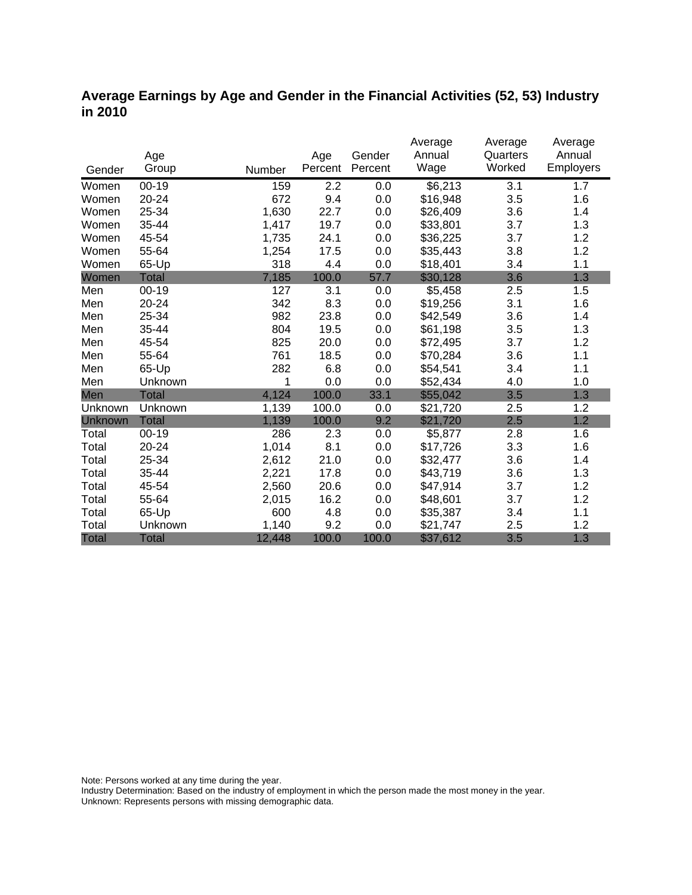### **Average Earnings by Age and Gender in the Financial Activities (52, 53) Industry in 2010**

|              |              |        |         |         | Average  | Average  | Average   |
|--------------|--------------|--------|---------|---------|----------|----------|-----------|
|              | Age          |        | Age     | Gender  | Annual   | Quarters | Annual    |
| Gender       | Group        | Number | Percent | Percent | Wage     | Worked   | Employers |
| Women        | $00 - 19$    | 159    | 2.2     | 0.0     | \$6,213  | 3.1      | 1.7       |
| Women        | 20-24        | 672    | 9.4     | 0.0     | \$16,948 | 3.5      | 1.6       |
| Women        | 25-34        | 1,630  | 22.7    | 0.0     | \$26,409 | 3.6      | 1.4       |
| Women        | 35-44        | 1,417  | 19.7    | 0.0     | \$33,801 | 3.7      | 1.3       |
| Women        | 45-54        | 1,735  | 24.1    | 0.0     | \$36,225 | 3.7      | 1.2       |
| Women        | 55-64        | 1,254  | 17.5    | 0.0     | \$35,443 | 3.8      | 1.2       |
| Women        | 65-Up        | 318    | 4.4     | 0.0     | \$18,401 | 3.4      | 1.1       |
| Women        | <b>Total</b> | 7,185  | 100.0   | 57.7    | \$30,128 | 3.6      | 1.3       |
| Men          | $00 - 19$    | 127    | 3.1     | 0.0     | \$5,458  | 2.5      | 1.5       |
| Men          | $20 - 24$    | 342    | 8.3     | 0.0     | \$19,256 | 3.1      | 1.6       |
| Men          | 25-34        | 982    | 23.8    | 0.0     | \$42,549 | 3.6      | 1.4       |
| Men          | 35-44        | 804    | 19.5    | 0.0     | \$61,198 | 3.5      | 1.3       |
| Men          | 45-54        | 825    | 20.0    | 0.0     | \$72,495 | 3.7      | 1.2       |
| Men          | 55-64        | 761    | 18.5    | 0.0     | \$70,284 | 3.6      | 1.1       |
| Men          | 65-Up        | 282    | 6.8     | 0.0     | \$54,541 | 3.4      | 1.1       |
| Men          | Unknown      | 1      | 0.0     | 0.0     | \$52,434 | 4.0      | 1.0       |
| Men          | <b>Total</b> | 4,124  | 100.0   | 33.1    | \$55,042 | 3.5      | 1.3       |
| Unknown      | Unknown      | 1,139  | 100.0   | 0.0     | \$21,720 | 2.5      | 1.2       |
| Unknown      | <b>Total</b> | 1,139  | 100.0   | 9.2     | \$21,720 | 2.5      | 1.2       |
| Total        | $00 - 19$    | 286    | 2.3     | 0.0     | \$5,877  | 2.8      | 1.6       |
| Total        | $20 - 24$    | 1,014  | 8.1     | 0.0     | \$17,726 | 3.3      | 1.6       |
| Total        | 25-34        | 2,612  | 21.0    | 0.0     | \$32,477 | 3.6      | 1.4       |
| Total        | 35-44        | 2,221  | 17.8    | 0.0     | \$43,719 | 3.6      | 1.3       |
| Total        | 45-54        | 2,560  | 20.6    | 0.0     | \$47,914 | 3.7      | 1.2       |
| Total        | 55-64        | 2,015  | 16.2    | 0.0     | \$48,601 | 3.7      | 1.2       |
| Total        | 65-Up        | 600    | 4.8     | 0.0     | \$35,387 | 3.4      | 1.1       |
| Total        | Unknown      | 1,140  | 9.2     | 0.0     | \$21,747 | 2.5      | 1.2       |
| <b>Total</b> | <b>Total</b> | 12,448 | 100.0   | 100.0   | \$37,612 | 3.5      | 1.3       |

Note: Persons worked at any time during the year.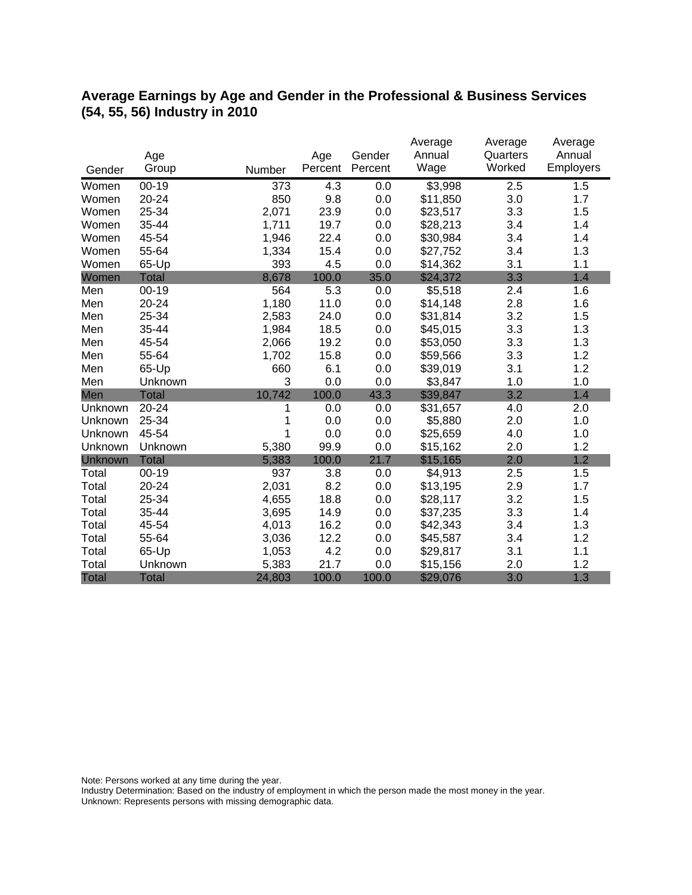### **Average Earnings by Age and Gender in the Professional & Business Services (54, 55, 56) Industry in 2010**

|              |              |        |         |         | Average  | Average  | Average   |
|--------------|--------------|--------|---------|---------|----------|----------|-----------|
|              | Age          |        | Age     | Gender  | Annual   | Quarters | Annual    |
| Gender       | Group        | Number | Percent | Percent | Wage     | Worked   | Employers |
| Women        | $00 - 19$    | 373    | 4.3     | 0.0     | \$3,998  | 2.5      | 1.5       |
| Women        | 20-24        | 850    | 9.8     | 0.0     | \$11,850 | 3.0      | 1.7       |
| Women        | 25-34        | 2,071  | 23.9    | 0.0     | \$23,517 | 3.3      | 1.5       |
| Women        | 35-44        | 1,711  | 19.7    | 0.0     | \$28,213 | 3.4      | 1.4       |
| Women        | 45-54        | 1,946  | 22.4    | 0.0     | \$30,984 | 3.4      | 1.4       |
| Women        | 55-64        | 1,334  | 15.4    | 0.0     | \$27,752 | 3.4      | 1.3       |
| Women        | 65-Up        | 393    | 4.5     | 0.0     | \$14,362 | 3.1      | 1.1       |
| Women        | <b>Total</b> | 8,678  | 100.0   | 35.0    | \$24,372 | 3.3      | 1.4       |
| Men          | $00 - 19$    | 564    | 5.3     | 0.0     | \$5,518  | 2.4      | 1.6       |
| Men          | 20-24        | 1,180  | 11.0    | 0.0     | \$14,148 | 2.8      | 1.6       |
| Men          | 25-34        | 2,583  | 24.0    | 0.0     | \$31,814 | 3.2      | 1.5       |
| Men          | 35-44        | 1,984  | 18.5    | 0.0     | \$45,015 | 3.3      | 1.3       |
| Men          | 45-54        | 2,066  | 19.2    | 0.0     | \$53,050 | 3.3      | 1.3       |
| Men          | 55-64        | 1,702  | 15.8    | 0.0     | \$59,566 | 3.3      | 1.2       |
| Men          | 65-Up        | 660    | 6.1     | 0.0     | \$39,019 | 3.1      | 1.2       |
| Men          | Unknown      | 3      | 0.0     | 0.0     | \$3,847  | 1.0      | 1.0       |
| Men          | <b>Total</b> | 10,742 | 100.0   | 43.3    | \$39,847 | 3.2      | 1.4       |
| Unknown      | 20-24        | 1      | 0.0     | 0.0     | \$31,657 | 4.0      | 2.0       |
| Unknown      | 25-34        |        | 0.0     | 0.0     | \$5,880  | 2.0      | 1.0       |
| Unknown      | 45-54        |        | 0.0     | 0.0     | \$25,659 | 4.0      | 1.0       |
| Unknown      | Unknown      | 5,380  | 99.9    | 0.0     | \$15,162 | 2.0      | 1.2       |
| Unknown      | <b>Total</b> | 5,383  | 100.0   | 21.7    | \$15,165 | 2.0      | 1.2       |
| Total        | $00 - 19$    | 937    | 3.8     | 0.0     | \$4,913  | 2.5      | 1.5       |
| Total        | 20-24        | 2,031  | 8.2     | 0.0     | \$13,195 | 2.9      | 1.7       |
| Total        | 25-34        | 4,655  | 18.8    | 0.0     | \$28,117 | 3.2      | 1.5       |
| Total        | 35-44        | 3,695  | 14.9    | 0.0     | \$37,235 | 3.3      | 1.4       |
| Total        | 45-54        | 4,013  | 16.2    | 0.0     | \$42,343 | 3.4      | 1.3       |
| Total        | 55-64        | 3,036  | 12.2    | 0.0     | \$45,587 | 3.4      | 1.2       |
| Total        | 65-Up        | 1,053  | 4.2     | 0.0     | \$29,817 | 3.1      | 1.1       |
| Total        | Unknown      | 5,383  | 21.7    | 0.0     | \$15,156 | 2.0      | 1.2       |
| <b>Total</b> | Total        | 24,803 | 100.0   | 100.0   | \$29,076 | 3.0      | 1.3       |

Note: Persons worked at any time during the year.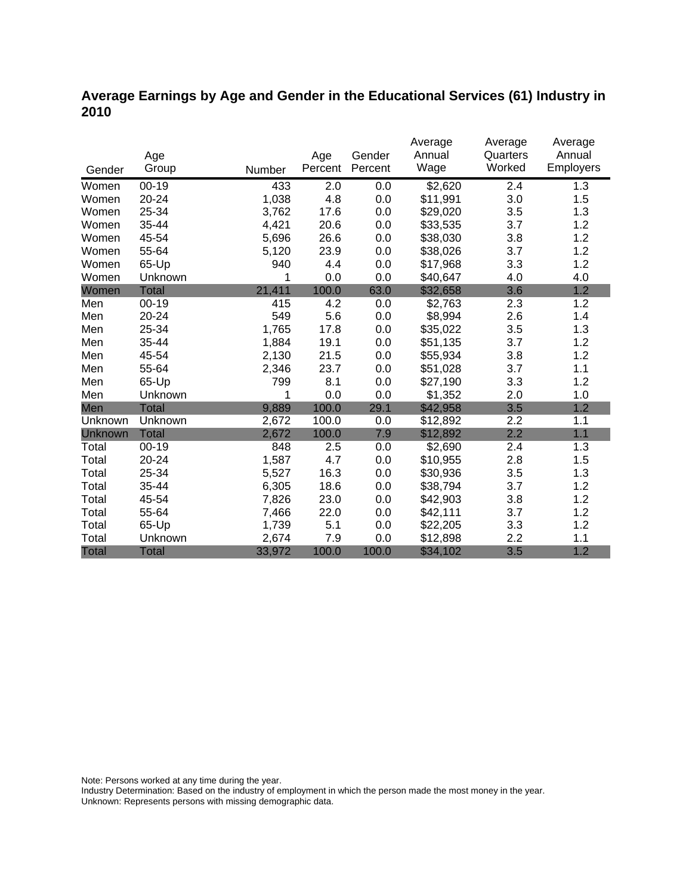### **Average Earnings by Age and Gender in the Educational Services (61) Industry in 2010**

|              |              |        |         |         | Average  | Average  | Average   |
|--------------|--------------|--------|---------|---------|----------|----------|-----------|
|              | Age          |        | Age     | Gender  | Annual   | Quarters | Annual    |
| Gender       | Group        | Number | Percent | Percent | Wage     | Worked   | Employers |
| Women        | $00 - 19$    | 433    | 2.0     | 0.0     | \$2,620  | 2.4      | 1.3       |
| Women        | $20 - 24$    | 1,038  | 4.8     | 0.0     | \$11,991 | 3.0      | 1.5       |
| Women        | 25-34        | 3,762  | 17.6    | 0.0     | \$29,020 | 3.5      | 1.3       |
| Women        | 35-44        | 4,421  | 20.6    | 0.0     | \$33,535 | 3.7      | 1.2       |
| Women        | 45-54        | 5,696  | 26.6    | 0.0     | \$38,030 | 3.8      | 1.2       |
| Women        | 55-64        | 5,120  | 23.9    | 0.0     | \$38,026 | 3.7      | 1.2       |
| Women        | 65-Up        | 940    | 4.4     | 0.0     | \$17,968 | 3.3      | 1.2       |
| Women        | Unknown      | 1      | 0.0     | 0.0     | \$40,647 | 4.0      | 4.0       |
| Women        | <b>Total</b> | 21,411 | 100.0   | 63.0    | \$32,658 | 3.6      | 1.2       |
| Men          | $00 - 19$    | 415    | 4.2     | 0.0     | \$2,763  | 2.3      | 1.2       |
| Men          | 20-24        | 549    | 5.6     | 0.0     | \$8,994  | 2.6      | 1.4       |
| Men          | 25-34        | 1,765  | 17.8    | 0.0     | \$35,022 | 3.5      | 1.3       |
| Men          | 35-44        | 1,884  | 19.1    | 0.0     | \$51,135 | 3.7      | 1.2       |
| Men          | 45-54        | 2,130  | 21.5    | 0.0     | \$55,934 | 3.8      | 1.2       |
| Men          | 55-64        | 2,346  | 23.7    | 0.0     | \$51,028 | 3.7      | 1.1       |
| Men          | 65-Up        | 799    | 8.1     | 0.0     | \$27,190 | 3.3      | 1.2       |
| Men          | Unknown      | 1      | 0.0     | 0.0     | \$1,352  | 2.0      | 1.0       |
| Men          | <b>Total</b> | 9,889  | 100.0   | 29.1    | \$42,958 | 3.5      | 1.2       |
| Unknown      | Unknown      | 2,672  | 100.0   | 0.0     | \$12,892 | 2.2      | 1.1       |
| Unknown      | <b>Total</b> | 2,672  | 100.0   | 7.9     | \$12,892 | 2.2      | 1.1       |
| Total        | $00 - 19$    | 848    | 2.5     | 0.0     | \$2,690  | 2.4      | 1.3       |
| Total        | 20-24        | 1,587  | 4.7     | 0.0     | \$10,955 | 2.8      | 1.5       |
| Total        | 25-34        | 5,527  | 16.3    | 0.0     | \$30,936 | 3.5      | 1.3       |
| Total        | 35-44        | 6,305  | 18.6    | 0.0     | \$38,794 | 3.7      | 1.2       |
| Total        | 45-54        | 7,826  | 23.0    | 0.0     | \$42,903 | 3.8      | 1.2       |
| Total        | 55-64        | 7,466  | 22.0    | 0.0     | \$42,111 | 3.7      | 1.2       |
| Total        | 65-Up        | 1,739  | 5.1     | 0.0     | \$22,205 | 3.3      | 1.2       |
| Total        | Unknown      | 2,674  | 7.9     | 0.0     | \$12,898 | 2.2      | 1.1       |
| <b>Total</b> | <b>Total</b> | 33,972 | 100.0   | 100.0   | \$34,102 | 3.5      | 1.2       |

Note: Persons worked at any time during the year.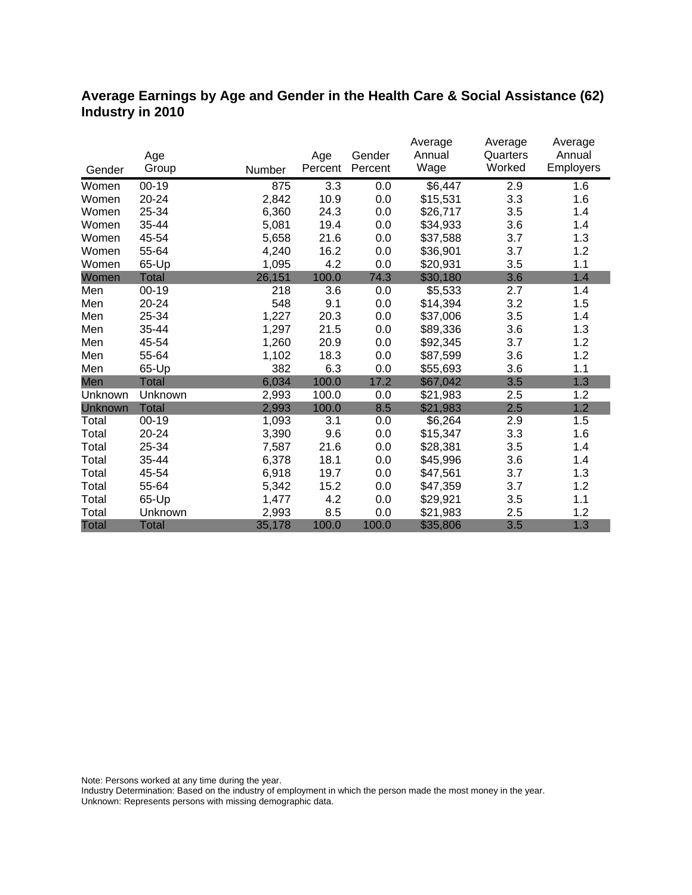### **Average Earnings by Age and Gender in the Health Care & Social Assistance (62) Industry in 2010**

|              |              |        |         |         | Average  | Average  | Average          |
|--------------|--------------|--------|---------|---------|----------|----------|------------------|
|              | Age          |        | Age     | Gender  | Annual   | Quarters | Annual           |
| Gender       | Group        | Number | Percent | Percent | Wage     | Worked   | <b>Employers</b> |
| Women        | $00 - 19$    | 875    | 3.3     | 0.0     | \$6,447  | 2.9      | 1.6              |
| Women        | $20 - 24$    | 2,842  | 10.9    | 0.0     | \$15,531 | 3.3      | 1.6              |
| Women        | 25-34        | 6,360  | 24.3    | 0.0     | \$26,717 | 3.5      | 1.4              |
| Women        | 35-44        | 5,081  | 19.4    | 0.0     | \$34,933 | 3.6      | 1.4              |
| Women        | 45-54        | 5,658  | 21.6    | 0.0     | \$37,588 | 3.7      | 1.3              |
| Women        | 55-64        | 4,240  | 16.2    | 0.0     | \$36,901 | 3.7      | 1.2              |
| Women        | 65-Up        | 1,095  | 4.2     | 0.0     | \$20,931 | 3.5      | 1.1              |
| Women        | Total        | 26,151 | 100.0   | 74.3    | \$30,180 | 3.6      | 1.4              |
| Men          | $00 - 19$    | 218    | 3.6     | 0.0     | \$5,533  | 2.7      | 1.4              |
| Men          | 20-24        | 548    | 9.1     | 0.0     | \$14,394 | 3.2      | 1.5              |
| Men          | 25-34        | 1,227  | 20.3    | 0.0     | \$37,006 | 3.5      | 1.4              |
| Men          | 35-44        | 1,297  | 21.5    | 0.0     | \$89,336 | 3.6      | 1.3              |
| Men          | 45-54        | 1,260  | 20.9    | 0.0     | \$92,345 | 3.7      | 1.2              |
| Men          | 55-64        | 1,102  | 18.3    | 0.0     | \$87,599 | 3.6      | 1.2              |
| Men          | 65-Up        | 382    | 6.3     | 0.0     | \$55,693 | 3.6      | 1.1              |
| Men          | <b>Total</b> | 6,034  | 100.0   | 17.2    | \$67,042 | 3.5      | 1.3              |
| Unknown      | Unknown      | 2,993  | 100.0   | 0.0     | \$21,983 | 2.5      | 1.2              |
| Unknown      | <b>Total</b> | 2,993  | 100.0   | 8.5     | \$21,983 | 2.5      | 1.2              |
| Total        | $00 - 19$    | 1,093  | 3.1     | 0.0     | \$6,264  | 2.9      | 1.5              |
| Total        | 20-24        | 3,390  | 9.6     | 0.0     | \$15,347 | 3.3      | 1.6              |
| Total        | 25-34        | 7,587  | 21.6    | 0.0     | \$28,381 | 3.5      | 1.4              |
| Total        | 35-44        | 6,378  | 18.1    | 0.0     | \$45,996 | 3.6      | 1.4              |
| Total        | 45-54        | 6,918  | 19.7    | 0.0     | \$47,561 | 3.7      | 1.3              |
| Total        | 55-64        | 5,342  | 15.2    | 0.0     | \$47,359 | 3.7      | 1.2              |
| Total        | 65-Up        | 1,477  | 4.2     | 0.0     | \$29,921 | 3.5      | 1.1              |
| Total        | Unknown      | 2,993  | 8.5     | 0.0     | \$21,983 | 2.5      | 1.2              |
| <b>Total</b> | <b>Total</b> | 35,178 | 100.0   | 100.0   | \$35,806 | 3.5      | 1.3              |

Note: Persons worked at any time during the year.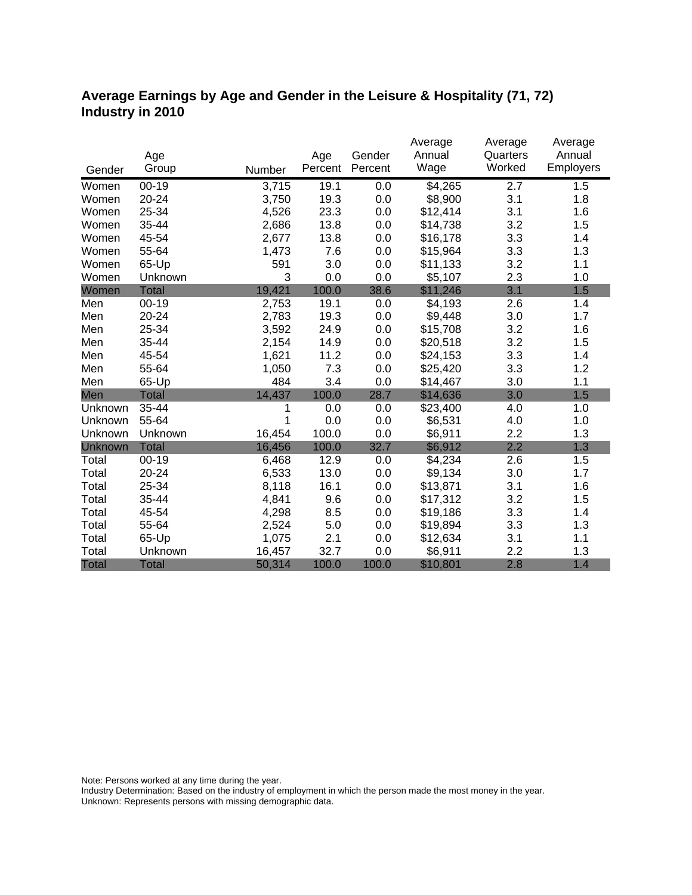### **Average Earnings by Age and Gender in the Leisure & Hospitality (71, 72) Industry in 2010**

|              |              |        |         |         | Average  | Average  | Average   |
|--------------|--------------|--------|---------|---------|----------|----------|-----------|
|              | Age          |        | Age     | Gender  | Annual   | Quarters | Annual    |
| Gender       | Group        | Number | Percent | Percent | Wage     | Worked   | Employers |
| Women        | $00 - 19$    | 3,715  | 19.1    | 0.0     | \$4,265  | 2.7      | 1.5       |
| Women        | 20-24        | 3,750  | 19.3    | 0.0     | \$8,900  | 3.1      | 1.8       |
| Women        | 25-34        | 4,526  | 23.3    | 0.0     | \$12,414 | 3.1      | 1.6       |
| Women        | 35-44        | 2,686  | 13.8    | 0.0     | \$14,738 | 3.2      | 1.5       |
| Women        | 45-54        | 2,677  | 13.8    | 0.0     | \$16,178 | 3.3      | 1.4       |
| Women        | 55-64        | 1,473  | 7.6     | 0.0     | \$15,964 | 3.3      | 1.3       |
| Women        | 65-Up        | 591    | 3.0     | 0.0     | \$11,133 | 3.2      | 1.1       |
| Women        | Unknown      | 3      | 0.0     | 0.0     | \$5,107  | 2.3      | 1.0       |
| Women        | <b>Total</b> | 19,421 | 100.0   | 38.6    | \$11,246 | 3.1      | 1.5       |
| Men          | $00 - 19$    | 2,753  | 19.1    | 0.0     | \$4,193  | 2.6      | 1.4       |
| Men          | 20-24        | 2,783  | 19.3    | 0.0     | \$9,448  | 3.0      | 1.7       |
| Men          | 25-34        | 3,592  | 24.9    | 0.0     | \$15,708 | 3.2      | 1.6       |
| Men          | 35-44        | 2,154  | 14.9    | 0.0     | \$20,518 | 3.2      | 1.5       |
| Men          | 45-54        | 1,621  | 11.2    | 0.0     | \$24,153 | 3.3      | 1.4       |
| Men          | 55-64        | 1,050  | 7.3     | 0.0     | \$25,420 | 3.3      | 1.2       |
| Men          | 65-Up        | 484    | 3.4     | 0.0     | \$14,467 | 3.0      | 1.1       |
| Men          | <b>Total</b> | 14,437 | 100.0   | 28.7    | \$14,636 | 3.0      | 1.5       |
| Unknown      | 35-44        | 1      | 0.0     | 0.0     | \$23,400 | 4.0      | 1.0       |
| Unknown      | 55-64        | 1      | 0.0     | 0.0     | \$6,531  | 4.0      | 1.0       |
| Unknown      | Unknown      | 16,454 | 100.0   | 0.0     | \$6,911  | 2.2      | 1.3       |
| Unknown      | <b>Total</b> | 16,456 | 100.0   | 32.7    | \$6,912  | 2.2      | 1.3       |
| Total        | $00 - 19$    | 6,468  | 12.9    | 0.0     | \$4,234  | 2.6      | 1.5       |
| Total        | 20-24        | 6,533  | 13.0    | 0.0     | \$9,134  | 3.0      | 1.7       |
| Total        | 25-34        | 8,118  | 16.1    | 0.0     | \$13,871 | 3.1      | 1.6       |
| Total        | 35-44        | 4,841  | 9.6     | 0.0     | \$17,312 | 3.2      | 1.5       |
| Total        | 45-54        | 4,298  | 8.5     | 0.0     | \$19,186 | 3.3      | 1.4       |
| Total        | 55-64        | 2,524  | 5.0     | 0.0     | \$19,894 | 3.3      | 1.3       |
| Total        | 65-Up        | 1,075  | 2.1     | 0.0     | \$12,634 | 3.1      | 1.1       |
| Total        | Unknown      | 16,457 | 32.7    | 0.0     | \$6,911  | 2.2      | 1.3       |
| <b>Total</b> | <b>Total</b> | 50,314 | 100.0   | 100.0   | \$10,801 | 2.8      | 1.4       |

Note: Persons worked at any time during the year.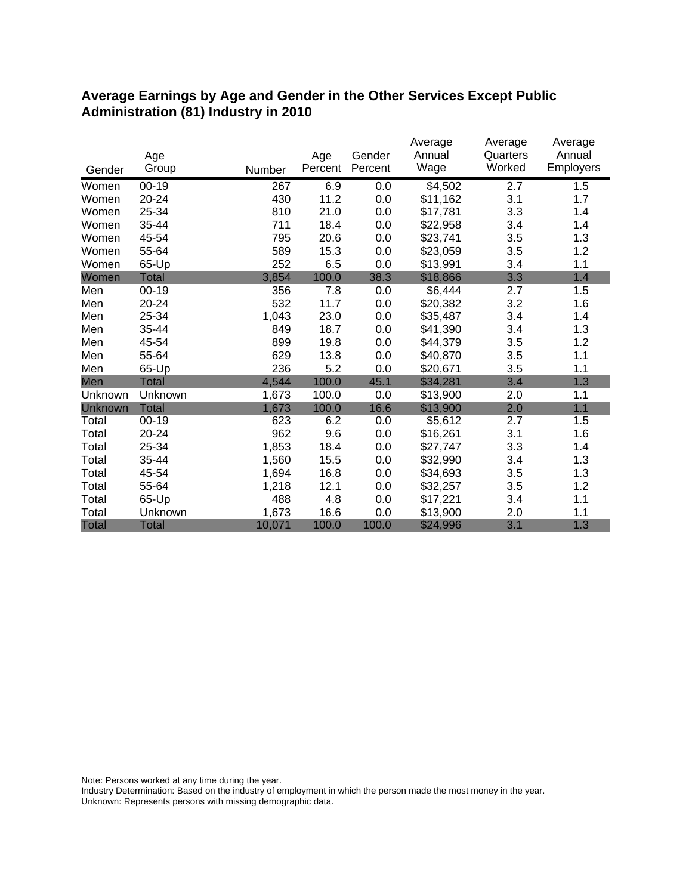#### **Average Earnings by Age and Gender in the Other Services Except Public Administration (81) Industry in 2010**

|              |              |        |         |         | Average  | Average  | Average   |
|--------------|--------------|--------|---------|---------|----------|----------|-----------|
|              | Age          |        | Age     | Gender  | Annual   | Quarters | Annual    |
| Gender       | Group        | Number | Percent | Percent | Wage     | Worked   | Employers |
| Women        | $00 - 19$    | 267    | 6.9     | 0.0     | \$4,502  | 2.7      | 1.5       |
| Women        | 20-24        | 430    | 11.2    | 0.0     | \$11,162 | 3.1      | 1.7       |
| Women        | 25-34        | 810    | 21.0    | 0.0     | \$17,781 | 3.3      | 1.4       |
| Women        | 35-44        | 711    | 18.4    | 0.0     | \$22,958 | 3.4      | 1.4       |
| Women        | 45-54        | 795    | 20.6    | 0.0     | \$23,741 | 3.5      | 1.3       |
| Women        | 55-64        | 589    | 15.3    | 0.0     | \$23,059 | 3.5      | 1.2       |
| Women        | 65-Up        | 252    | 6.5     | 0.0     | \$13,991 | 3.4      | 1.1       |
| Women        | <b>Total</b> | 3,854  | 100.0   | 38.3    | \$18,866 | 3.3      | 1.4       |
| Men          | $00 - 19$    | 356    | 7.8     | 0.0     | \$6,444  | 2.7      | 1.5       |
| Men          | $20 - 24$    | 532    | 11.7    | 0.0     | \$20,382 | 3.2      | 1.6       |
| Men          | 25-34        | 1,043  | 23.0    | 0.0     | \$35,487 | 3.4      | 1.4       |
| Men          | 35-44        | 849    | 18.7    | 0.0     | \$41,390 | 3.4      | 1.3       |
| Men          | 45-54        | 899    | 19.8    | 0.0     | \$44,379 | 3.5      | 1.2       |
| Men          | 55-64        | 629    | 13.8    | 0.0     | \$40,870 | 3.5      | 1.1       |
| Men          | 65-Up        | 236    | 5.2     | 0.0     | \$20,671 | 3.5      | 1.1       |
| Men          | <b>Total</b> | 4,544  | 100.0   | 45.1    | \$34,281 | 3.4      | 1.3       |
| Unknown      | Unknown      | 1,673  | 100.0   | 0.0     | \$13,900 | 2.0      | 1.1       |
| Unknown      | <b>Total</b> | 1,673  | 100.0   | 16.6    | \$13,900 | 2.0      | 1.1       |
| Total        | $00 - 19$    | 623    | 6.2     | 0.0     | \$5,612  | 2.7      | 1.5       |
| Total        | 20-24        | 962    | 9.6     | 0.0     | \$16,261 | 3.1      | 1.6       |
| Total        | 25-34        | 1,853  | 18.4    | 0.0     | \$27,747 | 3.3      | 1.4       |
| Total        | 35-44        | 1,560  | 15.5    | 0.0     | \$32,990 | 3.4      | 1.3       |
| Total        | 45-54        | 1,694  | 16.8    | 0.0     | \$34,693 | 3.5      | 1.3       |
| Total        | 55-64        | 1,218  | 12.1    | 0.0     | \$32,257 | 3.5      | 1.2       |
| Total        | 65-Up        | 488    | 4.8     | 0.0     | \$17,221 | 3.4      | 1.1       |
| Total        | Unknown      | 1,673  | 16.6    | 0.0     | \$13,900 | 2.0      | 1.1       |
| <b>Total</b> | <b>Total</b> | 10,071 | 100.0   | 100.0   | \$24,996 | 3.1      | 1.3       |

Note: Persons worked at any time during the year.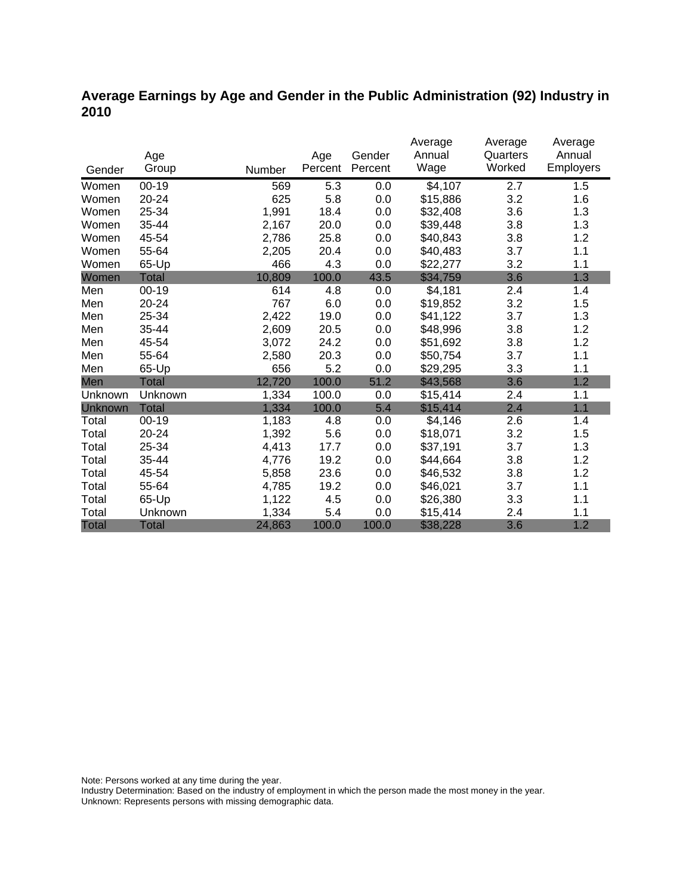### **Average Earnings by Age and Gender in the Public Administration (92) Industry in 2010**

|              |              |        |         |         | Average  | Average  | Average   |
|--------------|--------------|--------|---------|---------|----------|----------|-----------|
|              | Age          |        | Age     | Gender  | Annual   | Quarters | Annual    |
| Gender       | Group        | Number | Percent | Percent | Wage     | Worked   | Employers |
| Women        | 00-19        | 569    | 5.3     | 0.0     | \$4,107  | 2.7      | 1.5       |
| Women        | 20-24        | 625    | 5.8     | 0.0     | \$15,886 | 3.2      | 1.6       |
| Women        | 25-34        | 1,991  | 18.4    | 0.0     | \$32,408 | 3.6      | 1.3       |
| Women        | 35-44        | 2,167  | 20.0    | 0.0     | \$39,448 | 3.8      | 1.3       |
| Women        | 45-54        | 2,786  | 25.8    | 0.0     | \$40,843 | 3.8      | 1.2       |
| Women        | 55-64        | 2,205  | 20.4    | 0.0     | \$40,483 | 3.7      | 1.1       |
| Women        | 65-Up        | 466    | 4.3     | 0.0     | \$22,277 | 3.2      | 1.1       |
| Women        | Total        | 10,809 | 100.0   | 43.5    | \$34,759 | 3.6      | 1.3       |
| Men          | $00 - 19$    | 614    | 4.8     | 0.0     | \$4,181  | 2.4      | 1.4       |
| Men          | 20-24        | 767    | 6.0     | 0.0     | \$19,852 | 3.2      | 1.5       |
| Men          | 25-34        | 2,422  | 19.0    | 0.0     | \$41,122 | 3.7      | 1.3       |
| Men          | 35-44        | 2,609  | 20.5    | 0.0     | \$48,996 | 3.8      | 1.2       |
| Men          | 45-54        | 3,072  | 24.2    | 0.0     | \$51,692 | 3.8      | 1.2       |
| Men          | 55-64        | 2,580  | 20.3    | 0.0     | \$50,754 | 3.7      | 1.1       |
| Men          | 65-Up        | 656    | 5.2     | 0.0     | \$29,295 | 3.3      | 1.1       |
| Men          | <b>Total</b> | 12,720 | 100.0   | 51.2    | \$43,568 | 3.6      | 1.2       |
| Unknown      | Unknown      | 1,334  | 100.0   | 0.0     | \$15,414 | 2.4      | 1.1       |
| Unknown      | <b>Total</b> | 1,334  | 100.0   | 5.4     | \$15,414 | 2.4      | 1.1       |
| Total        | $00 - 19$    | 1,183  | 4.8     | 0.0     | \$4,146  | 2.6      | 1.4       |
| Total        | 20-24        | 1,392  | 5.6     | 0.0     | \$18,071 | 3.2      | 1.5       |
| Total        | 25-34        | 4,413  | 17.7    | 0.0     | \$37,191 | 3.7      | 1.3       |
| Total        | 35-44        | 4,776  | 19.2    | 0.0     | \$44,664 | 3.8      | 1.2       |
| Total        | 45-54        | 5,858  | 23.6    | 0.0     | \$46,532 | 3.8      | 1.2       |
| Total        | 55-64        | 4,785  | 19.2    | 0.0     | \$46,021 | 3.7      | 1.1       |
| Total        | 65-Up        | 1,122  | 4.5     | 0.0     | \$26,380 | 3.3      | 1.1       |
| Total        | Unknown      | 1,334  | 5.4     | 0.0     | \$15,414 | 2.4      | 1.1       |
| <b>Total</b> | <b>Total</b> | 24,863 | 100.0   | 100.0   | \$38,228 | 3.6      | 1.2       |

Note: Persons worked at any time during the year.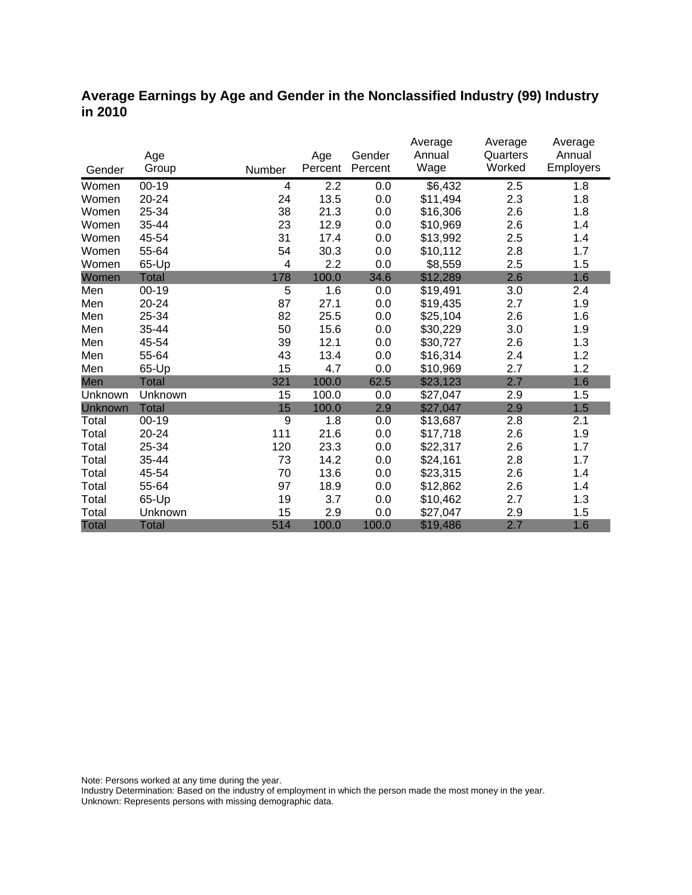#### **Average Earnings by Age and Gender in the Nonclassified Industry (99) Industry in 2010**

|              |              |        |         |         | Average  | Average  | Average          |
|--------------|--------------|--------|---------|---------|----------|----------|------------------|
|              | Age          |        | Age     | Gender  | Annual   | Quarters | Annual           |
| Gender       | Group        | Number | Percent | Percent | Wage     | Worked   | <b>Employers</b> |
| Women        | $00 - 19$    | 4      | 2.2     | 0.0     | \$6,432  | 2.5      | 1.8              |
| Women        | 20-24        | 24     | 13.5    | 0.0     | \$11,494 | 2.3      | 1.8              |
| Women        | 25-34        | 38     | 21.3    | 0.0     | \$16,306 | 2.6      | 1.8              |
| Women        | 35-44        | 23     | 12.9    | 0.0     | \$10,969 | 2.6      | 1.4              |
| Women        | 45-54        | 31     | 17.4    | 0.0     | \$13,992 | 2.5      | 1.4              |
| Women        | 55-64        | 54     | 30.3    | 0.0     | \$10,112 | 2.8      | 1.7              |
| Women        | 65-Up        | 4      | 2.2     | 0.0     | \$8,559  | 2.5      | 1.5              |
| Women        | <b>Total</b> | 178    | 100.0   | 34.6    | \$12,289 | 2.6      | 1.6              |
| Men          | $00 - 19$    | 5      | 1.6     | 0.0     | \$19,491 | 3.0      | 2.4              |
| Men          | 20-24        | 87     | 27.1    | 0.0     | \$19,435 | 2.7      | 1.9              |
| Men          | 25-34        | 82     | 25.5    | 0.0     | \$25,104 | 2.6      | 1.6              |
| Men          | 35-44        | 50     | 15.6    | 0.0     | \$30,229 | 3.0      | 1.9              |
| Men          | 45-54        | 39     | 12.1    | 0.0     | \$30,727 | 2.6      | 1.3              |
| Men          | 55-64        | 43     | 13.4    | 0.0     | \$16,314 | 2.4      | 1.2              |
| Men          | 65-Up        | 15     | 4.7     | 0.0     | \$10,969 | 2.7      | 1.2              |
| Men          | <b>Total</b> | 321    | 100.0   | 62.5    | \$23,123 | 2.7      | 1.6              |
| Unknown      | Unknown      | 15     | 100.0   | 0.0     | \$27,047 | 2.9      | 1.5              |
| Unknown      | <b>Total</b> | 15     | 100.0   | 2.9     | \$27,047 | 2.9      | 1.5              |
| Total        | $00 - 19$    | 9      | 1.8     | 0.0     | \$13,687 | 2.8      | 2.1              |
| Total        | 20-24        | 111    | 21.6    | 0.0     | \$17,718 | 2.6      | 1.9              |
| Total        | 25-34        | 120    | 23.3    | 0.0     | \$22,317 | 2.6      | 1.7              |
| Total        | 35-44        | 73     | 14.2    | 0.0     | \$24,161 | 2.8      | 1.7              |
| Total        | 45-54        | 70     | 13.6    | 0.0     | \$23,315 | 2.6      | 1.4              |
| Total        | 55-64        | 97     | 18.9    | 0.0     | \$12,862 | 2.6      | 1.4              |
| Total        | 65-Up        | 19     | 3.7     | 0.0     | \$10,462 | 2.7      | 1.3              |
| Total        | Unknown      | 15     | 2.9     | 0.0     | \$27,047 | 2.9      | 1.5              |
| <b>Total</b> | <b>Total</b> | 514    | 100.0   | 100.0   | \$19,486 | 2.7      | 1.6              |

Note: Persons worked at any time during the year.